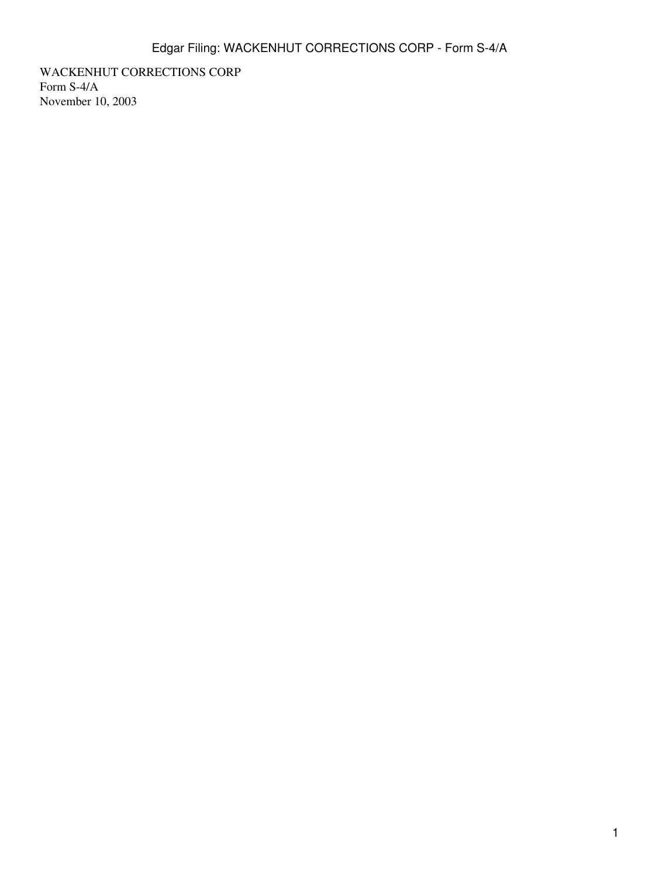WACKENHUT CORRECTIONS CORP Form S-4/A November 10, 2003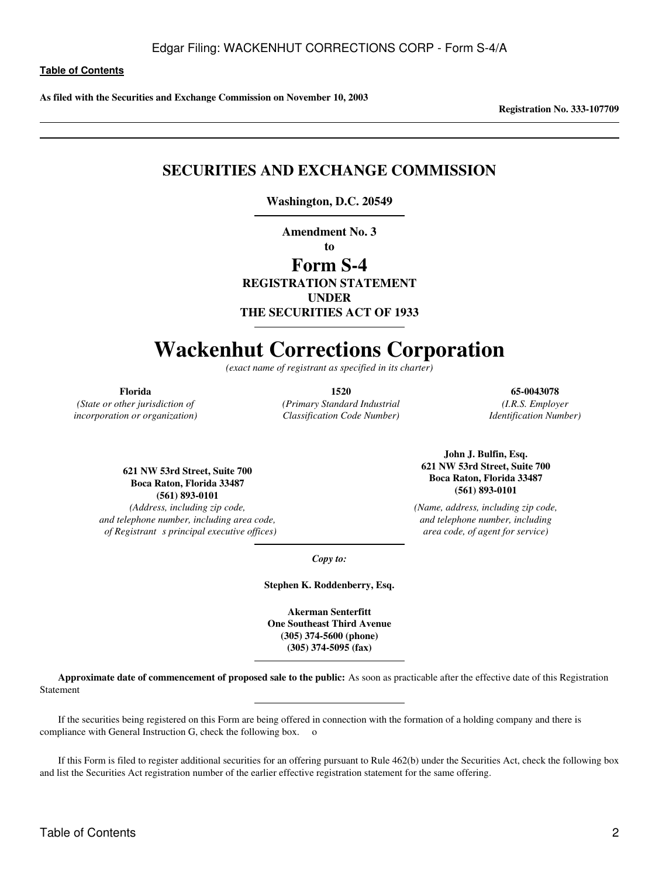**As filed with the Securities and Exchange Commission on November 10, 2003**

**Registration No. 333-107709**

# **SECURITIES AND EXCHANGE COMMISSION**

**Washington, D.C. 20549**

**Amendment No. 3**

**to**

**Form S-4 REGISTRATION STATEMENT UNDER THE SECURITIES ACT OF 1933**

# **Wackenhut Corrections Corporation**

*(exact name of registrant as specified in its charter)*

*(State or other jurisdiction of incorporation or organization)*

> **621 NW 53rd Street, Suite 700 Boca Raton, Florida 33487**

**(561) 893-0101** *(Address, including zip code, and telephone number, including area code,*  $of$  *Registrant s principal executive offices*)

**Florida 1520 65-0043078** *(Primary Standard Industrial Classification Code Number)*

*(I.R.S. Employer Identification Number)*

**John J. Bulfin, Esq. 621 NW 53rd Street, Suite 700 Boca Raton, Florida 33487 (561) 893-0101**

*(Name, address, including zip code, and telephone number, including area code, of agent for service)*

*Copy to:*

**Stephen K. Roddenberry, Esq.**

**Akerman Senterfitt One Southeast Third Avenue (305) 374-5600 (phone) (305) 374-5095 (fax)**

**Approximate date of commencement of proposed sale to the public:** As soon as practicable after the effective date of this Registration Statement

If the securities being registered on this Form are being offered in connection with the formation of a holding company and there is compliance with General Instruction G, check the following box. o

If this Form is filed to register additional securities for an offering pursuant to Rule 462(b) under the Securities Act, check the following box and list the Securities Act registration number of the earlier effective registration statement for the same offering.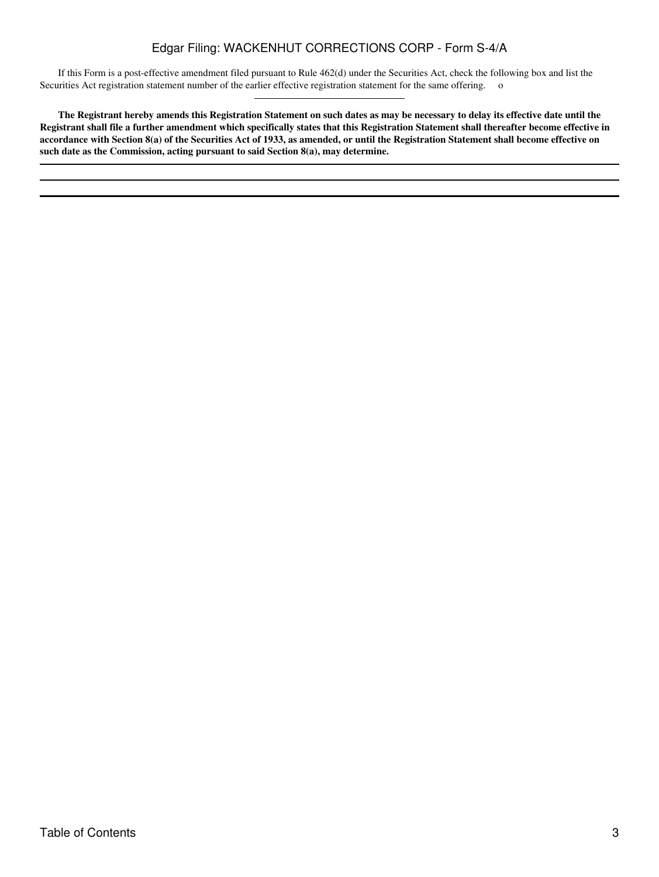If this Form is a post-effective amendment filed pursuant to Rule 462(d) under the Securities Act, check the following box and list the Securities Act registration statement number of the earlier effective registration statement for the same offering. o

**The Registrant hereby amends this Registration Statement on such dates as may be necessary to delay its effective date until the Registrant shall file a further amendment which specifically states that this Registration Statement shall thereafter become effective in accordance with Section 8(a) of the Securities Act of 1933, as amended, or until the Registration Statement shall become effective on such date as the Commission, acting pursuant to said Section 8(a), may determine.**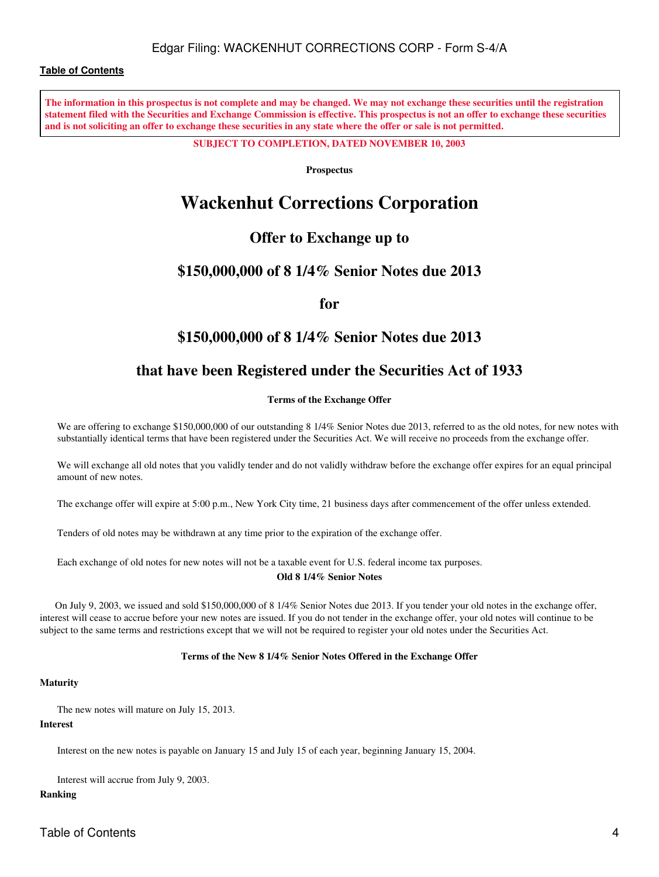**The information in this prospectus is not complete and may be changed. We may not exchange these securities until the registration statement filed with the Securities and Exchange Commission is effective. This prospectus is not an offer to exchange these securities and is not soliciting an offer to exchange these securities in any state where the offer or sale is not permitted.**

**SUBJECT TO COMPLETION, DATED NOVEMBER 10, 2003**

**Prospectus**

# **Wackenhut Corrections Corporation**

# **Offer to Exchange up to**

# **\$150,000,000 of 8 1/4% Senior Notes due 2013**

**for**

# **\$150,000,000 of 8 1/4% Senior Notes due 2013**

# **that have been Registered under the Securities Act of 1933**

### **Terms of the Exchange Offer**

 We are offering to exchange \$150,000,000 of our outstanding 8 1/4% Senior Notes due 2013, referred to as the old notes, for new notes with substantially identical terms that have been registered under the Securities Act. We will receive no proceeds from the exchange offer.

We will exchange all old notes that you validly tender and do not validly withdraw before the exchange offer expires for an equal principal amount of new notes.

The exchange offer will expire at 5:00 p.m., New York City time, 21 business days after commencement of the offer unless extended.

Tenders of old notes may be withdrawn at any time prior to the expiration of the exchange offer.

Each exchange of old notes for new notes will not be a taxable event for U.S. federal income tax purposes.

### **Old 8 1/4% Senior Notes**

On July 9, 2003, we issued and sold \$150,000,000 of 8 1/4% Senior Notes due 2013. If you tender your old notes in the exchange offer, interest will cease to accrue before your new notes are issued. If you do not tender in the exchange offer, your old notes will continue to be subject to the same terms and restrictions except that we will not be required to register your old notes under the Securities Act.

### **Terms of the New 8 1/4% Senior Notes Offered in the Exchange Offer**

### **Maturity**

The new notes will mature on July 15, 2013.

### **Interest**

Interest on the new notes is payable on January 15 and July 15 of each year, beginning January 15, 2004.

Interest will accrue from July 9, 2003.

### **Ranking**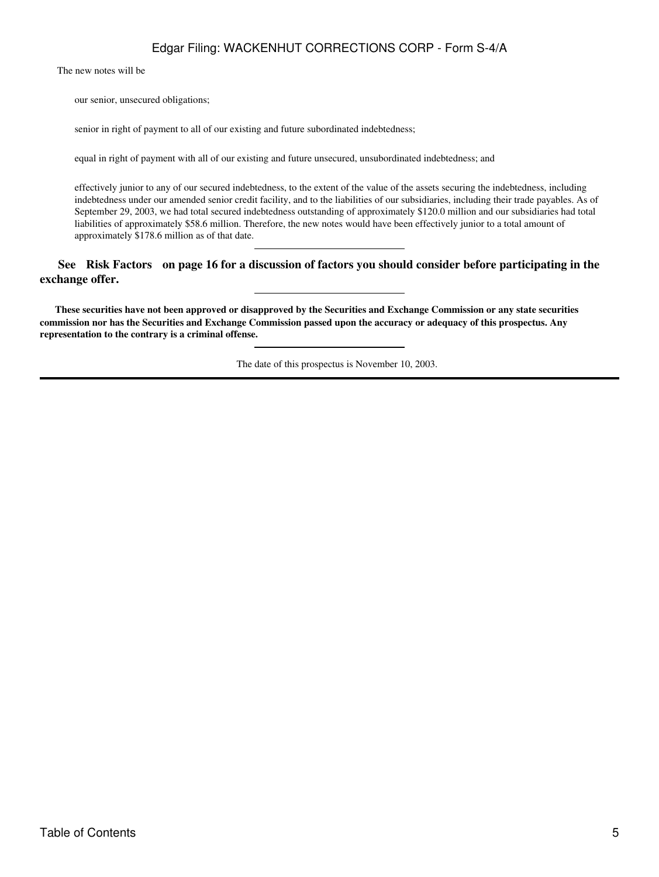The new notes will be

our senior, unsecured obligations;

senior in right of payment to all of our existing and future subordinated indebtedness;

equal in right of payment with all of our existing and future unsecured, unsubordinated indebtedness; and

 effectively junior to any of our secured indebtedness, to the extent of the value of the assets securing the indebtedness, including indebtedness under our amended senior credit facility, and to the liabilities of our subsidiaries, including their trade payables. As of September 29, 2003, we had total secured indebtedness outstanding of approximately \$120.0 million and our subsidiaries had total liabilities of approximately \$58.6 million. Therefore, the new notes would have been effectively junior to a total amount of approximately \$178.6 million as of that date.

 **See Risk Factors on page 16 for a discussion of factors you should consider before participating in the exchange offer.**

**These securities have not been approved or disapproved by the Securities and Exchange Commission or any state securities commission nor has the Securities and Exchange Commission passed upon the accuracy or adequacy of this prospectus. Any representation to the contrary is a criminal offense.**

The date of this prospectus is November 10, 2003.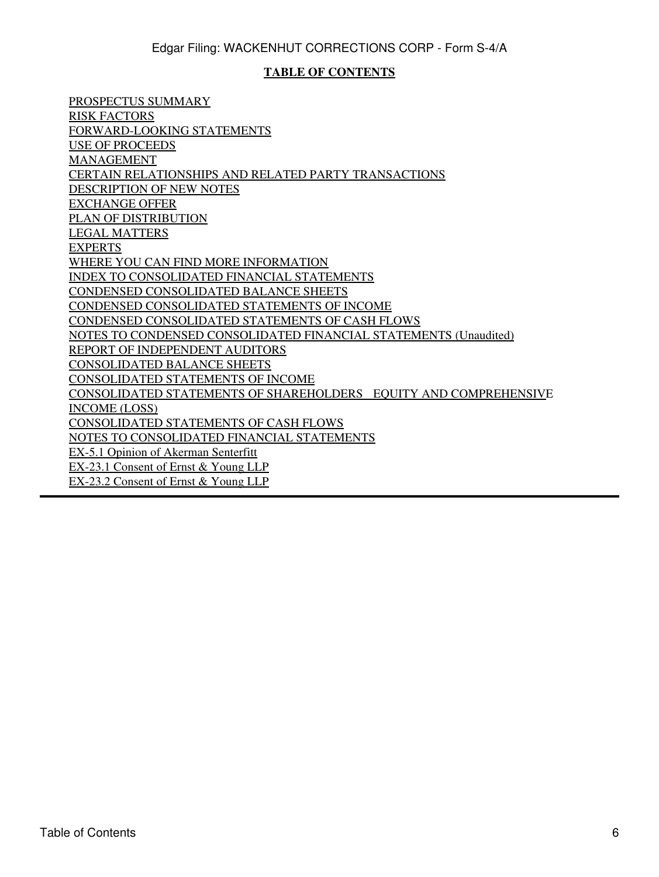## **TABLE OF CONTENTS**

<span id="page-5-0"></span>[PROSPECTUS SUMMARY](#page-8-0) [RISK FACTORS](#page-25-0) [FORWARD-LOOKING STATEMENTS](#page-40-0) [USE OF PROCEEDS](#page-42-0) [MANAGEMENT](#page-89-0) [CERTAIN RELATIONSHIPS AND RELATED PARTY TRANSACTIONS](#page-102-0) [DESCRIPTION OF NEW NOTES](#page-105-0) [EXCHANGE OFFER](#page-141-0) [PLAN OF DISTRIBUTION](#page-156-0) [LEGAL MATTERS](#page-158-0) [EXPERTS](#page-158-1) [WHERE YOU CAN FIND MORE INFORMATION](#page-158-2) [INDEX TO CONSOLIDATED FINANCIAL STATEMENTS](#page-160-0) [CONDENSED CONSOLIDATED BALANCE SHEETS](#page-197-0) [CONDENSED CONSOLIDATED STATEMENTS OF INCOME](#page-199-0) [CONDENSED CONSOLIDATED STATEMENTS OF CASH FLOWS](#page-200-0) [NOTES TO CONDENSED CONSOLIDATED FINANCIAL STATEMENTS \(Unaudited\)](#page-202-0) [REPORT OF INDEPENDENT AUDITORS](#page-215-0) [CONSOLIDATED BALANCE SHEETS](#page-216-0) [CONSOLIDATED STATEMENTS OF INCOME](#page-218-0) [CONSOLIDATED STATEMENTS OF SHAREHOLDERS EQUITY AND COMPREHENSIVE](#page-219-0) [INCOME \(LOSS\)](#page-219-0) [CONSOLIDATED STATEMENTS OF CASH FLOWS](#page-220-0) [NOTES TO CONSOLIDATED FINANCIAL STATEMENTS](#page-222-0) EX-5.1 Opinion of Akerman Senterfitt EX-23.1 Consent of Ernst & Young LLP EX-23.2 Consent of Ernst & Young LLP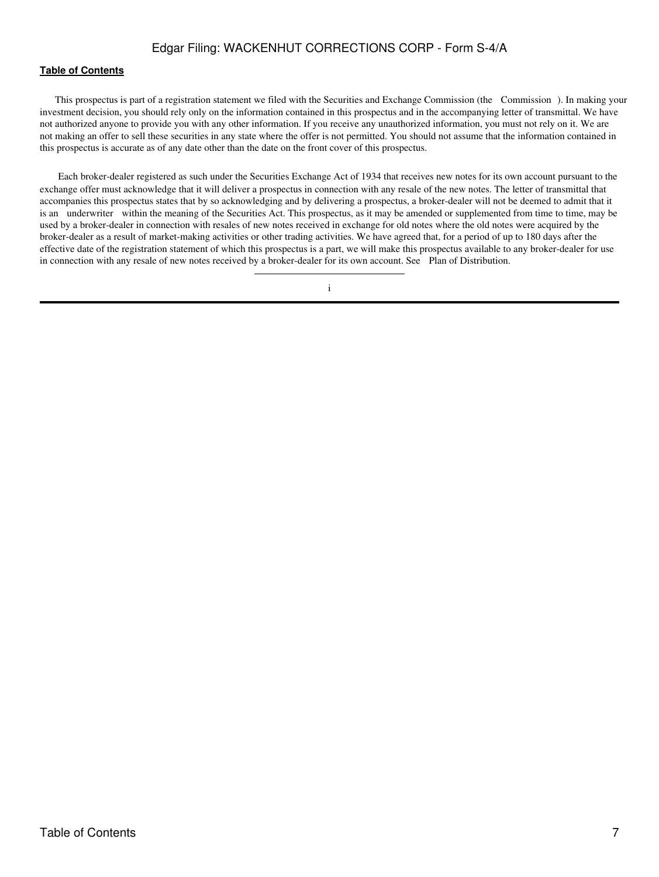### **[Table of Contents](#page-5-0)**

This prospectus is part of a registration statement we filed with the Securities and Exchange Commission (the Commission). In making your investment decision, you should rely only on the information contained in this prospectus and in the accompanying letter of transmittal. We have not authorized anyone to provide you with any other information. If you receive any unauthorized information, you must not rely on it. We are not making an offer to sell these securities in any state where the offer is not permitted. You should not assume that the information contained in this prospectus is accurate as of any date other than the date on the front cover of this prospectus.

Each broker-dealer registered as such under the Securities Exchange Act of 1934 that receives new notes for its own account pursuant to the exchange offer must acknowledge that it will deliver a prospectus in connection with any resale of the new notes. The letter of transmittal that accompanies this prospectus states that by so acknowledging and by delivering a prospectus, a broker-dealer will not be deemed to admit that it is an underwriter within the meaning of the Securities Act. This prospectus, as it may be amended or supplemented from time to time, may be used by a broker-dealer in connection with resales of new notes received in exchange for old notes where the old notes were acquired by the broker-dealer as a result of market-making activities or other trading activities. We have agreed that, for a period of up to 180 days after the effective date of the registration statement of which this prospectus is a part, we will make this prospectus available to any broker-dealer for use in connection with any resale of new notes received by a broker-dealer for its own account. See Plan of Distribution.

i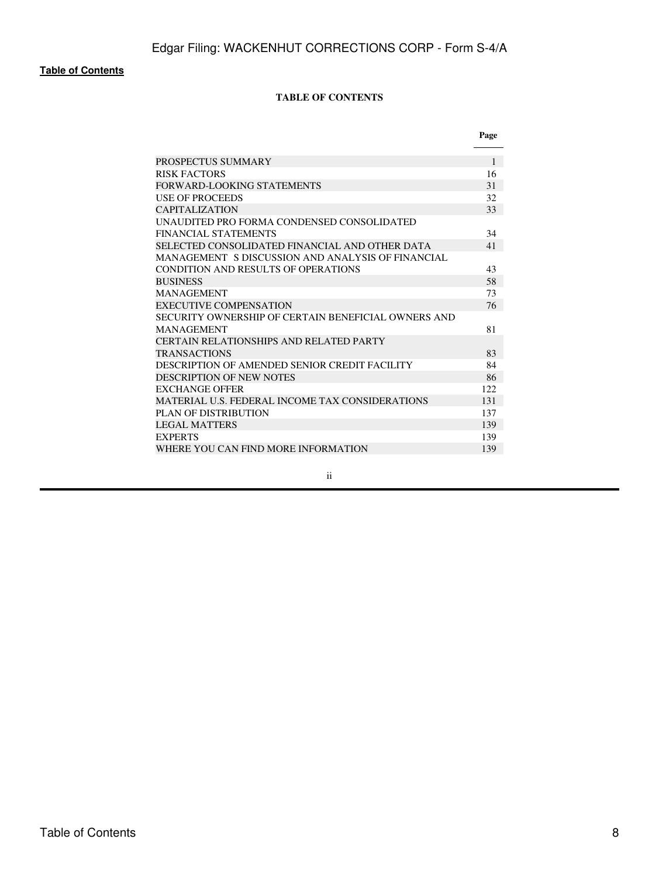### **TABLE OF CONTENTS**

|                                                     | Page |
|-----------------------------------------------------|------|
| PROSPECTUS SUMMARY                                  | 1    |
| <b>RISK FACTORS</b>                                 | 16   |
| FORWARD-LOOKING STATEMENTS                          | 31   |
| <b>USE OF PROCEEDS</b>                              | 32   |
| <b>CAPITALIZATION</b>                               | 33   |
| UNAUDITED PRO FORMA CONDENSED CONSOLIDATED          |      |
| FINANCIAL STATEMENTS                                | 34   |
| SELECTED CONSOLIDATED FINANCIAL AND OTHER DATA      | 41   |
| MANAGEMENT S DISCUSSION AND ANALYSIS OF FINANCIAL   |      |
| <b>CONDITION AND RESULTS OF OPERATIONS</b>          | 43   |
| <b>BUSINESS</b>                                     | 58   |
| <b>MANAGEMENT</b>                                   | 73   |
| EXECUTIVE COMPENSATION                              | 76   |
| SECURITY OWNERSHIP OF CERTAIN BENEFICIAL OWNERS AND |      |
| <b>MANAGEMENT</b>                                   | 81   |
| CERTAIN RELATIONSHIPS AND RELATED PARTY             |      |
| <b>TRANSACTIONS</b>                                 | 83   |
| DESCRIPTION OF AMENDED SENIOR CREDIT FACILITY       | 84   |
| <b>DESCRIPTION OF NEW NOTES</b>                     | 86   |
| <b>EXCHANGE OFFER</b>                               | 122. |
| MATERIAL U.S. FEDERAL INCOME TAX CONSIDERATIONS     | 131  |
| PLAN OF DISTRIBUTION                                | 137  |
| <b>LEGAL MATTERS</b>                                | 139  |
| <b>EXPERTS</b>                                      | 139  |
| WHERE YOU CAN FIND MORE INFORMATION                 | 139  |

ii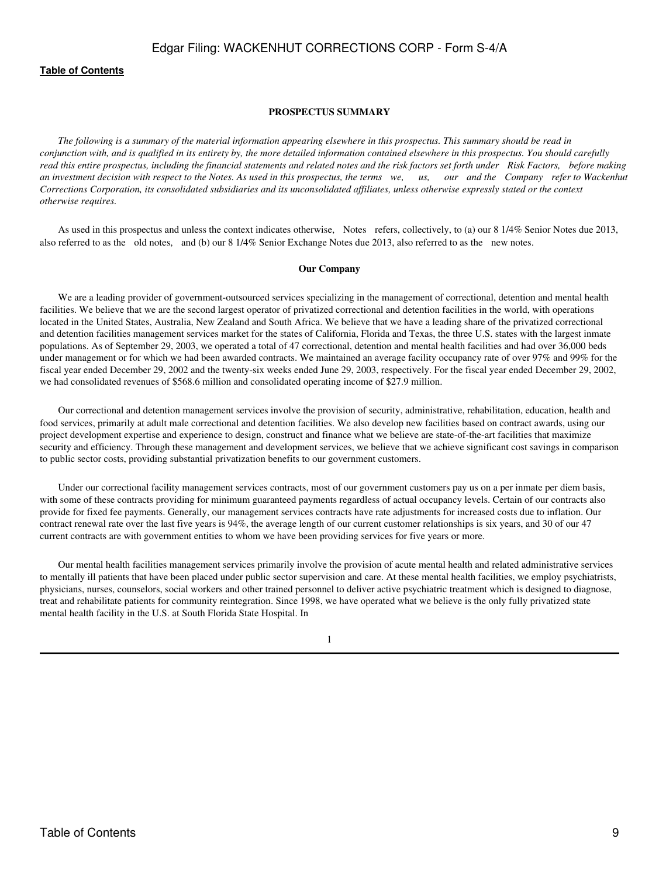#### **PROSPECTUS SUMMARY**

<span id="page-8-0"></span>*The following is a summary of the material information appearing elsewhere in this prospectus. This summary should be read in conjunction with, and is qualified in its entirety by, the more detailed information contained elsewhere in this prospectus. You should carefully read this entire prospectus, including the financial statements and related notes and the risk factors set forth under Risk Factors, before making an investment decision with respect to the Notes. As used in this prospectus, the terms we, us, our and the Company refer to Wackenhut Corrections Corporation, its consolidated subsidiaries and its unconsolidated affiliates, unless otherwise expressly stated or the context otherwise requires.*

As used in this prospectus and unless the context indicates otherwise, Notes refers, collectively, to (a) our 8 1/4% Senior Notes due 2013, also referred to as the old notes, and (b) our 8 1/4% Senior Exchange Notes due 2013, also referred to as the new notes.

#### **Our Company**

We are a leading provider of government-outsourced services specializing in the management of correctional, detention and mental health facilities. We believe that we are the second largest operator of privatized correctional and detention facilities in the world, with operations located in the United States, Australia, New Zealand and South Africa. We believe that we have a leading share of the privatized correctional and detention facilities management services market for the states of California, Florida and Texas, the three U.S. states with the largest inmate populations. As of September 29, 2003, we operated a total of 47 correctional, detention and mental health facilities and had over 36,000 beds under management or for which we had been awarded contracts. We maintained an average facility occupancy rate of over 97% and 99% for the fiscal year ended December 29, 2002 and the twenty-six weeks ended June 29, 2003, respectively. For the fiscal year ended December 29, 2002, we had consolidated revenues of \$568.6 million and consolidated operating income of \$27.9 million.

Our correctional and detention management services involve the provision of security, administrative, rehabilitation, education, health and food services, primarily at adult male correctional and detention facilities. We also develop new facilities based on contract awards, using our project development expertise and experience to design, construct and finance what we believe are state-of-the-art facilities that maximize security and efficiency. Through these management and development services, we believe that we achieve significant cost savings in comparison to public sector costs, providing substantial privatization benefits to our government customers.

Under our correctional facility management services contracts, most of our government customers pay us on a per inmate per diem basis, with some of these contracts providing for minimum guaranteed payments regardless of actual occupancy levels. Certain of our contracts also provide for fixed fee payments. Generally, our management services contracts have rate adjustments for increased costs due to inflation. Our contract renewal rate over the last five years is 94%, the average length of our current customer relationships is six years, and 30 of our 47 current contracts are with government entities to whom we have been providing services for five years or more.

Our mental health facilities management services primarily involve the provision of acute mental health and related administrative services to mentally ill patients that have been placed under public sector supervision and care. At these mental health facilities, we employ psychiatrists, physicians, nurses, counselors, social workers and other trained personnel to deliver active psychiatric treatment which is designed to diagnose, treat and rehabilitate patients for community reintegration. Since 1998, we have operated what we believe is the only fully privatized state mental health facility in the U.S. at South Florida State Hospital. In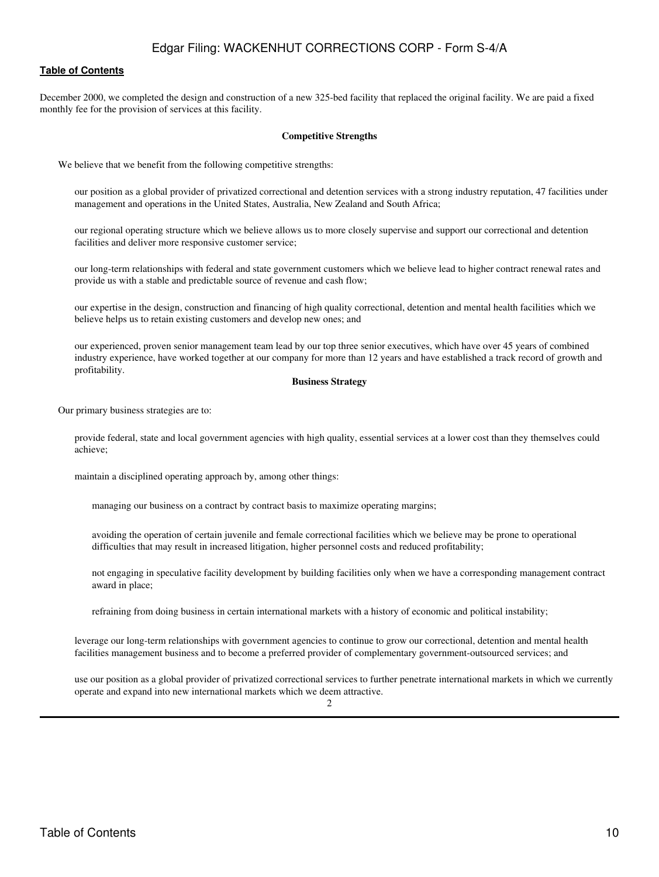### **[Table of Contents](#page-5-0)**

December 2000, we completed the design and construction of a new 325-bed facility that replaced the original facility. We are paid a fixed monthly fee for the provision of services at this facility.

#### **Competitive Strengths**

We believe that we benefit from the following competitive strengths:

our position as a global provider of privatized correctional and detention services with a strong industry reputation, 47 facilities under management and operations in the United States, Australia, New Zealand and South Africa;

our regional operating structure which we believe allows us to more closely supervise and support our correctional and detention facilities and deliver more responsive customer service;

our long-term relationships with federal and state government customers which we believe lead to higher contract renewal rates and provide us with a stable and predictable source of revenue and cash flow;

our expertise in the design, construction and financing of high quality correctional, detention and mental health facilities which we believe helps us to retain existing customers and develop new ones; and

our experienced, proven senior management team lead by our top three senior executives, which have over 45 years of combined industry experience, have worked together at our company for more than 12 years and have established a track record of growth and profitability.

#### **Business Strategy**

Our primary business strategies are to:

provide federal, state and local government agencies with high quality, essential services at a lower cost than they themselves could achieve;

maintain a disciplined operating approach by, among other things:

managing our business on a contract by contract basis to maximize operating margins;

avoiding the operation of certain juvenile and female correctional facilities which we believe may be prone to operational difficulties that may result in increased litigation, higher personnel costs and reduced profitability;

not engaging in speculative facility development by building facilities only when we have a corresponding management contract award in place;

refraining from doing business in certain international markets with a history of economic and political instability;

leverage our long-term relationships with government agencies to continue to grow our correctional, detention and mental health facilities management business and to become a preferred provider of complementary government-outsourced services; and

use our position as a global provider of privatized correctional services to further penetrate international markets in which we currently operate and expand into new international markets which we deem attractive.

 $\mathcal{D}$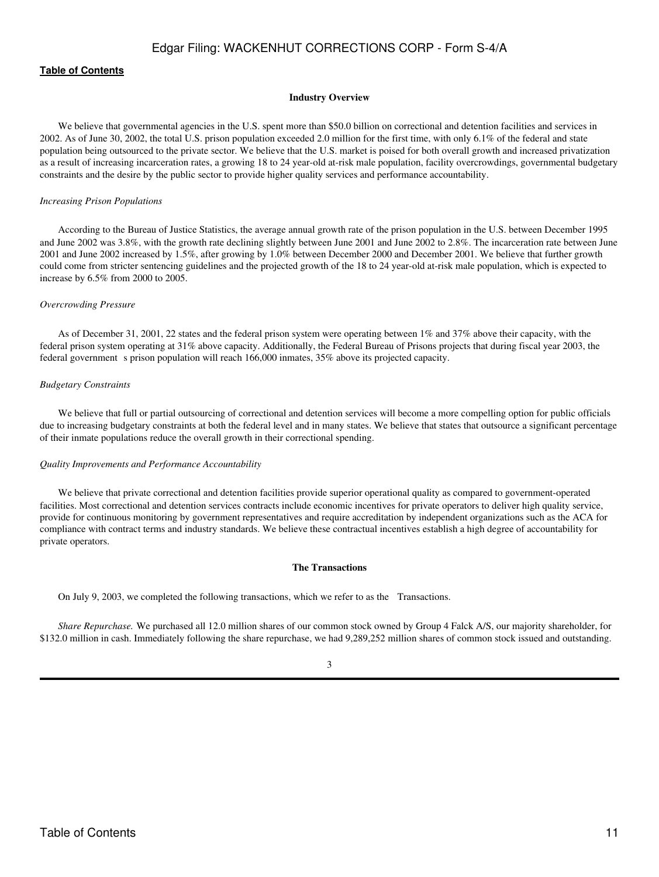#### **Industry Overview**

We believe that governmental agencies in the U.S. spent more than \$50.0 billion on correctional and detention facilities and services in 2002. As of June 30, 2002, the total U.S. prison population exceeded 2.0 million for the first time, with only 6.1% of the federal and state population being outsourced to the private sector. We believe that the U.S. market is poised for both overall growth and increased privatization as a result of increasing incarceration rates, a growing 18 to 24 year-old at-risk male population, facility overcrowdings, governmental budgetary constraints and the desire by the public sector to provide higher quality services and performance accountability.

#### *Increasing Prison Populations*

According to the Bureau of Justice Statistics, the average annual growth rate of the prison population in the U.S. between December 1995 and June 2002 was 3.8%, with the growth rate declining slightly between June 2001 and June 2002 to 2.8%. The incarceration rate between June 2001 and June 2002 increased by 1.5%, after growing by 1.0% between December 2000 and December 2001. We believe that further growth could come from stricter sentencing guidelines and the projected growth of the 18 to 24 year-old at-risk male population, which is expected to increase by 6.5% from 2000 to 2005.

#### *Overcrowding Pressure*

As of December 31, 2001, 22 states and the federal prison system were operating between 1% and 37% above their capacity, with the federal prison system operating at 31% above capacity. Additionally, the Federal Bureau of Prisons projects that during fiscal year 2003, the federal government s prison population will reach 166,000 inmates, 35% above its projected capacity.

#### *Budgetary Constraints*

We believe that full or partial outsourcing of correctional and detention services will become a more compelling option for public officials due to increasing budgetary constraints at both the federal level and in many states. We believe that states that outsource a significant percentage of their inmate populations reduce the overall growth in their correctional spending.

#### *Quality Improvements and Performance Accountability*

We believe that private correctional and detention facilities provide superior operational quality as compared to government-operated facilities. Most correctional and detention services contracts include economic incentives for private operators to deliver high quality service, provide for continuous monitoring by government representatives and require accreditation by independent organizations such as the ACA for compliance with contract terms and industry standards. We believe these contractual incentives establish a high degree of accountability for private operators.

#### **The Transactions**

On July 9, 2003, we completed the following transactions, which we refer to as the Transactions.

*Share Repurchase.* We purchased all 12.0 million shares of our common stock owned by Group 4 Falck A/S, our majority shareholder, for \$132.0 million in cash. Immediately following the share repurchase, we had 9,289,252 million shares of common stock issued and outstanding.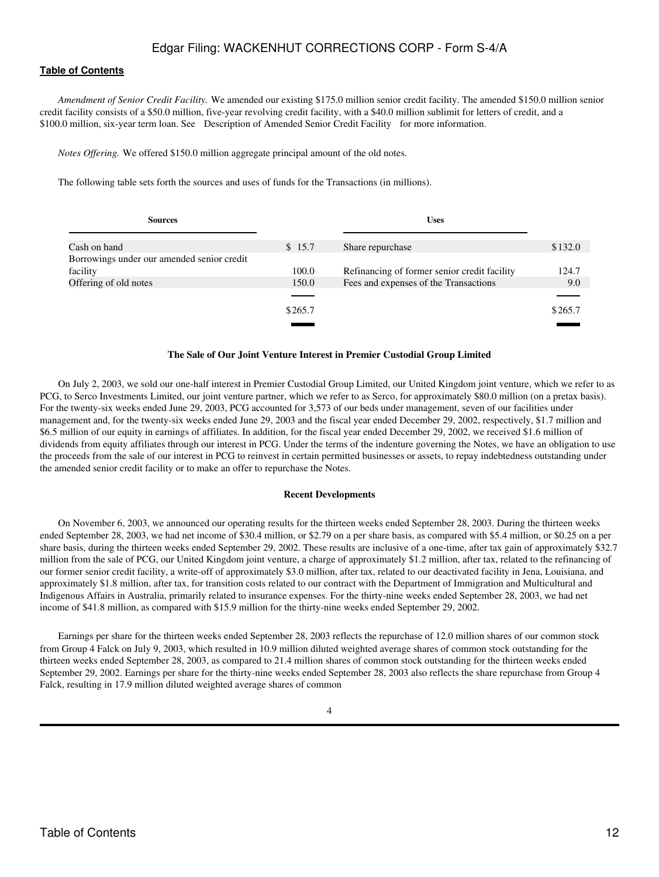### **[Table of Contents](#page-5-0)**

*Amendment of Senior Credit Facility.* We amended our existing \$175.0 million senior credit facility. The amended \$150.0 million senior credit facility consists of a \$50.0 million, five-year revolving credit facility, with a \$40.0 million sublimit for letters of credit, and a \$100.0 million, six-year term loan. See Description of Amended Senior Credit Facility for more information.

*Notes Offering.* We offered \$150.0 million aggregate principal amount of the old notes.

The following table sets forth the sources and uses of funds for the Transactions (in millions).

| <b>Sources</b>                             |         | <b>Uses</b>                                  |         |
|--------------------------------------------|---------|----------------------------------------------|---------|
| Cash on hand                               | \$15.7  | Share repurchase                             | \$132.0 |
| Borrowings under our amended senior credit |         |                                              |         |
| facility                                   | 100.0   | Refinancing of former senior credit facility | 124.7   |
| Offering of old notes                      | 150.0   | Fees and expenses of the Transactions        | 9.0     |
|                                            |         |                                              |         |
|                                            | \$265.7 |                                              | \$265.7 |
|                                            |         |                                              |         |

#### **The Sale of Our Joint Venture Interest in Premier Custodial Group Limited**

On July 2, 2003, we sold our one-half interest in Premier Custodial Group Limited, our United Kingdom joint venture, which we refer to as PCG, to Serco Investments Limited, our joint venture partner, which we refer to as Serco, for approximately \$80.0 million (on a pretax basis). For the twenty-six weeks ended June 29, 2003, PCG accounted for 3,573 of our beds under management, seven of our facilities under management and, for the twenty-six weeks ended June 29, 2003 and the fiscal year ended December 29, 2002, respectively, \$1.7 million and \$6.5 million of our equity in earnings of affiliates. In addition, for the fiscal year ended December 29, 2002, we received \$1.6 million of dividends from equity affiliates through our interest in PCG. Under the terms of the indenture governing the Notes, we have an obligation to use the proceeds from the sale of our interest in PCG to reinvest in certain permitted businesses or assets, to repay indebtedness outstanding under the amended senior credit facility or to make an offer to repurchase the Notes.

#### **Recent Developments**

On November 6, 2003, we announced our operating results for the thirteen weeks ended September 28, 2003. During the thirteen weeks ended September 28, 2003, we had net income of \$30.4 million, or \$2.79 on a per share basis, as compared with \$5.4 million, or \$0.25 on a per share basis, during the thirteen weeks ended September 29, 2002. These results are inclusive of a one-time, after tax gain of approximately \$32.7 million from the sale of PCG, our United Kingdom joint venture, a charge of approximately \$1.2 million, after tax, related to the refinancing of our former senior credit facility, a write-off of approximately \$3.0 million, after tax, related to our deactivated facility in Jena, Louisiana, and approximately \$1.8 million, after tax, for transition costs related to our contract with the Department of Immigration and Multicultural and Indigenous Affairs in Australia, primarily related to insurance expenses. For the thirty-nine weeks ended September 28, 2003, we had net income of \$41.8 million, as compared with \$15.9 million for the thirty-nine weeks ended September 29, 2002.

Earnings per share for the thirteen weeks ended September 28, 2003 reflects the repurchase of 12.0 million shares of our common stock from Group 4 Falck on July 9, 2003, which resulted in 10.9 million diluted weighted average shares of common stock outstanding for the thirteen weeks ended September 28, 2003, as compared to 21.4 million shares of common stock outstanding for the thirteen weeks ended September 29, 2002. Earnings per share for the thirty-nine weeks ended September 28, 2003 also reflects the share repurchase from Group 4 Falck, resulting in 17.9 million diluted weighted average shares of common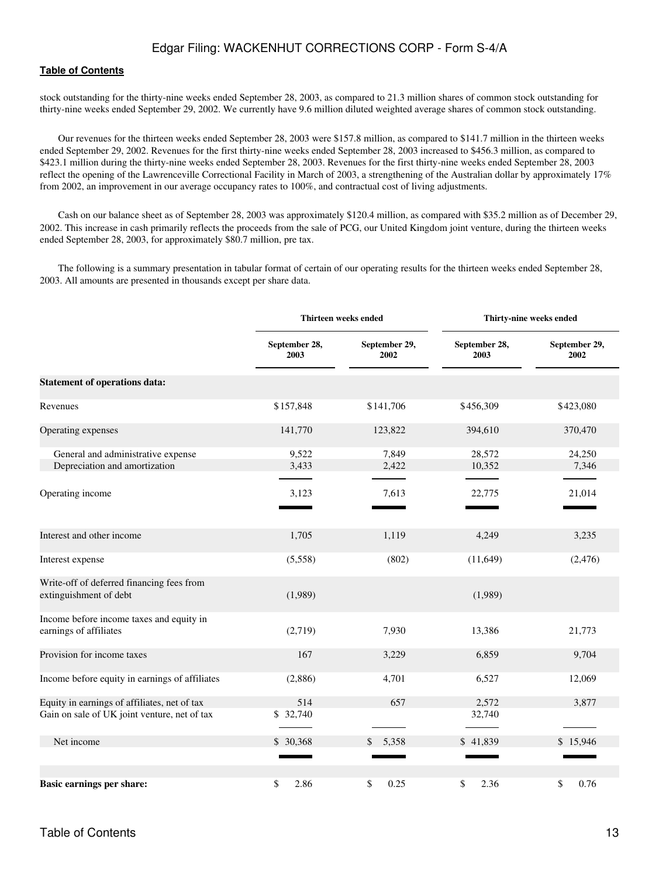### **[Table of Contents](#page-5-0)**

stock outstanding for the thirty-nine weeks ended September 28, 2003, as compared to 21.3 million shares of common stock outstanding for thirty-nine weeks ended September 29, 2002. We currently have 9.6 million diluted weighted average shares of common stock outstanding.

Our revenues for the thirteen weeks ended September 28, 2003 were \$157.8 million, as compared to \$141.7 million in the thirteen weeks ended September 29, 2002. Revenues for the first thirty-nine weeks ended September 28, 2003 increased to \$456.3 million, as compared to \$423.1 million during the thirty-nine weeks ended September 28, 2003. Revenues for the first thirty-nine weeks ended September 28, 2003 reflect the opening of the Lawrenceville Correctional Facility in March of 2003, a strengthening of the Australian dollar by approximately 17% from 2002, an improvement in our average occupancy rates to 100%, and contractual cost of living adjustments.

Cash on our balance sheet as of September 28, 2003 was approximately \$120.4 million, as compared with \$35.2 million as of December 29, 2002. This increase in cash primarily reflects the proceeds from the sale of PCG, our United Kingdom joint venture, during the thirteen weeks ended September 28, 2003, for approximately \$80.7 million, pre tax.

The following is a summary presentation in tabular format of certain of our operating results for the thirteen weeks ended September 28, 2003. All amounts are presented in thousands except per share data.

|                                                                                              | <b>Thirteen weeks ended</b> |                       | Thirty-nine weeks ended |                       |
|----------------------------------------------------------------------------------------------|-----------------------------|-----------------------|-------------------------|-----------------------|
|                                                                                              | September 28,<br>2003       | September 29,<br>2002 | September 28,<br>2003   | September 29,<br>2002 |
| <b>Statement of operations data:</b>                                                         |                             |                       |                         |                       |
| Revenues                                                                                     | \$157,848                   | \$141,706             | \$456,309               | \$423,080             |
| Operating expenses                                                                           | 141,770                     | 123,822               | 394,610                 | 370,470               |
| General and administrative expense<br>Depreciation and amortization                          | 9.522<br>3,433              | 7,849<br>2,422        | 28,572<br>10,352        | 24,250<br>7,346       |
| Operating income                                                                             | 3,123                       | 7,613                 | 22,775                  | 21,014                |
| Interest and other income                                                                    | 1,705                       | 1,119                 | 4,249                   | 3,235                 |
| Interest expense                                                                             | (5,558)                     | (802)                 | (11, 649)               | (2, 476)              |
| Write-off of deferred financing fees from<br>extinguishment of debt                          | (1,989)                     |                       | (1,989)                 |                       |
| Income before income taxes and equity in<br>earnings of affiliates                           | (2,719)                     | 7,930                 | 13,386                  | 21,773                |
| Provision for income taxes                                                                   | 167                         | 3,229                 | 6,859                   | 9,704                 |
| Income before equity in earnings of affiliates                                               | (2,886)                     | 4,701                 | 6,527                   | 12,069                |
| Equity in earnings of affiliates, net of tax<br>Gain on sale of UK joint venture, net of tax | 514<br>\$32,740             | 657                   | 2,572<br>32,740         | 3,877                 |
| Net income                                                                                   | \$30,368                    | 5,358                 | \$41,839                | \$15,946              |
| Basic earnings per share:                                                                    | \$<br>2.86                  | \$<br>0.25            | \$<br>2.36              | \$<br>0.76            |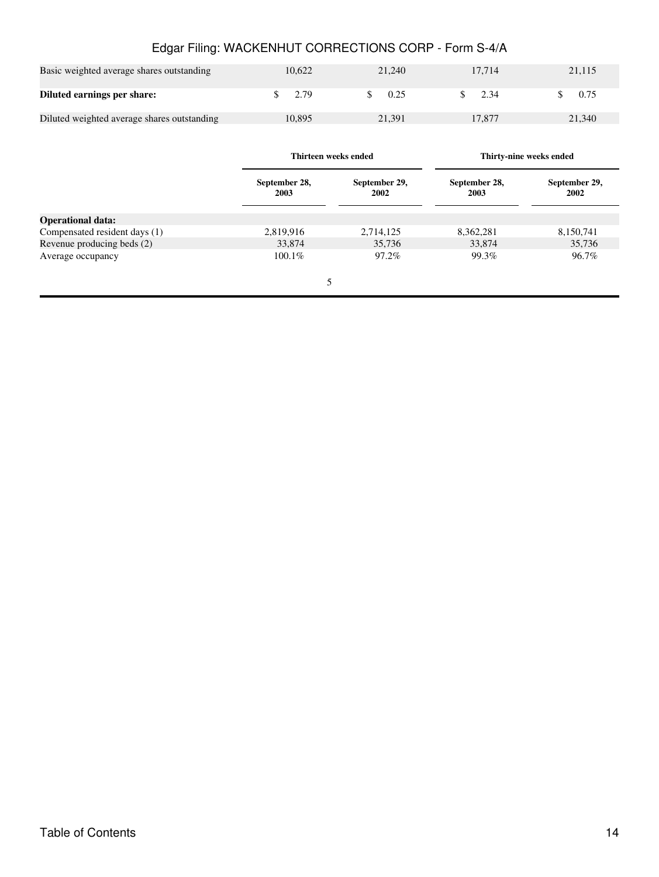| Basic weighted average shares outstanding   | 10.622 | 21,240 | 17.714 | 21.115 |
|---------------------------------------------|--------|--------|--------|--------|
| Diluted earnings per share:                 | 2.79   | 0.25   | 2.34   | 0.75   |
| Diluted weighted average shares outstanding | 10.895 | 21.391 | 17.877 | 21.340 |

|                               | Thirteen weeks ended  |                       | Thirty-nine weeks ended |                       |
|-------------------------------|-----------------------|-----------------------|-------------------------|-----------------------|
|                               | September 28,<br>2003 | September 29,<br>2002 | September 28,<br>2003   | September 29,<br>2002 |
| <b>Operational data:</b>      |                       |                       |                         |                       |
| Compensated resident days (1) | 2,819,916             | 2,714,125             | 8,362,281               | 8,150,741             |
| Revenue producing beds (2)    | 33,874                | 35,736                | 33,874                  | 35,736                |
| Average occupancy             | $100.1\%$             | 97.2%                 | 99.3%                   | 96.7%                 |
|                               |                       |                       |                         |                       |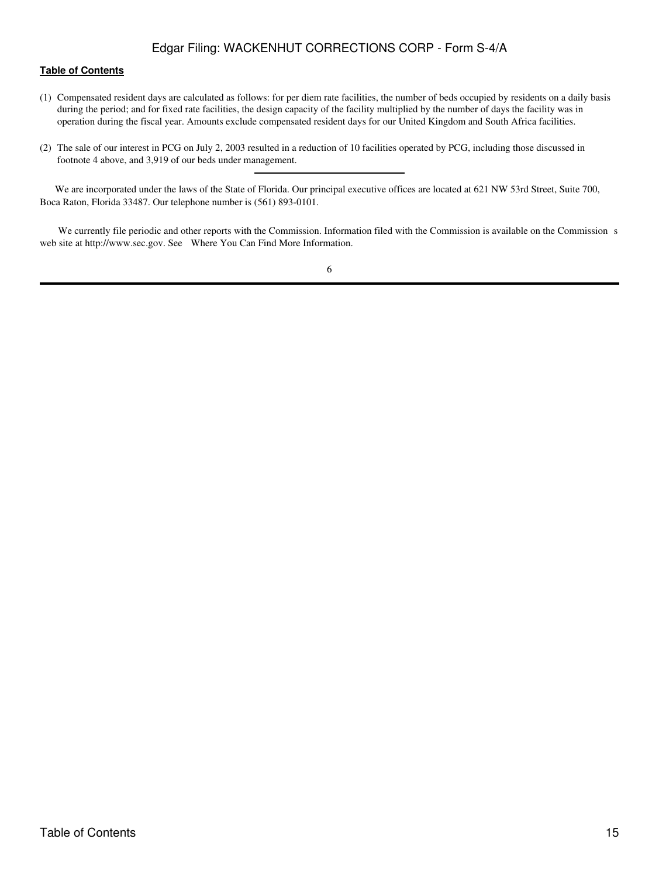### **[Table of Contents](#page-5-0)**

- (1) Compensated resident days are calculated as follows: for per diem rate facilities, the number of beds occupied by residents on a daily basis during the period; and for fixed rate facilities, the design capacity of the facility multiplied by the number of days the facility was in operation during the fiscal year. Amounts exclude compensated resident days for our United Kingdom and South Africa facilities.
- (2) The sale of our interest in PCG on July 2, 2003 resulted in a reduction of 10 facilities operated by PCG, including those discussed in footnote 4 above, and 3,919 of our beds under management.

We are incorporated under the laws of the State of Florida. Our principal executive offices are located at 621 NW 53rd Street, Suite 700, Boca Raton, Florida 33487. Our telephone number is (561) 893-0101.

We currently file periodic and other reports with the Commission. Information filed with the Commission is available on the Commission s web site at http://www.sec.gov. See Where You Can Find More Information.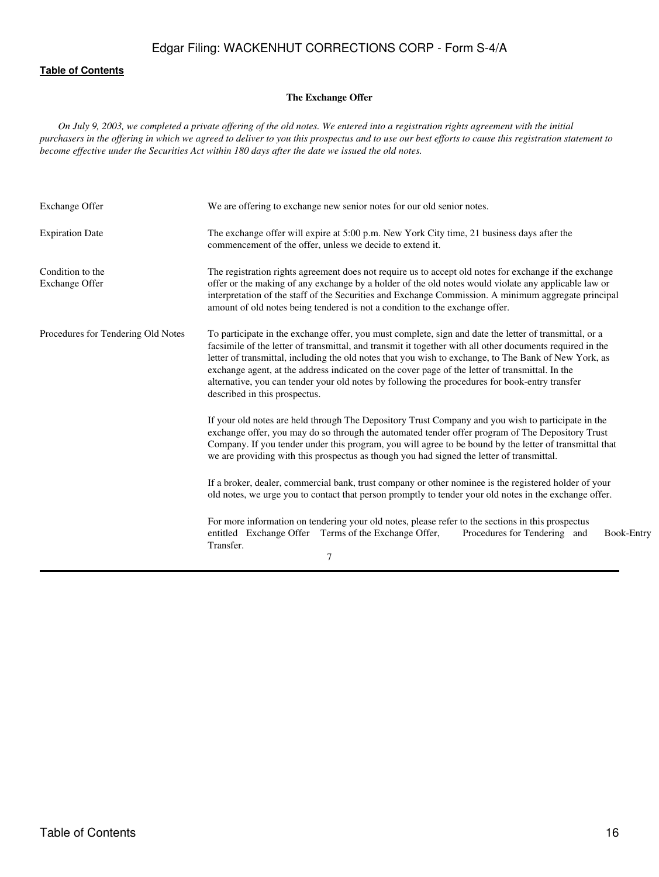### **[Table of Contents](#page-5-0)**

### **The Exchange Offer**

*On July 9, 2003, we completed a private offering of the old notes. We entered into a registration rights agreement with the initial purchasers in the offering in which we agreed to deliver to you this prospectus and to use our best efforts to cause this registration statement to become effective under the Securities Act within 180 days after the date we issued the old notes.*

| <b>Exchange Offer</b>              | We are offering to exchange new senior notes for our old senior notes.                                                                                                                                                                                                                                                                                                                                                                                                                                                                                             |  |  |  |  |
|------------------------------------|--------------------------------------------------------------------------------------------------------------------------------------------------------------------------------------------------------------------------------------------------------------------------------------------------------------------------------------------------------------------------------------------------------------------------------------------------------------------------------------------------------------------------------------------------------------------|--|--|--|--|
| <b>Expiration Date</b>             | The exchange offer will expire at 5:00 p.m. New York City time, 21 business days after the<br>commencement of the offer, unless we decide to extend it.                                                                                                                                                                                                                                                                                                                                                                                                            |  |  |  |  |
| Condition to the<br>Exchange Offer | The registration rights agreement does not require us to accept old notes for exchange if the exchange<br>offer or the making of any exchange by a holder of the old notes would violate any applicable law or<br>interpretation of the staff of the Securities and Exchange Commission. A minimum aggregate principal<br>amount of old notes being tendered is not a condition to the exchange offer.                                                                                                                                                             |  |  |  |  |
| Procedures for Tendering Old Notes | To participate in the exchange offer, you must complete, sign and date the letter of transmittal, or a<br>facsimile of the letter of transmittal, and transmit it together with all other documents required in the<br>letter of transmittal, including the old notes that you wish to exchange, to The Bank of New York, as<br>exchange agent, at the address indicated on the cover page of the letter of transmittal. In the<br>alternative, you can tender your old notes by following the procedures for book-entry transfer<br>described in this prospectus. |  |  |  |  |
|                                    | If your old notes are held through The Depository Trust Company and you wish to participate in the<br>exchange offer, you may do so through the automated tender offer program of The Depository Trust<br>Company. If you tender under this program, you will agree to be bound by the letter of transmittal that<br>we are providing with this prospectus as though you had signed the letter of transmittal.                                                                                                                                                     |  |  |  |  |
|                                    | If a broker, dealer, commercial bank, trust company or other nominee is the registered holder of your<br>old notes, we urge you to contact that person promptly to tender your old notes in the exchange offer.                                                                                                                                                                                                                                                                                                                                                    |  |  |  |  |
|                                    | For more information on tendering your old notes, please refer to the sections in this prospectus<br>entitled Exchange Offer Terms of the Exchange Offer,<br>Procedures for Tendering and<br><b>Book-Entry</b><br>Transfer.<br>7                                                                                                                                                                                                                                                                                                                                   |  |  |  |  |
|                                    |                                                                                                                                                                                                                                                                                                                                                                                                                                                                                                                                                                    |  |  |  |  |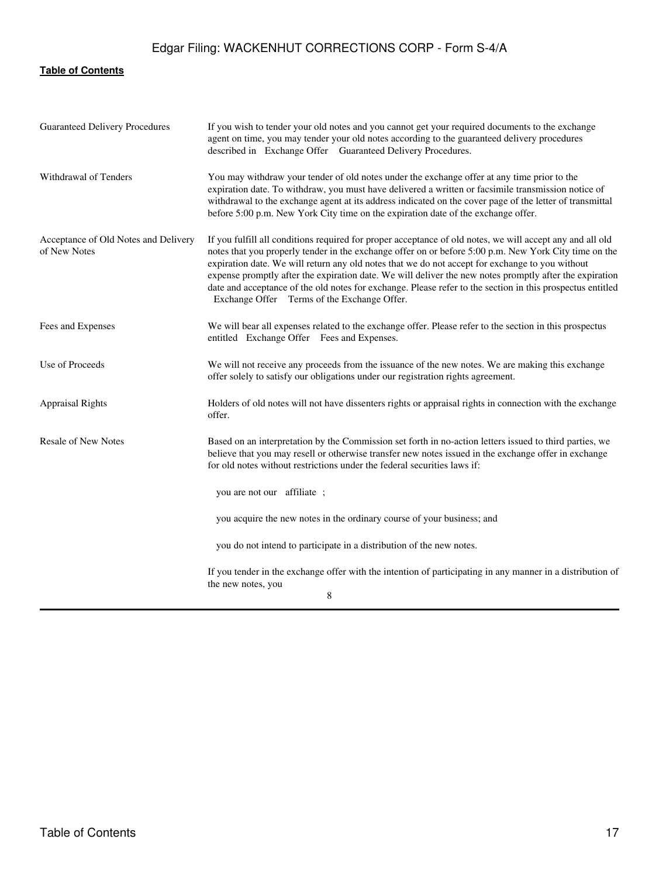# **[Table of Contents](#page-5-0)**

| <b>Guaranteed Delivery Procedures</b>                | If you wish to tender your old notes and you cannot get your required documents to the exchange<br>agent on time, you may tender your old notes according to the guaranteed delivery procedures<br>described in Exchange Offer Guaranteed Delivery Procedures.                                                                                                                                                                                                                                                                                                                                |
|------------------------------------------------------|-----------------------------------------------------------------------------------------------------------------------------------------------------------------------------------------------------------------------------------------------------------------------------------------------------------------------------------------------------------------------------------------------------------------------------------------------------------------------------------------------------------------------------------------------------------------------------------------------|
| Withdrawal of Tenders                                | You may withdraw your tender of old notes under the exchange offer at any time prior to the<br>expiration date. To withdraw, you must have delivered a written or facsimile transmission notice of<br>withdrawal to the exchange agent at its address indicated on the cover page of the letter of transmittal<br>before 5:00 p.m. New York City time on the expiration date of the exchange offer.                                                                                                                                                                                           |
| Acceptance of Old Notes and Delivery<br>of New Notes | If you fulfill all conditions required for proper acceptance of old notes, we will accept any and all old<br>notes that you properly tender in the exchange offer on or before 5:00 p.m. New York City time on the<br>expiration date. We will return any old notes that we do not accept for exchange to you without<br>expense promptly after the expiration date. We will deliver the new notes promptly after the expiration<br>date and acceptance of the old notes for exchange. Please refer to the section in this prospectus entitled<br>Exchange Offer Terms of the Exchange Offer. |
| Fees and Expenses                                    | We will bear all expenses related to the exchange offer. Please refer to the section in this prospectus<br>entitled Exchange Offer Fees and Expenses.                                                                                                                                                                                                                                                                                                                                                                                                                                         |
| Use of Proceeds                                      | We will not receive any proceeds from the issuance of the new notes. We are making this exchange<br>offer solely to satisfy our obligations under our registration rights agreement.                                                                                                                                                                                                                                                                                                                                                                                                          |
| <b>Appraisal Rights</b>                              | Holders of old notes will not have dissenters rights or appraisal rights in connection with the exchange<br>offer.                                                                                                                                                                                                                                                                                                                                                                                                                                                                            |
| Resale of New Notes                                  | Based on an interpretation by the Commission set forth in no-action letters issued to third parties, we<br>believe that you may resell or otherwise transfer new notes issued in the exchange offer in exchange<br>for old notes without restrictions under the federal securities laws if:                                                                                                                                                                                                                                                                                                   |
|                                                      | you are not our affiliate;                                                                                                                                                                                                                                                                                                                                                                                                                                                                                                                                                                    |
|                                                      | you acquire the new notes in the ordinary course of your business; and                                                                                                                                                                                                                                                                                                                                                                                                                                                                                                                        |
|                                                      | you do not intend to participate in a distribution of the new notes.                                                                                                                                                                                                                                                                                                                                                                                                                                                                                                                          |
|                                                      | If you tender in the exchange offer with the intention of participating in any manner in a distribution of<br>the new notes, you<br>8                                                                                                                                                                                                                                                                                                                                                                                                                                                         |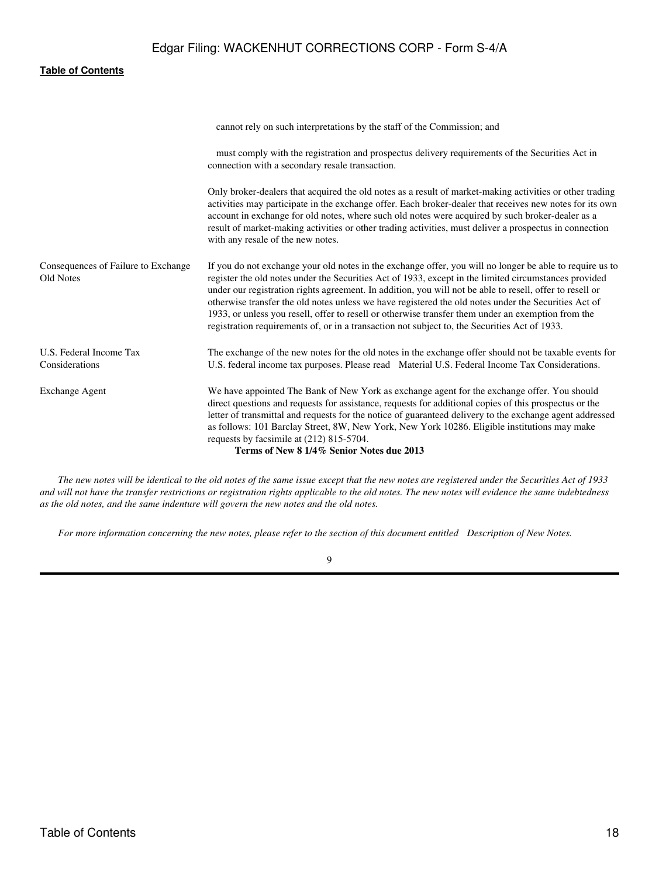### **[Table of Contents](#page-5-0)**

|                                                  | cannot rely on such interpretations by the staff of the Commission; and                                                                                                                                                                                                                                                                                                                                                                                                                                                                                                                                                                      |
|--------------------------------------------------|----------------------------------------------------------------------------------------------------------------------------------------------------------------------------------------------------------------------------------------------------------------------------------------------------------------------------------------------------------------------------------------------------------------------------------------------------------------------------------------------------------------------------------------------------------------------------------------------------------------------------------------------|
|                                                  | must comply with the registration and prospectus delivery requirements of the Securities Act in<br>connection with a secondary resale transaction.                                                                                                                                                                                                                                                                                                                                                                                                                                                                                           |
|                                                  | Only broker-dealers that acquired the old notes as a result of market-making activities or other trading<br>activities may participate in the exchange offer. Each broker-dealer that receives new notes for its own<br>account in exchange for old notes, where such old notes were acquired by such broker-dealer as a<br>result of market-making activities or other trading activities, must deliver a prospectus in connection<br>with any resale of the new notes.                                                                                                                                                                     |
| Consequences of Failure to Exchange<br>Old Notes | If you do not exchange your old notes in the exchange offer, you will no longer be able to require us to<br>register the old notes under the Securities Act of 1933, except in the limited circumstances provided<br>under our registration rights agreement. In addition, you will not be able to resell, offer to resell or<br>otherwise transfer the old notes unless we have registered the old notes under the Securities Act of<br>1933, or unless you resell, offer to resell or otherwise transfer them under an exemption from the<br>registration requirements of, or in a transaction not subject to, the Securities Act of 1933. |
| U.S. Federal Income Tax<br>Considerations        | The exchange of the new notes for the old notes in the exchange offer should not be taxable events for<br>U.S. federal income tax purposes. Please read Material U.S. Federal Income Tax Considerations.                                                                                                                                                                                                                                                                                                                                                                                                                                     |
| <b>Exchange Agent</b>                            | We have appointed The Bank of New York as exchange agent for the exchange offer. You should<br>direct questions and requests for assistance, requests for additional copies of this prospectus or the<br>letter of transmittal and requests for the notice of guaranteed delivery to the exchange agent addressed<br>as follows: 101 Barclay Street, 8W, New York, New York 10286. Eligible institutions may make<br>requests by facsimile at (212) 815-5704.<br>Terms of New 8 1/4% Senior Notes due 2013                                                                                                                                   |

*The new notes will be identical to the old notes of the same issue except that the new notes are registered under the Securities Act of 1933 and will not have the transfer restrictions or registration rights applicable to the old notes. The new notes will evidence the same indebtedness as the old notes, and the same indenture will govern the new notes and the old notes.*

*For more information concerning the new notes, please refer to the section of this document entitled Description of New Notes.*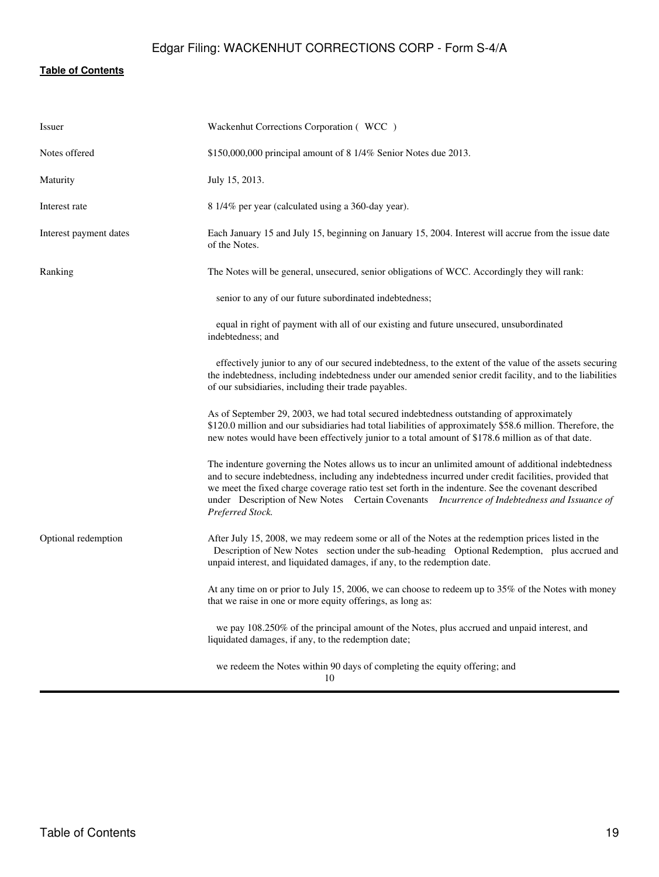| Issuer                 | Wackenhut Corrections Corporation (WCC)                                                                                                                                                                                                                                                                                                                                                                                                 |
|------------------------|-----------------------------------------------------------------------------------------------------------------------------------------------------------------------------------------------------------------------------------------------------------------------------------------------------------------------------------------------------------------------------------------------------------------------------------------|
| Notes offered          | \$150,000,000 principal amount of 8 1/4% Senior Notes due 2013.                                                                                                                                                                                                                                                                                                                                                                         |
| Maturity               | July 15, 2013.                                                                                                                                                                                                                                                                                                                                                                                                                          |
| Interest rate          | 8 1/4% per year (calculated using a 360-day year).                                                                                                                                                                                                                                                                                                                                                                                      |
| Interest payment dates | Each January 15 and July 15, beginning on January 15, 2004. Interest will accrue from the issue date<br>of the Notes.                                                                                                                                                                                                                                                                                                                   |
| Ranking                | The Notes will be general, unsecured, senior obligations of WCC. Accordingly they will rank:                                                                                                                                                                                                                                                                                                                                            |
|                        | senior to any of our future subordinated indebtedness;                                                                                                                                                                                                                                                                                                                                                                                  |
|                        | equal in right of payment with all of our existing and future unsecured, unsubordinated<br>indebtedness; and                                                                                                                                                                                                                                                                                                                            |
|                        | effectively junior to any of our secured indebtedness, to the extent of the value of the assets securing<br>the indebtedness, including indebtedness under our amended senior credit facility, and to the liabilities<br>of our subsidiaries, including their trade payables.                                                                                                                                                           |
|                        | As of September 29, 2003, we had total secured indebtedness outstanding of approximately<br>\$120.0 million and our subsidiaries had total liabilities of approximately \$58.6 million. Therefore, the<br>new notes would have been effectively junior to a total amount of \$178.6 million as of that date.                                                                                                                            |
|                        | The indenture governing the Notes allows us to incur an unlimited amount of additional indebtedness<br>and to secure indebtedness, including any indebtedness incurred under credit facilities, provided that<br>we meet the fixed charge coverage ratio test set forth in the indenture. See the covenant described<br>under Description of New Notes Certain Covenants Incurrence of Indebtedness and Issuance of<br>Preferred Stock. |
| Optional redemption    | After July 15, 2008, we may redeem some or all of the Notes at the redemption prices listed in the<br>Description of New Notes section under the sub-heading Optional Redemption, plus accrued and<br>unpaid interest, and liquidated damages, if any, to the redemption date.                                                                                                                                                          |
|                        | At any time on or prior to July 15, 2006, we can choose to redeem up to $35\%$ of the Notes with money<br>that we raise in one or more equity offerings, as long as:                                                                                                                                                                                                                                                                    |
|                        | we pay 108.250% of the principal amount of the Notes, plus accrued and unpaid interest, and<br>liquidated damages, if any, to the redemption date;                                                                                                                                                                                                                                                                                      |
|                        | we redeem the Notes within 90 days of completing the equity offering; and<br>10                                                                                                                                                                                                                                                                                                                                                         |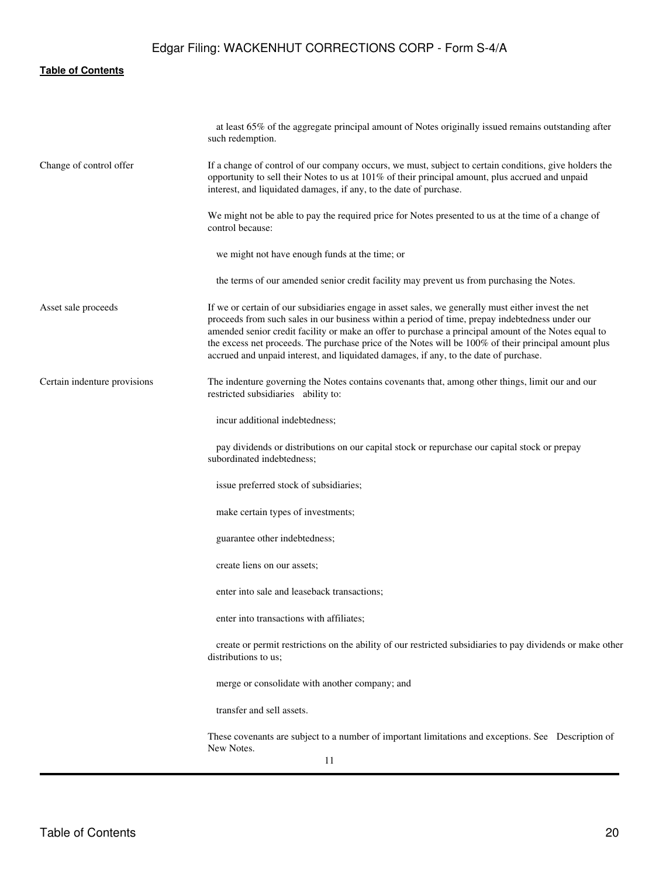|                              | at least 65% of the aggregate principal amount of Notes originally issued remains outstanding after<br>such redemption.                                                                                                                                                                                                                                                                                                                                                                                         |
|------------------------------|-----------------------------------------------------------------------------------------------------------------------------------------------------------------------------------------------------------------------------------------------------------------------------------------------------------------------------------------------------------------------------------------------------------------------------------------------------------------------------------------------------------------|
| Change of control offer      | If a change of control of our company occurs, we must, subject to certain conditions, give holders the<br>opportunity to sell their Notes to us at 101% of their principal amount, plus accrued and unpaid<br>interest, and liquidated damages, if any, to the date of purchase.                                                                                                                                                                                                                                |
|                              | We might not be able to pay the required price for Notes presented to us at the time of a change of<br>control because:                                                                                                                                                                                                                                                                                                                                                                                         |
|                              | we might not have enough funds at the time; or                                                                                                                                                                                                                                                                                                                                                                                                                                                                  |
|                              | the terms of our amended senior credit facility may prevent us from purchasing the Notes.                                                                                                                                                                                                                                                                                                                                                                                                                       |
| Asset sale proceeds          | If we or certain of our subsidiaries engage in asset sales, we generally must either invest the net<br>proceeds from such sales in our business within a period of time, prepay indebtedness under our<br>amended senior credit facility or make an offer to purchase a principal amount of the Notes equal to<br>the excess net proceeds. The purchase price of the Notes will be 100% of their principal amount plus<br>accrued and unpaid interest, and liquidated damages, if any, to the date of purchase. |
| Certain indenture provisions | The indenture governing the Notes contains covenants that, among other things, limit our and our<br>restricted subsidiaries ability to:                                                                                                                                                                                                                                                                                                                                                                         |
|                              | incur additional indebtedness;                                                                                                                                                                                                                                                                                                                                                                                                                                                                                  |
|                              | pay dividends or distributions on our capital stock or repurchase our capital stock or prepay<br>subordinated indebtedness;                                                                                                                                                                                                                                                                                                                                                                                     |
|                              | issue preferred stock of subsidiaries;                                                                                                                                                                                                                                                                                                                                                                                                                                                                          |
|                              | make certain types of investments;                                                                                                                                                                                                                                                                                                                                                                                                                                                                              |
|                              | guarantee other indebtedness;                                                                                                                                                                                                                                                                                                                                                                                                                                                                                   |
|                              | create liens on our assets;                                                                                                                                                                                                                                                                                                                                                                                                                                                                                     |
|                              | enter into sale and leaseback transactions;                                                                                                                                                                                                                                                                                                                                                                                                                                                                     |
|                              | enter into transactions with affiliates;                                                                                                                                                                                                                                                                                                                                                                                                                                                                        |
|                              | create or permit restrictions on the ability of our restricted subsidiaries to pay dividends or make other<br>distributions to us;                                                                                                                                                                                                                                                                                                                                                                              |
|                              | merge or consolidate with another company; and                                                                                                                                                                                                                                                                                                                                                                                                                                                                  |
|                              | transfer and sell assets.                                                                                                                                                                                                                                                                                                                                                                                                                                                                                       |
|                              | These covenants are subject to a number of important limitations and exceptions. See Description of<br>New Notes.                                                                                                                                                                                                                                                                                                                                                                                               |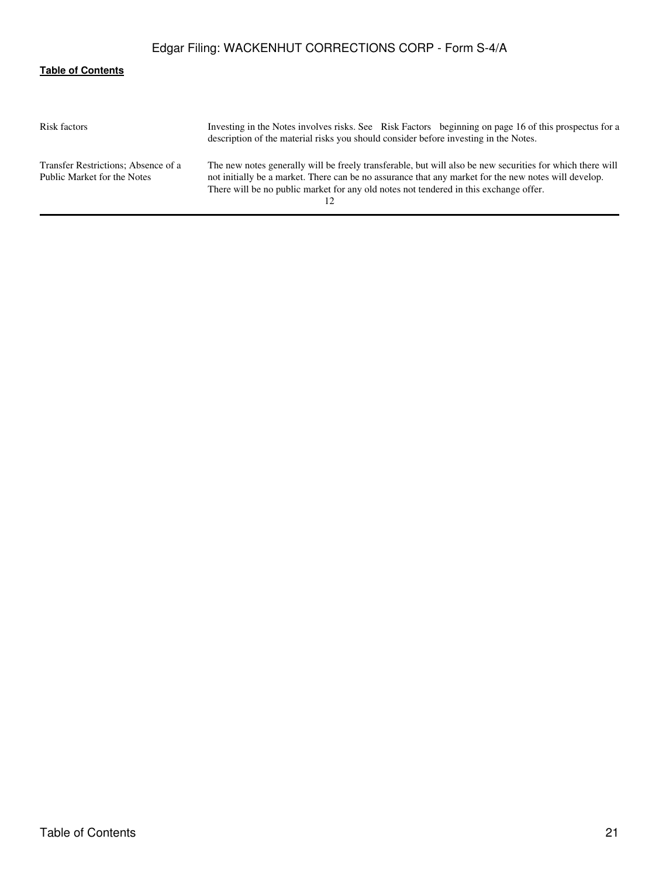| Risk factors                                                       | Investing in the Notes involves risks. See Risk Factors beginning on page 16 of this prospectus for a<br>description of the material risks you should consider before investing in the Notes.                                                                                                              |
|--------------------------------------------------------------------|------------------------------------------------------------------------------------------------------------------------------------------------------------------------------------------------------------------------------------------------------------------------------------------------------------|
| Transfer Restrictions; Absence of a<br>Public Market for the Notes | The new notes generally will be freely transferable, but will also be new securities for which there will<br>not initially be a market. There can be no assurance that any market for the new notes will develop.<br>There will be no public market for any old notes not tendered in this exchange offer. |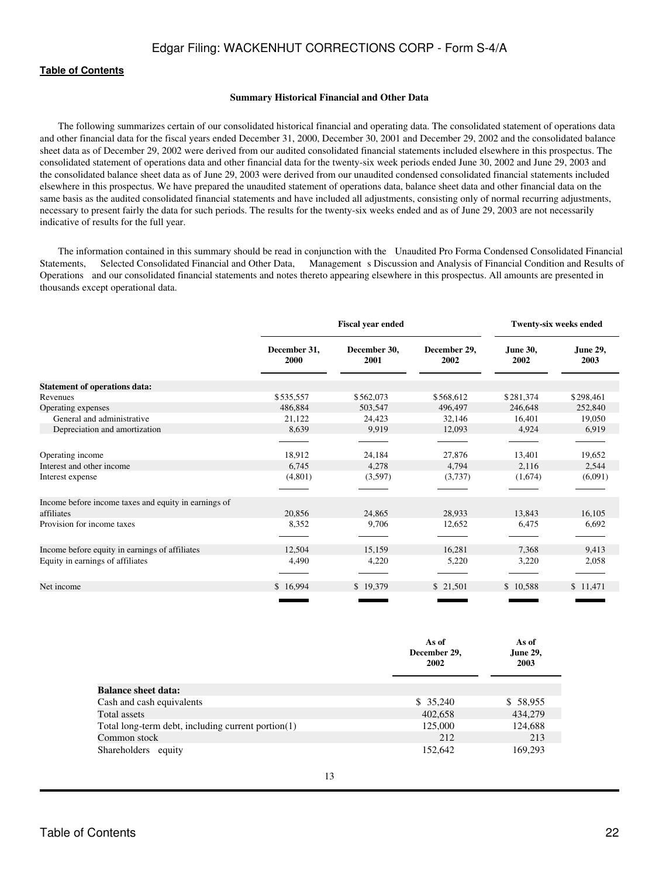#### **Summary Historical Financial and Other Data**

The following summarizes certain of our consolidated historical financial and operating data. The consolidated statement of operations data and other financial data for the fiscal years ended December 31, 2000, December 30, 2001 and December 29, 2002 and the consolidated balance sheet data as of December 29, 2002 were derived from our audited consolidated financial statements included elsewhere in this prospectus. The consolidated statement of operations data and other financial data for the twenty-six week periods ended June 30, 2002 and June 29, 2003 and the consolidated balance sheet data as of June 29, 2003 were derived from our unaudited condensed consolidated financial statements included elsewhere in this prospectus. We have prepared the unaudited statement of operations data, balance sheet data and other financial data on the same basis as the audited consolidated financial statements and have included all adjustments, consisting only of normal recurring adjustments, necessary to present fairly the data for such periods. The results for the twenty-six weeks ended and as of June 29, 2003 are not necessarily indicative of results for the full year.

The information contained in this summary should be read in conjunction with the Unaudited Pro Forma Condensed Consolidated Financial Statements, Selected Consolidated Financial and Other Data, Management s Discussion and Analysis of Financial Condition and Results of Operations and our consolidated financial statements and notes thereto appearing elsewhere in this prospectus. All amounts are presented in thousands except operational data.

|                                                      | <b>Fiscal year ended</b> |                      |                      | <b>Twenty-six weeks ended</b> |                         |
|------------------------------------------------------|--------------------------|----------------------|----------------------|-------------------------------|-------------------------|
|                                                      | December 31,<br>2000     | December 30,<br>2001 | December 29,<br>2002 | <b>June 30,</b><br>2002       | <b>June 29,</b><br>2003 |
| <b>Statement of operations data:</b>                 |                          |                      |                      |                               |                         |
| Revenues                                             | \$535,557                | \$562,073            | \$568,612            | \$281,374                     | \$298,461               |
| Operating expenses                                   | 486,884                  | 503,547              | 496,497              | 246,648                       | 252,840                 |
| General and administrative                           | 21,122                   | 24,423               | 32,146               | 16,401                        | 19,050                  |
| Depreciation and amortization                        | 8,639                    | 9,919                | 12,093               | 4,924                         | 6,919                   |
|                                                      |                          |                      |                      |                               |                         |
| Operating income                                     | 18,912                   | 24,184               | 27,876               | 13,401                        | 19,652                  |
| Interest and other income                            | 6,745                    | 4,278                | 4,794                | 2,116                         | 2,544                   |
| Interest expense                                     | (4,801)                  | (3,597)              | (3,737)              | (1,674)                       | (6,091)                 |
|                                                      |                          |                      |                      |                               |                         |
| Income before income taxes and equity in earnings of |                          |                      |                      |                               |                         |
| affiliates                                           | 20,856                   | 24,865               | 28,933               | 13.843                        | 16,105                  |
| Provision for income taxes                           | 8,352                    | 9,706                | 12.652               | 6,475                         | 6,692                   |
|                                                      |                          |                      |                      |                               |                         |
| Income before equity in earnings of affiliates       | 12,504                   | 15,159               | 16,281               | 7,368                         | 9,413                   |
| Equity in earnings of affiliates                     | 4,490                    | 4,220                | 5,220                | 3,220                         | 2,058                   |
|                                                      |                          |                      |                      |                               |                         |
| Net income                                           | \$16,994                 | \$19,379             | \$21,501             | \$10,588                      | \$11,471                |
|                                                      |                          |                      |                      |                               |                         |

|                                                    | As of<br>December 29,<br>2002 | As of<br>June 29,<br>2003 |
|----------------------------------------------------|-------------------------------|---------------------------|
| <b>Balance sheet data:</b>                         |                               |                           |
| Cash and cash equivalents                          | \$35,240                      | \$58,955                  |
| Total assets                                       | 402,658                       | 434,279                   |
| Total long-term debt, including current portion(1) | 125,000                       | 124,688                   |
| Common stock                                       | 212                           | 213                       |
| Shareholders equity                                | 152,642                       | 169,293                   |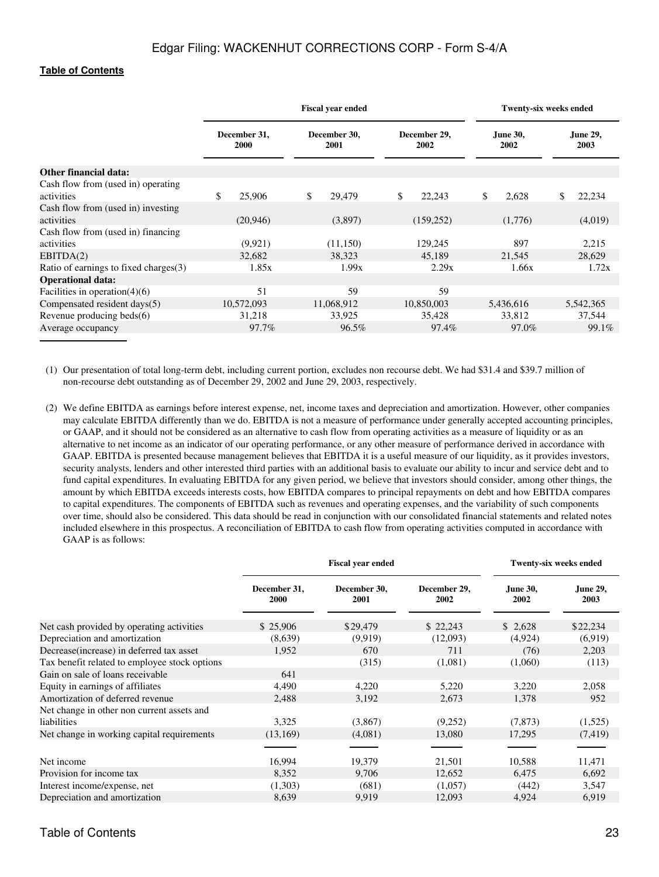|                                                  |                      | <b>Fiscal year ended</b> | <b>Twenty-six weeks ended</b> |                         |                  |  |
|--------------------------------------------------|----------------------|--------------------------|-------------------------------|-------------------------|------------------|--|
|                                                  | December 31,<br>2000 | December 30,<br>2001     | December 29.<br>2002          | <b>June 30,</b><br>2002 | June 29,<br>2003 |  |
| Other financial data:                            |                      |                          |                               |                         |                  |  |
| Cash flow from (used in) operating<br>activities | \$<br>25,906         | \$<br>29,479             | \$<br>22,243                  | \$<br>2,628             | \$<br>22,234     |  |
| Cash flow from (used in) investing<br>activities | (20, 946)            | (3,897)                  | (159, 252)                    | (1,776)                 | (4,019)          |  |
| Cash flow from (used in) financing<br>activities | (9,921)              | (11, 150)                | 129,245                       | 897                     | 2,215            |  |
| EBITDA(2)                                        | 32,682               | 38,323                   | 45,189                        | 21,545                  | 28,629           |  |
| Ratio of earnings to fixed charges(3)            | 1.85x                | 1.99x                    | 2.29x                         | 1.66x                   | 1.72x            |  |
| <b>Operational data:</b>                         |                      |                          |                               |                         |                  |  |
| Facilities in operation $(4)(6)$                 | 51                   | 59                       | 59                            |                         |                  |  |
| Compensated resident days(5)                     | 10,572,093           | 11,068,912               | 10,850,003                    | 5,436,616               | 5,542,365        |  |
| Revenue producing beds(6)                        | 31,218               | 33,925                   | 35,428                        | 33,812                  | 37,544           |  |
| Average occupancy                                | 97.7%                | 96.5%                    | 97.4%                         | 97.0%                   | 99.1%            |  |

(1) Our presentation of total long-term debt, including current portion, excludes non recourse debt. We had \$31.4 and \$39.7 million of non-recourse debt outstanding as of December 29, 2002 and June 29, 2003, respectively.

(2) We define EBITDA as earnings before interest expense, net, income taxes and depreciation and amortization. However, other companies may calculate EBITDA differently than we do. EBITDA is not a measure of performance under generally accepted accounting principles, or GAAP, and it should not be considered as an alternative to cash flow from operating activities as a measure of liquidity or as an alternative to net income as an indicator of our operating performance, or any other measure of performance derived in accordance with GAAP. EBITDA is presented because management believes that EBITDA it is a useful measure of our liquidity, as it provides investors, security analysts, lenders and other interested third parties with an additional basis to evaluate our ability to incur and service debt and to fund capital expenditures. In evaluating EBITDA for any given period, we believe that investors should consider, among other things, the amount by which EBITDA exceeds interests costs, how EBITDA compares to principal repayments on debt and how EBITDA compares to capital expenditures. The components of EBITDA such as revenues and operating expenses, and the variability of such components over time, should also be considered. This data should be read in conjunction with our consolidated financial statements and related notes included elsewhere in this prospectus. A reconciliation of EBITDA to cash flow from operating activities computed in accordance with GAAP is as follows:

|                                               | <b>Fiscal year ended</b>    |                      |                      | Twenty-six weeks ended |                         |
|-----------------------------------------------|-----------------------------|----------------------|----------------------|------------------------|-------------------------|
|                                               | December 31,<br><b>2000</b> | December 30,<br>2001 | December 29,<br>2002 | June 30,<br>2002       | <b>June 29,</b><br>2003 |
| Net cash provided by operating activities     | \$25,906                    | \$29,479             | \$22,243             | \$2,628                | \$22,234                |
| Depreciation and amortization                 | (8,639)                     | (9,919)              | (12,093)             | (4,924)                | (6,919)                 |
| Decrease (increase) in deferred tax asset     | 1,952                       | 670                  | 711                  | (76)                   | 2,203                   |
| Tax benefit related to employee stock options |                             | (315)                | (1,081)              | (1,060)                | (113)                   |
| Gain on sale of loans receivable              | 641                         |                      |                      |                        |                         |
| Equity in earnings of affiliates              | 4,490                       | 4,220                | 5,220                | 3,220                  | 2,058                   |
| Amortization of deferred revenue              | 2,488                       | 3,192                | 2,673                | 1,378                  | 952                     |
| Net change in other non current assets and    |                             |                      |                      |                        |                         |
| liabilities                                   | 3,325                       | (3,867)              | (9,252)              | (7, 873)               | (1,525)                 |
| Net change in working capital requirements    | (13,169)                    | (4,081)              | 13,080               | 17,295                 | (7, 419)                |
|                                               |                             |                      |                      |                        |                         |
| Net income                                    | 16,994                      | 19,379               | 21,501               | 10,588                 | 11,471                  |
| Provision for income tax                      | 8.352                       | 9.706                | 12,652               | 6.475                  | 6,692                   |
| Interest income/expense, net                  | (1,303)                     | (681)                | (1,057)              | (442)                  | 3,547                   |
| Depreciation and amortization                 | 8,639                       | 9,919                | 12,093               | 4,924                  | 6,919                   |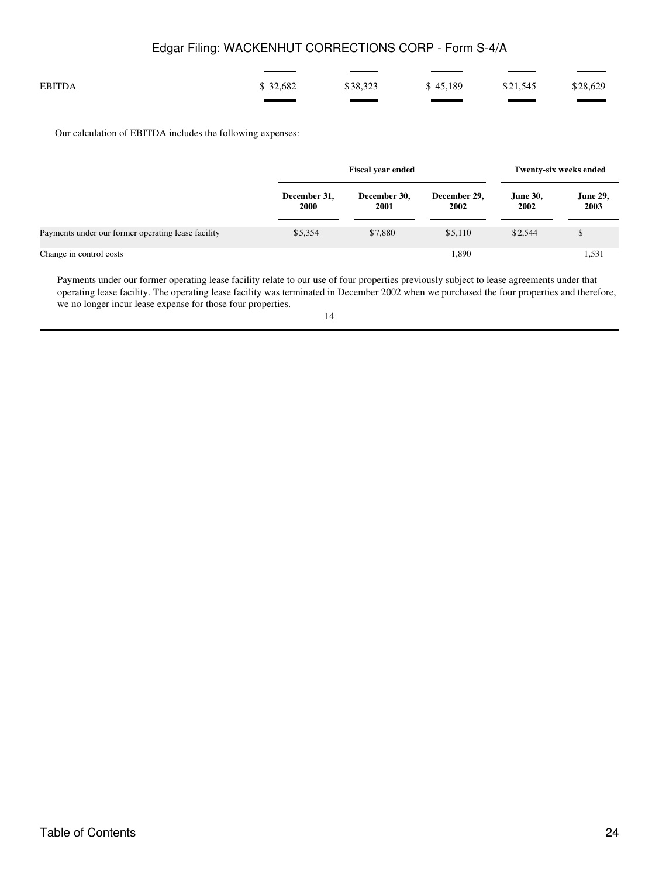| <b>EBITDA</b> | \$32.682 | \$38,323 | \$45,189 | \$21,545 | \$28,629 |
|---------------|----------|----------|----------|----------|----------|
|               |          |          |          |          |          |

Our calculation of EBITDA includes the following expenses:

|                                                    |                             | <b>Fiscal year ended</b> |                      |                         | Twenty-six weeks ended |  |
|----------------------------------------------------|-----------------------------|--------------------------|----------------------|-------------------------|------------------------|--|
|                                                    | December 31,<br><b>2000</b> | December 30,<br>2001     | December 29,<br>2002 | <b>June 30,</b><br>2002 | June 29,<br>2003       |  |
| Payments under our former operating lease facility | \$5,354                     | \$7,880                  | \$5,110              | \$2,544                 | \$                     |  |
| Change in control costs                            |                             |                          | 1,890                |                         | 1,531                  |  |

Payments under our former operating lease facility relate to our use of four properties previously subject to lease agreements under that operating lease facility. The operating lease facility was terminated in December 2002 when we purchased the four properties and therefore, we no longer incur lease expense for those four properties.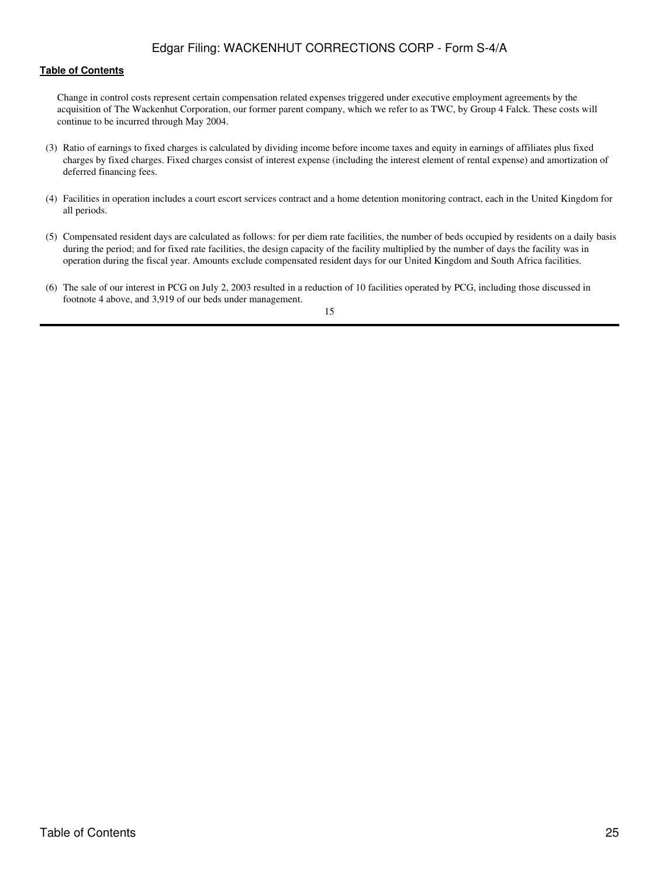### **[Table of Contents](#page-5-0)**

Change in control costs represent certain compensation related expenses triggered under executive employment agreements by the acquisition of The Wackenhut Corporation, our former parent company, which we refer to as TWC, by Group 4 Falck. These costs will continue to be incurred through May 2004.

- (3) Ratio of earnings to fixed charges is calculated by dividing income before income taxes and equity in earnings of affiliates plus fixed charges by fixed charges. Fixed charges consist of interest expense (including the interest element of rental expense) and amortization of deferred financing fees.
- (4) Facilities in operation includes a court escort services contract and a home detention monitoring contract, each in the United Kingdom for all periods.
- (5) Compensated resident days are calculated as follows: for per diem rate facilities, the number of beds occupied by residents on a daily basis during the period; and for fixed rate facilities, the design capacity of the facility multiplied by the number of days the facility was in operation during the fiscal year. Amounts exclude compensated resident days for our United Kingdom and South Africa facilities.
- (6) The sale of our interest in PCG on July 2, 2003 resulted in a reduction of 10 facilities operated by PCG, including those discussed in footnote 4 above, and 3,919 of our beds under management.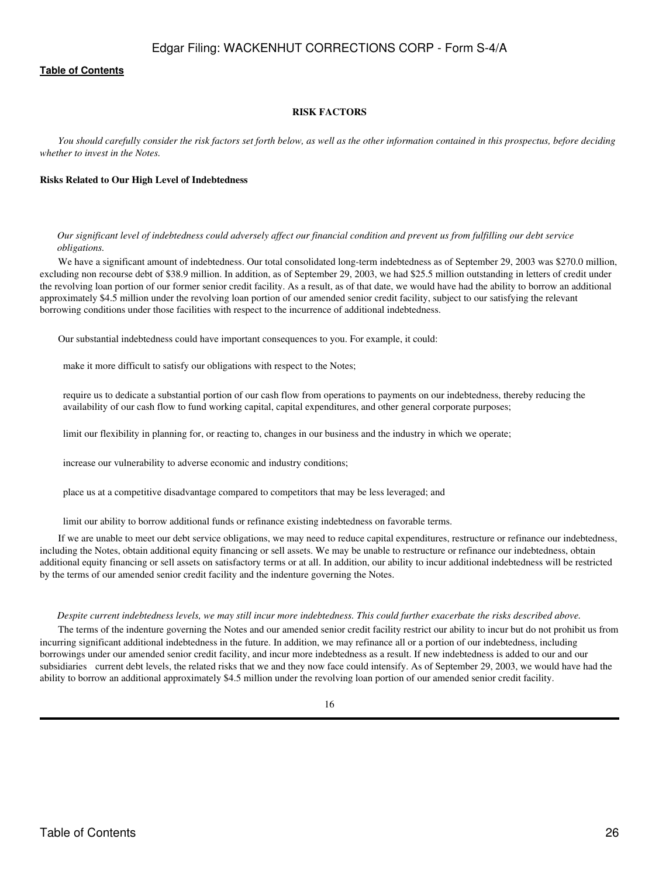### **RISK FACTORS**

<span id="page-25-0"></span>*You should carefully consider the risk factors set forth below, as well as the other information contained in this prospectus, before deciding whether to invest in the Notes.*

#### **Risks Related to Our High Level of Indebtedness**

*Our significant level of indebtedness could adversely affect our financial condition and prevent us from fulfilling our debt service obligations.*

We have a significant amount of indebtedness. Our total consolidated long-term indebtedness as of September 29, 2003 was \$270.0 million, excluding non recourse debt of \$38.9 million. In addition, as of September 29, 2003, we had \$25.5 million outstanding in letters of credit under the revolving loan portion of our former senior credit facility. As a result, as of that date, we would have had the ability to borrow an additional approximately \$4.5 million under the revolving loan portion of our amended senior credit facility, subject to our satisfying the relevant borrowing conditions under those facilities with respect to the incurrence of additional indebtedness.

Our substantial indebtedness could have important consequences to you. For example, it could:

make it more difficult to satisfy our obligations with respect to the Notes;

 require us to dedicate a substantial portion of our cash flow from operations to payments on our indebtedness, thereby reducing the availability of our cash flow to fund working capital, capital expenditures, and other general corporate purposes;

limit our flexibility in planning for, or reacting to, changes in our business and the industry in which we operate;

increase our vulnerability to adverse economic and industry conditions;

place us at a competitive disadvantage compared to competitors that may be less leveraged; and

limit our ability to borrow additional funds or refinance existing indebtedness on favorable terms.

If we are unable to meet our debt service obligations, we may need to reduce capital expenditures, restructure or refinance our indebtedness, including the Notes, obtain additional equity financing or sell assets. We may be unable to restructure or refinance our indebtedness, obtain additional equity financing or sell assets on satisfactory terms or at all. In addition, our ability to incur additional indebtedness will be restricted by the terms of our amended senior credit facility and the indenture governing the Notes.

#### *Despite current indebtedness levels, we may still incur more indebtedness. This could further exacerbate the risks described above.*

The terms of the indenture governing the Notes and our amended senior credit facility restrict our ability to incur but do not prohibit us from incurring significant additional indebtedness in the future. In addition, we may refinance all or a portion of our indebtedness, including borrowings under our amended senior credit facility, and incur more indebtedness as a result. If new indebtedness is added to our and our subsidiaries current debt levels, the related risks that we and they now face could intensify. As of September 29, 2003, we would have had the ability to borrow an additional approximately \$4.5 million under the revolving loan portion of our amended senior credit facility.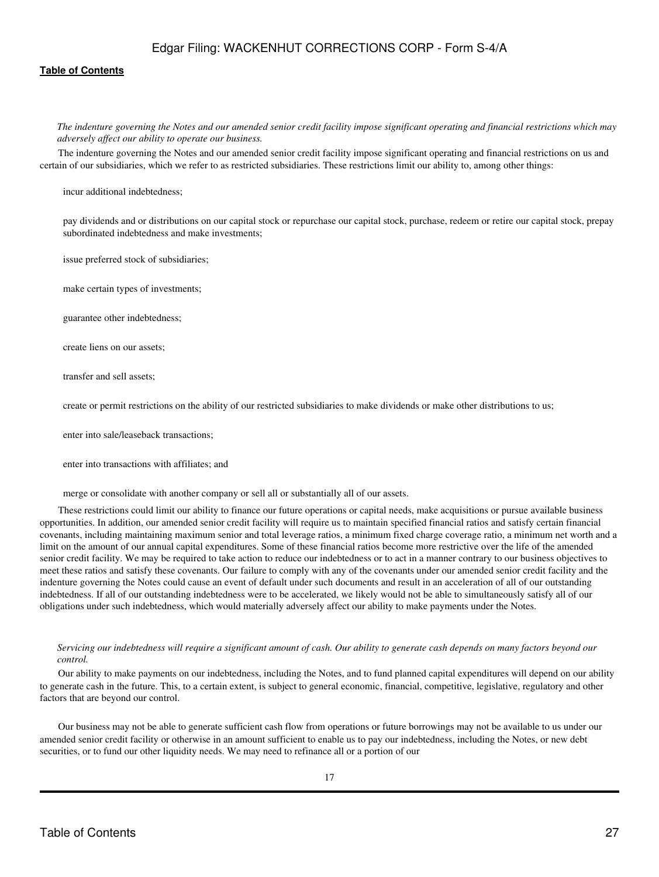#### **[Table of Contents](#page-5-0)**

*The indenture governing the Notes and our amended senior credit facility impose significant operating and financial restrictions which may adversely affect our ability to operate our business.*

The indenture governing the Notes and our amended senior credit facility impose significant operating and financial restrictions on us and certain of our subsidiaries, which we refer to as restricted subsidiaries. These restrictions limit our ability to, among other things:

incur additional indebtedness;

 pay dividends and or distributions on our capital stock or repurchase our capital stock, purchase, redeem or retire our capital stock, prepay subordinated indebtedness and make investments;

issue preferred stock of subsidiaries;

make certain types of investments;

guarantee other indebtedness;

create liens on our assets;

transfer and sell assets;

create or permit restrictions on the ability of our restricted subsidiaries to make dividends or make other distributions to us;

enter into sale/leaseback transactions;

enter into transactions with affiliates; and

merge or consolidate with another company or sell all or substantially all of our assets.

These restrictions could limit our ability to finance our future operations or capital needs, make acquisitions or pursue available business opportunities. In addition, our amended senior credit facility will require us to maintain specified financial ratios and satisfy certain financial covenants, including maintaining maximum senior and total leverage ratios, a minimum fixed charge coverage ratio, a minimum net worth and a limit on the amount of our annual capital expenditures. Some of these financial ratios become more restrictive over the life of the amended senior credit facility. We may be required to take action to reduce our indebtedness or to act in a manner contrary to our business objectives to meet these ratios and satisfy these covenants. Our failure to comply with any of the covenants under our amended senior credit facility and the indenture governing the Notes could cause an event of default under such documents and result in an acceleration of all of our outstanding indebtedness. If all of our outstanding indebtedness were to be accelerated, we likely would not be able to simultaneously satisfy all of our obligations under such indebtedness, which would materially adversely affect our ability to make payments under the Notes.

*Servicing our indebtedness will require a significant amount of cash. Our ability to generate cash depends on many factors beyond our control.*

Our ability to make payments on our indebtedness, including the Notes, and to fund planned capital expenditures will depend on our ability to generate cash in the future. This, to a certain extent, is subject to general economic, financial, competitive, legislative, regulatory and other factors that are beyond our control.

Our business may not be able to generate sufficient cash flow from operations or future borrowings may not be available to us under our amended senior credit facility or otherwise in an amount sufficient to enable us to pay our indebtedness, including the Notes, or new debt securities, or to fund our other liquidity needs. We may need to refinance all or a portion of our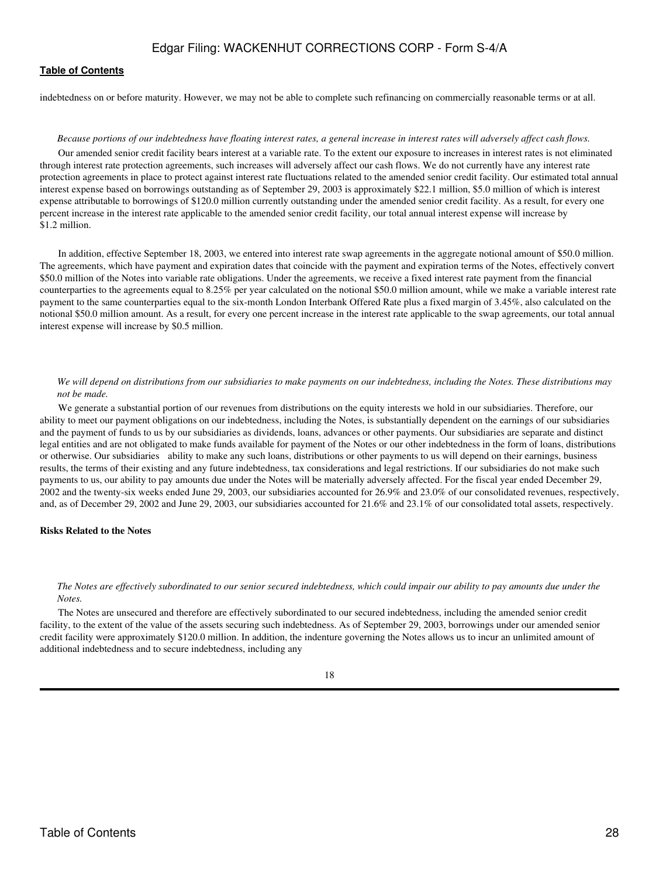### **[Table of Contents](#page-5-0)**

indebtedness on or before maturity. However, we may not be able to complete such refinancing on commercially reasonable terms or at all.

#### *Because portions of our indebtedness have floating interest rates, a general increase in interest rates will adversely affect cash flows.*

Our amended senior credit facility bears interest at a variable rate. To the extent our exposure to increases in interest rates is not eliminated through interest rate protection agreements, such increases will adversely affect our cash flows. We do not currently have any interest rate protection agreements in place to protect against interest rate fluctuations related to the amended senior credit facility. Our estimated total annual interest expense based on borrowings outstanding as of September 29, 2003 is approximately \$22.1 million, \$5.0 million of which is interest expense attributable to borrowings of \$120.0 million currently outstanding under the amended senior credit facility. As a result, for every one percent increase in the interest rate applicable to the amended senior credit facility, our total annual interest expense will increase by \$1.2 million.

In addition, effective September 18, 2003, we entered into interest rate swap agreements in the aggregate notional amount of \$50.0 million. The agreements, which have payment and expiration dates that coincide with the payment and expiration terms of the Notes, effectively convert \$50.0 million of the Notes into variable rate obligations. Under the agreements, we receive a fixed interest rate payment from the financial counterparties to the agreements equal to 8.25% per year calculated on the notional \$50.0 million amount, while we make a variable interest rate payment to the same counterparties equal to the six-month London Interbank Offered Rate plus a fixed margin of 3.45%, also calculated on the notional \$50.0 million amount. As a result, for every one percent increase in the interest rate applicable to the swap agreements, our total annual interest expense will increase by \$0.5 million.

#### *We will depend on distributions from our subsidiaries to make payments on our indebtedness, including the Notes. These distributions may not be made.*

We generate a substantial portion of our revenues from distributions on the equity interests we hold in our subsidiaries. Therefore, our ability to meet our payment obligations on our indebtedness, including the Notes, is substantially dependent on the earnings of our subsidiaries and the payment of funds to us by our subsidiaries as dividends, loans, advances or other payments. Our subsidiaries are separate and distinct legal entities and are not obligated to make funds available for payment of the Notes or our other indebtedness in the form of loans, distributions or otherwise. Our subsidiaries ability to make any such loans, distributions or other payments to us will depend on their earnings, business results, the terms of their existing and any future indebtedness, tax considerations and legal restrictions. If our subsidiaries do not make such payments to us, our ability to pay amounts due under the Notes will be materially adversely affected. For the fiscal year ended December 29, 2002 and the twenty-six weeks ended June 29, 2003, our subsidiaries accounted for 26.9% and 23.0% of our consolidated revenues, respectively, and, as of December 29, 2002 and June 29, 2003, our subsidiaries accounted for 21.6% and 23.1% of our consolidated total assets, respectively.

#### **Risks Related to the Notes**

*The Notes are effectively subordinated to our senior secured indebtedness, which could impair our ability to pay amounts due under the Notes.*

The Notes are unsecured and therefore are effectively subordinated to our secured indebtedness, including the amended senior credit facility, to the extent of the value of the assets securing such indebtedness. As of September 29, 2003, borrowings under our amended senior credit facility were approximately \$120.0 million. In addition, the indenture governing the Notes allows us to incur an unlimited amount of additional indebtedness and to secure indebtedness, including any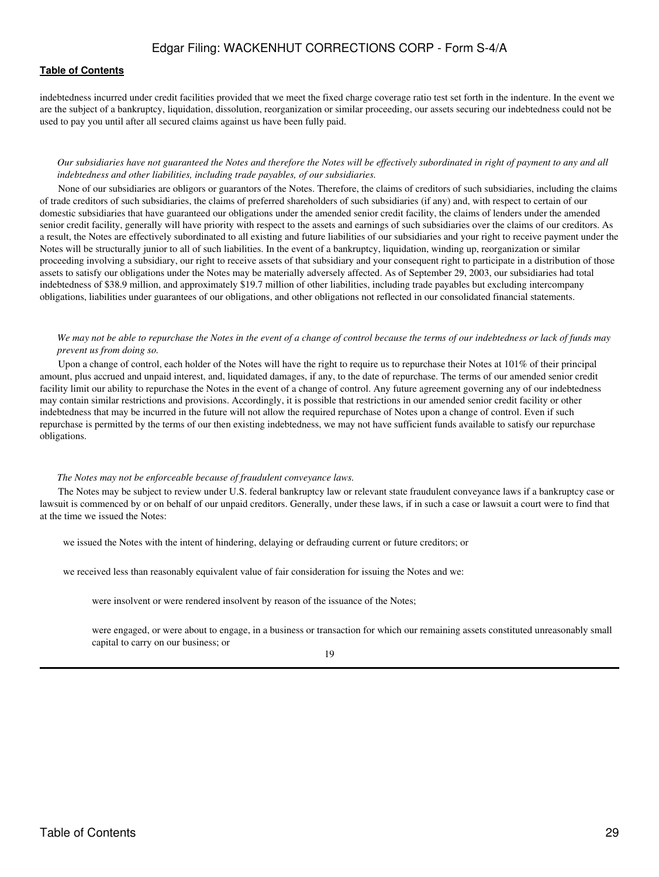### **[Table of Contents](#page-5-0)**

indebtedness incurred under credit facilities provided that we meet the fixed charge coverage ratio test set forth in the indenture. In the event we are the subject of a bankruptcy, liquidation, dissolution, reorganization or similar proceeding, our assets securing our indebtedness could not be used to pay you until after all secured claims against us have been fully paid.

#### *Our subsidiaries have not guaranteed the Notes and therefore the Notes will be effectively subordinated in right of payment to any and all indebtedness and other liabilities, including trade payables, of our subsidiaries.*

None of our subsidiaries are obligors or guarantors of the Notes. Therefore, the claims of creditors of such subsidiaries, including the claims of trade creditors of such subsidiaries, the claims of preferred shareholders of such subsidiaries (if any) and, with respect to certain of our domestic subsidiaries that have guaranteed our obligations under the amended senior credit facility, the claims of lenders under the amended senior credit facility, generally will have priority with respect to the assets and earnings of such subsidiaries over the claims of our creditors. As a result, the Notes are effectively subordinated to all existing and future liabilities of our subsidiaries and your right to receive payment under the Notes will be structurally junior to all of such liabilities. In the event of a bankruptcy, liquidation, winding up, reorganization or similar proceeding involving a subsidiary, our right to receive assets of that subsidiary and your consequent right to participate in a distribution of those assets to satisfy our obligations under the Notes may be materially adversely affected. As of September 29, 2003, our subsidiaries had total indebtedness of \$38.9 million, and approximately \$19.7 million of other liabilities, including trade payables but excluding intercompany obligations, liabilities under guarantees of our obligations, and other obligations not reflected in our consolidated financial statements.

#### *We may not be able to repurchase the Notes in the event of a change of control because the terms of our indebtedness or lack of funds may prevent us from doing so.*

Upon a change of control, each holder of the Notes will have the right to require us to repurchase their Notes at 101% of their principal amount, plus accrued and unpaid interest, and, liquidated damages, if any, to the date of repurchase. The terms of our amended senior credit facility limit our ability to repurchase the Notes in the event of a change of control. Any future agreement governing any of our indebtedness may contain similar restrictions and provisions. Accordingly, it is possible that restrictions in our amended senior credit facility or other indebtedness that may be incurred in the future will not allow the required repurchase of Notes upon a change of control. Even if such repurchase is permitted by the terms of our then existing indebtedness, we may not have sufficient funds available to satisfy our repurchase obligations.

#### *The Notes may not be enforceable because of fraudulent conveyance laws.*

The Notes may be subject to review under U.S. federal bankruptcy law or relevant state fraudulent conveyance laws if a bankruptcy case or lawsuit is commenced by or on behalf of our unpaid creditors. Generally, under these laws, if in such a case or lawsuit a court were to find that at the time we issued the Notes:

we issued the Notes with the intent of hindering, delaying or defrauding current or future creditors; or

we received less than reasonably equivalent value of fair consideration for issuing the Notes and we:

were insolvent or were rendered insolvent by reason of the issuance of the Notes;

 were engaged, or were about to engage, in a business or transaction for which our remaining assets constituted unreasonably small capital to carry on our business; or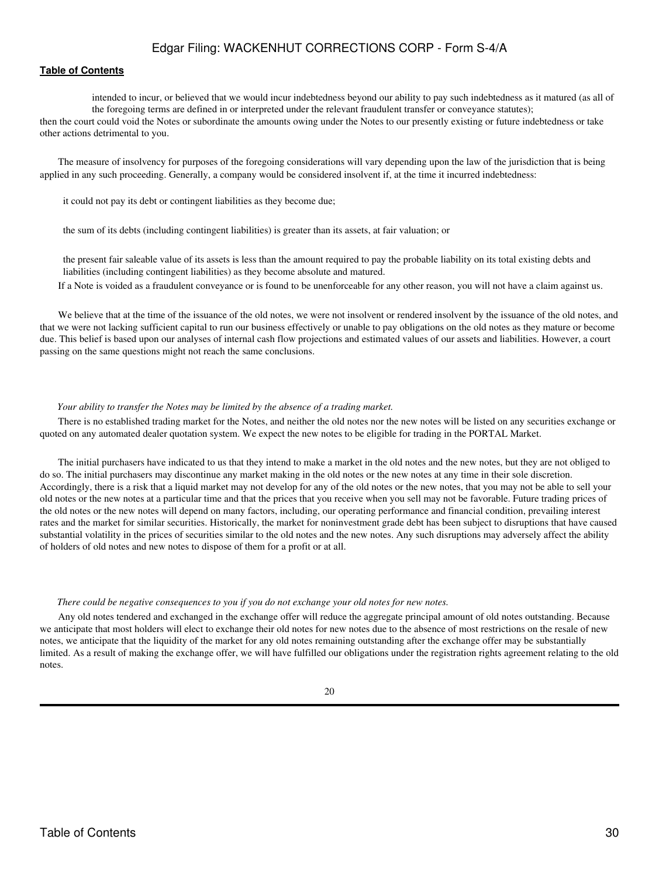#### **[Table of Contents](#page-5-0)**

other actions detrimental to you.

 intended to incur, or believed that we would incur indebtedness beyond our ability to pay such indebtedness as it matured (as all of the foregoing terms are defined in or interpreted under the relevant fraudulent transfer or conveyance statutes); then the court could void the Notes or subordinate the amounts owing under the Notes to our presently existing or future indebtedness or take

The measure of insolvency for purposes of the foregoing considerations will vary depending upon the law of the jurisdiction that is being applied in any such proceeding. Generally, a company would be considered insolvent if, at the time it incurred indebtedness:

it could not pay its debt or contingent liabilities as they become due;

the sum of its debts (including contingent liabilities) is greater than its assets, at fair valuation; or

 the present fair saleable value of its assets is less than the amount required to pay the probable liability on its total existing debts and liabilities (including contingent liabilities) as they become absolute and matured.

If a Note is voided as a fraudulent conveyance or is found to be unenforceable for any other reason, you will not have a claim against us.

We believe that at the time of the issuance of the old notes, we were not insolvent or rendered insolvent by the issuance of the old notes, and that we were not lacking sufficient capital to run our business effectively or unable to pay obligations on the old notes as they mature or become due. This belief is based upon our analyses of internal cash flow projections and estimated values of our assets and liabilities. However, a court passing on the same questions might not reach the same conclusions.

#### *Your ability to transfer the Notes may be limited by the absence of a trading market.*

There is no established trading market for the Notes, and neither the old notes nor the new notes will be listed on any securities exchange or quoted on any automated dealer quotation system. We expect the new notes to be eligible for trading in the PORTAL Market.

The initial purchasers have indicated to us that they intend to make a market in the old notes and the new notes, but they are not obliged to do so. The initial purchasers may discontinue any market making in the old notes or the new notes at any time in their sole discretion. Accordingly, there is a risk that a liquid market may not develop for any of the old notes or the new notes, that you may not be able to sell your old notes or the new notes at a particular time and that the prices that you receive when you sell may not be favorable. Future trading prices of the old notes or the new notes will depend on many factors, including, our operating performance and financial condition, prevailing interest rates and the market for similar securities. Historically, the market for noninvestment grade debt has been subject to disruptions that have caused substantial volatility in the prices of securities similar to the old notes and the new notes. Any such disruptions may adversely affect the ability of holders of old notes and new notes to dispose of them for a profit or at all.

#### *There could be negative consequences to you if you do not exchange your old notes for new notes.*

Any old notes tendered and exchanged in the exchange offer will reduce the aggregate principal amount of old notes outstanding. Because we anticipate that most holders will elect to exchange their old notes for new notes due to the absence of most restrictions on the resale of new notes, we anticipate that the liquidity of the market for any old notes remaining outstanding after the exchange offer may be substantially limited. As a result of making the exchange offer, we will have fulfilled our obligations under the registration rights agreement relating to the old notes.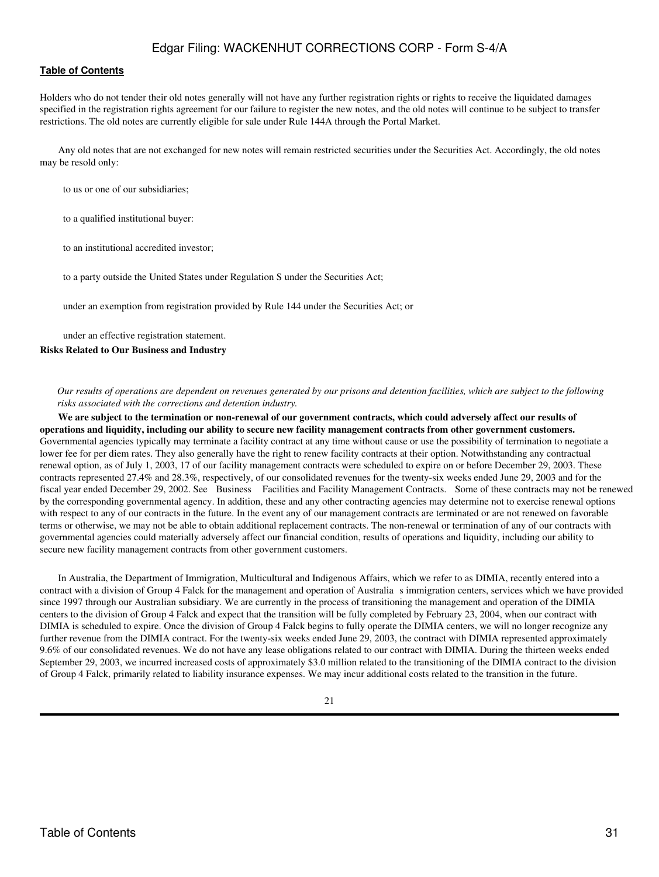#### **[Table of Contents](#page-5-0)**

Holders who do not tender their old notes generally will not have any further registration rights or rights to receive the liquidated damages specified in the registration rights agreement for our failure to register the new notes, and the old notes will continue to be subject to transfer restrictions. The old notes are currently eligible for sale under Rule 144A through the Portal Market.

Any old notes that are not exchanged for new notes will remain restricted securities under the Securities Act. Accordingly, the old notes may be resold only:

to us or one of our subsidiaries;

to a qualified institutional buyer:

to an institutional accredited investor;

to a party outside the United States under Regulation S under the Securities Act;

under an exemption from registration provided by Rule 144 under the Securities Act; or

 under an effective registration statement. **Risks Related to Our Business and Industry**

*Our results of operations are dependent on revenues generated by our prisons and detention facilities, which are subject to the following risks associated with the corrections and detention industry.*

**We are subject to the termination or non-renewal of our government contracts, which could adversely affect our results of operations and liquidity, including our ability to secure new facility management contracts from other government customers.** Governmental agencies typically may terminate a facility contract at any time without cause or use the possibility of termination to negotiate a lower fee for per diem rates. They also generally have the right to renew facility contracts at their option. Notwithstanding any contractual renewal option, as of July 1, 2003, 17 of our facility management contracts were scheduled to expire on or before December 29, 2003. These contracts represented 27.4% and 28.3%, respectively, of our consolidated revenues for the twenty-six weeks ended June 29, 2003 and for the fiscal year ended December 29, 2002. See Business Facilities and Facility Management Contracts. Some of these contracts may not be renewed by the corresponding governmental agency. In addition, these and any other contracting agencies may determine not to exercise renewal options with respect to any of our contracts in the future. In the event any of our management contracts are terminated or are not renewed on favorable terms or otherwise, we may not be able to obtain additional replacement contracts. The non-renewal or termination of any of our contracts with governmental agencies could materially adversely affect our financial condition, results of operations and liquidity, including our ability to secure new facility management contracts from other government customers.

In Australia, the Department of Immigration, Multicultural and Indigenous Affairs, which we refer to as DIMIA, recently entered into a contract with a division of Group 4 Falck for the management and operation of Australia s immigration centers, services which we have provided since 1997 through our Australian subsidiary. We are currently in the process of transitioning the management and operation of the DIMIA centers to the division of Group 4 Falck and expect that the transition will be fully completed by February 23, 2004, when our contract with DIMIA is scheduled to expire. Once the division of Group 4 Falck begins to fully operate the DIMIA centers, we will no longer recognize any further revenue from the DIMIA contract. For the twenty-six weeks ended June 29, 2003, the contract with DIMIA represented approximately 9.6% of our consolidated revenues. We do not have any lease obligations related to our contract with DIMIA. During the thirteen weeks ended September 29, 2003, we incurred increased costs of approximately \$3.0 million related to the transitioning of the DIMIA contract to the division of Group 4 Falck, primarily related to liability insurance expenses. We may incur additional costs related to the transition in the future.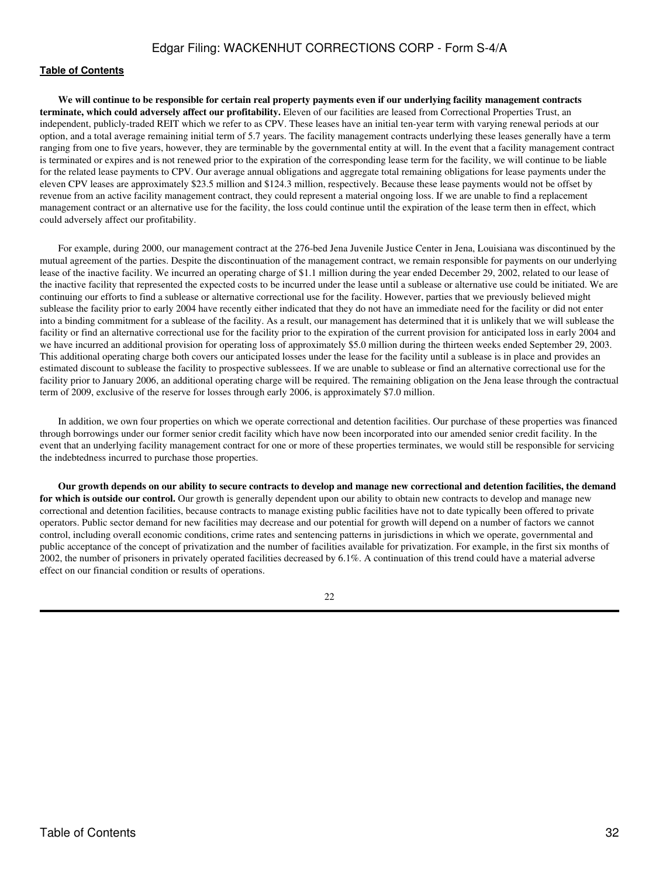### **[Table of Contents](#page-5-0)**

**We will continue to be responsible for certain real property payments even if our underlying facility management contracts terminate, which could adversely affect our profitability.** Eleven of our facilities are leased from Correctional Properties Trust, an independent, publicly-traded REIT which we refer to as CPV. These leases have an initial ten-year term with varying renewal periods at our option, and a total average remaining initial term of 5.7 years. The facility management contracts underlying these leases generally have a term ranging from one to five years, however, they are terminable by the governmental entity at will. In the event that a facility management contract is terminated or expires and is not renewed prior to the expiration of the corresponding lease term for the facility, we will continue to be liable for the related lease payments to CPV. Our average annual obligations and aggregate total remaining obligations for lease payments under the eleven CPV leases are approximately \$23.5 million and \$124.3 million, respectively. Because these lease payments would not be offset by revenue from an active facility management contract, they could represent a material ongoing loss. If we are unable to find a replacement management contract or an alternative use for the facility, the loss could continue until the expiration of the lease term then in effect, which could adversely affect our profitability.

For example, during 2000, our management contract at the 276-bed Jena Juvenile Justice Center in Jena, Louisiana was discontinued by the mutual agreement of the parties. Despite the discontinuation of the management contract, we remain responsible for payments on our underlying lease of the inactive facility. We incurred an operating charge of \$1.1 million during the year ended December 29, 2002, related to our lease of the inactive facility that represented the expected costs to be incurred under the lease until a sublease or alternative use could be initiated. We are continuing our efforts to find a sublease or alternative correctional use for the facility. However, parties that we previously believed might sublease the facility prior to early 2004 have recently either indicated that they do not have an immediate need for the facility or did not enter into a binding commitment for a sublease of the facility. As a result, our management has determined that it is unlikely that we will sublease the facility or find an alternative correctional use for the facility prior to the expiration of the current provision for anticipated loss in early 2004 and we have incurred an additional provision for operating loss of approximately \$5.0 million during the thirteen weeks ended September 29, 2003. This additional operating charge both covers our anticipated losses under the lease for the facility until a sublease is in place and provides an estimated discount to sublease the facility to prospective sublessees. If we are unable to sublease or find an alternative correctional use for the facility prior to January 2006, an additional operating charge will be required. The remaining obligation on the Jena lease through the contractual term of 2009, exclusive of the reserve for losses through early 2006, is approximately \$7.0 million.

In addition, we own four properties on which we operate correctional and detention facilities. Our purchase of these properties was financed through borrowings under our former senior credit facility which have now been incorporated into our amended senior credit facility. In the event that an underlying facility management contract for one or more of these properties terminates, we would still be responsible for servicing the indebtedness incurred to purchase those properties.

**Our growth depends on our ability to secure contracts to develop and manage new correctional and detention facilities, the demand for which is outside our control.** Our growth is generally dependent upon our ability to obtain new contracts to develop and manage new correctional and detention facilities, because contracts to manage existing public facilities have not to date typically been offered to private operators. Public sector demand for new facilities may decrease and our potential for growth will depend on a number of factors we cannot control, including overall economic conditions, crime rates and sentencing patterns in jurisdictions in which we operate, governmental and public acceptance of the concept of privatization and the number of facilities available for privatization. For example, in the first six months of 2002, the number of prisoners in privately operated facilities decreased by 6.1%. A continuation of this trend could have a material adverse effect on our financial condition or results of operations.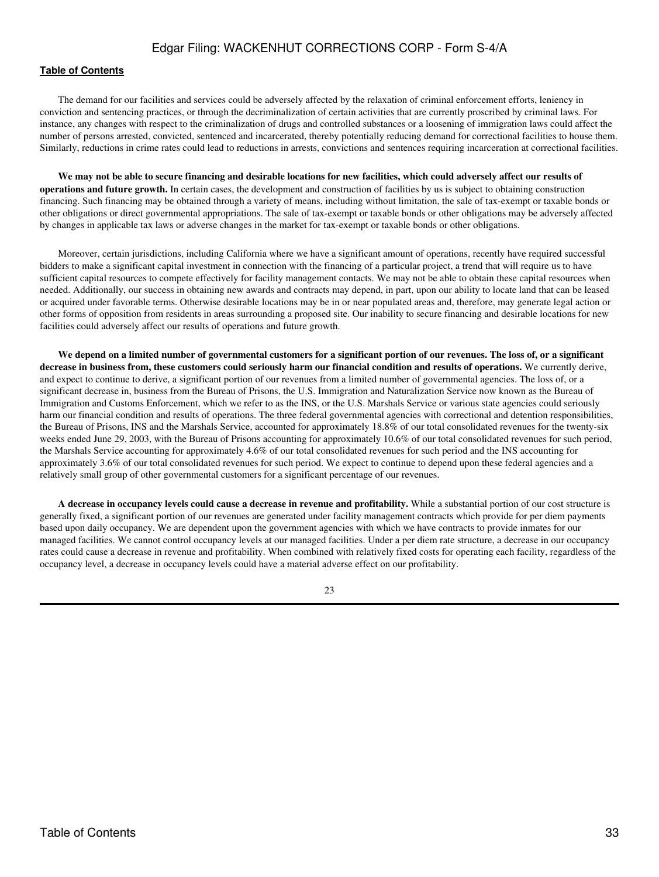### **[Table of Contents](#page-5-0)**

The demand for our facilities and services could be adversely affected by the relaxation of criminal enforcement efforts, leniency in conviction and sentencing practices, or through the decriminalization of certain activities that are currently proscribed by criminal laws. For instance, any changes with respect to the criminalization of drugs and controlled substances or a loosening of immigration laws could affect the number of persons arrested, convicted, sentenced and incarcerated, thereby potentially reducing demand for correctional facilities to house them. Similarly, reductions in crime rates could lead to reductions in arrests, convictions and sentences requiring incarceration at correctional facilities.

**We may not be able to secure financing and desirable locations for new facilities, which could adversely affect our results of operations and future growth.** In certain cases, the development and construction of facilities by us is subject to obtaining construction financing. Such financing may be obtained through a variety of means, including without limitation, the sale of tax-exempt or taxable bonds or other obligations or direct governmental appropriations. The sale of tax-exempt or taxable bonds or other obligations may be adversely affected by changes in applicable tax laws or adverse changes in the market for tax-exempt or taxable bonds or other obligations.

Moreover, certain jurisdictions, including California where we have a significant amount of operations, recently have required successful bidders to make a significant capital investment in connection with the financing of a particular project, a trend that will require us to have sufficient capital resources to compete effectively for facility management contacts. We may not be able to obtain these capital resources when needed. Additionally, our success in obtaining new awards and contracts may depend, in part, upon our ability to locate land that can be leased or acquired under favorable terms. Otherwise desirable locations may be in or near populated areas and, therefore, may generate legal action or other forms of opposition from residents in areas surrounding a proposed site. Our inability to secure financing and desirable locations for new facilities could adversely affect our results of operations and future growth.

**We depend on a limited number of governmental customers for a significant portion of our revenues. The loss of, or a significant decrease in business from, these customers could seriously harm our financial condition and results of operations.** We currently derive, and expect to continue to derive, a significant portion of our revenues from a limited number of governmental agencies. The loss of, or a significant decrease in, business from the Bureau of Prisons, the U.S. Immigration and Naturalization Service now known as the Bureau of Immigration and Customs Enforcement, which we refer to as the INS, or the U.S. Marshals Service or various state agencies could seriously harm our financial condition and results of operations. The three federal governmental agencies with correctional and detention responsibilities, the Bureau of Prisons, INS and the Marshals Service, accounted for approximately 18.8% of our total consolidated revenues for the twenty-six weeks ended June 29, 2003, with the Bureau of Prisons accounting for approximately 10.6% of our total consolidated revenues for such period, the Marshals Service accounting for approximately 4.6% of our total consolidated revenues for such period and the INS accounting for approximately 3.6% of our total consolidated revenues for such period. We expect to continue to depend upon these federal agencies and a relatively small group of other governmental customers for a significant percentage of our revenues.

**A decrease in occupancy levels could cause a decrease in revenue and profitability.** While a substantial portion of our cost structure is generally fixed, a significant portion of our revenues are generated under facility management contracts which provide for per diem payments based upon daily occupancy. We are dependent upon the government agencies with which we have contracts to provide inmates for our managed facilities. We cannot control occupancy levels at our managed facilities. Under a per diem rate structure, a decrease in our occupancy rates could cause a decrease in revenue and profitability. When combined with relatively fixed costs for operating each facility, regardless of the occupancy level, a decrease in occupancy levels could have a material adverse effect on our profitability.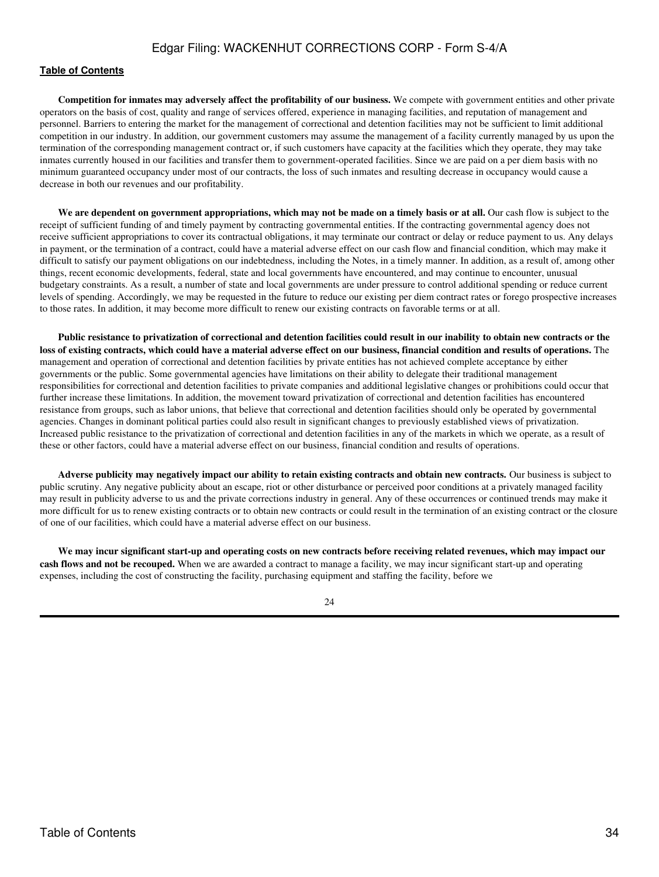### **[Table of Contents](#page-5-0)**

**Competition for inmates may adversely affect the profitability of our business.** We compete with government entities and other private operators on the basis of cost, quality and range of services offered, experience in managing facilities, and reputation of management and personnel. Barriers to entering the market for the management of correctional and detention facilities may not be sufficient to limit additional competition in our industry. In addition, our government customers may assume the management of a facility currently managed by us upon the termination of the corresponding management contract or, if such customers have capacity at the facilities which they operate, they may take inmates currently housed in our facilities and transfer them to government-operated facilities. Since we are paid on a per diem basis with no minimum guaranteed occupancy under most of our contracts, the loss of such inmates and resulting decrease in occupancy would cause a decrease in both our revenues and our profitability.

**We are dependent on government appropriations, which may not be made on a timely basis or at all.** Our cash flow is subject to the receipt of sufficient funding of and timely payment by contracting governmental entities. If the contracting governmental agency does not receive sufficient appropriations to cover its contractual obligations, it may terminate our contract or delay or reduce payment to us. Any delays in payment, or the termination of a contract, could have a material adverse effect on our cash flow and financial condition, which may make it difficult to satisfy our payment obligations on our indebtedness, including the Notes, in a timely manner. In addition, as a result of, among other things, recent economic developments, federal, state and local governments have encountered, and may continue to encounter, unusual budgetary constraints. As a result, a number of state and local governments are under pressure to control additional spending or reduce current levels of spending. Accordingly, we may be requested in the future to reduce our existing per diem contract rates or forego prospective increases to those rates. In addition, it may become more difficult to renew our existing contracts on favorable terms or at all.

**Public resistance to privatization of correctional and detention facilities could result in our inability to obtain new contracts or the loss of existing contracts, which could have a material adverse effect on our business, financial condition and results of operations.** The management and operation of correctional and detention facilities by private entities has not achieved complete acceptance by either governments or the public. Some governmental agencies have limitations on their ability to delegate their traditional management responsibilities for correctional and detention facilities to private companies and additional legislative changes or prohibitions could occur that further increase these limitations. In addition, the movement toward privatization of correctional and detention facilities has encountered resistance from groups, such as labor unions, that believe that correctional and detention facilities should only be operated by governmental agencies. Changes in dominant political parties could also result in significant changes to previously established views of privatization. Increased public resistance to the privatization of correctional and detention facilities in any of the markets in which we operate, as a result of these or other factors, could have a material adverse effect on our business, financial condition and results of operations.

**Adverse publicity may negatively impact our ability to retain existing contracts and obtain new contracts.** Our business is subject to public scrutiny. Any negative publicity about an escape, riot or other disturbance or perceived poor conditions at a privately managed facility may result in publicity adverse to us and the private corrections industry in general. Any of these occurrences or continued trends may make it more difficult for us to renew existing contracts or to obtain new contracts or could result in the termination of an existing contract or the closure of one of our facilities, which could have a material adverse effect on our business.

**We may incur significant start-up and operating costs on new contracts before receiving related revenues, which may impact our cash flows and not be recouped.** When we are awarded a contract to manage a facility, we may incur significant start-up and operating expenses, including the cost of constructing the facility, purchasing equipment and staffing the facility, before we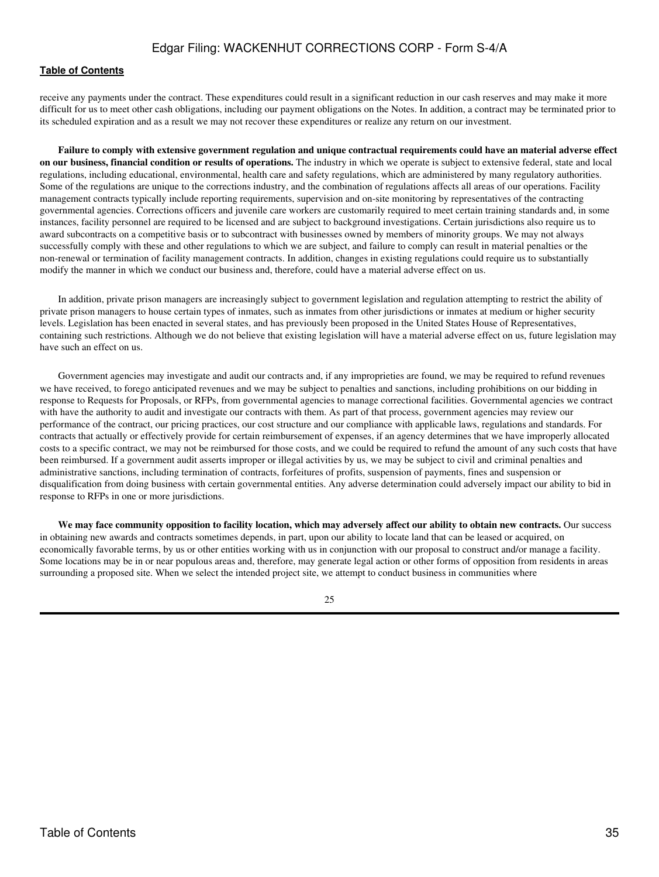### **[Table of Contents](#page-5-0)**

receive any payments under the contract. These expenditures could result in a significant reduction in our cash reserves and may make it more difficult for us to meet other cash obligations, including our payment obligations on the Notes. In addition, a contract may be terminated prior to its scheduled expiration and as a result we may not recover these expenditures or realize any return on our investment.

**Failure to comply with extensive government regulation and unique contractual requirements could have an material adverse effect on our business, financial condition or results of operations.** The industry in which we operate is subject to extensive federal, state and local regulations, including educational, environmental, health care and safety regulations, which are administered by many regulatory authorities. Some of the regulations are unique to the corrections industry, and the combination of regulations affects all areas of our operations. Facility management contracts typically include reporting requirements, supervision and on-site monitoring by representatives of the contracting governmental agencies. Corrections officers and juvenile care workers are customarily required to meet certain training standards and, in some instances, facility personnel are required to be licensed and are subject to background investigations. Certain jurisdictions also require us to award subcontracts on a competitive basis or to subcontract with businesses owned by members of minority groups. We may not always successfully comply with these and other regulations to which we are subject, and failure to comply can result in material penalties or the non-renewal or termination of facility management contracts. In addition, changes in existing regulations could require us to substantially modify the manner in which we conduct our business and, therefore, could have a material adverse effect on us.

In addition, private prison managers are increasingly subject to government legislation and regulation attempting to restrict the ability of private prison managers to house certain types of inmates, such as inmates from other jurisdictions or inmates at medium or higher security levels. Legislation has been enacted in several states, and has previously been proposed in the United States House of Representatives, containing such restrictions. Although we do not believe that existing legislation will have a material adverse effect on us, future legislation may have such an effect on us.

Government agencies may investigate and audit our contracts and, if any improprieties are found, we may be required to refund revenues we have received, to forego anticipated revenues and we may be subject to penalties and sanctions, including prohibitions on our bidding in response to Requests for Proposals, or RFPs, from governmental agencies to manage correctional facilities. Governmental agencies we contract with have the authority to audit and investigate our contracts with them. As part of that process, government agencies may review our performance of the contract, our pricing practices, our cost structure and our compliance with applicable laws, regulations and standards. For contracts that actually or effectively provide for certain reimbursement of expenses, if an agency determines that we have improperly allocated costs to a specific contract, we may not be reimbursed for those costs, and we could be required to refund the amount of any such costs that have been reimbursed. If a government audit asserts improper or illegal activities by us, we may be subject to civil and criminal penalties and administrative sanctions, including termination of contracts, forfeitures of profits, suspension of payments, fines and suspension or disqualification from doing business with certain governmental entities. Any adverse determination could adversely impact our ability to bid in response to RFPs in one or more jurisdictions.

**We may face community opposition to facility location, which may adversely affect our ability to obtain new contracts.** Our success in obtaining new awards and contracts sometimes depends, in part, upon our ability to locate land that can be leased or acquired, on economically favorable terms, by us or other entities working with us in conjunction with our proposal to construct and/or manage a facility. Some locations may be in or near populous areas and, therefore, may generate legal action or other forms of opposition from residents in areas surrounding a proposed site. When we select the intended project site, we attempt to conduct business in communities where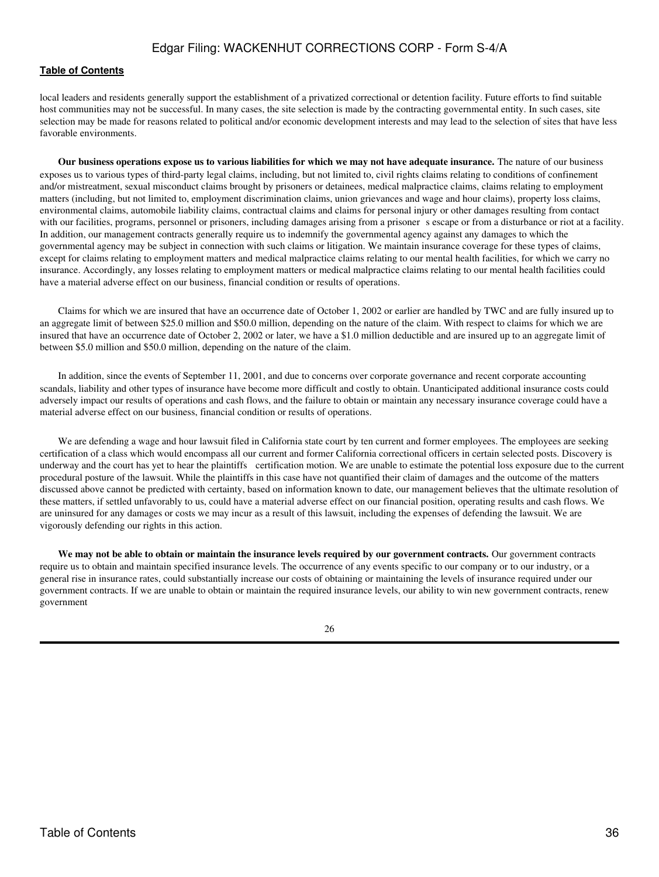#### **[Table of Contents](#page-5-0)**

local leaders and residents generally support the establishment of a privatized correctional or detention facility. Future efforts to find suitable host communities may not be successful. In many cases, the site selection is made by the contracting governmental entity. In such cases, site selection may be made for reasons related to political and/or economic development interests and may lead to the selection of sites that have less favorable environments.

**Our business operations expose us to various liabilities for which we may not have adequate insurance.** The nature of our business exposes us to various types of third-party legal claims, including, but not limited to, civil rights claims relating to conditions of confinement and/or mistreatment, sexual misconduct claims brought by prisoners or detainees, medical malpractice claims, claims relating to employment matters (including, but not limited to, employment discrimination claims, union grievances and wage and hour claims), property loss claims, environmental claims, automobile liability claims, contractual claims and claims for personal injury or other damages resulting from contact with our facilities, programs, personnel or prisoners, including damages arising from a prisoner sescape or from a disturbance or riot at a facility. In addition, our management contracts generally require us to indemnify the governmental agency against any damages to which the governmental agency may be subject in connection with such claims or litigation. We maintain insurance coverage for these types of claims, except for claims relating to employment matters and medical malpractice claims relating to our mental health facilities, for which we carry no insurance. Accordingly, any losses relating to employment matters or medical malpractice claims relating to our mental health facilities could have a material adverse effect on our business, financial condition or results of operations.

Claims for which we are insured that have an occurrence date of October 1, 2002 or earlier are handled by TWC and are fully insured up to an aggregate limit of between \$25.0 million and \$50.0 million, depending on the nature of the claim. With respect to claims for which we are insured that have an occurrence date of October 2, 2002 or later, we have a \$1.0 million deductible and are insured up to an aggregate limit of between \$5.0 million and \$50.0 million, depending on the nature of the claim.

In addition, since the events of September 11, 2001, and due to concerns over corporate governance and recent corporate accounting scandals, liability and other types of insurance have become more difficult and costly to obtain. Unanticipated additional insurance costs could adversely impact our results of operations and cash flows, and the failure to obtain or maintain any necessary insurance coverage could have a material adverse effect on our business, financial condition or results of operations.

We are defending a wage and hour lawsuit filed in California state court by ten current and former employees. The employees are seeking certification of a class which would encompass all our current and former California correctional officers in certain selected posts. Discovery is underway and the court has yet to hear the plaintiffs certification motion. We are unable to estimate the potential loss exposure due to the current procedural posture of the lawsuit. While the plaintiffs in this case have not quantified their claim of damages and the outcome of the matters discussed above cannot be predicted with certainty, based on information known to date, our management believes that the ultimate resolution of these matters, if settled unfavorably to us, could have a material adverse effect on our financial position, operating results and cash flows. We are uninsured for any damages or costs we may incur as a result of this lawsuit, including the expenses of defending the lawsuit. We are vigorously defending our rights in this action.

**We may not be able to obtain or maintain the insurance levels required by our government contracts.** Our government contracts require us to obtain and maintain specified insurance levels. The occurrence of any events specific to our company or to our industry, or a general rise in insurance rates, could substantially increase our costs of obtaining or maintaining the levels of insurance required under our government contracts. If we are unable to obtain or maintain the required insurance levels, our ability to win new government contracts, renew government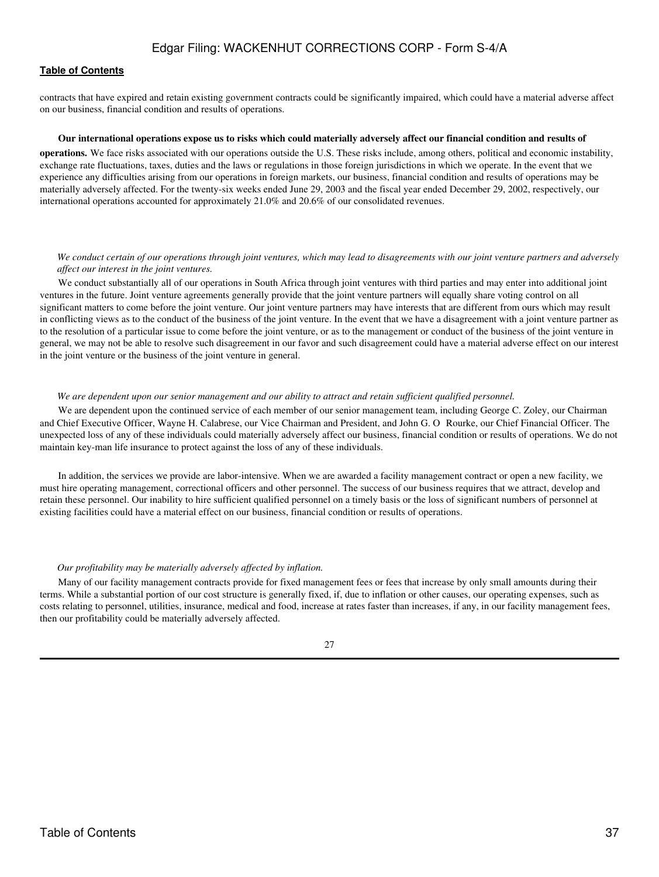## **[Table of Contents](#page-5-0)**

contracts that have expired and retain existing government contracts could be significantly impaired, which could have a material adverse affect on our business, financial condition and results of operations.

#### **Our international operations expose us to risks which could materially adversely affect our financial condition and results of**

**operations.** We face risks associated with our operations outside the U.S. These risks include, among others, political and economic instability, exchange rate fluctuations, taxes, duties and the laws or regulations in those foreign jurisdictions in which we operate. In the event that we experience any difficulties arising from our operations in foreign markets, our business, financial condition and results of operations may be materially adversely affected. For the twenty-six weeks ended June 29, 2003 and the fiscal year ended December 29, 2002, respectively, our international operations accounted for approximately 21.0% and 20.6% of our consolidated revenues.

### *We conduct certain of our operations through joint ventures, which may lead to disagreements with our joint venture partners and adversely affect our interest in the joint ventures.*

We conduct substantially all of our operations in South Africa through joint ventures with third parties and may enter into additional joint ventures in the future. Joint venture agreements generally provide that the joint venture partners will equally share voting control on all significant matters to come before the joint venture. Our joint venture partners may have interests that are different from ours which may result in conflicting views as to the conduct of the business of the joint venture. In the event that we have a disagreement with a joint venture partner as to the resolution of a particular issue to come before the joint venture, or as to the management or conduct of the business of the joint venture in general, we may not be able to resolve such disagreement in our favor and such disagreement could have a material adverse effect on our interest in the joint venture or the business of the joint venture in general.

#### *We are dependent upon our senior management and our ability to attract and retain sufficient qualified personnel.*

We are dependent upon the continued service of each member of our senior management team, including George C. Zoley, our Chairman and Chief Executive Officer, Wayne H. Calabrese, our Vice Chairman and President, and John G. O Rourke, our Chief Financial Officer. The unexpected loss of any of these individuals could materially adversely affect our business, financial condition or results of operations. We do not maintain key-man life insurance to protect against the loss of any of these individuals.

In addition, the services we provide are labor-intensive. When we are awarded a facility management contract or open a new facility, we must hire operating management, correctional officers and other personnel. The success of our business requires that we attract, develop and retain these personnel. Our inability to hire sufficient qualified personnel on a timely basis or the loss of significant numbers of personnel at existing facilities could have a material effect on our business, financial condition or results of operations.

### *Our profitability may be materially adversely affected by inflation.*

Many of our facility management contracts provide for fixed management fees or fees that increase by only small amounts during their terms. While a substantial portion of our cost structure is generally fixed, if, due to inflation or other causes, our operating expenses, such as costs relating to personnel, utilities, insurance, medical and food, increase at rates faster than increases, if any, in our facility management fees, then our profitability could be materially adversely affected.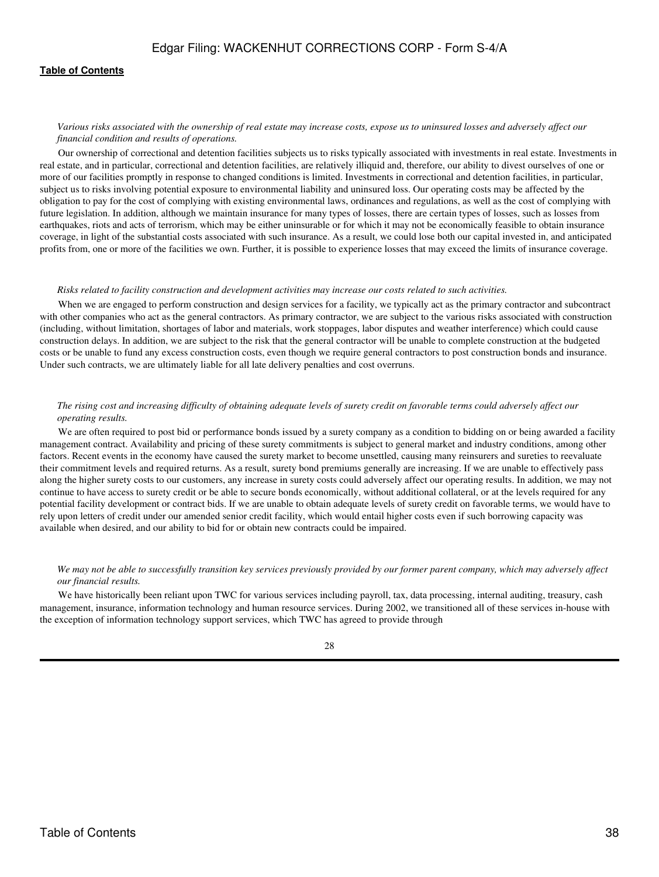### *Various risks associated with the ownership of real estate may increase costs, expose us to uninsured losses and adversely affect our financial condition and results of operations.*

Our ownership of correctional and detention facilities subjects us to risks typically associated with investments in real estate. Investments in real estate, and in particular, correctional and detention facilities, are relatively illiquid and, therefore, our ability to divest ourselves of one or more of our facilities promptly in response to changed conditions is limited. Investments in correctional and detention facilities, in particular, subject us to risks involving potential exposure to environmental liability and uninsured loss. Our operating costs may be affected by the obligation to pay for the cost of complying with existing environmental laws, ordinances and regulations, as well as the cost of complying with future legislation. In addition, although we maintain insurance for many types of losses, there are certain types of losses, such as losses from earthquakes, riots and acts of terrorism, which may be either uninsurable or for which it may not be economically feasible to obtain insurance coverage, in light of the substantial costs associated with such insurance. As a result, we could lose both our capital invested in, and anticipated profits from, one or more of the facilities we own. Further, it is possible to experience losses that may exceed the limits of insurance coverage.

#### *Risks related to facility construction and development activities may increase our costs related to such activities.*

When we are engaged to perform construction and design services for a facility, we typically act as the primary contractor and subcontract with other companies who act as the general contractors. As primary contractor, we are subject to the various risks associated with construction (including, without limitation, shortages of labor and materials, work stoppages, labor disputes and weather interference) which could cause construction delays. In addition, we are subject to the risk that the general contractor will be unable to complete construction at the budgeted costs or be unable to fund any excess construction costs, even though we require general contractors to post construction bonds and insurance. Under such contracts, we are ultimately liable for all late delivery penalties and cost overruns.

### *The rising cost and increasing difficulty of obtaining adequate levels of surety credit on favorable terms could adversely affect our operating results.*

We are often required to post bid or performance bonds issued by a surety company as a condition to bidding on or being awarded a facility management contract. Availability and pricing of these surety commitments is subject to general market and industry conditions, among other factors. Recent events in the economy have caused the surety market to become unsettled, causing many reinsurers and sureties to reevaluate their commitment levels and required returns. As a result, surety bond premiums generally are increasing. If we are unable to effectively pass along the higher surety costs to our customers, any increase in surety costs could adversely affect our operating results. In addition, we may not continue to have access to surety credit or be able to secure bonds economically, without additional collateral, or at the levels required for any potential facility development or contract bids. If we are unable to obtain adequate levels of surety credit on favorable terms, we would have to rely upon letters of credit under our amended senior credit facility, which would entail higher costs even if such borrowing capacity was available when desired, and our ability to bid for or obtain new contracts could be impaired.

### *We may not be able to successfully transition key services previously provided by our former parent company, which may adversely affect our financial results.*

We have historically been reliant upon TWC for various services including payroll, tax, data processing, internal auditing, treasury, cash management, insurance, information technology and human resource services. During 2002, we transitioned all of these services in-house with the exception of information technology support services, which TWC has agreed to provide through

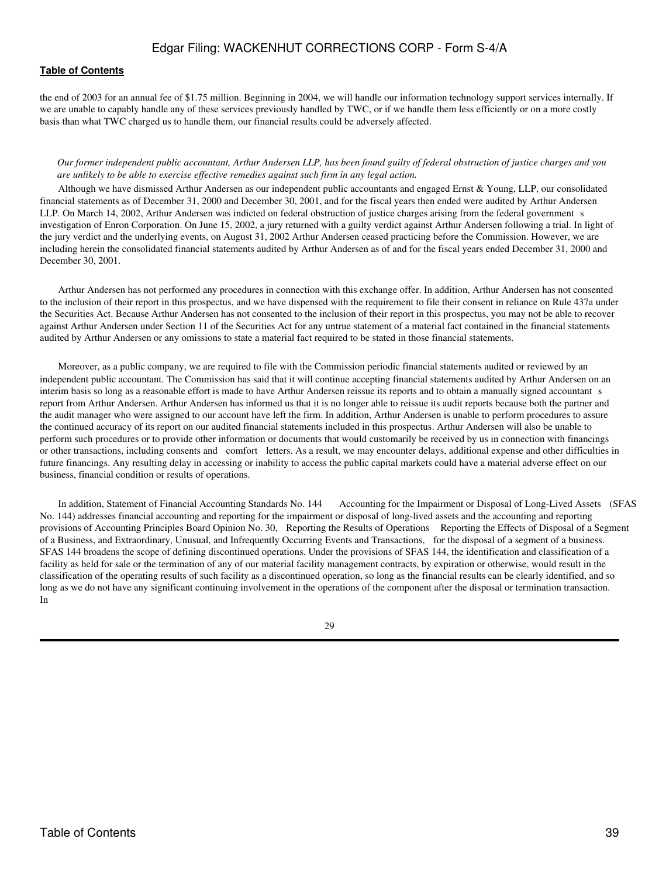### **[Table of Contents](#page-5-0)**

the end of 2003 for an annual fee of \$1.75 million. Beginning in 2004, we will handle our information technology support services internally. If we are unable to capably handle any of these services previously handled by TWC, or if we handle them less efficiently or on a more costly basis than what TWC charged us to handle them, our financial results could be adversely affected.

### *Our former independent public accountant, Arthur Andersen LLP, has been found guilty of federal obstruction of justice charges and you are unlikely to be able to exercise effective remedies against such firm in any legal action.*

Although we have dismissed Arthur Andersen as our independent public accountants and engaged Ernst & Young, LLP, our consolidated financial statements as of December 31, 2000 and December 30, 2001, and for the fiscal years then ended were audited by Arthur Andersen LLP. On March 14, 2002, Arthur Andersen was indicted on federal obstruction of justice charges arising from the federal government s investigation of Enron Corporation. On June 15, 2002, a jury returned with a guilty verdict against Arthur Andersen following a trial. In light of the jury verdict and the underlying events, on August 31, 2002 Arthur Andersen ceased practicing before the Commission. However, we are including herein the consolidated financial statements audited by Arthur Andersen as of and for the fiscal years ended December 31, 2000 and December 30, 2001.

Arthur Andersen has not performed any procedures in connection with this exchange offer. In addition, Arthur Andersen has not consented to the inclusion of their report in this prospectus, and we have dispensed with the requirement to file their consent in reliance on Rule 437a under the Securities Act. Because Arthur Andersen has not consented to the inclusion of their report in this prospectus, you may not be able to recover against Arthur Andersen under Section 11 of the Securities Act for any untrue statement of a material fact contained in the financial statements audited by Arthur Andersen or any omissions to state a material fact required to be stated in those financial statements.

Moreover, as a public company, we are required to file with the Commission periodic financial statements audited or reviewed by an independent public accountant. The Commission has said that it will continue accepting financial statements audited by Arthur Andersen on an interim basis so long as a reasonable effort is made to have Arthur Andersen reissue its reports and to obtain a manually signed accountant s report from Arthur Andersen. Arthur Andersen has informed us that it is no longer able to reissue its audit reports because both the partner and the audit manager who were assigned to our account have left the firm. In addition, Arthur Andersen is unable to perform procedures to assure the continued accuracy of its report on our audited financial statements included in this prospectus. Arthur Andersen will also be unable to perform such procedures or to provide other information or documents that would customarily be received by us in connection with financings or other transactions, including consents and comfort letters. As a result, we may encounter delays, additional expense and other difficulties in future financings. Any resulting delay in accessing or inability to access the public capital markets could have a material adverse effect on our business, financial condition or results of operations.

In addition, Statement of Financial Accounting Standards No. 144 Accounting for the Impairment or Disposal of Long-Lived Assets (SFAS No. 144) addresses financial accounting and reporting for the impairment or disposal of long-lived assets and the accounting and reporting provisions of Accounting Principles Board Opinion No. 30, Reporting the Results of Operations Reporting the Effects of Disposal of a Segment of a Business, and Extraordinary, Unusual, and Infrequently Occurring Events and Transactions, for the disposal of a segment of a business. SFAS 144 broadens the scope of defining discontinued operations. Under the provisions of SFAS 144, the identification and classification of a facility as held for sale or the termination of any of our material facility management contracts, by expiration or otherwise, would result in the classification of the operating results of such facility as a discontinued operation, so long as the financial results can be clearly identified, and so long as we do not have any significant continuing involvement in the operations of the component after the disposal or termination transaction. In

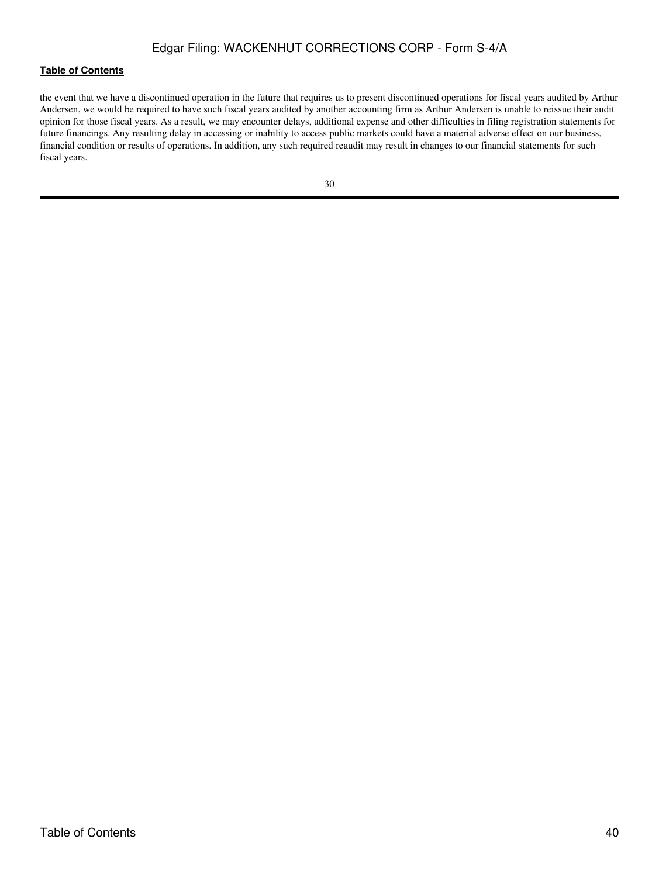## **[Table of Contents](#page-5-0)**

the event that we have a discontinued operation in the future that requires us to present discontinued operations for fiscal years audited by Arthur Andersen, we would be required to have such fiscal years audited by another accounting firm as Arthur Andersen is unable to reissue their audit opinion for those fiscal years. As a result, we may encounter delays, additional expense and other difficulties in filing registration statements for future financings. Any resulting delay in accessing or inability to access public markets could have a material adverse effect on our business, financial condition or results of operations. In addition, any such required reaudit may result in changes to our financial statements for such fiscal years.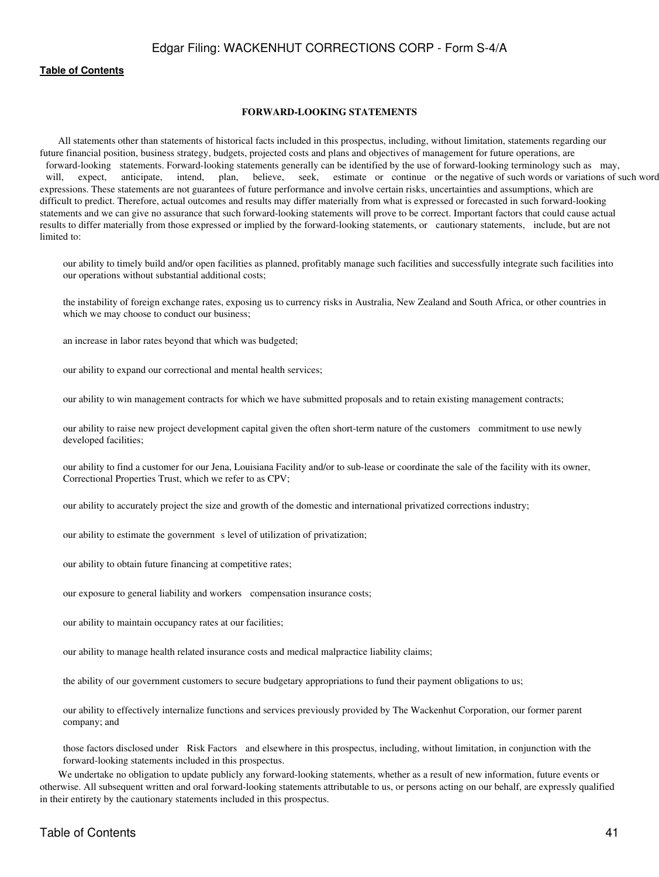## **[Table of Contents](#page-5-0)**

### **FORWARD-LOOKING STATEMENTS**

All statements other than statements of historical facts included in this prospectus, including, without limitation, statements regarding our future financial position, business strategy, budgets, projected costs and plans and objectives of management for future operations, are forward-looking statements. Forward-looking statements generally can be identified by the use of forward-looking terminology such as may, will, expect, anticipate, intend, plan, believe, seek, estimate or continue or the negative of such words or variations of such word expressions. These statements are not guarantees of future performance and involve certain risks, uncertainties and assumptions, which are difficult to predict. Therefore, actual outcomes and results may differ materially from what is expressed or forecasted in such forward-looking statements and we can give no assurance that such forward-looking statements will prove to be correct. Important factors that could cause actual results to differ materially from those expressed or implied by the forward-looking statements, or cautionary statements, include, but are not limited to:

 our ability to timely build and/or open facilities as planned, profitably manage such facilities and successfully integrate such facilities into our operations without substantial additional costs;

 the instability of foreign exchange rates, exposing us to currency risks in Australia, New Zealand and South Africa, or other countries in which we may choose to conduct our business;

an increase in labor rates beyond that which was budgeted;

our ability to expand our correctional and mental health services;

our ability to win management contracts for which we have submitted proposals and to retain existing management contracts;

 our ability to raise new project development capital given the often short-term nature of the customers commitment to use newly developed facilities;

 our ability to find a customer for our Jena, Louisiana Facility and/or to sub-lease or coordinate the sale of the facility with its owner, Correctional Properties Trust, which we refer to as CPV;

our ability to accurately project the size and growth of the domestic and international privatized corrections industry;

our ability to estimate the government s level of utilization of privatization;

our ability to obtain future financing at competitive rates;

our exposure to general liability and workers compensation insurance costs;

our ability to maintain occupancy rates at our facilities;

our ability to manage health related insurance costs and medical malpractice liability claims;

the ability of our government customers to secure budgetary appropriations to fund their payment obligations to us;

 our ability to effectively internalize functions and services previously provided by The Wackenhut Corporation, our former parent company; and

 those factors disclosed under Risk Factors and elsewhere in this prospectus, including, without limitation, in conjunction with the forward-looking statements included in this prospectus.

We undertake no obligation to update publicly any forward-looking statements, whether as a result of new information, future events or otherwise. All subsequent written and oral forward-looking statements attributable to us, or persons acting on our behalf, are expressly qualified in their entirety by the cautionary statements included in this prospectus.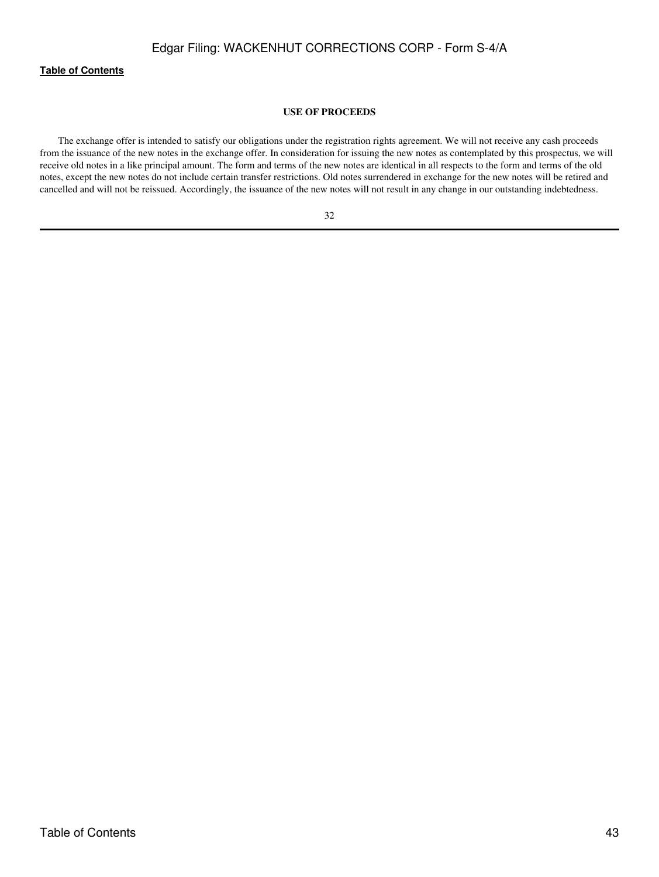## **USE OF PROCEEDS**

The exchange offer is intended to satisfy our obligations under the registration rights agreement. We will not receive any cash proceeds from the issuance of the new notes in the exchange offer. In consideration for issuing the new notes as contemplated by this prospectus, we will receive old notes in a like principal amount. The form and terms of the new notes are identical in all respects to the form and terms of the old notes, except the new notes do not include certain transfer restrictions. Old notes surrendered in exchange for the new notes will be retired and cancelled and will not be reissued. Accordingly, the issuance of the new notes will not result in any change in our outstanding indebtedness.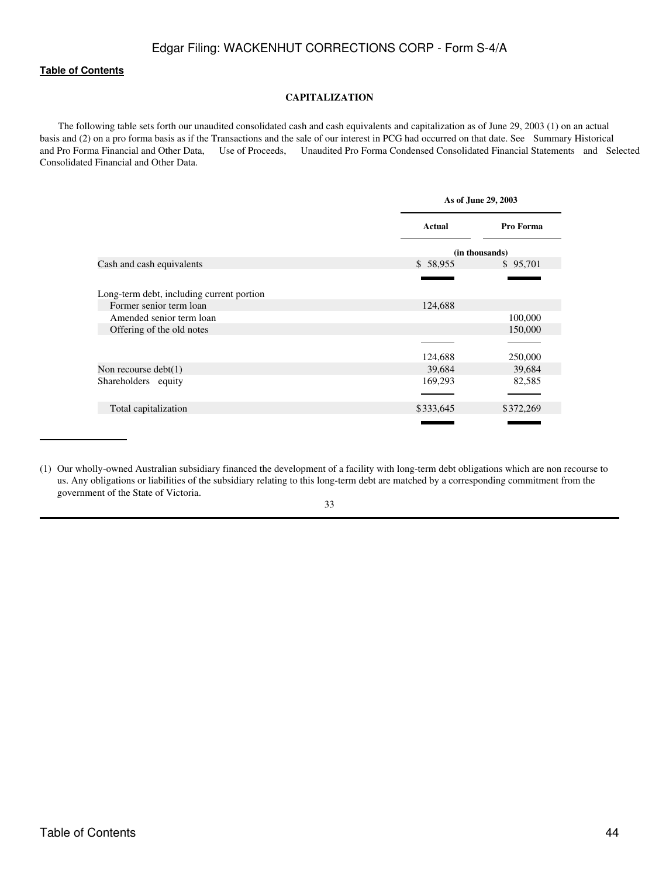# **CAPITALIZATION**

The following table sets forth our unaudited consolidated cash and cash equivalents and capitalization as of June 29, 2003 (1) on an actual basis and (2) on a pro forma basis as if the Transactions and the sale of our interest in PCG had occurred on that date. See Summary Historical and Pro Forma Financial and Other Data, Use of Proceeds, Unaudited Pro Forma Condensed Consolidated Financial Statements and Selected Consolidated Financial and Other Data.

|                                           |                      | As of June 29, 2003 |  |  |
|-------------------------------------------|----------------------|---------------------|--|--|
|                                           | Actual               | Pro Forma           |  |  |
|                                           |                      | (in thousands)      |  |  |
| Cash and cash equivalents                 | \$58,955<br>\$95,701 |                     |  |  |
|                                           |                      |                     |  |  |
| Long-term debt, including current portion |                      |                     |  |  |
| Former senior term loan                   | 124,688              |                     |  |  |
| Amended senior term loan                  |                      | 100,000             |  |  |
| Offering of the old notes                 |                      | 150,000             |  |  |
|                                           |                      |                     |  |  |
|                                           | 124,688              | 250,000             |  |  |
| Non recourse $debt(1)$                    | 39,684               | 39,684              |  |  |
| Shareholders equity                       | 169,293              | 82,585              |  |  |
|                                           |                      |                     |  |  |
| Total capitalization                      | \$333,645            | \$372,269           |  |  |
|                                           |                      |                     |  |  |

(1) Our wholly-owned Australian subsidiary financed the development of a facility with long-term debt obligations which are non recourse to us. Any obligations or liabilities of the subsidiary relating to this long-term debt are matched by a corresponding commitment from the government of the State of Victoria.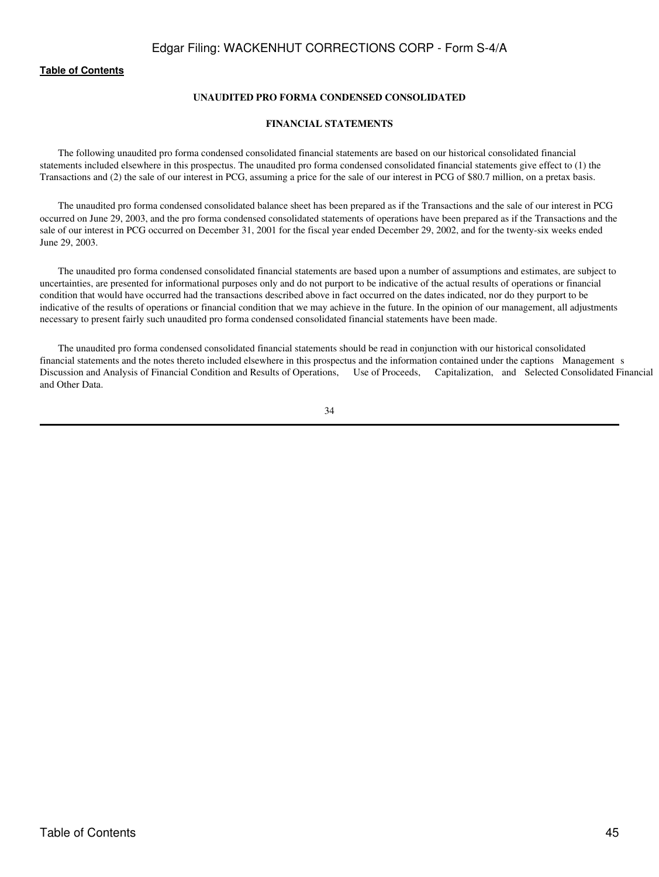## **[Table of Contents](#page-5-0)**

## **UNAUDITED PRO FORMA CONDENSED CONSOLIDATED**

### **FINANCIAL STATEMENTS**

The following unaudited pro forma condensed consolidated financial statements are based on our historical consolidated financial statements included elsewhere in this prospectus. The unaudited pro forma condensed consolidated financial statements give effect to (1) the Transactions and (2) the sale of our interest in PCG, assuming a price for the sale of our interest in PCG of \$80.7 million, on a pretax basis.

The unaudited pro forma condensed consolidated balance sheet has been prepared as if the Transactions and the sale of our interest in PCG occurred on June 29, 2003, and the pro forma condensed consolidated statements of operations have been prepared as if the Transactions and the sale of our interest in PCG occurred on December 31, 2001 for the fiscal year ended December 29, 2002, and for the twenty-six weeks ended June 29, 2003.

The unaudited pro forma condensed consolidated financial statements are based upon a number of assumptions and estimates, are subject to uncertainties, are presented for informational purposes only and do not purport to be indicative of the actual results of operations or financial condition that would have occurred had the transactions described above in fact occurred on the dates indicated, nor do they purport to be indicative of the results of operations or financial condition that we may achieve in the future. In the opinion of our management, all adjustments necessary to present fairly such unaudited pro forma condensed consolidated financial statements have been made.

The unaudited pro forma condensed consolidated financial statements should be read in conjunction with our historical consolidated financial statements and the notes thereto included elsewhere in this prospectus and the information contained under the captions Management s Discussion and Analysis of Financial Condition and Results of Operations, Use of Proceeds, Capitalization, and Selected Consolidated Financial and Other Data.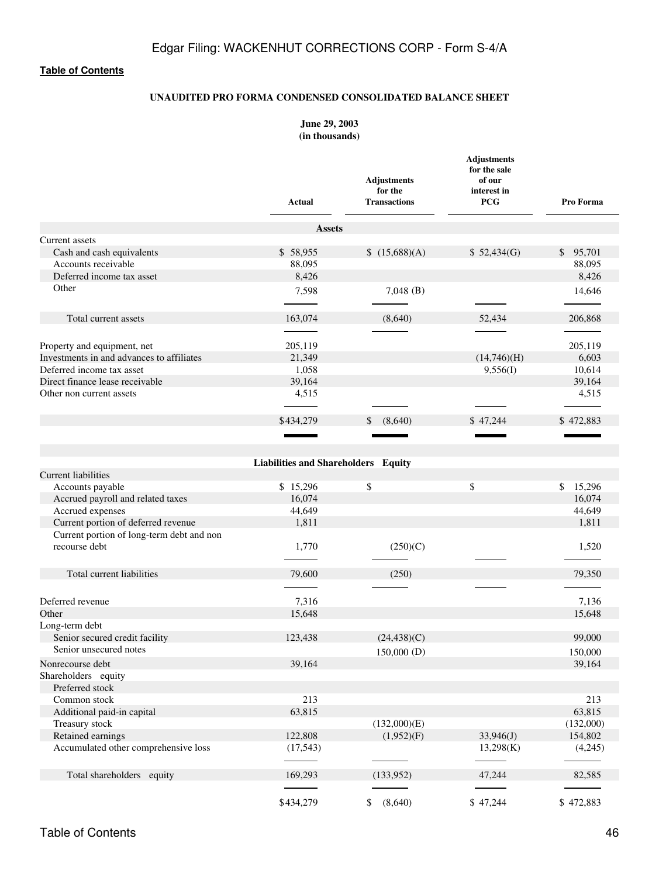## **UNAUDITED PRO FORMA CONDENSED CONSOLIDATED BALANCE SHEET**

## **June 29, 2003 (in thousands)**

|                                                                          | Actual                              | <b>Adjustments</b><br>for the<br><b>Transactions</b> | <b>Adjustments</b><br>for the sale<br>of our<br>interest in<br><b>PCG</b> | Pro Forma |
|--------------------------------------------------------------------------|-------------------------------------|------------------------------------------------------|---------------------------------------------------------------------------|-----------|
|                                                                          | <b>Assets</b>                       |                                                      |                                                                           |           |
| Current assets                                                           |                                     |                                                      |                                                                           |           |
| Cash and cash equivalents                                                | \$58,955                            | (15,688)(A)                                          | \$52,434(G)                                                               | \$95,701  |
| Accounts receivable                                                      | 88,095                              |                                                      |                                                                           | 88,095    |
| Deferred income tax asset                                                | 8,426                               |                                                      |                                                                           | 8,426     |
| Other                                                                    | 7,598                               | $7,048$ (B)                                          |                                                                           | 14,646    |
| Total current assets                                                     | 163,074                             | (8,640)                                              | 52,434                                                                    | 206,868   |
|                                                                          |                                     |                                                      |                                                                           |           |
|                                                                          | 205,119                             |                                                      |                                                                           | 205,119   |
| Property and equipment, net<br>Investments in and advances to affiliates | 21,349                              |                                                      | $(14,746)$ (H)                                                            | 6,603     |
| Deferred income tax asset                                                | 1,058                               |                                                      | 9,556(I)                                                                  | 10,614    |
| Direct finance lease receivable                                          | 39,164                              |                                                      |                                                                           | 39,164    |
| Other non current assets                                                 | 4,515                               |                                                      |                                                                           | 4,515     |
|                                                                          |                                     |                                                      |                                                                           |           |
|                                                                          | \$434,279                           | $\mathcal{S}$<br>(8,640)                             | \$47,244                                                                  | \$472,883 |
|                                                                          |                                     |                                                      |                                                                           |           |
|                                                                          | Liabilities and Shareholders Equity |                                                      |                                                                           |           |
| <b>Current liabilities</b>                                               |                                     |                                                      |                                                                           |           |
| Accounts payable                                                         | \$15,296                            | \$                                                   | \$                                                                        | \$15,296  |
| Accrued payroll and related taxes                                        | 16,074                              |                                                      |                                                                           | 16,074    |
| Accrued expenses                                                         | 44,649                              |                                                      |                                                                           | 44,649    |
| Current portion of deferred revenue                                      | 1,811                               |                                                      |                                                                           | 1,811     |
| Current portion of long-term debt and non                                |                                     |                                                      |                                                                           |           |
| recourse debt                                                            | 1,770                               | (250)(C)                                             |                                                                           | 1,520     |
| Total current liabilities                                                | 79,600                              | (250)                                                |                                                                           | 79,350    |
|                                                                          |                                     |                                                      |                                                                           |           |
| Deferred revenue                                                         | 7,316                               |                                                      |                                                                           | 7,136     |
| Other                                                                    | 15,648                              |                                                      |                                                                           | 15,648    |

| Senior secured credit facility       | 123.438   | (24, 438)(C)    |           | 99,000    |
|--------------------------------------|-----------|-----------------|-----------|-----------|
| Senior unsecured notes               |           | $150,000$ (D)   |           | 150,000   |
| Nonrecourse debt                     | 39,164    |                 |           | 39,164    |
| Shareholders equity                  |           |                 |           |           |
| Preferred stock                      |           |                 |           |           |
| Common stock                         | 213       |                 |           | 213       |
| Additional paid-in capital           | 63,815    |                 |           | 63,815    |
| Treasury stock                       |           | $(132,000)$ (E) |           | (132,000) |
| Retained earnings                    | 122,808   | (1,952)(F)      | 33,946(J) | 154,802   |
| Accumulated other comprehensive loss | (17, 543) |                 | 13,298(K) | (4,245)   |
|                                      |           |                 |           |           |
| Total shareholders equity            | 169,293   | (133,952)       | 47,244    | 82,585    |
|                                      |           |                 |           |           |
|                                      | \$434,279 | (8,640)<br>S    | \$47.244  | \$472,883 |

Long-term debt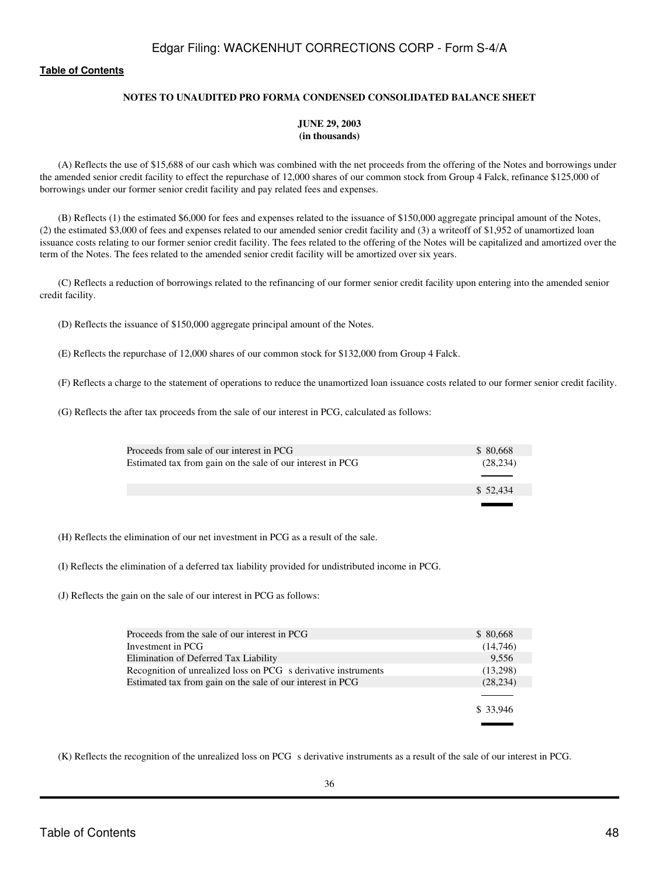## **NOTES TO UNAUDITED PRO FORMA CONDENSED CONSOLIDATED BALANCE SHEET**

## **JUNE 29, 2003 (in thousands)**

(A) Reflects the use of \$15,688 of our cash which was combined with the net proceeds from the offering of the Notes and borrowings under the amended senior credit facility to effect the repurchase of 12,000 shares of our common stock from Group 4 Falck, refinance \$125,000 of borrowings under our former senior credit facility and pay related fees and expenses.

(B) Reflects (1) the estimated \$6,000 for fees and expenses related to the issuance of \$150,000 aggregate principal amount of the Notes, (2) the estimated \$3,000 of fees and expenses related to our amended senior credit facility and (3) a writeoff of \$1,952 of unamortized loan issuance costs relating to our former senior credit facility. The fees related to the offering of the Notes will be capitalized and amortized over the term of the Notes. The fees related to the amended senior credit facility will be amortized over six years.

(C) Reflects a reduction of borrowings related to the refinancing of our former senior credit facility upon entering into the amended senior credit facility.

(D) Reflects the issuance of \$150,000 aggregate principal amount of the Notes.

(E) Reflects the repurchase of 12,000 shares of our common stock for \$132,000 from Group 4 Falck.

(F) Reflects a charge to the statement of operations to reduce the unamortized loan issuance costs related to our former senior credit facility.

(G) Reflects the after tax proceeds from the sale of our interest in PCG, calculated as follows:

| Proceeds from sale of our interest in PCG                  | \$ 80.668 |
|------------------------------------------------------------|-----------|
| Estimated tax from gain on the sale of our interest in PCG | (28, 234) |
|                                                            | \$52.434  |
|                                                            |           |

(H) Reflects the elimination of our net investment in PCG as a result of the sale.

(I) Reflects the elimination of a deferred tax liability provided for undistributed income in PCG.

(J) Reflects the gain on the sale of our interest in PCG as follows:

| Proceeds from the sale of our interest in PCG                  | \$ 80,668 |
|----------------------------------------------------------------|-----------|
| Investment in PCG                                              | (14,746)  |
| Elimination of Deferred Tax Liability                          | 9,556     |
| Recognition of unrealized loss on PCG s derivative instruments | (13,298)  |
| Estimated tax from gain on the sale of our interest in PCG     | (28, 234) |
|                                                                |           |
|                                                                | \$ 33,946 |

(K) Reflects the recognition of the unrealized loss on PCG s derivative instruments as a result of the sale of our interest in PCG.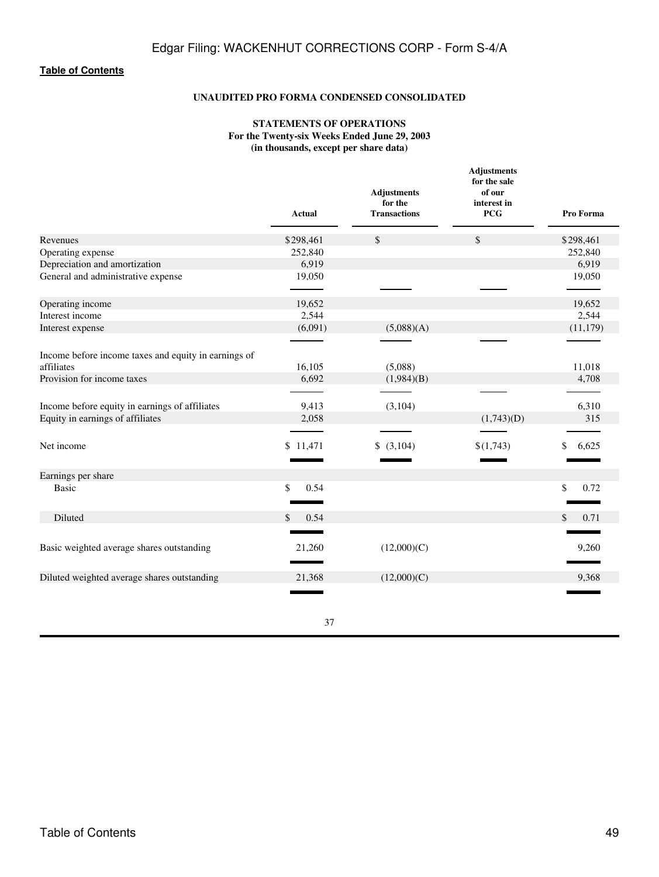## **UNAUDITED PRO FORMA CONDENSED CONSOLIDATED**

## **STATEMENTS OF OPERATIONS For the Twenty-six Weeks Ended June 29, 2003 (in thousands, except per share data)**

|                                                      | Actual     | <b>Adjustments</b><br>for the<br><b>Transactions</b> | <b>Adjustments</b><br>for the sale<br>of our<br>interest in<br><b>PCG</b> | Pro Forma  |
|------------------------------------------------------|------------|------------------------------------------------------|---------------------------------------------------------------------------|------------|
|                                                      |            |                                                      |                                                                           |            |
| Revenues                                             | \$298,461  | $\mathbb{S}$                                         | $\mathcal{S}$                                                             | \$298,461  |
| Operating expense                                    | 252,840    |                                                      |                                                                           | 252,840    |
| Depreciation and amortization                        | 6,919      |                                                      |                                                                           | 6,919      |
| General and administrative expense                   | 19,050     |                                                      |                                                                           | 19,050     |
| Operating income                                     | 19.652     |                                                      |                                                                           | 19,652     |
| Interest income                                      | 2,544      |                                                      |                                                                           | 2,544      |
| Interest expense                                     | (6,091)    | (5,088)(A)                                           |                                                                           | (11, 179)  |
|                                                      |            |                                                      |                                                                           |            |
| Income before income taxes and equity in earnings of |            |                                                      |                                                                           |            |
| affiliates                                           | 16,105     | (5,088)                                              |                                                                           | 11,018     |
| Provision for income taxes                           | 6,692      | (1,984)(B)                                           |                                                                           | 4,708      |
|                                                      |            |                                                      |                                                                           |            |
| Income before equity in earnings of affiliates       | 9,413      | (3,104)                                              |                                                                           | 6,310      |
| Equity in earnings of affiliates                     | 2,058      |                                                      | (1,743)(D)                                                                | 315        |
|                                                      |            |                                                      |                                                                           |            |
| Net income                                           | \$11,471   | \$(3,104)                                            | \$(1,743)                                                                 | 6,625      |
|                                                      |            |                                                      |                                                                           |            |
| Earnings per share                                   |            |                                                      |                                                                           |            |
| <b>Basic</b>                                         | \$<br>0.54 |                                                      |                                                                           | \$<br>0.72 |
|                                                      |            |                                                      |                                                                           |            |
| Diluted                                              | 0.54<br>\$ |                                                      |                                                                           | 0.71<br>S  |
|                                                      |            |                                                      |                                                                           |            |
| Basic weighted average shares outstanding            | 21,260     | (12,000)(C)                                          |                                                                           | 9,260      |
|                                                      |            |                                                      |                                                                           |            |
| Diluted weighted average shares outstanding          | 21,368     | (12,000)(C)                                          |                                                                           | 9,368      |
|                                                      |            |                                                      |                                                                           |            |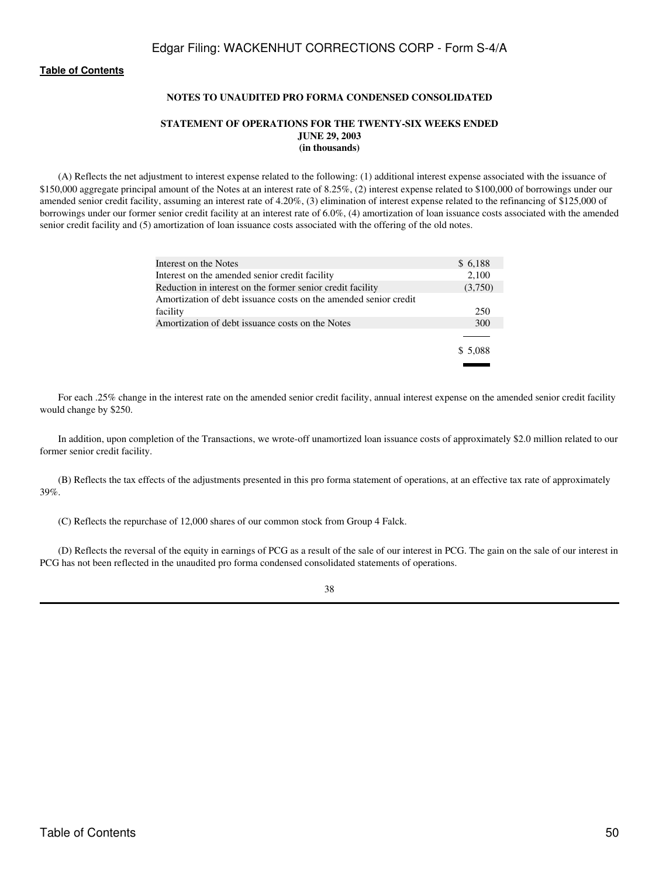## **[Table of Contents](#page-5-0)**

## **NOTES TO UNAUDITED PRO FORMA CONDENSED CONSOLIDATED**

## **STATEMENT OF OPERATIONS FOR THE TWENTY-SIX WEEKS ENDED JUNE 29, 2003 (in thousands)**

(A) Reflects the net adjustment to interest expense related to the following: (1) additional interest expense associated with the issuance of \$150,000 aggregate principal amount of the Notes at an interest rate of 8.25%, (2) interest expense related to \$100,000 of borrowings under our amended senior credit facility, assuming an interest rate of 4.20%, (3) elimination of interest expense related to the refinancing of \$125,000 of borrowings under our former senior credit facility at an interest rate of 6.0%, (4) amortization of loan issuance costs associated with the amended senior credit facility and (5) amortization of loan issuance costs associated with the offering of the old notes.

| Interest on the Notes                                            | \$6,188  |
|------------------------------------------------------------------|----------|
| Interest on the amended senior credit facility                   | 2,100    |
| Reduction in interest on the former senior credit facility       | (3,750)  |
| Amortization of debt issuance costs on the amended senior credit |          |
| facility                                                         | 250      |
| Amortization of debt issuance costs on the Notes                 | 300      |
|                                                                  |          |
|                                                                  | \$ 5,088 |
|                                                                  |          |

For each .25% change in the interest rate on the amended senior credit facility, annual interest expense on the amended senior credit facility would change by \$250.

In addition, upon completion of the Transactions, we wrote-off unamortized loan issuance costs of approximately \$2.0 million related to our former senior credit facility.

(B) Reflects the tax effects of the adjustments presented in this pro forma statement of operations, at an effective tax rate of approximately 39%.

(C) Reflects the repurchase of 12,000 shares of our common stock from Group 4 Falck.

(D) Reflects the reversal of the equity in earnings of PCG as a result of the sale of our interest in PCG. The gain on the sale of our interest in PCG has not been reflected in the unaudited pro forma condensed consolidated statements of operations.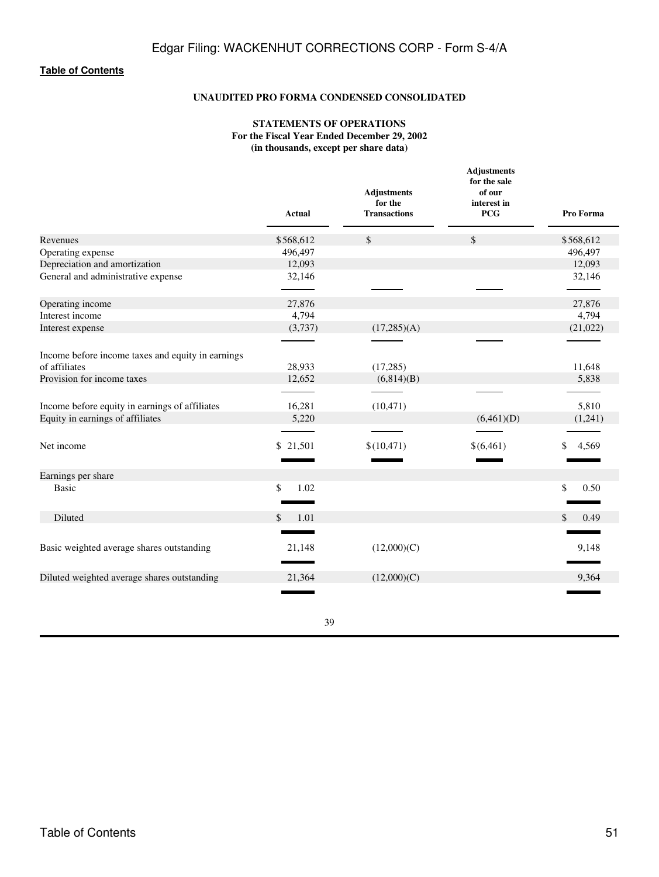## **UNAUDITED PRO FORMA CONDENSED CONSOLIDATED**

## **STATEMENTS OF OPERATIONS For the Fiscal Year Ended December 29, 2002 (in thousands, except per share data)**

|                                                   |               | <b>Adjustments</b><br>for the | <b>Adjustments</b><br>for the sale<br>of our<br>interest in |            |
|---------------------------------------------------|---------------|-------------------------------|-------------------------------------------------------------|------------|
|                                                   | <b>Actual</b> | <b>Transactions</b>           | <b>PCG</b>                                                  | Pro Forma  |
| Revenues                                          | \$568,612     | $\mathcal{S}$                 | \$                                                          | \$568,612  |
| Operating expense                                 | 496,497       |                               |                                                             | 496,497    |
| Depreciation and amortization                     | 12,093        |                               |                                                             | 12,093     |
| General and administrative expense                | 32,146        |                               |                                                             | 32,146     |
| Operating income                                  | 27,876        |                               |                                                             | 27,876     |
| Interest income                                   | 4,794         |                               |                                                             | 4,794      |
| Interest expense                                  | (3,737)       | (17,285)(A)                   |                                                             | (21,022)   |
|                                                   |               |                               |                                                             |            |
| Income before income taxes and equity in earnings |               |                               |                                                             |            |
| of affiliates                                     | 28,933        | (17,285)                      |                                                             | 11,648     |
| Provision for income taxes                        | 12,652        | (6,814)(B)                    |                                                             | 5,838      |
|                                                   |               |                               |                                                             |            |
| Income before equity in earnings of affiliates    | 16,281        | (10, 471)                     |                                                             | 5,810      |
| Equity in earnings of affiliates                  | 5,220         |                               | (6,461)(D)                                                  | (1,241)    |
|                                                   |               |                               |                                                             |            |
| Net income                                        | \$ 21,501     | \$(10, 471)                   | \$(6,461)                                                   | 4,569      |
|                                                   |               |                               |                                                             |            |
| Earnings per share                                |               |                               |                                                             |            |
| <b>Basic</b>                                      | \$<br>1.02    |                               |                                                             | \$<br>0.50 |
|                                                   |               |                               |                                                             |            |
| Diluted                                           | \$<br>1.01    |                               |                                                             | 0.49       |
|                                                   |               |                               |                                                             |            |
| Basic weighted average shares outstanding         | 21,148        | (12,000)(C)                   |                                                             | 9,148      |
|                                                   |               |                               |                                                             |            |
| Diluted weighted average shares outstanding       | 21,364        | (12,000)(C)                   |                                                             | 9,364      |
|                                                   |               |                               |                                                             |            |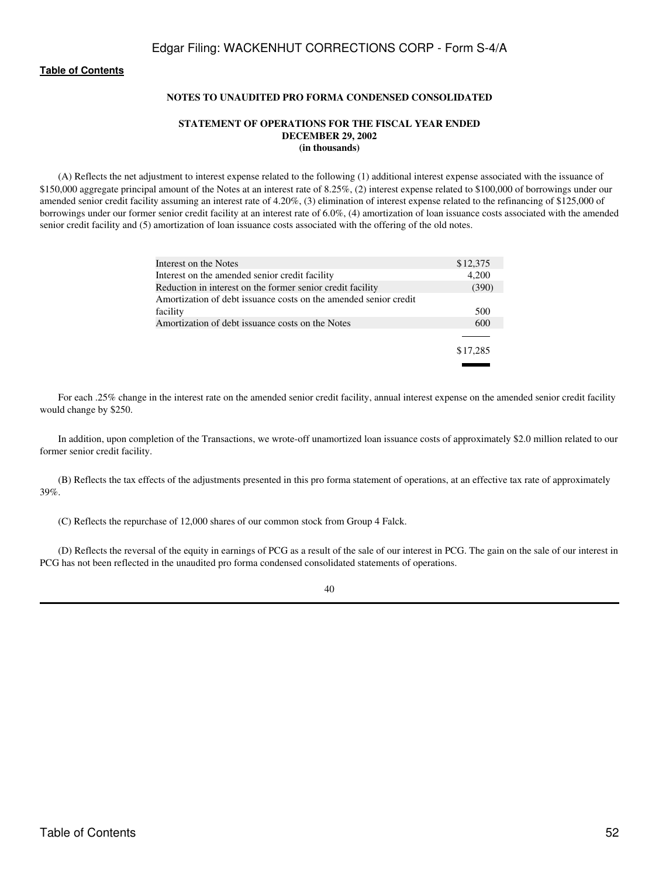## **[Table of Contents](#page-5-0)**

## **NOTES TO UNAUDITED PRO FORMA CONDENSED CONSOLIDATED**

## **STATEMENT OF OPERATIONS FOR THE FISCAL YEAR ENDED DECEMBER 29, 2002 (in thousands)**

(A) Reflects the net adjustment to interest expense related to the following (1) additional interest expense associated with the issuance of \$150,000 aggregate principal amount of the Notes at an interest rate of 8.25%, (2) interest expense related to \$100,000 of borrowings under our amended senior credit facility assuming an interest rate of 4.20%, (3) elimination of interest expense related to the refinancing of \$125,000 of borrowings under our former senior credit facility at an interest rate of 6.0%, (4) amortization of loan issuance costs associated with the amended senior credit facility and (5) amortization of loan issuance costs associated with the offering of the old notes.

| Interest on the Notes                                            | \$12,375 |
|------------------------------------------------------------------|----------|
| Interest on the amended senior credit facility                   | 4,200    |
| Reduction in interest on the former senior credit facility       | (390)    |
| Amortization of debt issuance costs on the amended senior credit |          |
| facility                                                         | 500      |
| Amortization of debt issuance costs on the Notes                 | 600      |
|                                                                  |          |
|                                                                  | \$17,285 |
|                                                                  |          |

For each .25% change in the interest rate on the amended senior credit facility, annual interest expense on the amended senior credit facility would change by \$250.

In addition, upon completion of the Transactions, we wrote-off unamortized loan issuance costs of approximately \$2.0 million related to our former senior credit facility.

(B) Reflects the tax effects of the adjustments presented in this pro forma statement of operations, at an effective tax rate of approximately 39%.

(C) Reflects the repurchase of 12,000 shares of our common stock from Group 4 Falck.

(D) Reflects the reversal of the equity in earnings of PCG as a result of the sale of our interest in PCG. The gain on the sale of our interest in PCG has not been reflected in the unaudited pro forma condensed consolidated statements of operations.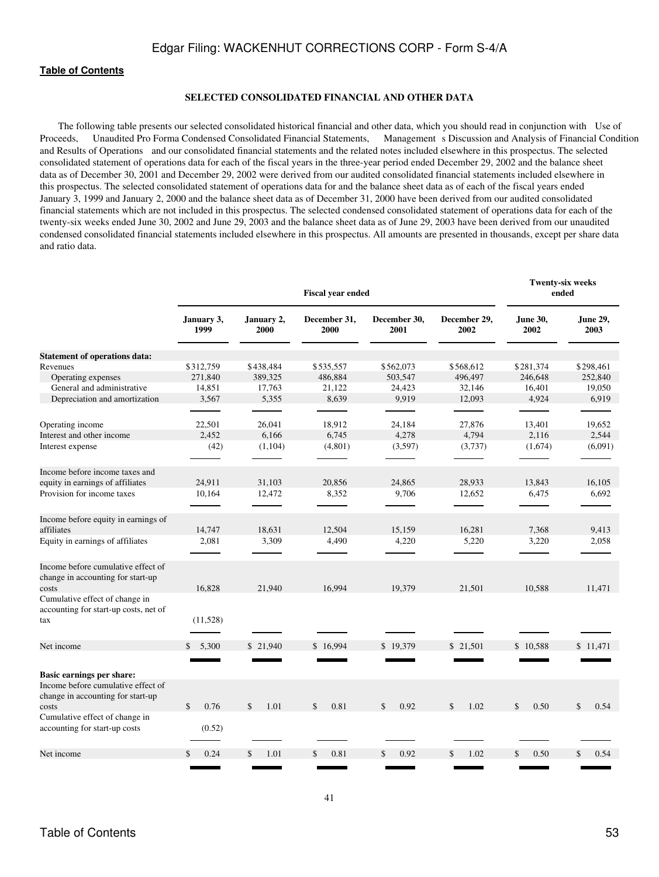## **[Table of Contents](#page-5-0)**

## **SELECTED CONSOLIDATED FINANCIAL AND OTHER DATA**

The following table presents our selected consolidated historical financial and other data, which you should read in conjunction with Use of Proceeds, Unaudited Pro Forma Condensed Consolidated Financial Statements, Management s Discussion and Analysis of Financial Condition and Results of Operations and our consolidated financial statements and the related notes included elsewhere in this prospectus. The selected consolidated statement of operations data for each of the fiscal years in the three-year period ended December 29, 2002 and the balance sheet data as of December 30, 2001 and December 29, 2002 were derived from our audited consolidated financial statements included elsewhere in this prospectus. The selected consolidated statement of operations data for and the balance sheet data as of each of the fiscal years ended January 3, 1999 and January 2, 2000 and the balance sheet data as of December 31, 2000 have been derived from our audited consolidated financial statements which are not included in this prospectus. The selected condensed consolidated statement of operations data for each of the twenty-six weeks ended June 30, 2002 and June 29, 2003 and the balance sheet data as of June 29, 2003 have been derived from our unaudited condensed consolidated financial statements included elsewhere in this prospectus. All amounts are presented in thousands, except per share data and ratio data.

|                                                                                  | <b>Fiscal year ended</b> |                    |                       |                      |                      |                  | <b>Twenty-six weeks</b><br>ended |
|----------------------------------------------------------------------------------|--------------------------|--------------------|-----------------------|----------------------|----------------------|------------------|----------------------------------|
|                                                                                  | January 3,<br>1999       | January 2,<br>2000 | December 31,<br>2000  | December 30,<br>2001 | December 29,<br>2002 | June 30,<br>2002 | June 29,<br>2003                 |
| <b>Statement of operations data:</b>                                             |                          |                    |                       |                      |                      |                  |                                  |
| Revenues                                                                         | \$312,759                | \$438.484          | \$535.557             | \$562,073            | \$568,612            | \$281,374        | \$298,461                        |
| Operating expenses                                                               | 271,840                  | 389,325            | 486,884               | 503,547              | 496,497              | 246,648          | 252,840                          |
| General and administrative                                                       | 14,851                   | 17,763             | 21,122                | 24,423               | 32,146               | 16,401           | 19,050                           |
| Depreciation and amortization                                                    | 3,567                    | 5,355              | 8,639                 | 9,919                | 12,093               | 4,924            | 6,919                            |
| Operating income                                                                 | 22,501                   | 26,041             | 18,912                | 24,184               | 27,876               | 13,401           | 19,652                           |
| Interest and other income                                                        | 2,452                    | 6,166              | 6,745                 | 4,278                | 4,794                | 2,116            | 2,544                            |
| Interest expense                                                                 | (42)                     | (1, 104)           | (4, 801)              | (3,597)              | (3,737)              | (1,674)          | (6,091)                          |
| Income before income taxes and                                                   |                          |                    |                       |                      |                      |                  |                                  |
| equity in earnings of affiliates                                                 | 24,911                   | 31,103             | 20,856                | 24,865               | 28,933               | 13,843           | 16,105                           |
| Provision for income taxes                                                       | 10,164                   | 12,472             | 8,352                 | 9,706                | 12,652               | 6,475            | 6,692                            |
| Income before equity in earnings of                                              |                          |                    |                       |                      |                      |                  |                                  |
| affiliates                                                                       | 14,747                   | 18,631             | 12,504                | 15,159               | 16,281               | 7,368            | 9,413                            |
| Equity in earnings of affiliates                                                 | 2,081                    | 3,309              | 4,490                 | 4,220                | 5,220                | 3,220            | 2,058                            |
| Income before cumulative effect of<br>change in accounting for start-up<br>costs | 16,828                   | 21,940             | 16,994                | 19,379               | 21,501               | 10,588           | 11,471                           |
| Cumulative effect of change in<br>accounting for start-up costs, net of<br>tax   | (11,528)                 |                    |                       |                      |                      |                  |                                  |
|                                                                                  |                          |                    |                       |                      |                      |                  |                                  |
| Net income                                                                       | 5,300<br>\$              | \$21,940           | \$16,994              | \$19,379             | \$21,501             | \$10,588         | \$11,471                         |
| Basic earnings per share:                                                        |                          |                    |                       |                      |                      |                  |                                  |
| Income before cumulative effect of<br>change in accounting for start-up          |                          |                    |                       |                      |                      |                  |                                  |
| costs                                                                            | \$<br>0.76               | 1.01<br>\$         | $\mathsf{\$}$<br>0.81 | \$<br>0.92           | \$<br>1.02           | \$<br>0.50       | \$<br>0.54                       |
| Cumulative effect of change in<br>accounting for start-up costs                  | (0.52)                   |                    |                       |                      |                      |                  |                                  |
| Net income                                                                       | 0.24<br>\$               | 1.01<br>\$         | 0.81<br>ፍ             | 0.92                 | 1.02<br>\$           | 0.50             | 0.54                             |
|                                                                                  |                          |                    |                       |                      |                      |                  |                                  |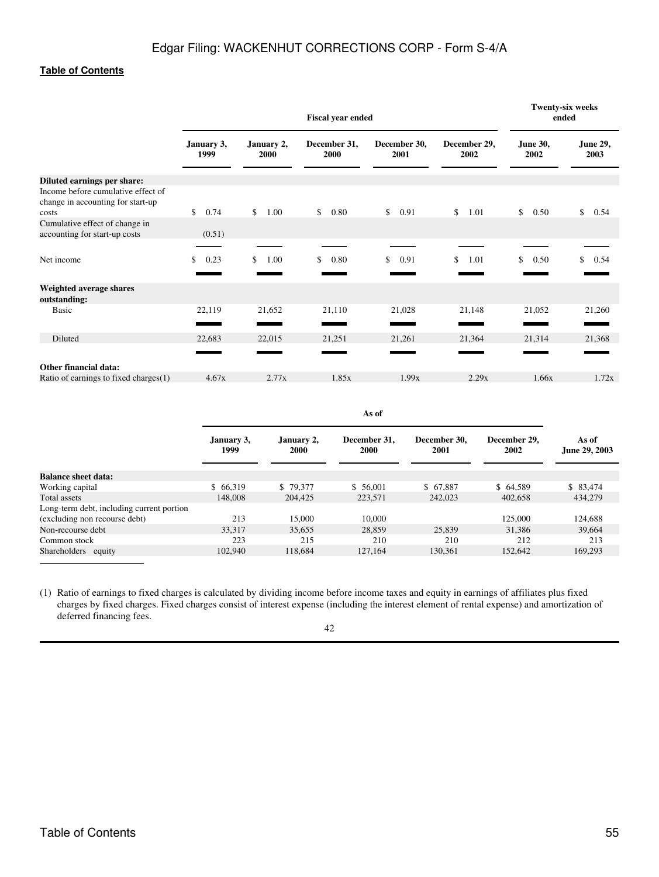|                                                                                                        | <b>Fiscal year ended</b>       |                    |                      |                        |                      |                         | <b>Twenty-six weeks</b><br>ended |  |
|--------------------------------------------------------------------------------------------------------|--------------------------------|--------------------|----------------------|------------------------|----------------------|-------------------------|----------------------------------|--|
|                                                                                                        | January 3,<br>1999             | January 2,<br>2000 | December 31,<br>2000 | December 30,<br>2001   | December 29,<br>2002 | <b>June 30,</b><br>2002 | <b>June 29,</b><br>2003          |  |
| Diluted earnings per share:<br>Income before cumulative effect of<br>change in accounting for start-up |                                |                    |                      |                        |                      |                         |                                  |  |
| costs<br>Cumulative effect of change in<br>accounting for start-up costs                               | $\mathbb{S}$<br>0.74<br>(0.51) | \$<br>1.00         | \$<br>0.80           | $\mathbb{S}^-$<br>0.91 | $\mathbb{S}$<br>1.01 | \$<br>0.50              | \$<br>0.54                       |  |
| Net income                                                                                             | \$<br>0.23                     | \$<br>1.00         | \$<br>0.80           | \$<br>0.91             | \$<br>1.01           | \$<br>0.50              | 0.54<br>\$                       |  |
| Weighted average shares<br>outstanding:                                                                |                                |                    |                      |                        |                      |                         |                                  |  |
| <b>Basic</b>                                                                                           | 22,119                         | 21,652             | 21,110               | 21,028                 | 21,148               | 21,052                  | 21,260                           |  |
| <b>Diluted</b>                                                                                         | 22,683                         | 22,015             | 21,251               | 21,261                 | 21,364               | 21,314                  | 21,368                           |  |
| Other financial data:<br>Ratio of earnings to fixed charges(1)                                         | 4.67x                          | 2.77x              | 1.85x                | 1.99x                  | 2.29x                | 1.66x                   | 1.72x                            |  |

|                                           | January 3,<br>1999 | January 2,<br><b>2000</b> | December 31,<br><b>2000</b> | December 30.<br>2001 | December 29,<br>2002 | As of<br>June 29, 2003 |
|-------------------------------------------|--------------------|---------------------------|-----------------------------|----------------------|----------------------|------------------------|
| <b>Balance sheet data:</b>                |                    |                           |                             |                      |                      |                        |
| Working capital                           | \$66.319           | \$79,377                  | \$56,001                    | \$67,887             | \$64.589             | \$83,474               |
| Total assets                              | 148,008            | 204,425                   | 223,571                     | 242,023              | 402,658              | 434,279                |
| Long-term debt, including current portion |                    |                           |                             |                      |                      |                        |
| (excluding non recourse debt)             | 213                | 15,000                    | 10,000                      |                      | 125,000              | 124,688                |
| Non-recourse debt                         | 33,317             | 35.655                    | 28,859                      | 25,839               | 31.386               | 39,664                 |
| Common stock                              | 223                | 215                       | 210                         | 210                  | 212                  | 213                    |
| Shareholders equity                       | 102.940            | 118,684                   | 127.164                     | 130.361              | 152,642              | 169.293                |

(1) Ratio of earnings to fixed charges is calculated by dividing income before income taxes and equity in earnings of affiliates plus fixed charges by fixed charges. Fixed charges consist of interest expense (including the interest element of rental expense) and amortization of deferred financing fees.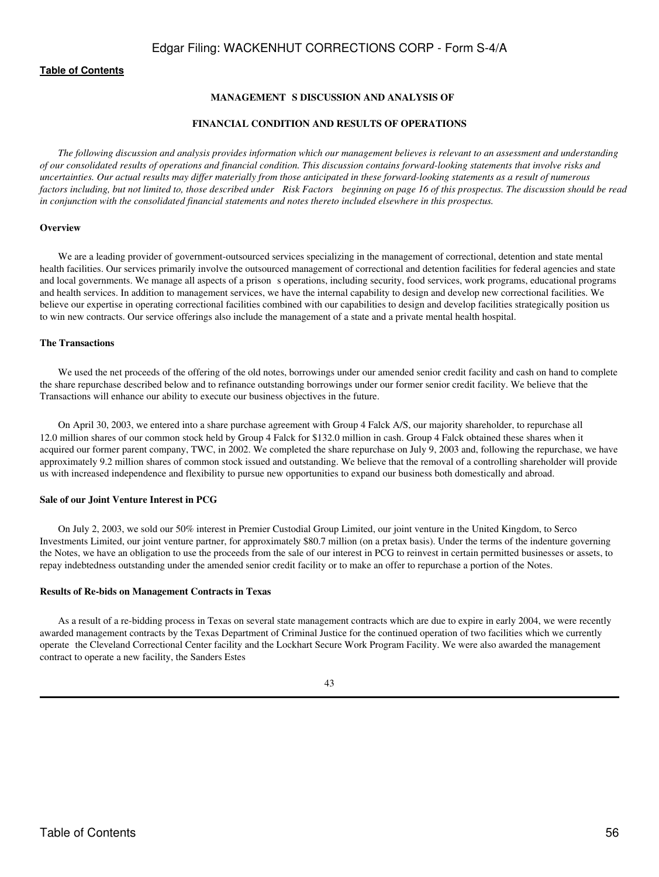## **MANAGEMENT S DISCUSSION AND ANALYSIS OF**

### **FINANCIAL CONDITION AND RESULTS OF OPERATIONS**

*The following discussion and analysis provides information which our management believes is relevant to an assessment and understanding of our consolidated results of operations and financial condition. This discussion contains forward-looking statements that involve risks and uncertainties. Our actual results may differ materially from those anticipated in these forward-looking statements as a result of numerous factors including, but not limited to, those described under Risk Factors beginning on page 16 of this prospectus. The discussion should be read in conjunction with the consolidated financial statements and notes thereto included elsewhere in this prospectus.*

### **Overview**

We are a leading provider of government-outsourced services specializing in the management of correctional, detention and state mental health facilities. Our services primarily involve the outsourced management of correctional and detention facilities for federal agencies and state and local governments. We manage all aspects of a prison s operations, including security, food services, work programs, educational programs and health services. In addition to management services, we have the internal capability to design and develop new correctional facilities. We believe our expertise in operating correctional facilities combined with our capabilities to design and develop facilities strategically position us to win new contracts. Our service offerings also include the management of a state and a private mental health hospital.

### **The Transactions**

We used the net proceeds of the offering of the old notes, borrowings under our amended senior credit facility and cash on hand to complete the share repurchase described below and to refinance outstanding borrowings under our former senior credit facility. We believe that the Transactions will enhance our ability to execute our business objectives in the future.

On April 30, 2003, we entered into a share purchase agreement with Group 4 Falck A/S, our majority shareholder, to repurchase all 12.0 million shares of our common stock held by Group 4 Falck for \$132.0 million in cash. Group 4 Falck obtained these shares when it acquired our former parent company, TWC, in 2002. We completed the share repurchase on July 9, 2003 and, following the repurchase, we have approximately 9.2 million shares of common stock issued and outstanding. We believe that the removal of a controlling shareholder will provide us with increased independence and flexibility to pursue new opportunities to expand our business both domestically and abroad.

## **Sale of our Joint Venture Interest in PCG**

On July 2, 2003, we sold our 50% interest in Premier Custodial Group Limited, our joint venture in the United Kingdom, to Serco Investments Limited, our joint venture partner, for approximately \$80.7 million (on a pretax basis). Under the terms of the indenture governing the Notes, we have an obligation to use the proceeds from the sale of our interest in PCG to reinvest in certain permitted businesses or assets, to repay indebtedness outstanding under the amended senior credit facility or to make an offer to repurchase a portion of the Notes.

## **Results of Re-bids on Management Contracts in Texas**

As a result of a re-bidding process in Texas on several state management contracts which are due to expire in early 2004, we were recently awarded management contracts by the Texas Department of Criminal Justice for the continued operation of two facilities which we currently operate the Cleveland Correctional Center facility and the Lockhart Secure Work Program Facility. We were also awarded the management contract to operate a new facility, the Sanders Estes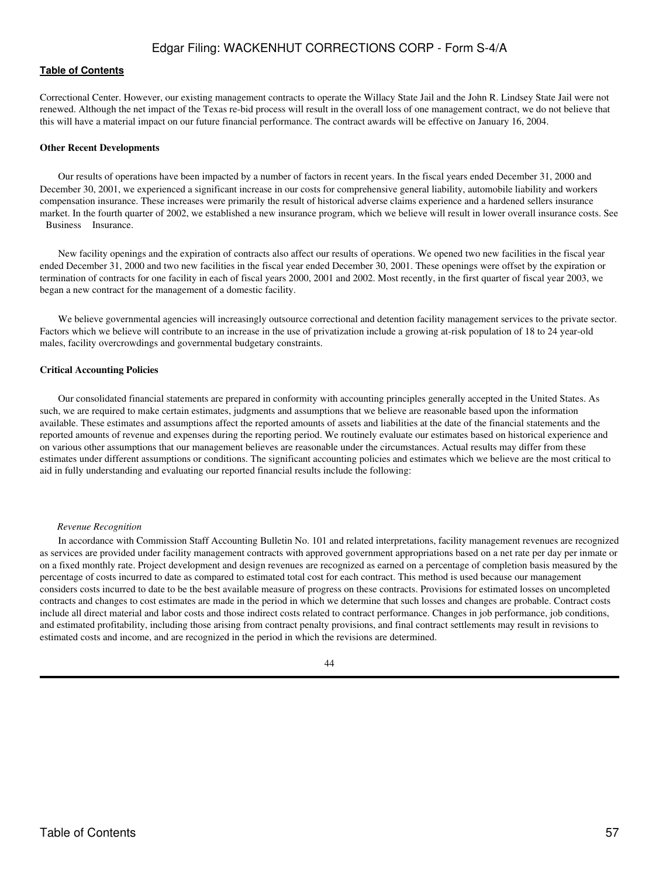### **[Table of Contents](#page-5-0)**

Correctional Center. However, our existing management contracts to operate the Willacy State Jail and the John R. Lindsey State Jail were not renewed. Although the net impact of the Texas re-bid process will result in the overall loss of one management contract, we do not believe that this will have a material impact on our future financial performance. The contract awards will be effective on January 16, 2004.

### **Other Recent Developments**

Our results of operations have been impacted by a number of factors in recent years. In the fiscal years ended December 31, 2000 and December 30, 2001, we experienced a significant increase in our costs for comprehensive general liability, automobile liability and workers compensation insurance. These increases were primarily the result of historical adverse claims experience and a hardened sellers insurance market. In the fourth quarter of 2002, we established a new insurance program, which we believe will result in lower overall insurance costs. See Business Insurance.

New facility openings and the expiration of contracts also affect our results of operations. We opened two new facilities in the fiscal year ended December 31, 2000 and two new facilities in the fiscal year ended December 30, 2001. These openings were offset by the expiration or termination of contracts for one facility in each of fiscal years 2000, 2001 and 2002. Most recently, in the first quarter of fiscal year 2003, we began a new contract for the management of a domestic facility.

We believe governmental agencies will increasingly outsource correctional and detention facility management services to the private sector. Factors which we believe will contribute to an increase in the use of privatization include a growing at-risk population of 18 to 24 year-old males, facility overcrowdings and governmental budgetary constraints.

#### **Critical Accounting Policies**

Our consolidated financial statements are prepared in conformity with accounting principles generally accepted in the United States. As such, we are required to make certain estimates, judgments and assumptions that we believe are reasonable based upon the information available. These estimates and assumptions affect the reported amounts of assets and liabilities at the date of the financial statements and the reported amounts of revenue and expenses during the reporting period. We routinely evaluate our estimates based on historical experience and on various other assumptions that our management believes are reasonable under the circumstances. Actual results may differ from these estimates under different assumptions or conditions. The significant accounting policies and estimates which we believe are the most critical to aid in fully understanding and evaluating our reported financial results include the following:

#### *Revenue Recognition*

In accordance with Commission Staff Accounting Bulletin No. 101 and related interpretations, facility management revenues are recognized as services are provided under facility management contracts with approved government appropriations based on a net rate per day per inmate or on a fixed monthly rate. Project development and design revenues are recognized as earned on a percentage of completion basis measured by the percentage of costs incurred to date as compared to estimated total cost for each contract. This method is used because our management considers costs incurred to date to be the best available measure of progress on these contracts. Provisions for estimated losses on uncompleted contracts and changes to cost estimates are made in the period in which we determine that such losses and changes are probable. Contract costs include all direct material and labor costs and those indirect costs related to contract performance. Changes in job performance, job conditions, and estimated profitability, including those arising from contract penalty provisions, and final contract settlements may result in revisions to estimated costs and income, and are recognized in the period in which the revisions are determined.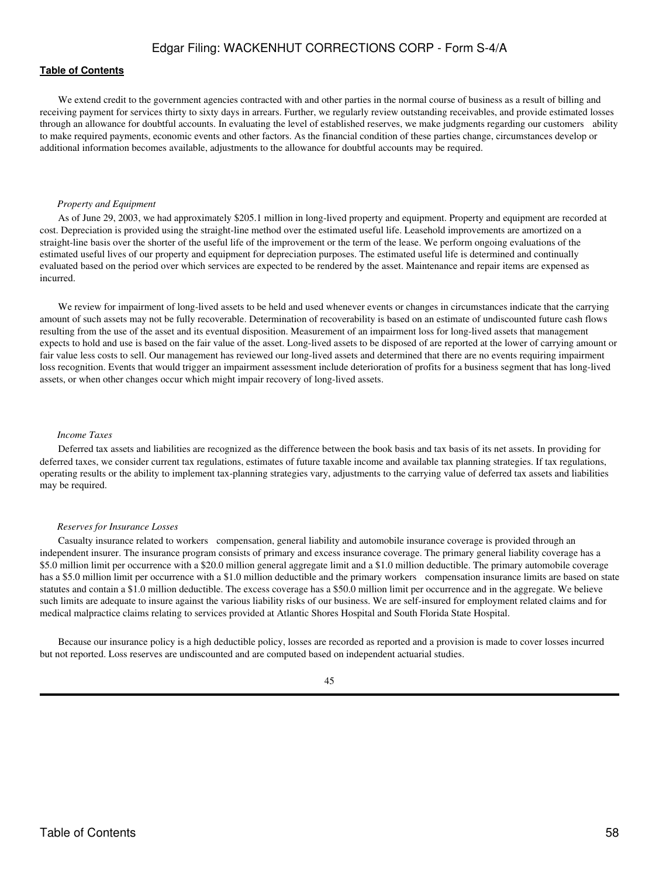## **[Table of Contents](#page-5-0)**

We extend credit to the government agencies contracted with and other parties in the normal course of business as a result of billing and receiving payment for services thirty to sixty days in arrears. Further, we regularly review outstanding receivables, and provide estimated losses through an allowance for doubtful accounts. In evaluating the level of established reserves, we make judgments regarding our customers ability to make required payments, economic events and other factors. As the financial condition of these parties change, circumstances develop or additional information becomes available, adjustments to the allowance for doubtful accounts may be required.

#### *Property and Equipment*

As of June 29, 2003, we had approximately \$205.1 million in long-lived property and equipment. Property and equipment are recorded at cost. Depreciation is provided using the straight-line method over the estimated useful life. Leasehold improvements are amortized on a straight-line basis over the shorter of the useful life of the improvement or the term of the lease. We perform ongoing evaluations of the estimated useful lives of our property and equipment for depreciation purposes. The estimated useful life is determined and continually evaluated based on the period over which services are expected to be rendered by the asset. Maintenance and repair items are expensed as incurred.

We review for impairment of long-lived assets to be held and used whenever events or changes in circumstances indicate that the carrying amount of such assets may not be fully recoverable. Determination of recoverability is based on an estimate of undiscounted future cash flows resulting from the use of the asset and its eventual disposition. Measurement of an impairment loss for long-lived assets that management expects to hold and use is based on the fair value of the asset. Long-lived assets to be disposed of are reported at the lower of carrying amount or fair value less costs to sell. Our management has reviewed our long-lived assets and determined that there are no events requiring impairment loss recognition. Events that would trigger an impairment assessment include deterioration of profits for a business segment that has long-lived assets, or when other changes occur which might impair recovery of long-lived assets.

#### *Income Taxes*

Deferred tax assets and liabilities are recognized as the difference between the book basis and tax basis of its net assets. In providing for deferred taxes, we consider current tax regulations, estimates of future taxable income and available tax planning strategies. If tax regulations, operating results or the ability to implement tax-planning strategies vary, adjustments to the carrying value of deferred tax assets and liabilities may be required.

#### *Reserves for Insurance Losses*

Casualty insurance related to workers compensation, general liability and automobile insurance coverage is provided through an independent insurer. The insurance program consists of primary and excess insurance coverage. The primary general liability coverage has a \$5.0 million limit per occurrence with a \$20.0 million general aggregate limit and a \$1.0 million deductible. The primary automobile coverage has a \$5.0 million limit per occurrence with a \$1.0 million deductible and the primary workers compensation insurance limits are based on state statutes and contain a \$1.0 million deductible. The excess coverage has a \$50.0 million limit per occurrence and in the aggregate. We believe such limits are adequate to insure against the various liability risks of our business. We are self-insured for employment related claims and for medical malpractice claims relating to services provided at Atlantic Shores Hospital and South Florida State Hospital.

Because our insurance policy is a high deductible policy, losses are recorded as reported and a provision is made to cover losses incurred but not reported. Loss reserves are undiscounted and are computed based on independent actuarial studies.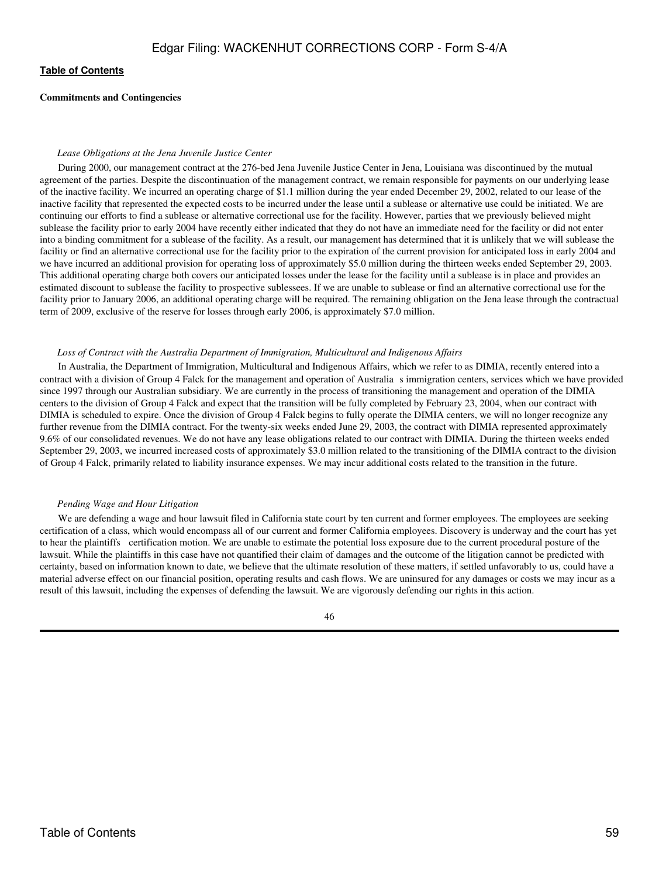### **Commitments and Contingencies**

#### *Lease Obligations at the Jena Juvenile Justice Center*

During 2000, our management contract at the 276-bed Jena Juvenile Justice Center in Jena, Louisiana was discontinued by the mutual agreement of the parties. Despite the discontinuation of the management contract, we remain responsible for payments on our underlying lease of the inactive facility. We incurred an operating charge of \$1.1 million during the year ended December 29, 2002, related to our lease of the inactive facility that represented the expected costs to be incurred under the lease until a sublease or alternative use could be initiated. We are continuing our efforts to find a sublease or alternative correctional use for the facility. However, parties that we previously believed might sublease the facility prior to early 2004 have recently either indicated that they do not have an immediate need for the facility or did not enter into a binding commitment for a sublease of the facility. As a result, our management has determined that it is unlikely that we will sublease the facility or find an alternative correctional use for the facility prior to the expiration of the current provision for anticipated loss in early 2004 and we have incurred an additional provision for operating loss of approximately \$5.0 million during the thirteen weeks ended September 29, 2003. This additional operating charge both covers our anticipated losses under the lease for the facility until a sublease is in place and provides an estimated discount to sublease the facility to prospective sublessees. If we are unable to sublease or find an alternative correctional use for the facility prior to January 2006, an additional operating charge will be required. The remaining obligation on the Jena lease through the contractual term of 2009, exclusive of the reserve for losses through early 2006, is approximately \$7.0 million.

#### *Loss of Contract with the Australia Department of Immigration, Multicultural and Indigenous Affairs*

In Australia, the Department of Immigration, Multicultural and Indigenous Affairs, which we refer to as DIMIA, recently entered into a contract with a division of Group 4 Falck for the management and operation of Australia s immigration centers, services which we have provided since 1997 through our Australian subsidiary. We are currently in the process of transitioning the management and operation of the DIMIA centers to the division of Group 4 Falck and expect that the transition will be fully completed by February 23, 2004, when our contract with DIMIA is scheduled to expire. Once the division of Group 4 Falck begins to fully operate the DIMIA centers, we will no longer recognize any further revenue from the DIMIA contract. For the twenty-six weeks ended June 29, 2003, the contract with DIMIA represented approximately 9.6% of our consolidated revenues. We do not have any lease obligations related to our contract with DIMIA. During the thirteen weeks ended September 29, 2003, we incurred increased costs of approximately \$3.0 million related to the transitioning of the DIMIA contract to the division of Group 4 Falck, primarily related to liability insurance expenses. We may incur additional costs related to the transition in the future.

#### *Pending Wage and Hour Litigation*

We are defending a wage and hour lawsuit filed in California state court by ten current and former employees. The employees are seeking certification of a class, which would encompass all of our current and former California employees. Discovery is underway and the court has yet to hear the plaintiffs certification motion. We are unable to estimate the potential loss exposure due to the current procedural posture of the lawsuit. While the plaintiffs in this case have not quantified their claim of damages and the outcome of the litigation cannot be predicted with certainty, based on information known to date, we believe that the ultimate resolution of these matters, if settled unfavorably to us, could have a material adverse effect on our financial position, operating results and cash flows. We are uninsured for any damages or costs we may incur as a result of this lawsuit, including the expenses of defending the lawsuit. We are vigorously defending our rights in this action.

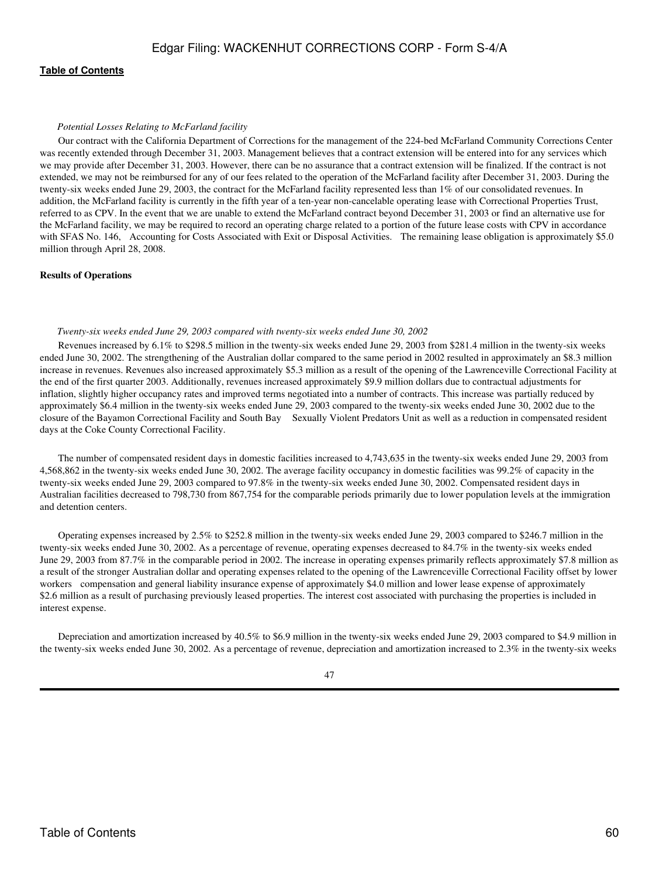### *Potential Losses Relating to McFarland facility*

Our contract with the California Department of Corrections for the management of the 224-bed McFarland Community Corrections Center was recently extended through December 31, 2003. Management believes that a contract extension will be entered into for any services which we may provide after December 31, 2003. However, there can be no assurance that a contract extension will be finalized. If the contract is not extended, we may not be reimbursed for any of our fees related to the operation of the McFarland facility after December 31, 2003. During the twenty-six weeks ended June 29, 2003, the contract for the McFarland facility represented less than 1% of our consolidated revenues. In addition, the McFarland facility is currently in the fifth year of a ten-year non-cancelable operating lease with Correctional Properties Trust, referred to as CPV. In the event that we are unable to extend the McFarland contract beyond December 31, 2003 or find an alternative use for the McFarland facility, we may be required to record an operating charge related to a portion of the future lease costs with CPV in accordance with SFAS No. 146, Accounting for Costs Associated with Exit or Disposal Activities. The remaining lease obligation is approximately \$5.0 million through April 28, 2008.

#### **Results of Operations**

#### *Twenty-six weeks ended June 29, 2003 compared with twenty-six weeks ended June 30, 2002*

Revenues increased by 6.1% to \$298.5 million in the twenty-six weeks ended June 29, 2003 from \$281.4 million in the twenty-six weeks ended June 30, 2002. The strengthening of the Australian dollar compared to the same period in 2002 resulted in approximately an \$8.3 million increase in revenues. Revenues also increased approximately \$5.3 million as a result of the opening of the Lawrenceville Correctional Facility at the end of the first quarter 2003. Additionally, revenues increased approximately \$9.9 million dollars due to contractual adjustments for inflation, slightly higher occupancy rates and improved terms negotiated into a number of contracts. This increase was partially reduced by approximately \$6.4 million in the twenty-six weeks ended June 29, 2003 compared to the twenty-six weeks ended June 30, 2002 due to the closure of the Bayamon Correctional Facility and South Bay Sexually Violent Predators Unit as well as a reduction in compensated resident days at the Coke County Correctional Facility.

The number of compensated resident days in domestic facilities increased to 4,743,635 in the twenty-six weeks ended June 29, 2003 from 4,568,862 in the twenty-six weeks ended June 30, 2002. The average facility occupancy in domestic facilities was 99.2% of capacity in the twenty-six weeks ended June 29, 2003 compared to 97.8% in the twenty-six weeks ended June 30, 2002. Compensated resident days in Australian facilities decreased to 798,730 from 867,754 for the comparable periods primarily due to lower population levels at the immigration and detention centers.

Operating expenses increased by 2.5% to \$252.8 million in the twenty-six weeks ended June 29, 2003 compared to \$246.7 million in the twenty-six weeks ended June 30, 2002. As a percentage of revenue, operating expenses decreased to 84.7% in the twenty-six weeks ended June 29, 2003 from 87.7% in the comparable period in 2002. The increase in operating expenses primarily reflects approximately \$7.8 million as a result of the stronger Australian dollar and operating expenses related to the opening of the Lawrenceville Correctional Facility offset by lower workers compensation and general liability insurance expense of approximately \$4.0 million and lower lease expense of approximately \$2.6 million as a result of purchasing previously leased properties. The interest cost associated with purchasing the properties is included in interest expense.

Depreciation and amortization increased by 40.5% to \$6.9 million in the twenty-six weeks ended June 29, 2003 compared to \$4.9 million in the twenty-six weeks ended June 30, 2002. As a percentage of revenue, depreciation and amortization increased to 2.3% in the twenty-six weeks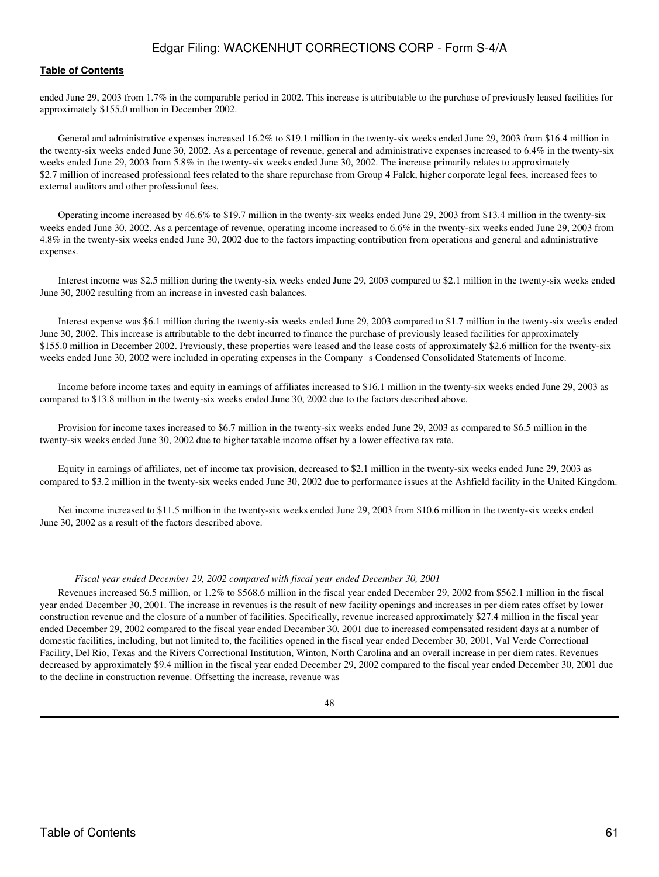## **[Table of Contents](#page-5-0)**

ended June 29, 2003 from 1.7% in the comparable period in 2002. This increase is attributable to the purchase of previously leased facilities for approximately \$155.0 million in December 2002.

General and administrative expenses increased 16.2% to \$19.1 million in the twenty-six weeks ended June 29, 2003 from \$16.4 million in the twenty-six weeks ended June 30, 2002. As a percentage of revenue, general and administrative expenses increased to 6.4% in the twenty-six weeks ended June 29, 2003 from 5.8% in the twenty-six weeks ended June 30, 2002. The increase primarily relates to approximately \$2.7 million of increased professional fees related to the share repurchase from Group 4 Falck, higher corporate legal fees, increased fees to external auditors and other professional fees.

Operating income increased by 46.6% to \$19.7 million in the twenty-six weeks ended June 29, 2003 from \$13.4 million in the twenty-six weeks ended June 30, 2002. As a percentage of revenue, operating income increased to 6.6% in the twenty-six weeks ended June 29, 2003 from 4.8% in the twenty-six weeks ended June 30, 2002 due to the factors impacting contribution from operations and general and administrative expenses.

Interest income was \$2.5 million during the twenty-six weeks ended June 29, 2003 compared to \$2.1 million in the twenty-six weeks ended June 30, 2002 resulting from an increase in invested cash balances.

Interest expense was \$6.1 million during the twenty-six weeks ended June 29, 2003 compared to \$1.7 million in the twenty-six weeks ended June 30, 2002. This increase is attributable to the debt incurred to finance the purchase of previously leased facilities for approximately \$155.0 million in December 2002. Previously, these properties were leased and the lease costs of approximately \$2.6 million for the twenty-six weeks ended June 30, 2002 were included in operating expenses in the Company s Condensed Consolidated Statements of Income.

Income before income taxes and equity in earnings of affiliates increased to \$16.1 million in the twenty-six weeks ended June 29, 2003 as compared to \$13.8 million in the twenty-six weeks ended June 30, 2002 due to the factors described above.

Provision for income taxes increased to \$6.7 million in the twenty-six weeks ended June 29, 2003 as compared to \$6.5 million in the twenty-six weeks ended June 30, 2002 due to higher taxable income offset by a lower effective tax rate.

Equity in earnings of affiliates, net of income tax provision, decreased to \$2.1 million in the twenty-six weeks ended June 29, 2003 as compared to \$3.2 million in the twenty-six weeks ended June 30, 2002 due to performance issues at the Ashfield facility in the United Kingdom.

Net income increased to \$11.5 million in the twenty-six weeks ended June 29, 2003 from \$10.6 million in the twenty-six weeks ended June 30, 2002 as a result of the factors described above.

### *Fiscal year ended December 29, 2002 compared with fiscal year ended December 30, 2001*

Revenues increased \$6.5 million, or 1.2% to \$568.6 million in the fiscal year ended December 29, 2002 from \$562.1 million in the fiscal year ended December 30, 2001. The increase in revenues is the result of new facility openings and increases in per diem rates offset by lower construction revenue and the closure of a number of facilities. Specifically, revenue increased approximately \$27.4 million in the fiscal year ended December 29, 2002 compared to the fiscal year ended December 30, 2001 due to increased compensated resident days at a number of domestic facilities, including, but not limited to, the facilities opened in the fiscal year ended December 30, 2001, Val Verde Correctional Facility, Del Rio, Texas and the Rivers Correctional Institution, Winton, North Carolina and an overall increase in per diem rates. Revenues decreased by approximately \$9.4 million in the fiscal year ended December 29, 2002 compared to the fiscal year ended December 30, 2001 due to the decline in construction revenue. Offsetting the increase, revenue was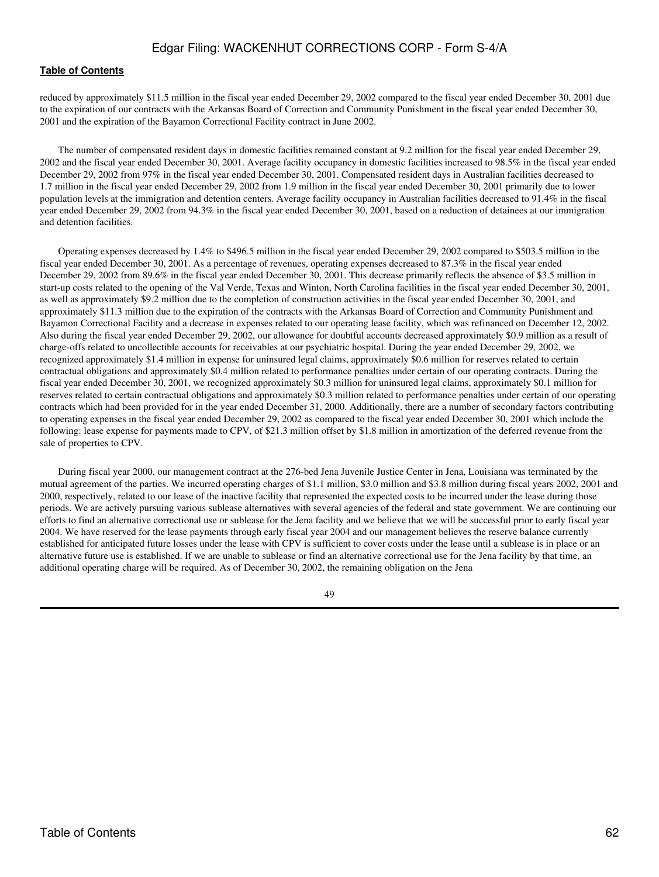## **[Table of Contents](#page-5-0)**

reduced by approximately \$11.5 million in the fiscal year ended December 29, 2002 compared to the fiscal year ended December 30, 2001 due to the expiration of our contracts with the Arkansas Board of Correction and Community Punishment in the fiscal year ended December 30, 2001 and the expiration of the Bayamon Correctional Facility contract in June 2002.

The number of compensated resident days in domestic facilities remained constant at 9.2 million for the fiscal year ended December 29, 2002 and the fiscal year ended December 30, 2001. Average facility occupancy in domestic facilities increased to 98.5% in the fiscal year ended December 29, 2002 from 97% in the fiscal year ended December 30, 2001. Compensated resident days in Australian facilities decreased to 1.7 million in the fiscal year ended December 29, 2002 from 1.9 million in the fiscal year ended December 30, 2001 primarily due to lower population levels at the immigration and detention centers. Average facility occupancy in Australian facilities decreased to 91.4% in the fiscal year ended December 29, 2002 from 94.3% in the fiscal year ended December 30, 2001, based on a reduction of detainees at our immigration and detention facilities.

Operating expenses decreased by 1.4% to \$496.5 million in the fiscal year ended December 29, 2002 compared to \$503.5 million in the fiscal year ended December 30, 2001. As a percentage of revenues, operating expenses decreased to 87.3% in the fiscal year ended December 29, 2002 from 89.6% in the fiscal year ended December 30, 2001. This decrease primarily reflects the absence of \$3.5 million in start-up costs related to the opening of the Val Verde, Texas and Winton, North Carolina facilities in the fiscal year ended December 30, 2001, as well as approximately \$9.2 million due to the completion of construction activities in the fiscal year ended December 30, 2001, and approximately \$11.3 million due to the expiration of the contracts with the Arkansas Board of Correction and Community Punishment and Bayamon Correctional Facility and a decrease in expenses related to our operating lease facility, which was refinanced on December 12, 2002. Also during the fiscal year ended December 29, 2002, our allowance for doubtful accounts decreased approximately \$0.9 million as a result of charge-offs related to uncollectible accounts for receivables at our psychiatric hospital. During the year ended December 29, 2002, we recognized approximately \$1.4 million in expense for uninsured legal claims, approximately \$0.6 million for reserves related to certain contractual obligations and approximately \$0.4 million related to performance penalties under certain of our operating contracts. During the fiscal year ended December 30, 2001, we recognized approximately \$0.3 million for uninsured legal claims, approximately \$0.1 million for reserves related to certain contractual obligations and approximately \$0.3 million related to performance penalties under certain of our operating contracts which had been provided for in the year ended December 31, 2000. Additionally, there are a number of secondary factors contributing to operating expenses in the fiscal year ended December 29, 2002 as compared to the fiscal year ended December 30, 2001 which include the following: lease expense for payments made to CPV, of \$21.3 million offset by \$1.8 million in amortization of the deferred revenue from the sale of properties to CPV.

During fiscal year 2000, our management contract at the 276-bed Jena Juvenile Justice Center in Jena, Louisiana was terminated by the mutual agreement of the parties. We incurred operating charges of \$1.1 million, \$3.0 million and \$3.8 million during fiscal years 2002, 2001 and 2000, respectively, related to our lease of the inactive facility that represented the expected costs to be incurred under the lease during those periods. We are actively pursuing various sublease alternatives with several agencies of the federal and state government. We are continuing our efforts to find an alternative correctional use or sublease for the Jena facility and we believe that we will be successful prior to early fiscal year 2004. We have reserved for the lease payments through early fiscal year 2004 and our management believes the reserve balance currently established for anticipated future losses under the lease with CPV is sufficient to cover costs under the lease until a sublease is in place or an alternative future use is established. If we are unable to sublease or find an alternative correctional use for the Jena facility by that time, an additional operating charge will be required. As of December 30, 2002, the remaining obligation on the Jena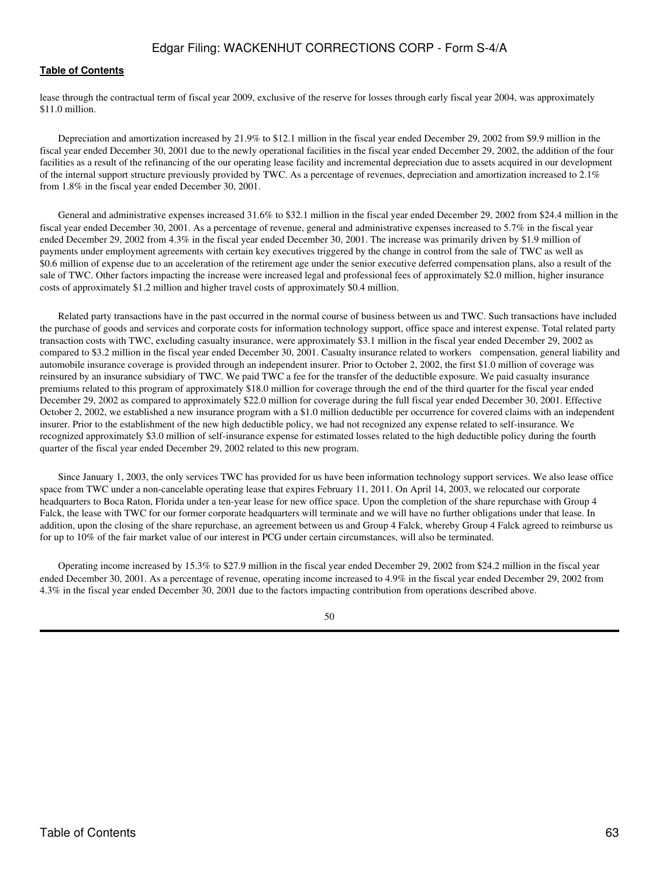## **[Table of Contents](#page-5-0)**

lease through the contractual term of fiscal year 2009, exclusive of the reserve for losses through early fiscal year 2004, was approximately \$11.0 million.

Depreciation and amortization increased by 21.9% to \$12.1 million in the fiscal year ended December 29, 2002 from \$9.9 million in the fiscal year ended December 30, 2001 due to the newly operational facilities in the fiscal year ended December 29, 2002, the addition of the four facilities as a result of the refinancing of the our operating lease facility and incremental depreciation due to assets acquired in our development of the internal support structure previously provided by TWC. As a percentage of revenues, depreciation and amortization increased to 2.1% from 1.8% in the fiscal year ended December 30, 2001.

General and administrative expenses increased 31.6% to \$32.1 million in the fiscal year ended December 29, 2002 from \$24.4 million in the fiscal year ended December 30, 2001. As a percentage of revenue, general and administrative expenses increased to 5.7% in the fiscal year ended December 29, 2002 from 4.3% in the fiscal year ended December 30, 2001. The increase was primarily driven by \$1.9 million of payments under employment agreements with certain key executives triggered by the change in control from the sale of TWC as well as \$0.6 million of expense due to an acceleration of the retirement age under the senior executive deferred compensation plans, also a result of the sale of TWC. Other factors impacting the increase were increased legal and professional fees of approximately \$2.0 million, higher insurance costs of approximately \$1.2 million and higher travel costs of approximately \$0.4 million.

Related party transactions have in the past occurred in the normal course of business between us and TWC. Such transactions have included the purchase of goods and services and corporate costs for information technology support, office space and interest expense. Total related party transaction costs with TWC, excluding casualty insurance, were approximately \$3.1 million in the fiscal year ended December 29, 2002 as compared to \$3.2 million in the fiscal year ended December 30, 2001. Casualty insurance related to workers compensation, general liability and automobile insurance coverage is provided through an independent insurer. Prior to October 2, 2002, the first \$1.0 million of coverage was reinsured by an insurance subsidiary of TWC. We paid TWC a fee for the transfer of the deductible exposure. We paid casualty insurance premiums related to this program of approximately \$18.0 million for coverage through the end of the third quarter for the fiscal year ended December 29, 2002 as compared to approximately \$22.0 million for coverage during the full fiscal year ended December 30, 2001. Effective October 2, 2002, we established a new insurance program with a \$1.0 million deductible per occurrence for covered claims with an independent insurer. Prior to the establishment of the new high deductible policy, we had not recognized any expense related to self-insurance. We recognized approximately \$3.0 million of self-insurance expense for estimated losses related to the high deductible policy during the fourth quarter of the fiscal year ended December 29, 2002 related to this new program.

Since January 1, 2003, the only services TWC has provided for us have been information technology support services. We also lease office space from TWC under a non-cancelable operating lease that expires February 11, 2011. On April 14, 2003, we relocated our corporate headquarters to Boca Raton, Florida under a ten-year lease for new office space. Upon the completion of the share repurchase with Group 4 Falck, the lease with TWC for our former corporate headquarters will terminate and we will have no further obligations under that lease. In addition, upon the closing of the share repurchase, an agreement between us and Group 4 Falck, whereby Group 4 Falck agreed to reimburse us for up to 10% of the fair market value of our interest in PCG under certain circumstances, will also be terminated.

Operating income increased by 15.3% to \$27.9 million in the fiscal year ended December 29, 2002 from \$24.2 million in the fiscal year ended December 30, 2001. As a percentage of revenue, operating income increased to 4.9% in the fiscal year ended December 29, 2002 from 4.3% in the fiscal year ended December 30, 2001 due to the factors impacting contribution from operations described above.

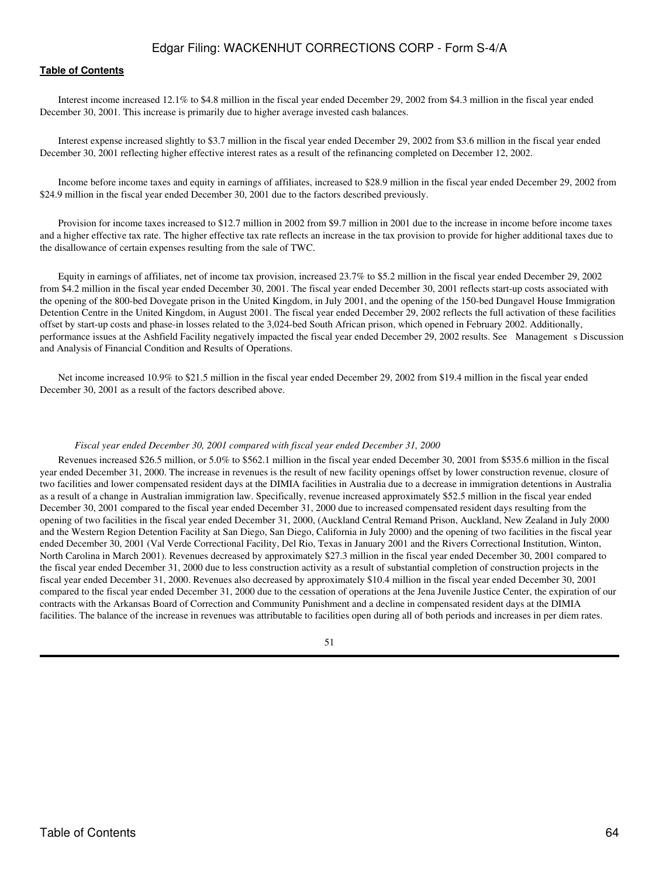## **[Table of Contents](#page-5-0)**

Interest income increased 12.1% to \$4.8 million in the fiscal year ended December 29, 2002 from \$4.3 million in the fiscal year ended December 30, 2001. This increase is primarily due to higher average invested cash balances.

Interest expense increased slightly to \$3.7 million in the fiscal year ended December 29, 2002 from \$3.6 million in the fiscal year ended December 30, 2001 reflecting higher effective interest rates as a result of the refinancing completed on December 12, 2002.

Income before income taxes and equity in earnings of affiliates, increased to \$28.9 million in the fiscal year ended December 29, 2002 from \$24.9 million in the fiscal year ended December 30, 2001 due to the factors described previously.

Provision for income taxes increased to \$12.7 million in 2002 from \$9.7 million in 2001 due to the increase in income before income taxes and a higher effective tax rate. The higher effective tax rate reflects an increase in the tax provision to provide for higher additional taxes due to the disallowance of certain expenses resulting from the sale of TWC.

Equity in earnings of affiliates, net of income tax provision, increased 23.7% to \$5.2 million in the fiscal year ended December 29, 2002 from \$4.2 million in the fiscal year ended December 30, 2001. The fiscal year ended December 30, 2001 reflects start-up costs associated with the opening of the 800-bed Dovegate prison in the United Kingdom, in July 2001, and the opening of the 150-bed Dungavel House Immigration Detention Centre in the United Kingdom, in August 2001. The fiscal year ended December 29, 2002 reflects the full activation of these facilities offset by start-up costs and phase-in losses related to the 3,024-bed South African prison, which opened in February 2002. Additionally, performance issues at the Ashfield Facility negatively impacted the fiscal year ended December 29, 2002 results. See Management s Discussion and Analysis of Financial Condition and Results of Operations.

Net income increased 10.9% to \$21.5 million in the fiscal year ended December 29, 2002 from \$19.4 million in the fiscal year ended December 30, 2001 as a result of the factors described above.

#### *Fiscal year ended December 30, 2001 compared with fiscal year ended December 31, 2000*

Revenues increased \$26.5 million, or 5.0% to \$562.1 million in the fiscal year ended December 30, 2001 from \$535.6 million in the fiscal year ended December 31, 2000. The increase in revenues is the result of new facility openings offset by lower construction revenue, closure of two facilities and lower compensated resident days at the DIMIA facilities in Australia due to a decrease in immigration detentions in Australia as a result of a change in Australian immigration law. Specifically, revenue increased approximately \$52.5 million in the fiscal year ended December 30, 2001 compared to the fiscal year ended December 31, 2000 due to increased compensated resident days resulting from the opening of two facilities in the fiscal year ended December 31, 2000, (Auckland Central Remand Prison, Auckland, New Zealand in July 2000 and the Western Region Detention Facility at San Diego, San Diego, California in July 2000) and the opening of two facilities in the fiscal year ended December 30, 2001 (Val Verde Correctional Facility, Del Rio, Texas in January 2001 and the Rivers Correctional Institution, Winton, North Carolina in March 2001). Revenues decreased by approximately \$27.3 million in the fiscal year ended December 30, 2001 compared to the fiscal year ended December 31, 2000 due to less construction activity as a result of substantial completion of construction projects in the fiscal year ended December 31, 2000. Revenues also decreased by approximately \$10.4 million in the fiscal year ended December 30, 2001 compared to the fiscal year ended December 31, 2000 due to the cessation of operations at the Jena Juvenile Justice Center, the expiration of our contracts with the Arkansas Board of Correction and Community Punishment and a decline in compensated resident days at the DIMIA facilities. The balance of the increase in revenues was attributable to facilities open during all of both periods and increases in per diem rates.

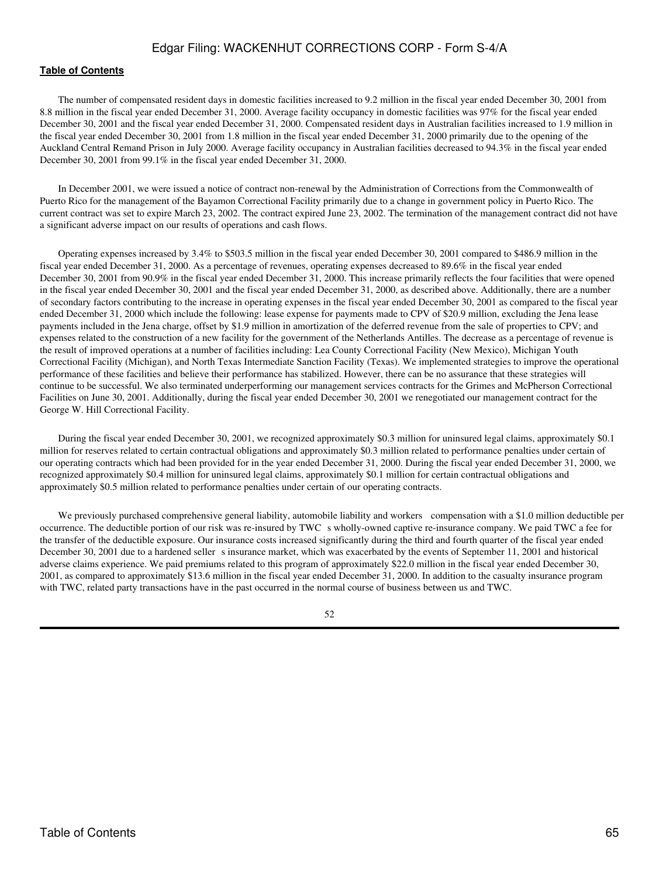## **[Table of Contents](#page-5-0)**

The number of compensated resident days in domestic facilities increased to 9.2 million in the fiscal year ended December 30, 2001 from 8.8 million in the fiscal year ended December 31, 2000. Average facility occupancy in domestic facilities was 97% for the fiscal year ended December 30, 2001 and the fiscal year ended December 31, 2000. Compensated resident days in Australian facilities increased to 1.9 million in the fiscal year ended December 30, 2001 from 1.8 million in the fiscal year ended December 31, 2000 primarily due to the opening of the Auckland Central Remand Prison in July 2000. Average facility occupancy in Australian facilities decreased to 94.3% in the fiscal year ended December 30, 2001 from 99.1% in the fiscal year ended December 31, 2000.

In December 2001, we were issued a notice of contract non-renewal by the Administration of Corrections from the Commonwealth of Puerto Rico for the management of the Bayamon Correctional Facility primarily due to a change in government policy in Puerto Rico. The current contract was set to expire March 23, 2002. The contract expired June 23, 2002. The termination of the management contract did not have a significant adverse impact on our results of operations and cash flows.

Operating expenses increased by 3.4% to \$503.5 million in the fiscal year ended December 30, 2001 compared to \$486.9 million in the fiscal year ended December 31, 2000. As a percentage of revenues, operating expenses decreased to 89.6% in the fiscal year ended December 30, 2001 from 90.9% in the fiscal year ended December 31, 2000. This increase primarily reflects the four facilities that were opened in the fiscal year ended December 30, 2001 and the fiscal year ended December 31, 2000, as described above. Additionally, there are a number of secondary factors contributing to the increase in operating expenses in the fiscal year ended December 30, 2001 as compared to the fiscal year ended December 31, 2000 which include the following: lease expense for payments made to CPV of \$20.9 million, excluding the Jena lease payments included in the Jena charge, offset by \$1.9 million in amortization of the deferred revenue from the sale of properties to CPV; and expenses related to the construction of a new facility for the government of the Netherlands Antilles. The decrease as a percentage of revenue is the result of improved operations at a number of facilities including: Lea County Correctional Facility (New Mexico), Michigan Youth Correctional Facility (Michigan), and North Texas Intermediate Sanction Facility (Texas). We implemented strategies to improve the operational performance of these facilities and believe their performance has stabilized. However, there can be no assurance that these strategies will continue to be successful. We also terminated underperforming our management services contracts for the Grimes and McPherson Correctional Facilities on June 30, 2001. Additionally, during the fiscal year ended December 30, 2001 we renegotiated our management contract for the George W. Hill Correctional Facility.

During the fiscal year ended December 30, 2001, we recognized approximately \$0.3 million for uninsured legal claims, approximately \$0.1 million for reserves related to certain contractual obligations and approximately \$0.3 million related to performance penalties under certain of our operating contracts which had been provided for in the year ended December 31, 2000. During the fiscal year ended December 31, 2000, we recognized approximately \$0.4 million for uninsured legal claims, approximately \$0.1 million for certain contractual obligations and approximately \$0.5 million related to performance penalties under certain of our operating contracts.

We previously purchased comprehensive general liability, automobile liability and workers compensation with a \$1.0 million deductible per occurrence. The deductible portion of our risk was re-insured by TWC s wholly-owned captive re-insurance company. We paid TWC a fee for the transfer of the deductible exposure. Our insurance costs increased significantly during the third and fourth quarter of the fiscal year ended December 30, 2001 due to a hardened seller s insurance market, which was exacerbated by the events of September 11, 2001 and historical adverse claims experience. We paid premiums related to this program of approximately \$22.0 million in the fiscal year ended December 30, 2001, as compared to approximately \$13.6 million in the fiscal year ended December 31, 2000. In addition to the casualty insurance program with TWC, related party transactions have in the past occurred in the normal course of business between us and TWC.

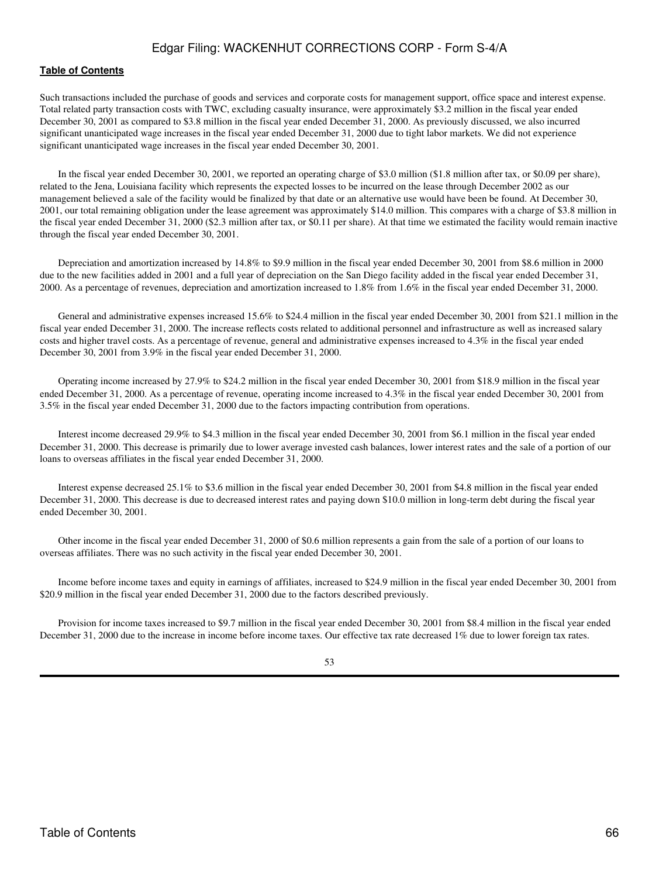## **[Table of Contents](#page-5-0)**

Such transactions included the purchase of goods and services and corporate costs for management support, office space and interest expense. Total related party transaction costs with TWC, excluding casualty insurance, were approximately \$3.2 million in the fiscal year ended December 30, 2001 as compared to \$3.8 million in the fiscal year ended December 31, 2000. As previously discussed, we also incurred significant unanticipated wage increases in the fiscal year ended December 31, 2000 due to tight labor markets. We did not experience significant unanticipated wage increases in the fiscal year ended December 30, 2001.

In the fiscal year ended December 30, 2001, we reported an operating charge of \$3.0 million (\$1.8 million after tax, or \$0.09 per share), related to the Jena, Louisiana facility which represents the expected losses to be incurred on the lease through December 2002 as our management believed a sale of the facility would be finalized by that date or an alternative use would have been be found. At December 30, 2001, our total remaining obligation under the lease agreement was approximately \$14.0 million. This compares with a charge of \$3.8 million in the fiscal year ended December 31, 2000 (\$2.3 million after tax, or \$0.11 per share). At that time we estimated the facility would remain inactive through the fiscal year ended December 30, 2001.

Depreciation and amortization increased by 14.8% to \$9.9 million in the fiscal year ended December 30, 2001 from \$8.6 million in 2000 due to the new facilities added in 2001 and a full year of depreciation on the San Diego facility added in the fiscal year ended December 31, 2000. As a percentage of revenues, depreciation and amortization increased to 1.8% from 1.6% in the fiscal year ended December 31, 2000.

General and administrative expenses increased 15.6% to \$24.4 million in the fiscal year ended December 30, 2001 from \$21.1 million in the fiscal year ended December 31, 2000. The increase reflects costs related to additional personnel and infrastructure as well as increased salary costs and higher travel costs. As a percentage of revenue, general and administrative expenses increased to 4.3% in the fiscal year ended December 30, 2001 from 3.9% in the fiscal year ended December 31, 2000.

Operating income increased by 27.9% to \$24.2 million in the fiscal year ended December 30, 2001 from \$18.9 million in the fiscal year ended December 31, 2000. As a percentage of revenue, operating income increased to 4.3% in the fiscal year ended December 30, 2001 from 3.5% in the fiscal year ended December 31, 2000 due to the factors impacting contribution from operations.

Interest income decreased 29.9% to \$4.3 million in the fiscal year ended December 30, 2001 from \$6.1 million in the fiscal year ended December 31, 2000. This decrease is primarily due to lower average invested cash balances, lower interest rates and the sale of a portion of our loans to overseas affiliates in the fiscal year ended December 31, 2000.

Interest expense decreased 25.1% to \$3.6 million in the fiscal year ended December 30, 2001 from \$4.8 million in the fiscal year ended December 31, 2000. This decrease is due to decreased interest rates and paying down \$10.0 million in long-term debt during the fiscal year ended December 30, 2001.

Other income in the fiscal year ended December 31, 2000 of \$0.6 million represents a gain from the sale of a portion of our loans to overseas affiliates. There was no such activity in the fiscal year ended December 30, 2001.

Income before income taxes and equity in earnings of affiliates, increased to \$24.9 million in the fiscal year ended December 30, 2001 from \$20.9 million in the fiscal year ended December 31, 2000 due to the factors described previously.

Provision for income taxes increased to \$9.7 million in the fiscal year ended December 30, 2001 from \$8.4 million in the fiscal year ended December 31, 2000 due to the increase in income before income taxes. Our effective tax rate decreased 1% due to lower foreign tax rates.

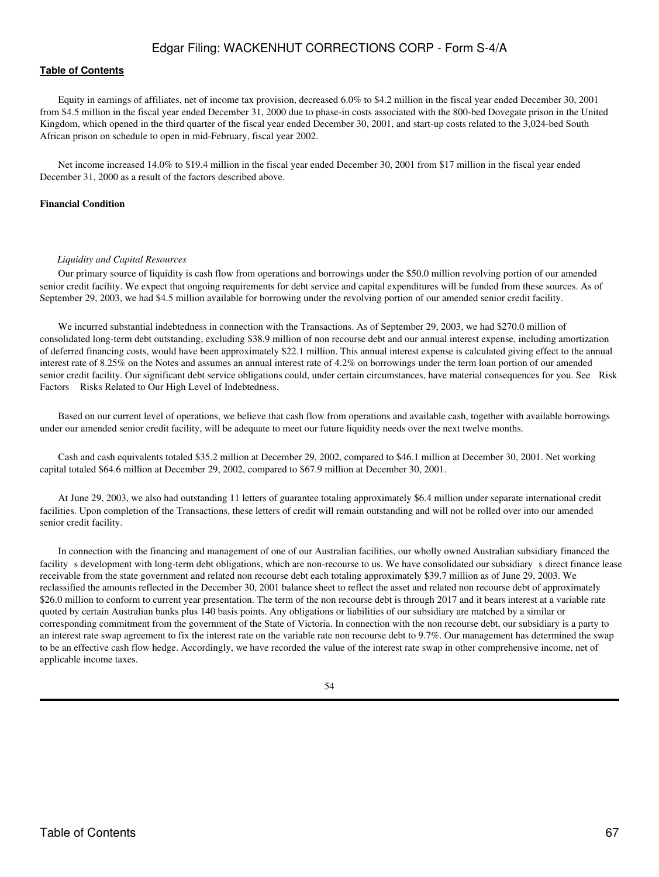## **[Table of Contents](#page-5-0)**

Equity in earnings of affiliates, net of income tax provision, decreased 6.0% to \$4.2 million in the fiscal year ended December 30, 2001 from \$4.5 million in the fiscal year ended December 31, 2000 due to phase-in costs associated with the 800-bed Dovegate prison in the United Kingdom, which opened in the third quarter of the fiscal year ended December 30, 2001, and start-up costs related to the 3,024-bed South African prison on schedule to open in mid-February, fiscal year 2002.

Net income increased 14.0% to \$19.4 million in the fiscal year ended December 30, 2001 from \$17 million in the fiscal year ended December 31, 2000 as a result of the factors described above.

### **Financial Condition**

#### *Liquidity and Capital Resources*

Our primary source of liquidity is cash flow from operations and borrowings under the \$50.0 million revolving portion of our amended senior credit facility. We expect that ongoing requirements for debt service and capital expenditures will be funded from these sources. As of September 29, 2003, we had \$4.5 million available for borrowing under the revolving portion of our amended senior credit facility.

We incurred substantial indebtedness in connection with the Transactions. As of September 29, 2003, we had \$270.0 million of consolidated long-term debt outstanding, excluding \$38.9 million of non recourse debt and our annual interest expense, including amortization of deferred financing costs, would have been approximately \$22.1 million. This annual interest expense is calculated giving effect to the annual interest rate of 8.25% on the Notes and assumes an annual interest rate of 4.2% on borrowings under the term loan portion of our amended senior credit facility. Our significant debt service obligations could, under certain circumstances, have material consequences for you. See Risk Factors Risks Related to Our High Level of Indebtedness.

Based on our current level of operations, we believe that cash flow from operations and available cash, together with available borrowings under our amended senior credit facility, will be adequate to meet our future liquidity needs over the next twelve months.

Cash and cash equivalents totaled \$35.2 million at December 29, 2002, compared to \$46.1 million at December 30, 2001. Net working capital totaled \$64.6 million at December 29, 2002, compared to \$67.9 million at December 30, 2001.

At June 29, 2003, we also had outstanding 11 letters of guarantee totaling approximately \$6.4 million under separate international credit facilities. Upon completion of the Transactions, these letters of credit will remain outstanding and will not be rolled over into our amended senior credit facility.

In connection with the financing and management of one of our Australian facilities, our wholly owned Australian subsidiary financed the facility s development with long-term debt obligations, which are non-recourse to us. We have consolidated our subsidiary s direct finance lease receivable from the state government and related non recourse debt each totaling approximately \$39.7 million as of June 29, 2003. We reclassified the amounts reflected in the December 30, 2001 balance sheet to reflect the asset and related non recourse debt of approximately \$26.0 million to conform to current year presentation. The term of the non recourse debt is through 2017 and it bears interest at a variable rate quoted by certain Australian banks plus 140 basis points. Any obligations or liabilities of our subsidiary are matched by a similar or corresponding commitment from the government of the State of Victoria. In connection with the non recourse debt, our subsidiary is a party to an interest rate swap agreement to fix the interest rate on the variable rate non recourse debt to 9.7%. Our management has determined the swap to be an effective cash flow hedge. Accordingly, we have recorded the value of the interest rate swap in other comprehensive income, net of applicable income taxes.

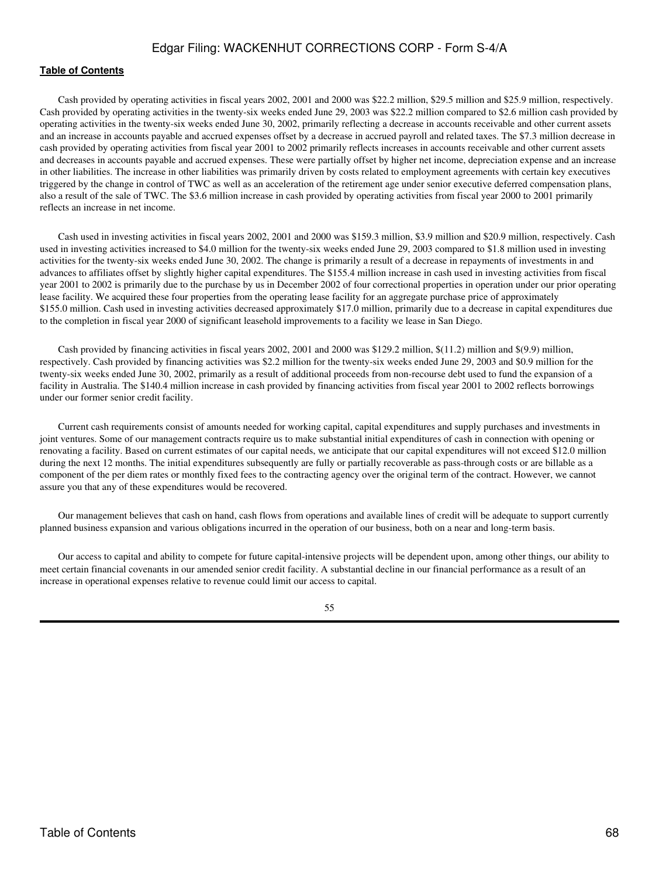## **[Table of Contents](#page-5-0)**

Cash provided by operating activities in fiscal years 2002, 2001 and 2000 was \$22.2 million, \$29.5 million and \$25.9 million, respectively. Cash provided by operating activities in the twenty-six weeks ended June 29, 2003 was \$22.2 million compared to \$2.6 million cash provided by operating activities in the twenty-six weeks ended June 30, 2002, primarily reflecting a decrease in accounts receivable and other current assets and an increase in accounts payable and accrued expenses offset by a decrease in accrued payroll and related taxes. The \$7.3 million decrease in cash provided by operating activities from fiscal year 2001 to 2002 primarily reflects increases in accounts receivable and other current assets and decreases in accounts payable and accrued expenses. These were partially offset by higher net income, depreciation expense and an increase in other liabilities. The increase in other liabilities was primarily driven by costs related to employment agreements with certain key executives triggered by the change in control of TWC as well as an acceleration of the retirement age under senior executive deferred compensation plans, also a result of the sale of TWC. The \$3.6 million increase in cash provided by operating activities from fiscal year 2000 to 2001 primarily reflects an increase in net income.

Cash used in investing activities in fiscal years 2002, 2001 and 2000 was \$159.3 million, \$3.9 million and \$20.9 million, respectively. Cash used in investing activities increased to \$4.0 million for the twenty-six weeks ended June 29, 2003 compared to \$1.8 million used in investing activities for the twenty-six weeks ended June 30, 2002. The change is primarily a result of a decrease in repayments of investments in and advances to affiliates offset by slightly higher capital expenditures. The \$155.4 million increase in cash used in investing activities from fiscal year 2001 to 2002 is primarily due to the purchase by us in December 2002 of four correctional properties in operation under our prior operating lease facility. We acquired these four properties from the operating lease facility for an aggregate purchase price of approximately \$155.0 million. Cash used in investing activities decreased approximately \$17.0 million, primarily due to a decrease in capital expenditures due to the completion in fiscal year 2000 of significant leasehold improvements to a facility we lease in San Diego.

Cash provided by financing activities in fiscal years 2002, 2001 and 2000 was \$129.2 million, \$(11.2) million and \$(9.9) million, respectively. Cash provided by financing activities was \$2.2 million for the twenty-six weeks ended June 29, 2003 and \$0.9 million for the twenty-six weeks ended June 30, 2002, primarily as a result of additional proceeds from non-recourse debt used to fund the expansion of a facility in Australia. The \$140.4 million increase in cash provided by financing activities from fiscal year 2001 to 2002 reflects borrowings under our former senior credit facility.

Current cash requirements consist of amounts needed for working capital, capital expenditures and supply purchases and investments in joint ventures. Some of our management contracts require us to make substantial initial expenditures of cash in connection with opening or renovating a facility. Based on current estimates of our capital needs, we anticipate that our capital expenditures will not exceed \$12.0 million during the next 12 months. The initial expenditures subsequently are fully or partially recoverable as pass-through costs or are billable as a component of the per diem rates or monthly fixed fees to the contracting agency over the original term of the contract. However, we cannot assure you that any of these expenditures would be recovered.

Our management believes that cash on hand, cash flows from operations and available lines of credit will be adequate to support currently planned business expansion and various obligations incurred in the operation of our business, both on a near and long-term basis.

Our access to capital and ability to compete for future capital-intensive projects will be dependent upon, among other things, our ability to meet certain financial covenants in our amended senior credit facility. A substantial decline in our financial performance as a result of an increase in operational expenses relative to revenue could limit our access to capital.

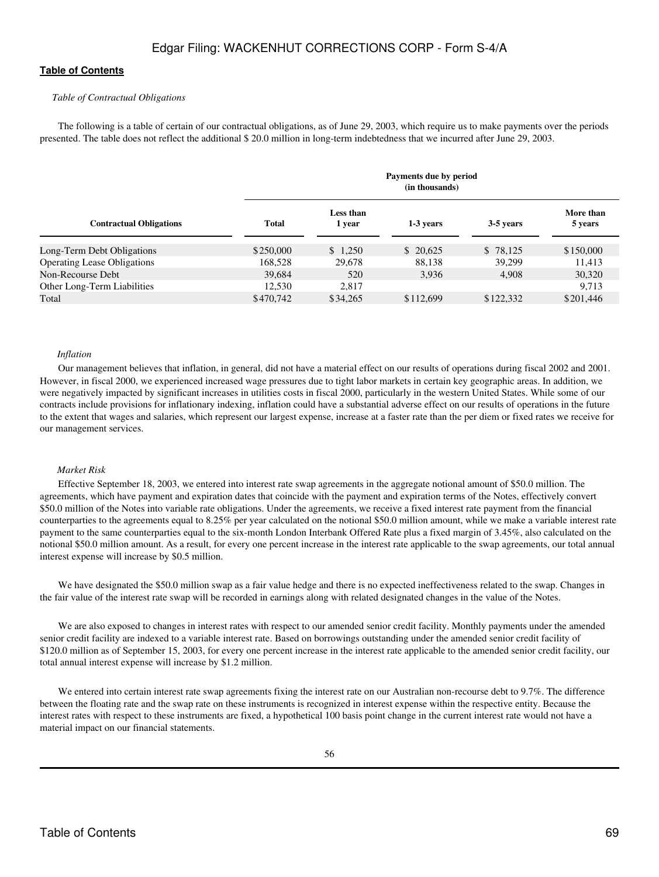### *Table of Contractual Obligations*

The following is a table of certain of our contractual obligations, as of June 29, 2003, which require us to make payments over the periods presented. The table does not reflect the additional \$ 20.0 million in long-term indebtedness that we incurred after June 29, 2003.

| <b>Contractual Obligations</b>     | Payments due by period<br>(in thousands) |                     |           |           |                      |
|------------------------------------|------------------------------------------|---------------------|-----------|-----------|----------------------|
|                                    | <b>Total</b>                             | Less than<br>1 year | 1-3 years | 3-5 years | More than<br>5 years |
| Long-Term Debt Obligations         | \$250,000                                | \$1,250             | \$20,625  | \$78,125  | \$150,000            |
| <b>Operating Lease Obligations</b> | 168.528                                  | 29,678              | 88,138    | 39,299    | 11,413               |
| Non-Recourse Debt                  | 39,684                                   | 520                 | 3,936     | 4,908     | 30,320               |
| Other Long-Term Liabilities        | 12,530                                   | 2.817               |           |           | 9,713                |
| Total                              | \$470,742                                | \$34,265            | \$112,699 | \$122,332 | \$201,446            |

### *Inflation*

Our management believes that inflation, in general, did not have a material effect on our results of operations during fiscal 2002 and 2001. However, in fiscal 2000, we experienced increased wage pressures due to tight labor markets in certain key geographic areas. In addition, we were negatively impacted by significant increases in utilities costs in fiscal 2000, particularly in the western United States. While some of our contracts include provisions for inflationary indexing, inflation could have a substantial adverse effect on our results of operations in the future to the extent that wages and salaries, which represent our largest expense, increase at a faster rate than the per diem or fixed rates we receive for our management services.

## *Market Risk*

Effective September 18, 2003, we entered into interest rate swap agreements in the aggregate notional amount of \$50.0 million. The agreements, which have payment and expiration dates that coincide with the payment and expiration terms of the Notes, effectively convert \$50.0 million of the Notes into variable rate obligations. Under the agreements, we receive a fixed interest rate payment from the financial counterparties to the agreements equal to 8.25% per year calculated on the notional \$50.0 million amount, while we make a variable interest rate payment to the same counterparties equal to the six-month London Interbank Offered Rate plus a fixed margin of 3.45%, also calculated on the notional \$50.0 million amount. As a result, for every one percent increase in the interest rate applicable to the swap agreements, our total annual interest expense will increase by \$0.5 million.

We have designated the \$50.0 million swap as a fair value hedge and there is no expected ineffectiveness related to the swap. Changes in the fair value of the interest rate swap will be recorded in earnings along with related designated changes in the value of the Notes.

We are also exposed to changes in interest rates with respect to our amended senior credit facility. Monthly payments under the amended senior credit facility are indexed to a variable interest rate. Based on borrowings outstanding under the amended senior credit facility of \$120.0 million as of September 15, 2003, for every one percent increase in the interest rate applicable to the amended senior credit facility, our total annual interest expense will increase by \$1.2 million.

We entered into certain interest rate swap agreements fixing the interest rate on our Australian non-recourse debt to 9.7%. The difference between the floating rate and the swap rate on these instruments is recognized in interest expense within the respective entity. Because the interest rates with respect to these instruments are fixed, a hypothetical 100 basis point change in the current interest rate would not have a material impact on our financial statements.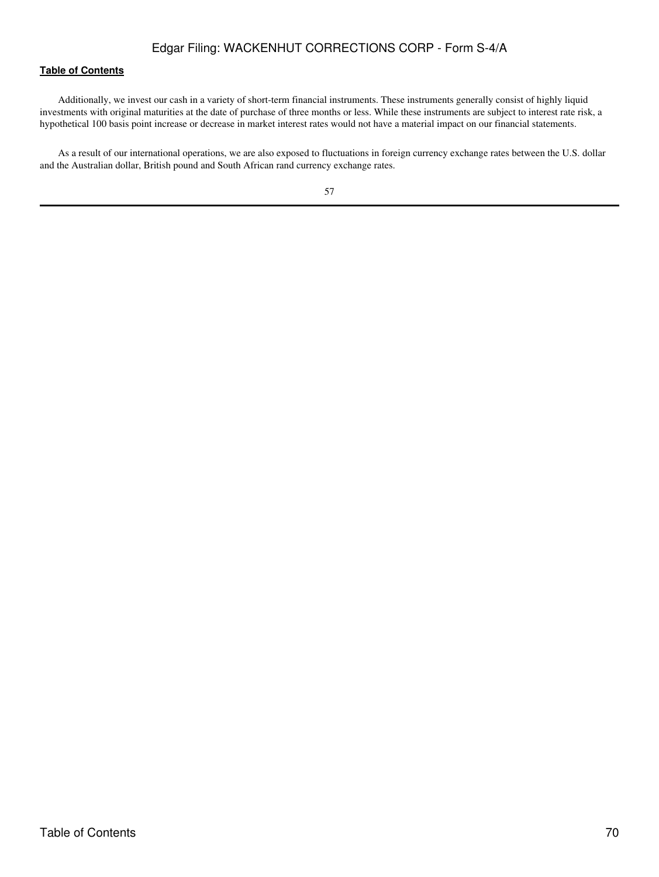## **[Table of Contents](#page-5-0)**

Additionally, we invest our cash in a variety of short-term financial instruments. These instruments generally consist of highly liquid investments with original maturities at the date of purchase of three months or less. While these instruments are subject to interest rate risk, a hypothetical 100 basis point increase or decrease in market interest rates would not have a material impact on our financial statements.

As a result of our international operations, we are also exposed to fluctuations in foreign currency exchange rates between the U.S. dollar and the Australian dollar, British pound and South African rand currency exchange rates.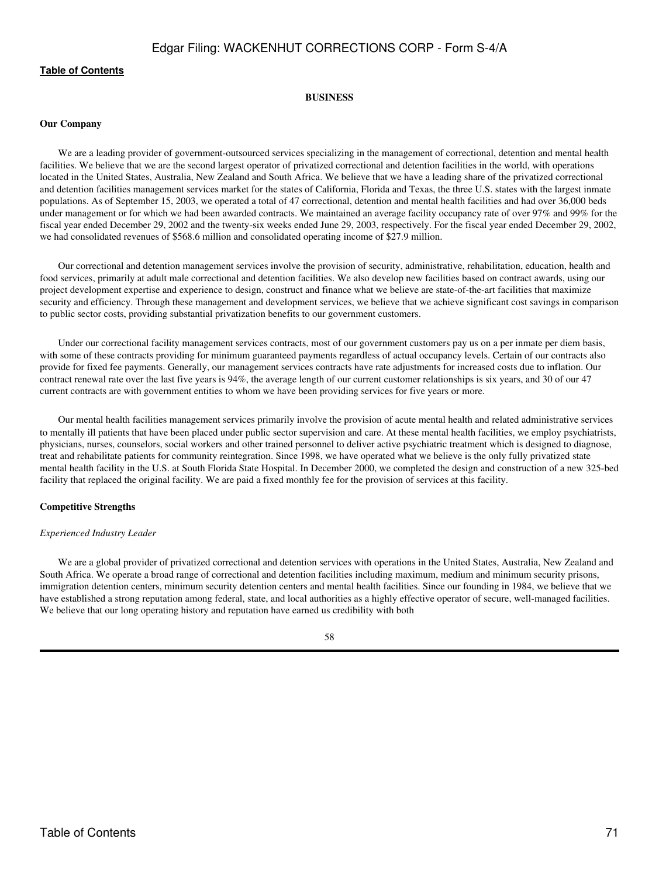## **[Table of Contents](#page-5-0)**

## **BUSINESS**

### **Our Company**

We are a leading provider of government-outsourced services specializing in the management of correctional, detention and mental health facilities. We believe that we are the second largest operator of privatized correctional and detention facilities in the world, with operations located in the United States, Australia, New Zealand and South Africa. We believe that we have a leading share of the privatized correctional and detention facilities management services market for the states of California, Florida and Texas, the three U.S. states with the largest inmate populations. As of September 15, 2003, we operated a total of 47 correctional, detention and mental health facilities and had over 36,000 beds under management or for which we had been awarded contracts. We maintained an average facility occupancy rate of over 97% and 99% for the fiscal year ended December 29, 2002 and the twenty-six weeks ended June 29, 2003, respectively. For the fiscal year ended December 29, 2002, we had consolidated revenues of \$568.6 million and consolidated operating income of \$27.9 million.

Our correctional and detention management services involve the provision of security, administrative, rehabilitation, education, health and food services, primarily at adult male correctional and detention facilities. We also develop new facilities based on contract awards, using our project development expertise and experience to design, construct and finance what we believe are state-of-the-art facilities that maximize security and efficiency. Through these management and development services, we believe that we achieve significant cost savings in comparison to public sector costs, providing substantial privatization benefits to our government customers.

Under our correctional facility management services contracts, most of our government customers pay us on a per inmate per diem basis, with some of these contracts providing for minimum guaranteed payments regardless of actual occupancy levels. Certain of our contracts also provide for fixed fee payments. Generally, our management services contracts have rate adjustments for increased costs due to inflation. Our contract renewal rate over the last five years is 94%, the average length of our current customer relationships is six years, and 30 of our 47 current contracts are with government entities to whom we have been providing services for five years or more.

Our mental health facilities management services primarily involve the provision of acute mental health and related administrative services to mentally ill patients that have been placed under public sector supervision and care. At these mental health facilities, we employ psychiatrists, physicians, nurses, counselors, social workers and other trained personnel to deliver active psychiatric treatment which is designed to diagnose, treat and rehabilitate patients for community reintegration. Since 1998, we have operated what we believe is the only fully privatized state mental health facility in the U.S. at South Florida State Hospital. In December 2000, we completed the design and construction of a new 325-bed facility that replaced the original facility. We are paid a fixed monthly fee for the provision of services at this facility.

## **Competitive Strengths**

### *Experienced Industry Leader*

We are a global provider of privatized correctional and detention services with operations in the United States, Australia, New Zealand and South Africa. We operate a broad range of correctional and detention facilities including maximum, medium and minimum security prisons, immigration detention centers, minimum security detention centers and mental health facilities. Since our founding in 1984, we believe that we have established a strong reputation among federal, state, and local authorities as a highly effective operator of secure, well-managed facilities. We believe that our long operating history and reputation have earned us credibility with both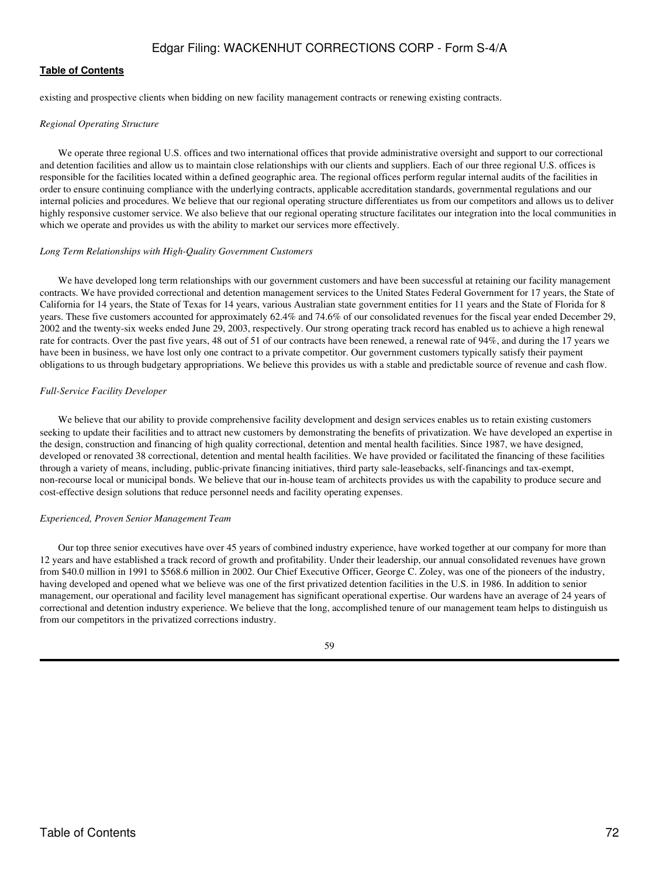### **[Table of Contents](#page-5-0)**

existing and prospective clients when bidding on new facility management contracts or renewing existing contracts.

#### *Regional Operating Structure*

We operate three regional U.S. offices and two international offices that provide administrative oversight and support to our correctional and detention facilities and allow us to maintain close relationships with our clients and suppliers. Each of our three regional U.S. offices is responsible for the facilities located within a defined geographic area. The regional offices perform regular internal audits of the facilities in order to ensure continuing compliance with the underlying contracts, applicable accreditation standards, governmental regulations and our internal policies and procedures. We believe that our regional operating structure differentiates us from our competitors and allows us to deliver highly responsive customer service. We also believe that our regional operating structure facilitates our integration into the local communities in which we operate and provides us with the ability to market our services more effectively.

#### *Long Term Relationships with High-Quality Government Customers*

We have developed long term relationships with our government customers and have been successful at retaining our facility management contracts. We have provided correctional and detention management services to the United States Federal Government for 17 years, the State of California for 14 years, the State of Texas for 14 years, various Australian state government entities for 11 years and the State of Florida for 8 years. These five customers accounted for approximately 62.4% and 74.6% of our consolidated revenues for the fiscal year ended December 29, 2002 and the twenty-six weeks ended June 29, 2003, respectively. Our strong operating track record has enabled us to achieve a high renewal rate for contracts. Over the past five years, 48 out of 51 of our contracts have been renewed, a renewal rate of 94%, and during the 17 years we have been in business, we have lost only one contract to a private competitor. Our government customers typically satisfy their payment obligations to us through budgetary appropriations. We believe this provides us with a stable and predictable source of revenue and cash flow.

### *Full-Service Facility Developer*

We believe that our ability to provide comprehensive facility development and design services enables us to retain existing customers seeking to update their facilities and to attract new customers by demonstrating the benefits of privatization. We have developed an expertise in the design, construction and financing of high quality correctional, detention and mental health facilities. Since 1987, we have designed, developed or renovated 38 correctional, detention and mental health facilities. We have provided or facilitated the financing of these facilities through a variety of means, including, public-private financing initiatives, third party sale-leasebacks, self-financings and tax-exempt, non-recourse local or municipal bonds. We believe that our in-house team of architects provides us with the capability to produce secure and cost-effective design solutions that reduce personnel needs and facility operating expenses.

#### *Experienced, Proven Senior Management Team*

Our top three senior executives have over 45 years of combined industry experience, have worked together at our company for more than 12 years and have established a track record of growth and profitability. Under their leadership, our annual consolidated revenues have grown from \$40.0 million in 1991 to \$568.6 million in 2002. Our Chief Executive Officer, George C. Zoley, was one of the pioneers of the industry, having developed and opened what we believe was one of the first privatized detention facilities in the U.S. in 1986. In addition to senior management, our operational and facility level management has significant operational expertise. Our wardens have an average of 24 years of correctional and detention industry experience. We believe that the long, accomplished tenure of our management team helps to distinguish us from our competitors in the privatized corrections industry.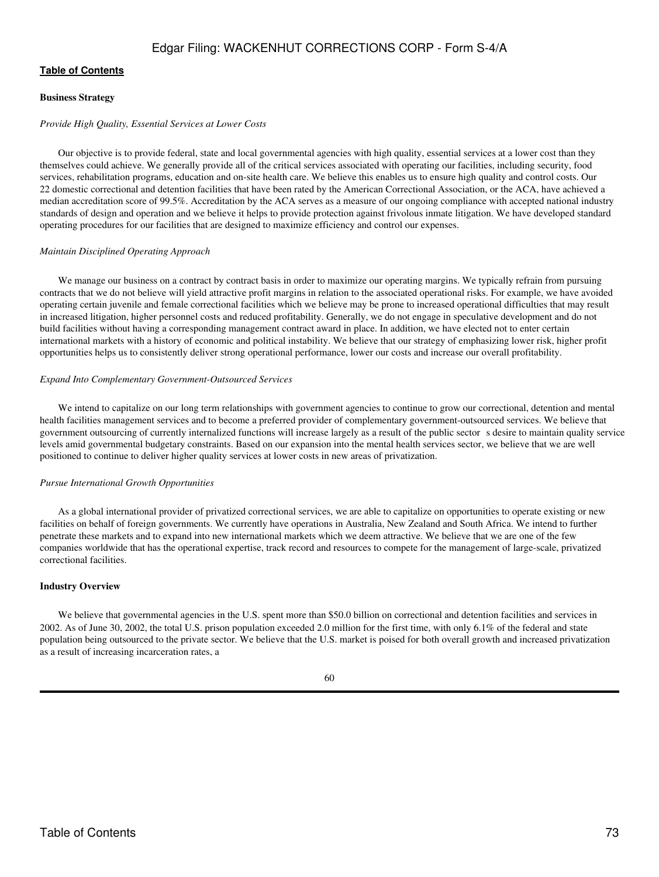### **Business Strategy**

#### *Provide High Quality, Essential Services at Lower Costs*

Our objective is to provide federal, state and local governmental agencies with high quality, essential services at a lower cost than they themselves could achieve. We generally provide all of the critical services associated with operating our facilities, including security, food services, rehabilitation programs, education and on-site health care. We believe this enables us to ensure high quality and control costs. Our 22 domestic correctional and detention facilities that have been rated by the American Correctional Association, or the ACA, have achieved a median accreditation score of 99.5%. Accreditation by the ACA serves as a measure of our ongoing compliance with accepted national industry standards of design and operation and we believe it helps to provide protection against frivolous inmate litigation. We have developed standard operating procedures for our facilities that are designed to maximize efficiency and control our expenses.

#### *Maintain Disciplined Operating Approach*

We manage our business on a contract by contract basis in order to maximize our operating margins. We typically refrain from pursuing contracts that we do not believe will yield attractive profit margins in relation to the associated operational risks. For example, we have avoided operating certain juvenile and female correctional facilities which we believe may be prone to increased operational difficulties that may result in increased litigation, higher personnel costs and reduced profitability. Generally, we do not engage in speculative development and do not build facilities without having a corresponding management contract award in place. In addition, we have elected not to enter certain international markets with a history of economic and political instability. We believe that our strategy of emphasizing lower risk, higher profit opportunities helps us to consistently deliver strong operational performance, lower our costs and increase our overall profitability.

#### *Expand Into Complementary Government-Outsourced Services*

We intend to capitalize on our long term relationships with government agencies to continue to grow our correctional, detention and mental health facilities management services and to become a preferred provider of complementary government-outsourced services. We believe that government outsourcing of currently internalized functions will increase largely as a result of the public sectors desire to maintain quality service levels amid governmental budgetary constraints. Based on our expansion into the mental health services sector, we believe that we are well positioned to continue to deliver higher quality services at lower costs in new areas of privatization.

#### *Pursue International Growth Opportunities*

As a global international provider of privatized correctional services, we are able to capitalize on opportunities to operate existing or new facilities on behalf of foreign governments. We currently have operations in Australia, New Zealand and South Africa. We intend to further penetrate these markets and to expand into new international markets which we deem attractive. We believe that we are one of the few companies worldwide that has the operational expertise, track record and resources to compete for the management of large-scale, privatized correctional facilities.

### **Industry Overview**

We believe that governmental agencies in the U.S. spent more than \$50.0 billion on correctional and detention facilities and services in 2002. As of June 30, 2002, the total U.S. prison population exceeded 2.0 million for the first time, with only 6.1% of the federal and state population being outsourced to the private sector. We believe that the U.S. market is poised for both overall growth and increased privatization as a result of increasing incarceration rates, a

#### 60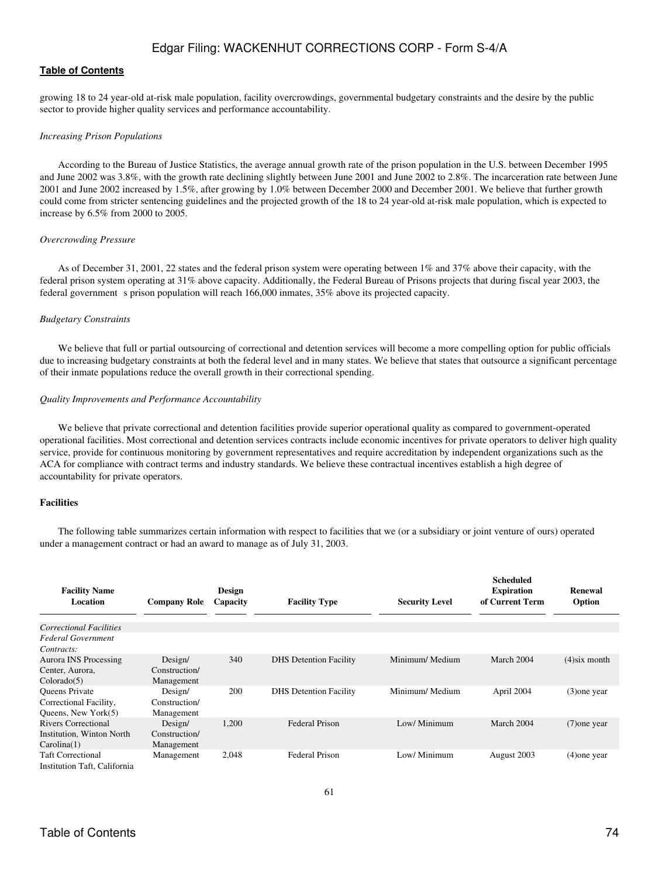#### **[Table of Contents](#page-5-0)**

growing 18 to 24 year-old at-risk male population, facility overcrowdings, governmental budgetary constraints and the desire by the public sector to provide higher quality services and performance accountability.

#### *Increasing Prison Populations*

According to the Bureau of Justice Statistics, the average annual growth rate of the prison population in the U.S. between December 1995 and June 2002 was 3.8%, with the growth rate declining slightly between June 2001 and June 2002 to 2.8%. The incarceration rate between June 2001 and June 2002 increased by 1.5%, after growing by 1.0% between December 2000 and December 2001. We believe that further growth could come from stricter sentencing guidelines and the projected growth of the 18 to 24 year-old at-risk male population, which is expected to increase by 6.5% from 2000 to 2005.

#### *Overcrowding Pressure*

As of December 31, 2001, 22 states and the federal prison system were operating between 1% and 37% above their capacity, with the federal prison system operating at 31% above capacity. Additionally, the Federal Bureau of Prisons projects that during fiscal year 2003, the federal government s prison population will reach 166,000 inmates, 35% above its projected capacity.

#### *Budgetary Constraints*

We believe that full or partial outsourcing of correctional and detention services will become a more compelling option for public officials due to increasing budgetary constraints at both the federal level and in many states. We believe that states that outsource a significant percentage of their inmate populations reduce the overall growth in their correctional spending.

#### *Quality Improvements and Performance Accountability*

We believe that private correctional and detention facilities provide superior operational quality as compared to government-operated operational facilities. Most correctional and detention services contracts include economic incentives for private operators to deliver high quality service, provide for continuous monitoring by government representatives and require accreditation by independent organizations such as the ACA for compliance with contract terms and industry standards. We believe these contractual incentives establish a high degree of accountability for private operators.

#### **Facilities**

The following table summarizes certain information with respect to facilities that we (or a subsidiary or joint venture of ours) operated under a management contract or had an award to manage as of July 31, 2003.

| <b>Facility Name</b><br><b>Location</b> | <b>Company Role</b> | Design<br>Capacity | <b>Facility Type</b>          | <b>Security Level</b> | <b>Scheduled</b><br><b>Expiration</b><br>of Current Term | Renewal<br>Option |
|-----------------------------------------|---------------------|--------------------|-------------------------------|-----------------------|----------------------------------------------------------|-------------------|
| <b>Correctional Facilities</b>          |                     |                    |                               |                       |                                                          |                   |
| <b>Federal Government</b>               |                     |                    |                               |                       |                                                          |                   |
| Contracts:                              |                     |                    |                               |                       |                                                          |                   |
| Aurora INS Processing                   | Design/             | 340                | <b>DHS</b> Detention Facility | Minimum/Medium        | March 2004                                               | $(4)$ six month   |
| Center, Aurora,                         | Construction/       |                    |                               |                       |                                                          |                   |
| Colorado(5)                             | Management          |                    |                               |                       |                                                          |                   |
| <b>Oueens</b> Private                   | Design/             | 200                | <b>DHS</b> Detention Facility | Minimum/Medium        | April 2004                                               | $(3)$ one year    |
| Correctional Facility,                  | Construction/       |                    |                               |                       |                                                          |                   |
| Queens, New York(5)                     | Management          |                    |                               |                       |                                                          |                   |
| <b>Rivers Correctional</b>              | Design/             | 1,200              | <b>Federal Prison</b>         | Low/Minimum           | March 2004                                               | $(7)$ one year    |
| Institution, Winton North               | Construction/       |                    |                               |                       |                                                          |                   |
| Carolina(1)                             | Management          |                    |                               |                       |                                                          |                   |
| <b>Taft Correctional</b>                | Management          | 2,048              | <b>Federal Prison</b>         | Low/ Minimum          | August 2003                                              | $(4)$ one year    |
| Institution Taft, California            |                     |                    |                               |                       |                                                          |                   |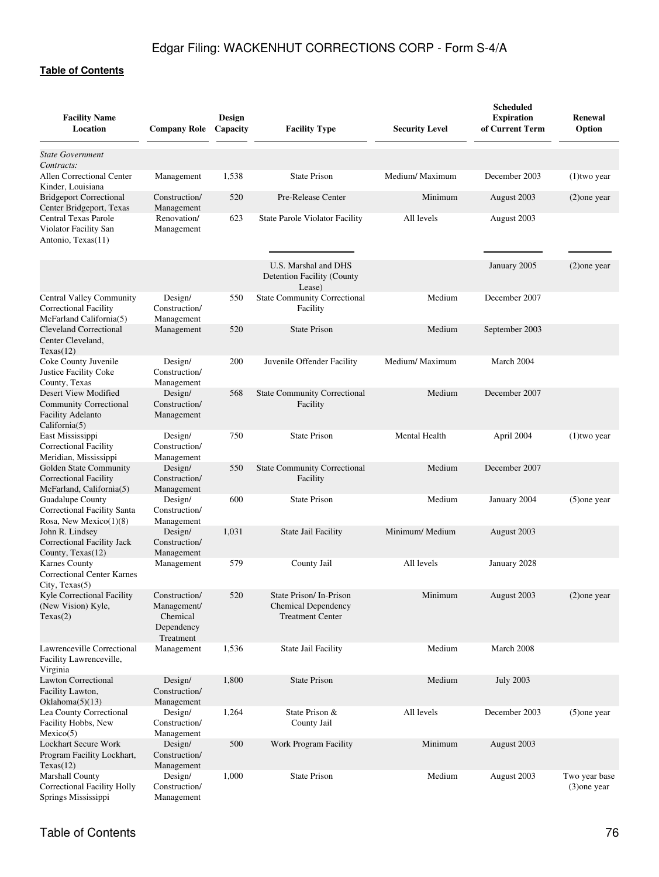| <b>Facility Name</b><br>Location                                                                   | <b>Company Role</b>                                                 | Design<br>Capacity | <b>Facility Type</b>                                                     | <b>Security Level</b> | <b>Scheduled</b><br><b>Expiration</b><br>of Current Term | <b>Renewal</b><br>Option        |
|----------------------------------------------------------------------------------------------------|---------------------------------------------------------------------|--------------------|--------------------------------------------------------------------------|-----------------------|----------------------------------------------------------|---------------------------------|
| State Government<br>Contracts:                                                                     |                                                                     |                    |                                                                          |                       |                                                          |                                 |
| <b>Allen Correctional Center</b><br>Kinder, Louisiana                                              | Management                                                          | 1,538              | <b>State Prison</b>                                                      | Medium/ Maximum       | December 2003                                            | $(1)$ two year                  |
| <b>Bridgeport Correctional</b><br>Center Bridgeport, Texas                                         | Construction/<br>Management                                         | 520                | Pre-Release Center                                                       | Minimum               | August 2003                                              | $(2)$ one year                  |
| <b>Central Texas Parole</b><br>Violator Facility San<br>Antonio, Texas(11)                         | Renovation/<br>Management                                           | 623                | State Parole Violator Facility                                           | All levels            | August 2003                                              |                                 |
|                                                                                                    |                                                                     |                    | U.S. Marshal and DHS<br>Detention Facility (County<br>Lease)             |                       | January 2005                                             | $(2)$ one year                  |
| <b>Central Valley Community</b><br><b>Correctional Facility</b><br>McFarland California(5)         | Design/<br>Construction/<br>Management                              | 550                | <b>State Community Correctional</b><br>Facility                          | Medium                | December 2007                                            |                                 |
| <b>Cleveland Correctional</b><br>Center Cleveland,<br>Texas(12)                                    | Management                                                          | 520                | <b>State Prison</b>                                                      | Medium                | September 2003                                           |                                 |
| Coke County Juvenile<br>Justice Facility Coke<br>County, Texas                                     | Design/<br>Construction/<br>Management                              | 200                | Juvenile Offender Facility                                               | Medium/ Maximum       | March 2004                                               |                                 |
| Desert View Modified<br><b>Community Correctional</b><br><b>Facility Adelanto</b><br>California(5) | Design/<br>Construction/<br>Management                              | 568                | <b>State Community Correctional</b><br>Facility                          | Medium                | December 2007                                            |                                 |
| East Mississippi<br><b>Correctional Facility</b><br>Meridian, Mississippi                          | Design/<br>Construction/<br>Management                              | 750                | <b>State Prison</b>                                                      | Mental Health         | April 2004                                               | $(1)$ two year                  |
| Golden State Community<br><b>Correctional Facility</b><br>McFarland, California(5)                 | Design/<br>Construction/<br>Management                              | 550                | <b>State Community Correctional</b><br>Facility                          | Medium                | December 2007                                            |                                 |
| Guadalupe County<br>Correctional Facility Santa<br>Rosa, New Mexico(1)(8)                          | Design/<br>Construction/<br>Management                              | 600                | <b>State Prison</b>                                                      | Medium                | January 2004                                             | $(5)$ one year                  |
| John R. Lindsey<br>Correctional Facility Jack<br>County, Texas(12)                                 | Design/<br>Construction/<br>Management                              | 1,031              | <b>State Jail Facility</b>                                               | Minimum/Medium        | August 2003                                              |                                 |
| <b>Karnes County</b><br><b>Correctional Center Karnes</b><br>City, Texas(5)                        | Management                                                          | 579                | County Jail                                                              | All levels            | January 2028                                             |                                 |
| Kyle Correctional Facility<br>(New Vision) Kyle,<br>Texas(2)                                       | Construction/<br>Management/<br>Chemical<br>Dependency<br>Treatment | 520                | State Prison/In-Prison<br>Chemical Dependency<br><b>Treatment Center</b> | Minimum               | August 2003                                              | $(2)$ one year                  |
| Lawrenceville Correctional<br>Facility Lawrenceville,<br>Virginia                                  | Management                                                          | 1,536              | <b>State Jail Facility</b>                                               | Medium                | March 2008                                               |                                 |
| <b>Lawton Correctional</b><br>Facility Lawton,<br>Oklahoma(5)(13)                                  | Design/<br>Construction/<br>Management                              | 1,800              | <b>State Prison</b>                                                      | Medium                | <b>July 2003</b>                                         |                                 |
| Lea County Correctional<br>Facility Hobbs, New<br>Mexico(5)                                        | Design/<br>Construction/<br>Management                              | 1,264              | State Prison &<br>County Jail                                            | All levels            | December 2003                                            | $(5)$ one year                  |
| <b>Lockhart Secure Work</b><br>Program Facility Lockhart,<br>Texas(12)                             | Design/<br>Construction/<br>Management                              | 500                | Work Program Facility                                                    | Minimum               | August 2003                                              |                                 |
| <b>Marshall County</b><br>Correctional Facility Holly<br>Springs Mississippi                       | Design/<br>Construction/<br>Management                              | 1,000              | <b>State Prison</b>                                                      | Medium                | August 2003                                              | Two year base<br>$(3)$ one year |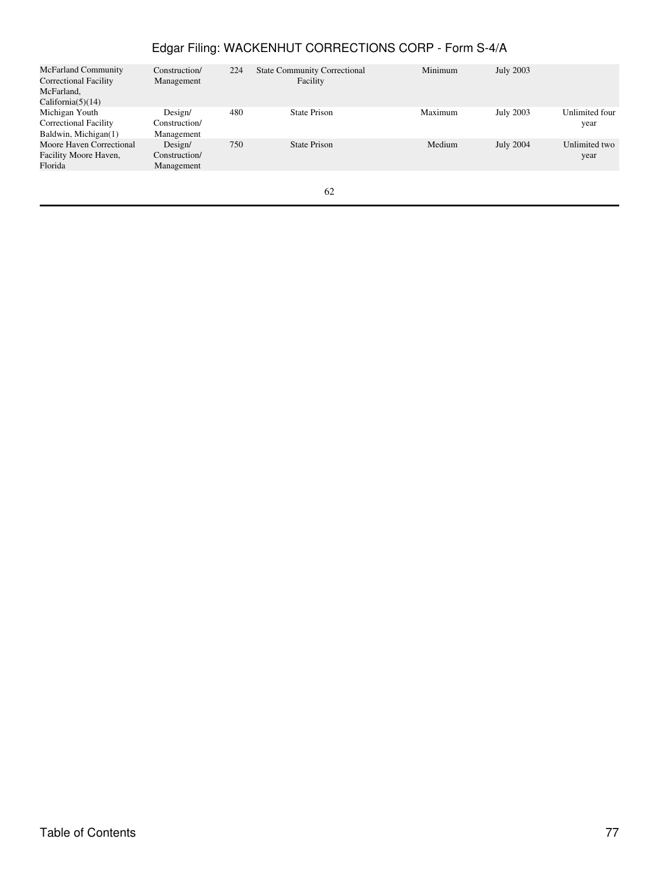| <b>McFarland Community</b><br>Correctional Facility<br>McFarland,<br>California $(5)(14)$ | Construction/<br>Management            | 224 | <b>State Community Correctional</b><br>Facility | Minimum | July 2003        |                        |
|-------------------------------------------------------------------------------------------|----------------------------------------|-----|-------------------------------------------------|---------|------------------|------------------------|
| Michigan Youth<br>Correctional Facility<br>Baldwin, Michigan(1)                           | Design/<br>Construction/<br>Management | 480 | <b>State Prison</b>                             | Maximum | July 2003        | Unlimited four<br>year |
| Moore Haven Correctional<br>Facility Moore Haven,<br>Florida                              | Design/<br>Construction/<br>Management | 750 | State Prison                                    | Medium  | <b>July 2004</b> | Unlimited two<br>year  |
|                                                                                           |                                        |     | 62                                              |         |                  |                        |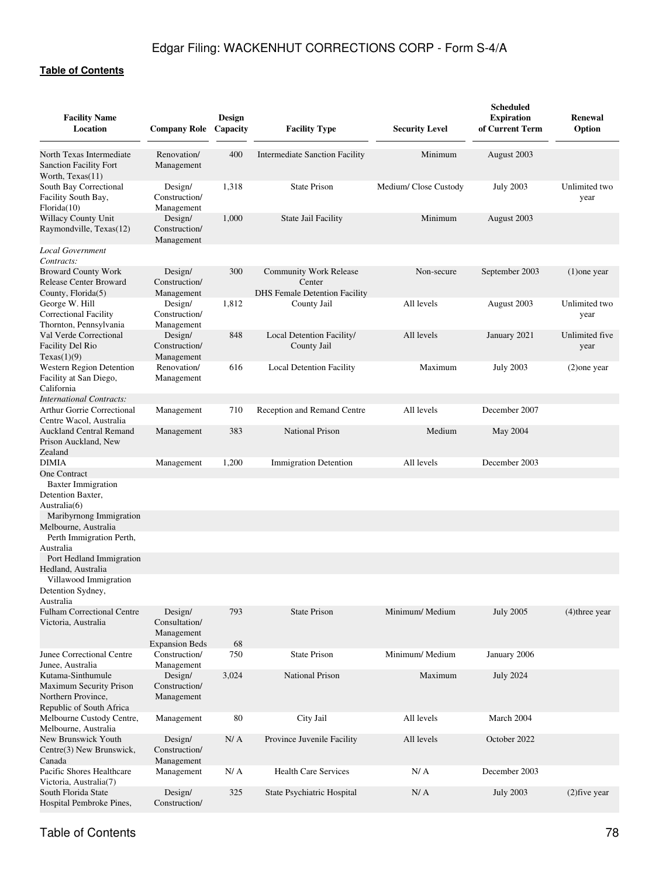| <b>Facility Name</b><br>Location                                                                      | <b>Company Role</b>                                             | Design<br>Capacity | <b>Facility Type</b>                                                     | <b>Security Level</b> | <b>Scheduled</b><br><b>Expiration</b><br>of Current Term | <b>Renewal</b><br>Option |
|-------------------------------------------------------------------------------------------------------|-----------------------------------------------------------------|--------------------|--------------------------------------------------------------------------|-----------------------|----------------------------------------------------------|--------------------------|
| North Texas Intermediate<br><b>Sanction Facility Fort</b><br>Worth, Texas(11)                         | Renovation/<br>Management                                       | 400                | <b>Intermediate Sanction Facility</b>                                    | Minimum               | August 2003                                              |                          |
| South Bay Correctional<br>Facility South Bay,<br>Florida(10)                                          | Design/<br>Construction/<br>Management                          | 1,318              | <b>State Prison</b>                                                      | Medium/Close Custody  | <b>July 2003</b>                                         | Unlimited two<br>year    |
| Willacy County Unit<br>Raymondville, Texas(12)                                                        | Design/<br>Construction/<br>Management                          | 1,000              | <b>State Jail Facility</b>                                               | Minimum               | August 2003                                              |                          |
| <b>Local Government</b><br>Contracts:                                                                 |                                                                 |                    |                                                                          |                       |                                                          |                          |
| <b>Broward County Work</b><br><b>Release Center Broward</b><br>County, Florida(5)                     | Design/<br>Construction/<br>Management                          | 300                | Community Work Release<br>Center<br><b>DHS Female Detention Facility</b> | Non-secure            | September 2003                                           | $(1)$ one year           |
| George W. Hill<br><b>Correctional Facility</b><br>Thornton, Pennsylvania                              | Design/<br>Construction/<br>Management                          | 1,812              | County Jail                                                              | All levels            | August 2003                                              | Unlimited two<br>year    |
| Val Verde Correctional<br>Facility Del Rio<br>Texas(1)(9)                                             | Design/<br>Construction/<br>Management                          | 848                | Local Detention Facility/<br>County Jail                                 | All levels            | January 2021                                             | Unlimited five<br>year   |
| Western Region Detention<br>Facility at San Diego,<br>California                                      | Renovation/<br>Management                                       | 616                | Local Detention Facility                                                 | Maximum               | <b>July 2003</b>                                         | $(2)$ one year           |
| <b>International Contracts:</b><br><b>Arthur Gorrie Correctional</b><br>Centre Wacol, Australia       | Management                                                      | 710                | Reception and Remand Centre                                              | All levels            | December 2007                                            |                          |
| <b>Auckland Central Remand</b><br>Prison Auckland, New<br>Zealand                                     | Management                                                      | 383                | <b>National Prison</b>                                                   | Medium                | May 2004                                                 |                          |
| <b>DIMIA</b><br><b>One Contract</b>                                                                   | Management                                                      | 1,200              | <b>Immigration Detention</b>                                             | All levels            | December 2003                                            |                          |
| <b>Baxter Immigration</b><br>Detention Baxter,<br>Australia(6)                                        |                                                                 |                    |                                                                          |                       |                                                          |                          |
| Maribyrnong Immigration<br>Melbourne, Australia<br>Perth Immigration Perth,                           |                                                                 |                    |                                                                          |                       |                                                          |                          |
| Australia<br>Port Hedland Immigration                                                                 |                                                                 |                    |                                                                          |                       |                                                          |                          |
| Hedland, Australia<br>Villawood Immigration<br>Detention Sydney,<br>Australia                         |                                                                 |                    |                                                                          |                       |                                                          |                          |
| <b>Fulham Correctional Centre</b><br>Victoria, Australia                                              | Design/<br>Consultation/<br>Management<br><b>Expansion Beds</b> | 793<br>68          | <b>State Prison</b>                                                      | Minimum/ Medium       | <b>July 2005</b>                                         | $(4)$ three year         |
| Junee Correctional Centre<br>Junee, Australia                                                         | Construction/<br>Management                                     | 750                | <b>State Prison</b>                                                      | Minimum/Medium        | January 2006                                             |                          |
| Kutama-Sinthumule<br><b>Maximum Security Prison</b><br>Northern Province,<br>Republic of South Africa | Design/<br>Construction/<br>Management                          | 3,024              | National Prison                                                          | Maximum               | <b>July 2024</b>                                         |                          |
| Melbourne Custody Centre,<br>Melbourne, Australia                                                     | Management                                                      | $80\,$             | City Jail                                                                | All levels            | March 2004                                               |                          |
| New Brunswick Youth<br>Centre(3) New Brunswick,<br>Canada                                             | Design/<br>Construction/<br>Management                          | N/A                | Province Juvenile Facility                                               | All levels            | October 2022                                             |                          |
| Pacific Shores Healthcare<br>Victoria, Australia(7)                                                   | Management                                                      | N/A                | <b>Health Care Services</b>                                              | N/A                   | December 2003                                            |                          |
| South Florida State<br>Hospital Pembroke Pines,                                                       | Design/<br>Construction/                                        | 325                | State Psychiatric Hospital                                               | N/A                   | <b>July 2003</b>                                         | $(2)$ five year          |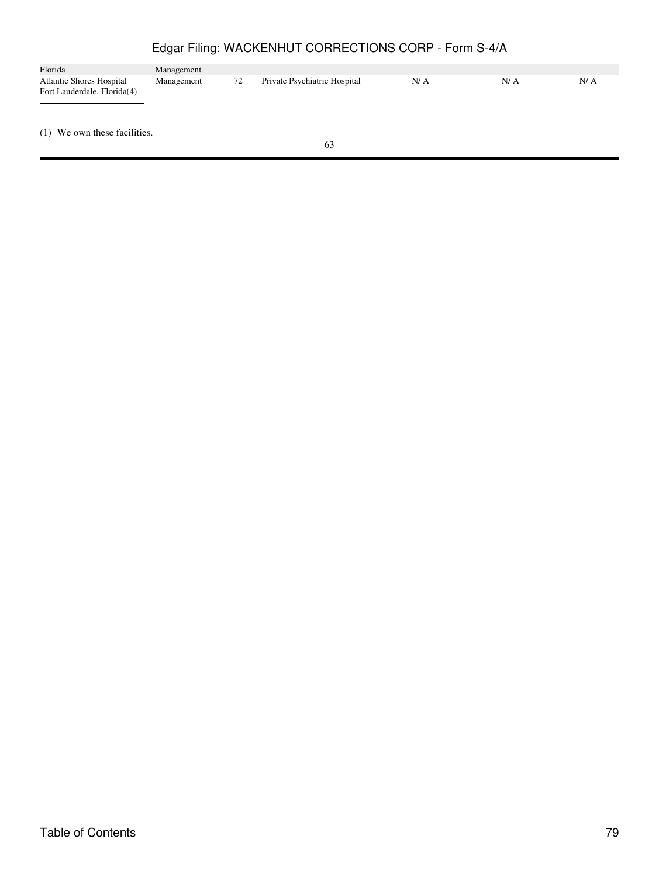| Florida                                                        | Management |    |                              |     |     |     |
|----------------------------------------------------------------|------------|----|------------------------------|-----|-----|-----|
| <b>Atlantic Shores Hospital</b><br>Fort Lauderdale, Florida(4) | Management | 72 | Private Psychiatric Hospital | N/A | N/A | N/A |
| (1) We own these facilities.                                   |            |    |                              |     |     |     |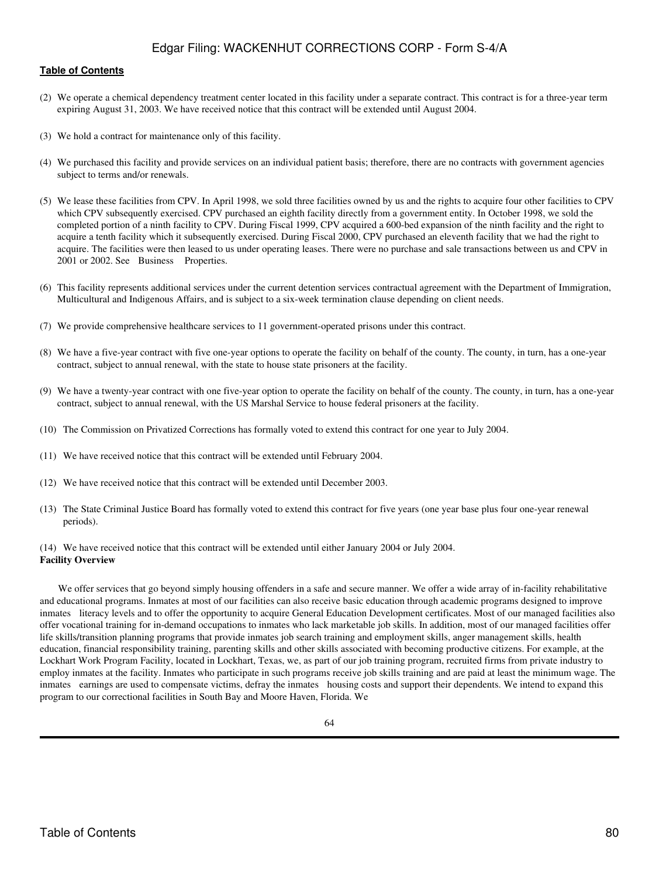### **[Table of Contents](#page-5-0)**

- (2) We operate a chemical dependency treatment center located in this facility under a separate contract. This contract is for a three-year term expiring August 31, 2003. We have received notice that this contract will be extended until August 2004.
- (3) We hold a contract for maintenance only of this facility.
- (4) We purchased this facility and provide services on an individual patient basis; therefore, there are no contracts with government agencies subject to terms and/or renewals.
- (5) We lease these facilities from CPV. In April 1998, we sold three facilities owned by us and the rights to acquire four other facilities to CPV which CPV subsequently exercised. CPV purchased an eighth facility directly from a government entity. In October 1998, we sold the completed portion of a ninth facility to CPV. During Fiscal 1999, CPV acquired a 600-bed expansion of the ninth facility and the right to acquire a tenth facility which it subsequently exercised. During Fiscal 2000, CPV purchased an eleventh facility that we had the right to acquire. The facilities were then leased to us under operating leases. There were no purchase and sale transactions between us and CPV in 2001 or 2002. See Business Properties.
- (6) This facility represents additional services under the current detention services contractual agreement with the Department of Immigration, Multicultural and Indigenous Affairs, and is subject to a six-week termination clause depending on client needs.
- (7) We provide comprehensive healthcare services to 11 government-operated prisons under this contract.
- (8) We have a five-year contract with five one-year options to operate the facility on behalf of the county. The county, in turn, has a one-year contract, subject to annual renewal, with the state to house state prisoners at the facility.
- (9) We have a twenty-year contract with one five-year option to operate the facility on behalf of the county. The county, in turn, has a one-year contract, subject to annual renewal, with the US Marshal Service to house federal prisoners at the facility.
- (10) The Commission on Privatized Corrections has formally voted to extend this contract for one year to July 2004.
- (11) We have received notice that this contract will be extended until February 2004.
- (12) We have received notice that this contract will be extended until December 2003.
- (13) The State Criminal Justice Board has formally voted to extend this contract for five years (one year base plus four one-year renewal periods).

#### (14) We have received notice that this contract will be extended until either January 2004 or July 2004. **Facility Overview**

We offer services that go beyond simply housing offenders in a safe and secure manner. We offer a wide array of in-facility rehabilitative and educational programs. Inmates at most of our facilities can also receive basic education through academic programs designed to improve inmates literacy levels and to offer the opportunity to acquire General Education Development certificates. Most of our managed facilities also offer vocational training for in-demand occupations to inmates who lack marketable job skills. In addition, most of our managed facilities offer life skills/transition planning programs that provide inmates job search training and employment skills, anger management skills, health education, financial responsibility training, parenting skills and other skills associated with becoming productive citizens. For example, at the Lockhart Work Program Facility, located in Lockhart, Texas, we, as part of our job training program, recruited firms from private industry to employ inmates at the facility. Inmates who participate in such programs receive job skills training and are paid at least the minimum wage. The inmates earnings are used to compensate victims, defray the inmates housing costs and support their dependents. We intend to expand this program to our correctional facilities in South Bay and Moore Haven, Florida. We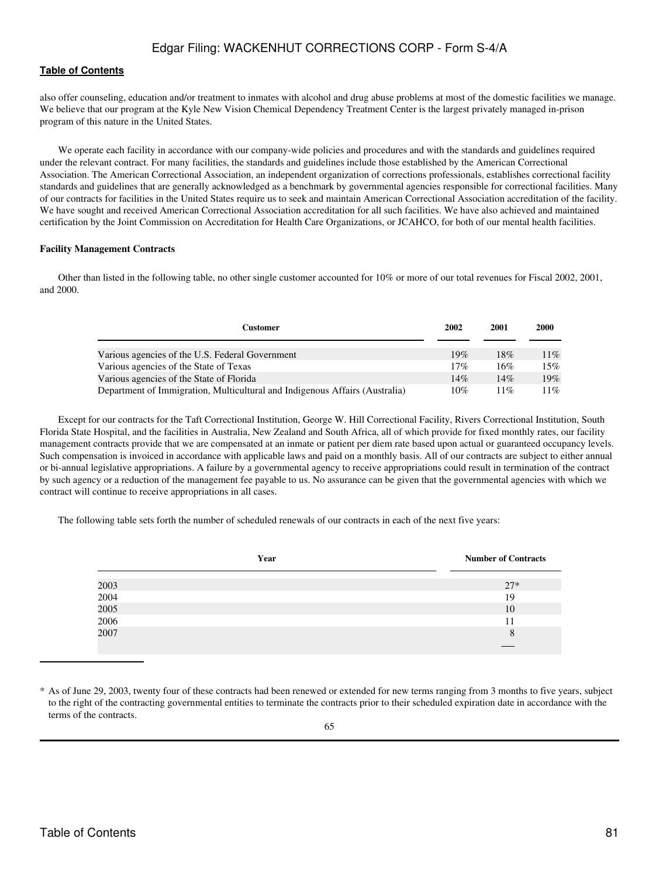also offer counseling, education and/or treatment to inmates with alcohol and drug abuse problems at most of the domestic facilities we manage. We believe that our program at the Kyle New Vision Chemical Dependency Treatment Center is the largest privately managed in-prison program of this nature in the United States.

We operate each facility in accordance with our company-wide policies and procedures and with the standards and guidelines required under the relevant contract. For many facilities, the standards and guidelines include those established by the American Correctional Association. The American Correctional Association, an independent organization of corrections professionals, establishes correctional facility standards and guidelines that are generally acknowledged as a benchmark by governmental agencies responsible for correctional facilities. Many of our contracts for facilities in the United States require us to seek and maintain American Correctional Association accreditation of the facility. We have sought and received American Correctional Association accreditation for all such facilities. We have also achieved and maintained certification by the Joint Commission on Accreditation for Health Care Organizations, or JCAHCO, for both of our mental health facilities.

#### **Facility Management Contracts**

Other than listed in the following table, no other single customer accounted for 10% or more of our total revenues for Fiscal 2002, 2001, and 2000.

| <b>Customer</b>                                                             | 2002 | 2001   | 2000 |
|-----------------------------------------------------------------------------|------|--------|------|
|                                                                             |      |        |      |
| Various agencies of the U.S. Federal Government                             | 19%  | 18%    | 11%  |
| Various agencies of the State of Texas                                      | 17%  | 16%    | 15%  |
| Various agencies of the State of Florida                                    | 14%  | 14%    | 19%  |
| Department of Immigration, Multicultural and Indigenous Affairs (Australia) | 10%  | $11\%$ | 11%  |

Except for our contracts for the Taft Correctional Institution, George W. Hill Correctional Facility, Rivers Correctional Institution, South Florida State Hospital, and the facilities in Australia, New Zealand and South Africa, all of which provide for fixed monthly rates, our facility management contracts provide that we are compensated at an inmate or patient per diem rate based upon actual or guaranteed occupancy levels. Such compensation is invoiced in accordance with applicable laws and paid on a monthly basis. All of our contracts are subject to either annual or bi-annual legislative appropriations. A failure by a governmental agency to receive appropriations could result in termination of the contract by such agency or a reduction of the management fee payable to us. No assurance can be given that the governmental agencies with which we contract will continue to receive appropriations in all cases.

The following table sets forth the number of scheduled renewals of our contracts in each of the next five years:

| 2003<br>2004<br>2005<br>2006<br>2007<br>$27*$<br>19 | <b>Number of Contracts</b> |
|-----------------------------------------------------|----------------------------|
|                                                     |                            |
|                                                     |                            |
|                                                     |                            |
| 10                                                  |                            |
| 11                                                  |                            |
| 8                                                   |                            |

\* As of June 29, 2003, twenty four of these contracts had been renewed or extended for new terms ranging from 3 months to five years, subject to the right of the contracting governmental entities to terminate the contracts prior to their scheduled expiration date in accordance with the terms of the contracts.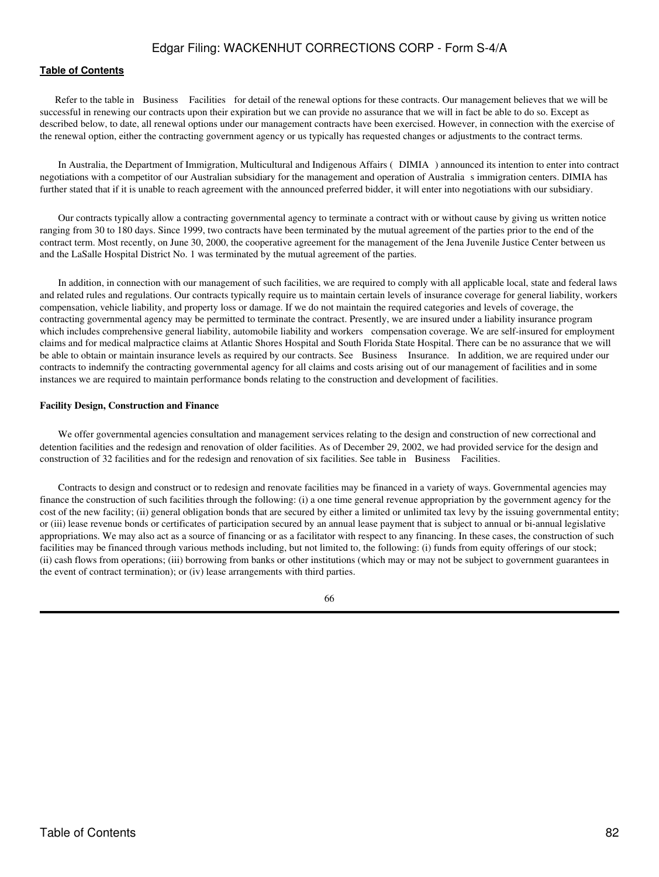### **[Table of Contents](#page-5-0)**

Refer to the table in Business Facilities for detail of the renewal options for these contracts. Our management believes that we will be successful in renewing our contracts upon their expiration but we can provide no assurance that we will in fact be able to do so. Except as described below, to date, all renewal options under our management contracts have been exercised. However, in connection with the exercise of the renewal option, either the contracting government agency or us typically has requested changes or adjustments to the contract terms.

In Australia, the Department of Immigration, Multicultural and Indigenous Affairs (DIMIA) announced its intention to enter into contract negotiations with a competitor of our Australian subsidiary for the management and operation of Australias immigration centers. DIMIA has further stated that if it is unable to reach agreement with the announced preferred bidder, it will enter into negotiations with our subsidiary.

Our contracts typically allow a contracting governmental agency to terminate a contract with or without cause by giving us written notice ranging from 30 to 180 days. Since 1999, two contracts have been terminated by the mutual agreement of the parties prior to the end of the contract term. Most recently, on June 30, 2000, the cooperative agreement for the management of the Jena Juvenile Justice Center between us and the LaSalle Hospital District No. 1 was terminated by the mutual agreement of the parties.

In addition, in connection with our management of such facilities, we are required to comply with all applicable local, state and federal laws and related rules and regulations. Our contracts typically require us to maintain certain levels of insurance coverage for general liability, workers compensation, vehicle liability, and property loss or damage. If we do not maintain the required categories and levels of coverage, the contracting governmental agency may be permitted to terminate the contract. Presently, we are insured under a liability insurance program which includes comprehensive general liability, automobile liability and workers compensation coverage. We are self-insured for employment claims and for medical malpractice claims at Atlantic Shores Hospital and South Florida State Hospital. There can be no assurance that we will be able to obtain or maintain insurance levels as required by our contracts. See Business Insurance. In addition, we are required under our contracts to indemnify the contracting governmental agency for all claims and costs arising out of our management of facilities and in some instances we are required to maintain performance bonds relating to the construction and development of facilities.

#### **Facility Design, Construction and Finance**

We offer governmental agencies consultation and management services relating to the design and construction of new correctional and detention facilities and the redesign and renovation of older facilities. As of December 29, 2002, we had provided service for the design and construction of 32 facilities and for the redesign and renovation of six facilities. See table in Business Facilities.

Contracts to design and construct or to redesign and renovate facilities may be financed in a variety of ways. Governmental agencies may finance the construction of such facilities through the following: (i) a one time general revenue appropriation by the government agency for the cost of the new facility; (ii) general obligation bonds that are secured by either a limited or unlimited tax levy by the issuing governmental entity; or (iii) lease revenue bonds or certificates of participation secured by an annual lease payment that is subject to annual or bi-annual legislative appropriations. We may also act as a source of financing or as a facilitator with respect to any financing. In these cases, the construction of such facilities may be financed through various methods including, but not limited to, the following: (i) funds from equity offerings of our stock; (ii) cash flows from operations; (iii) borrowing from banks or other institutions (which may or may not be subject to government guarantees in the event of contract termination); or (iv) lease arrangements with third parties.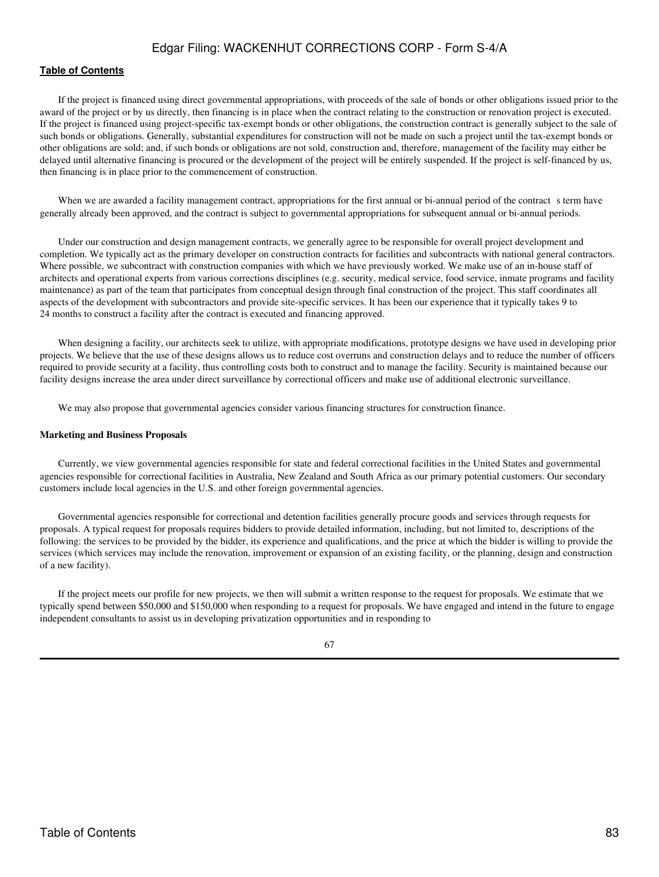### **[Table of Contents](#page-5-0)**

If the project is financed using direct governmental appropriations, with proceeds of the sale of bonds or other obligations issued prior to the award of the project or by us directly, then financing is in place when the contract relating to the construction or renovation project is executed. If the project is financed using project-specific tax-exempt bonds or other obligations, the construction contract is generally subject to the sale of such bonds or obligations. Generally, substantial expenditures for construction will not be made on such a project until the tax-exempt bonds or other obligations are sold; and, if such bonds or obligations are not sold, construction and, therefore, management of the facility may either be delayed until alternative financing is procured or the development of the project will be entirely suspended. If the project is self-financed by us, then financing is in place prior to the commencement of construction.

When we are awarded a facility management contract, appropriations for the first annual or bi-annual period of the contract sterm have generally already been approved, and the contract is subject to governmental appropriations for subsequent annual or bi-annual periods.

Under our construction and design management contracts, we generally agree to be responsible for overall project development and completion. We typically act as the primary developer on construction contracts for facilities and subcontracts with national general contractors. Where possible, we subcontract with construction companies with which we have previously worked. We make use of an in-house staff of architects and operational experts from various corrections disciplines (e.g. security, medical service, food service, inmate programs and facility maintenance) as part of the team that participates from conceptual design through final construction of the project. This staff coordinates all aspects of the development with subcontractors and provide site-specific services. It has been our experience that it typically takes 9 to 24 months to construct a facility after the contract is executed and financing approved.

When designing a facility, our architects seek to utilize, with appropriate modifications, prototype designs we have used in developing prior projects. We believe that the use of these designs allows us to reduce cost overruns and construction delays and to reduce the number of officers required to provide security at a facility, thus controlling costs both to construct and to manage the facility. Security is maintained because our facility designs increase the area under direct surveillance by correctional officers and make use of additional electronic surveillance.

We may also propose that governmental agencies consider various financing structures for construction finance.

#### **Marketing and Business Proposals**

Currently, we view governmental agencies responsible for state and federal correctional facilities in the United States and governmental agencies responsible for correctional facilities in Australia, New Zealand and South Africa as our primary potential customers. Our secondary customers include local agencies in the U.S. and other foreign governmental agencies.

Governmental agencies responsible for correctional and detention facilities generally procure goods and services through requests for proposals. A typical request for proposals requires bidders to provide detailed information, including, but not limited to, descriptions of the following: the services to be provided by the bidder, its experience and qualifications, and the price at which the bidder is willing to provide the services (which services may include the renovation, improvement or expansion of an existing facility, or the planning, design and construction of a new facility).

If the project meets our profile for new projects, we then will submit a written response to the request for proposals. We estimate that we typically spend between \$50,000 and \$150,000 when responding to a request for proposals. We have engaged and intend in the future to engage independent consultants to assist us in developing privatization opportunities and in responding to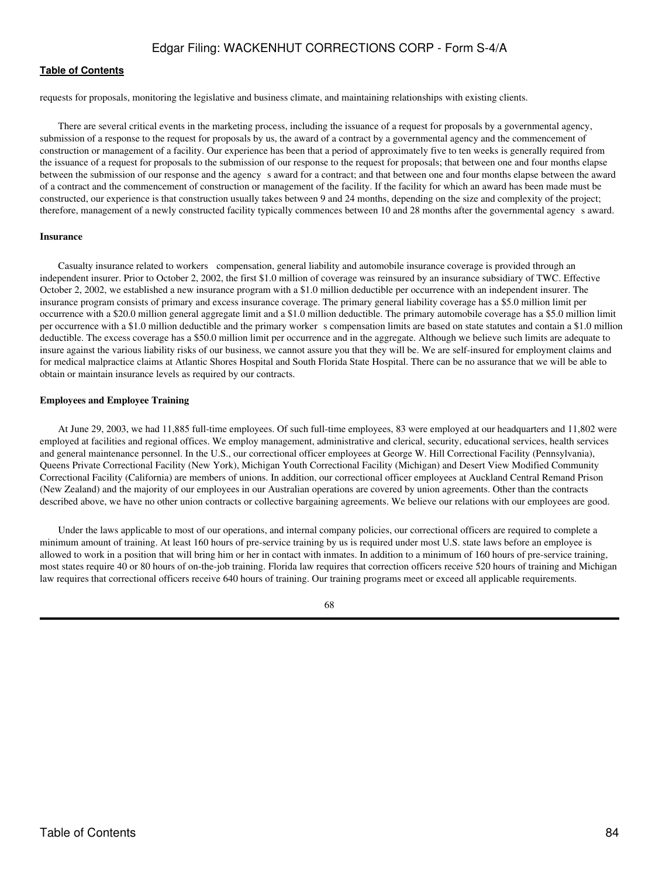### **[Table of Contents](#page-5-0)**

requests for proposals, monitoring the legislative and business climate, and maintaining relationships with existing clients.

There are several critical events in the marketing process, including the issuance of a request for proposals by a governmental agency, submission of a response to the request for proposals by us, the award of a contract by a governmental agency and the commencement of construction or management of a facility. Our experience has been that a period of approximately five to ten weeks is generally required from the issuance of a request for proposals to the submission of our response to the request for proposals; that between one and four months elapse between the submission of our response and the agency s award for a contract; and that between one and four months elapse between the award of a contract and the commencement of construction or management of the facility. If the facility for which an award has been made must be constructed, our experience is that construction usually takes between 9 and 24 months, depending on the size and complexity of the project; therefore, management of a newly constructed facility typically commences between 10 and 28 months after the governmental agencys award.

#### **Insurance**

Casualty insurance related to workers compensation, general liability and automobile insurance coverage is provided through an independent insurer. Prior to October 2, 2002, the first \$1.0 million of coverage was reinsured by an insurance subsidiary of TWC. Effective October 2, 2002, we established a new insurance program with a \$1.0 million deductible per occurrence with an independent insurer. The insurance program consists of primary and excess insurance coverage. The primary general liability coverage has a \$5.0 million limit per occurrence with a \$20.0 million general aggregate limit and a \$1.0 million deductible. The primary automobile coverage has a \$5.0 million limit per occurrence with a \$1.0 million deductible and the primary worker s compensation limits are based on state statutes and contain a \$1.0 million deductible. The excess coverage has a \$50.0 million limit per occurrence and in the aggregate. Although we believe such limits are adequate to insure against the various liability risks of our business, we cannot assure you that they will be. We are self-insured for employment claims and for medical malpractice claims at Atlantic Shores Hospital and South Florida State Hospital. There can be no assurance that we will be able to obtain or maintain insurance levels as required by our contracts.

#### **Employees and Employee Training**

At June 29, 2003, we had 11,885 full-time employees. Of such full-time employees, 83 were employed at our headquarters and 11,802 were employed at facilities and regional offices. We employ management, administrative and clerical, security, educational services, health services and general maintenance personnel. In the U.S., our correctional officer employees at George W. Hill Correctional Facility (Pennsylvania), Queens Private Correctional Facility (New York), Michigan Youth Correctional Facility (Michigan) and Desert View Modified Community Correctional Facility (California) are members of unions. In addition, our correctional officer employees at Auckland Central Remand Prison (New Zealand) and the majority of our employees in our Australian operations are covered by union agreements. Other than the contracts described above, we have no other union contracts or collective bargaining agreements. We believe our relations with our employees are good.

Under the laws applicable to most of our operations, and internal company policies, our correctional officers are required to complete a minimum amount of training. At least 160 hours of pre-service training by us is required under most U.S. state laws before an employee is allowed to work in a position that will bring him or her in contact with inmates. In addition to a minimum of 160 hours of pre-service training, most states require 40 or 80 hours of on-the-job training. Florida law requires that correction officers receive 520 hours of training and Michigan law requires that correctional officers receive 640 hours of training. Our training programs meet or exceed all applicable requirements.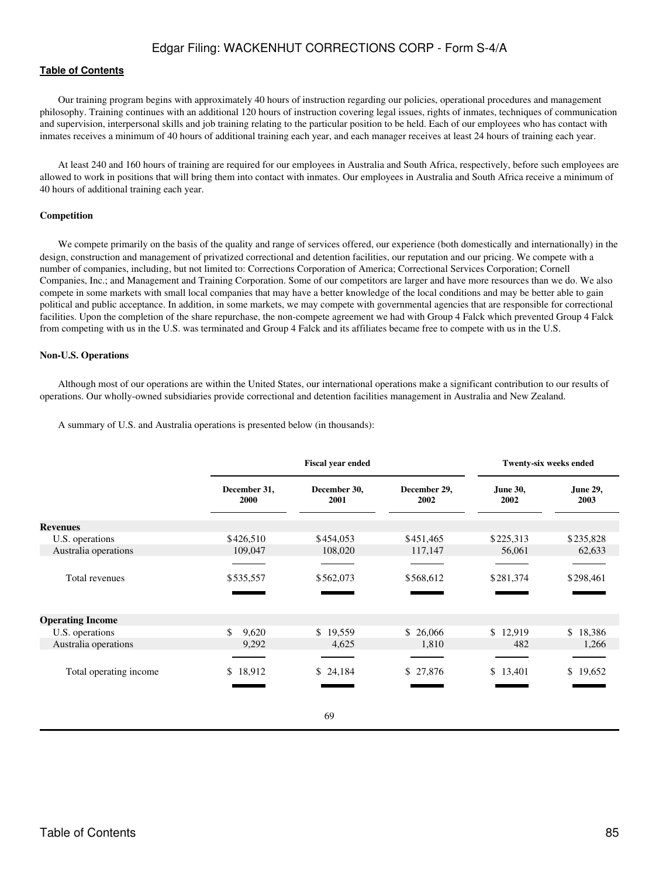### **[Table of Contents](#page-5-0)**

Our training program begins with approximately 40 hours of instruction regarding our policies, operational procedures and management philosophy. Training continues with an additional 120 hours of instruction covering legal issues, rights of inmates, techniques of communication and supervision, interpersonal skills and job training relating to the particular position to be held. Each of our employees who has contact with inmates receives a minimum of 40 hours of additional training each year, and each manager receives at least 24 hours of training each year.

At least 240 and 160 hours of training are required for our employees in Australia and South Africa, respectively, before such employees are allowed to work in positions that will bring them into contact with inmates. Our employees in Australia and South Africa receive a minimum of 40 hours of additional training each year.

#### **Competition**

We compete primarily on the basis of the quality and range of services offered, our experience (both domestically and internationally) in the design, construction and management of privatized correctional and detention facilities, our reputation and our pricing. We compete with a number of companies, including, but not limited to: Corrections Corporation of America; Correctional Services Corporation; Cornell Companies, Inc.; and Management and Training Corporation. Some of our competitors are larger and have more resources than we do. We also compete in some markets with small local companies that may have a better knowledge of the local conditions and may be better able to gain political and public acceptance. In addition, in some markets, we may compete with governmental agencies that are responsible for correctional facilities. Upon the completion of the share repurchase, the non-compete agreement we had with Group 4 Falck which prevented Group 4 Falck from competing with us in the U.S. was terminated and Group 4 Falck and its affiliates became free to compete with us in the U.S.

#### **Non-U.S. Operations**

Although most of our operations are within the United States, our international operations make a significant contribution to our results of operations. Our wholly-owned subsidiaries provide correctional and detention facilities management in Australia and New Zealand.

A summary of U.S. and Australia operations is presented below (in thousands):

|                         |                      | <b>Fiscal year ended</b> |                      | <b>Twenty-six weeks ended</b> |                         |  |
|-------------------------|----------------------|--------------------------|----------------------|-------------------------------|-------------------------|--|
|                         | December 31,<br>2000 | December 30,<br>2001     | December 29,<br>2002 | <b>June 30,</b><br>2002       | <b>June 29,</b><br>2003 |  |
| <b>Revenues</b>         |                      |                          |                      |                               |                         |  |
| U.S. operations         | \$426,510            | \$454,053                | \$451,465            | \$225,313                     | \$235,828               |  |
| Australia operations    | 109,047              | 108,020                  | 117,147              | 56,061                        | 62,633                  |  |
| Total revenues          | \$535,557            | \$562,073                | \$568,612            | \$281,374                     | \$298,461               |  |
|                         |                      |                          |                      |                               |                         |  |
| <b>Operating Income</b> |                      |                          |                      |                               |                         |  |
| U.S. operations         | \$<br>9,620          | \$19,559                 | \$26,066             | \$12,919                      | \$18,386                |  |
| Australia operations    | 9,292                | 4,625                    | 1,810                | 482                           | 1,266                   |  |
|                         |                      |                          |                      |                               |                         |  |
| Total operating income  | \$18,912             | \$24,184                 | \$27,876             | \$13,401                      | \$19,652                |  |
|                         |                      |                          |                      |                               |                         |  |
|                         |                      | 69                       |                      |                               |                         |  |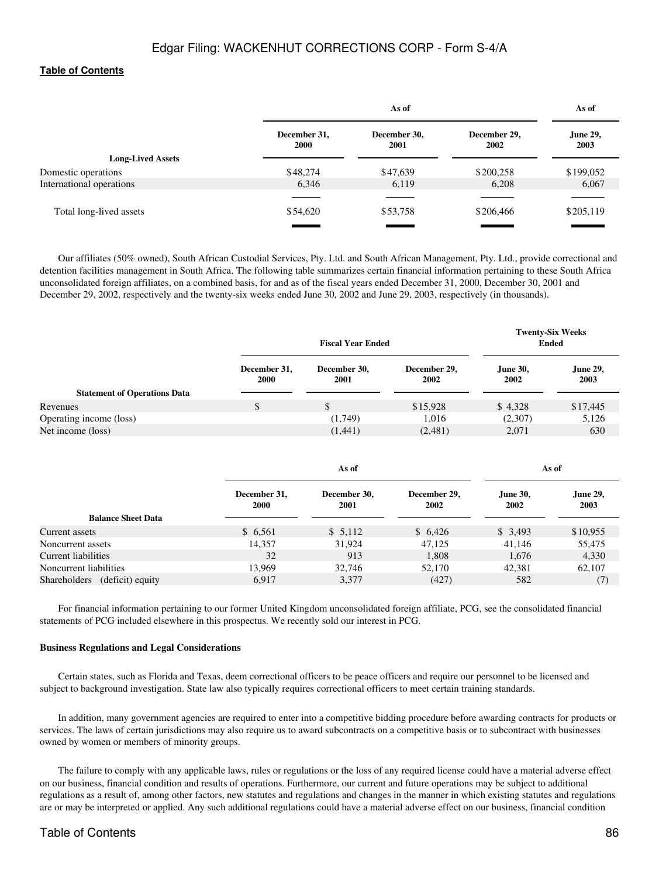|                          |                      | As of                |                      |                  |
|--------------------------|----------------------|----------------------|----------------------|------------------|
|                          | December 31,<br>2000 | December 30,<br>2001 | December 29,<br>2002 | June 29,<br>2003 |
| <b>Long-Lived Assets</b> |                      |                      |                      |                  |
| Domestic operations      | \$48,274             | \$47,639             | \$200,258            | \$199,052        |
| International operations | 6.346                | 6,119                | 6.208                | 6,067            |
|                          |                      |                      |                      |                  |
| Total long-lived assets  | \$54,620             | \$53,758             | \$206,466            | \$205,119        |
|                          |                      |                      |                      |                  |

Our affiliates (50% owned), South African Custodial Services, Pty. Ltd. and South African Management, Pty. Ltd., provide correctional and detention facilities management in South Africa. The following table summarizes certain financial information pertaining to these South Africa unconsolidated foreign affiliates, on a combined basis, for and as of the fiscal years ended December 31, 2000, December 30, 2001 and December 29, 2002, respectively and the twenty-six weeks ended June 30, 2002 and June 29, 2003, respectively (in thousands).

|                                     | <b>Fiscal Year Ended</b>    |                      |                      | <b>Twenty-Six Weeks</b><br>Ended |                  |  |
|-------------------------------------|-----------------------------|----------------------|----------------------|----------------------------------|------------------|--|
|                                     | December 31,<br><b>2000</b> | December 30,<br>2001 | December 29,<br>2002 | June 30,<br>2002                 | June 29,<br>2003 |  |
| <b>Statement of Operations Data</b> |                             |                      |                      |                                  |                  |  |
| Revenues                            | \$.                         |                      | \$15,928             | \$4,328                          | \$17,445         |  |
| Operating income (loss)             |                             | (1,749)              | 1,016                | (2,307)                          | 5,126            |  |
| Net income (loss)                   |                             | (1,441)              | (2,481)              | 2,071                            | 630              |  |

|                                  |                             | As of                |                      |                         | As of            |  |  |
|----------------------------------|-----------------------------|----------------------|----------------------|-------------------------|------------------|--|--|
|                                  | December 31,<br><b>2000</b> | December 30,<br>2001 | December 29,<br>2002 | <b>June 30,</b><br>2002 | June 29,<br>2003 |  |  |
| <b>Balance Sheet Data</b>        |                             |                      |                      |                         |                  |  |  |
| Current assets                   | \$ 6,561                    | \$5,112              | \$6,426              | \$3,493                 | \$10,955         |  |  |
| Noncurrent assets                | 14,357                      | 31,924               | 47,125               | 41,146                  | 55,475           |  |  |
| Current liabilities              | 32                          | 913                  | 1,808                | 1,676                   | 4,330            |  |  |
| Noncurrent liabilities           | 13.969                      | 32.746               | 52,170               | 42,381                  | 62,107           |  |  |
| Shareholders<br>(deficit) equity | 6.917                       | 3,377                | (427)                | 582                     | (7)              |  |  |

For financial information pertaining to our former United Kingdom unconsolidated foreign affiliate, PCG, see the consolidated financial statements of PCG included elsewhere in this prospectus. We recently sold our interest in PCG.

#### **Business Regulations and Legal Considerations**

Certain states, such as Florida and Texas, deem correctional officers to be peace officers and require our personnel to be licensed and subject to background investigation. State law also typically requires correctional officers to meet certain training standards.

In addition, many government agencies are required to enter into a competitive bidding procedure before awarding contracts for products or services. The laws of certain jurisdictions may also require us to award subcontracts on a competitive basis or to subcontract with businesses owned by women or members of minority groups.

The failure to comply with any applicable laws, rules or regulations or the loss of any required license could have a material adverse effect on our business, financial condition and results of operations. Furthermore, our current and future operations may be subject to additional regulations as a result of, among other factors, new statutes and regulations and changes in the manner in which existing statutes and regulations are or may be interpreted or applied. Any such additional regulations could have a material adverse effect on our business, financial condition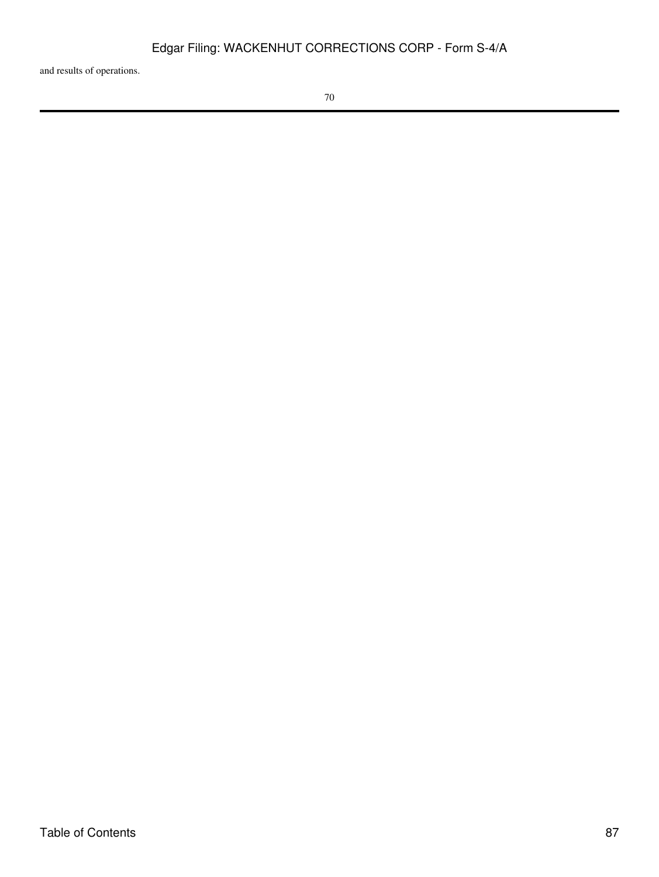and results of operations.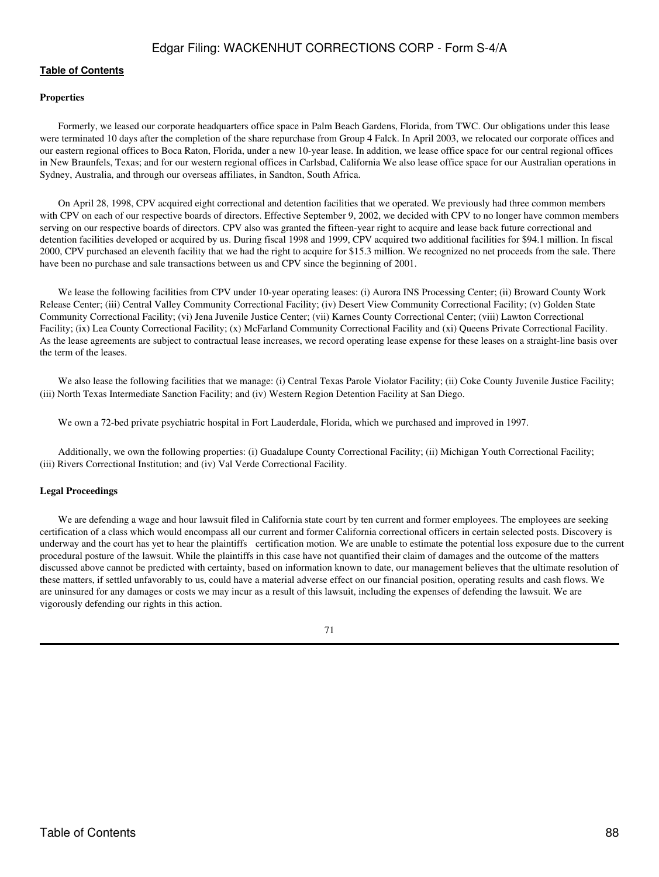### **[Table of Contents](#page-5-0)**

#### **Properties**

Formerly, we leased our corporate headquarters office space in Palm Beach Gardens, Florida, from TWC. Our obligations under this lease were terminated 10 days after the completion of the share repurchase from Group 4 Falck. In April 2003, we relocated our corporate offices and our eastern regional offices to Boca Raton, Florida, under a new 10-year lease. In addition, we lease office space for our central regional offices in New Braunfels, Texas; and for our western regional offices in Carlsbad, California We also lease office space for our Australian operations in Sydney, Australia, and through our overseas affiliates, in Sandton, South Africa.

On April 28, 1998, CPV acquired eight correctional and detention facilities that we operated. We previously had three common members with CPV on each of our respective boards of directors. Effective September 9, 2002, we decided with CPV to no longer have common members serving on our respective boards of directors. CPV also was granted the fifteen-year right to acquire and lease back future correctional and detention facilities developed or acquired by us. During fiscal 1998 and 1999, CPV acquired two additional facilities for \$94.1 million. In fiscal 2000, CPV purchased an eleventh facility that we had the right to acquire for \$15.3 million. We recognized no net proceeds from the sale. There have been no purchase and sale transactions between us and CPV since the beginning of 2001.

We lease the following facilities from CPV under 10-year operating leases: (i) Aurora INS Processing Center; (ii) Broward County Work Release Center; (iii) Central Valley Community Correctional Facility; (iv) Desert View Community Correctional Facility; (v) Golden State Community Correctional Facility; (vi) Jena Juvenile Justice Center; (vii) Karnes County Correctional Center; (viii) Lawton Correctional Facility; (ix) Lea County Correctional Facility; (x) McFarland Community Correctional Facility and (xi) Queens Private Correctional Facility. As the lease agreements are subject to contractual lease increases, we record operating lease expense for these leases on a straight-line basis over the term of the leases.

We also lease the following facilities that we manage: (i) Central Texas Parole Violator Facility; (ii) Coke County Juvenile Justice Facility; (iii) North Texas Intermediate Sanction Facility; and (iv) Western Region Detention Facility at San Diego.

We own a 72-bed private psychiatric hospital in Fort Lauderdale, Florida, which we purchased and improved in 1997.

Additionally, we own the following properties: (i) Guadalupe County Correctional Facility; (ii) Michigan Youth Correctional Facility; (iii) Rivers Correctional Institution; and (iv) Val Verde Correctional Facility.

#### **Legal Proceedings**

We are defending a wage and hour lawsuit filed in California state court by ten current and former employees. The employees are seeking certification of a class which would encompass all our current and former California correctional officers in certain selected posts. Discovery is underway and the court has yet to hear the plaintiffs certification motion. We are unable to estimate the potential loss exposure due to the current procedural posture of the lawsuit. While the plaintiffs in this case have not quantified their claim of damages and the outcome of the matters discussed above cannot be predicted with certainty, based on information known to date, our management believes that the ultimate resolution of these matters, if settled unfavorably to us, could have a material adverse effect on our financial position, operating results and cash flows. We are uninsured for any damages or costs we may incur as a result of this lawsuit, including the expenses of defending the lawsuit. We are vigorously defending our rights in this action.

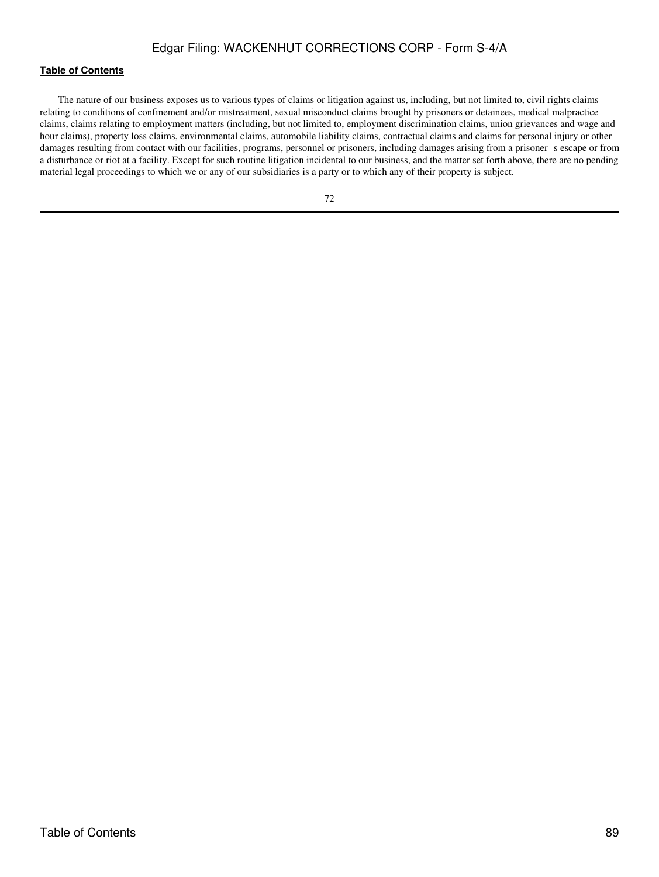## **[Table of Contents](#page-5-0)**

The nature of our business exposes us to various types of claims or litigation against us, including, but not limited to, civil rights claims relating to conditions of confinement and/or mistreatment, sexual misconduct claims brought by prisoners or detainees, medical malpractice claims, claims relating to employment matters (including, but not limited to, employment discrimination claims, union grievances and wage and hour claims), property loss claims, environmental claims, automobile liability claims, contractual claims and claims for personal injury or other damages resulting from contact with our facilities, programs, personnel or prisoners, including damages arising from a prisoner s escape or from a disturbance or riot at a facility. Except for such routine litigation incidental to our business, and the matter set forth above, there are no pending material legal proceedings to which we or any of our subsidiaries is a party or to which any of their property is subject.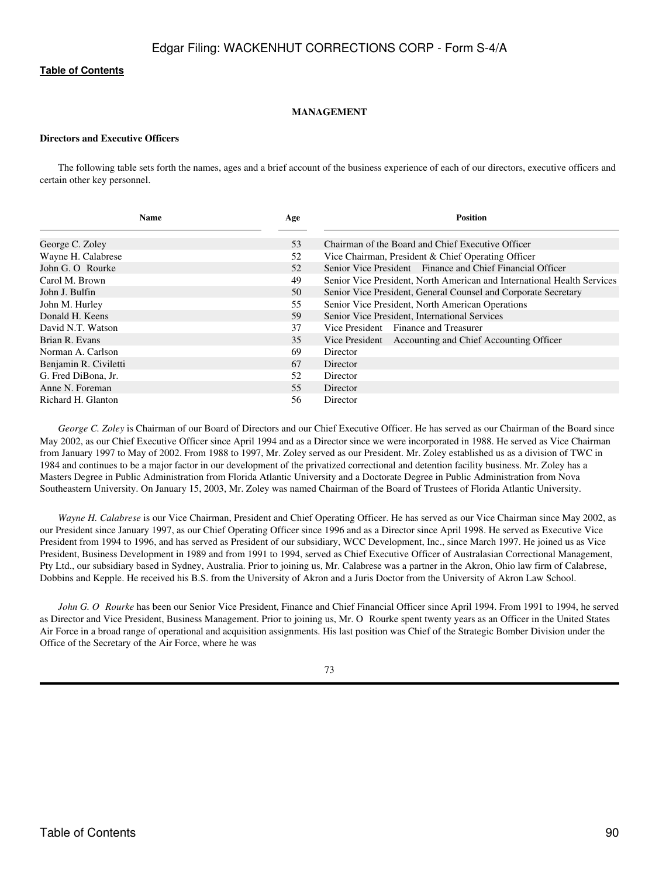#### **MANAGEMENT**

#### **Directors and Executive Officers**

The following table sets forth the names, ages and a brief account of the business experience of each of our directors, executive officers and certain other key personnel.

| <b>Name</b>           | Age | <b>Position</b>                                                         |
|-----------------------|-----|-------------------------------------------------------------------------|
|                       | 53  | Chairman of the Board and Chief Executive Officer                       |
| George C. Zoley       |     |                                                                         |
| Wayne H. Calabrese    | 52  | Vice Chairman, President & Chief Operating Officer                      |
| John G. O Rourke      | 52  | Senior Vice President Finance and Chief Financial Officer               |
| Carol M. Brown        | 49  | Senior Vice President, North American and International Health Services |
| John J. Bulfin        | 50  | Senior Vice President, General Counsel and Corporate Secretary          |
| John M. Hurley        | 55  | Senior Vice President, North American Operations                        |
| Donald H. Keens       | 59  | Senior Vice President, International Services                           |
| David N.T. Watson     | 37  | Vice President Finance and Treasurer                                    |
| Brian R. Evans        | 35  | Vice President Accounting and Chief Accounting Officer                  |
| Norman A. Carlson     | 69  | Director                                                                |
| Benjamin R. Civiletti | 67  | Director                                                                |
| G. Fred DiBona, Jr.   | 52  | Director                                                                |
| Anne N. Foreman       | 55  | Director                                                                |
| Richard H. Glanton    | 56. | Director                                                                |

*George C. Zoley* is Chairman of our Board of Directors and our Chief Executive Officer. He has served as our Chairman of the Board since May 2002, as our Chief Executive Officer since April 1994 and as a Director since we were incorporated in 1988. He served as Vice Chairman from January 1997 to May of 2002. From 1988 to 1997, Mr. Zoley served as our President. Mr. Zoley established us as a division of TWC in 1984 and continues to be a major factor in our development of the privatized correctional and detention facility business. Mr. Zoley has a Masters Degree in Public Administration from Florida Atlantic University and a Doctorate Degree in Public Administration from Nova Southeastern University. On January 15, 2003, Mr. Zoley was named Chairman of the Board of Trustees of Florida Atlantic University.

*Wayne H. Calabrese* is our Vice Chairman, President and Chief Operating Officer. He has served as our Vice Chairman since May 2002, as our President since January 1997, as our Chief Operating Officer since 1996 and as a Director since April 1998. He served as Executive Vice President from 1994 to 1996, and has served as President of our subsidiary, WCC Development, Inc., since March 1997. He joined us as Vice President, Business Development in 1989 and from 1991 to 1994, served as Chief Executive Officer of Australasian Correctional Management, Pty Ltd., our subsidiary based in Sydney, Australia. Prior to joining us, Mr. Calabrese was a partner in the Akron, Ohio law firm of Calabrese, Dobbins and Kepple. He received his B.S. from the University of Akron and a Juris Doctor from the University of Akron Law School.

*John G. O Rourke* has been our Senior Vice President, Finance and Chief Financial Officer since April 1994. From 1991 to 1994, he served as Director and Vice President, Business Management. Prior to joining us, Mr. O Rourke spent twenty years as an Officer in the United States Air Force in a broad range of operational and acquisition assignments. His last position was Chief of the Strategic Bomber Division under the Office of the Secretary of the Air Force, where he was

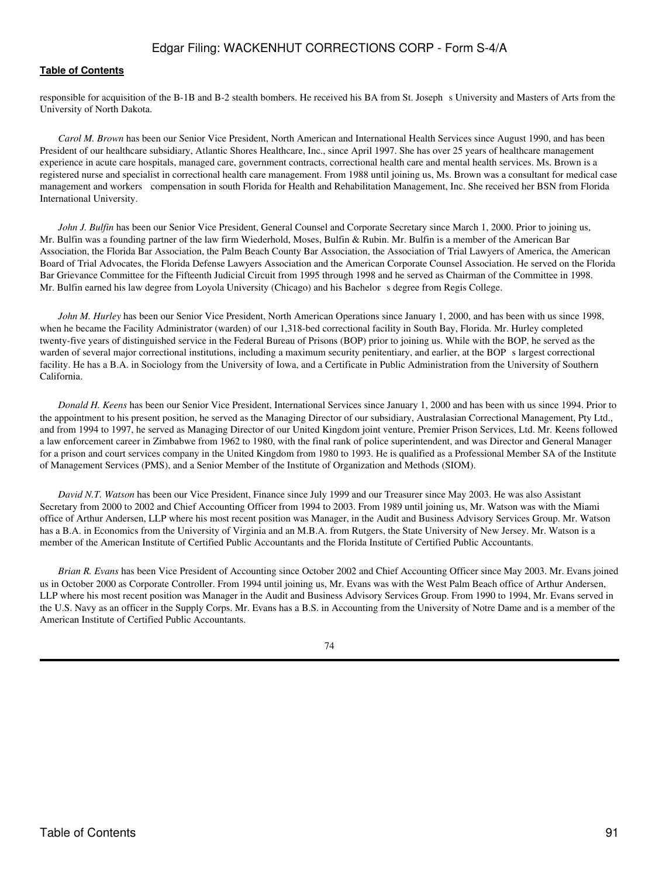responsible for acquisition of the B-1B and B-2 stealth bombers. He received his BA from St. Joseph s University and Masters of Arts from the University of North Dakota.

*Carol M. Brown* has been our Senior Vice President, North American and International Health Services since August 1990, and has been President of our healthcare subsidiary, Atlantic Shores Healthcare, Inc., since April 1997. She has over 25 years of healthcare management experience in acute care hospitals, managed care, government contracts, correctional health care and mental health services. Ms. Brown is a registered nurse and specialist in correctional health care management. From 1988 until joining us, Ms. Brown was a consultant for medical case management and workers compensation in south Florida for Health and Rehabilitation Management, Inc. She received her BSN from Florida International University.

*John J. Bulfin* has been our Senior Vice President, General Counsel and Corporate Secretary since March 1, 2000. Prior to joining us, Mr. Bulfin was a founding partner of the law firm Wiederhold, Moses, Bulfin & Rubin. Mr. Bulfin is a member of the American Bar Association, the Florida Bar Association, the Palm Beach County Bar Association, the Association of Trial Lawyers of America, the American Board of Trial Advocates, the Florida Defense Lawyers Association and the American Corporate Counsel Association. He served on the Florida Bar Grievance Committee for the Fifteenth Judicial Circuit from 1995 through 1998 and he served as Chairman of the Committee in 1998. Mr. Bulfin earned his law degree from Loyola University (Chicago) and his Bachelor s degree from Regis College.

*John M. Hurley* has been our Senior Vice President, North American Operations since January 1, 2000, and has been with us since 1998, when he became the Facility Administrator (warden) of our 1,318-bed correctional facility in South Bay, Florida. Mr. Hurley completed twenty-five years of distinguished service in the Federal Bureau of Prisons (BOP) prior to joining us. While with the BOP, he served as the warden of several major correctional institutions, including a maximum security penitentiary, and earlier, at the BOP s largest correctional facility. He has a B.A. in Sociology from the University of Iowa, and a Certificate in Public Administration from the University of Southern California.

*Donald H. Keens* has been our Senior Vice President, International Services since January 1, 2000 and has been with us since 1994. Prior to the appointment to his present position, he served as the Managing Director of our subsidiary, Australasian Correctional Management, Pty Ltd., and from 1994 to 1997, he served as Managing Director of our United Kingdom joint venture, Premier Prison Services, Ltd. Mr. Keens followed a law enforcement career in Zimbabwe from 1962 to 1980, with the final rank of police superintendent, and was Director and General Manager for a prison and court services company in the United Kingdom from 1980 to 1993. He is qualified as a Professional Member SA of the Institute of Management Services (PMS), and a Senior Member of the Institute of Organization and Methods (SIOM).

*David N.T. Watson* has been our Vice President, Finance since July 1999 and our Treasurer since May 2003. He was also Assistant Secretary from 2000 to 2002 and Chief Accounting Officer from 1994 to 2003. From 1989 until joining us, Mr. Watson was with the Miami office of Arthur Andersen, LLP where his most recent position was Manager, in the Audit and Business Advisory Services Group. Mr. Watson has a B.A. in Economics from the University of Virginia and an M.B.A. from Rutgers, the State University of New Jersey. Mr. Watson is a member of the American Institute of Certified Public Accountants and the Florida Institute of Certified Public Accountants.

*Brian R. Evans* has been Vice President of Accounting since October 2002 and Chief Accounting Officer since May 2003. Mr. Evans joined us in October 2000 as Corporate Controller. From 1994 until joining us, Mr. Evans was with the West Palm Beach office of Arthur Andersen, LLP where his most recent position was Manager in the Audit and Business Advisory Services Group. From 1990 to 1994, Mr. Evans served in the U.S. Navy as an officer in the Supply Corps. Mr. Evans has a B.S. in Accounting from the University of Notre Dame and is a member of the American Institute of Certified Public Accountants.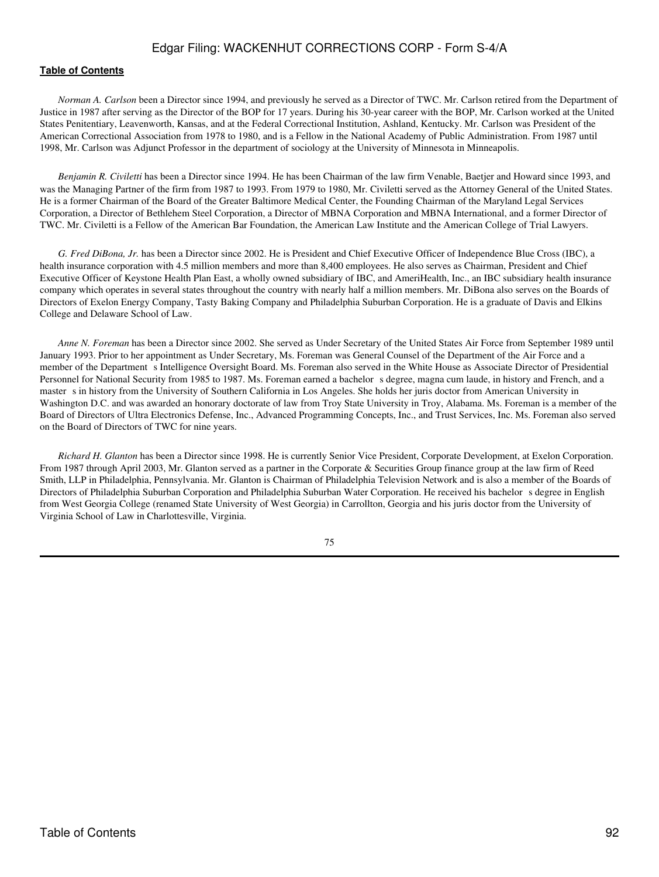### **[Table of Contents](#page-5-0)**

*Norman A. Carlson* been a Director since 1994, and previously he served as a Director of TWC. Mr. Carlson retired from the Department of Justice in 1987 after serving as the Director of the BOP for 17 years. During his 30-year career with the BOP, Mr. Carlson worked at the United States Penitentiary, Leavenworth, Kansas, and at the Federal Correctional Institution, Ashland, Kentucky. Mr. Carlson was President of the American Correctional Association from 1978 to 1980, and is a Fellow in the National Academy of Public Administration. From 1987 until 1998, Mr. Carlson was Adjunct Professor in the department of sociology at the University of Minnesota in Minneapolis.

*Benjamin R. Civiletti* has been a Director since 1994. He has been Chairman of the law firm Venable, Baetjer and Howard since 1993, and was the Managing Partner of the firm from 1987 to 1993. From 1979 to 1980, Mr. Civiletti served as the Attorney General of the United States. He is a former Chairman of the Board of the Greater Baltimore Medical Center, the Founding Chairman of the Maryland Legal Services Corporation, a Director of Bethlehem Steel Corporation, a Director of MBNA Corporation and MBNA International, and a former Director of TWC. Mr. Civiletti is a Fellow of the American Bar Foundation, the American Law Institute and the American College of Trial Lawyers.

*G. Fred DiBona, Jr.* has been a Director since 2002. He is President and Chief Executive Officer of Independence Blue Cross (IBC), a health insurance corporation with 4.5 million members and more than 8,400 employees. He also serves as Chairman, President and Chief Executive Officer of Keystone Health Plan East, a wholly owned subsidiary of IBC, and AmeriHealth, Inc., an IBC subsidiary health insurance company which operates in several states throughout the country with nearly half a million members. Mr. DiBona also serves on the Boards of Directors of Exelon Energy Company, Tasty Baking Company and Philadelphia Suburban Corporation. He is a graduate of Davis and Elkins College and Delaware School of Law.

*Anne N. Foreman* has been a Director since 2002. She served as Under Secretary of the United States Air Force from September 1989 until January 1993. Prior to her appointment as Under Secretary, Ms. Foreman was General Counsel of the Department of the Air Force and a member of the Department s Intelligence Oversight Board. Ms. Foreman also served in the White House as Associate Director of Presidential Personnel for National Security from 1985 to 1987. Ms. Foreman earned a bachelor s degree, magna cum laude, in history and French, and a master s in history from the University of Southern California in Los Angeles. She holds her juris doctor from American University in Washington D.C. and was awarded an honorary doctorate of law from Troy State University in Troy, Alabama. Ms. Foreman is a member of the Board of Directors of Ultra Electronics Defense, Inc., Advanced Programming Concepts, Inc., and Trust Services, Inc. Ms. Foreman also served on the Board of Directors of TWC for nine years.

*Richard H. Glanton* has been a Director since 1998. He is currently Senior Vice President, Corporate Development, at Exelon Corporation. From 1987 through April 2003, Mr. Glanton served as a partner in the Corporate & Securities Group finance group at the law firm of Reed Smith, LLP in Philadelphia, Pennsylvania. Mr. Glanton is Chairman of Philadelphia Television Network and is also a member of the Boards of Directors of Philadelphia Suburban Corporation and Philadelphia Suburban Water Corporation. He received his bachelor s degree in English from West Georgia College (renamed State University of West Georgia) in Carrollton, Georgia and his juris doctor from the University of Virginia School of Law in Charlottesville, Virginia.

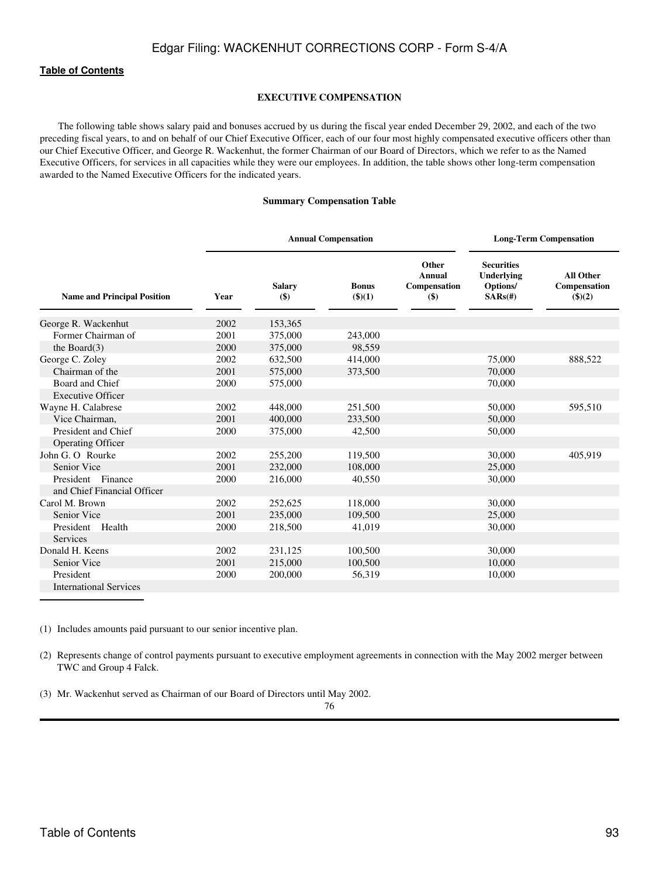# **EXECUTIVE COMPENSATION**

The following table shows salary paid and bonuses accrued by us during the fiscal year ended December 29, 2002, and each of the two preceding fiscal years, to and on behalf of our Chief Executive Officer, each of our four most highly compensated executive officers other than our Chief Executive Officer, and George R. Wackenhut, the former Chairman of our Board of Directors, which we refer to as the Named Executive Officers, for services in all capacities while they were our employees. In addition, the table shows other long-term compensation awarded to the Named Executive Officers for the indicated years.

#### **Summary Compensation Table**

|                                    | <b>Annual Compensation</b> |                        |                               |                                        | <b>Long-Term Compensation</b>                               |                                            |
|------------------------------------|----------------------------|------------------------|-------------------------------|----------------------------------------|-------------------------------------------------------------|--------------------------------------------|
| <b>Name and Principal Position</b> | Year                       | <b>Salary</b><br>$($)$ | <b>Bonus</b><br>$($ \$ $)(1)$ | Other<br>Annual<br>Compensation<br>\$) | <b>Securities</b><br>Underlying<br>Options/<br>$SARS$ # $)$ | <b>All Other</b><br>Compensation<br>\$)(2) |
| George R. Wackenhut                | 2002                       | 153,365                |                               |                                        |                                                             |                                            |
| Former Chairman of                 | 2001                       | 375,000                | 243,000                       |                                        |                                                             |                                            |
| the Board $(3)$                    | 2000                       | 375,000                | 98,559                        |                                        |                                                             |                                            |
| George C. Zoley                    | 2002                       | 632,500                | 414,000                       |                                        | 75,000                                                      | 888,522                                    |
| Chairman of the                    | 2001                       | 575,000                | 373,500                       |                                        | 70,000                                                      |                                            |
| Board and Chief                    | 2000                       | 575,000                |                               |                                        | 70,000                                                      |                                            |
| <b>Executive Officer</b>           |                            |                        |                               |                                        |                                                             |                                            |
| Wayne H. Calabrese                 | 2002                       | 448,000                | 251,500                       |                                        | 50,000                                                      | 595,510                                    |
| Vice Chairman,                     | 2001                       | 400,000                | 233,500                       |                                        | 50,000                                                      |                                            |
| President and Chief                | 2000                       | 375,000                | 42,500                        |                                        | 50,000                                                      |                                            |
| <b>Operating Officer</b>           |                            |                        |                               |                                        |                                                             |                                            |
| John G. O Rourke                   | 2002                       | 255,200                | 119,500                       |                                        | 30,000                                                      | 405,919                                    |
| Senior Vice                        | 2001                       | 232,000                | 108,000                       |                                        | 25,000                                                      |                                            |
| President Finance                  | 2000                       | 216,000                | 40,550                        |                                        | 30,000                                                      |                                            |
| and Chief Financial Officer        |                            |                        |                               |                                        |                                                             |                                            |
| Carol M. Brown                     | 2002                       | 252,625                | 118,000                       |                                        | 30,000                                                      |                                            |
| Senior Vice                        | 2001                       | 235,000                | 109,500                       |                                        | 25,000                                                      |                                            |
| President Health                   | 2000                       | 218,500                | 41,019                        |                                        | 30,000                                                      |                                            |
| <b>Services</b>                    |                            |                        |                               |                                        |                                                             |                                            |
| Donald H. Keens                    | 2002                       | 231,125                | 100,500                       |                                        | 30,000                                                      |                                            |
| Senior Vice                        | 2001                       | 215,000                | 100,500                       |                                        | 10.000                                                      |                                            |
| President                          | 2000                       | 200,000                | 56,319                        |                                        | 10,000                                                      |                                            |
| <b>International Services</b>      |                            |                        |                               |                                        |                                                             |                                            |

(1) Includes amounts paid pursuant to our senior incentive plan.

- (2) Represents change of control payments pursuant to executive employment agreements in connection with the May 2002 merger between TWC and Group 4 Falck.
- (3) Mr. Wackenhut served as Chairman of our Board of Directors until May 2002.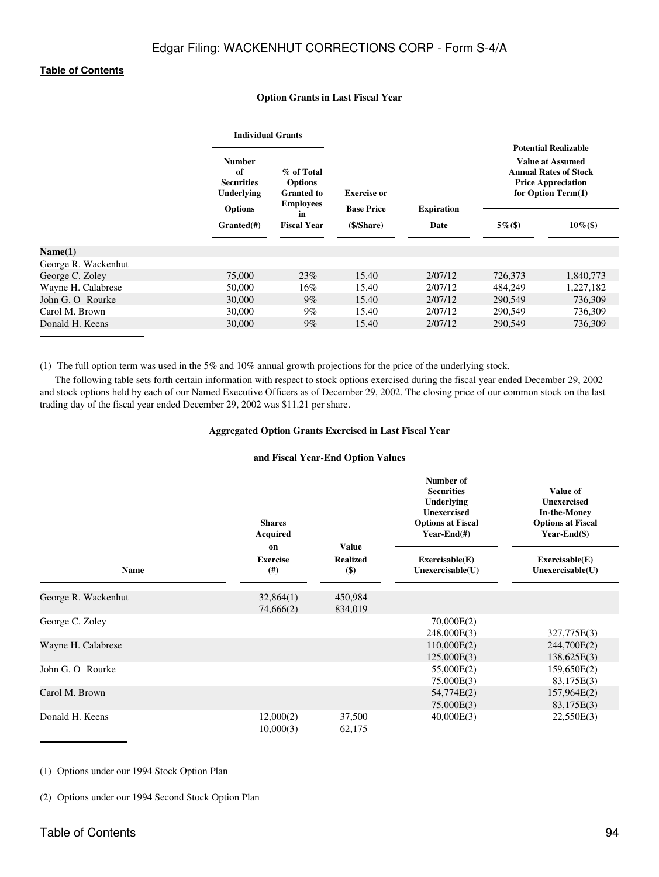# **Option Grants in Last Fiscal Year**

|                     | <b>Individual Grants</b>                                                 |                                                                       |                                         |                           |                                                                                                                                    |             |
|---------------------|--------------------------------------------------------------------------|-----------------------------------------------------------------------|-----------------------------------------|---------------------------|------------------------------------------------------------------------------------------------------------------------------------|-------------|
|                     | <b>Number</b><br>of<br><b>Securities</b><br>Underlying<br><b>Options</b> | % of Total<br><b>Options</b><br><b>Granted to</b><br><b>Employees</b> | <b>Exercise or</b><br><b>Base Price</b> | <b>Expiration</b><br>Date | <b>Potential Realizable</b><br>Value at Assumed<br><b>Annual Rates of Stock</b><br><b>Price Appreciation</b><br>for Option Term(1) |             |
|                     | $Grand(\#)$                                                              | in<br><b>Fiscal Year</b>                                              | (S/Share)                               |                           | $5\%$ (\$)                                                                                                                         | $10\%$ (\$) |
| Name(1)             |                                                                          |                                                                       |                                         |                           |                                                                                                                                    |             |
| George R. Wackenhut |                                                                          |                                                                       |                                         |                           |                                                                                                                                    |             |
| George C. Zoley     | 75,000                                                                   | 23%                                                                   | 15.40                                   | 2/07/12                   | 726,373                                                                                                                            | 1,840,773   |
| Wayne H. Calabrese  | 50,000                                                                   | $16\%$                                                                | 15.40                                   | 2/07/12                   | 484,249                                                                                                                            | 1,227,182   |
| John G. O. Rourke   | 30,000                                                                   | $9\%$                                                                 | 15.40                                   | 2/07/12                   | 290,549                                                                                                                            | 736,309     |
| Carol M. Brown      | 30,000                                                                   | $9\%$                                                                 | 15.40                                   | 2/07/12                   | 290,549                                                                                                                            | 736,309     |
| Donald H. Keens     | 30,000                                                                   | $9\%$                                                                 | 15.40                                   | 2/07/12                   | 290,549                                                                                                                            | 736,309     |

(1) The full option term was used in the 5% and 10% annual growth projections for the price of the underlying stock.

The following table sets forth certain information with respect to stock options exercised during the fiscal year ended December 29, 2002 and stock options held by each of our Named Executive Officers as of December 29, 2002. The closing price of our common stock on the last trading day of the fiscal year ended December 29, 2002 was \$11.21 per share.

#### **Aggregated Option Grants Exercised in Last Fiscal Year**

#### **and Fiscal Year-End Option Values**

|                     | <b>Shares</b><br><b>Acquired</b> | <b>Value</b>              | Number of<br><b>Securities</b><br>Underlying<br><b>Unexercised</b><br><b>Options at Fiscal</b><br>Year-End(#) | Value of<br><b>Unexercised</b><br><b>In-the-Money</b><br><b>Options at Fiscal</b><br>Year-End(\$) |
|---------------------|----------------------------------|---------------------------|---------------------------------------------------------------------------------------------------------------|---------------------------------------------------------------------------------------------------|
| <b>Name</b>         | on<br><b>Exercise</b><br>(# )    | <b>Realized</b><br>$($ \$ | Exerciseable(E)<br>Unexercisable(U)                                                                           | Exerciseable(E)<br>Unexercisable(U)                                                               |
| George R. Wackenhut | 32,864(1)<br>74,666(2)           | 450,984<br>834,019        |                                                                                                               |                                                                                                   |
| George C. Zoley     |                                  |                           | 70,000E(2)<br>248,000E(3)                                                                                     | 327,775E(3)                                                                                       |
| Wayne H. Calabrese  |                                  |                           | 110,000E(2)<br>125,000E(3)                                                                                    | 244,700E(2)<br>138,625E(3)                                                                        |
| John G. O Rourke    |                                  |                           | 55,000E(2)<br>75,000E(3)                                                                                      | 159,650E(2)<br>83,175E(3)                                                                         |
| Carol M. Brown      |                                  |                           | 54,774E(2)<br>75,000E(3)                                                                                      | 157,964E(2)<br>83,175E(3)                                                                         |
| Donald H. Keens     | 12,000(2)<br>10,000(3)           | 37,500<br>62,175          | 40,000E(3)                                                                                                    | 22,550E(3)                                                                                        |

(1) Options under our 1994 Stock Option Plan

(2) Options under our 1994 Second Stock Option Plan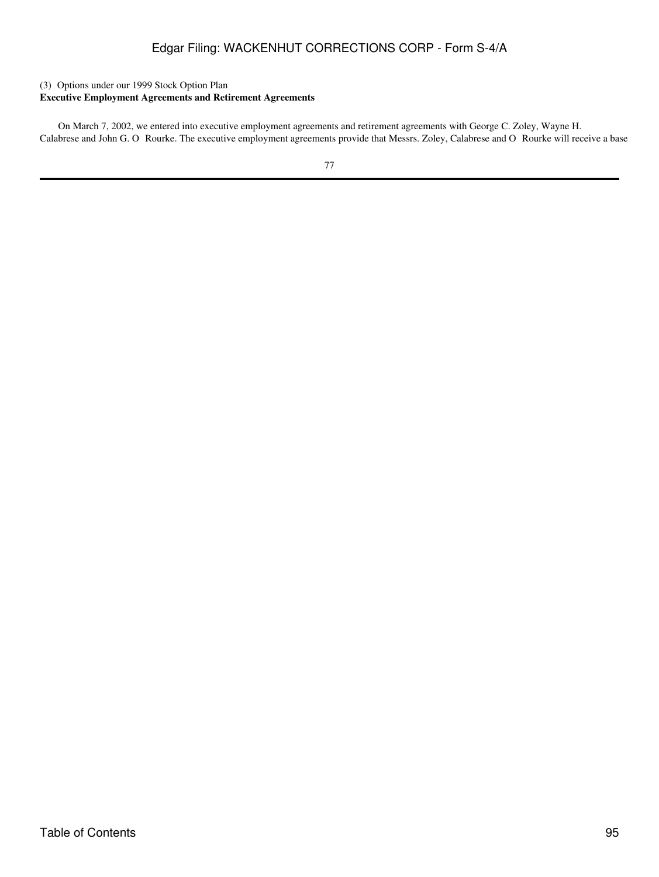### (3) Options under our 1999 Stock Option Plan **Executive Employment Agreements and Retirement Agreements**

On March 7, 2002, we entered into executive employment agreements and retirement agreements with George C. Zoley, Wayne H. Calabrese and John G. O Rourke. The executive employment agreements provide that Messrs. Zoley, Calabrese and O Rourke will receive a base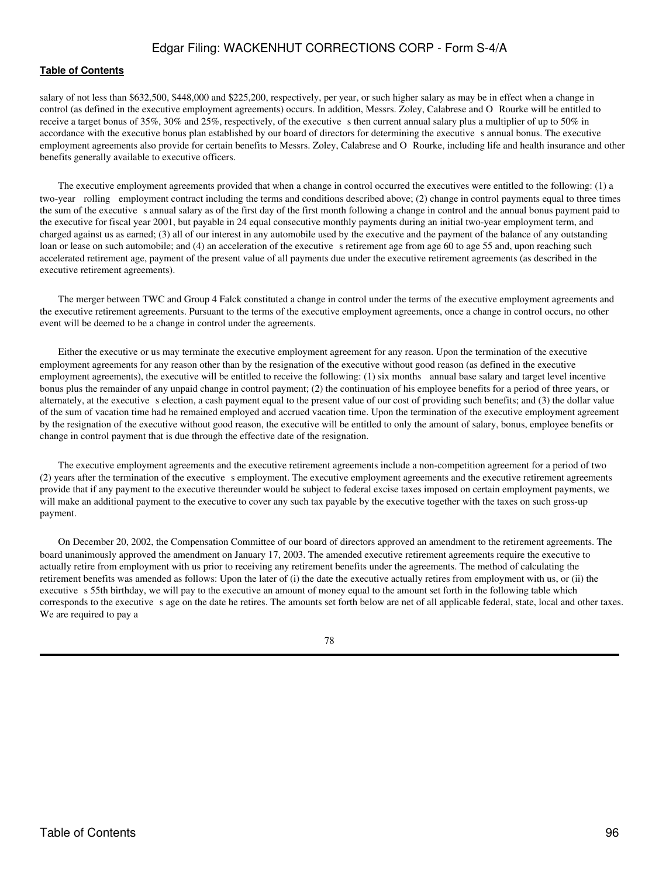### **[Table of Contents](#page-5-0)**

salary of not less than \$632,500, \$448,000 and \$225,200, respectively, per year, or such higher salary as may be in effect when a change in control (as defined in the executive employment agreements) occurs. In addition, Messrs. Zoley, Calabrese and O Rourke will be entitled to receive a target bonus of 35%, 30% and 25%, respectively, of the executive s then current annual salary plus a multiplier of up to 50% in accordance with the executive bonus plan established by our board of directors for determining the executive s annual bonus. The executive employment agreements also provide for certain benefits to Messrs. Zoley, Calabrese and O Rourke, including life and health insurance and other benefits generally available to executive officers.

The executive employment agreements provided that when a change in control occurred the executives were entitled to the following: (1) a two-year rolling employment contract including the terms and conditions described above; (2) change in control payments equal to three times the sum of the executive s annual salary as of the first day of the first month following a change in control and the annual bonus payment paid to the executive for fiscal year 2001, but payable in 24 equal consecutive monthly payments during an initial two-year employment term, and charged against us as earned; (3) all of our interest in any automobile used by the executive and the payment of the balance of any outstanding loan or lease on such automobile; and (4) an acceleration of the executive s retirement age from age 60 to age 55 and, upon reaching such accelerated retirement age, payment of the present value of all payments due under the executive retirement agreements (as described in the executive retirement agreements).

The merger between TWC and Group 4 Falck constituted a change in control under the terms of the executive employment agreements and the executive retirement agreements. Pursuant to the terms of the executive employment agreements, once a change in control occurs, no other event will be deemed to be a change in control under the agreements.

Either the executive or us may terminate the executive employment agreement for any reason. Upon the termination of the executive employment agreements for any reason other than by the resignation of the executive without good reason (as defined in the executive employment agreements), the executive will be entitled to receive the following: (1) six months annual base salary and target level incentive bonus plus the remainder of any unpaid change in control payment; (2) the continuation of his employee benefits for a period of three years, or alternately, at the executive s election, a cash payment equal to the present value of our cost of providing such benefits; and (3) the dollar value of the sum of vacation time had he remained employed and accrued vacation time. Upon the termination of the executive employment agreement by the resignation of the executive without good reason, the executive will be entitled to only the amount of salary, bonus, employee benefits or change in control payment that is due through the effective date of the resignation.

The executive employment agreements and the executive retirement agreements include a non-competition agreement for a period of two (2) years after the termination of the executive s employment. The executive employment agreements and the executive retirement agreements provide that if any payment to the executive thereunder would be subject to federal excise taxes imposed on certain employment payments, we will make an additional payment to the executive to cover any such tax payable by the executive together with the taxes on such gross-up payment.

On December 20, 2002, the Compensation Committee of our board of directors approved an amendment to the retirement agreements. The board unanimously approved the amendment on January 17, 2003. The amended executive retirement agreements require the executive to actually retire from employment with us prior to receiving any retirement benefits under the agreements. The method of calculating the retirement benefits was amended as follows: Upon the later of (i) the date the executive actually retires from employment with us, or (ii) the executive s 55th birthday, we will pay to the executive an amount of money equal to the amount set forth in the following table which corresponds to the executive s age on the date he retires. The amounts set forth below are net of all applicable federal, state, local and other taxes. We are required to pay a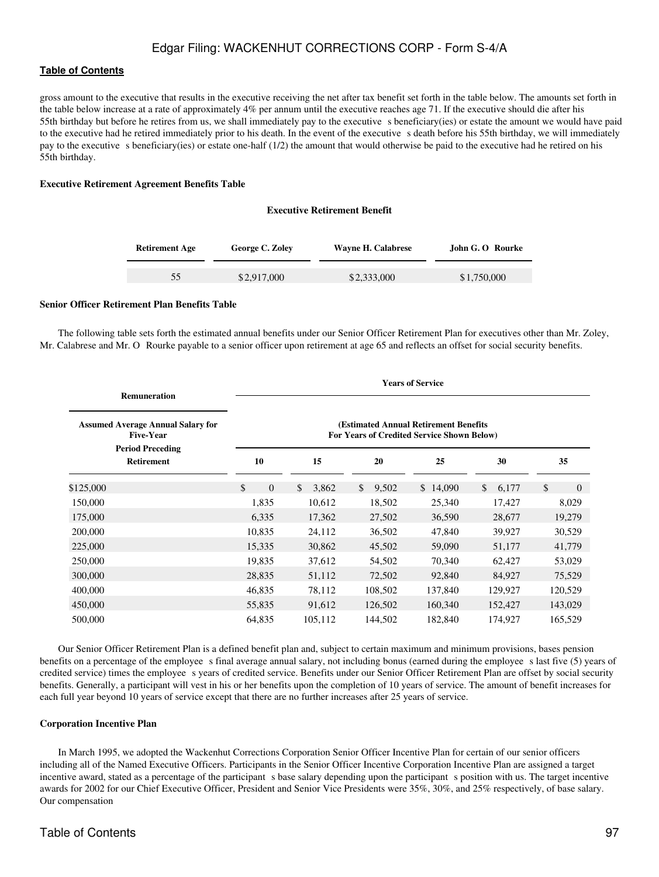# **[Table of Contents](#page-5-0)**

gross amount to the executive that results in the executive receiving the net after tax benefit set forth in the table below. The amounts set forth in the table below increase at a rate of approximately 4% per annum until the executive reaches age 71. If the executive should die after his 55th birthday but before he retires from us, we shall immediately pay to the executive s beneficiary(ies) or estate the amount we would have paid to the executive had he retired immediately prior to his death. In the event of the executive s death before his 55th birthday, we will immediately pay to the executive s beneficiary(ies) or estate one-half (1/2) the amount that would otherwise be paid to the executive had he retired on his 55th birthday.

#### **Executive Retirement Agreement Benefits Table**

#### **Executive Retirement Benefit**

| <b>Retirement Age</b> | George C. Zoley | Wayne H. Calabrese | John G. O Rourke |
|-----------------------|-----------------|--------------------|------------------|
|                       |                 |                    |                  |
| 55                    | \$2,917,000     | \$2,333,000        | \$1,750,000      |
|                       |                 |                    |                  |

#### **Senior Officer Retirement Plan Benefits Table**

The following table sets forth the estimated annual benefits under our Senior Officer Retirement Plan for executives other than Mr. Zoley, Mr. Calabrese and Mr. O Rourke payable to a senior officer upon retirement at age 65 and reflects an offset for social security benefits.

|                                                                                                                | <b>Years of Service</b><br><b>(Estimated Annual Retirement Benefits)</b><br>For Years of Credited Service Shown Below) |             |                       |          |                       |                          |  |
|----------------------------------------------------------------------------------------------------------------|------------------------------------------------------------------------------------------------------------------------|-------------|-----------------------|----------|-----------------------|--------------------------|--|
| <b>Remuneration</b><br><b>Assumed Average Annual Salary for</b><br><b>Five-Year</b><br><b>Period Preceding</b> |                                                                                                                        |             |                       |          |                       |                          |  |
| <b>Retirement</b>                                                                                              | 10                                                                                                                     | 15          | 20                    | 25       | 30                    | 35                       |  |
| \$125,000                                                                                                      | \$<br>$\Omega$                                                                                                         | \$<br>3,862 | $\mathbb{S}$<br>9,502 | \$14,090 | $\mathbb{S}$<br>6,177 | $\mathbb{S}$<br>$\theta$ |  |
| 150,000                                                                                                        | 1,835                                                                                                                  | 10,612      | 18,502                | 25,340   | 17,427                | 8,029                    |  |
| 175,000                                                                                                        | 6,335                                                                                                                  | 17,362      | 27,502                | 36,590   | 28,677                | 19,279                   |  |
| 200,000                                                                                                        | 10,835                                                                                                                 | 24,112      | 36,502                | 47,840   | 39,927                | 30,529                   |  |
| 225,000                                                                                                        | 15,335                                                                                                                 | 30,862      | 45,502                | 59,090   | 51,177                | 41,779                   |  |
| 250,000                                                                                                        | 19,835                                                                                                                 | 37,612      | 54,502                | 70,340   | 62,427                | 53,029                   |  |
| 300,000                                                                                                        | 28,835                                                                                                                 | 51,112      | 72,502                | 92,840   | 84,927                | 75,529                   |  |
| 400,000                                                                                                        | 46,835                                                                                                                 | 78,112      | 108,502               | 137,840  | 129,927               | 120,529                  |  |
| 450,000                                                                                                        | 55,835                                                                                                                 | 91,612      | 126,502               | 160,340  | 152,427               | 143,029                  |  |
| 500,000                                                                                                        | 64,835                                                                                                                 | 105,112     | 144,502               | 182,840  | 174,927               | 165,529                  |  |

Our Senior Officer Retirement Plan is a defined benefit plan and, subject to certain maximum and minimum provisions, bases pension benefits on a percentage of the employee s final average annual salary, not including bonus (earned during the employee s last five (5) years of credited service) times the employee s years of credited service. Benefits under our Senior Officer Retirement Plan are offset by social security benefits. Generally, a participant will vest in his or her benefits upon the completion of 10 years of service. The amount of benefit increases for each full year beyond 10 years of service except that there are no further increases after 25 years of service.

#### **Corporation Incentive Plan**

In March 1995, we adopted the Wackenhut Corrections Corporation Senior Officer Incentive Plan for certain of our senior officers including all of the Named Executive Officers. Participants in the Senior Officer Incentive Corporation Incentive Plan are assigned a target incentive award, stated as a percentage of the participant s base salary depending upon the participant s position with us. The target incentive awards for 2002 for our Chief Executive Officer, President and Senior Vice Presidents were 35%, 30%, and 25% respectively, of base salary. Our compensation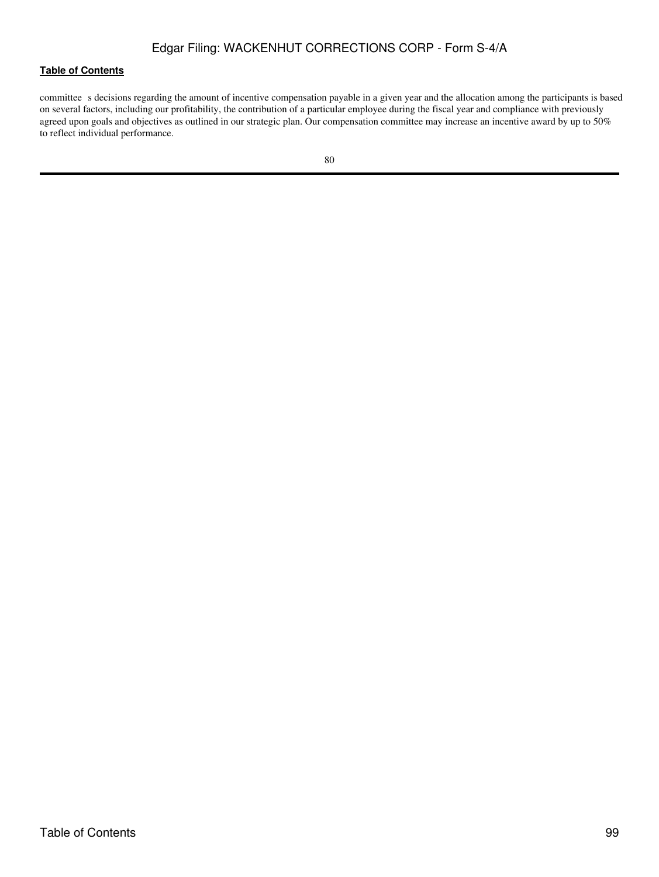## **[Table of Contents](#page-5-0)**

committee s decisions regarding the amount of incentive compensation payable in a given year and the allocation among the participants is based on several factors, including our profitability, the contribution of a particular employee during the fiscal year and compliance with previously agreed upon goals and objectives as outlined in our strategic plan. Our compensation committee may increase an incentive award by up to 50% to reflect individual performance.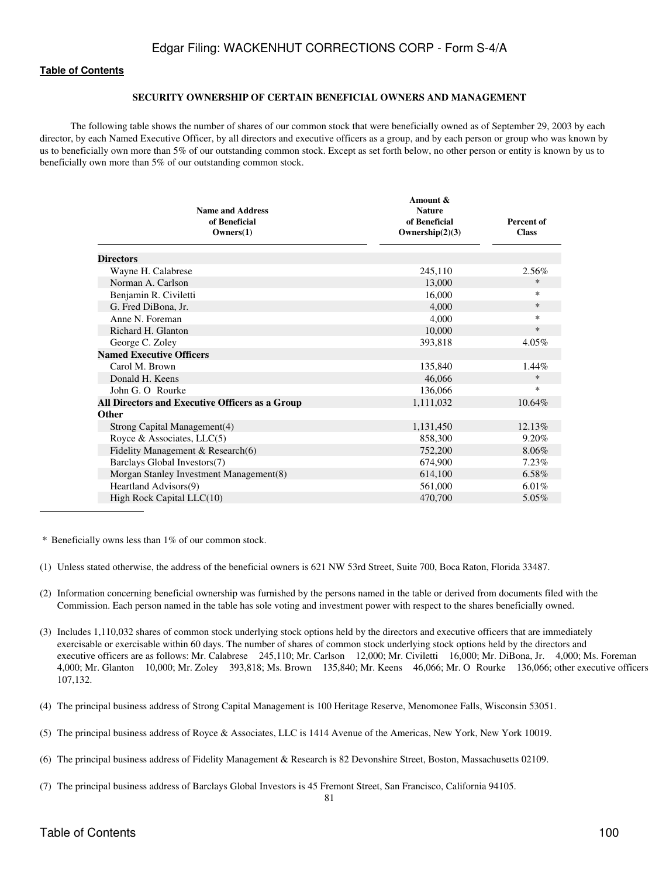### **SECURITY OWNERSHIP OF CERTAIN BENEFICIAL OWNERS AND MANAGEMENT**

 The following table shows the number of shares of our common stock that were beneficially owned as of September 29, 2003 by each director, by each Named Executive Officer, by all directors and executive officers as a group, and by each person or group who was known by us to beneficially own more than 5% of our outstanding common stock. Except as set forth below, no other person or entity is known by us to beneficially own more than 5% of our outstanding common stock.

| <b>Name and Address</b><br>of Beneficial<br>Owners(1) | Amount &<br><b>Nature</b><br>of Beneficial<br>Ownership $(2)(3)$ | Percent of<br><b>Class</b> |
|-------------------------------------------------------|------------------------------------------------------------------|----------------------------|
| <b>Directors</b>                                      |                                                                  |                            |
| Wayne H. Calabrese                                    | 245,110                                                          | 2.56%                      |
| Norman A. Carlson                                     | 13,000                                                           | $\ast$                     |
| Benjamin R. Civiletti                                 | 16,000                                                           | $\ast$                     |
| G. Fred DiBona, Jr.                                   | 4,000                                                            | $\ast$                     |
| Anne N. Foreman                                       | 4,000                                                            | $\ast$                     |
| Richard H. Glanton                                    | 10,000                                                           | $\ast$                     |
| George C. Zoley                                       | 393,818                                                          | 4.05%                      |
| <b>Named Executive Officers</b>                       |                                                                  |                            |
| Carol M. Brown                                        | 135,840                                                          | $1.44\%$                   |
| Donald H. Keens                                       | 46,066                                                           | $\ast$                     |
| John G. O. Rourke                                     | 136,066                                                          | *                          |
| All Directors and Executive Officers as a Group       | 1,111,032                                                        | 10.64%                     |
| <b>Other</b>                                          |                                                                  |                            |
| Strong Capital Management(4)                          | 1,131,450                                                        | 12.13%                     |
| Royce & Associates, LLC(5)                            | 858,300                                                          | 9.20%                      |
| Fidelity Management & Research(6)                     | 752,200                                                          | 8.06%                      |
| Barclays Global Investors(7)                          | 674,900                                                          | $7.23\%$                   |
| Morgan Stanley Investment Management(8)               | 614,100                                                          | 6.58%                      |
| Heartland Advisors(9)                                 | 561,000                                                          | 6.01%                      |
| High Rock Capital LLC(10)                             | 470,700                                                          | 5.05%                      |
|                                                       |                                                                  |                            |

\* Beneficially owns less than 1% of our common stock.

- (1) Unless stated otherwise, the address of the beneficial owners is 621 NW 53rd Street, Suite 700, Boca Raton, Florida 33487.
- (2) Information concerning beneficial ownership was furnished by the persons named in the table or derived from documents filed with the Commission. Each person named in the table has sole voting and investment power with respect to the shares beneficially owned.
- (3) Includes 1,110,032 shares of common stock underlying stock options held by the directors and executive officers that are immediately exercisable or exercisable within 60 days. The number of shares of common stock underlying stock options held by the directors and executive officers are as follows: Mr. Calabrese 245,110; Mr. Carlson 12,000; Mr. Civiletti 16,000; Mr. DiBona, Jr. 4,000; Ms. Foreman 4,000; Mr. Glanton 10,000; Mr. Zoley 393,818; Ms. Brown 135,840; Mr. Keens 46,066; Mr. ORourke 136,066; other executive officers 107,132.
- (4) The principal business address of Strong Capital Management is 100 Heritage Reserve, Menomonee Falls, Wisconsin 53051.
- (5) The principal business address of Royce & Associates, LLC is 1414 Avenue of the Americas, New York, New York 10019.
- (6) The principal business address of Fidelity Management & Research is 82 Devonshire Street, Boston, Massachusetts 02109.
- (7) The principal business address of Barclays Global Investors is 45 Fremont Street, San Francisco, California 94105.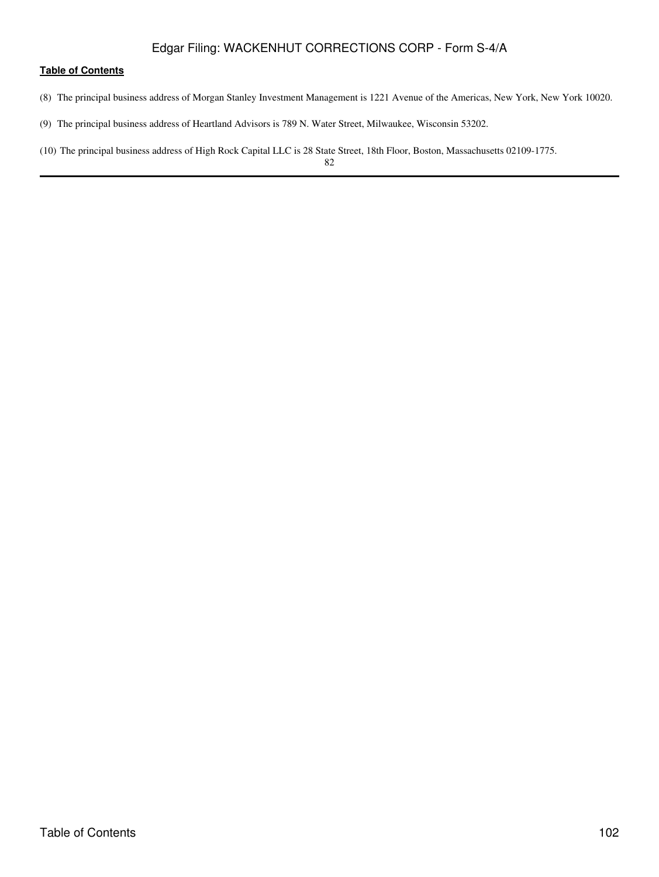## **[Table of Contents](#page-5-0)**

- (8) The principal business address of Morgan Stanley Investment Management is 1221 Avenue of the Americas, New York, New York 10020.
- (9) The principal business address of Heartland Advisors is 789 N. Water Street, Milwaukee, Wisconsin 53202.

(10) The principal business address of High Rock Capital LLC is 28 State Street, 18th Floor, Boston, Massachusetts 02109-1775.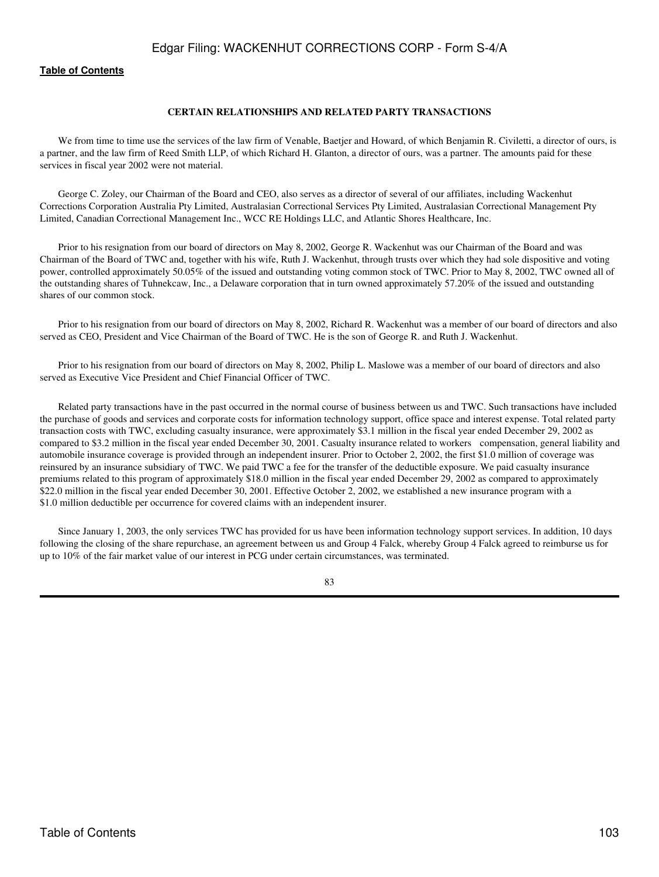#### **CERTAIN RELATIONSHIPS AND RELATED PARTY TRANSACTIONS**

We from time to time use the services of the law firm of Venable, Baetjer and Howard, of which Benjamin R. Civiletti, a director of ours, is a partner, and the law firm of Reed Smith LLP, of which Richard H. Glanton, a director of ours, was a partner. The amounts paid for these services in fiscal year 2002 were not material.

George C. Zoley, our Chairman of the Board and CEO, also serves as a director of several of our affiliates, including Wackenhut Corrections Corporation Australia Pty Limited, Australasian Correctional Services Pty Limited, Australasian Correctional Management Pty Limited, Canadian Correctional Management Inc., WCC RE Holdings LLC, and Atlantic Shores Healthcare, Inc.

Prior to his resignation from our board of directors on May 8, 2002, George R. Wackenhut was our Chairman of the Board and was Chairman of the Board of TWC and, together with his wife, Ruth J. Wackenhut, through trusts over which they had sole dispositive and voting power, controlled approximately 50.05% of the issued and outstanding voting common stock of TWC. Prior to May 8, 2002, TWC owned all of the outstanding shares of Tuhnekcaw, Inc., a Delaware corporation that in turn owned approximately 57.20% of the issued and outstanding shares of our common stock.

Prior to his resignation from our board of directors on May 8, 2002, Richard R. Wackenhut was a member of our board of directors and also served as CEO, President and Vice Chairman of the Board of TWC. He is the son of George R. and Ruth J. Wackenhut.

Prior to his resignation from our board of directors on May 8, 2002, Philip L. Maslowe was a member of our board of directors and also served as Executive Vice President and Chief Financial Officer of TWC.

Related party transactions have in the past occurred in the normal course of business between us and TWC. Such transactions have included the purchase of goods and services and corporate costs for information technology support, office space and interest expense. Total related party transaction costs with TWC, excluding casualty insurance, were approximately \$3.1 million in the fiscal year ended December 29, 2002 as compared to \$3.2 million in the fiscal year ended December 30, 2001. Casualty insurance related to workers compensation, general liability and automobile insurance coverage is provided through an independent insurer. Prior to October 2, 2002, the first \$1.0 million of coverage was reinsured by an insurance subsidiary of TWC. We paid TWC a fee for the transfer of the deductible exposure. We paid casualty insurance premiums related to this program of approximately \$18.0 million in the fiscal year ended December 29, 2002 as compared to approximately \$22.0 million in the fiscal year ended December 30, 2001. Effective October 2, 2002, we established a new insurance program with a \$1.0 million deductible per occurrence for covered claims with an independent insurer.

Since January 1, 2003, the only services TWC has provided for us have been information technology support services. In addition, 10 days following the closing of the share repurchase, an agreement between us and Group 4 Falck, whereby Group 4 Falck agreed to reimburse us for up to 10% of the fair market value of our interest in PCG under certain circumstances, was terminated.

83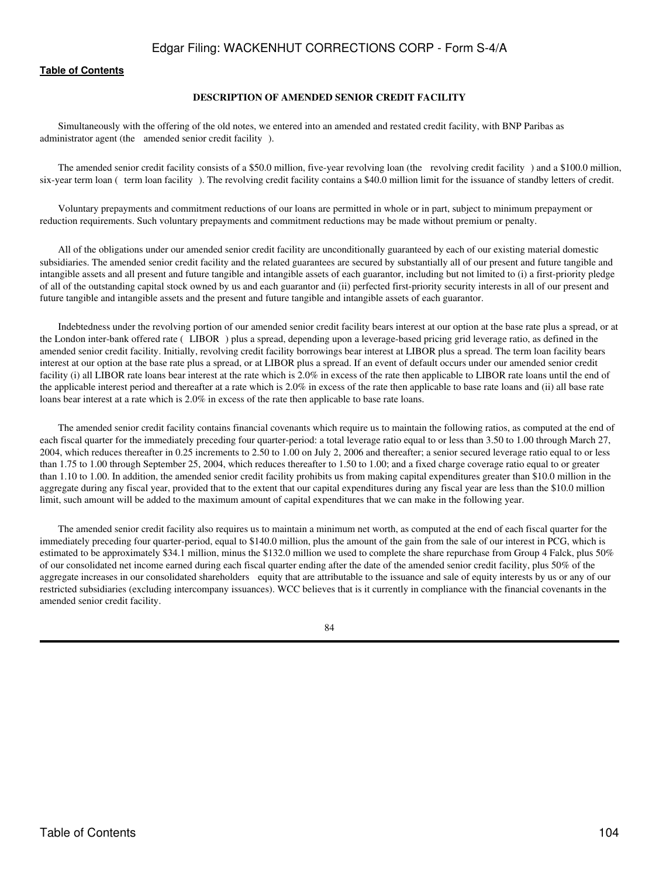#### **[Table of Contents](#page-5-0)**

### **DESCRIPTION OF AMENDED SENIOR CREDIT FACILITY**

Simultaneously with the offering of the old notes, we entered into an amended and restated credit facility, with BNP Paribas as administrator agent (the amended senior credit facility).

The amended senior credit facility consists of a \$50.0 million, five-year revolving loan (the revolving credit facility) and a \$100.0 million, six-year term loan (term loan facility). The revolving credit facility contains a \$40.0 million limit for the issuance of standby letters of credit.

Voluntary prepayments and commitment reductions of our loans are permitted in whole or in part, subject to minimum prepayment or reduction requirements. Such voluntary prepayments and commitment reductions may be made without premium or penalty.

All of the obligations under our amended senior credit facility are unconditionally guaranteed by each of our existing material domestic subsidiaries. The amended senior credit facility and the related guarantees are secured by substantially all of our present and future tangible and intangible assets and all present and future tangible and intangible assets of each guarantor, including but not limited to (i) a first-priority pledge of all of the outstanding capital stock owned by us and each guarantor and (ii) perfected first-priority security interests in all of our present and future tangible and intangible assets and the present and future tangible and intangible assets of each guarantor.

Indebtedness under the revolving portion of our amended senior credit facility bears interest at our option at the base rate plus a spread, or at the London inter-bank offered rate (LIBOR) plus a spread, depending upon a leverage-based pricing grid leverage ratio, as defined in the amended senior credit facility. Initially, revolving credit facility borrowings bear interest at LIBOR plus a spread. The term loan facility bears interest at our option at the base rate plus a spread, or at LIBOR plus a spread. If an event of default occurs under our amended senior credit facility (i) all LIBOR rate loans bear interest at the rate which is 2.0% in excess of the rate then applicable to LIBOR rate loans until the end of the applicable interest period and thereafter at a rate which is 2.0% in excess of the rate then applicable to base rate loans and (ii) all base rate loans bear interest at a rate which is 2.0% in excess of the rate then applicable to base rate loans.

The amended senior credit facility contains financial covenants which require us to maintain the following ratios, as computed at the end of each fiscal quarter for the immediately preceding four quarter-period: a total leverage ratio equal to or less than 3.50 to 1.00 through March 27, 2004, which reduces thereafter in 0.25 increments to 2.50 to 1.00 on July 2, 2006 and thereafter; a senior secured leverage ratio equal to or less than 1.75 to 1.00 through September 25, 2004, which reduces thereafter to 1.50 to 1.00; and a fixed charge coverage ratio equal to or greater than 1.10 to 1.00. In addition, the amended senior credit facility prohibits us from making capital expenditures greater than \$10.0 million in the aggregate during any fiscal year, provided that to the extent that our capital expenditures during any fiscal year are less than the \$10.0 million limit, such amount will be added to the maximum amount of capital expenditures that we can make in the following year.

The amended senior credit facility also requires us to maintain a minimum net worth, as computed at the end of each fiscal quarter for the immediately preceding four quarter-period, equal to \$140.0 million, plus the amount of the gain from the sale of our interest in PCG, which is estimated to be approximately \$34.1 million, minus the \$132.0 million we used to complete the share repurchase from Group 4 Falck, plus 50% of our consolidated net income earned during each fiscal quarter ending after the date of the amended senior credit facility, plus 50% of the aggregate increases in our consolidated shareholders equity that are attributable to the issuance and sale of equity interests by us or any of our restricted subsidiaries (excluding intercompany issuances). WCC believes that is it currently in compliance with the financial covenants in the amended senior credit facility.

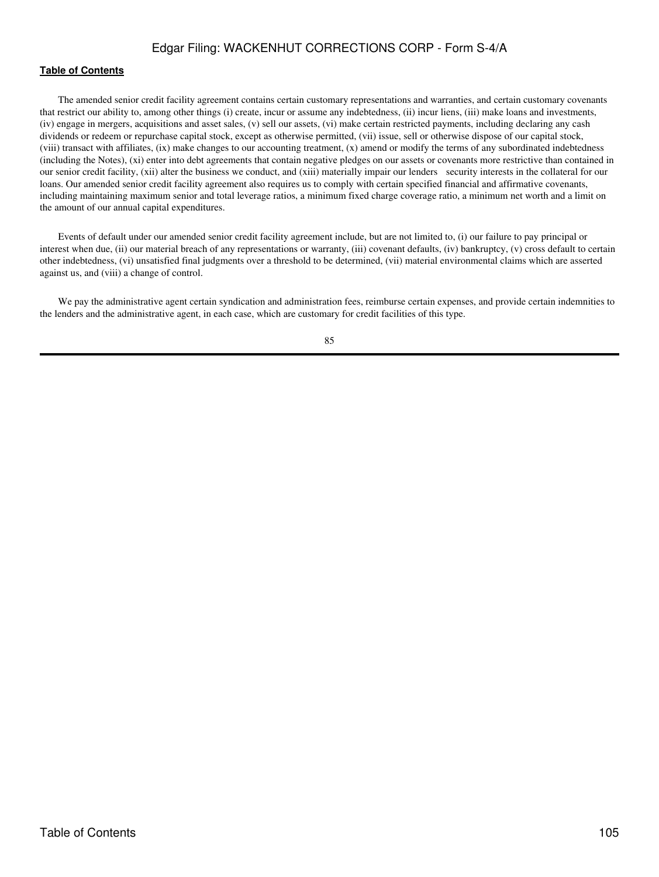### **[Table of Contents](#page-5-0)**

The amended senior credit facility agreement contains certain customary representations and warranties, and certain customary covenants that restrict our ability to, among other things (i) create, incur or assume any indebtedness, (ii) incur liens, (iii) make loans and investments, (iv) engage in mergers, acquisitions and asset sales, (v) sell our assets, (vi) make certain restricted payments, including declaring any cash dividends or redeem or repurchase capital stock, except as otherwise permitted, (vii) issue, sell or otherwise dispose of our capital stock, (viii) transact with affiliates, (ix) make changes to our accounting treatment, (x) amend or modify the terms of any subordinated indebtedness (including the Notes), (xi) enter into debt agreements that contain negative pledges on our assets or covenants more restrictive than contained in our senior credit facility, (xii) alter the business we conduct, and (xiii) materially impair our lenders security interests in the collateral for our loans. Our amended senior credit facility agreement also requires us to comply with certain specified financial and affirmative covenants, including maintaining maximum senior and total leverage ratios, a minimum fixed charge coverage ratio, a minimum net worth and a limit on the amount of our annual capital expenditures.

Events of default under our amended senior credit facility agreement include, but are not limited to, (i) our failure to pay principal or interest when due, (ii) our material breach of any representations or warranty, (iii) covenant defaults, (iv) bankruptcy, (v) cross default to certain other indebtedness, (vi) unsatisfied final judgments over a threshold to be determined, (vii) material environmental claims which are asserted against us, and (viii) a change of control.

We pay the administrative agent certain syndication and administration fees, reimburse certain expenses, and provide certain indemnities to the lenders and the administrative agent, in each case, which are customary for credit facilities of this type.

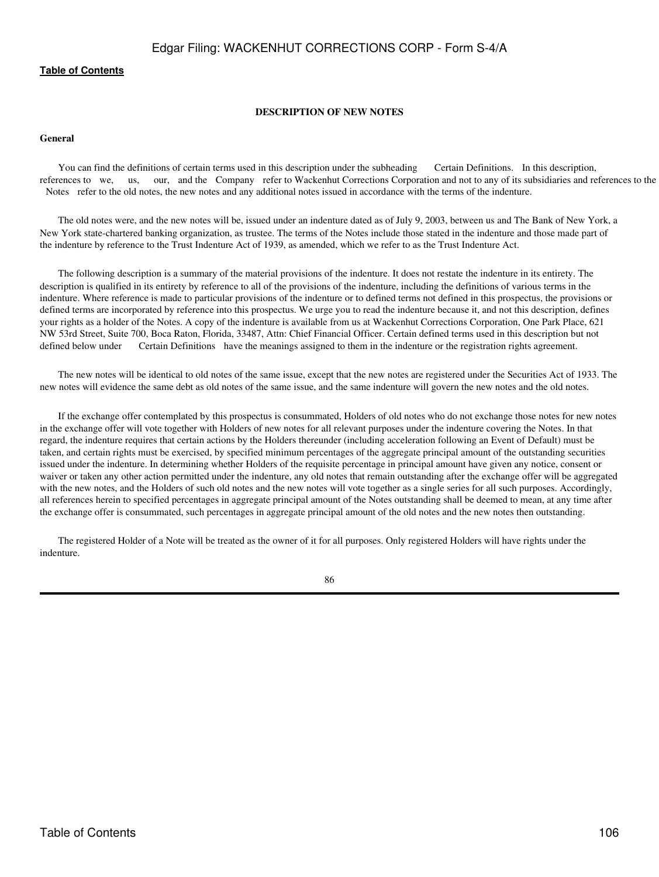#### **DESCRIPTION OF NEW NOTES**

#### **General**

You can find the definitions of certain terms used in this description under the subheading Certain Definitions. In this description, references to we, us, our, and the Company refer to Wackenhut Corrections Corporation and not to any of its subsidiaries and references to the Notes refer to the old notes, the new notes and any additional notes issued in accordance with the terms of the indenture.

The old notes were, and the new notes will be, issued under an indenture dated as of July 9, 2003, between us and The Bank of New York, a New York state-chartered banking organization, as trustee. The terms of the Notes include those stated in the indenture and those made part of the indenture by reference to the Trust Indenture Act of 1939, as amended, which we refer to as the Trust Indenture Act.

The following description is a summary of the material provisions of the indenture. It does not restate the indenture in its entirety. The description is qualified in its entirety by reference to all of the provisions of the indenture, including the definitions of various terms in the indenture. Where reference is made to particular provisions of the indenture or to defined terms not defined in this prospectus, the provisions or defined terms are incorporated by reference into this prospectus. We urge you to read the indenture because it, and not this description, defines your rights as a holder of the Notes. A copy of the indenture is available from us at Wackenhut Corrections Corporation, One Park Place, 621 NW 53rd Street, Suite 700, Boca Raton, Florida, 33487, Attn: Chief Financial Officer. Certain defined terms used in this description but not defined below under Certain Definitions have the meanings assigned to them in the indenture or the registration rights agreement.

The new notes will be identical to old notes of the same issue, except that the new notes are registered under the Securities Act of 1933. The new notes will evidence the same debt as old notes of the same issue, and the same indenture will govern the new notes and the old notes.

If the exchange offer contemplated by this prospectus is consummated, Holders of old notes who do not exchange those notes for new notes in the exchange offer will vote together with Holders of new notes for all relevant purposes under the indenture covering the Notes. In that regard, the indenture requires that certain actions by the Holders thereunder (including acceleration following an Event of Default) must be taken, and certain rights must be exercised, by specified minimum percentages of the aggregate principal amount of the outstanding securities issued under the indenture. In determining whether Holders of the requisite percentage in principal amount have given any notice, consent or waiver or taken any other action permitted under the indenture, any old notes that remain outstanding after the exchange offer will be aggregated with the new notes, and the Holders of such old notes and the new notes will vote together as a single series for all such purposes. Accordingly, all references herein to specified percentages in aggregate principal amount of the Notes outstanding shall be deemed to mean, at any time after the exchange offer is consummated, such percentages in aggregate principal amount of the old notes and the new notes then outstanding.

The registered Holder of a Note will be treated as the owner of it for all purposes. Only registered Holders will have rights under the indenture.

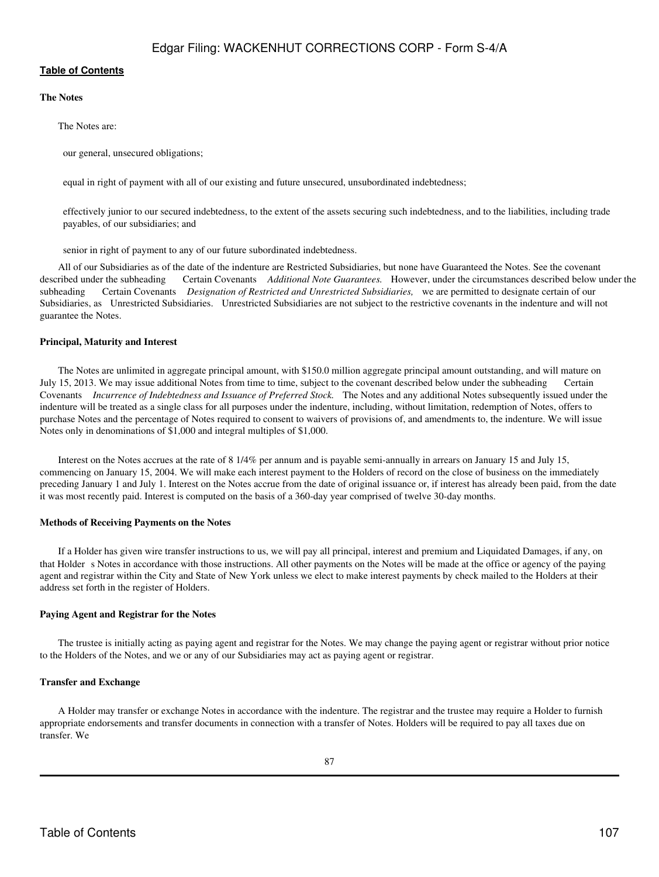#### **The Notes**

The Notes are:

our general, unsecured obligations;

equal in right of payment with all of our existing and future unsecured, unsubordinated indebtedness;

 effectively junior to our secured indebtedness, to the extent of the assets securing such indebtedness, and to the liabilities, including trade payables, of our subsidiaries; and

senior in right of payment to any of our future subordinated indebtedness.

All of our Subsidiaries as of the date of the indenture are Restricted Subsidiaries, but none have Guaranteed the Notes. See the covenant described under the subheading Certain Covenants  *Additional Note Guarantees.* However, under the circumstances described below under the subheading Certain Covenants  *Designation of Restricted and Unrestricted Subsidiaries,* we are permitted to designate certain of our Subsidiaries, as Unrestricted Subsidiaries. Unrestricted Subsidiaries are not subject to the restrictive covenants in the indenture and will not guarantee the Notes.

### **Principal, Maturity and Interest**

The Notes are unlimited in aggregate principal amount, with \$150.0 million aggregate principal amount outstanding, and will mature on July 15, 2013. We may issue additional Notes from time to time, subject to the covenant described below under the subheading Certain Covenants  *Incurrence of Indebtedness and Issuance of Preferred Stock.* The Notes and any additional Notes subsequently issued under the indenture will be treated as a single class for all purposes under the indenture, including, without limitation, redemption of Notes, offers to purchase Notes and the percentage of Notes required to consent to waivers of provisions of, and amendments to, the indenture. We will issue Notes only in denominations of \$1,000 and integral multiples of \$1,000.

Interest on the Notes accrues at the rate of 8 1/4% per annum and is payable semi-annually in arrears on January 15 and July 15, commencing on January 15, 2004. We will make each interest payment to the Holders of record on the close of business on the immediately preceding January 1 and July 1. Interest on the Notes accrue from the date of original issuance or, if interest has already been paid, from the date it was most recently paid. Interest is computed on the basis of a 360-day year comprised of twelve 30-day months.

### **Methods of Receiving Payments on the Notes**

If a Holder has given wire transfer instructions to us, we will pay all principal, interest and premium and Liquidated Damages, if any, on that Holder s Notes in accordance with those instructions. All other payments on the Notes will be made at the office or agency of the paying agent and registrar within the City and State of New York unless we elect to make interest payments by check mailed to the Holders at their address set forth in the register of Holders.

### **Paying Agent and Registrar for the Notes**

The trustee is initially acting as paying agent and registrar for the Notes. We may change the paying agent or registrar without prior notice to the Holders of the Notes, and we or any of our Subsidiaries may act as paying agent or registrar.

### **Transfer and Exchange**

A Holder may transfer or exchange Notes in accordance with the indenture. The registrar and the trustee may require a Holder to furnish appropriate endorsements and transfer documents in connection with a transfer of Notes. Holders will be required to pay all taxes due on transfer. We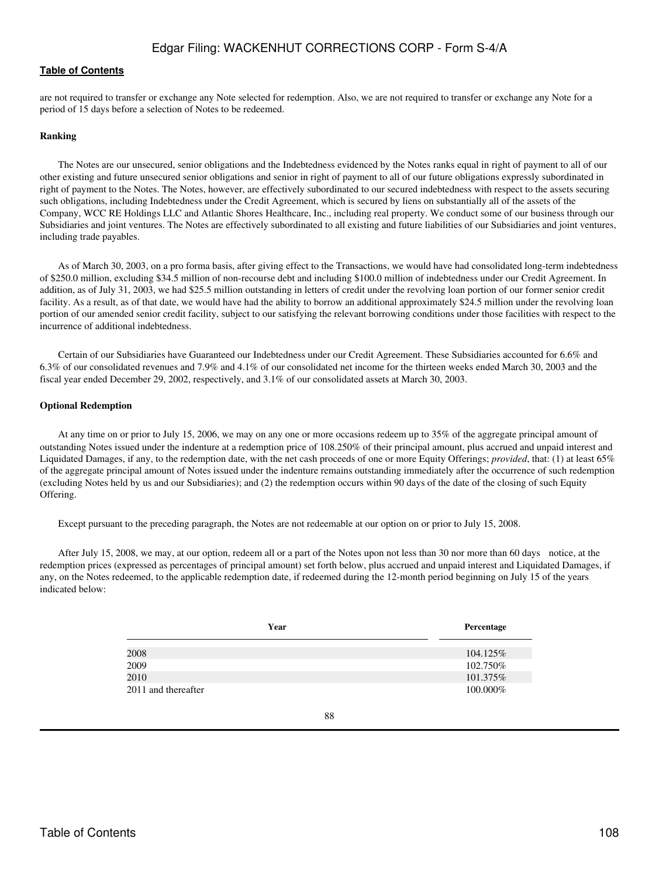#### **[Table of Contents](#page-5-0)**

are not required to transfer or exchange any Note selected for redemption. Also, we are not required to transfer or exchange any Note for a period of 15 days before a selection of Notes to be redeemed.

#### **Ranking**

The Notes are our unsecured, senior obligations and the Indebtedness evidenced by the Notes ranks equal in right of payment to all of our other existing and future unsecured senior obligations and senior in right of payment to all of our future obligations expressly subordinated in right of payment to the Notes. The Notes, however, are effectively subordinated to our secured indebtedness with respect to the assets securing such obligations, including Indebtedness under the Credit Agreement, which is secured by liens on substantially all of the assets of the Company, WCC RE Holdings LLC and Atlantic Shores Healthcare, Inc., including real property. We conduct some of our business through our Subsidiaries and joint ventures. The Notes are effectively subordinated to all existing and future liabilities of our Subsidiaries and joint ventures, including trade payables.

As of March 30, 2003, on a pro forma basis, after giving effect to the Transactions, we would have had consolidated long-term indebtedness of \$250.0 million, excluding \$34.5 million of non-recourse debt and including \$100.0 million of indebtedness under our Credit Agreement. In addition, as of July 31, 2003, we had \$25.5 million outstanding in letters of credit under the revolving loan portion of our former senior credit facility. As a result, as of that date, we would have had the ability to borrow an additional approximately \$24.5 million under the revolving loan portion of our amended senior credit facility, subject to our satisfying the relevant borrowing conditions under those facilities with respect to the incurrence of additional indebtedness.

Certain of our Subsidiaries have Guaranteed our Indebtedness under our Credit Agreement. These Subsidiaries accounted for 6.6% and 6.3% of our consolidated revenues and 7.9% and 4.1% of our consolidated net income for the thirteen weeks ended March 30, 2003 and the fiscal year ended December 29, 2002, respectively, and 3.1% of our consolidated assets at March 30, 2003.

#### **Optional Redemption**

At any time on or prior to July 15, 2006, we may on any one or more occasions redeem up to 35% of the aggregate principal amount of outstanding Notes issued under the indenture at a redemption price of 108.250% of their principal amount, plus accrued and unpaid interest and Liquidated Damages, if any, to the redemption date, with the net cash proceeds of one or more Equity Offerings; *provided*, that: (1) at least 65% of the aggregate principal amount of Notes issued under the indenture remains outstanding immediately after the occurrence of such redemption (excluding Notes held by us and our Subsidiaries); and (2) the redemption occurs within 90 days of the date of the closing of such Equity Offering.

Except pursuant to the preceding paragraph, the Notes are not redeemable at our option on or prior to July 15, 2008.

After July 15, 2008, we may, at our option, redeem all or a part of the Notes upon not less than 30 nor more than 60 days notice, at the redemption prices (expressed as percentages of principal amount) set forth below, plus accrued and unpaid interest and Liquidated Damages, if any, on the Notes redeemed, to the applicable redemption date, if redeemed during the 12-month period beginning on July 15 of the years indicated below:

| Year                | Percentage |
|---------------------|------------|
|                     |            |
| 2008                | 104.125\%  |
| 2009                | 102.750\%  |
| 2010                | 101.375%   |
| 2011 and thereafter | 100.000%   |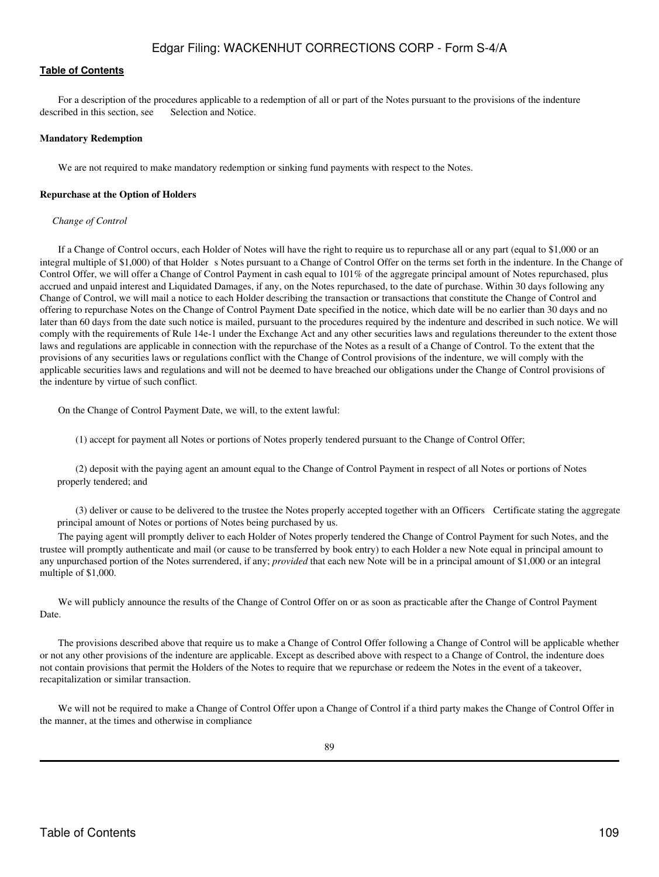## **[Table of Contents](#page-5-0)**

For a description of the procedures applicable to a redemption of all or part of the Notes pursuant to the provisions of the indenture described in this section, see Selection and Notice.

### **Mandatory Redemption**

We are not required to make mandatory redemption or sinking fund payments with respect to the Notes.

### **Repurchase at the Option of Holders**

### *Change of Control*

If a Change of Control occurs, each Holder of Notes will have the right to require us to repurchase all or any part (equal to \$1,000 or an integral multiple of \$1,000) of that Holder s Notes pursuant to a Change of Control Offer on the terms set forth in the indenture. In the Change of Control Offer, we will offer a Change of Control Payment in cash equal to 101% of the aggregate principal amount of Notes repurchased, plus accrued and unpaid interest and Liquidated Damages, if any, on the Notes repurchased, to the date of purchase. Within 30 days following any Change of Control, we will mail a notice to each Holder describing the transaction or transactions that constitute the Change of Control and offering to repurchase Notes on the Change of Control Payment Date specified in the notice, which date will be no earlier than 30 days and no later than 60 days from the date such notice is mailed, pursuant to the procedures required by the indenture and described in such notice. We will comply with the requirements of Rule 14e-1 under the Exchange Act and any other securities laws and regulations thereunder to the extent those laws and regulations are applicable in connection with the repurchase of the Notes as a result of a Change of Control. To the extent that the provisions of any securities laws or regulations conflict with the Change of Control provisions of the indenture, we will comply with the applicable securities laws and regulations and will not be deemed to have breached our obligations under the Change of Control provisions of the indenture by virtue of such conflict.

On the Change of Control Payment Date, we will, to the extent lawful:

(1) accept for payment all Notes or portions of Notes properly tendered pursuant to the Change of Control Offer;

(2) deposit with the paying agent an amount equal to the Change of Control Payment in respect of all Notes or portions of Notes properly tendered; and

(3) deliver or cause to be delivered to the trustee the Notes properly accepted together with an Officers Certificate stating the aggregate principal amount of Notes or portions of Notes being purchased by us.

The paying agent will promptly deliver to each Holder of Notes properly tendered the Change of Control Payment for such Notes, and the trustee will promptly authenticate and mail (or cause to be transferred by book entry) to each Holder a new Note equal in principal amount to any unpurchased portion of the Notes surrendered, if any; *provided* that each new Note will be in a principal amount of \$1,000 or an integral multiple of \$1,000.

We will publicly announce the results of the Change of Control Offer on or as soon as practicable after the Change of Control Payment Date.

The provisions described above that require us to make a Change of Control Offer following a Change of Control will be applicable whether or not any other provisions of the indenture are applicable. Except as described above with respect to a Change of Control, the indenture does not contain provisions that permit the Holders of the Notes to require that we repurchase or redeem the Notes in the event of a takeover, recapitalization or similar transaction.

We will not be required to make a Change of Control Offer upon a Change of Control if a third party makes the Change of Control Offer in the manner, at the times and otherwise in compliance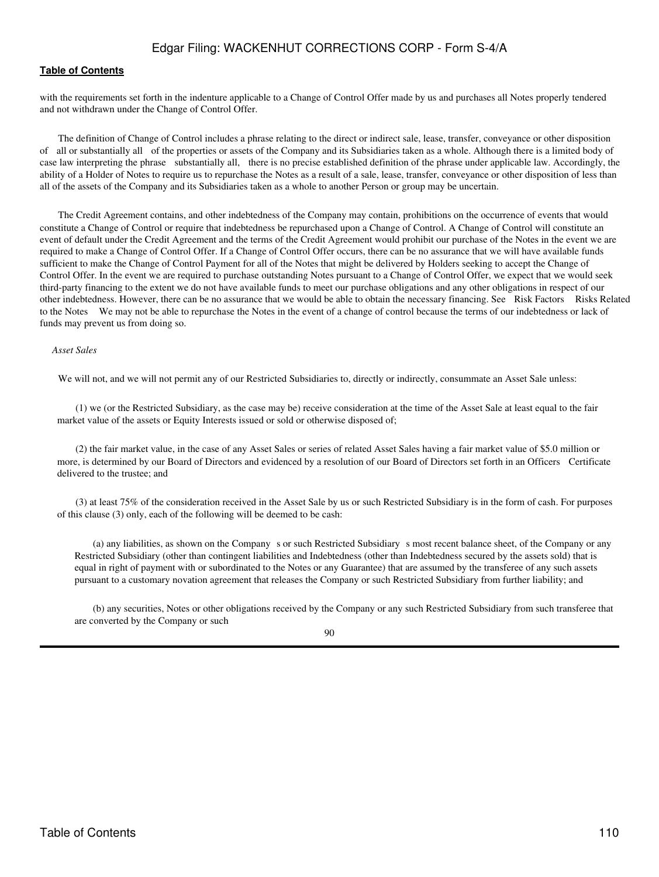## **[Table of Contents](#page-5-0)**

with the requirements set forth in the indenture applicable to a Change of Control Offer made by us and purchases all Notes properly tendered and not withdrawn under the Change of Control Offer.

The definition of Change of Control includes a phrase relating to the direct or indirect sale, lease, transfer, conveyance or other disposition of all or substantially all of the properties or assets of the Company and its Subsidiaries taken as a whole. Although there is a limited body of case law interpreting the phrase substantially all, there is no precise established definition of the phrase under applicable law. Accordingly, the ability of a Holder of Notes to require us to repurchase the Notes as a result of a sale, lease, transfer, conveyance or other disposition of less than all of the assets of the Company and its Subsidiaries taken as a whole to another Person or group may be uncertain.

The Credit Agreement contains, and other indebtedness of the Company may contain, prohibitions on the occurrence of events that would constitute a Change of Control or require that indebtedness be repurchased upon a Change of Control. A Change of Control will constitute an event of default under the Credit Agreement and the terms of the Credit Agreement would prohibit our purchase of the Notes in the event we are required to make a Change of Control Offer. If a Change of Control Offer occurs, there can be no assurance that we will have available funds sufficient to make the Change of Control Payment for all of the Notes that might be delivered by Holders seeking to accept the Change of Control Offer. In the event we are required to purchase outstanding Notes pursuant to a Change of Control Offer, we expect that we would seek third-party financing to the extent we do not have available funds to meet our purchase obligations and any other obligations in respect of our other indebtedness. However, there can be no assurance that we would be able to obtain the necessary financing. See Risk Factors Risks Related to the Notes We may not be able to repurchase the Notes in the event of a change of control because the terms of our indebtedness or lack of funds may prevent us from doing so.

#### *Asset Sales*

We will not, and we will not permit any of our Restricted Subsidiaries to, directly or indirectly, consummate an Asset Sale unless:

(1) we (or the Restricted Subsidiary, as the case may be) receive consideration at the time of the Asset Sale at least equal to the fair market value of the assets or Equity Interests issued or sold or otherwise disposed of;

(2) the fair market value, in the case of any Asset Sales or series of related Asset Sales having a fair market value of \$5.0 million or more, is determined by our Board of Directors and evidenced by a resolution of our Board of Directors set forth in an Officers Certificate delivered to the trustee; and

(3) at least 75% of the consideration received in the Asset Sale by us or such Restricted Subsidiary is in the form of cash. For purposes of this clause (3) only, each of the following will be deemed to be cash:

(a) any liabilities, as shown on the Companys or such Restricted Subsidiarys most recent balance sheet, of the Company or any Restricted Subsidiary (other than contingent liabilities and Indebtedness (other than Indebtedness secured by the assets sold) that is equal in right of payment with or subordinated to the Notes or any Guarantee) that are assumed by the transferee of any such assets pursuant to a customary novation agreement that releases the Company or such Restricted Subsidiary from further liability; and

(b) any securities, Notes or other obligations received by the Company or any such Restricted Subsidiary from such transferee that are converted by the Company or such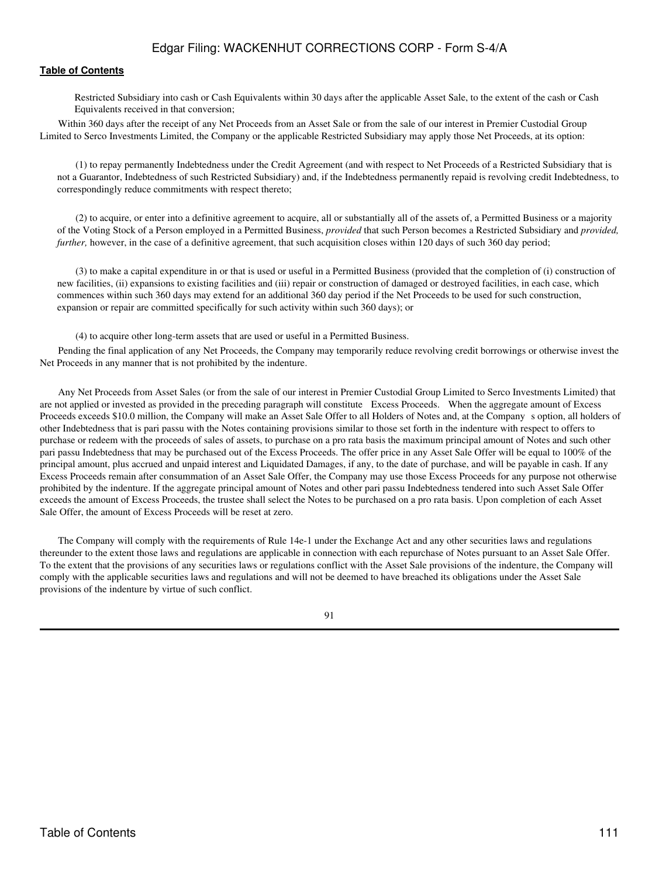## **[Table of Contents](#page-5-0)**

Restricted Subsidiary into cash or Cash Equivalents within 30 days after the applicable Asset Sale, to the extent of the cash or Cash Equivalents received in that conversion;

Within 360 days after the receipt of any Net Proceeds from an Asset Sale or from the sale of our interest in Premier Custodial Group Limited to Serco Investments Limited, the Company or the applicable Restricted Subsidiary may apply those Net Proceeds, at its option:

(1) to repay permanently Indebtedness under the Credit Agreement (and with respect to Net Proceeds of a Restricted Subsidiary that is not a Guarantor, Indebtedness of such Restricted Subsidiary) and, if the Indebtedness permanently repaid is revolving credit Indebtedness, to correspondingly reduce commitments with respect thereto;

(2) to acquire, or enter into a definitive agreement to acquire, all or substantially all of the assets of, a Permitted Business or a majority of the Voting Stock of a Person employed in a Permitted Business, *provided* that such Person becomes a Restricted Subsidiary and *provided, further*, however, in the case of a definitive agreement, that such acquisition closes within 120 days of such 360 day period;

(3) to make a capital expenditure in or that is used or useful in a Permitted Business (provided that the completion of (i) construction of new facilities, (ii) expansions to existing facilities and (iii) repair or construction of damaged or destroyed facilities, in each case, which commences within such 360 days may extend for an additional 360 day period if the Net Proceeds to be used for such construction, expansion or repair are committed specifically for such activity within such 360 days); or

(4) to acquire other long-term assets that are used or useful in a Permitted Business.

Pending the final application of any Net Proceeds, the Company may temporarily reduce revolving credit borrowings or otherwise invest the Net Proceeds in any manner that is not prohibited by the indenture.

Any Net Proceeds from Asset Sales (or from the sale of our interest in Premier Custodial Group Limited to Serco Investments Limited) that are not applied or invested as provided in the preceding paragraph will constitute Excess Proceeds. When the aggregate amount of Excess Proceeds exceeds \$10.0 million, the Company will make an Asset Sale Offer to all Holders of Notes and, at the Company s option, all holders of other Indebtedness that is pari passu with the Notes containing provisions similar to those set forth in the indenture with respect to offers to purchase or redeem with the proceeds of sales of assets, to purchase on a pro rata basis the maximum principal amount of Notes and such other pari passu Indebtedness that may be purchased out of the Excess Proceeds. The offer price in any Asset Sale Offer will be equal to 100% of the principal amount, plus accrued and unpaid interest and Liquidated Damages, if any, to the date of purchase, and will be payable in cash. If any Excess Proceeds remain after consummation of an Asset Sale Offer, the Company may use those Excess Proceeds for any purpose not otherwise prohibited by the indenture. If the aggregate principal amount of Notes and other pari passu Indebtedness tendered into such Asset Sale Offer exceeds the amount of Excess Proceeds, the trustee shall select the Notes to be purchased on a pro rata basis. Upon completion of each Asset Sale Offer, the amount of Excess Proceeds will be reset at zero.

The Company will comply with the requirements of Rule 14e-1 under the Exchange Act and any other securities laws and regulations thereunder to the extent those laws and regulations are applicable in connection with each repurchase of Notes pursuant to an Asset Sale Offer. To the extent that the provisions of any securities laws or regulations conflict with the Asset Sale provisions of the indenture, the Company will comply with the applicable securities laws and regulations and will not be deemed to have breached its obligations under the Asset Sale provisions of the indenture by virtue of such conflict.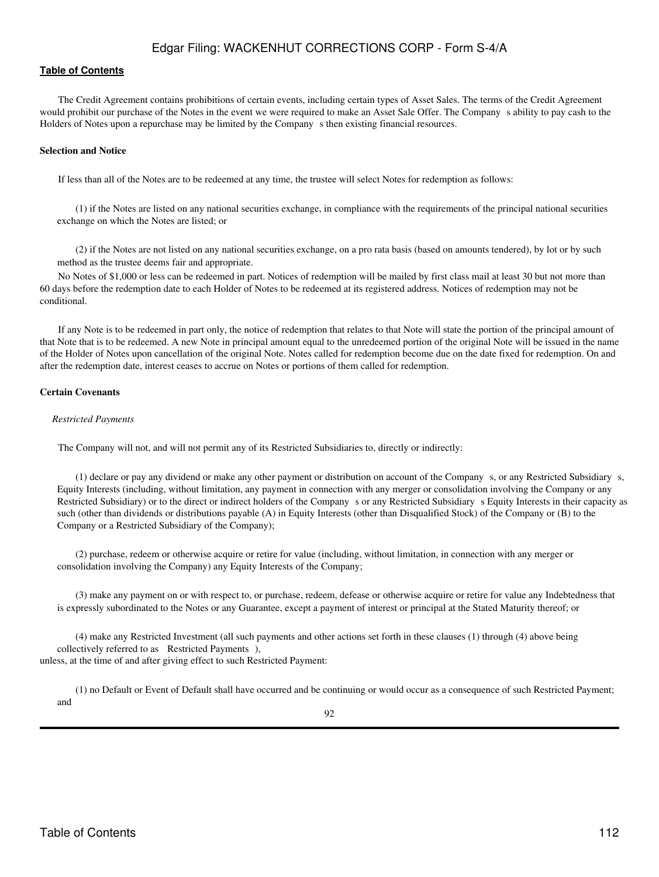### **[Table of Contents](#page-5-0)**

The Credit Agreement contains prohibitions of certain events, including certain types of Asset Sales. The terms of the Credit Agreement would prohibit our purchase of the Notes in the event we were required to make an Asset Sale Offer. The Company s ability to pay cash to the Holders of Notes upon a repurchase may be limited by the Companys then existing financial resources.

### **Selection and Notice**

If less than all of the Notes are to be redeemed at any time, the trustee will select Notes for redemption as follows:

(1) if the Notes are listed on any national securities exchange, in compliance with the requirements of the principal national securities exchange on which the Notes are listed; or

(2) if the Notes are not listed on any national securities exchange, on a pro rata basis (based on amounts tendered), by lot or by such method as the trustee deems fair and appropriate.

No Notes of \$1,000 or less can be redeemed in part. Notices of redemption will be mailed by first class mail at least 30 but not more than 60 days before the redemption date to each Holder of Notes to be redeemed at its registered address. Notices of redemption may not be conditional.

If any Note is to be redeemed in part only, the notice of redemption that relates to that Note will state the portion of the principal amount of that Note that is to be redeemed. A new Note in principal amount equal to the unredeemed portion of the original Note will be issued in the name of the Holder of Notes upon cancellation of the original Note. Notes called for redemption become due on the date fixed for redemption. On and after the redemption date, interest ceases to accrue on Notes or portions of them called for redemption.

### **Certain Covenants**

### *Restricted Payments*

The Company will not, and will not permit any of its Restricted Subsidiaries to, directly or indirectly:

(1) declare or pay any dividend or make any other payment or distribution on account of the Companys, or any Restricted Subsidiarys, Equity Interests (including, without limitation, any payment in connection with any merger or consolidation involving the Company or any Restricted Subsidiary) or to the direct or indirect holders of the Company s or any Restricted Subsidiary s Equity Interests in their capacity as such (other than dividends or distributions payable (A) in Equity Interests (other than Disqualified Stock) of the Company or (B) to the Company or a Restricted Subsidiary of the Company);

(2) purchase, redeem or otherwise acquire or retire for value (including, without limitation, in connection with any merger or consolidation involving the Company) any Equity Interests of the Company;

(3) make any payment on or with respect to, or purchase, redeem, defease or otherwise acquire or retire for value any Indebtedness that is expressly subordinated to the Notes or any Guarantee, except a payment of interest or principal at the Stated Maturity thereof; or

(4) make any Restricted Investment (all such payments and other actions set forth in these clauses (1) through (4) above being collectively referred to as Restricted Payments), unless, at the time of and after giving effect to such Restricted Payment:

(1) no Default or Event of Default shall have occurred and be continuing or would occur as a consequence of such Restricted Payment; and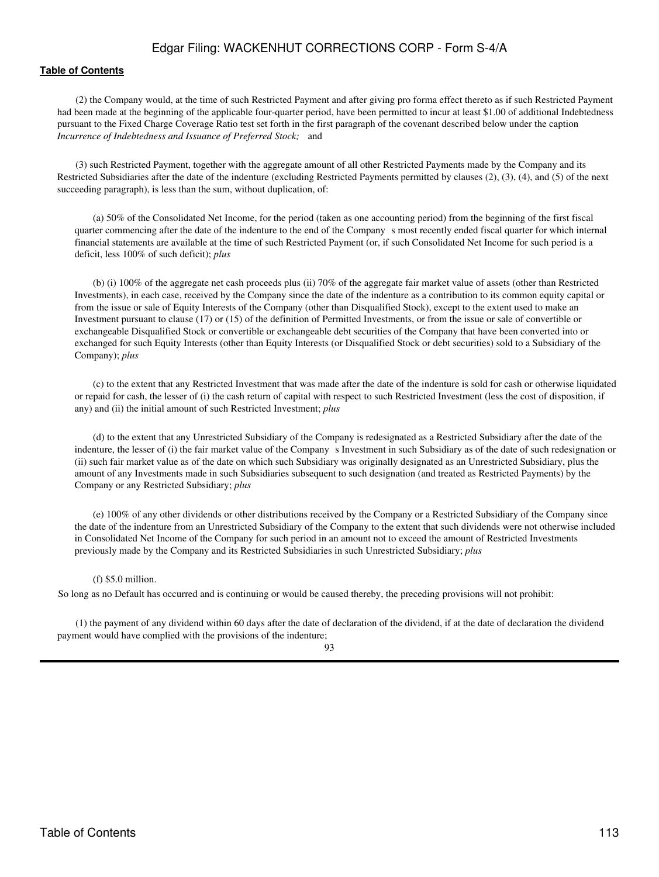## **[Table of Contents](#page-5-0)**

(2) the Company would, at the time of such Restricted Payment and after giving pro forma effect thereto as if such Restricted Payment had been made at the beginning of the applicable four-quarter period, have been permitted to incur at least \$1.00 of additional Indebtedness pursuant to the Fixed Charge Coverage Ratio test set forth in the first paragraph of the covenant described below under the caption *Incurrence of Indebtedness and Issuance of Preferred Stock;* and

(3) such Restricted Payment, together with the aggregate amount of all other Restricted Payments made by the Company and its Restricted Subsidiaries after the date of the indenture (excluding Restricted Payments permitted by clauses (2), (3), (4), and (5) of the next succeeding paragraph), is less than the sum, without duplication, of:

(a) 50% of the Consolidated Net Income, for the period (taken as one accounting period) from the beginning of the first fiscal quarter commencing after the date of the indenture to the end of the Companys most recently ended fiscal quarter for which internal financial statements are available at the time of such Restricted Payment (or, if such Consolidated Net Income for such period is a deficit, less 100% of such deficit); *plus*

(b) (i) 100% of the aggregate net cash proceeds plus (ii) 70% of the aggregate fair market value of assets (other than Restricted Investments), in each case, received by the Company since the date of the indenture as a contribution to its common equity capital or from the issue or sale of Equity Interests of the Company (other than Disqualified Stock), except to the extent used to make an Investment pursuant to clause (17) or (15) of the definition of Permitted Investments, or from the issue or sale of convertible or exchangeable Disqualified Stock or convertible or exchangeable debt securities of the Company that have been converted into or exchanged for such Equity Interests (other than Equity Interests (or Disqualified Stock or debt securities) sold to a Subsidiary of the Company); *plus*

(c) to the extent that any Restricted Investment that was made after the date of the indenture is sold for cash or otherwise liquidated or repaid for cash, the lesser of (i) the cash return of capital with respect to such Restricted Investment (less the cost of disposition, if any) and (ii) the initial amount of such Restricted Investment; *plus*

(d) to the extent that any Unrestricted Subsidiary of the Company is redesignated as a Restricted Subsidiary after the date of the indenture, the lesser of (i) the fair market value of the Company s Investment in such Subsidiary as of the date of such redesignation or (ii) such fair market value as of the date on which such Subsidiary was originally designated as an Unrestricted Subsidiary, plus the amount of any Investments made in such Subsidiaries subsequent to such designation (and treated as Restricted Payments) by the Company or any Restricted Subsidiary; *plus*

(e) 100% of any other dividends or other distributions received by the Company or a Restricted Subsidiary of the Company since the date of the indenture from an Unrestricted Subsidiary of the Company to the extent that such dividends were not otherwise included in Consolidated Net Income of the Company for such period in an amount not to exceed the amount of Restricted Investments previously made by the Company and its Restricted Subsidiaries in such Unrestricted Subsidiary; *plus*

### (f) \$5.0 million.

So long as no Default has occurred and is continuing or would be caused thereby, the preceding provisions will not prohibit:

(1) the payment of any dividend within 60 days after the date of declaration of the dividend, if at the date of declaration the dividend payment would have complied with the provisions of the indenture;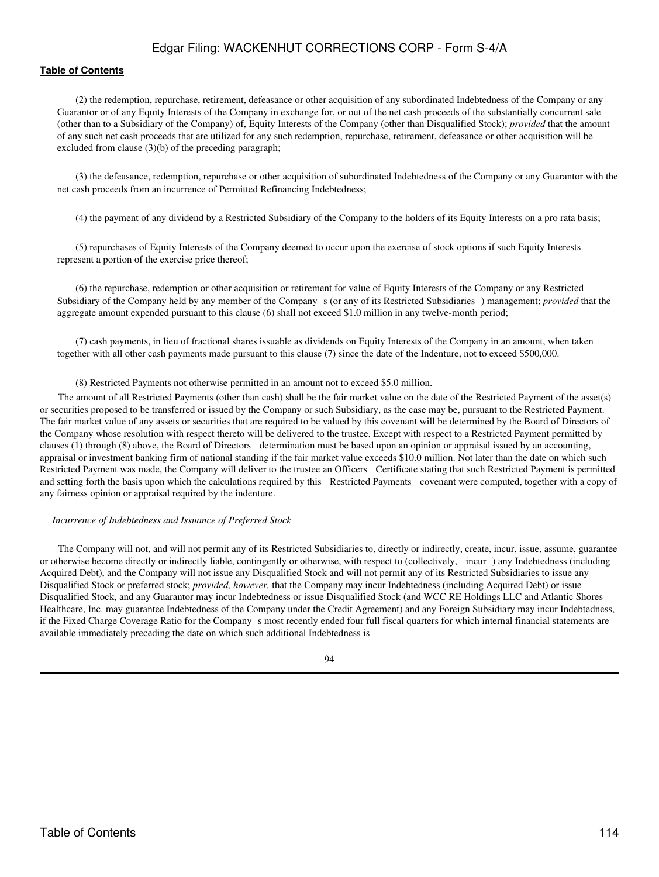## **[Table of Contents](#page-5-0)**

(2) the redemption, repurchase, retirement, defeasance or other acquisition of any subordinated Indebtedness of the Company or any Guarantor or of any Equity Interests of the Company in exchange for, or out of the net cash proceeds of the substantially concurrent sale (other than to a Subsidiary of the Company) of, Equity Interests of the Company (other than Disqualified Stock); *provided* that the amount of any such net cash proceeds that are utilized for any such redemption, repurchase, retirement, defeasance or other acquisition will be excluded from clause (3)(b) of the preceding paragraph;

(3) the defeasance, redemption, repurchase or other acquisition of subordinated Indebtedness of the Company or any Guarantor with the net cash proceeds from an incurrence of Permitted Refinancing Indebtedness;

(4) the payment of any dividend by a Restricted Subsidiary of the Company to the holders of its Equity Interests on a pro rata basis;

(5) repurchases of Equity Interests of the Company deemed to occur upon the exercise of stock options if such Equity Interests represent a portion of the exercise price thereof;

(6) the repurchase, redemption or other acquisition or retirement for value of Equity Interests of the Company or any Restricted Subsidiary of the Company held by any member of the Companys (or any of its Restricted Subsidiaries) management; *provided* that the aggregate amount expended pursuant to this clause (6) shall not exceed \$1.0 million in any twelve-month period;

(7) cash payments, in lieu of fractional shares issuable as dividends on Equity Interests of the Company in an amount, when taken together with all other cash payments made pursuant to this clause (7) since the date of the Indenture, not to exceed \$500,000.

### (8) Restricted Payments not otherwise permitted in an amount not to exceed \$5.0 million.

The amount of all Restricted Payments (other than cash) shall be the fair market value on the date of the Restricted Payment of the asset(s) or securities proposed to be transferred or issued by the Company or such Subsidiary, as the case may be, pursuant to the Restricted Payment. The fair market value of any assets or securities that are required to be valued by this covenant will be determined by the Board of Directors of the Company whose resolution with respect thereto will be delivered to the trustee. Except with respect to a Restricted Payment permitted by clauses (1) through (8) above, the Board of Directors determination must be based upon an opinion or appraisal issued by an accounting, appraisal or investment banking firm of national standing if the fair market value exceeds \$10.0 million. Not later than the date on which such Restricted Payment was made, the Company will deliver to the trustee an Officers Certificate stating that such Restricted Payment is permitted and setting forth the basis upon which the calculations required by this Restricted Payments covenant were computed, together with a copy of any fairness opinion or appraisal required by the indenture.

### *Incurrence of Indebtedness and Issuance of Preferred Stock*

The Company will not, and will not permit any of its Restricted Subsidiaries to, directly or indirectly, create, incur, issue, assume, guarantee or otherwise become directly or indirectly liable, contingently or otherwise, with respect to (collectively, incur) any Indebtedness (including Acquired Debt), and the Company will not issue any Disqualified Stock and will not permit any of its Restricted Subsidiaries to issue any Disqualified Stock or preferred stock; *provided, however,* that the Company may incur Indebtedness (including Acquired Debt) or issue Disqualified Stock, and any Guarantor may incur Indebtedness or issue Disqualified Stock (and WCC RE Holdings LLC and Atlantic Shores Healthcare, Inc. may guarantee Indebtedness of the Company under the Credit Agreement) and any Foreign Subsidiary may incur Indebtedness, if the Fixed Charge Coverage Ratio for the Companys most recently ended four full fiscal quarters for which internal financial statements are available immediately preceding the date on which such additional Indebtedness is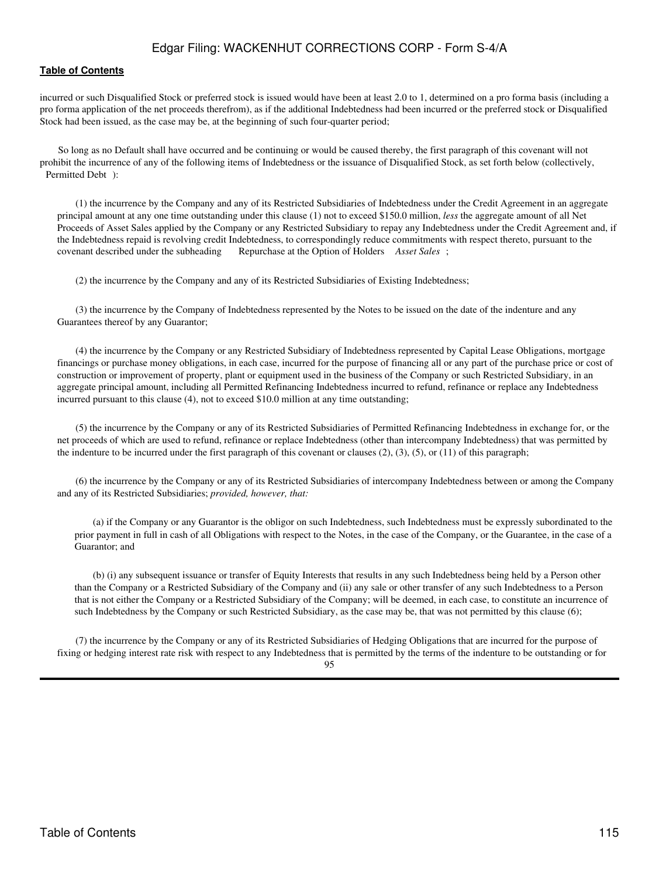## **[Table of Contents](#page-5-0)**

incurred or such Disqualified Stock or preferred stock is issued would have been at least 2.0 to 1, determined on a pro forma basis (including a pro forma application of the net proceeds therefrom), as if the additional Indebtedness had been incurred or the preferred stock or Disqualified Stock had been issued, as the case may be, at the beginning of such four-quarter period;

So long as no Default shall have occurred and be continuing or would be caused thereby, the first paragraph of this covenant will not prohibit the incurrence of any of the following items of Indebtedness or the issuance of Disqualified Stock, as set forth below (collectively, Permitted Debt ):

(1) the incurrence by the Company and any of its Restricted Subsidiaries of Indebtedness under the Credit Agreement in an aggregate principal amount at any one time outstanding under this clause (1) not to exceed \$150.0 million, *less* the aggregate amount of all Net Proceeds of Asset Sales applied by the Company or any Restricted Subsidiary to repay any Indebtedness under the Credit Agreement and, if the Indebtedness repaid is revolving credit Indebtedness, to correspondingly reduce commitments with respect thereto, pursuant to the covenant described under the subheading Repurchase at the Option of Holders  *Asset Sales*;

(2) the incurrence by the Company and any of its Restricted Subsidiaries of Existing Indebtedness;

(3) the incurrence by the Company of Indebtedness represented by the Notes to be issued on the date of the indenture and any Guarantees thereof by any Guarantor;

(4) the incurrence by the Company or any Restricted Subsidiary of Indebtedness represented by Capital Lease Obligations, mortgage financings or purchase money obligations, in each case, incurred for the purpose of financing all or any part of the purchase price or cost of construction or improvement of property, plant or equipment used in the business of the Company or such Restricted Subsidiary, in an aggregate principal amount, including all Permitted Refinancing Indebtedness incurred to refund, refinance or replace any Indebtedness incurred pursuant to this clause (4), not to exceed \$10.0 million at any time outstanding;

(5) the incurrence by the Company or any of its Restricted Subsidiaries of Permitted Refinancing Indebtedness in exchange for, or the net proceeds of which are used to refund, refinance or replace Indebtedness (other than intercompany Indebtedness) that was permitted by the indenture to be incurred under the first paragraph of this covenant or clauses  $(2)$ ,  $(3)$ ,  $(5)$ , or  $(11)$  of this paragraph;

(6) the incurrence by the Company or any of its Restricted Subsidiaries of intercompany Indebtedness between or among the Company and any of its Restricted Subsidiaries; *provided, however, that:*

(a) if the Company or any Guarantor is the obligor on such Indebtedness, such Indebtedness must be expressly subordinated to the prior payment in full in cash of all Obligations with respect to the Notes, in the case of the Company, or the Guarantee, in the case of a Guarantor; and

(b) (i) any subsequent issuance or transfer of Equity Interests that results in any such Indebtedness being held by a Person other than the Company or a Restricted Subsidiary of the Company and (ii) any sale or other transfer of any such Indebtedness to a Person that is not either the Company or a Restricted Subsidiary of the Company; will be deemed, in each case, to constitute an incurrence of such Indebtedness by the Company or such Restricted Subsidiary, as the case may be, that was not permitted by this clause (6);

(7) the incurrence by the Company or any of its Restricted Subsidiaries of Hedging Obligations that are incurred for the purpose of fixing or hedging interest rate risk with respect to any Indebtedness that is permitted by the terms of the indenture to be outstanding or for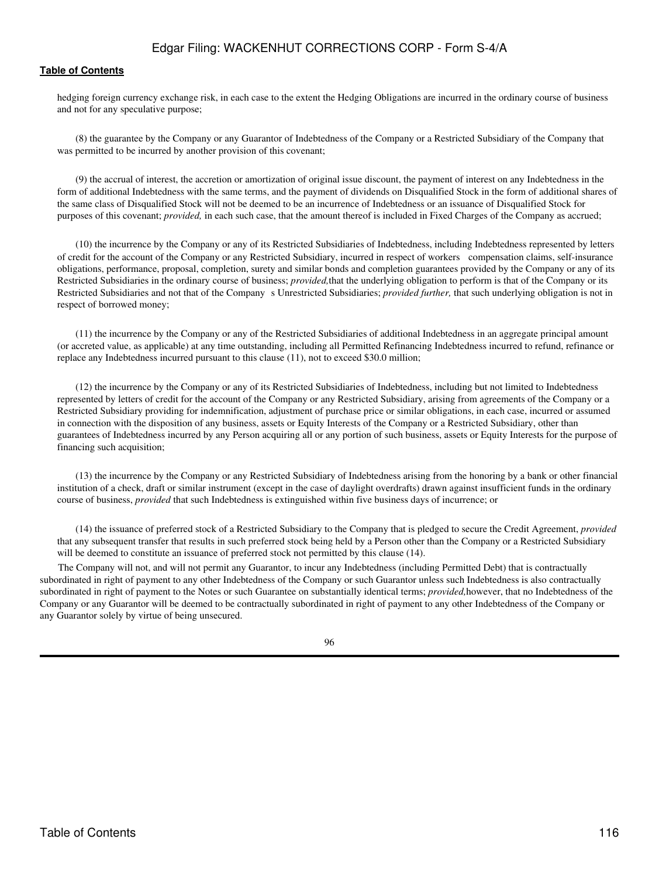## **[Table of Contents](#page-5-0)**

hedging foreign currency exchange risk, in each case to the extent the Hedging Obligations are incurred in the ordinary course of business and not for any speculative purpose;

(8) the guarantee by the Company or any Guarantor of Indebtedness of the Company or a Restricted Subsidiary of the Company that was permitted to be incurred by another provision of this covenant;

(9) the accrual of interest, the accretion or amortization of original issue discount, the payment of interest on any Indebtedness in the form of additional Indebtedness with the same terms, and the payment of dividends on Disqualified Stock in the form of additional shares of the same class of Disqualified Stock will not be deemed to be an incurrence of Indebtedness or an issuance of Disqualified Stock for purposes of this covenant; *provided,* in each such case, that the amount thereof is included in Fixed Charges of the Company as accrued;

(10) the incurrence by the Company or any of its Restricted Subsidiaries of Indebtedness, including Indebtedness represented by letters of credit for the account of the Company or any Restricted Subsidiary, incurred in respect of workers compensation claims, self-insurance obligations, performance, proposal, completion, surety and similar bonds and completion guarantees provided by the Company or any of its Restricted Subsidiaries in the ordinary course of business; *provided,*that the underlying obligation to perform is that of the Company or its Restricted Subsidiaries and not that of the Company s Unrestricted Subsidiaries; *provided further*, that such underlying obligation is not in respect of borrowed money;

(11) the incurrence by the Company or any of the Restricted Subsidiaries of additional Indebtedness in an aggregate principal amount (or accreted value, as applicable) at any time outstanding, including all Permitted Refinancing Indebtedness incurred to refund, refinance or replace any Indebtedness incurred pursuant to this clause (11), not to exceed \$30.0 million;

(12) the incurrence by the Company or any of its Restricted Subsidiaries of Indebtedness, including but not limited to Indebtedness represented by letters of credit for the account of the Company or any Restricted Subsidiary, arising from agreements of the Company or a Restricted Subsidiary providing for indemnification, adjustment of purchase price or similar obligations, in each case, incurred or assumed in connection with the disposition of any business, assets or Equity Interests of the Company or a Restricted Subsidiary, other than guarantees of Indebtedness incurred by any Person acquiring all or any portion of such business, assets or Equity Interests for the purpose of financing such acquisition;

(13) the incurrence by the Company or any Restricted Subsidiary of Indebtedness arising from the honoring by a bank or other financial institution of a check, draft or similar instrument (except in the case of daylight overdrafts) drawn against insufficient funds in the ordinary course of business, *provided* that such Indebtedness is extinguished within five business days of incurrence; or

(14) the issuance of preferred stock of a Restricted Subsidiary to the Company that is pledged to secure the Credit Agreement, *provided* that any subsequent transfer that results in such preferred stock being held by a Person other than the Company or a Restricted Subsidiary will be deemed to constitute an issuance of preferred stock not permitted by this clause (14).

The Company will not, and will not permit any Guarantor, to incur any Indebtedness (including Permitted Debt) that is contractually subordinated in right of payment to any other Indebtedness of the Company or such Guarantor unless such Indebtedness is also contractually subordinated in right of payment to the Notes or such Guarantee on substantially identical terms; *provided,*however, that no Indebtedness of the Company or any Guarantor will be deemed to be contractually subordinated in right of payment to any other Indebtedness of the Company or any Guarantor solely by virtue of being unsecured.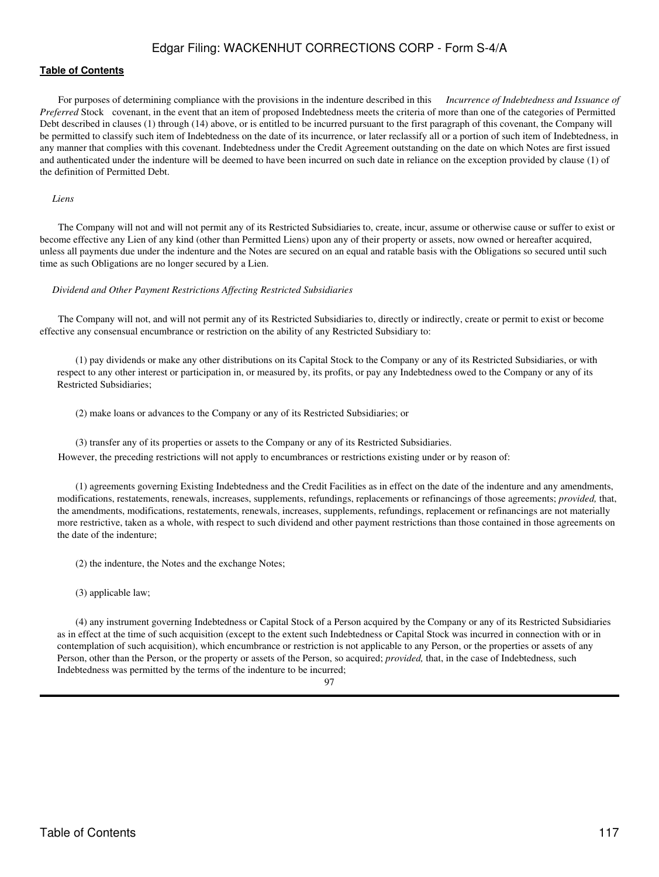## **[Table of Contents](#page-5-0)**

For purposes of determining compliance with the provisions in the indenture described in this *Incurrence of Indebtedness and Issuance of Preferred* Stock covenant, in the event that an item of proposed Indebtedness meets the criteria of more than one of the categories of Permitted Debt described in clauses (1) through (14) above, or is entitled to be incurred pursuant to the first paragraph of this covenant, the Company will be permitted to classify such item of Indebtedness on the date of its incurrence, or later reclassify all or a portion of such item of Indebtedness, in any manner that complies with this covenant. Indebtedness under the Credit Agreement outstanding on the date on which Notes are first issued and authenticated under the indenture will be deemed to have been incurred on such date in reliance on the exception provided by clause (1) of the definition of Permitted Debt.

### *Liens*

The Company will not and will not permit any of its Restricted Subsidiaries to, create, incur, assume or otherwise cause or suffer to exist or become effective any Lien of any kind (other than Permitted Liens) upon any of their property or assets, now owned or hereafter acquired, unless all payments due under the indenture and the Notes are secured on an equal and ratable basis with the Obligations so secured until such time as such Obligations are no longer secured by a Lien.

### *Dividend and Other Payment Restrictions Affecting Restricted Subsidiaries*

The Company will not, and will not permit any of its Restricted Subsidiaries to, directly or indirectly, create or permit to exist or become effective any consensual encumbrance or restriction on the ability of any Restricted Subsidiary to:

(1) pay dividends or make any other distributions on its Capital Stock to the Company or any of its Restricted Subsidiaries, or with respect to any other interest or participation in, or measured by, its profits, or pay any Indebtedness owed to the Company or any of its Restricted Subsidiaries;

(2) make loans or advances to the Company or any of its Restricted Subsidiaries; or

(3) transfer any of its properties or assets to the Company or any of its Restricted Subsidiaries. However, the preceding restrictions will not apply to encumbrances or restrictions existing under or by reason of:

(1) agreements governing Existing Indebtedness and the Credit Facilities as in effect on the date of the indenture and any amendments, modifications, restatements, renewals, increases, supplements, refundings, replacements or refinancings of those agreements; *provided,* that, the amendments, modifications, restatements, renewals, increases, supplements, refundings, replacement or refinancings are not materially more restrictive, taken as a whole, with respect to such dividend and other payment restrictions than those contained in those agreements on the date of the indenture;

(2) the indenture, the Notes and the exchange Notes;

(3) applicable law;

(4) any instrument governing Indebtedness or Capital Stock of a Person acquired by the Company or any of its Restricted Subsidiaries as in effect at the time of such acquisition (except to the extent such Indebtedness or Capital Stock was incurred in connection with or in contemplation of such acquisition), which encumbrance or restriction is not applicable to any Person, or the properties or assets of any Person, other than the Person, or the property or assets of the Person, so acquired; *provided,* that, in the case of Indebtedness, such Indebtedness was permitted by the terms of the indenture to be incurred;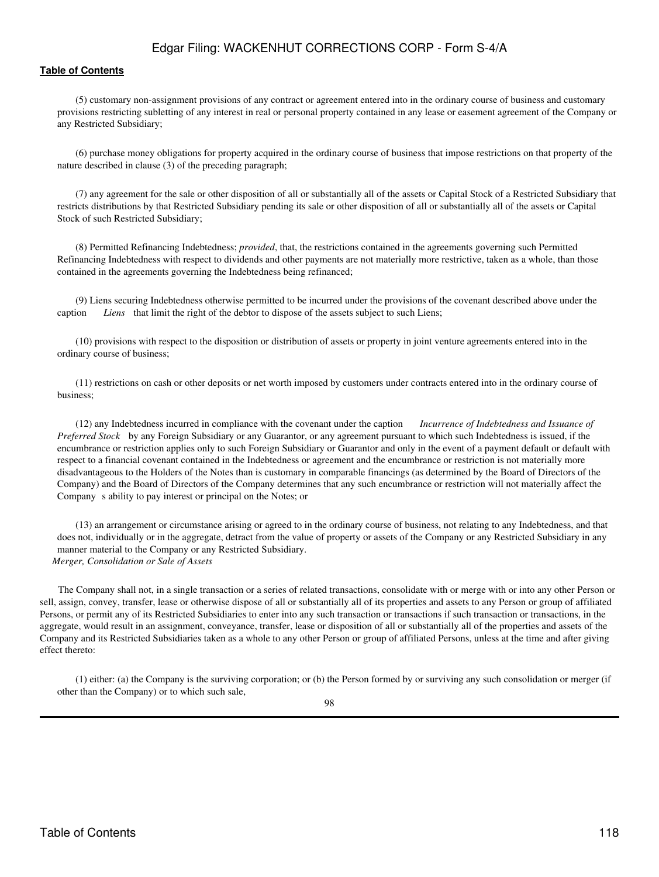## **[Table of Contents](#page-5-0)**

(5) customary non-assignment provisions of any contract or agreement entered into in the ordinary course of business and customary provisions restricting subletting of any interest in real or personal property contained in any lease or easement agreement of the Company or any Restricted Subsidiary;

(6) purchase money obligations for property acquired in the ordinary course of business that impose restrictions on that property of the nature described in clause (3) of the preceding paragraph;

(7) any agreement for the sale or other disposition of all or substantially all of the assets or Capital Stock of a Restricted Subsidiary that restricts distributions by that Restricted Subsidiary pending its sale or other disposition of all or substantially all of the assets or Capital Stock of such Restricted Subsidiary;

(8) Permitted Refinancing Indebtedness; *provided*, that, the restrictions contained in the agreements governing such Permitted Refinancing Indebtedness with respect to dividends and other payments are not materially more restrictive, taken as a whole, than those contained in the agreements governing the Indebtedness being refinanced;

(9) Liens securing Indebtedness otherwise permitted to be incurred under the provisions of the covenant described above under the caption  *Liens* that limit the right of the debtor to dispose of the assets subject to such Liens;

(10) provisions with respect to the disposition or distribution of assets or property in joint venture agreements entered into in the ordinary course of business;

(11) restrictions on cash or other deposits or net worth imposed by customers under contracts entered into in the ordinary course of business;

(12) any Indebtedness incurred in compliance with the covenant under the caption  *Incurrence of Indebtedness and Issuance of Preferred Stock* by any Foreign Subsidiary or any Guarantor, or any agreement pursuant to which such Indebtedness is issued, if the encumbrance or restriction applies only to such Foreign Subsidiary or Guarantor and only in the event of a payment default or default with respect to a financial covenant contained in the Indebtedness or agreement and the encumbrance or restriction is not materially more disadvantageous to the Holders of the Notes than is customary in comparable financings (as determined by the Board of Directors of the Company) and the Board of Directors of the Company determines that any such encumbrance or restriction will not materially affect the Company s ability to pay interest or principal on the Notes; or

(13) an arrangement or circumstance arising or agreed to in the ordinary course of business, not relating to any Indebtedness, and that does not, individually or in the aggregate, detract from the value of property or assets of the Company or any Restricted Subsidiary in any manner material to the Company or any Restricted Subsidiary.  *Merger, Consolidation or Sale of Assets*

The Company shall not, in a single transaction or a series of related transactions, consolidate with or merge with or into any other Person or sell, assign, convey, transfer, lease or otherwise dispose of all or substantially all of its properties and assets to any Person or group of affiliated Persons, or permit any of its Restricted Subsidiaries to enter into any such transaction or transactions if such transaction or transactions, in the aggregate, would result in an assignment, conveyance, transfer, lease or disposition of all or substantially all of the properties and assets of the Company and its Restricted Subsidiaries taken as a whole to any other Person or group of affiliated Persons, unless at the time and after giving effect thereto:

(1) either: (a) the Company is the surviving corporation; or (b) the Person formed by or surviving any such consolidation or merger (if other than the Company) or to which such sale,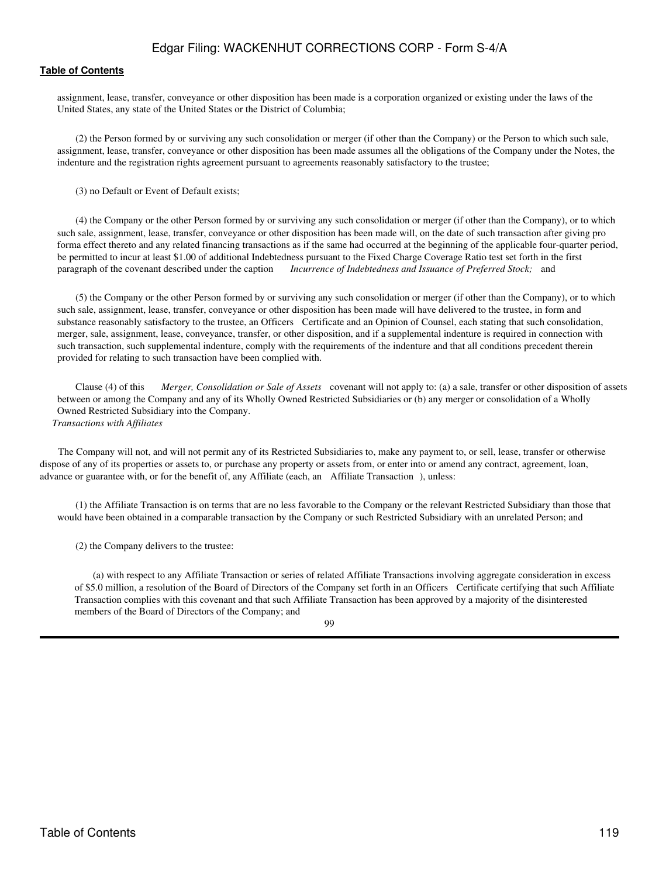## **[Table of Contents](#page-5-0)**

assignment, lease, transfer, conveyance or other disposition has been made is a corporation organized or existing under the laws of the United States, any state of the United States or the District of Columbia;

(2) the Person formed by or surviving any such consolidation or merger (if other than the Company) or the Person to which such sale, assignment, lease, transfer, conveyance or other disposition has been made assumes all the obligations of the Company under the Notes, the indenture and the registration rights agreement pursuant to agreements reasonably satisfactory to the trustee;

(3) no Default or Event of Default exists;

(4) the Company or the other Person formed by or surviving any such consolidation or merger (if other than the Company), or to which such sale, assignment, lease, transfer, conveyance or other disposition has been made will, on the date of such transaction after giving pro forma effect thereto and any related financing transactions as if the same had occurred at the beginning of the applicable four-quarter period, be permitted to incur at least \$1.00 of additional Indebtedness pursuant to the Fixed Charge Coverage Ratio test set forth in the first paragraph of the covenant described under the caption *Incurrence of Indebtedness and Issuance of Preferred Stock;* and

(5) the Company or the other Person formed by or surviving any such consolidation or merger (if other than the Company), or to which such sale, assignment, lease, transfer, conveyance or other disposition has been made will have delivered to the trustee, in form and substance reasonably satisfactory to the trustee, an Officers Certificate and an Opinion of Counsel, each stating that such consolidation, merger, sale, assignment, lease, conveyance, transfer, or other disposition, and if a supplemental indenture is required in connection with such transaction, such supplemental indenture, comply with the requirements of the indenture and that all conditions precedent therein provided for relating to such transaction have been complied with.

Clause (4) of this  *Merger, Consolidation or Sale of Assets* covenant will not apply to: (a) a sale, transfer or other disposition of assets between or among the Company and any of its Wholly Owned Restricted Subsidiaries or (b) any merger or consolidation of a Wholly Owned Restricted Subsidiary into the Company.  *Transactions with Affiliates*

The Company will not, and will not permit any of its Restricted Subsidiaries to, make any payment to, or sell, lease, transfer or otherwise dispose of any of its properties or assets to, or purchase any property or assets from, or enter into or amend any contract, agreement, loan, advance or guarantee with, or for the benefit of, any Affiliate (each, an Affiliate Transaction), unless:

(1) the Affiliate Transaction is on terms that are no less favorable to the Company or the relevant Restricted Subsidiary than those that would have been obtained in a comparable transaction by the Company or such Restricted Subsidiary with an unrelated Person; and

(2) the Company delivers to the trustee:

(a) with respect to any Affiliate Transaction or series of related Affiliate Transactions involving aggregate consideration in excess of \$5.0 million, a resolution of the Board of Directors of the Company set forth in an Officers Certificate certifying that such Affiliate Transaction complies with this covenant and that such Affiliate Transaction has been approved by a majority of the disinterested members of the Board of Directors of the Company; and

99

Table of Contents 119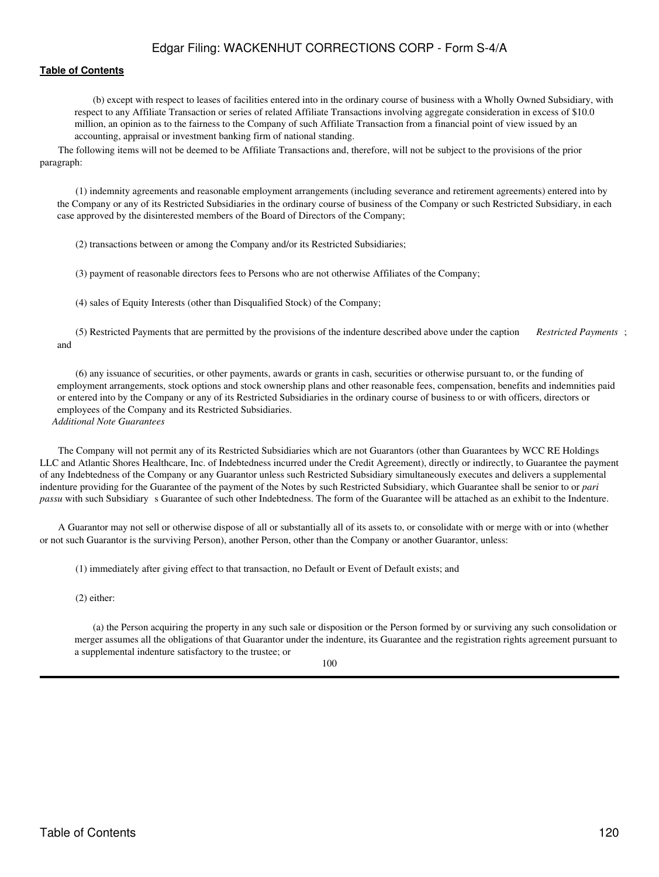### **[Table of Contents](#page-5-0)**

(b) except with respect to leases of facilities entered into in the ordinary course of business with a Wholly Owned Subsidiary, with respect to any Affiliate Transaction or series of related Affiliate Transactions involving aggregate consideration in excess of \$10.0 million, an opinion as to the fairness to the Company of such Affiliate Transaction from a financial point of view issued by an accounting, appraisal or investment banking firm of national standing.

The following items will not be deemed to be Affiliate Transactions and, therefore, will not be subject to the provisions of the prior paragraph:

(1) indemnity agreements and reasonable employment arrangements (including severance and retirement agreements) entered into by the Company or any of its Restricted Subsidiaries in the ordinary course of business of the Company or such Restricted Subsidiary, in each case approved by the disinterested members of the Board of Directors of the Company;

(2) transactions between or among the Company and/or its Restricted Subsidiaries;

(3) payment of reasonable directors fees to Persons who are not otherwise Affiliates of the Company;

(4) sales of Equity Interests (other than Disqualified Stock) of the Company;

(5) Restricted Payments that are permitted by the provisions of the indenture described above under the caption  *Restricted Payments*; and

(6) any issuance of securities, or other payments, awards or grants in cash, securities or otherwise pursuant to, or the funding of employment arrangements, stock options and stock ownership plans and other reasonable fees, compensation, benefits and indemnities paid or entered into by the Company or any of its Restricted Subsidiaries in the ordinary course of business to or with officers, directors or employees of the Company and its Restricted Subsidiaries.  *Additional Note Guarantees*

The Company will not permit any of its Restricted Subsidiaries which are not Guarantors (other than Guarantees by WCC RE Holdings LLC and Atlantic Shores Healthcare, Inc. of Indebtedness incurred under the Credit Agreement), directly or indirectly, to Guarantee the payment of any Indebtedness of the Company or any Guarantor unless such Restricted Subsidiary simultaneously executes and delivers a supplemental indenture providing for the Guarantee of the payment of the Notes by such Restricted Subsidiary, which Guarantee shall be senior to or *pari* passu with such Subsidiary s Guarantee of such other Indebtedness. The form of the Guarantee will be attached as an exhibit to the Indenture.

A Guarantor may not sell or otherwise dispose of all or substantially all of its assets to, or consolidate with or merge with or into (whether or not such Guarantor is the surviving Person), another Person, other than the Company or another Guarantor, unless:

(1) immediately after giving effect to that transaction, no Default or Event of Default exists; and

(2) either:

(a) the Person acquiring the property in any such sale or disposition or the Person formed by or surviving any such consolidation or merger assumes all the obligations of that Guarantor under the indenture, its Guarantee and the registration rights agreement pursuant to a supplemental indenture satisfactory to the trustee; or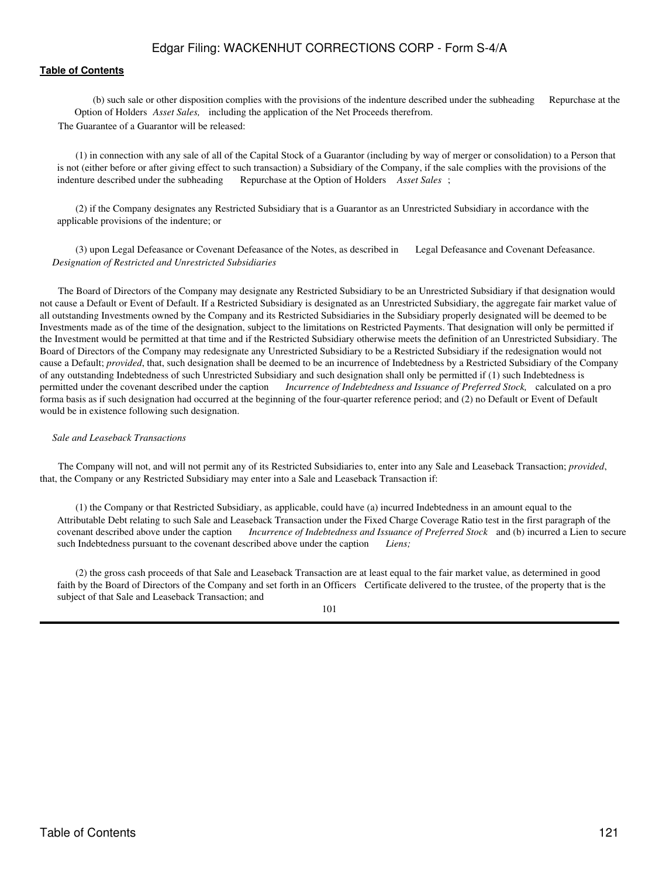## **[Table of Contents](#page-5-0)**

(b) such sale or other disposition complies with the provisions of the indenture described under the subheading Repurchase at the Option of Holders*Asset Sales,* including the application of the Net Proceeds therefrom. The Guarantee of a Guarantor will be released:

(1) in connection with any sale of all of the Capital Stock of a Guarantor (including by way of merger or consolidation) to a Person that is not (either before or after giving effect to such transaction) a Subsidiary of the Company, if the sale complies with the provisions of the indenture described under the subheading Repurchase at the Option of Holders  *Asset Sales*;

(2) if the Company designates any Restricted Subsidiary that is a Guarantor as an Unrestricted Subsidiary in accordance with the applicable provisions of the indenture; or

(3) upon Legal Defeasance or Covenant Defeasance of the Notes, as described in Legal Defeasance and Covenant Defeasance.  *Designation of Restricted and Unrestricted Subsidiaries*

The Board of Directors of the Company may designate any Restricted Subsidiary to be an Unrestricted Subsidiary if that designation would not cause a Default or Event of Default. If a Restricted Subsidiary is designated as an Unrestricted Subsidiary, the aggregate fair market value of all outstanding Investments owned by the Company and its Restricted Subsidiaries in the Subsidiary properly designated will be deemed to be Investments made as of the time of the designation, subject to the limitations on Restricted Payments. That designation will only be permitted if the Investment would be permitted at that time and if the Restricted Subsidiary otherwise meets the definition of an Unrestricted Subsidiary. The Board of Directors of the Company may redesignate any Unrestricted Subsidiary to be a Restricted Subsidiary if the redesignation would not cause a Default; *provided*, that, such designation shall be deemed to be an incurrence of Indebtedness by a Restricted Subsidiary of the Company of any outstanding Indebtedness of such Unrestricted Subsidiary and such designation shall only be permitted if (1) such Indebtedness is permitted under the covenant described under the caption  *Incurrence of Indebtedness and Issuance of Preferred Stock,* calculated on a pro forma basis as if such designation had occurred at the beginning of the four-quarter reference period; and (2) no Default or Event of Default would be in existence following such designation.

### *Sale and Leaseback Transactions*

The Company will not, and will not permit any of its Restricted Subsidiaries to, enter into any Sale and Leaseback Transaction; *provided*, that, the Company or any Restricted Subsidiary may enter into a Sale and Leaseback Transaction if:

(1) the Company or that Restricted Subsidiary, as applicable, could have (a) incurred Indebtedness in an amount equal to the Attributable Debt relating to such Sale and Leaseback Transaction under the Fixed Charge Coverage Ratio test in the first paragraph of the covenant described above under the caption  *Incurrence of Indebtedness and Issuance of Preferred Stock* and (b) incurred a Lien to secure such Indebtedness pursuant to the covenant described above under the caption  *Liens;*

(2) the gross cash proceeds of that Sale and Leaseback Transaction are at least equal to the fair market value, as determined in good faith by the Board of Directors of the Company and set forth in an Officers Certificate delivered to the trustee, of the property that is the subject of that Sale and Leaseback Transaction; and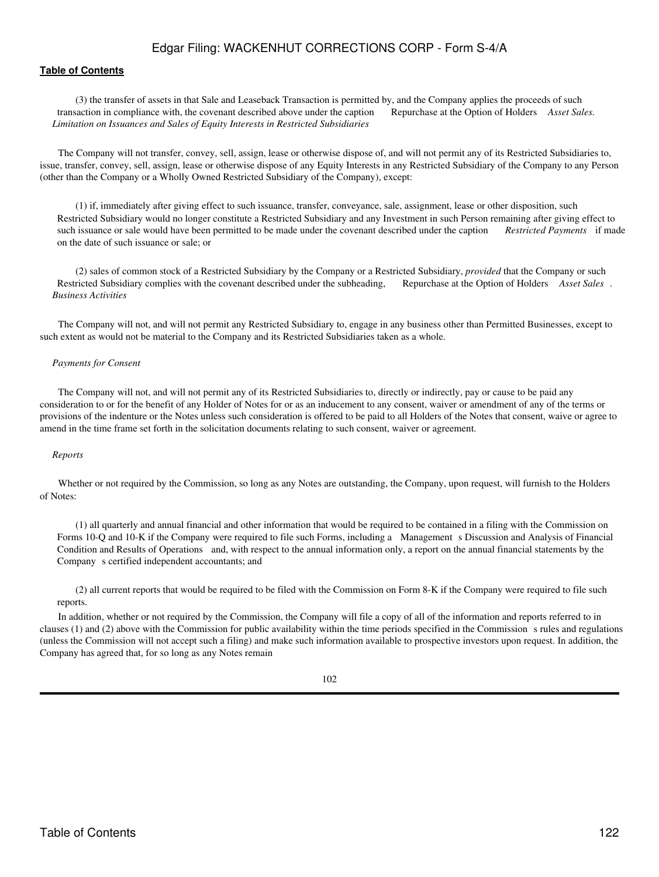### **[Table of Contents](#page-5-0)**

(3) the transfer of assets in that Sale and Leaseback Transaction is permitted by, and the Company applies the proceeds of such transaction in compliance with, the covenant described above under the caption *Repurchase at the Option of Holders Asset Sales. Limitation on Issuances and Sales of Equity Interests in Restricted Subsidiaries*

The Company will not transfer, convey, sell, assign, lease or otherwise dispose of, and will not permit any of its Restricted Subsidiaries to, issue, transfer, convey, sell, assign, lease or otherwise dispose of any Equity Interests in any Restricted Subsidiary of the Company to any Person (other than the Company or a Wholly Owned Restricted Subsidiary of the Company), except:

(1) if, immediately after giving effect to such issuance, transfer, conveyance, sale, assignment, lease or other disposition, such Restricted Subsidiary would no longer constitute a Restricted Subsidiary and any Investment in such Person remaining after giving effect to such issuance or sale would have been permitted to be made under the covenant described under the caption *Restricted Payments* if made on the date of such issuance or sale; or

(2) sales of common stock of a Restricted Subsidiary by the Company or a Restricted Subsidiary, *provided* that the Company or such Restricted Subsidiary complies with the covenant described under the subheading, Repurchase at the Option of Holders *Asset Sales*.  *Business Activities*

The Company will not, and will not permit any Restricted Subsidiary to, engage in any business other than Permitted Businesses, except to such extent as would not be material to the Company and its Restricted Subsidiaries taken as a whole.

#### *Payments for Consent*

The Company will not, and will not permit any of its Restricted Subsidiaries to, directly or indirectly, pay or cause to be paid any consideration to or for the benefit of any Holder of Notes for or as an inducement to any consent, waiver or amendment of any of the terms or provisions of the indenture or the Notes unless such consideration is offered to be paid to all Holders of the Notes that consent, waive or agree to amend in the time frame set forth in the solicitation documents relating to such consent, waiver or agreement.

#### *Reports*

Whether or not required by the Commission, so long as any Notes are outstanding, the Company, upon request, will furnish to the Holders of Notes:

(1) all quarterly and annual financial and other information that would be required to be contained in a filing with the Commission on Forms 10-Q and 10-K if the Company were required to file such Forms, including a Management s Discussion and Analysis of Financial Condition and Results of Operations and, with respect to the annual information only, a report on the annual financial statements by the Company s certified independent accountants; and

(2) all current reports that would be required to be filed with the Commission on Form 8-K if the Company were required to file such reports.

In addition, whether or not required by the Commission, the Company will file a copy of all of the information and reports referred to in clauses (1) and (2) above with the Commission for public availability within the time periods specified in the Commissions rules and regulations (unless the Commission will not accept such a filing) and make such information available to prospective investors upon request. In addition, the Company has agreed that, for so long as any Notes remain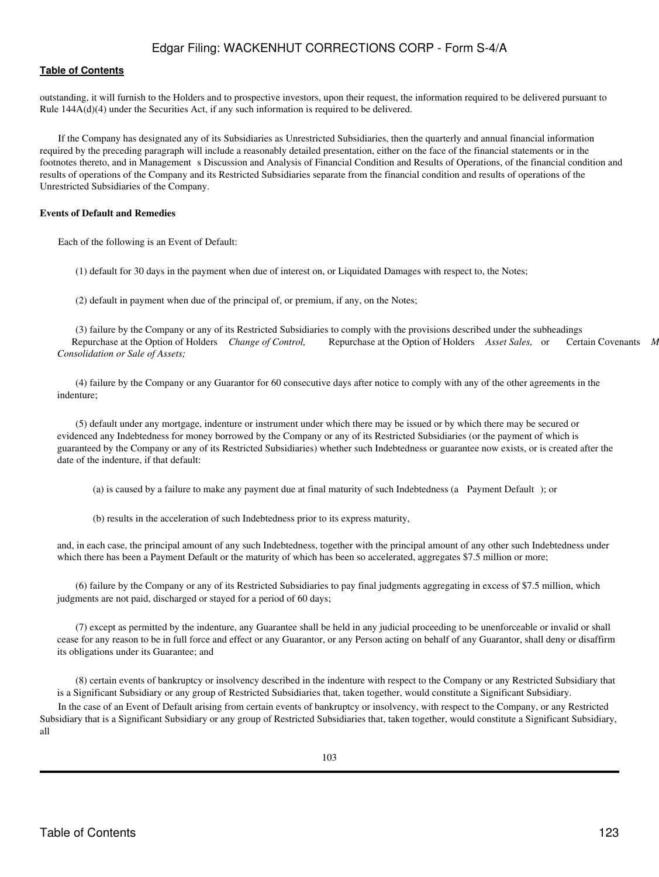## **[Table of Contents](#page-5-0)**

outstanding, it will furnish to the Holders and to prospective investors, upon their request, the information required to be delivered pursuant to Rule 144A(d)(4) under the Securities Act, if any such information is required to be delivered.

If the Company has designated any of its Subsidiaries as Unrestricted Subsidiaries, then the quarterly and annual financial information required by the preceding paragraph will include a reasonably detailed presentation, either on the face of the financial statements or in the footnotes thereto, and in Management s Discussion and Analysis of Financial Condition and Results of Operations, of the financial condition and results of operations of the Company and its Restricted Subsidiaries separate from the financial condition and results of operations of the Unrestricted Subsidiaries of the Company.

### **Events of Default and Remedies**

Each of the following is an Event of Default:

(1) default for 30 days in the payment when due of interest on, or Liquidated Damages with respect to, the Notes;

(2) default in payment when due of the principal of, or premium, if any, on the Notes;

(3) failure by the Company or any of its Restricted Subsidiaries to comply with the provisions described under the subheadings Repurchase at the Option of Holders  *Change of Control,* Repurchase at the Option of Holders  *Asset Sales,* or Certain Covenants  *Merger, Consolidation or Sale of Assets;*

(4) failure by the Company or any Guarantor for 60 consecutive days after notice to comply with any of the other agreements in the indenture;

(5) default under any mortgage, indenture or instrument under which there may be issued or by which there may be secured or evidenced any Indebtedness for money borrowed by the Company or any of its Restricted Subsidiaries (or the payment of which is guaranteed by the Company or any of its Restricted Subsidiaries) whether such Indebtedness or guarantee now exists, or is created after the date of the indenture, if that default:

(a) is caused by a failure to make any payment due at final maturity of such Indebtedness (a Payment Default); or

(b) results in the acceleration of such Indebtedness prior to its express maturity,

and, in each case, the principal amount of any such Indebtedness, together with the principal amount of any other such Indebtedness under which there has been a Payment Default or the maturity of which has been so accelerated, aggregates \$7.5 million or more;

(6) failure by the Company or any of its Restricted Subsidiaries to pay final judgments aggregating in excess of \$7.5 million, which judgments are not paid, discharged or stayed for a period of 60 days;

(7) except as permitted by the indenture, any Guarantee shall be held in any judicial proceeding to be unenforceable or invalid or shall cease for any reason to be in full force and effect or any Guarantor, or any Person acting on behalf of any Guarantor, shall deny or disaffirm its obligations under its Guarantee; and

(8) certain events of bankruptcy or insolvency described in the indenture with respect to the Company or any Restricted Subsidiary that is a Significant Subsidiary or any group of Restricted Subsidiaries that, taken together, would constitute a Significant Subsidiary.

In the case of an Event of Default arising from certain events of bankruptcy or insolvency, with respect to the Company, or any Restricted Subsidiary that is a Significant Subsidiary or any group of Restricted Subsidiaries that, taken together, would constitute a Significant Subsidiary, all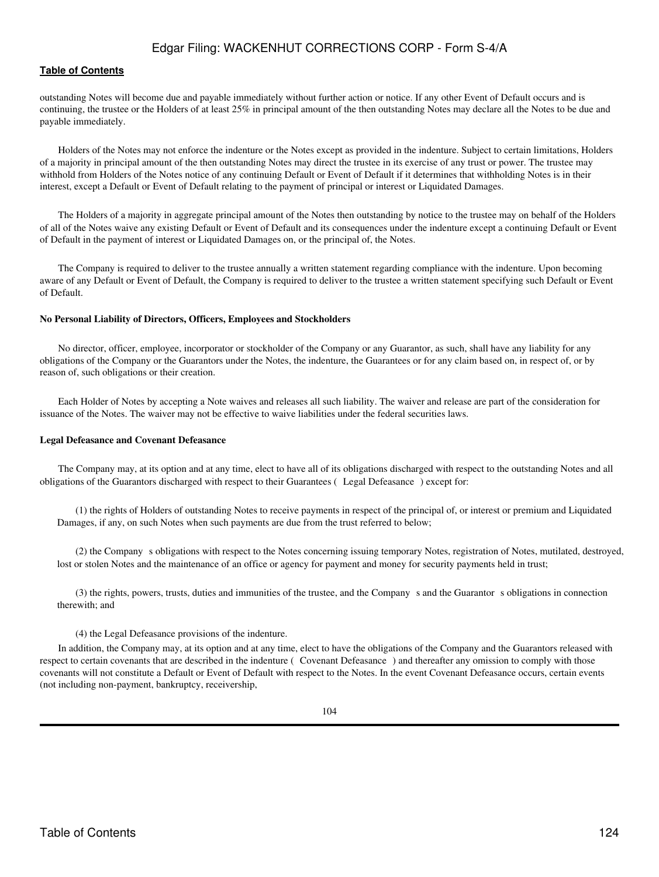## **[Table of Contents](#page-5-0)**

outstanding Notes will become due and payable immediately without further action or notice. If any other Event of Default occurs and is continuing, the trustee or the Holders of at least 25% in principal amount of the then outstanding Notes may declare all the Notes to be due and payable immediately.

Holders of the Notes may not enforce the indenture or the Notes except as provided in the indenture. Subject to certain limitations, Holders of a majority in principal amount of the then outstanding Notes may direct the trustee in its exercise of any trust or power. The trustee may withhold from Holders of the Notes notice of any continuing Default or Event of Default if it determines that withholding Notes is in their interest, except a Default or Event of Default relating to the payment of principal or interest or Liquidated Damages.

The Holders of a majority in aggregate principal amount of the Notes then outstanding by notice to the trustee may on behalf of the Holders of all of the Notes waive any existing Default or Event of Default and its consequences under the indenture except a continuing Default or Event of Default in the payment of interest or Liquidated Damages on, or the principal of, the Notes.

The Company is required to deliver to the trustee annually a written statement regarding compliance with the indenture. Upon becoming aware of any Default or Event of Default, the Company is required to deliver to the trustee a written statement specifying such Default or Event of Default.

### **No Personal Liability of Directors, Officers, Employees and Stockholders**

No director, officer, employee, incorporator or stockholder of the Company or any Guarantor, as such, shall have any liability for any obligations of the Company or the Guarantors under the Notes, the indenture, the Guarantees or for any claim based on, in respect of, or by reason of, such obligations or their creation.

Each Holder of Notes by accepting a Note waives and releases all such liability. The waiver and release are part of the consideration for issuance of the Notes. The waiver may not be effective to waive liabilities under the federal securities laws.

### **Legal Defeasance and Covenant Defeasance**

The Company may, at its option and at any time, elect to have all of its obligations discharged with respect to the outstanding Notes and all obligations of the Guarantors discharged with respect to their Guarantees (Legal Defeasance) except for:

(1) the rights of Holders of outstanding Notes to receive payments in respect of the principal of, or interest or premium and Liquidated Damages, if any, on such Notes when such payments are due from the trust referred to below;

(2) the Companys obligations with respect to the Notes concerning issuing temporary Notes, registration of Notes, mutilated, destroyed, lost or stolen Notes and the maintenance of an office or agency for payment and money for security payments held in trust;

(3) the rights, powers, trusts, duties and immunities of the trustee, and the Companys and the Guarantors obligations in connection therewith; and

## (4) the Legal Defeasance provisions of the indenture.

In addition, the Company may, at its option and at any time, elect to have the obligations of the Company and the Guarantors released with respect to certain covenants that are described in the indenture (Covenant Defeasance) and thereafter any omission to comply with those covenants will not constitute a Default or Event of Default with respect to the Notes. In the event Covenant Defeasance occurs, certain events (not including non-payment, bankruptcy, receivership,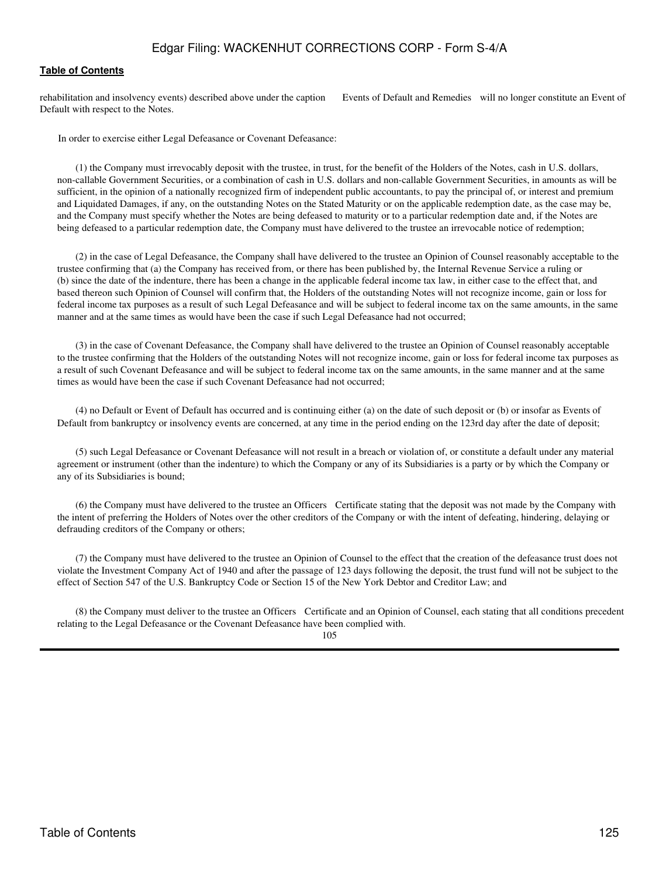### **[Table of Contents](#page-5-0)**

rehabilitation and insolvency events) described above under the caption Events of Default and Remedies will no longer constitute an Event of Default with respect to the Notes.

In order to exercise either Legal Defeasance or Covenant Defeasance:

(1) the Company must irrevocably deposit with the trustee, in trust, for the benefit of the Holders of the Notes, cash in U.S. dollars, non-callable Government Securities, or a combination of cash in U.S. dollars and non-callable Government Securities, in amounts as will be sufficient, in the opinion of a nationally recognized firm of independent public accountants, to pay the principal of, or interest and premium and Liquidated Damages, if any, on the outstanding Notes on the Stated Maturity or on the applicable redemption date, as the case may be, and the Company must specify whether the Notes are being defeased to maturity or to a particular redemption date and, if the Notes are being defeased to a particular redemption date, the Company must have delivered to the trustee an irrevocable notice of redemption;

(2) in the case of Legal Defeasance, the Company shall have delivered to the trustee an Opinion of Counsel reasonably acceptable to the trustee confirming that (a) the Company has received from, or there has been published by, the Internal Revenue Service a ruling or (b) since the date of the indenture, there has been a change in the applicable federal income tax law, in either case to the effect that, and based thereon such Opinion of Counsel will confirm that, the Holders of the outstanding Notes will not recognize income, gain or loss for federal income tax purposes as a result of such Legal Defeasance and will be subject to federal income tax on the same amounts, in the same manner and at the same times as would have been the case if such Legal Defeasance had not occurred;

(3) in the case of Covenant Defeasance, the Company shall have delivered to the trustee an Opinion of Counsel reasonably acceptable to the trustee confirming that the Holders of the outstanding Notes will not recognize income, gain or loss for federal income tax purposes as a result of such Covenant Defeasance and will be subject to federal income tax on the same amounts, in the same manner and at the same times as would have been the case if such Covenant Defeasance had not occurred;

(4) no Default or Event of Default has occurred and is continuing either (a) on the date of such deposit or (b) or insofar as Events of Default from bankruptcy or insolvency events are concerned, at any time in the period ending on the 123rd day after the date of deposit;

(5) such Legal Defeasance or Covenant Defeasance will not result in a breach or violation of, or constitute a default under any material agreement or instrument (other than the indenture) to which the Company or any of its Subsidiaries is a party or by which the Company or any of its Subsidiaries is bound;

(6) the Company must have delivered to the trustee an Officers Certificate stating that the deposit was not made by the Company with the intent of preferring the Holders of Notes over the other creditors of the Company or with the intent of defeating, hindering, delaying or defrauding creditors of the Company or others;

(7) the Company must have delivered to the trustee an Opinion of Counsel to the effect that the creation of the defeasance trust does not violate the Investment Company Act of 1940 and after the passage of 123 days following the deposit, the trust fund will not be subject to the effect of Section 547 of the U.S. Bankruptcy Code or Section 15 of the New York Debtor and Creditor Law; and

(8) the Company must deliver to the trustee an Officers Certificate and an Opinion of Counsel, each stating that all conditions precedent relating to the Legal Defeasance or the Covenant Defeasance have been complied with.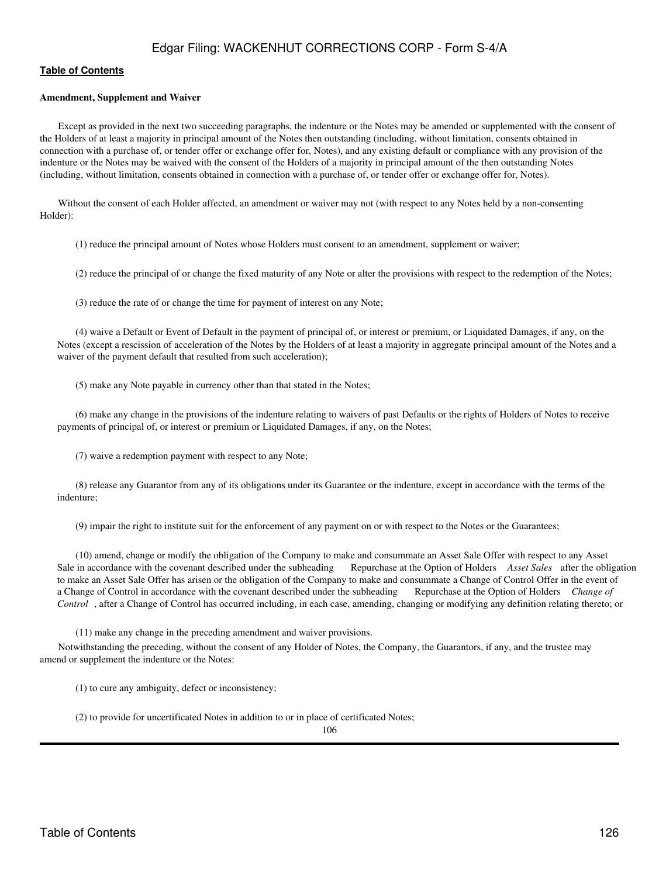## **[Table of Contents](#page-5-0)**

### **Amendment, Supplement and Waiver**

Except as provided in the next two succeeding paragraphs, the indenture or the Notes may be amended or supplemented with the consent of the Holders of at least a majority in principal amount of the Notes then outstanding (including, without limitation, consents obtained in connection with a purchase of, or tender offer or exchange offer for, Notes), and any existing default or compliance with any provision of the indenture or the Notes may be waived with the consent of the Holders of a majority in principal amount of the then outstanding Notes (including, without limitation, consents obtained in connection with a purchase of, or tender offer or exchange offer for, Notes).

Without the consent of each Holder affected, an amendment or waiver may not (with respect to any Notes held by a non-consenting Holder):

(1) reduce the principal amount of Notes whose Holders must consent to an amendment, supplement or waiver;

(2) reduce the principal of or change the fixed maturity of any Note or alter the provisions with respect to the redemption of the Notes;

(3) reduce the rate of or change the time for payment of interest on any Note;

(4) waive a Default or Event of Default in the payment of principal of, or interest or premium, or Liquidated Damages, if any, on the Notes (except a rescission of acceleration of the Notes by the Holders of at least a majority in aggregate principal amount of the Notes and a waiver of the payment default that resulted from such acceleration);

(5) make any Note payable in currency other than that stated in the Notes;

(6) make any change in the provisions of the indenture relating to waivers of past Defaults or the rights of Holders of Notes to receive payments of principal of, or interest or premium or Liquidated Damages, if any, on the Notes;

(7) waive a redemption payment with respect to any Note;

(8) release any Guarantor from any of its obligations under its Guarantee or the indenture, except in accordance with the terms of the indenture;

(9) impair the right to institute suit for the enforcement of any payment on or with respect to the Notes or the Guarantees;

(10) amend, change or modify the obligation of the Company to make and consummate an Asset Sale Offer with respect to any Asset Sale in accordance with the covenant described under the subheading Repurchase at the Option of Holders  *Asset Sales* after the obligation to make an Asset Sale Offer has arisen or the obligation of the Company to make and consummate a Change of Control Offer in the event of a Change of Control in accordance with the covenant described under the subheading Repurchase at the Option of Holders  *Change of Control*, after a Change of Control has occurred including, in each case, amending, changing or modifying any definition relating thereto; or

(11) make any change in the preceding amendment and waiver provisions.

Notwithstanding the preceding, without the consent of any Holder of Notes, the Company, the Guarantors, if any, and the trustee may amend or supplement the indenture or the Notes:

(1) to cure any ambiguity, defect or inconsistency;

(2) to provide for uncertificated Notes in addition to or in place of certificated Notes;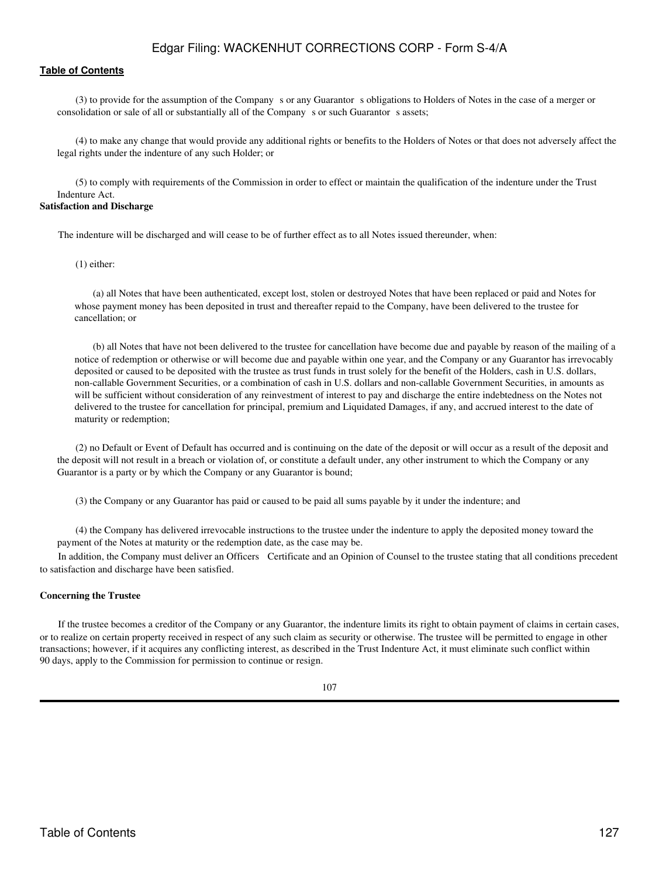## **[Table of Contents](#page-5-0)**

(3) to provide for the assumption of the Companys or any Guarantors obligations to Holders of Notes in the case of a merger or consolidation or sale of all or substantially all of the Company s or such Guarantor s assets;

(4) to make any change that would provide any additional rights or benefits to the Holders of Notes or that does not adversely affect the legal rights under the indenture of any such Holder; or

(5) to comply with requirements of the Commission in order to effect or maintain the qualification of the indenture under the Trust Indenture Act.

### **Satisfaction and Discharge**

The indenture will be discharged and will cease to be of further effect as to all Notes issued thereunder, when:

(1) either:

(a) all Notes that have been authenticated, except lost, stolen or destroyed Notes that have been replaced or paid and Notes for whose payment money has been deposited in trust and thereafter repaid to the Company, have been delivered to the trustee for cancellation; or

(b) all Notes that have not been delivered to the trustee for cancellation have become due and payable by reason of the mailing of a notice of redemption or otherwise or will become due and payable within one year, and the Company or any Guarantor has irrevocably deposited or caused to be deposited with the trustee as trust funds in trust solely for the benefit of the Holders, cash in U.S. dollars, non-callable Government Securities, or a combination of cash in U.S. dollars and non-callable Government Securities, in amounts as will be sufficient without consideration of any reinvestment of interest to pay and discharge the entire indebtedness on the Notes not delivered to the trustee for cancellation for principal, premium and Liquidated Damages, if any, and accrued interest to the date of maturity or redemption;

(2) no Default or Event of Default has occurred and is continuing on the date of the deposit or will occur as a result of the deposit and the deposit will not result in a breach or violation of, or constitute a default under, any other instrument to which the Company or any Guarantor is a party or by which the Company or any Guarantor is bound;

(3) the Company or any Guarantor has paid or caused to be paid all sums payable by it under the indenture; and

(4) the Company has delivered irrevocable instructions to the trustee under the indenture to apply the deposited money toward the payment of the Notes at maturity or the redemption date, as the case may be.

In addition, the Company must deliver an Officers Certificate and an Opinion of Counsel to the trustee stating that all conditions precedent to satisfaction and discharge have been satisfied.

### **Concerning the Trustee**

If the trustee becomes a creditor of the Company or any Guarantor, the indenture limits its right to obtain payment of claims in certain cases, or to realize on certain property received in respect of any such claim as security or otherwise. The trustee will be permitted to engage in other transactions; however, if it acquires any conflicting interest, as described in the Trust Indenture Act, it must eliminate such conflict within 90 days, apply to the Commission for permission to continue or resign.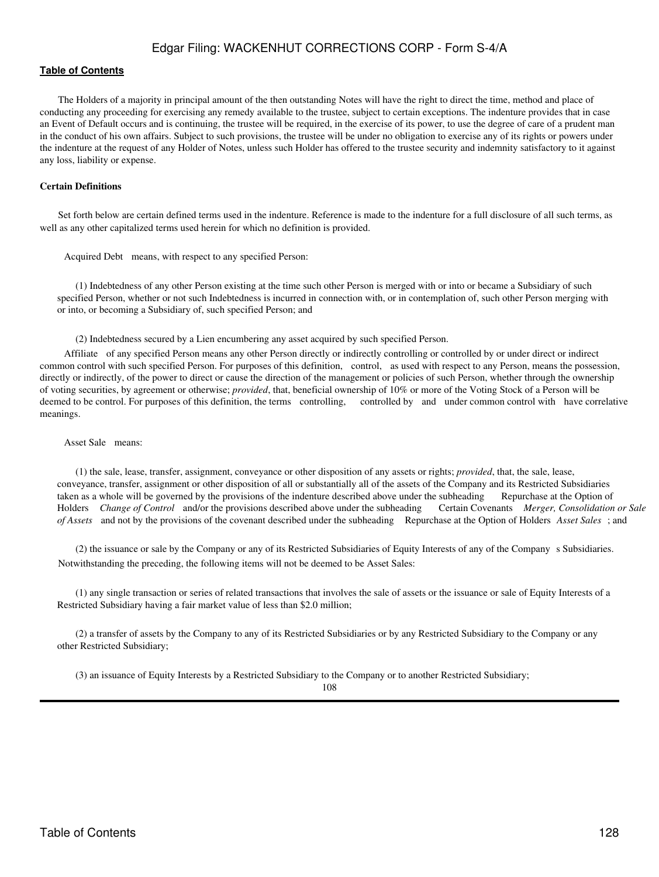## **[Table of Contents](#page-5-0)**

The Holders of a majority in principal amount of the then outstanding Notes will have the right to direct the time, method and place of conducting any proceeding for exercising any remedy available to the trustee, subject to certain exceptions. The indenture provides that in case an Event of Default occurs and is continuing, the trustee will be required, in the exercise of its power, to use the degree of care of a prudent man in the conduct of his own affairs. Subject to such provisions, the trustee will be under no obligation to exercise any of its rights or powers under the indenture at the request of any Holder of Notes, unless such Holder has offered to the trustee security and indemnity satisfactory to it against any loss, liability or expense.

#### **Certain Definitions**

Set forth below are certain defined terms used in the indenture. Reference is made to the indenture for a full disclosure of all such terms, as well as any other capitalized terms used herein for which no definition is provided.

Acquired Debt means, with respect to any specified Person:

(1) Indebtedness of any other Person existing at the time such other Person is merged with or into or became a Subsidiary of such specified Person, whether or not such Indebtedness is incurred in connection with, or in contemplation of, such other Person merging with or into, or becoming a Subsidiary of, such specified Person; and

(2) Indebtedness secured by a Lien encumbering any asset acquired by such specified Person.

Affiliate of any specified Person means any other Person directly or indirectly controlling or controlled by or under direct or indirect common control with such specified Person. For purposes of this definition, control, as used with respect to any Person, means the possession, directly or indirectly, of the power to direct or cause the direction of the management or policies of such Person, whether through the ownership of voting securities, by agreement or otherwise; *provided*, that, beneficial ownership of 10% or more of the Voting Stock of a Person will be deemed to be control. For purposes of this definition, the terms controlling, controlled by and under common control with have correlative meanings.

### Asset Sale means:

(1) the sale, lease, transfer, assignment, conveyance or other disposition of any assets or rights; *provided*, that, the sale, lease, conveyance, transfer, assignment or other disposition of all or substantially all of the assets of the Company and its Restricted Subsidiaries taken as a whole will be governed by the provisions of the indenture described above under the subheading Repurchase at the Option of Holders  *Change of Control* and/or the provisions described above under the subheading Certain Covenants  *Merger, Consolidation or Sale of Assets* and not by the provisions of the covenant described under the subheading Repurchase at the Option of Holders*Asset Sales*; and

(2) the issuance or sale by the Company or any of its Restricted Subsidiaries of Equity Interests of any of the Companys Subsidiaries. Notwithstanding the preceding, the following items will not be deemed to be Asset Sales:

(1) any single transaction or series of related transactions that involves the sale of assets or the issuance or sale of Equity Interests of a Restricted Subsidiary having a fair market value of less than \$2.0 million;

(2) a transfer of assets by the Company to any of its Restricted Subsidiaries or by any Restricted Subsidiary to the Company or any other Restricted Subsidiary;

(3) an issuance of Equity Interests by a Restricted Subsidiary to the Company or to another Restricted Subsidiary;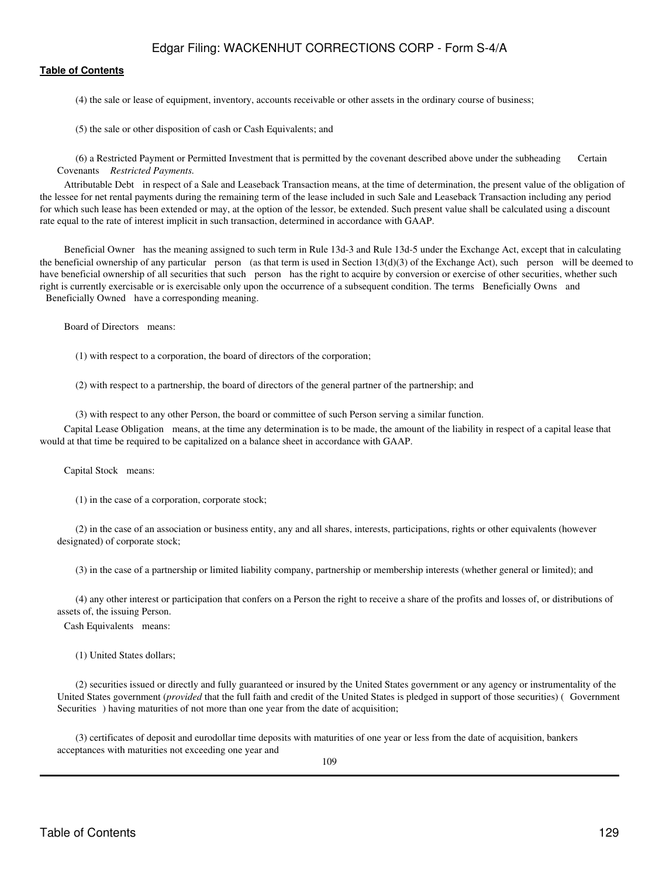## **[Table of Contents](#page-5-0)**

(4) the sale or lease of equipment, inventory, accounts receivable or other assets in the ordinary course of business;

(5) the sale or other disposition of cash or Cash Equivalents; and

(6) a Restricted Payment or Permitted Investment that is permitted by the covenant described above under the subheading Certain Covenants  *Restricted Payments.*

Attributable Debt in respect of a Sale and Leaseback Transaction means, at the time of determination, the present value of the obligation of the lessee for net rental payments during the remaining term of the lease included in such Sale and Leaseback Transaction including any period for which such lease has been extended or may, at the option of the lessor, be extended. Such present value shall be calculated using a discount rate equal to the rate of interest implicit in such transaction, determined in accordance with GAAP.

Beneficial Owner has the meaning assigned to such term in Rule 13d-3 and Rule 13d-5 under the Exchange Act, except that in calculating the beneficial ownership of any particular person (as that term is used in Section  $13(d)(3)$  of the Exchange Act), such person will be deemed to have beneficial ownership of all securities that such person has the right to acquire by conversion or exercise of other securities, whether such right is currently exercisable or is exercisable only upon the occurrence of a subsequent condition. The terms Beneficially Owns and Beneficially Owned have a corresponding meaning.

Board of Directors means:

(1) with respect to a corporation, the board of directors of the corporation;

(2) with respect to a partnership, the board of directors of the general partner of the partnership; and

(3) with respect to any other Person, the board or committee of such Person serving a similar function.

Capital Lease Obligation means, at the time any determination is to be made, the amount of the liability in respect of a capital lease that would at that time be required to be capitalized on a balance sheet in accordance with GAAP.

Capital Stock means:

(1) in the case of a corporation, corporate stock;

(2) in the case of an association or business entity, any and all shares, interests, participations, rights or other equivalents (however designated) of corporate stock;

(3) in the case of a partnership or limited liability company, partnership or membership interests (whether general or limited); and

(4) any other interest or participation that confers on a Person the right to receive a share of the profits and losses of, or distributions of assets of, the issuing Person.

Cash Equivalents means:

(1) United States dollars;

(2) securities issued or directly and fully guaranteed or insured by the United States government or any agency or instrumentality of the United States government (*provided* that the full faith and credit of the United States is pledged in support of those securities) (Government Securities) having maturities of not more than one year from the date of acquisition;

(3) certificates of deposit and eurodollar time deposits with maturities of one year or less from the date of acquisition, bankers acceptances with maturities not exceeding one year and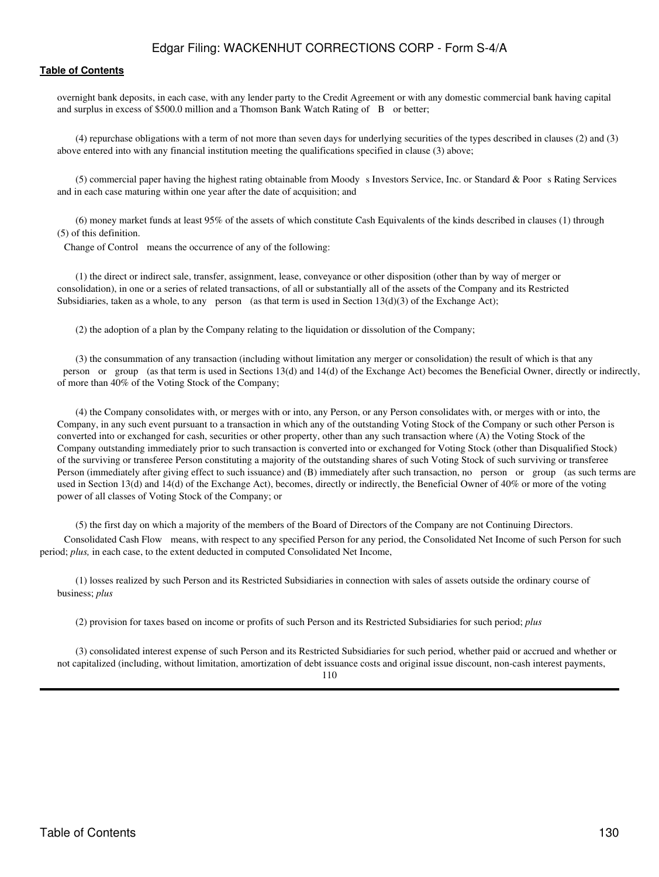### **[Table of Contents](#page-5-0)**

overnight bank deposits, in each case, with any lender party to the Credit Agreement or with any domestic commercial bank having capital and surplus in excess of \$500.0 million and a Thomson Bank Watch Rating of B or better;

(4) repurchase obligations with a term of not more than seven days for underlying securities of the types described in clauses (2) and (3) above entered into with any financial institution meeting the qualifications specified in clause (3) above;

(5) commercial paper having the highest rating obtainable from Moodys Investors Service, Inc. or Standard & Poors Rating Services and in each case maturing within one year after the date of acquisition; and

(6) money market funds at least 95% of the assets of which constitute Cash Equivalents of the kinds described in clauses (1) through (5) of this definition.

Change of Control means the occurrence of any of the following:

(1) the direct or indirect sale, transfer, assignment, lease, conveyance or other disposition (other than by way of merger or consolidation), in one or a series of related transactions, of all or substantially all of the assets of the Company and its Restricted Subsidiaries, taken as a whole, to any person (as that term is used in Section  $13(d)(3)$  of the Exchange Act);

(2) the adoption of a plan by the Company relating to the liquidation or dissolution of the Company;

(3) the consummation of any transaction (including without limitation any merger or consolidation) the result of which is that any person or group (as that term is used in Sections 13(d) and 14(d) of the Exchange Act) becomes the Beneficial Owner, directly or indirectly, of more than 40% of the Voting Stock of the Company;

(4) the Company consolidates with, or merges with or into, any Person, or any Person consolidates with, or merges with or into, the Company, in any such event pursuant to a transaction in which any of the outstanding Voting Stock of the Company or such other Person is converted into or exchanged for cash, securities or other property, other than any such transaction where (A) the Voting Stock of the Company outstanding immediately prior to such transaction is converted into or exchanged for Voting Stock (other than Disqualified Stock) of the surviving or transferee Person constituting a majority of the outstanding shares of such Voting Stock of such surviving or transferee Person (immediately after giving effect to such issuance) and (B) immediately after such transaction, no person or group (as such terms are used in Section 13(d) and 14(d) of the Exchange Act), becomes, directly or indirectly, the Beneficial Owner of 40% or more of the voting power of all classes of Voting Stock of the Company; or

(5) the first day on which a majority of the members of the Board of Directors of the Company are not Continuing Directors.

Consolidated Cash Flow means, with respect to any specified Person for any period, the Consolidated Net Income of such Person for such period; *plus,* in each case, to the extent deducted in computed Consolidated Net Income,

(1) losses realized by such Person and its Restricted Subsidiaries in connection with sales of assets outside the ordinary course of business; *plus*

(2) provision for taxes based on income or profits of such Person and its Restricted Subsidiaries for such period; *plus*

(3) consolidated interest expense of such Person and its Restricted Subsidiaries for such period, whether paid or accrued and whether or not capitalized (including, without limitation, amortization of debt issuance costs and original issue discount, non-cash interest payments,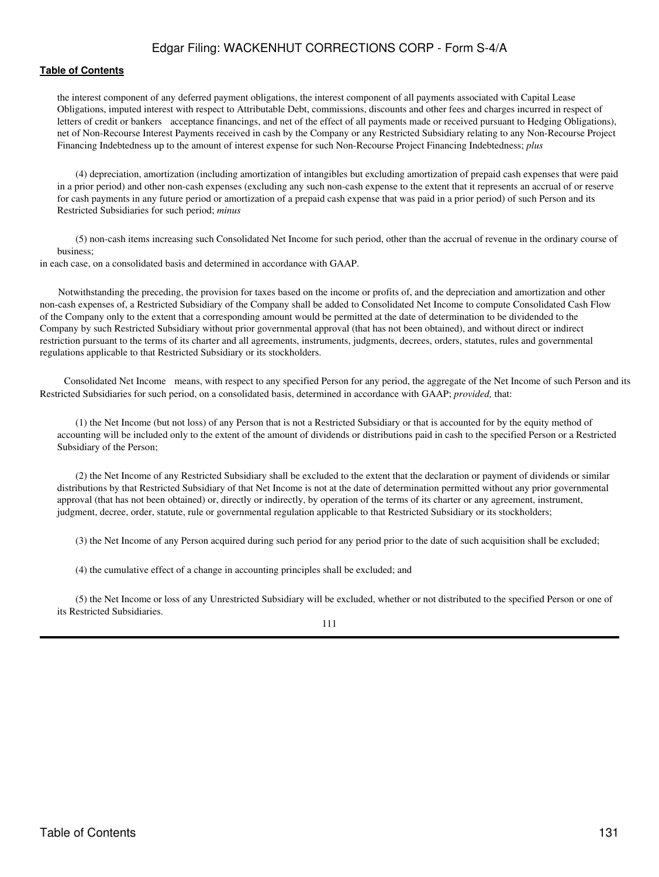## **[Table of Contents](#page-5-0)**

the interest component of any deferred payment obligations, the interest component of all payments associated with Capital Lease Obligations, imputed interest with respect to Attributable Debt, commissions, discounts and other fees and charges incurred in respect of letters of credit or bankers acceptance financings, and net of the effect of all payments made or received pursuant to Hedging Obligations), net of Non-Recourse Interest Payments received in cash by the Company or any Restricted Subsidiary relating to any Non-Recourse Project Financing Indebtedness up to the amount of interest expense for such Non-Recourse Project Financing Indebtedness; *plus*

(4) depreciation, amortization (including amortization of intangibles but excluding amortization of prepaid cash expenses that were paid in a prior period) and other non-cash expenses (excluding any such non-cash expense to the extent that it represents an accrual of or reserve for cash payments in any future period or amortization of a prepaid cash expense that was paid in a prior period) of such Person and its Restricted Subsidiaries for such period; *minus*

(5) non-cash items increasing such Consolidated Net Income for such period, other than the accrual of revenue in the ordinary course of business;

in each case, on a consolidated basis and determined in accordance with GAAP.

Notwithstanding the preceding, the provision for taxes based on the income or profits of, and the depreciation and amortization and other non-cash expenses of, a Restricted Subsidiary of the Company shall be added to Consolidated Net Income to compute Consolidated Cash Flow of the Company only to the extent that a corresponding amount would be permitted at the date of determination to be dividended to the Company by such Restricted Subsidiary without prior governmental approval (that has not been obtained), and without direct or indirect restriction pursuant to the terms of its charter and all agreements, instruments, judgments, decrees, orders, statutes, rules and governmental regulations applicable to that Restricted Subsidiary or its stockholders.

Consolidated Net Income means, with respect to any specified Person for any period, the aggregate of the Net Income of such Person and its Restricted Subsidiaries for such period, on a consolidated basis, determined in accordance with GAAP; *provided,* that:

(1) the Net Income (but not loss) of any Person that is not a Restricted Subsidiary or that is accounted for by the equity method of accounting will be included only to the extent of the amount of dividends or distributions paid in cash to the specified Person or a Restricted Subsidiary of the Person;

(2) the Net Income of any Restricted Subsidiary shall be excluded to the extent that the declaration or payment of dividends or similar distributions by that Restricted Subsidiary of that Net Income is not at the date of determination permitted without any prior governmental approval (that has not been obtained) or, directly or indirectly, by operation of the terms of its charter or any agreement, instrument, judgment, decree, order, statute, rule or governmental regulation applicable to that Restricted Subsidiary or its stockholders;

(3) the Net Income of any Person acquired during such period for any period prior to the date of such acquisition shall be excluded;

(4) the cumulative effect of a change in accounting principles shall be excluded; and

(5) the Net Income or loss of any Unrestricted Subsidiary will be excluded, whether or not distributed to the specified Person or one of its Restricted Subsidiaries.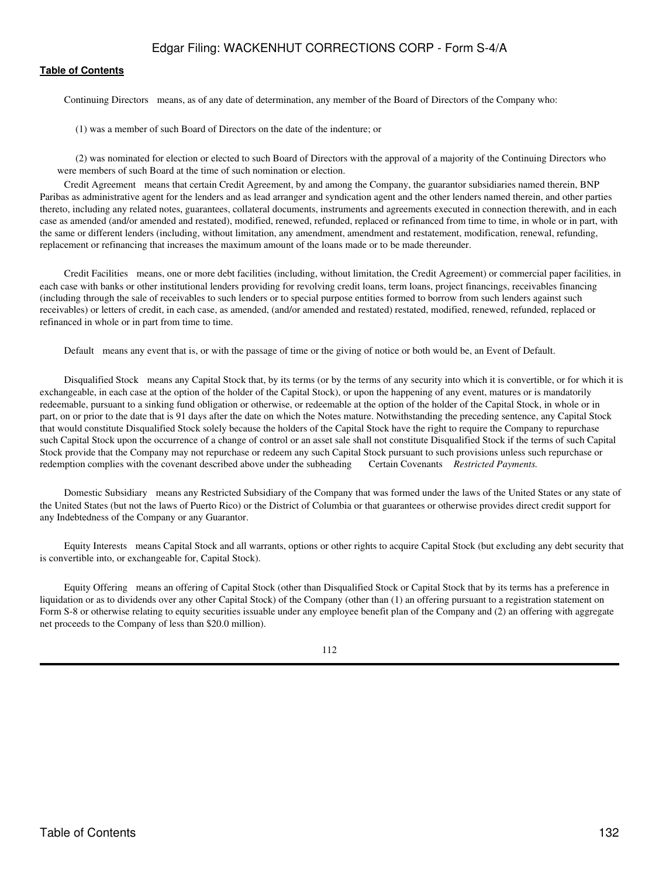## **[Table of Contents](#page-5-0)**

Continuing Directors means, as of any date of determination, any member of the Board of Directors of the Company who:

(1) was a member of such Board of Directors on the date of the indenture; or

(2) was nominated for election or elected to such Board of Directors with the approval of a majority of the Continuing Directors who were members of such Board at the time of such nomination or election.

Credit Agreement means that certain Credit Agreement, by and among the Company, the guarantor subsidiaries named therein, BNP Paribas as administrative agent for the lenders and as lead arranger and syndication agent and the other lenders named therein, and other parties thereto, including any related notes, guarantees, collateral documents, instruments and agreements executed in connection therewith, and in each case as amended (and/or amended and restated), modified, renewed, refunded, replaced or refinanced from time to time, in whole or in part, with the same or different lenders (including, without limitation, any amendment, amendment and restatement, modification, renewal, refunding, replacement or refinancing that increases the maximum amount of the loans made or to be made thereunder.

Credit Facilities means, one or more debt facilities (including, without limitation, the Credit Agreement) or commercial paper facilities, in each case with banks or other institutional lenders providing for revolving credit loans, term loans, project financings, receivables financing (including through the sale of receivables to such lenders or to special purpose entities formed to borrow from such lenders against such receivables) or letters of credit, in each case, as amended, (and/or amended and restated) restated, modified, renewed, refunded, replaced or refinanced in whole or in part from time to time.

Default means any event that is, or with the passage of time or the giving of notice or both would be, an Event of Default.

Disqualified Stock means any Capital Stock that, by its terms (or by the terms of any security into which it is convertible, or for which it is exchangeable, in each case at the option of the holder of the Capital Stock), or upon the happening of any event, matures or is mandatorily redeemable, pursuant to a sinking fund obligation or otherwise, or redeemable at the option of the holder of the Capital Stock, in whole or in part, on or prior to the date that is 91 days after the date on which the Notes mature. Notwithstanding the preceding sentence, any Capital Stock that would constitute Disqualified Stock solely because the holders of the Capital Stock have the right to require the Company to repurchase such Capital Stock upon the occurrence of a change of control or an asset sale shall not constitute Disqualified Stock if the terms of such Capital Stock provide that the Company may not repurchase or redeem any such Capital Stock pursuant to such provisions unless such repurchase or redemption complies with the covenant described above under the subheading Certain Covenants  *Restricted Payments.*

Domestic Subsidiary means any Restricted Subsidiary of the Company that was formed under the laws of the United States or any state of the United States (but not the laws of Puerto Rico) or the District of Columbia or that guarantees or otherwise provides direct credit support for any Indebtedness of the Company or any Guarantor.

Equity Interests means Capital Stock and all warrants, options or other rights to acquire Capital Stock (but excluding any debt security that is convertible into, or exchangeable for, Capital Stock).

Equity Offering means an offering of Capital Stock (other than Disqualified Stock or Capital Stock that by its terms has a preference in liquidation or as to dividends over any other Capital Stock) of the Company (other than (1) an offering pursuant to a registration statement on Form S-8 or otherwise relating to equity securities issuable under any employee benefit plan of the Company and (2) an offering with aggregate net proceeds to the Company of less than \$20.0 million).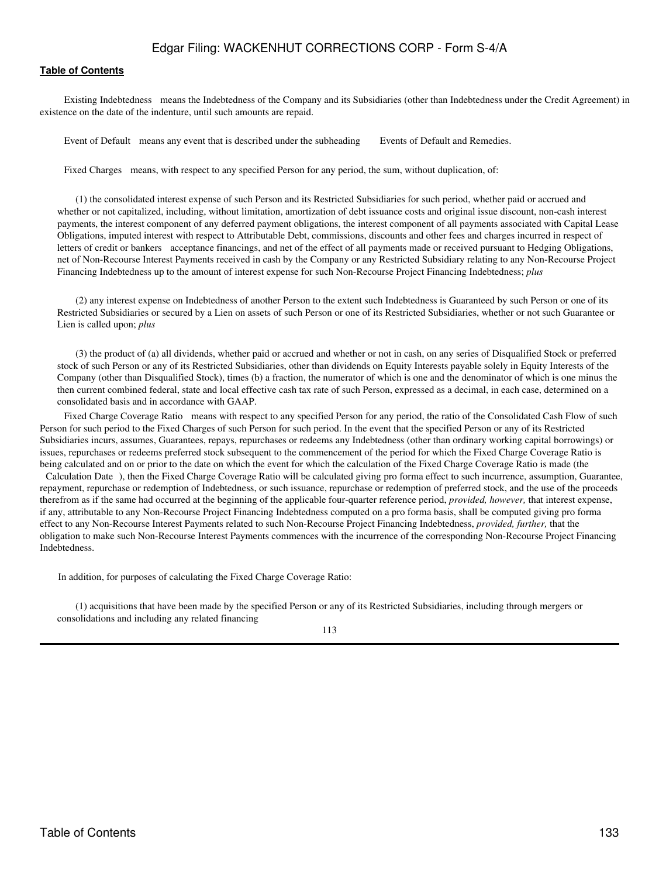## **[Table of Contents](#page-5-0)**

Existing Indebtedness means the Indebtedness of the Company and its Subsidiaries (other than Indebtedness under the Credit Agreement) in existence on the date of the indenture, until such amounts are repaid.

Event of Default means any event that is described under the subheading Events of Default and Remedies.

Fixed Charges means, with respect to any specified Person for any period, the sum, without duplication, of:

(1) the consolidated interest expense of such Person and its Restricted Subsidiaries for such period, whether paid or accrued and whether or not capitalized, including, without limitation, amortization of debt issuance costs and original issue discount, non-cash interest payments, the interest component of any deferred payment obligations, the interest component of all payments associated with Capital Lease Obligations, imputed interest with respect to Attributable Debt, commissions, discounts and other fees and charges incurred in respect of letters of credit or bankers acceptance financings, and net of the effect of all payments made or received pursuant to Hedging Obligations, net of Non-Recourse Interest Payments received in cash by the Company or any Restricted Subsidiary relating to any Non-Recourse Project Financing Indebtedness up to the amount of interest expense for such Non-Recourse Project Financing Indebtedness; *plus*

(2) any interest expense on Indebtedness of another Person to the extent such Indebtedness is Guaranteed by such Person or one of its Restricted Subsidiaries or secured by a Lien on assets of such Person or one of its Restricted Subsidiaries, whether or not such Guarantee or Lien is called upon; *plus*

(3) the product of (a) all dividends, whether paid or accrued and whether or not in cash, on any series of Disqualified Stock or preferred stock of such Person or any of its Restricted Subsidiaries, other than dividends on Equity Interests payable solely in Equity Interests of the Company (other than Disqualified Stock), times (b) a fraction, the numerator of which is one and the denominator of which is one minus the then current combined federal, state and local effective cash tax rate of such Person, expressed as a decimal, in each case, determined on a consolidated basis and in accordance with GAAP.

Fixed Charge Coverage Ratio means with respect to any specified Person for any period, the ratio of the Consolidated Cash Flow of such Person for such period to the Fixed Charges of such Person for such period. In the event that the specified Person or any of its Restricted Subsidiaries incurs, assumes, Guarantees, repays, repurchases or redeems any Indebtedness (other than ordinary working capital borrowings) or issues, repurchases or redeems preferred stock subsequent to the commencement of the period for which the Fixed Charge Coverage Ratio is being calculated and on or prior to the date on which the event for which the calculation of the Fixed Charge Coverage Ratio is made (the

Calculation Date), then the Fixed Charge Coverage Ratio will be calculated giving pro forma effect to such incurrence, assumption, Guarantee, repayment, repurchase or redemption of Indebtedness, or such issuance, repurchase or redemption of preferred stock, and the use of the proceeds therefrom as if the same had occurred at the beginning of the applicable four-quarter reference period, *provided, however,* that interest expense, if any, attributable to any Non-Recourse Project Financing Indebtedness computed on a pro forma basis, shall be computed giving pro forma effect to any Non-Recourse Interest Payments related to such Non-Recourse Project Financing Indebtedness, *provided, further,* that the obligation to make such Non-Recourse Interest Payments commences with the incurrence of the corresponding Non-Recourse Project Financing Indebtedness.

In addition, for purposes of calculating the Fixed Charge Coverage Ratio:

(1) acquisitions that have been made by the specified Person or any of its Restricted Subsidiaries, including through mergers or consolidations and including any related financing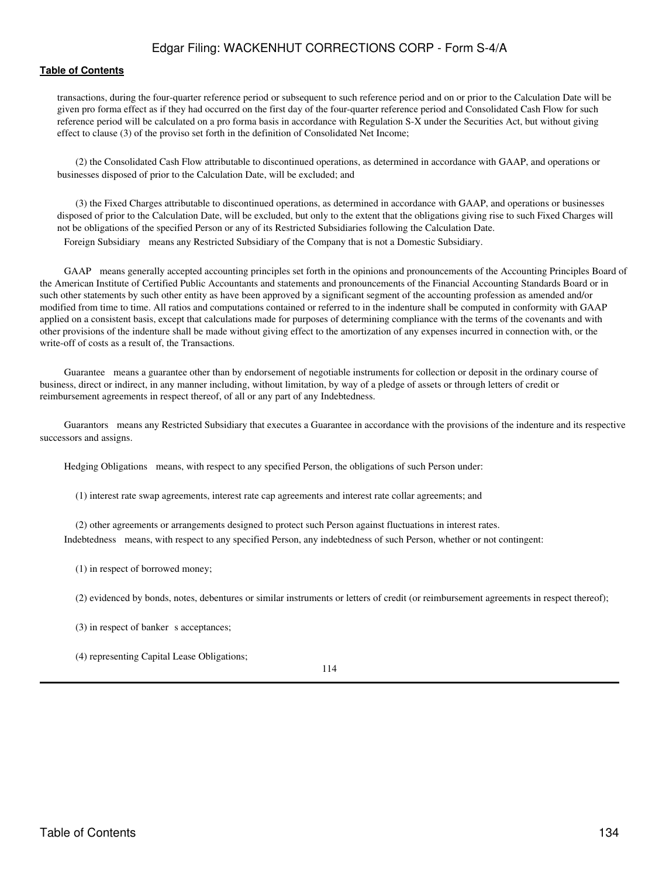## **[Table of Contents](#page-5-0)**

transactions, during the four-quarter reference period or subsequent to such reference period and on or prior to the Calculation Date will be given pro forma effect as if they had occurred on the first day of the four-quarter reference period and Consolidated Cash Flow for such reference period will be calculated on a pro forma basis in accordance with Regulation S-X under the Securities Act, but without giving effect to clause (3) of the proviso set forth in the definition of Consolidated Net Income;

(2) the Consolidated Cash Flow attributable to discontinued operations, as determined in accordance with GAAP, and operations or businesses disposed of prior to the Calculation Date, will be excluded; and

(3) the Fixed Charges attributable to discontinued operations, as determined in accordance with GAAP, and operations or businesses disposed of prior to the Calculation Date, will be excluded, but only to the extent that the obligations giving rise to such Fixed Charges will not be obligations of the specified Person or any of its Restricted Subsidiaries following the Calculation Date.

Foreign Subsidiary means any Restricted Subsidiary of the Company that is not a Domestic Subsidiary.

GAAP means generally accepted accounting principles set forth in the opinions and pronouncements of the Accounting Principles Board of the American Institute of Certified Public Accountants and statements and pronouncements of the Financial Accounting Standards Board or in such other statements by such other entity as have been approved by a significant segment of the accounting profession as amended and/or modified from time to time. All ratios and computations contained or referred to in the indenture shall be computed in conformity with GAAP applied on a consistent basis, except that calculations made for purposes of determining compliance with the terms of the covenants and with other provisions of the indenture shall be made without giving effect to the amortization of any expenses incurred in connection with, or the write-off of costs as a result of, the Transactions.

Guarantee means a guarantee other than by endorsement of negotiable instruments for collection or deposit in the ordinary course of business, direct or indirect, in any manner including, without limitation, by way of a pledge of assets or through letters of credit or reimbursement agreements in respect thereof, of all or any part of any Indebtedness.

Guarantors means any Restricted Subsidiary that executes a Guarantee in accordance with the provisions of the indenture and its respective successors and assigns.

Hedging Obligations means, with respect to any specified Person, the obligations of such Person under:

(1) interest rate swap agreements, interest rate cap agreements and interest rate collar agreements; and

(2) other agreements or arrangements designed to protect such Person against fluctuations in interest rates. Indebtedness means, with respect to any specified Person, any indebtedness of such Person, whether or not contingent:

(1) in respect of borrowed money;

(2) evidenced by bonds, notes, debentures or similar instruments or letters of credit (or reimbursement agreements in respect thereof);

 $(3)$  in respect of banker s acceptances;

(4) representing Capital Lease Obligations;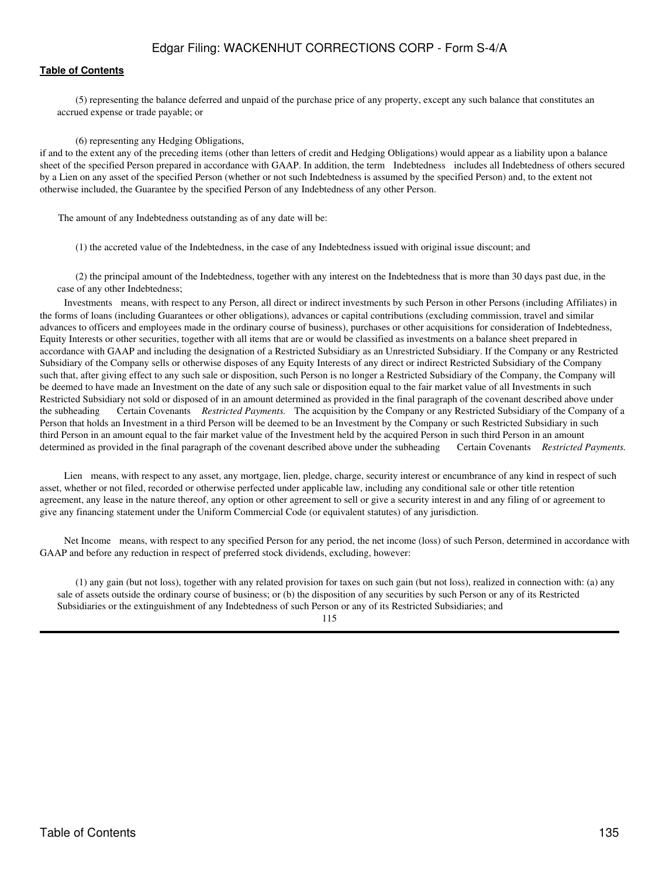## **[Table of Contents](#page-5-0)**

(5) representing the balance deferred and unpaid of the purchase price of any property, except any such balance that constitutes an accrued expense or trade payable; or

(6) representing any Hedging Obligations,

if and to the extent any of the preceding items (other than letters of credit and Hedging Obligations) would appear as a liability upon a balance sheet of the specified Person prepared in accordance with GAAP. In addition, the term Indebtedness includes all Indebtedness of others secured by a Lien on any asset of the specified Person (whether or not such Indebtedness is assumed by the specified Person) and, to the extent not otherwise included, the Guarantee by the specified Person of any Indebtedness of any other Person.

The amount of any Indebtedness outstanding as of any date will be:

(1) the accreted value of the Indebtedness, in the case of any Indebtedness issued with original issue discount; and

(2) the principal amount of the Indebtedness, together with any interest on the Indebtedness that is more than 30 days past due, in the case of any other Indebtedness;

Investments means, with respect to any Person, all direct or indirect investments by such Person in other Persons (including Affiliates) in the forms of loans (including Guarantees or other obligations), advances or capital contributions (excluding commission, travel and similar advances to officers and employees made in the ordinary course of business), purchases or other acquisitions for consideration of Indebtedness, Equity Interests or other securities, together with all items that are or would be classified as investments on a balance sheet prepared in accordance with GAAP and including the designation of a Restricted Subsidiary as an Unrestricted Subsidiary. If the Company or any Restricted Subsidiary of the Company sells or otherwise disposes of any Equity Interests of any direct or indirect Restricted Subsidiary of the Company such that, after giving effect to any such sale or disposition, such Person is no longer a Restricted Subsidiary of the Company, the Company will be deemed to have made an Investment on the date of any such sale or disposition equal to the fair market value of all Investments in such Restricted Subsidiary not sold or disposed of in an amount determined as provided in the final paragraph of the covenant described above under the subheading Certain Covenants  *Restricted Payments.* The acquisition by the Company or any Restricted Subsidiary of the Company of a Person that holds an Investment in a third Person will be deemed to be an Investment by the Company or such Restricted Subsidiary in such third Person in an amount equal to the fair market value of the Investment held by the acquired Person in such third Person in an amount determined as provided in the final paragraph of the covenant described above under the subheading Certain Covenants  *Restricted Payments.*

Lien means, with respect to any asset, any mortgage, lien, pledge, charge, security interest or encumbrance of any kind in respect of such asset, whether or not filed, recorded or otherwise perfected under applicable law, including any conditional sale or other title retention agreement, any lease in the nature thereof, any option or other agreement to sell or give a security interest in and any filing of or agreement to give any financing statement under the Uniform Commercial Code (or equivalent statutes) of any jurisdiction.

Net Income means, with respect to any specified Person for any period, the net income (loss) of such Person, determined in accordance with GAAP and before any reduction in respect of preferred stock dividends, excluding, however:

(1) any gain (but not loss), together with any related provision for taxes on such gain (but not loss), realized in connection with: (a) any sale of assets outside the ordinary course of business; or (b) the disposition of any securities by such Person or any of its Restricted Subsidiaries or the extinguishment of any Indebtedness of such Person or any of its Restricted Subsidiaries; and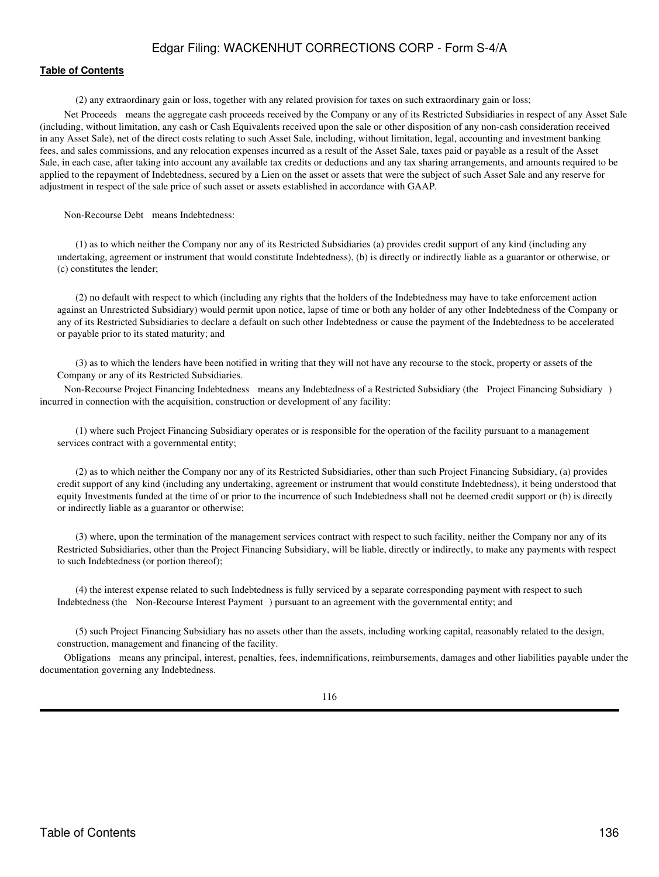### **[Table of Contents](#page-5-0)**

(2) any extraordinary gain or loss, together with any related provision for taxes on such extraordinary gain or loss;

Net Proceeds means the aggregate cash proceeds received by the Company or any of its Restricted Subsidiaries in respect of any Asset Sale (including, without limitation, any cash or Cash Equivalents received upon the sale or other disposition of any non-cash consideration received in any Asset Sale), net of the direct costs relating to such Asset Sale, including, without limitation, legal, accounting and investment banking fees, and sales commissions, and any relocation expenses incurred as a result of the Asset Sale, taxes paid or payable as a result of the Asset Sale, in each case, after taking into account any available tax credits or deductions and any tax sharing arrangements, and amounts required to be applied to the repayment of Indebtedness, secured by a Lien on the asset or assets that were the subject of such Asset Sale and any reserve for adjustment in respect of the sale price of such asset or assets established in accordance with GAAP.

Non-Recourse Debt means Indebtedness:

(1) as to which neither the Company nor any of its Restricted Subsidiaries (a) provides credit support of any kind (including any undertaking, agreement or instrument that would constitute Indebtedness), (b) is directly or indirectly liable as a guarantor or otherwise, or (c) constitutes the lender;

(2) no default with respect to which (including any rights that the holders of the Indebtedness may have to take enforcement action against an Unrestricted Subsidiary) would permit upon notice, lapse of time or both any holder of any other Indebtedness of the Company or any of its Restricted Subsidiaries to declare a default on such other Indebtedness or cause the payment of the Indebtedness to be accelerated or payable prior to its stated maturity; and

(3) as to which the lenders have been notified in writing that they will not have any recourse to the stock, property or assets of the Company or any of its Restricted Subsidiaries.

Non-Recourse Project Financing Indebtedness means any Indebtedness of a Restricted Subsidiary (the Project Financing Subsidiary) incurred in connection with the acquisition, construction or development of any facility:

(1) where such Project Financing Subsidiary operates or is responsible for the operation of the facility pursuant to a management services contract with a governmental entity;

(2) as to which neither the Company nor any of its Restricted Subsidiaries, other than such Project Financing Subsidiary, (a) provides credit support of any kind (including any undertaking, agreement or instrument that would constitute Indebtedness), it being understood that equity Investments funded at the time of or prior to the incurrence of such Indebtedness shall not be deemed credit support or (b) is directly or indirectly liable as a guarantor or otherwise;

(3) where, upon the termination of the management services contract with respect to such facility, neither the Company nor any of its Restricted Subsidiaries, other than the Project Financing Subsidiary, will be liable, directly or indirectly, to make any payments with respect to such Indebtedness (or portion thereof);

(4) the interest expense related to such Indebtedness is fully serviced by a separate corresponding payment with respect to such Indebtedness (the Non-Recourse Interest Payment) pursuant to an agreement with the governmental entity; and

(5) such Project Financing Subsidiary has no assets other than the assets, including working capital, reasonably related to the design, construction, management and financing of the facility.

Obligations means any principal, interest, penalties, fees, indemnifications, reimbursements, damages and other liabilities payable under the documentation governing any Indebtedness.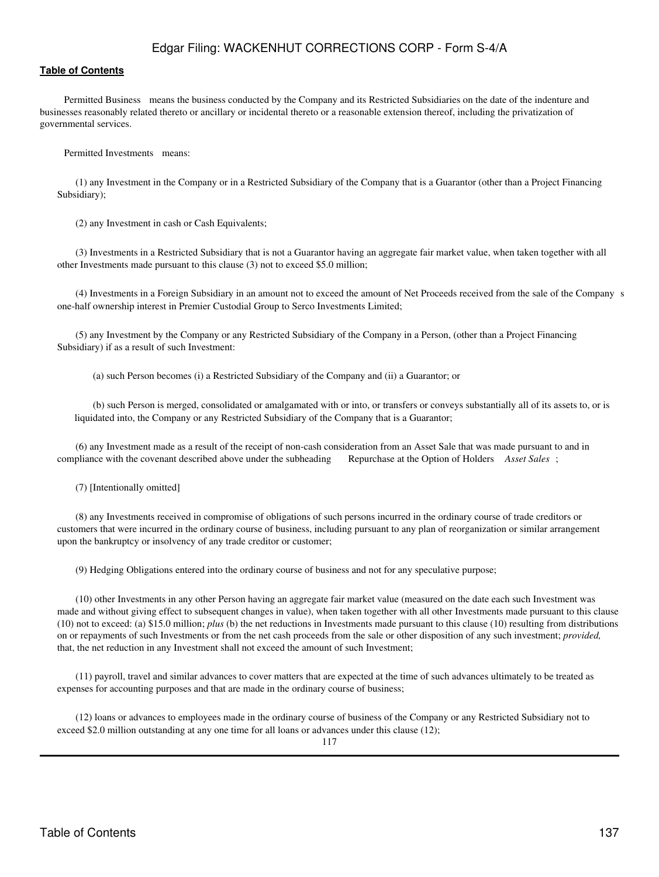## **[Table of Contents](#page-5-0)**

Permitted Business means the business conducted by the Company and its Restricted Subsidiaries on the date of the indenture and businesses reasonably related thereto or ancillary or incidental thereto or a reasonable extension thereof, including the privatization of governmental services.

Permitted Investments means:

(1) any Investment in the Company or in a Restricted Subsidiary of the Company that is a Guarantor (other than a Project Financing Subsidiary);

(2) any Investment in cash or Cash Equivalents;

(3) Investments in a Restricted Subsidiary that is not a Guarantor having an aggregate fair market value, when taken together with all other Investments made pursuant to this clause (3) not to exceed \$5.0 million;

(4) Investments in a Foreign Subsidiary in an amount not to exceed the amount of Net Proceeds received from the sale of the Companys one-half ownership interest in Premier Custodial Group to Serco Investments Limited;

(5) any Investment by the Company or any Restricted Subsidiary of the Company in a Person, (other than a Project Financing Subsidiary) if as a result of such Investment:

(a) such Person becomes (i) a Restricted Subsidiary of the Company and (ii) a Guarantor; or

(b) such Person is merged, consolidated or amalgamated with or into, or transfers or conveys substantially all of its assets to, or is liquidated into, the Company or any Restricted Subsidiary of the Company that is a Guarantor;

(6) any Investment made as a result of the receipt of non-cash consideration from an Asset Sale that was made pursuant to and in compliance with the covenant described above under the subheading Repurchase at the Option of Holders  *Asset Sales*;

(7) [Intentionally omitted]

(8) any Investments received in compromise of obligations of such persons incurred in the ordinary course of trade creditors or customers that were incurred in the ordinary course of business, including pursuant to any plan of reorganization or similar arrangement upon the bankruptcy or insolvency of any trade creditor or customer;

(9) Hedging Obligations entered into the ordinary course of business and not for any speculative purpose;

(10) other Investments in any other Person having an aggregate fair market value (measured on the date each such Investment was made and without giving effect to subsequent changes in value), when taken together with all other Investments made pursuant to this clause (10) not to exceed: (a) \$15.0 million; *plus* (b) the net reductions in Investments made pursuant to this clause (10) resulting from distributions on or repayments of such Investments or from the net cash proceeds from the sale or other disposition of any such investment; *provided,* that, the net reduction in any Investment shall not exceed the amount of such Investment;

(11) payroll, travel and similar advances to cover matters that are expected at the time of such advances ultimately to be treated as expenses for accounting purposes and that are made in the ordinary course of business;

(12) loans or advances to employees made in the ordinary course of business of the Company or any Restricted Subsidiary not to exceed \$2.0 million outstanding at any one time for all loans or advances under this clause (12);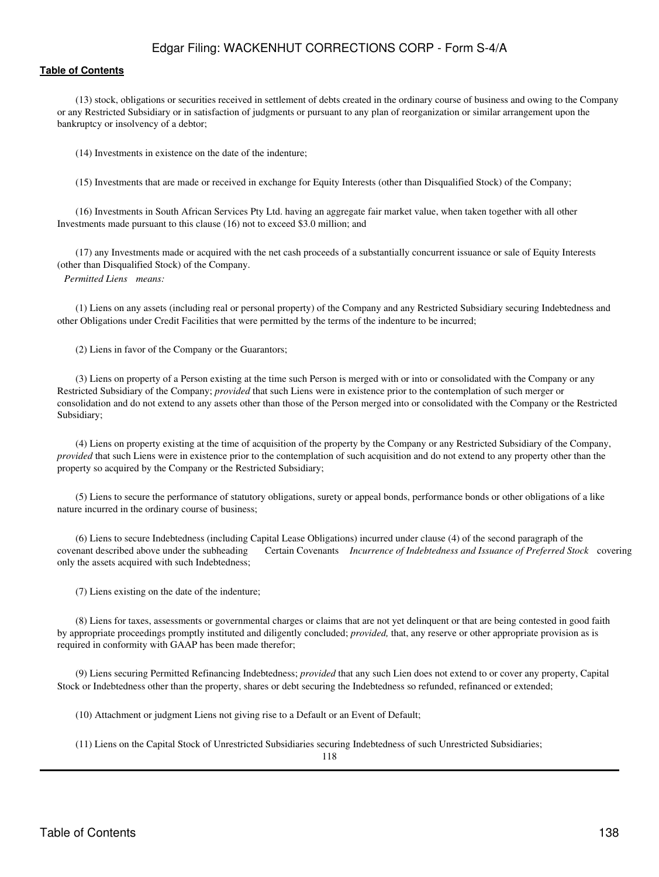## **[Table of Contents](#page-5-0)**

(13) stock, obligations or securities received in settlement of debts created in the ordinary course of business and owing to the Company or any Restricted Subsidiary or in satisfaction of judgments or pursuant to any plan of reorganization or similar arrangement upon the bankruptcy or insolvency of a debtor;

(14) Investments in existence on the date of the indenture;

(15) Investments that are made or received in exchange for Equity Interests (other than Disqualified Stock) of the Company;

(16) Investments in South African Services Pty Ltd. having an aggregate fair market value, when taken together with all other Investments made pursuant to this clause (16) not to exceed \$3.0 million; and

(17) any Investments made or acquired with the net cash proceeds of a substantially concurrent issuance or sale of Equity Interests (other than Disqualified Stock) of the Company.

*Permitted Liens means:*

(1) Liens on any assets (including real or personal property) of the Company and any Restricted Subsidiary securing Indebtedness and other Obligations under Credit Facilities that were permitted by the terms of the indenture to be incurred;

(2) Liens in favor of the Company or the Guarantors;

(3) Liens on property of a Person existing at the time such Person is merged with or into or consolidated with the Company or any Restricted Subsidiary of the Company; *provided* that such Liens were in existence prior to the contemplation of such merger or consolidation and do not extend to any assets other than those of the Person merged into or consolidated with the Company or the Restricted Subsidiary;

(4) Liens on property existing at the time of acquisition of the property by the Company or any Restricted Subsidiary of the Company, *provided* that such Liens were in existence prior to the contemplation of such acquisition and do not extend to any property other than the property so acquired by the Company or the Restricted Subsidiary;

(5) Liens to secure the performance of statutory obligations, surety or appeal bonds, performance bonds or other obligations of a like nature incurred in the ordinary course of business;

(6) Liens to secure Indebtedness (including Capital Lease Obligations) incurred under clause (4) of the second paragraph of the covenant described above under the subheading Certain Covenants  *Incurrence of Indebtedness and Issuance of Preferred Stock* covering only the assets acquired with such Indebtedness;

(7) Liens existing on the date of the indenture;

(8) Liens for taxes, assessments or governmental charges or claims that are not yet delinquent or that are being contested in good faith by appropriate proceedings promptly instituted and diligently concluded; *provided,* that, any reserve or other appropriate provision as is required in conformity with GAAP has been made therefor;

(9) Liens securing Permitted Refinancing Indebtedness; *provided* that any such Lien does not extend to or cover any property, Capital Stock or Indebtedness other than the property, shares or debt securing the Indebtedness so refunded, refinanced or extended;

(10) Attachment or judgment Liens not giving rise to a Default or an Event of Default;

(11) Liens on the Capital Stock of Unrestricted Subsidiaries securing Indebtedness of such Unrestricted Subsidiaries;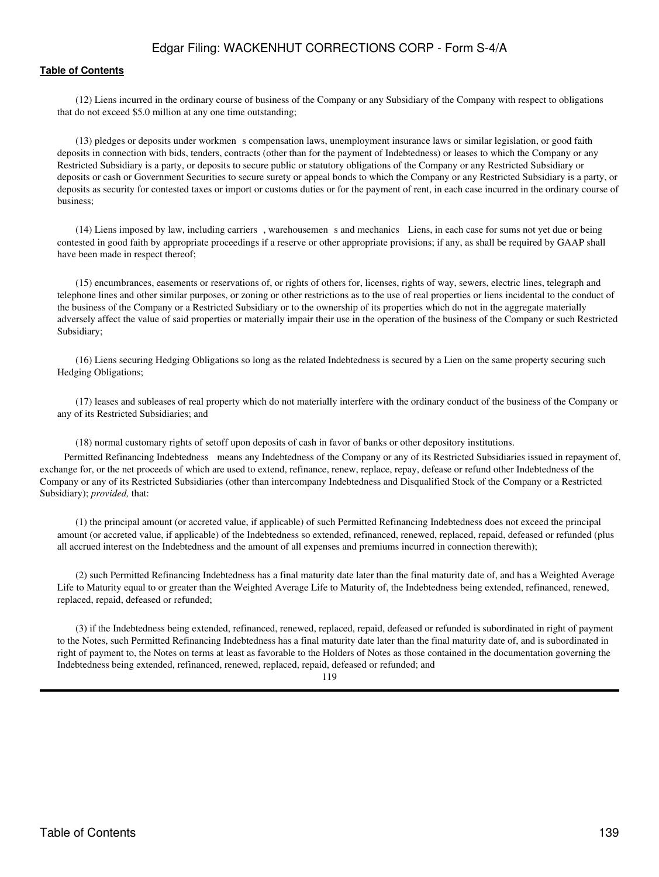## **[Table of Contents](#page-5-0)**

(12) Liens incurred in the ordinary course of business of the Company or any Subsidiary of the Company with respect to obligations that do not exceed \$5.0 million at any one time outstanding;

(13) pledges or deposits under workmen s compensation laws, unemployment insurance laws or similar legislation, or good faith deposits in connection with bids, tenders, contracts (other than for the payment of Indebtedness) or leases to which the Company or any Restricted Subsidiary is a party, or deposits to secure public or statutory obligations of the Company or any Restricted Subsidiary or deposits or cash or Government Securities to secure surety or appeal bonds to which the Company or any Restricted Subsidiary is a party, or deposits as security for contested taxes or import or customs duties or for the payment of rent, in each case incurred in the ordinary course of business;

(14) Liens imposed by law, including carriers, warehousemen s and mechanics Liens, in each case for sums not yet due or being contested in good faith by appropriate proceedings if a reserve or other appropriate provisions; if any, as shall be required by GAAP shall have been made in respect thereof;

(15) encumbrances, easements or reservations of, or rights of others for, licenses, rights of way, sewers, electric lines, telegraph and telephone lines and other similar purposes, or zoning or other restrictions as to the use of real properties or liens incidental to the conduct of the business of the Company or a Restricted Subsidiary or to the ownership of its properties which do not in the aggregate materially adversely affect the value of said properties or materially impair their use in the operation of the business of the Company or such Restricted Subsidiary;

(16) Liens securing Hedging Obligations so long as the related Indebtedness is secured by a Lien on the same property securing such Hedging Obligations;

(17) leases and subleases of real property which do not materially interfere with the ordinary conduct of the business of the Company or any of its Restricted Subsidiaries; and

(18) normal customary rights of setoff upon deposits of cash in favor of banks or other depository institutions.

Permitted Refinancing Indebtedness means any Indebtedness of the Company or any of its Restricted Subsidiaries issued in repayment of, exchange for, or the net proceeds of which are used to extend, refinance, renew, replace, repay, defease or refund other Indebtedness of the Company or any of its Restricted Subsidiaries (other than intercompany Indebtedness and Disqualified Stock of the Company or a Restricted Subsidiary); *provided,* that:

(1) the principal amount (or accreted value, if applicable) of such Permitted Refinancing Indebtedness does not exceed the principal amount (or accreted value, if applicable) of the Indebtedness so extended, refinanced, renewed, replaced, repaid, defeased or refunded (plus all accrued interest on the Indebtedness and the amount of all expenses and premiums incurred in connection therewith);

(2) such Permitted Refinancing Indebtedness has a final maturity date later than the final maturity date of, and has a Weighted Average Life to Maturity equal to or greater than the Weighted Average Life to Maturity of, the Indebtedness being extended, refinanced, renewed, replaced, repaid, defeased or refunded;

(3) if the Indebtedness being extended, refinanced, renewed, replaced, repaid, defeased or refunded is subordinated in right of payment to the Notes, such Permitted Refinancing Indebtedness has a final maturity date later than the final maturity date of, and is subordinated in right of payment to, the Notes on terms at least as favorable to the Holders of Notes as those contained in the documentation governing the Indebtedness being extended, refinanced, renewed, replaced, repaid, defeased or refunded; and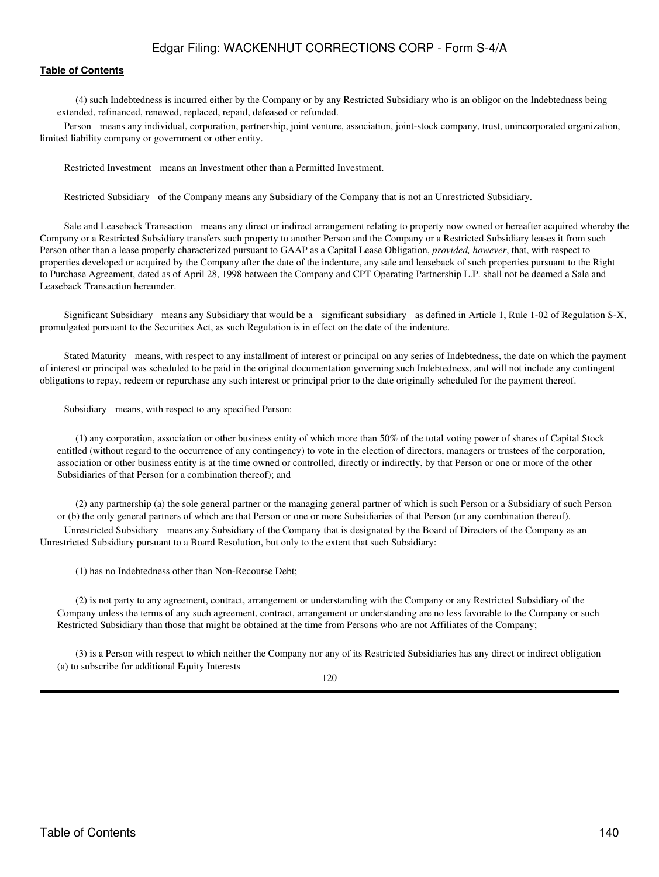### **[Table of Contents](#page-5-0)**

(4) such Indebtedness is incurred either by the Company or by any Restricted Subsidiary who is an obligor on the Indebtedness being extended, refinanced, renewed, replaced, repaid, defeased or refunded.

Person means any individual, corporation, partnership, joint venture, association, joint-stock company, trust, unincorporated organization, limited liability company or government or other entity.

Restricted Investment means an Investment other than a Permitted Investment.

Restricted Subsidiary of the Company means any Subsidiary of the Company that is not an Unrestricted Subsidiary.

Sale and Leaseback Transaction means any direct or indirect arrangement relating to property now owned or hereafter acquired whereby the Company or a Restricted Subsidiary transfers such property to another Person and the Company or a Restricted Subsidiary leases it from such Person other than a lease properly characterized pursuant to GAAP as a Capital Lease Obligation, *provided, however*, that, with respect to properties developed or acquired by the Company after the date of the indenture, any sale and leaseback of such properties pursuant to the Right to Purchase Agreement, dated as of April 28, 1998 between the Company and CPT Operating Partnership L.P. shall not be deemed a Sale and Leaseback Transaction hereunder.

Significant Subsidiary means any Subsidiary that would be a significant subsidiary as defined in Article 1, Rule 1-02 of Regulation S-X, promulgated pursuant to the Securities Act, as such Regulation is in effect on the date of the indenture.

Stated Maturity means, with respect to any installment of interest or principal on any series of Indebtedness, the date on which the payment of interest or principal was scheduled to be paid in the original documentation governing such Indebtedness, and will not include any contingent obligations to repay, redeem or repurchase any such interest or principal prior to the date originally scheduled for the payment thereof.

Subsidiary means, with respect to any specified Person:

(1) any corporation, association or other business entity of which more than 50% of the total voting power of shares of Capital Stock entitled (without regard to the occurrence of any contingency) to vote in the election of directors, managers or trustees of the corporation, association or other business entity is at the time owned or controlled, directly or indirectly, by that Person or one or more of the other Subsidiaries of that Person (or a combination thereof); and

(2) any partnership (a) the sole general partner or the managing general partner of which is such Person or a Subsidiary of such Person or (b) the only general partners of which are that Person or one or more Subsidiaries of that Person (or any combination thereof). Unrestricted Subsidiary means any Subsidiary of the Company that is designated by the Board of Directors of the Company as an Unrestricted Subsidiary pursuant to a Board Resolution, but only to the extent that such Subsidiary:

(1) has no Indebtedness other than Non-Recourse Debt;

(2) is not party to any agreement, contract, arrangement or understanding with the Company or any Restricted Subsidiary of the Company unless the terms of any such agreement, contract, arrangement or understanding are no less favorable to the Company or such Restricted Subsidiary than those that might be obtained at the time from Persons who are not Affiliates of the Company;

(3) is a Person with respect to which neither the Company nor any of its Restricted Subsidiaries has any direct or indirect obligation (a) to subscribe for additional Equity Interests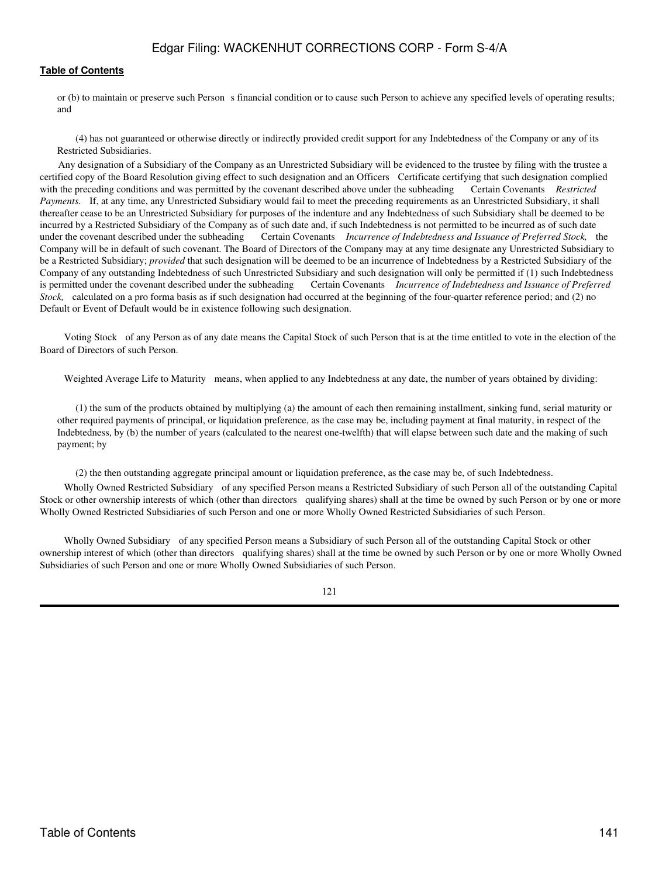## **[Table of Contents](#page-5-0)**

or (b) to maintain or preserve such Person s financial condition or to cause such Person to achieve any specified levels of operating results; and

(4) has not guaranteed or otherwise directly or indirectly provided credit support for any Indebtedness of the Company or any of its Restricted Subsidiaries.

Any designation of a Subsidiary of the Company as an Unrestricted Subsidiary will be evidenced to the trustee by filing with the trustee a certified copy of the Board Resolution giving effect to such designation and an Officers Certificate certifying that such designation complied with the preceding conditions and was permitted by the covenant described above under the subheading Certain Covenants  *Restricted Payments.* If, at any time, any Unrestricted Subsidiary would fail to meet the preceding requirements as an Unrestricted Subsidiary, it shall thereafter cease to be an Unrestricted Subsidiary for purposes of the indenture and any Indebtedness of such Subsidiary shall be deemed to be incurred by a Restricted Subsidiary of the Company as of such date and, if such Indebtedness is not permitted to be incurred as of such date under the covenant described under the subheading Certain Covenants  *Incurrence of Indebtedness and Issuance of Preferred Stock,* the Company will be in default of such covenant. The Board of Directors of the Company may at any time designate any Unrestricted Subsidiary to be a Restricted Subsidiary; *provided* that such designation will be deemed to be an incurrence of Indebtedness by a Restricted Subsidiary of the Company of any outstanding Indebtedness of such Unrestricted Subsidiary and such designation will only be permitted if (1) such Indebtedness is permitted under the covenant described under the subheading Certain Covenants  *Incurrence of Indebtedness and Issuance of Preferred Stock,* calculated on a pro forma basis as if such designation had occurred at the beginning of the four-quarter reference period; and (2) no Default or Event of Default would be in existence following such designation.

Voting Stock of any Person as of any date means the Capital Stock of such Person that is at the time entitled to vote in the election of the Board of Directors of such Person.

Weighted Average Life to Maturity means, when applied to any Indebtedness at any date, the number of years obtained by dividing:

(1) the sum of the products obtained by multiplying (a) the amount of each then remaining installment, sinking fund, serial maturity or other required payments of principal, or liquidation preference, as the case may be, including payment at final maturity, in respect of the Indebtedness, by (b) the number of years (calculated to the nearest one-twelfth) that will elapse between such date and the making of such payment; by

(2) the then outstanding aggregate principal amount or liquidation preference, as the case may be, of such Indebtedness. Wholly Owned Restricted Subsidiary of any specified Person means a Restricted Subsidiary of such Person all of the outstanding Capital Stock or other ownership interests of which (other than directors qualifying shares) shall at the time be owned by such Person or by one or more Wholly Owned Restricted Subsidiaries of such Person and one or more Wholly Owned Restricted Subsidiaries of such Person.

Wholly Owned Subsidiary of any specified Person means a Subsidiary of such Person all of the outstanding Capital Stock or other ownership interest of which (other than directors qualifying shares) shall at the time be owned by such Person or by one or more Wholly Owned Subsidiaries of such Person and one or more Wholly Owned Subsidiaries of such Person.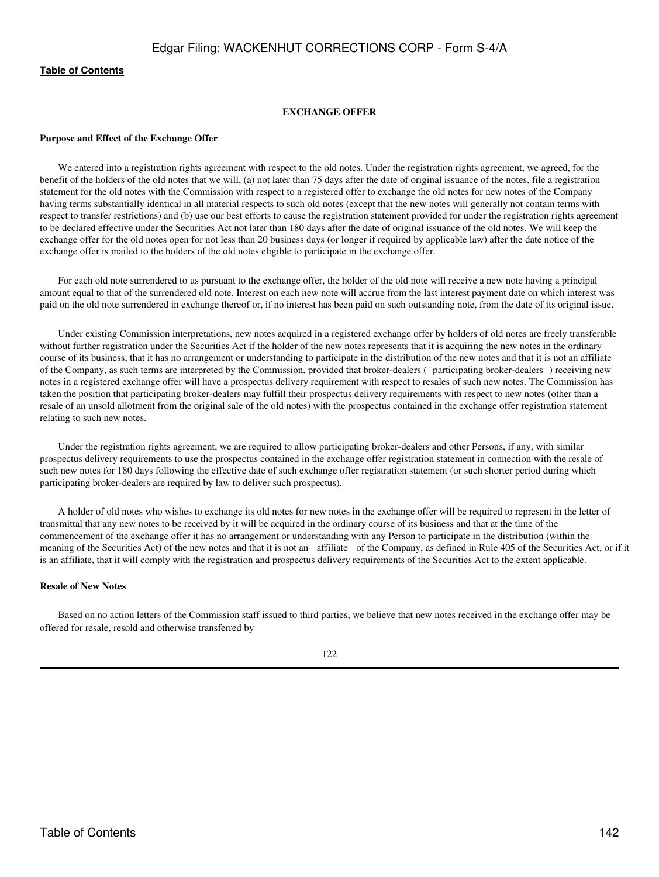## **[Table of Contents](#page-5-0)**

### **EXCHANGE OFFER**

### **Purpose and Effect of the Exchange Offer**

We entered into a registration rights agreement with respect to the old notes. Under the registration rights agreement, we agreed, for the benefit of the holders of the old notes that we will, (a) not later than 75 days after the date of original issuance of the notes, file a registration statement for the old notes with the Commission with respect to a registered offer to exchange the old notes for new notes of the Company having terms substantially identical in all material respects to such old notes (except that the new notes will generally not contain terms with respect to transfer restrictions) and (b) use our best efforts to cause the registration statement provided for under the registration rights agreement to be declared effective under the Securities Act not later than 180 days after the date of original issuance of the old notes. We will keep the exchange offer for the old notes open for not less than 20 business days (or longer if required by applicable law) after the date notice of the exchange offer is mailed to the holders of the old notes eligible to participate in the exchange offer.

For each old note surrendered to us pursuant to the exchange offer, the holder of the old note will receive a new note having a principal amount equal to that of the surrendered old note. Interest on each new note will accrue from the last interest payment date on which interest was paid on the old note surrendered in exchange thereof or, if no interest has been paid on such outstanding note, from the date of its original issue.

Under existing Commission interpretations, new notes acquired in a registered exchange offer by holders of old notes are freely transferable without further registration under the Securities Act if the holder of the new notes represents that it is acquiring the new notes in the ordinary course of its business, that it has no arrangement or understanding to participate in the distribution of the new notes and that it is not an affiliate of the Company, as such terms are interpreted by the Commission, provided that broker-dealers (participating broker-dealers) receiving new notes in a registered exchange offer will have a prospectus delivery requirement with respect to resales of such new notes. The Commission has taken the position that participating broker-dealers may fulfill their prospectus delivery requirements with respect to new notes (other than a resale of an unsold allotment from the original sale of the old notes) with the prospectus contained in the exchange offer registration statement relating to such new notes.

Under the registration rights agreement, we are required to allow participating broker-dealers and other Persons, if any, with similar prospectus delivery requirements to use the prospectus contained in the exchange offer registration statement in connection with the resale of such new notes for 180 days following the effective date of such exchange offer registration statement (or such shorter period during which participating broker-dealers are required by law to deliver such prospectus).

A holder of old notes who wishes to exchange its old notes for new notes in the exchange offer will be required to represent in the letter of transmittal that any new notes to be received by it will be acquired in the ordinary course of its business and that at the time of the commencement of the exchange offer it has no arrangement or understanding with any Person to participate in the distribution (within the meaning of the Securities Act) of the new notes and that it is not an affiliate of the Company, as defined in Rule 405 of the Securities Act, or if it is an affiliate, that it will comply with the registration and prospectus delivery requirements of the Securities Act to the extent applicable.

### **Resale of New Notes**

Based on no action letters of the Commission staff issued to third parties, we believe that new notes received in the exchange offer may be offered for resale, resold and otherwise transferred by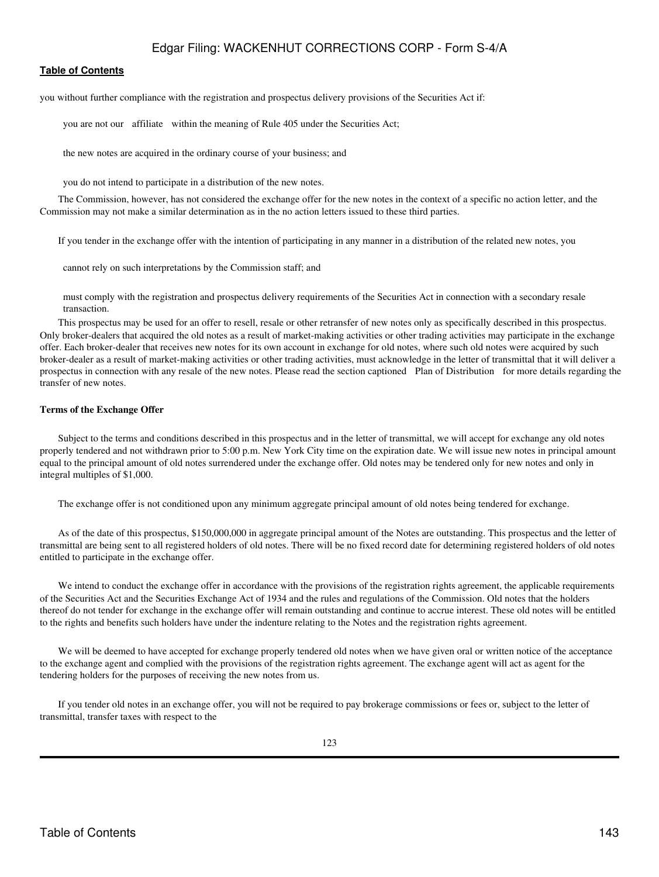### **[Table of Contents](#page-5-0)**

you without further compliance with the registration and prospectus delivery provisions of the Securities Act if:

you are not our affiliate within the meaning of Rule 405 under the Securities Act;

the new notes are acquired in the ordinary course of your business; and

you do not intend to participate in a distribution of the new notes.

The Commission, however, has not considered the exchange offer for the new notes in the context of a specific no action letter, and the Commission may not make a similar determination as in the no action letters issued to these third parties.

If you tender in the exchange offer with the intention of participating in any manner in a distribution of the related new notes, you

cannot rely on such interpretations by the Commission staff; and

 must comply with the registration and prospectus delivery requirements of the Securities Act in connection with a secondary resale transaction.

This prospectus may be used for an offer to resell, resale or other retransfer of new notes only as specifically described in this prospectus. Only broker-dealers that acquired the old notes as a result of market-making activities or other trading activities may participate in the exchange offer. Each broker-dealer that receives new notes for its own account in exchange for old notes, where such old notes were acquired by such broker-dealer as a result of market-making activities or other trading activities, must acknowledge in the letter of transmittal that it will deliver a prospectus in connection with any resale of the new notes. Please read the section captioned Plan of Distribution for more details regarding the transfer of new notes.

### **Terms of the Exchange Offer**

Subject to the terms and conditions described in this prospectus and in the letter of transmittal, we will accept for exchange any old notes properly tendered and not withdrawn prior to 5:00 p.m. New York City time on the expiration date. We will issue new notes in principal amount equal to the principal amount of old notes surrendered under the exchange offer. Old notes may be tendered only for new notes and only in integral multiples of \$1,000.

The exchange offer is not conditioned upon any minimum aggregate principal amount of old notes being tendered for exchange.

As of the date of this prospectus, \$150,000,000 in aggregate principal amount of the Notes are outstanding. This prospectus and the letter of transmittal are being sent to all registered holders of old notes. There will be no fixed record date for determining registered holders of old notes entitled to participate in the exchange offer.

We intend to conduct the exchange offer in accordance with the provisions of the registration rights agreement, the applicable requirements of the Securities Act and the Securities Exchange Act of 1934 and the rules and regulations of the Commission. Old notes that the holders thereof do not tender for exchange in the exchange offer will remain outstanding and continue to accrue interest. These old notes will be entitled to the rights and benefits such holders have under the indenture relating to the Notes and the registration rights agreement.

We will be deemed to have accepted for exchange properly tendered old notes when we have given oral or written notice of the acceptance to the exchange agent and complied with the provisions of the registration rights agreement. The exchange agent will act as agent for the tendering holders for the purposes of receiving the new notes from us.

If you tender old notes in an exchange offer, you will not be required to pay brokerage commissions or fees or, subject to the letter of transmittal, transfer taxes with respect to the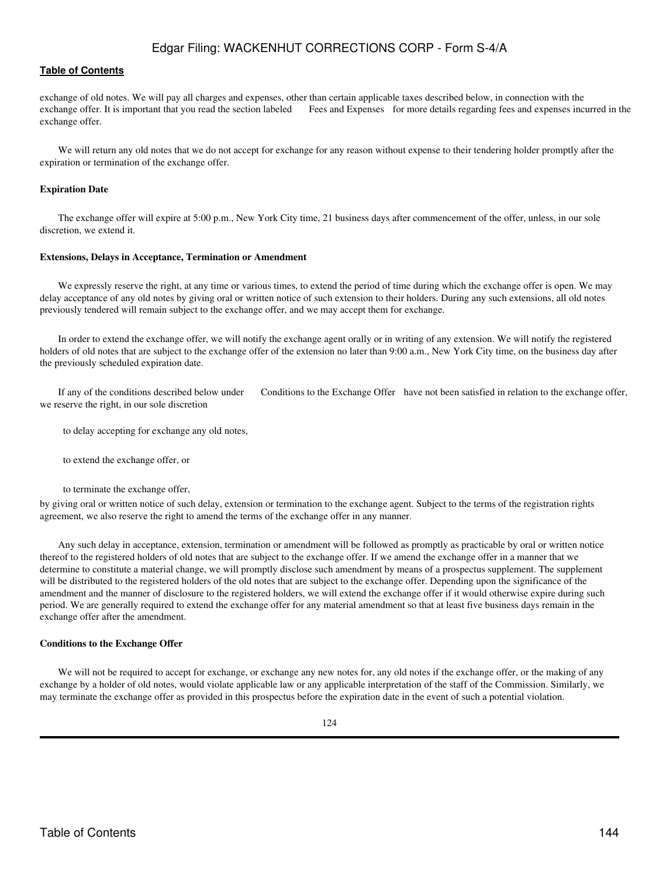### **[Table of Contents](#page-5-0)**

exchange of old notes. We will pay all charges and expenses, other than certain applicable taxes described below, in connection with the exchange offer. It is important that you read the section labeled Fees and Expenses for more details regarding fees and expenses incurred in the exchange offer.

We will return any old notes that we do not accept for exchange for any reason without expense to their tendering holder promptly after the expiration or termination of the exchange offer.

#### **Expiration Date**

The exchange offer will expire at 5:00 p.m., New York City time, 21 business days after commencement of the offer, unless, in our sole discretion, we extend it.

#### **Extensions, Delays in Acceptance, Termination or Amendment**

We expressly reserve the right, at any time or various times, to extend the period of time during which the exchange offer is open. We may delay acceptance of any old notes by giving oral or written notice of such extension to their holders. During any such extensions, all old notes previously tendered will remain subject to the exchange offer, and we may accept them for exchange.

In order to extend the exchange offer, we will notify the exchange agent orally or in writing of any extension. We will notify the registered holders of old notes that are subject to the exchange offer of the extension no later than 9:00 a.m., New York City time, on the business day after the previously scheduled expiration date.

If any of the conditions described below under Conditions to the Exchange Offer have not been satisfied in relation to the exchange offer, we reserve the right, in our sole discretion

to delay accepting for exchange any old notes,

to extend the exchange offer, or

to terminate the exchange offer,

by giving oral or written notice of such delay, extension or termination to the exchange agent. Subject to the terms of the registration rights agreement, we also reserve the right to amend the terms of the exchange offer in any manner.

Any such delay in acceptance, extension, termination or amendment will be followed as promptly as practicable by oral or written notice thereof to the registered holders of old notes that are subject to the exchange offer. If we amend the exchange offer in a manner that we determine to constitute a material change, we will promptly disclose such amendment by means of a prospectus supplement. The supplement will be distributed to the registered holders of the old notes that are subject to the exchange offer. Depending upon the significance of the amendment and the manner of disclosure to the registered holders, we will extend the exchange offer if it would otherwise expire during such period. We are generally required to extend the exchange offer for any material amendment so that at least five business days remain in the exchange offer after the amendment.

#### **Conditions to the Exchange Offer**

We will not be required to accept for exchange, or exchange any new notes for, any old notes if the exchange offer, or the making of any exchange by a holder of old notes, would violate applicable law or any applicable interpretation of the staff of the Commission. Similarly, we may terminate the exchange offer as provided in this prospectus before the expiration date in the event of such a potential violation.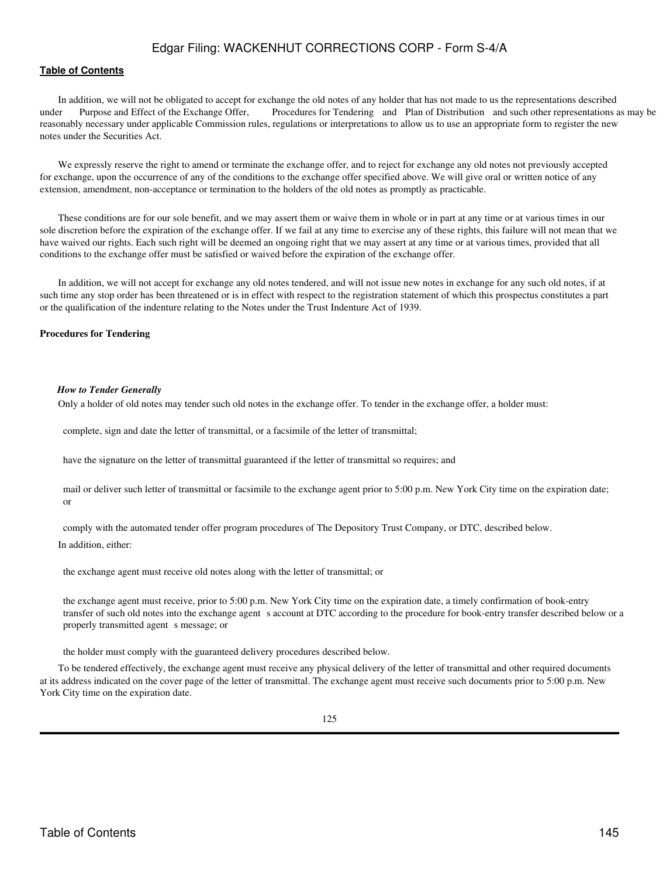### **[Table of Contents](#page-5-0)**

In addition, we will not be obligated to accept for exchange the old notes of any holder that has not made to us the representations described under Purpose and Effect of the Exchange Offer, Procedures for Tendering and Plan of Distribution and such other representations as may be reasonably necessary under applicable Commission rules, regulations or interpretations to allow us to use an appropriate form to register the new notes under the Securities Act.

We expressly reserve the right to amend or terminate the exchange offer, and to reject for exchange any old notes not previously accepted for exchange, upon the occurrence of any of the conditions to the exchange offer specified above. We will give oral or written notice of any extension, amendment, non-acceptance or termination to the holders of the old notes as promptly as practicable.

These conditions are for our sole benefit, and we may assert them or waive them in whole or in part at any time or at various times in our sole discretion before the expiration of the exchange offer. If we fail at any time to exercise any of these rights, this failure will not mean that we have waived our rights. Each such right will be deemed an ongoing right that we may assert at any time or at various times, provided that all conditions to the exchange offer must be satisfied or waived before the expiration of the exchange offer.

In addition, we will not accept for exchange any old notes tendered, and will not issue new notes in exchange for any such old notes, if at such time any stop order has been threatened or is in effect with respect to the registration statement of which this prospectus constitutes a part or the qualification of the indenture relating to the Notes under the Trust Indenture Act of 1939.

#### **Procedures for Tendering**

#### *How to Tender Generally*

Only a holder of old notes may tender such old notes in the exchange offer. To tender in the exchange offer, a holder must:

complete, sign and date the letter of transmittal, or a facsimile of the letter of transmittal;

have the signature on the letter of transmittal guaranteed if the letter of transmittal so requires; and

mail or deliver such letter of transmittal or facsimile to the exchange agent prior to 5:00 p.m. New York City time on the expiration date; or

comply with the automated tender offer program procedures of The Depository Trust Company, or DTC, described below.

In addition, either:

the exchange agent must receive old notes along with the letter of transmittal; or

 the exchange agent must receive, prior to 5:00 p.m. New York City time on the expiration date, a timely confirmation of book-entry transfer of such old notes into the exchange agent s account at DTC according to the procedure for book-entry transfer described below or a properly transmitted agent s message; or

the holder must comply with the guaranteed delivery procedures described below.

To be tendered effectively, the exchange agent must receive any physical delivery of the letter of transmittal and other required documents at its address indicated on the cover page of the letter of transmittal. The exchange agent must receive such documents prior to 5:00 p.m. New York City time on the expiration date.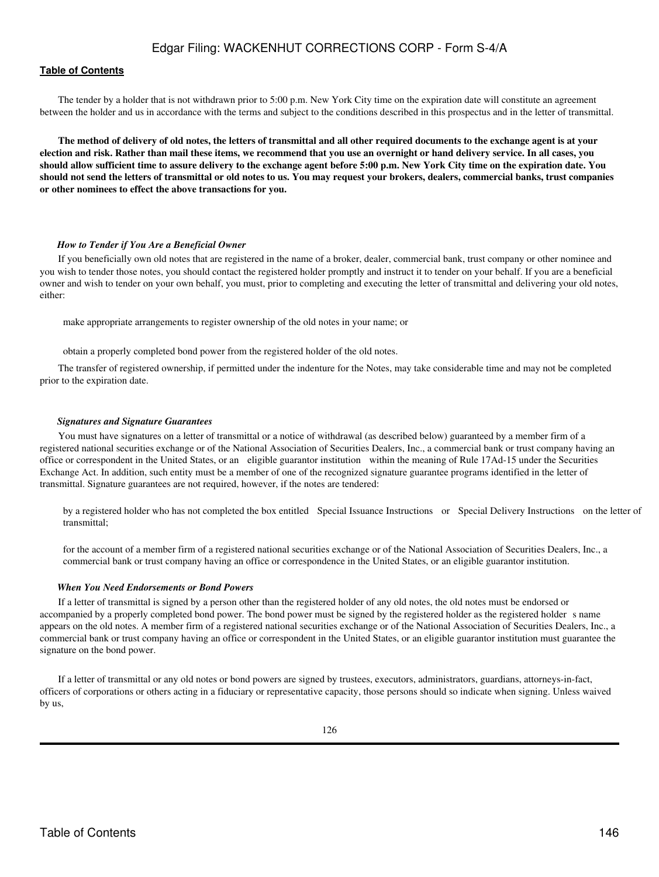### **[Table of Contents](#page-5-0)**

The tender by a holder that is not withdrawn prior to 5:00 p.m. New York City time on the expiration date will constitute an agreement between the holder and us in accordance with the terms and subject to the conditions described in this prospectus and in the letter of transmittal.

**The method of delivery of old notes, the letters of transmittal and all other required documents to the exchange agent is at your election and risk. Rather than mail these items, we recommend that you use an overnight or hand delivery service. In all cases, you should allow sufficient time to assure delivery to the exchange agent before 5:00 p.m. New York City time on the expiration date. You should not send the letters of transmittal or old notes to us. You may request your brokers, dealers, commercial banks, trust companies or other nominees to effect the above transactions for you.**

#### *How to Tender if You Are a Beneficial Owner*

If you beneficially own old notes that are registered in the name of a broker, dealer, commercial bank, trust company or other nominee and you wish to tender those notes, you should contact the registered holder promptly and instruct it to tender on your behalf. If you are a beneficial owner and wish to tender on your own behalf, you must, prior to completing and executing the letter of transmittal and delivering your old notes, either:

make appropriate arrangements to register ownership of the old notes in your name; or

obtain a properly completed bond power from the registered holder of the old notes.

The transfer of registered ownership, if permitted under the indenture for the Notes, may take considerable time and may not be completed prior to the expiration date.

#### *Signatures and Signature Guarantees*

You must have signatures on a letter of transmittal or a notice of withdrawal (as described below) guaranteed by a member firm of a registered national securities exchange or of the National Association of Securities Dealers, Inc., a commercial bank or trust company having an office or correspondent in the United States, or an eligible guarantor institution within the meaning of Rule 17Ad-15 under the Securities Exchange Act. In addition, such entity must be a member of one of the recognized signature guarantee programs identified in the letter of transmittal. Signature guarantees are not required, however, if the notes are tendered:

 by a registered holder who has not completed the box entitled Special Issuance Instructions or Special Delivery Instructions on the letter of transmittal;

 for the account of a member firm of a registered national securities exchange or of the National Association of Securities Dealers, Inc., a commercial bank or trust company having an office or correspondence in the United States, or an eligible guarantor institution.

#### *When You Need Endorsements or Bond Powers*

If a letter of transmittal is signed by a person other than the registered holder of any old notes, the old notes must be endorsed or accompanied by a properly completed bond power. The bond power must be signed by the registered holder as the registered holder s name appears on the old notes. A member firm of a registered national securities exchange or of the National Association of Securities Dealers, Inc., a commercial bank or trust company having an office or correspondent in the United States, or an eligible guarantor institution must guarantee the signature on the bond power.

If a letter of transmittal or any old notes or bond powers are signed by trustees, executors, administrators, guardians, attorneys-in-fact, officers of corporations or others acting in a fiduciary or representative capacity, those persons should so indicate when signing. Unless waived by us,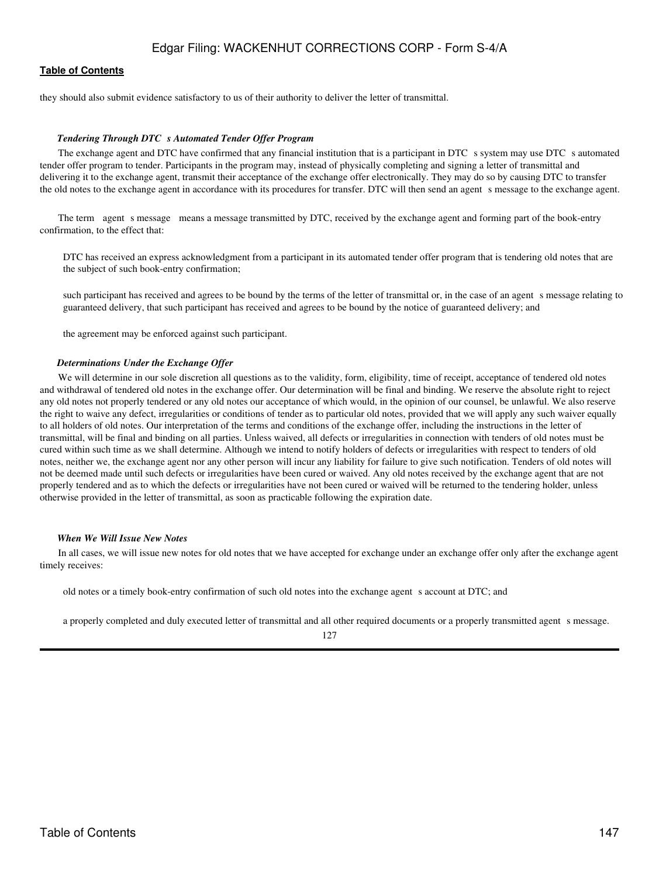### **[Table of Contents](#page-5-0)**

they should also submit evidence satisfactory to us of their authority to deliver the letter of transmittal.

#### **Tendering Through DTC** s Automated Tender Offer Program

The exchange agent and DTC have confirmed that any financial institution that is a participant in DTC s system may use DTC s automated tender offer program to tender. Participants in the program may, instead of physically completing and signing a letter of transmittal and delivering it to the exchange agent, transmit their acceptance of the exchange offer electronically. They may do so by causing DTC to transfer the old notes to the exchange agent in accordance with its procedures for transfer. DTC will then send an agent s message to the exchange agent.

The term agent s message means a message transmitted by DTC, received by the exchange agent and forming part of the book-entry confirmation, to the effect that:

 DTC has received an express acknowledgment from a participant in its automated tender offer program that is tendering old notes that are the subject of such book-entry confirmation;

such participant has received and agrees to be bound by the terms of the letter of transmittal or, in the case of an agent s message relating to guaranteed delivery, that such participant has received and agrees to be bound by the notice of guaranteed delivery; and

the agreement may be enforced against such participant.

#### *Determinations Under the Exchange Offer*

We will determine in our sole discretion all questions as to the validity, form, eligibility, time of receipt, acceptance of tendered old notes and withdrawal of tendered old notes in the exchange offer. Our determination will be final and binding. We reserve the absolute right to reject any old notes not properly tendered or any old notes our acceptance of which would, in the opinion of our counsel, be unlawful. We also reserve the right to waive any defect, irregularities or conditions of tender as to particular old notes, provided that we will apply any such waiver equally to all holders of old notes. Our interpretation of the terms and conditions of the exchange offer, including the instructions in the letter of transmittal, will be final and binding on all parties. Unless waived, all defects or irregularities in connection with tenders of old notes must be cured within such time as we shall determine. Although we intend to notify holders of defects or irregularities with respect to tenders of old notes, neither we, the exchange agent nor any other person will incur any liability for failure to give such notification. Tenders of old notes will not be deemed made until such defects or irregularities have been cured or waived. Any old notes received by the exchange agent that are not properly tendered and as to which the defects or irregularities have not been cured or waived will be returned to the tendering holder, unless otherwise provided in the letter of transmittal, as soon as practicable following the expiration date.

#### *When We Will Issue New Notes*

In all cases, we will issue new notes for old notes that we have accepted for exchange under an exchange offer only after the exchange agent timely receives:

old notes or a timely book-entry confirmation of such old notes into the exchange agent s account at DTC; and

a properly completed and duly executed letter of transmittal and all other required documents or a properly transmitted agent s message.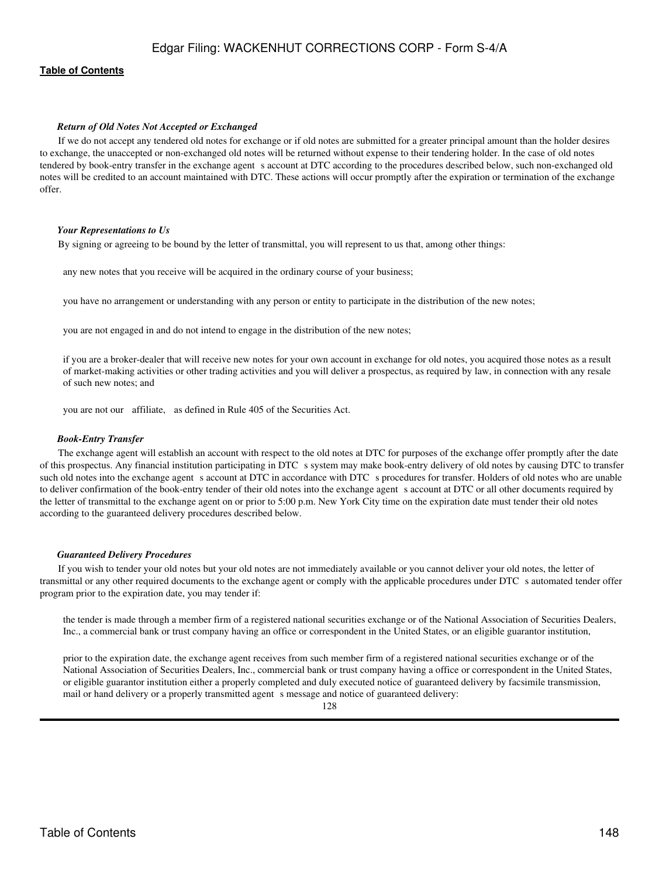#### *Return of Old Notes Not Accepted or Exchanged*

If we do not accept any tendered old notes for exchange or if old notes are submitted for a greater principal amount than the holder desires to exchange, the unaccepted or non-exchanged old notes will be returned without expense to their tendering holder. In the case of old notes tendered by book-entry transfer in the exchange agent s account at DTC according to the procedures described below, such non-exchanged old notes will be credited to an account maintained with DTC. These actions will occur promptly after the expiration or termination of the exchange offer.

#### *Your Representations to Us*

By signing or agreeing to be bound by the letter of transmittal, you will represent to us that, among other things:

any new notes that you receive will be acquired in the ordinary course of your business;

you have no arrangement or understanding with any person or entity to participate in the distribution of the new notes;

you are not engaged in and do not intend to engage in the distribution of the new notes;

 if you are a broker-dealer that will receive new notes for your own account in exchange for old notes, you acquired those notes as a result of market-making activities or other trading activities and you will deliver a prospectus, as required by law, in connection with any resale of such new notes; and

you are not our affiliate, as defined in Rule 405 of the Securities Act.

#### *Book-Entry Transfer*

The exchange agent will establish an account with respect to the old notes at DTC for purposes of the exchange offer promptly after the date of this prospectus. Any financial institution participating in DTC s system may make book-entry delivery of old notes by causing DTC to transfer such old notes into the exchange agent s account at DTC in accordance with DTC s procedures for transfer. Holders of old notes who are unable to deliver confirmation of the book-entry tender of their old notes into the exchange agent s account at DTC or all other documents required by the letter of transmittal to the exchange agent on or prior to 5:00 p.m. New York City time on the expiration date must tender their old notes according to the guaranteed delivery procedures described below.

#### *Guaranteed Delivery Procedures*

If you wish to tender your old notes but your old notes are not immediately available or you cannot deliver your old notes, the letter of transmittal or any other required documents to the exchange agent or comply with the applicable procedures under DTC s automated tender offer program prior to the expiration date, you may tender if:

 the tender is made through a member firm of a registered national securities exchange or of the National Association of Securities Dealers, Inc., a commercial bank or trust company having an office or correspondent in the United States, or an eligible guarantor institution,

 prior to the expiration date, the exchange agent receives from such member firm of a registered national securities exchange or of the National Association of Securities Dealers, Inc., commercial bank or trust company having a office or correspondent in the United States, or eligible guarantor institution either a properly completed and duly executed notice of guaranteed delivery by facsimile transmission, mail or hand delivery or a properly transmitted agent s message and notice of guaranteed delivery: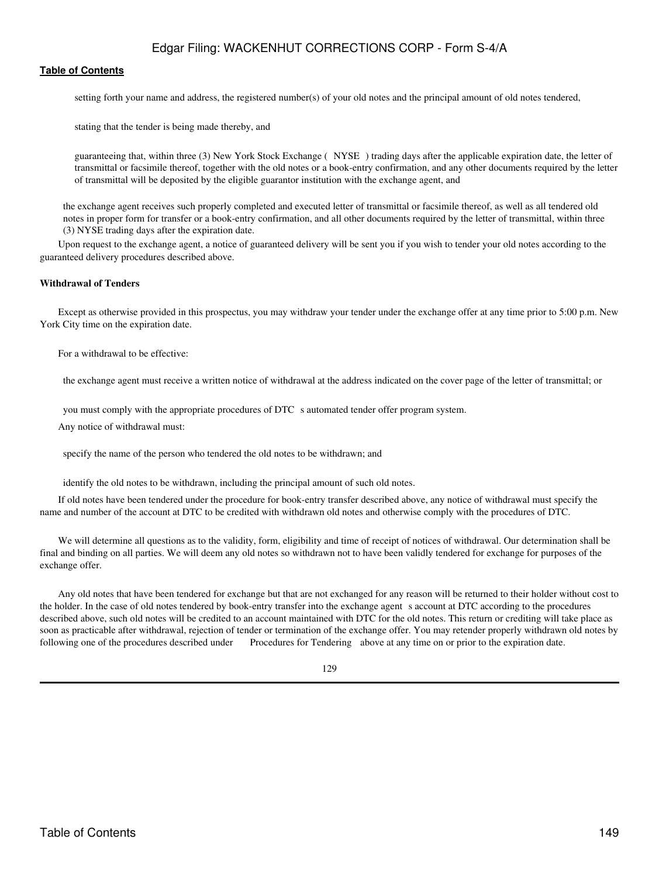### **[Table of Contents](#page-5-0)**

setting forth your name and address, the registered number(s) of your old notes and the principal amount of old notes tendered,

stating that the tender is being made thereby, and

 guaranteeing that, within three (3) New York Stock Exchange (NYSE) trading days after the applicable expiration date, the letter of transmittal or facsimile thereof, together with the old notes or a book-entry confirmation, and any other documents required by the letter of transmittal will be deposited by the eligible guarantor institution with the exchange agent, and

 the exchange agent receives such properly completed and executed letter of transmittal or facsimile thereof, as well as all tendered old notes in proper form for transfer or a book-entry confirmation, and all other documents required by the letter of transmittal, within three (3) NYSE trading days after the expiration date.

Upon request to the exchange agent, a notice of guaranteed delivery will be sent you if you wish to tender your old notes according to the guaranteed delivery procedures described above.

#### **Withdrawal of Tenders**

Except as otherwise provided in this prospectus, you may withdraw your tender under the exchange offer at any time prior to 5:00 p.m. New York City time on the expiration date.

For a withdrawal to be effective:

the exchange agent must receive a written notice of withdrawal at the address indicated on the cover page of the letter of transmittal; or

you must comply with the appropriate procedures of DTC s automated tender offer program system.

Any notice of withdrawal must:

specify the name of the person who tendered the old notes to be withdrawn; and

identify the old notes to be withdrawn, including the principal amount of such old notes.

If old notes have been tendered under the procedure for book-entry transfer described above, any notice of withdrawal must specify the name and number of the account at DTC to be credited with withdrawn old notes and otherwise comply with the procedures of DTC.

We will determine all questions as to the validity, form, eligibility and time of receipt of notices of withdrawal. Our determination shall be final and binding on all parties. We will deem any old notes so withdrawn not to have been validly tendered for exchange for purposes of the exchange offer.

Any old notes that have been tendered for exchange but that are not exchanged for any reason will be returned to their holder without cost to the holder. In the case of old notes tendered by book-entry transfer into the exchange agent s account at DTC according to the procedures described above, such old notes will be credited to an account maintained with DTC for the old notes. This return or crediting will take place as soon as practicable after withdrawal, rejection of tender or termination of the exchange offer. You may retender properly withdrawn old notes by following one of the procedures described under Procedures for Tendering above at any time on or prior to the expiration date.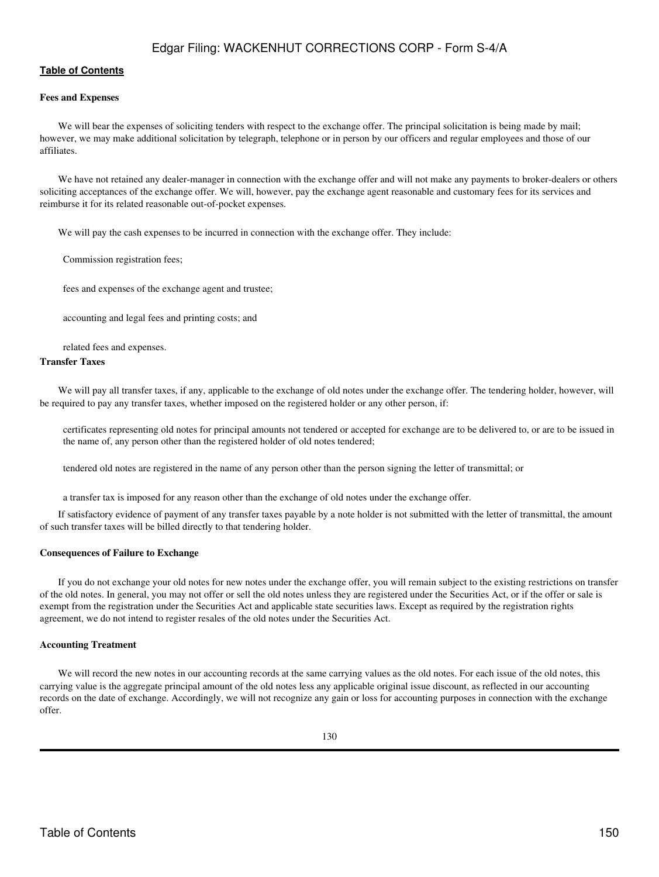### **[Table of Contents](#page-5-0)**

#### **Fees and Expenses**

We will bear the expenses of soliciting tenders with respect to the exchange offer. The principal solicitation is being made by mail; however, we may make additional solicitation by telegraph, telephone or in person by our officers and regular employees and those of our affiliates.

We have not retained any dealer-manager in connection with the exchange offer and will not make any payments to broker-dealers or others soliciting acceptances of the exchange offer. We will, however, pay the exchange agent reasonable and customary fees for its services and reimburse it for its related reasonable out-of-pocket expenses.

We will pay the cash expenses to be incurred in connection with the exchange offer. They include:

Commission registration fees;

fees and expenses of the exchange agent and trustee;

accounting and legal fees and printing costs; and

related fees and expenses.

#### **Transfer Taxes**

We will pay all transfer taxes, if any, applicable to the exchange of old notes under the exchange offer. The tendering holder, however, will be required to pay any transfer taxes, whether imposed on the registered holder or any other person, if:

 certificates representing old notes for principal amounts not tendered or accepted for exchange are to be delivered to, or are to be issued in the name of, any person other than the registered holder of old notes tendered;

tendered old notes are registered in the name of any person other than the person signing the letter of transmittal; or

a transfer tax is imposed for any reason other than the exchange of old notes under the exchange offer.

If satisfactory evidence of payment of any transfer taxes payable by a note holder is not submitted with the letter of transmittal, the amount of such transfer taxes will be billed directly to that tendering holder.

### **Consequences of Failure to Exchange**

If you do not exchange your old notes for new notes under the exchange offer, you will remain subject to the existing restrictions on transfer of the old notes. In general, you may not offer or sell the old notes unless they are registered under the Securities Act, or if the offer or sale is exempt from the registration under the Securities Act and applicable state securities laws. Except as required by the registration rights agreement, we do not intend to register resales of the old notes under the Securities Act.

#### **Accounting Treatment**

We will record the new notes in our accounting records at the same carrying values as the old notes. For each issue of the old notes, this carrying value is the aggregate principal amount of the old notes less any applicable original issue discount, as reflected in our accounting records on the date of exchange. Accordingly, we will not recognize any gain or loss for accounting purposes in connection with the exchange offer.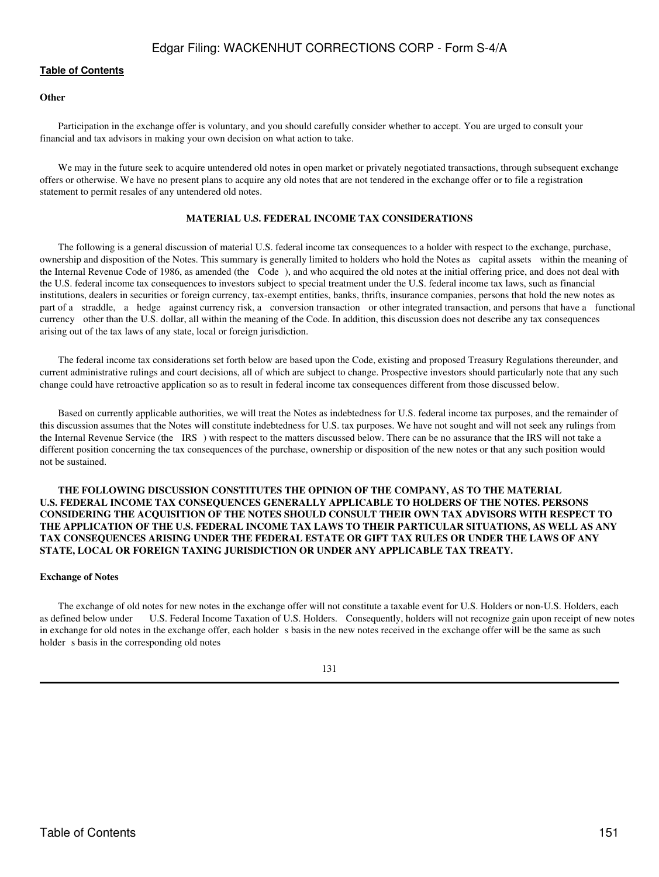### **Other**

Participation in the exchange offer is voluntary, and you should carefully consider whether to accept. You are urged to consult your financial and tax advisors in making your own decision on what action to take.

We may in the future seek to acquire untendered old notes in open market or privately negotiated transactions, through subsequent exchange offers or otherwise. We have no present plans to acquire any old notes that are not tendered in the exchange offer or to file a registration statement to permit resales of any untendered old notes.

#### **MATERIAL U.S. FEDERAL INCOME TAX CONSIDERATIONS**

The following is a general discussion of material U.S. federal income tax consequences to a holder with respect to the exchange, purchase, ownership and disposition of the Notes. This summary is generally limited to holders who hold the Notes as capital assets within the meaning of the Internal Revenue Code of 1986, as amended (the Code), and who acquired the old notes at the initial offering price, and does not deal with the U.S. federal income tax consequences to investors subject to special treatment under the U.S. federal income tax laws, such as financial institutions, dealers in securities or foreign currency, tax-exempt entities, banks, thrifts, insurance companies, persons that hold the new notes as part of a straddle, a hedge against currency risk, a conversion transaction or other integrated transaction, and persons that have a functional currency other than the U.S. dollar, all within the meaning of the Code. In addition, this discussion does not describe any tax consequences arising out of the tax laws of any state, local or foreign jurisdiction.

The federal income tax considerations set forth below are based upon the Code, existing and proposed Treasury Regulations thereunder, and current administrative rulings and court decisions, all of which are subject to change. Prospective investors should particularly note that any such change could have retroactive application so as to result in federal income tax consequences different from those discussed below.

Based on currently applicable authorities, we will treat the Notes as indebtedness for U.S. federal income tax purposes, and the remainder of this discussion assumes that the Notes will constitute indebtedness for U.S. tax purposes. We have not sought and will not seek any rulings from the Internal Revenue Service (the IRS) with respect to the matters discussed below. There can be no assurance that the IRS will not take a different position concerning the tax consequences of the purchase, ownership or disposition of the new notes or that any such position would not be sustained.

### **THE FOLLOWING DISCUSSION CONSTITUTES THE OPINION OF THE COMPANY, AS TO THE MATERIAL U.S. FEDERAL INCOME TAX CONSEQUENCES GENERALLY APPLICABLE TO HOLDERS OF THE NOTES. PERSONS CONSIDERING THE ACQUISITION OF THE NOTES SHOULD CONSULT THEIR OWN TAX ADVISORS WITH RESPECT TO THE APPLICATION OF THE U.S. FEDERAL INCOME TAX LAWS TO THEIR PARTICULAR SITUATIONS, AS WELL AS ANY TAX CONSEQUENCES ARISING UNDER THE FEDERAL ESTATE OR GIFT TAX RULES OR UNDER THE LAWS OF ANY STATE, LOCAL OR FOREIGN TAXING JURISDICTION OR UNDER ANY APPLICABLE TAX TREATY.**

#### **Exchange of Notes**

The exchange of old notes for new notes in the exchange offer will not constitute a taxable event for U.S. Holders or non-U.S. Holders, each as defined below under U.S. Federal Income Taxation of U.S. Holders. Consequently, holders will not recognize gain upon receipt of new notes in exchange for old notes in the exchange offer, each holder s basis in the new notes received in the exchange offer will be the same as such holder s basis in the corresponding old notes

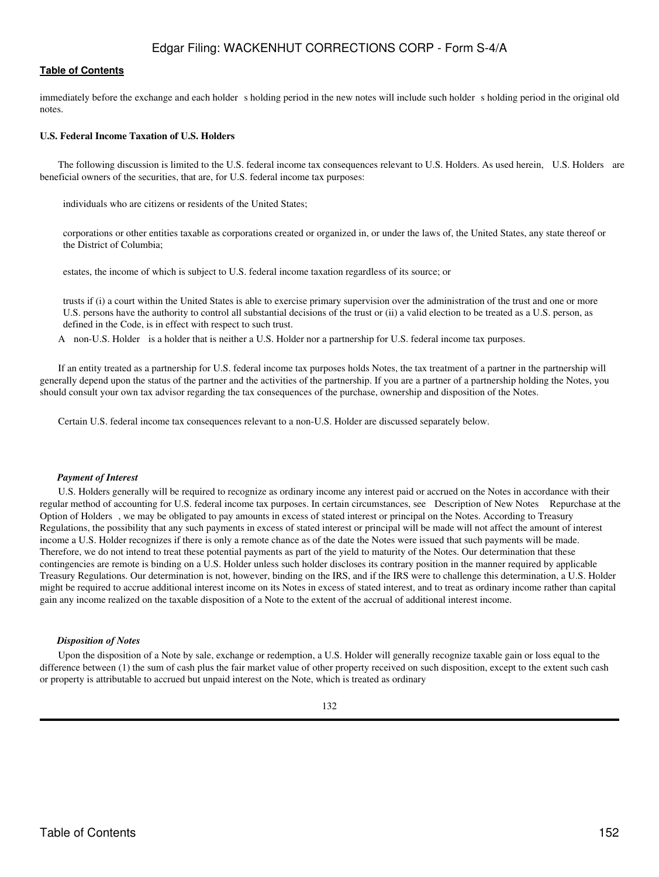### **[Table of Contents](#page-5-0)**

immediately before the exchange and each holder s holding period in the new notes will include such holder s holding period in the original old notes.

### **U.S. Federal Income Taxation of U.S. Holders**

The following discussion is limited to the U.S. federal income tax consequences relevant to U.S. Holders. As used herein, U.S. Holders are beneficial owners of the securities, that are, for U.S. federal income tax purposes:

individuals who are citizens or residents of the United States;

 corporations or other entities taxable as corporations created or organized in, or under the laws of, the United States, any state thereof or the District of Columbia;

estates, the income of which is subject to U.S. federal income taxation regardless of its source; or

 trusts if (i) a court within the United States is able to exercise primary supervision over the administration of the trust and one or more U.S. persons have the authority to control all substantial decisions of the trust or (ii) a valid election to be treated as a U.S. person, as defined in the Code, is in effect with respect to such trust.

A non-U.S. Holder is a holder that is neither a U.S. Holder nor a partnership for U.S. federal income tax purposes.

If an entity treated as a partnership for U.S. federal income tax purposes holds Notes, the tax treatment of a partner in the partnership will generally depend upon the status of the partner and the activities of the partnership. If you are a partner of a partnership holding the Notes, you should consult your own tax advisor regarding the tax consequences of the purchase, ownership and disposition of the Notes.

Certain U.S. federal income tax consequences relevant to a non-U.S. Holder are discussed separately below.

#### *Payment of Interest*

U.S. Holders generally will be required to recognize as ordinary income any interest paid or accrued on the Notes in accordance with their regular method of accounting for U.S. federal income tax purposes. In certain circumstances, see Description of New Notes Repurchase at the Option of Holders, we may be obligated to pay amounts in excess of stated interest or principal on the Notes. According to Treasury Regulations, the possibility that any such payments in excess of stated interest or principal will be made will not affect the amount of interest income a U.S. Holder recognizes if there is only a remote chance as of the date the Notes were issued that such payments will be made. Therefore, we do not intend to treat these potential payments as part of the yield to maturity of the Notes. Our determination that these contingencies are remote is binding on a U.S. Holder unless such holder discloses its contrary position in the manner required by applicable Treasury Regulations. Our determination is not, however, binding on the IRS, and if the IRS were to challenge this determination, a U.S. Holder might be required to accrue additional interest income on its Notes in excess of stated interest, and to treat as ordinary income rather than capital gain any income realized on the taxable disposition of a Note to the extent of the accrual of additional interest income.

#### *Disposition of Notes*

Upon the disposition of a Note by sale, exchange or redemption, a U.S. Holder will generally recognize taxable gain or loss equal to the difference between (1) the sum of cash plus the fair market value of other property received on such disposition, except to the extent such cash or property is attributable to accrued but unpaid interest on the Note, which is treated as ordinary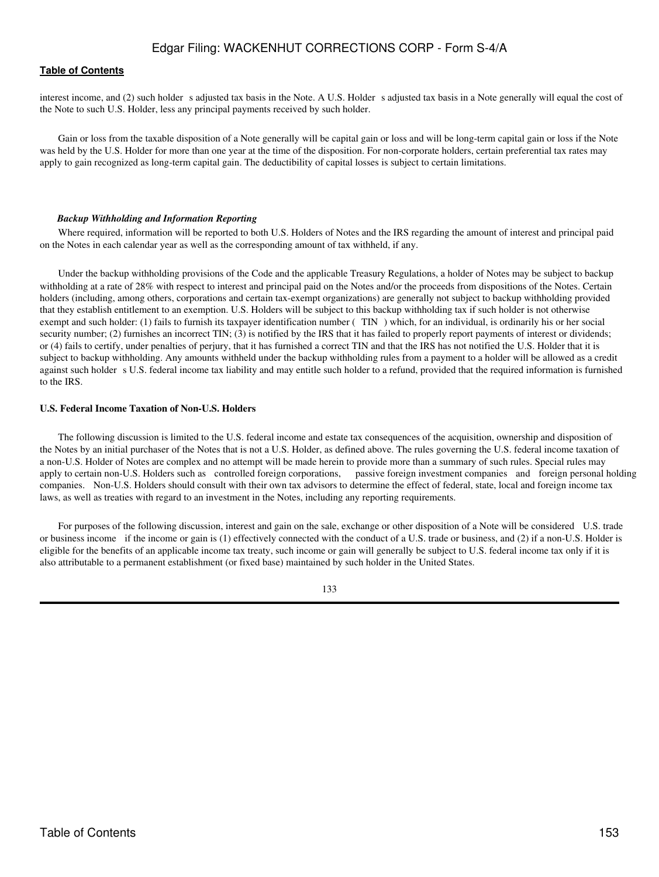interest income, and (2) such holder s adjusted tax basis in the Note. A U.S. Holder s adjusted tax basis in a Note generally will equal the cost of the Note to such U.S. Holder, less any principal payments received by such holder.

Gain or loss from the taxable disposition of a Note generally will be capital gain or loss and will be long-term capital gain or loss if the Note was held by the U.S. Holder for more than one year at the time of the disposition. For non-corporate holders, certain preferential tax rates may apply to gain recognized as long-term capital gain. The deductibility of capital losses is subject to certain limitations.

#### *Backup Withholding and Information Reporting*

Where required, information will be reported to both U.S. Holders of Notes and the IRS regarding the amount of interest and principal paid on the Notes in each calendar year as well as the corresponding amount of tax withheld, if any.

Under the backup withholding provisions of the Code and the applicable Treasury Regulations, a holder of Notes may be subject to backup withholding at a rate of 28% with respect to interest and principal paid on the Notes and/or the proceeds from dispositions of the Notes. Certain holders (including, among others, corporations and certain tax-exempt organizations) are generally not subject to backup withholding provided that they establish entitlement to an exemption. U.S. Holders will be subject to this backup withholding tax if such holder is not otherwise exempt and such holder: (1) fails to furnish its taxpayer identification number (TIN) which, for an individual, is ordinarily his or her social security number; (2) furnishes an incorrect TIN; (3) is notified by the IRS that it has failed to properly report payments of interest or dividends; or (4) fails to certify, under penalties of perjury, that it has furnished a correct TIN and that the IRS has not notified the U.S. Holder that it is subject to backup withholding. Any amounts withheld under the backup withholding rules from a payment to a holder will be allowed as a credit against such holder s U.S. federal income tax liability and may entitle such holder to a refund, provided that the required information is furnished to the IRS.

#### **U.S. Federal Income Taxation of Non-U.S. Holders**

The following discussion is limited to the U.S. federal income and estate tax consequences of the acquisition, ownership and disposition of the Notes by an initial purchaser of the Notes that is not a U.S. Holder, as defined above. The rules governing the U.S. federal income taxation of a non-U.S. Holder of Notes are complex and no attempt will be made herein to provide more than a summary of such rules. Special rules may apply to certain non-U.S. Holders such as controlled foreign corporations, passive foreign investment companies and foreign personal holding companies. Non-U.S. Holders should consult with their own tax advisors to determine the effect of federal, state, local and foreign income tax laws, as well as treaties with regard to an investment in the Notes, including any reporting requirements.

For purposes of the following discussion, interest and gain on the sale, exchange or other disposition of a Note will be considered U.S. trade or business income if the income or gain is (1) effectively connected with the conduct of a U.S. trade or business, and (2) if a non-U.S. Holder is eligible for the benefits of an applicable income tax treaty, such income or gain will generally be subject to U.S. federal income tax only if it is also attributable to a permanent establishment (or fixed base) maintained by such holder in the United States.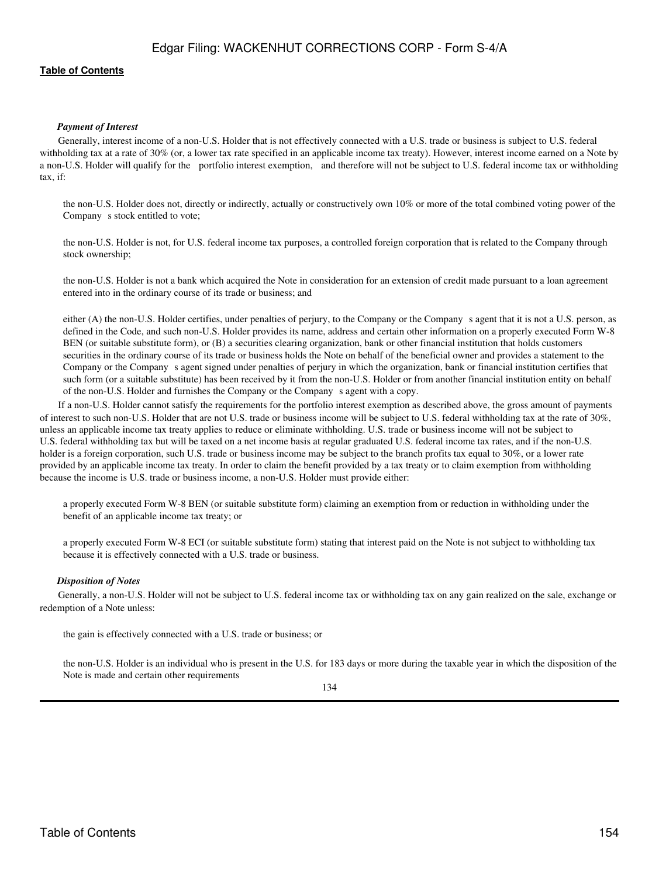### **[Table of Contents](#page-5-0)**

#### *Payment of Interest*

Generally, interest income of a non-U.S. Holder that is not effectively connected with a U.S. trade or business is subject to U.S. federal withholding tax at a rate of 30% (or, a lower tax rate specified in an applicable income tax treaty). However, interest income earned on a Note by a non-U.S. Holder will qualify for the portfolio interest exemption, and therefore will not be subject to U.S. federal income tax or withholding tax, if:

 the non-U.S. Holder does not, directly or indirectly, actually or constructively own 10% or more of the total combined voting power of the Company s stock entitled to vote;

 the non-U.S. Holder is not, for U.S. federal income tax purposes, a controlled foreign corporation that is related to the Company through stock ownership;

 the non-U.S. Holder is not a bank which acquired the Note in consideration for an extension of credit made pursuant to a loan agreement entered into in the ordinary course of its trade or business; and

either (A) the non-U.S. Holder certifies, under penalties of perjury, to the Company or the Company s agent that it is not a U.S. person, as defined in the Code, and such non-U.S. Holder provides its name, address and certain other information on a properly executed Form W-8 BEN (or suitable substitute form), or (B) a securities clearing organization, bank or other financial institution that holds customers securities in the ordinary course of its trade or business holds the Note on behalf of the beneficial owner and provides a statement to the Company or the Companys agent signed under penalties of perjury in which the organization, bank or financial institution certifies that such form (or a suitable substitute) has been received by it from the non-U.S. Holder or from another financial institution entity on behalf of the non-U.S. Holder and furnishes the Company or the Companys agent with a copy.

If a non-U.S. Holder cannot satisfy the requirements for the portfolio interest exemption as described above, the gross amount of payments of interest to such non-U.S. Holder that are not U.S. trade or business income will be subject to U.S. federal withholding tax at the rate of 30%, unless an applicable income tax treaty applies to reduce or eliminate withholding. U.S. trade or business income will not be subject to U.S. federal withholding tax but will be taxed on a net income basis at regular graduated U.S. federal income tax rates, and if the non-U.S. holder is a foreign corporation, such U.S. trade or business income may be subject to the branch profits tax equal to 30%, or a lower rate provided by an applicable income tax treaty. In order to claim the benefit provided by a tax treaty or to claim exemption from withholding because the income is U.S. trade or business income, a non-U.S. Holder must provide either:

 a properly executed Form W-8 BEN (or suitable substitute form) claiming an exemption from or reduction in withholding under the benefit of an applicable income tax treaty; or

 a properly executed Form W-8 ECI (or suitable substitute form) stating that interest paid on the Note is not subject to withholding tax because it is effectively connected with a U.S. trade or business.

#### *Disposition of Notes*

Generally, a non-U.S. Holder will not be subject to U.S. federal income tax or withholding tax on any gain realized on the sale, exchange or redemption of a Note unless:

the gain is effectively connected with a U.S. trade or business; or

 the non-U.S. Holder is an individual who is present in the U.S. for 183 days or more during the taxable year in which the disposition of the Note is made and certain other requirements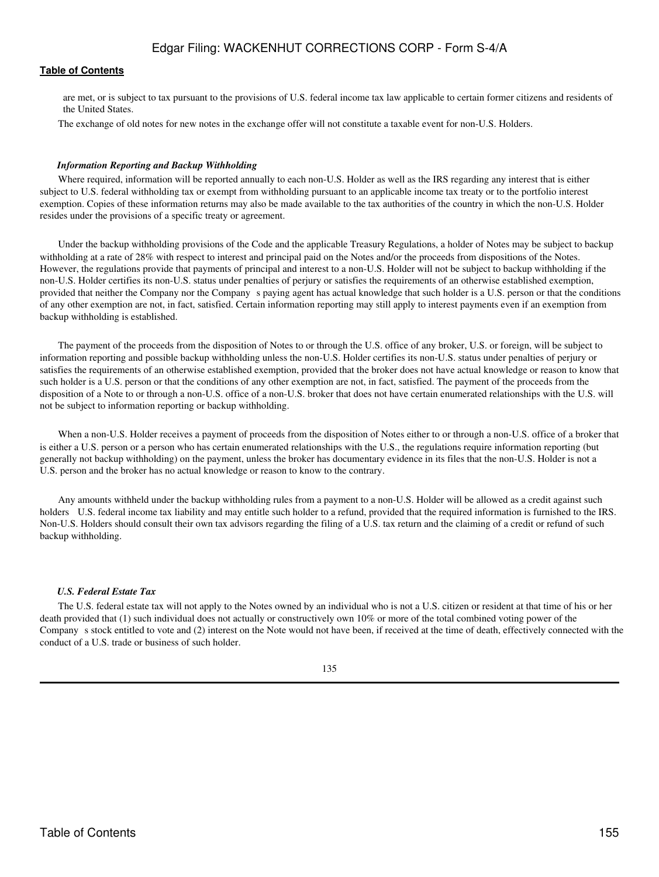are met, or is subject to tax pursuant to the provisions of U.S. federal income tax law applicable to certain former citizens and residents of the United States.

The exchange of old notes for new notes in the exchange offer will not constitute a taxable event for non-U.S. Holders.

#### *Information Reporting and Backup Withholding*

Where required, information will be reported annually to each non-U.S. Holder as well as the IRS regarding any interest that is either subject to U.S. federal withholding tax or exempt from withholding pursuant to an applicable income tax treaty or to the portfolio interest exemption. Copies of these information returns may also be made available to the tax authorities of the country in which the non-U.S. Holder resides under the provisions of a specific treaty or agreement.

Under the backup withholding provisions of the Code and the applicable Treasury Regulations, a holder of Notes may be subject to backup withholding at a rate of 28% with respect to interest and principal paid on the Notes and/or the proceeds from dispositions of the Notes. However, the regulations provide that payments of principal and interest to a non-U.S. Holder will not be subject to backup withholding if the non-U.S. Holder certifies its non-U.S. status under penalties of perjury or satisfies the requirements of an otherwise established exemption, provided that neither the Company nor the Company s paying agent has actual knowledge that such holder is a U.S. person or that the conditions of any other exemption are not, in fact, satisfied. Certain information reporting may still apply to interest payments even if an exemption from backup withholding is established.

The payment of the proceeds from the disposition of Notes to or through the U.S. office of any broker, U.S. or foreign, will be subject to information reporting and possible backup withholding unless the non-U.S. Holder certifies its non-U.S. status under penalties of perjury or satisfies the requirements of an otherwise established exemption, provided that the broker does not have actual knowledge or reason to know that such holder is a U.S. person or that the conditions of any other exemption are not, in fact, satisfied. The payment of the proceeds from the disposition of a Note to or through a non-U.S. office of a non-U.S. broker that does not have certain enumerated relationships with the U.S. will not be subject to information reporting or backup withholding.

When a non-U.S. Holder receives a payment of proceeds from the disposition of Notes either to or through a non-U.S. office of a broker that is either a U.S. person or a person who has certain enumerated relationships with the U.S., the regulations require information reporting (but generally not backup withholding) on the payment, unless the broker has documentary evidence in its files that the non-U.S. Holder is not a U.S. person and the broker has no actual knowledge or reason to know to the contrary.

Any amounts withheld under the backup withholding rules from a payment to a non-U.S. Holder will be allowed as a credit against such holders U.S. federal income tax liability and may entitle such holder to a refund, provided that the required information is furnished to the IRS. Non-U.S. Holders should consult their own tax advisors regarding the filing of a U.S. tax return and the claiming of a credit or refund of such backup withholding.

### *U.S. Federal Estate Tax*

The U.S. federal estate tax will not apply to the Notes owned by an individual who is not a U.S. citizen or resident at that time of his or her death provided that (1) such individual does not actually or constructively own 10% or more of the total combined voting power of the Companys stock entitled to vote and (2) interest on the Note would not have been, if received at the time of death, effectively connected with the conduct of a U.S. trade or business of such holder.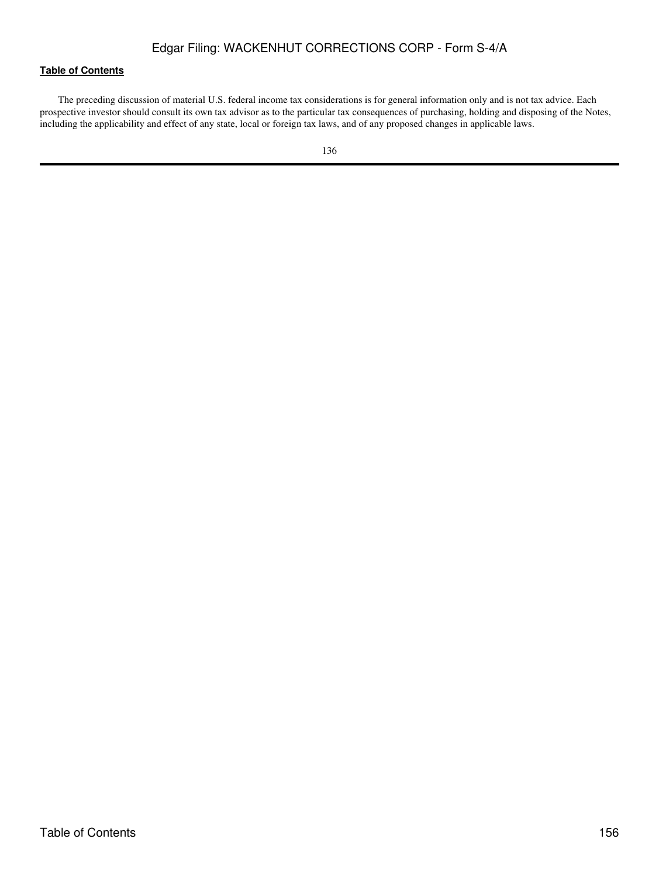### **[Table of Contents](#page-5-0)**

The preceding discussion of material U.S. federal income tax considerations is for general information only and is not tax advice. Each prospective investor should consult its own tax advisor as to the particular tax consequences of purchasing, holding and disposing of the Notes, including the applicability and effect of any state, local or foreign tax laws, and of any proposed changes in applicable laws.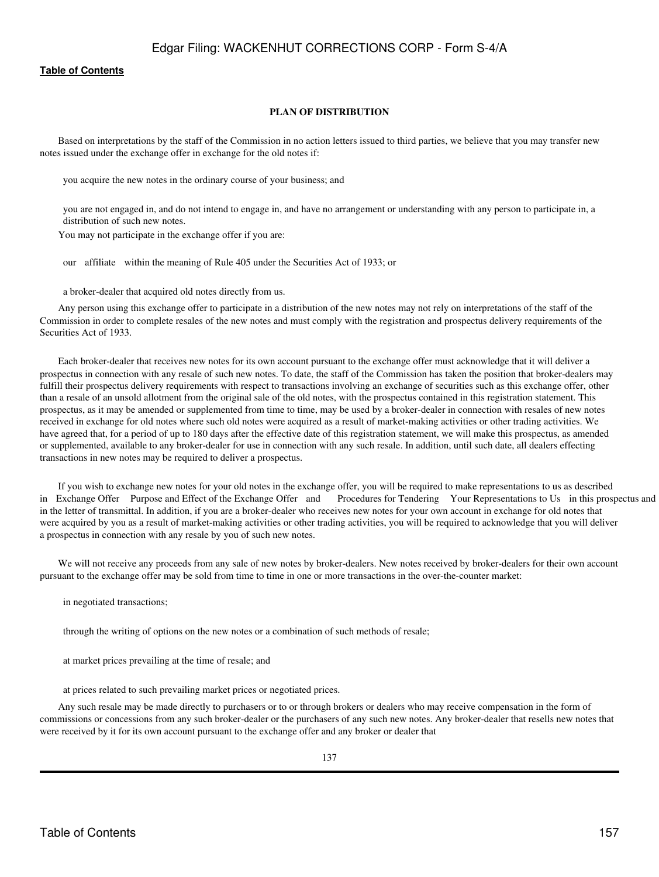### **PLAN OF DISTRIBUTION**

Based on interpretations by the staff of the Commission in no action letters issued to third parties, we believe that you may transfer new notes issued under the exchange offer in exchange for the old notes if:

you acquire the new notes in the ordinary course of your business; and

 you are not engaged in, and do not intend to engage in, and have no arrangement or understanding with any person to participate in, a distribution of such new notes.

You may not participate in the exchange offer if you are:

our affiliate within the meaning of Rule 405 under the Securities Act of 1933; or

a broker-dealer that acquired old notes directly from us.

Any person using this exchange offer to participate in a distribution of the new notes may not rely on interpretations of the staff of the Commission in order to complete resales of the new notes and must comply with the registration and prospectus delivery requirements of the Securities Act of 1933.

Each broker-dealer that receives new notes for its own account pursuant to the exchange offer must acknowledge that it will deliver a prospectus in connection with any resale of such new notes. To date, the staff of the Commission has taken the position that broker-dealers may fulfill their prospectus delivery requirements with respect to transactions involving an exchange of securities such as this exchange offer, other than a resale of an unsold allotment from the original sale of the old notes, with the prospectus contained in this registration statement. This prospectus, as it may be amended or supplemented from time to time, may be used by a broker-dealer in connection with resales of new notes received in exchange for old notes where such old notes were acquired as a result of market-making activities or other trading activities. We have agreed that, for a period of up to 180 days after the effective date of this registration statement, we will make this prospectus, as amended or supplemented, available to any broker-dealer for use in connection with any such resale. In addition, until such date, all dealers effecting transactions in new notes may be required to deliver a prospectus.

If you wish to exchange new notes for your old notes in the exchange offer, you will be required to make representations to us as described in Exchange Offer Purpose and Effect of the Exchange Offer and Procedures for Tendering Your Representations to Us in this prospectus and in the letter of transmittal. In addition, if you are a broker-dealer who receives new notes for your own account in exchange for old notes that were acquired by you as a result of market-making activities or other trading activities, you will be required to acknowledge that you will deliver a prospectus in connection with any resale by you of such new notes.

We will not receive any proceeds from any sale of new notes by broker-dealers. New notes received by broker-dealers for their own account pursuant to the exchange offer may be sold from time to time in one or more transactions in the over-the-counter market:

in negotiated transactions;

through the writing of options on the new notes or a combination of such methods of resale;

at market prices prevailing at the time of resale; and

at prices related to such prevailing market prices or negotiated prices.

Any such resale may be made directly to purchasers or to or through brokers or dealers who may receive compensation in the form of commissions or concessions from any such broker-dealer or the purchasers of any such new notes. Any broker-dealer that resells new notes that were received by it for its own account pursuant to the exchange offer and any broker or dealer that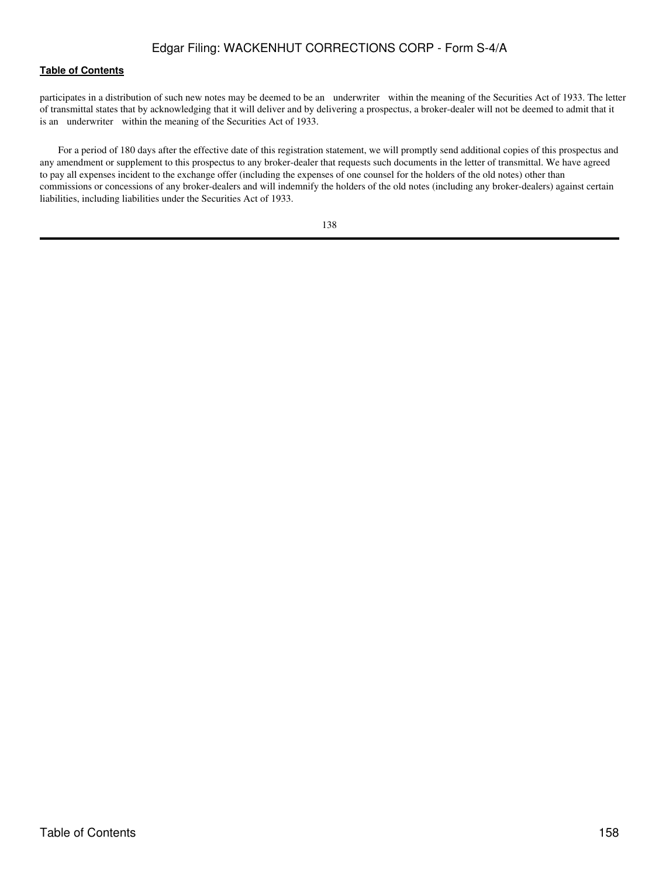### **[Table of Contents](#page-5-0)**

participates in a distribution of such new notes may be deemed to be an underwriter within the meaning of the Securities Act of 1933. The letter of transmittal states that by acknowledging that it will deliver and by delivering a prospectus, a broker-dealer will not be deemed to admit that it is an underwriter within the meaning of the Securities Act of 1933.

For a period of 180 days after the effective date of this registration statement, we will promptly send additional copies of this prospectus and any amendment or supplement to this prospectus to any broker-dealer that requests such documents in the letter of transmittal. We have agreed to pay all expenses incident to the exchange offer (including the expenses of one counsel for the holders of the old notes) other than commissions or concessions of any broker-dealers and will indemnify the holders of the old notes (including any broker-dealers) against certain liabilities, including liabilities under the Securities Act of 1933.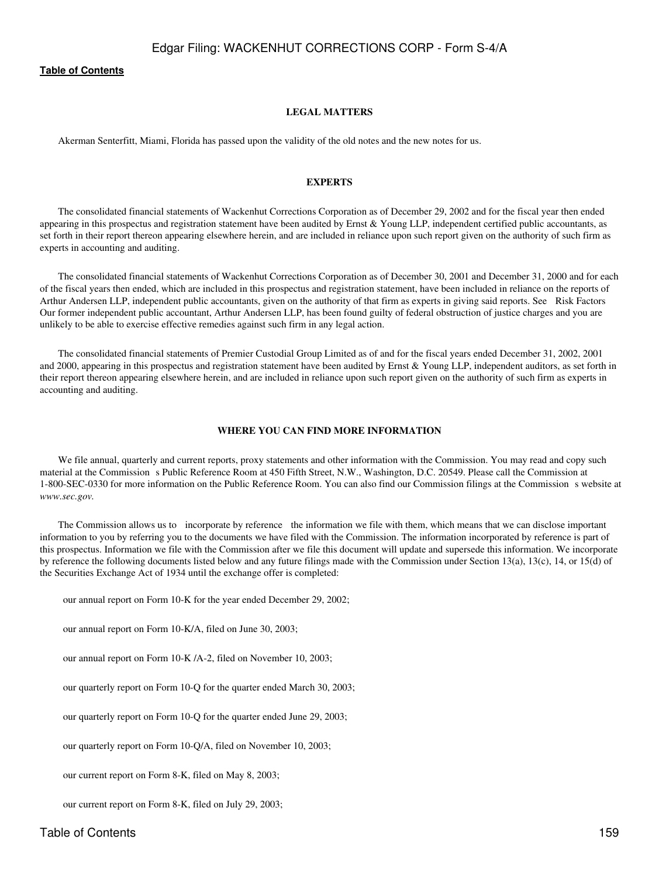#### **LEGAL MATTERS**

Akerman Senterfitt, Miami, Florida has passed upon the validity of the old notes and the new notes for us.

### **EXPERTS**

The consolidated financial statements of Wackenhut Corrections Corporation as of December 29, 2002 and for the fiscal year then ended appearing in this prospectus and registration statement have been audited by Ernst & Young LLP, independent certified public accountants, as set forth in their report thereon appearing elsewhere herein, and are included in reliance upon such report given on the authority of such firm as experts in accounting and auditing.

The consolidated financial statements of Wackenhut Corrections Corporation as of December 30, 2001 and December 31, 2000 and for each of the fiscal years then ended, which are included in this prospectus and registration statement, have been included in reliance on the reports of Arthur Andersen LLP, independent public accountants, given on the authority of that firm as experts in giving said reports. See Risk Factors Our former independent public accountant, Arthur Andersen LLP, has been found guilty of federal obstruction of justice charges and you are unlikely to be able to exercise effective remedies against such firm in any legal action.

The consolidated financial statements of Premier Custodial Group Limited as of and for the fiscal years ended December 31, 2002, 2001 and 2000, appearing in this prospectus and registration statement have been audited by Ernst & Young LLP, independent auditors, as set forth in their report thereon appearing elsewhere herein, and are included in reliance upon such report given on the authority of such firm as experts in accounting and auditing.

#### **WHERE YOU CAN FIND MORE INFORMATION**

We file annual, quarterly and current reports, proxy statements and other information with the Commission. You may read and copy such material at the Commission s Public Reference Room at 450 Fifth Street, N.W., Washington, D.C. 20549. Please call the Commission at 1-800-SEC-0330 for more information on the Public Reference Room. You can also find our Commission filings at the Commissions website at *www.sec.gov.*

The Commission allows us to incorporate by reference the information we file with them, which means that we can disclose important information to you by referring you to the documents we have filed with the Commission. The information incorporated by reference is part of this prospectus. Information we file with the Commission after we file this document will update and supersede this information. We incorporate by reference the following documents listed below and any future filings made with the Commission under Section 13(a), 13(c), 14, or 15(d) of the Securities Exchange Act of 1934 until the exchange offer is completed:

our annual report on Form 10-K for the year ended December 29, 2002;

our annual report on Form 10-K/A, filed on June 30, 2003;

our annual report on Form 10-K /A-2, filed on November 10, 2003;

our quarterly report on Form 10-Q for the quarter ended March 30, 2003;

our quarterly report on Form 10-Q for the quarter ended June 29, 2003;

our quarterly report on Form 10-Q/A, filed on November 10, 2003;

our current report on Form 8-K, filed on May 8, 2003;

our current report on Form 8-K, filed on July 29, 2003;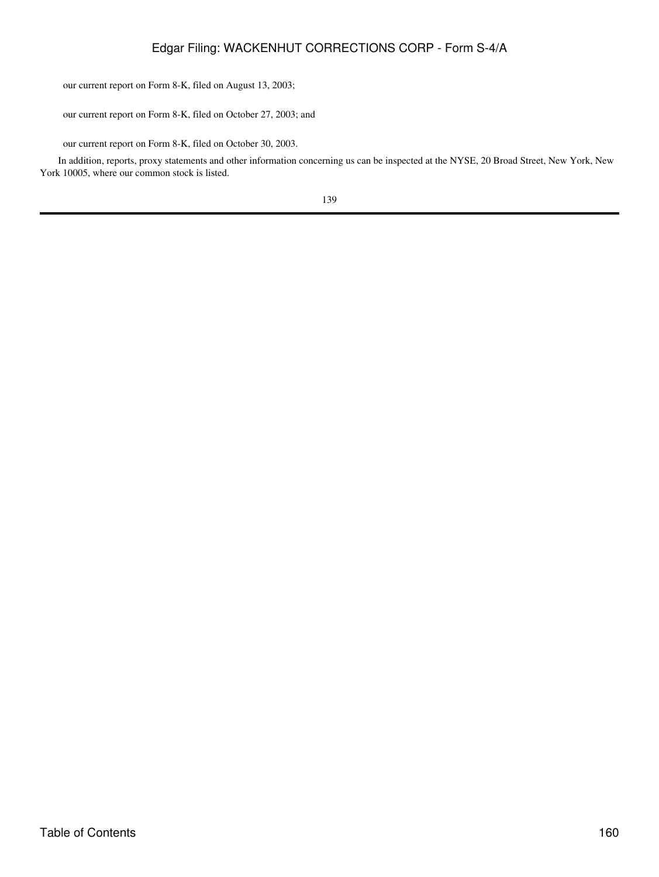our current report on Form 8-K, filed on August 13, 2003;

our current report on Form 8-K, filed on October 27, 2003; and

our current report on Form 8-K, filed on October 30, 2003.

In addition, reports, proxy statements and other information concerning us can be inspected at the NYSE, 20 Broad Street, New York, New York 10005, where our common stock is listed.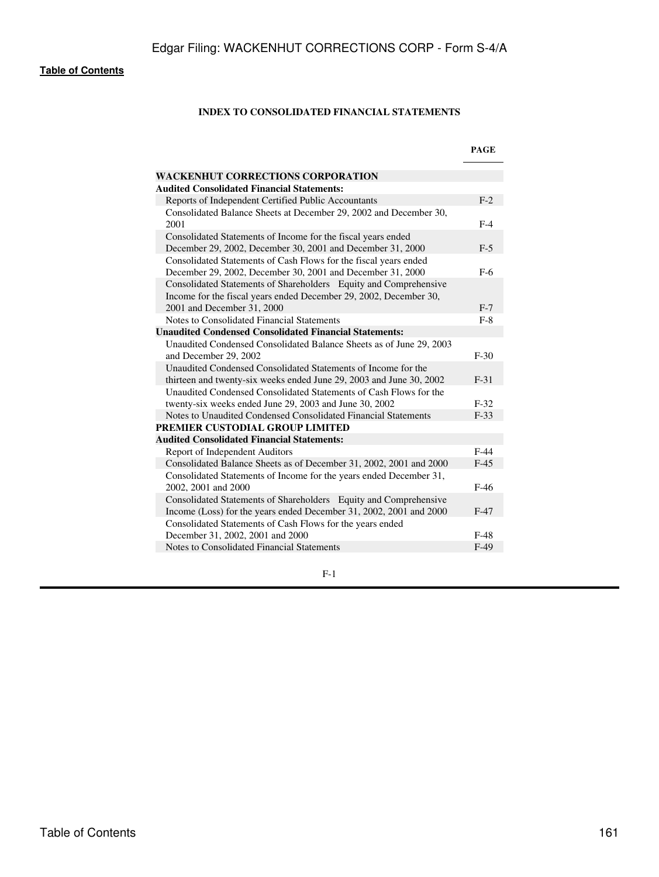## **INDEX TO CONSOLIDATED FINANCIAL STATEMENTS**

### **PAGE**

| <b>WACKENHUT CORRECTIONS CORPORATION</b>                            |        |
|---------------------------------------------------------------------|--------|
| <b>Audited Consolidated Financial Statements:</b>                   |        |
| Reports of Independent Certified Public Accountants                 | $F-2$  |
| Consolidated Balance Sheets at December 29, 2002 and December 30,   |        |
| 2001                                                                | $F-4$  |
| Consolidated Statements of Income for the fiscal years ended        |        |
| December 29, 2002, December 30, 2001 and December 31, 2000          | $F-5$  |
| Consolidated Statements of Cash Flows for the fiscal years ended    |        |
| December 29, 2002, December 30, 2001 and December 31, 2000          | $F-6$  |
| Consolidated Statements of Shareholders Equity and Comprehensive    |        |
| Income for the fiscal years ended December 29, 2002, December 30,   |        |
| 2001 and December 31, 2000                                          | $F-7$  |
| Notes to Consolidated Financial Statements                          | $F-8$  |
| <b>Unaudited Condensed Consolidated Financial Statements:</b>       |        |
| Unaudited Condensed Consolidated Balance Sheets as of June 29, 2003 |        |
| and December 29, 2002                                               | $F-30$ |
| Unaudited Condensed Consolidated Statements of Income for the       |        |
| thirteen and twenty-six weeks ended June 29, 2003 and June 30, 2002 | $F-31$ |
| Unaudited Condensed Consolidated Statements of Cash Flows for the   |        |
| twenty-six weeks ended June 29, 2003 and June 30, 2002              | $F-32$ |
| Notes to Unaudited Condensed Consolidated Financial Statements      | $F-33$ |
| PREMIER CUSTODIAL GROUP LIMITED                                     |        |
| <b>Audited Consolidated Financial Statements:</b>                   |        |
| Report of Independent Auditors                                      | $F-44$ |
| Consolidated Balance Sheets as of December 31, 2002, 2001 and 2000  | $F-45$ |
| Consolidated Statements of Income for the years ended December 31,  |        |
| 2002, 2001 and 2000                                                 | $F-46$ |
| Consolidated Statements of Shareholders Equity and Comprehensive    |        |
| Income (Loss) for the years ended December 31, 2002, 2001 and 2000  | $F-47$ |
| Consolidated Statements of Cash Flows for the years ended           |        |
| December 31, 2002, 2001 and 2000                                    | $F-48$ |
| Notes to Consolidated Financial Statements                          | $F-49$ |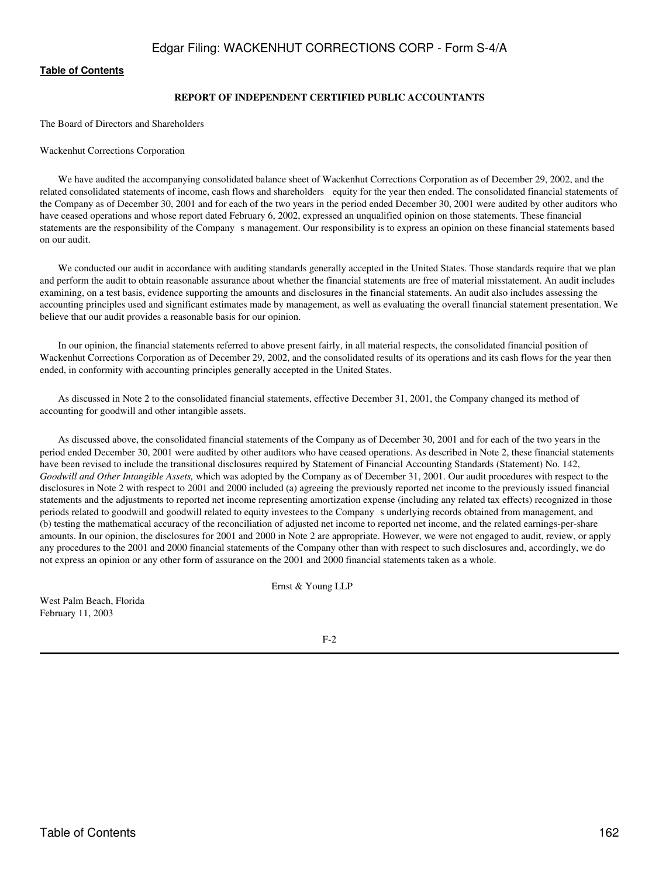### **[Table of Contents](#page-5-0)**

#### **REPORT OF INDEPENDENT CERTIFIED PUBLIC ACCOUNTANTS**

The Board of Directors and Shareholders

#### Wackenhut Corrections Corporation

We have audited the accompanying consolidated balance sheet of Wackenhut Corrections Corporation as of December 29, 2002, and the related consolidated statements of income, cash flows and shareholders equity for the year then ended. The consolidated financial statements of the Company as of December 30, 2001 and for each of the two years in the period ended December 30, 2001 were audited by other auditors who have ceased operations and whose report dated February 6, 2002, expressed an unqualified opinion on those statements. These financial statements are the responsibility of the Companys management. Our responsibility is to express an opinion on these financial statements based on our audit.

We conducted our audit in accordance with auditing standards generally accepted in the United States. Those standards require that we plan and perform the audit to obtain reasonable assurance about whether the financial statements are free of material misstatement. An audit includes examining, on a test basis, evidence supporting the amounts and disclosures in the financial statements. An audit also includes assessing the accounting principles used and significant estimates made by management, as well as evaluating the overall financial statement presentation. We believe that our audit provides a reasonable basis for our opinion.

In our opinion, the financial statements referred to above present fairly, in all material respects, the consolidated financial position of Wackenhut Corrections Corporation as of December 29, 2002, and the consolidated results of its operations and its cash flows for the year then ended, in conformity with accounting principles generally accepted in the United States.

As discussed in Note 2 to the consolidated financial statements, effective December 31, 2001, the Company changed its method of accounting for goodwill and other intangible assets.

As discussed above, the consolidated financial statements of the Company as of December 30, 2001 and for each of the two years in the period ended December 30, 2001 were audited by other auditors who have ceased operations. As described in Note 2, these financial statements have been revised to include the transitional disclosures required by Statement of Financial Accounting Standards (Statement) No. 142, *Goodwill and Other Intangible Assets,* which was adopted by the Company as of December 31, 2001. Our audit procedures with respect to the disclosures in Note 2 with respect to 2001 and 2000 included (a) agreeing the previously reported net income to the previously issued financial statements and the adjustments to reported net income representing amortization expense (including any related tax effects) recognized in those periods related to goodwill and goodwill related to equity investees to the Company s underlying records obtained from management, and (b) testing the mathematical accuracy of the reconciliation of adjusted net income to reported net income, and the related earnings-per-share amounts. In our opinion, the disclosures for 2001 and 2000 in Note 2 are appropriate. However, we were not engaged to audit, review, or apply any procedures to the 2001 and 2000 financial statements of the Company other than with respect to such disclosures and, accordingly, we do not express an opinion or any other form of assurance on the 2001 and 2000 financial statements taken as a whole.

Ernst & Young LLP

West Palm Beach, Florida February 11, 2003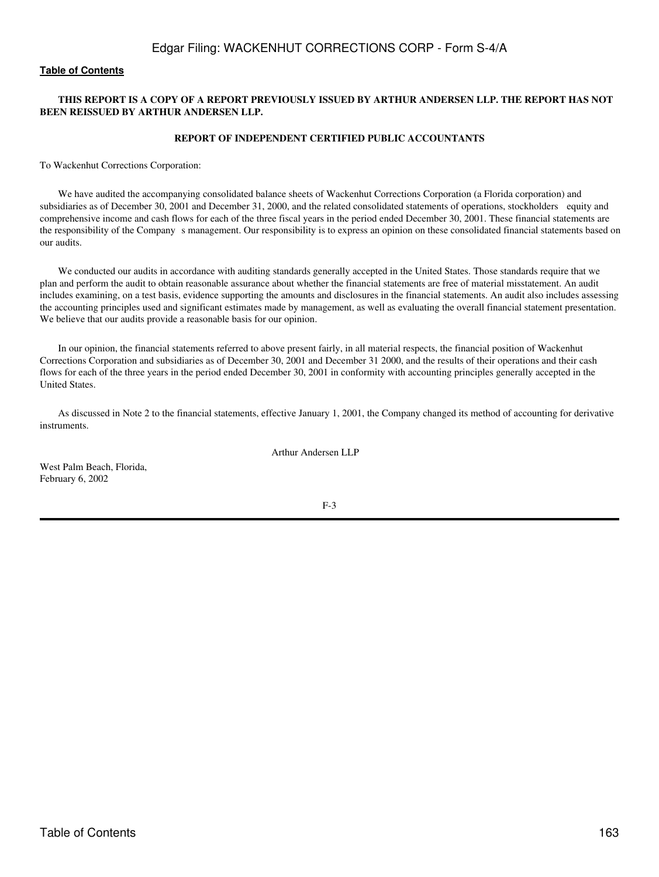### **[Table of Contents](#page-5-0)**

### **THIS REPORT IS A COPY OF A REPORT PREVIOUSLY ISSUED BY ARTHUR ANDERSEN LLP. THE REPORT HAS NOT BEEN REISSUED BY ARTHUR ANDERSEN LLP.**

### **REPORT OF INDEPENDENT CERTIFIED PUBLIC ACCOUNTANTS**

To Wackenhut Corrections Corporation:

We have audited the accompanying consolidated balance sheets of Wackenhut Corrections Corporation (a Florida corporation) and subsidiaries as of December 30, 2001 and December 31, 2000, and the related consolidated statements of operations, stockholders equity and comprehensive income and cash flows for each of the three fiscal years in the period ended December 30, 2001. These financial statements are the responsibility of the Company s management. Our responsibility is to express an opinion on these consolidated financial statements based on our audits.

We conducted our audits in accordance with auditing standards generally accepted in the United States. Those standards require that we plan and perform the audit to obtain reasonable assurance about whether the financial statements are free of material misstatement. An audit includes examining, on a test basis, evidence supporting the amounts and disclosures in the financial statements. An audit also includes assessing the accounting principles used and significant estimates made by management, as well as evaluating the overall financial statement presentation. We believe that our audits provide a reasonable basis for our opinion.

In our opinion, the financial statements referred to above present fairly, in all material respects, the financial position of Wackenhut Corrections Corporation and subsidiaries as of December 30, 2001 and December 31 2000, and the results of their operations and their cash flows for each of the three years in the period ended December 30, 2001 in conformity with accounting principles generally accepted in the United States.

As discussed in Note 2 to the financial statements, effective January 1, 2001, the Company changed its method of accounting for derivative instruments.

Arthur Andersen LLP

West Palm Beach, Florida, February 6, 2002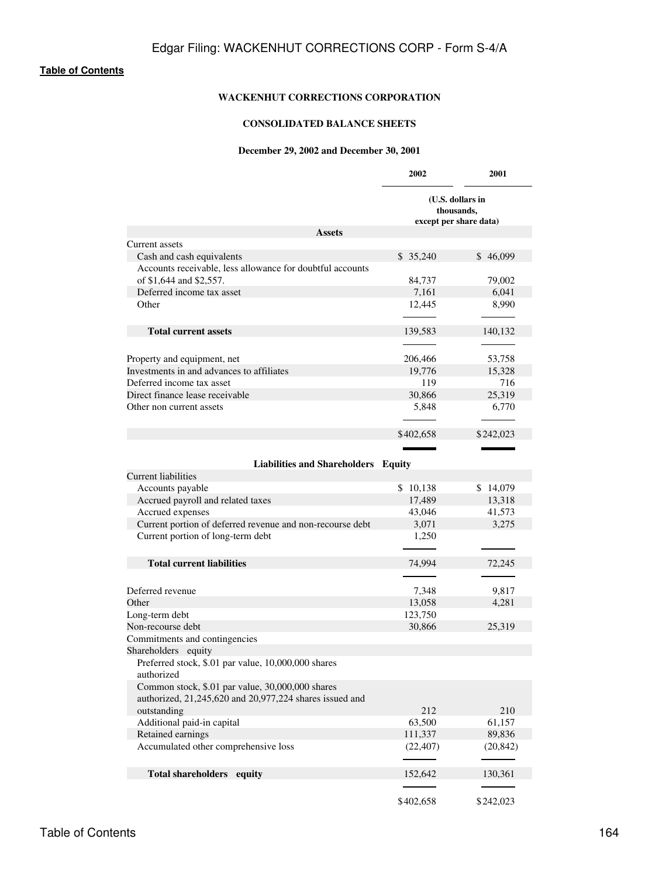## **WACKENHUT CORRECTIONS CORPORATION**

### **CONSOLIDATED BALANCE SHEETS**

### **December 29, 2002 and December 30, 2001**

|                                                                                                             | 2002                                                     | 2001            |
|-------------------------------------------------------------------------------------------------------------|----------------------------------------------------------|-----------------|
|                                                                                                             | (U.S. dollars in<br>thousands,<br>except per share data) |                 |
| <b>Assets</b>                                                                                               |                                                          |                 |
| Current assets                                                                                              |                                                          |                 |
| Cash and cash equivalents                                                                                   | \$35,240                                                 | \$46,099        |
| Accounts receivable, less allowance for doubtful accounts                                                   |                                                          |                 |
| of \$1,644 and \$2,557.                                                                                     | 84,737                                                   | 79,002          |
| Deferred income tax asset                                                                                   | 7,161                                                    | 6,041           |
| Other                                                                                                       | 12,445                                                   | 8,990           |
|                                                                                                             |                                                          |                 |
| <b>Total current assets</b>                                                                                 | 139,583                                                  | 140,132         |
|                                                                                                             |                                                          |                 |
| Property and equipment, net                                                                                 | 206,466                                                  | 53,758          |
| Investments in and advances to affiliates                                                                   | 19,776                                                   | 15,328          |
| Deferred income tax asset                                                                                   | 119                                                      | 716             |
| Direct finance lease receivable                                                                             | 30,866                                                   | 25,319          |
| Other non current assets                                                                                    | 5,848                                                    | 6,770           |
|                                                                                                             |                                                          |                 |
|                                                                                                             | \$402,658                                                | \$242,023       |
|                                                                                                             |                                                          |                 |
|                                                                                                             |                                                          |                 |
| Liabilities and Shareholders Equity                                                                         |                                                          |                 |
| <b>Current liabilities</b>                                                                                  |                                                          |                 |
| Accounts payable                                                                                            | \$10,138                                                 | \$14,079        |
| Accrued payroll and related taxes                                                                           | 17,489<br>43,046                                         | 13,318          |
| Accrued expenses<br>Current portion of deferred revenue and non-recourse debt                               | 3,071                                                    | 41,573<br>3,275 |
| Current portion of long-term debt                                                                           | 1,250                                                    |                 |
|                                                                                                             |                                                          |                 |
|                                                                                                             |                                                          |                 |
| <b>Total current liabilities</b>                                                                            | 74,994                                                   | 72,245          |
|                                                                                                             |                                                          |                 |
| Deferred revenue                                                                                            | 7,348                                                    | 9,817           |
| Other                                                                                                       | 13,058                                                   | 4,281           |
| Long-term debt                                                                                              | 123,750                                                  |                 |
| Non-recourse debt                                                                                           | 30,866                                                   | 25,319          |
| Commitments and contingencies                                                                               |                                                          |                 |
| Shareholders equity                                                                                         |                                                          |                 |
| Preferred stock, \$.01 par value, 10,000,000 shares<br>authorized                                           |                                                          |                 |
| Common stock, \$.01 par value, 30,000,000 shares<br>authorized, 21,245,620 and 20,977,224 shares issued and |                                                          |                 |
| outstanding                                                                                                 | 212                                                      | 210             |
| Additional paid-in capital                                                                                  | 63,500                                                   | 61,157          |
| Retained earnings                                                                                           | 111,337                                                  | 89,836          |
| Accumulated other comprehensive loss                                                                        | (22, 407)                                                | (20, 842)       |
|                                                                                                             |                                                          |                 |
| <b>Total shareholders</b><br>equity                                                                         | 152,642                                                  | 130,361         |
|                                                                                                             |                                                          |                 |
|                                                                                                             | \$402,658                                                | \$242,023       |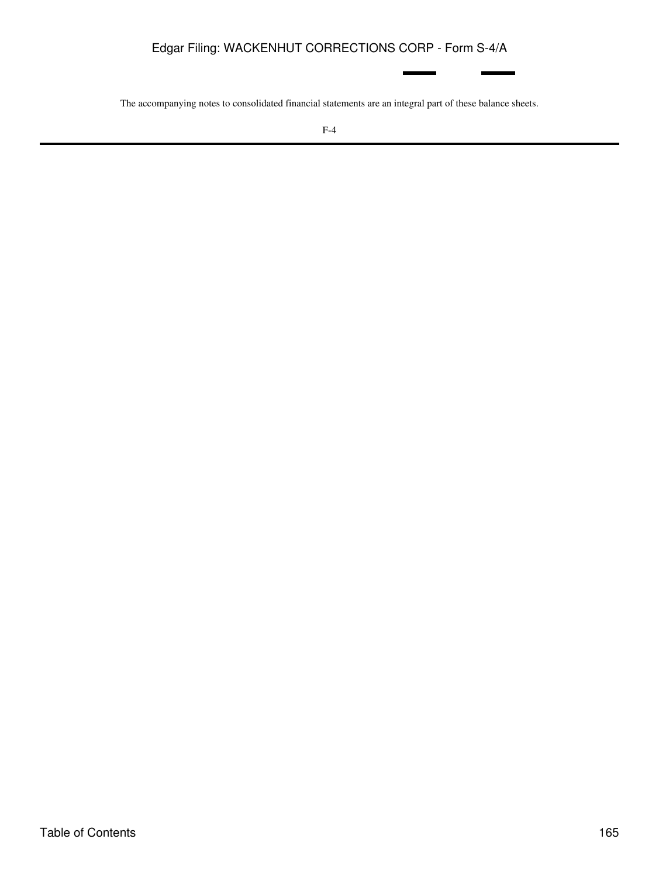The accompanying notes to consolidated financial statements are an integral part of these balance sheets.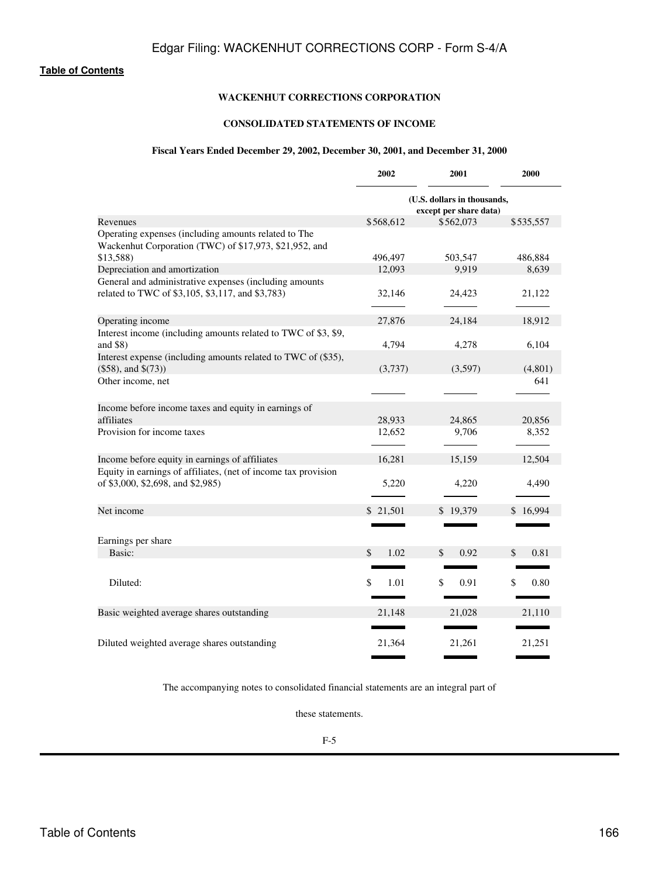### **WACKENHUT CORRECTIONS CORPORATION**

### **CONSOLIDATED STATEMENTS OF INCOME**

### **Fiscal Years Ended December 29, 2002, December 30, 2001, and December 31, 2000**

|                                                                                                                |                                                       | 2002      |    | 2001      |    | 2000      |
|----------------------------------------------------------------------------------------------------------------|-------------------------------------------------------|-----------|----|-----------|----|-----------|
|                                                                                                                | (U.S. dollars in thousands,<br>except per share data) |           |    |           |    |           |
| Revenues                                                                                                       |                                                       | \$568,612 |    | \$562,073 |    | \$535,557 |
| Operating expenses (including amounts related to The<br>Wackenhut Corporation (TWC) of \$17,973, \$21,952, and |                                                       |           |    |           |    |           |
| \$13,588)                                                                                                      |                                                       | 496,497   |    | 503,547   |    | 486,884   |
| Depreciation and amortization                                                                                  |                                                       | 12,093    |    | 9,919     |    | 8,639     |
| General and administrative expenses (including amounts<br>related to TWC of \$3,105, \$3,117, and \$3,783)     |                                                       | 32,146    |    | 24,423    |    | 21,122    |
| Operating income                                                                                               |                                                       | 27,876    |    | 24,184    |    | 18,912    |
| Interest income (including amounts related to TWC of \$3, \$9,<br>and $$8)$                                    |                                                       | 4,794     |    | 4,278     |    | 6,104     |
| Interest expense (including amounts related to TWC of (\$35),<br>$(\$58)$ , and $$(73)$ )                      |                                                       | (3,737)   |    | (3,597)   |    | (4,801)   |
| Other income, net                                                                                              |                                                       |           |    |           |    | 641       |
|                                                                                                                |                                                       |           |    |           |    |           |
| Income before income taxes and equity in earnings of<br>affiliates                                             |                                                       | 28,933    |    | 24,865    |    | 20,856    |
| Provision for income taxes                                                                                     |                                                       | 12,652    |    | 9,706     |    | 8,352     |
|                                                                                                                |                                                       |           |    |           |    |           |
| Income before equity in earnings of affiliates                                                                 |                                                       | 16,281    |    | 15,159    |    | 12,504    |
| Equity in earnings of affiliates, (net of income tax provision<br>of \$3,000, \$2,698, and \$2,985)            |                                                       | 5,220     |    | 4,220     |    | 4,490     |
| Net income                                                                                                     |                                                       | \$ 21,501 |    | \$19,379  |    | \$16,994  |
|                                                                                                                |                                                       |           |    |           |    |           |
| Earnings per share                                                                                             |                                                       |           |    |           |    |           |
| Basic:                                                                                                         | \$                                                    | 1.02      | \$ | 0.92      | \$ | 0.81      |
|                                                                                                                |                                                       |           |    |           |    |           |
| Diluted:                                                                                                       | \$                                                    | 1.01      | \$ | 0.91      | S  | 0.80      |
| Basic weighted average shares outstanding                                                                      |                                                       | 21,148    |    | 21,028    |    | 21,110    |
|                                                                                                                |                                                       |           |    |           |    |           |
| Diluted weighted average shares outstanding                                                                    |                                                       | 21,364    |    | 21,261    |    | 21,251    |

The accompanying notes to consolidated financial statements are an integral part of

these statements.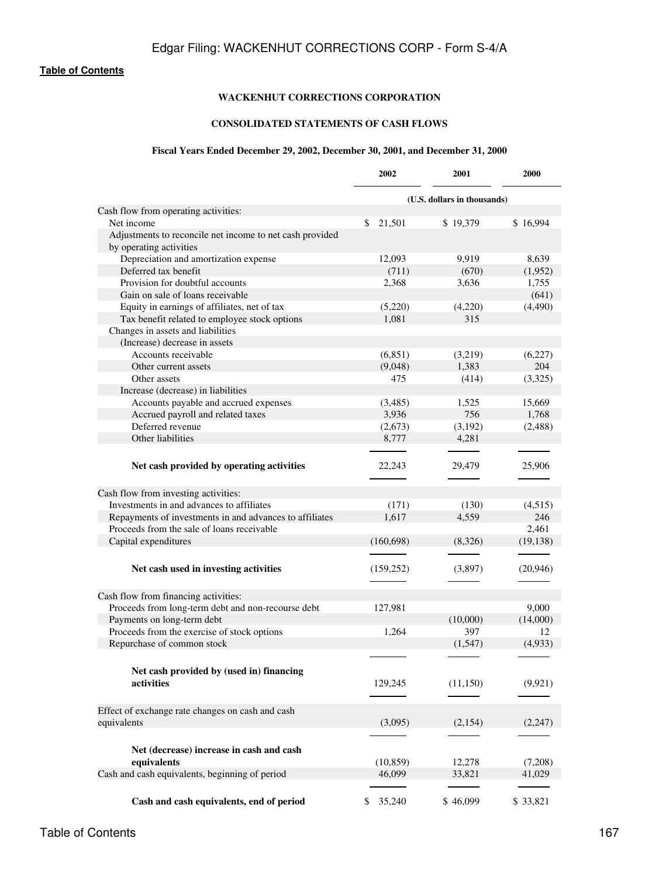### **WACKENHUT CORRECTIONS CORPORATION**

# **CONSOLIDATED STATEMENTS OF CASH FLOWS**

### **Fiscal Years Ended December 29, 2002, December 30, 2001, and December 31, 2000**

|                                                          | 2002                        | 2001     | 2000      |  |
|----------------------------------------------------------|-----------------------------|----------|-----------|--|
|                                                          | (U.S. dollars in thousands) |          |           |  |
| Cash flow from operating activities:                     |                             |          |           |  |
| Net income                                               | 21,501<br>\$                | \$19,379 | \$16,994  |  |
| Adjustments to reconcile net income to net cash provided |                             |          |           |  |
| by operating activities                                  |                             |          |           |  |
| Depreciation and amortization expense                    | 12,093                      | 9,919    | 8,639     |  |
| Deferred tax benefit                                     | (711)                       | (670)    | (1,952)   |  |
| Provision for doubtful accounts                          | 2,368                       | 3,636    | 1,755     |  |
| Gain on sale of loans receivable                         |                             |          | (641)     |  |
| Equity in earnings of affiliates, net of tax             | (5,220)                     | (4,220)  | (4,490)   |  |
| Tax benefit related to employee stock options            | 1,081                       | 315      |           |  |
| Changes in assets and liabilities                        |                             |          |           |  |
| (Increase) decrease in assets                            |                             |          |           |  |
| Accounts receivable                                      | (6, 851)                    | (3,219)  | (6,227)   |  |
| Other current assets                                     | (9,048)                     | 1,383    | 204       |  |
| Other assets                                             | 475                         | (414)    | (3,325)   |  |
| Increase (decrease) in liabilities                       |                             |          |           |  |
| Accounts payable and accrued expenses                    | (3,485)                     | 1,525    | 15,669    |  |
| Accrued payroll and related taxes                        | 3,936                       | 756      | 1,768     |  |
| Deferred revenue                                         | (2,673)                     | (3,192)  | (2,488)   |  |
| Other liabilities                                        | 8,777                       | 4,281    |           |  |
|                                                          |                             |          |           |  |
|                                                          |                             |          |           |  |
| Net cash provided by operating activities                | 22,243                      | 29,479   | 25,906    |  |
|                                                          |                             |          |           |  |
| Cash flow from investing activities:                     |                             |          |           |  |
| Investments in and advances to affiliates                | (171)                       | (130)    | (4,515)   |  |
| Repayments of investments in and advances to affiliates  | 1,617                       | 4,559    | 246       |  |
| Proceeds from the sale of loans receivable               |                             |          | 2,461     |  |
| Capital expenditures                                     | (160, 698)                  | (8,326)  | (19, 138) |  |
|                                                          |                             |          |           |  |
| Net cash used in investing activities                    | (159, 252)                  | (3,897)  | (20, 946) |  |
|                                                          |                             |          |           |  |
|                                                          |                             |          |           |  |
| Cash flow from financing activities:                     |                             |          |           |  |
| Proceeds from long-term debt and non-recourse debt       | 127,981                     |          | 9,000     |  |
| Payments on long-term debt                               |                             | (10,000) | (14,000)  |  |
| Proceeds from the exercise of stock options              | 1,264                       | 397      | 12        |  |
| Repurchase of common stock                               |                             | (1, 547) | (4,933)   |  |
|                                                          |                             |          |           |  |
| Net cash provided by (used in) financing                 |                             |          |           |  |
| activities                                               | 129,245                     | (11,150) | (9,921)   |  |
|                                                          |                             |          |           |  |
| Effect of exchange rate changes on cash and cash         |                             |          |           |  |
| equivalents                                              | (3,095)                     | (2,154)  | (2,247)   |  |
|                                                          |                             |          |           |  |
|                                                          |                             |          |           |  |
| Net (decrease) increase in cash and cash                 |                             |          |           |  |
| equivalents                                              | (10, 859)                   | 12,278   | (7,208)   |  |
| Cash and cash equivalents, beginning of period           | 46,099                      | 33,821   | 41,029    |  |
|                                                          |                             |          |           |  |
| Cash and cash equivalents, end of period                 | 35,240<br>\$                | \$46,099 | \$33,821  |  |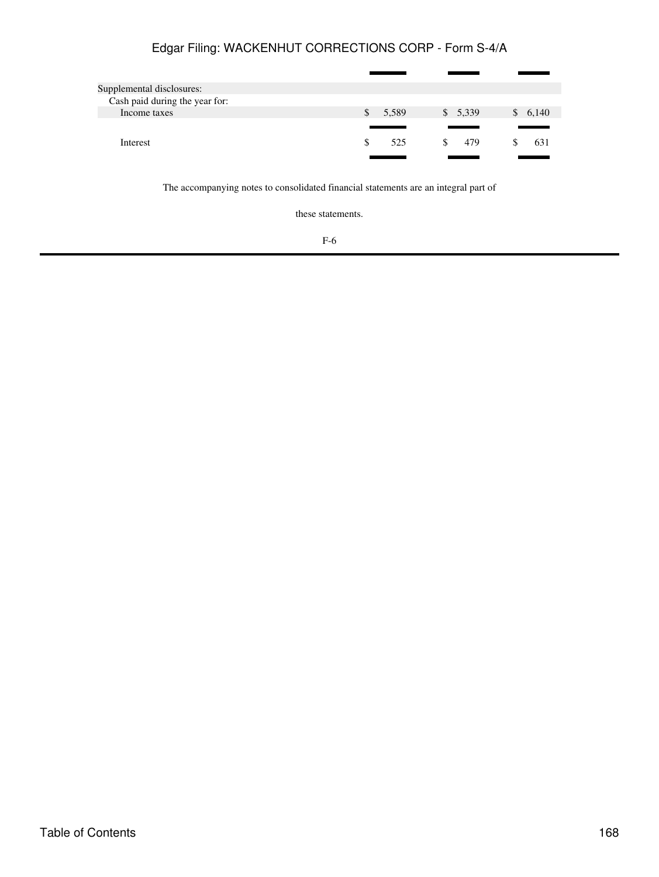| Supplemental disclosures:      |   |       |         |         |
|--------------------------------|---|-------|---------|---------|
| Cash paid during the year for: |   |       |         |         |
| Income taxes                   |   | 5,589 | \$5,339 | \$6,140 |
|                                |   |       |         |         |
| <b>Interest</b>                | S | 525   | 479     | 631     |
|                                |   |       |         |         |

The accompanying notes to consolidated financial statements are an integral part of

these statements.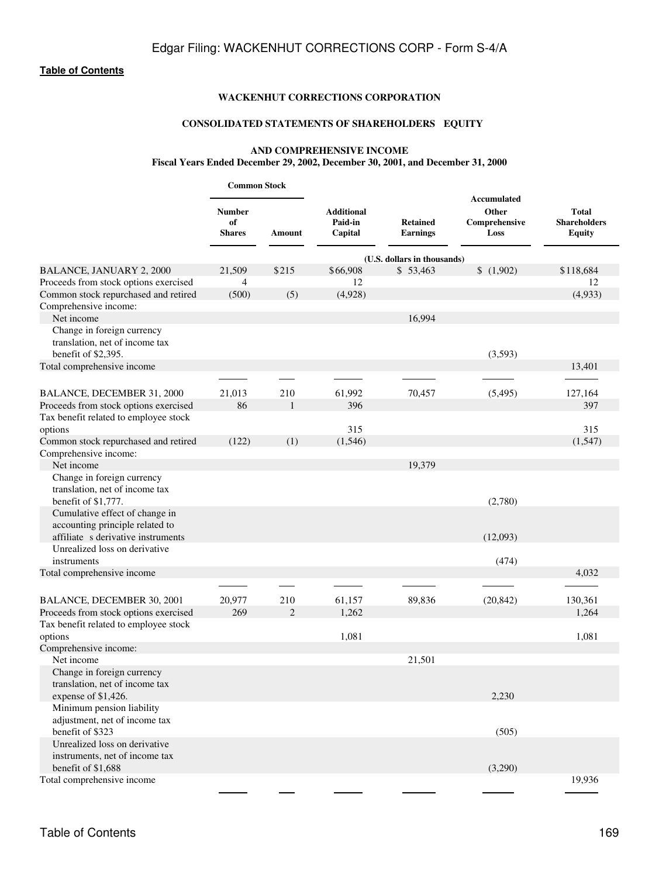### **WACKENHUT CORRECTIONS CORPORATION**

### **CONSOLIDATED STATEMENTS OF SHAREHOLDERS EQUITY**

# **AND COMPREHENSIVE INCOME**

### **Fiscal Years Ended December 29, 2002, December 30, 2001, and December 31, 2000**

|                                                               | <b>Common Stock</b>                  |                |                                         |                                    | <b>Accumulated</b>             |                                                      |
|---------------------------------------------------------------|--------------------------------------|----------------|-----------------------------------------|------------------------------------|--------------------------------|------------------------------------------------------|
|                                                               | <b>Number</b><br>of<br><b>Shares</b> | Amount         | <b>Additional</b><br>Paid-in<br>Capital | <b>Retained</b><br><b>Earnings</b> | Other<br>Comprehensive<br>Loss | <b>Total</b><br><b>Shareholders</b><br><b>Equity</b> |
|                                                               |                                      |                |                                         | (U.S. dollars in thousands)        |                                |                                                      |
| <b>BALANCE, JANUARY 2, 2000</b>                               | 21,509                               | \$215          | \$66,908                                | \$53,463                           | (1,902)                        | \$118,684                                            |
| Proceeds from stock options exercised                         | 4                                    |                | 12                                      |                                    |                                | 12                                                   |
| Common stock repurchased and retired                          | (500)                                | (5)            | (4,928)                                 |                                    |                                | (4,933)                                              |
| Comprehensive income:<br>Net income                           |                                      |                |                                         | 16,994                             |                                |                                                      |
| Change in foreign currency                                    |                                      |                |                                         |                                    |                                |                                                      |
| translation, net of income tax                                |                                      |                |                                         |                                    |                                |                                                      |
| benefit of \$2,395.                                           |                                      |                |                                         |                                    | (3,593)                        |                                                      |
| Total comprehensive income                                    |                                      |                |                                         |                                    |                                | 13,401                                               |
|                                                               |                                      |                |                                         |                                    |                                |                                                      |
| BALANCE, DECEMBER 31, 2000                                    | 21,013                               | 210            | 61,992                                  | 70,457                             | (5, 495)                       | 127,164                                              |
| Proceeds from stock options exercised                         | 86                                   | $\mathbf{1}$   | 396                                     |                                    |                                | 397                                                  |
| Tax benefit related to employee stock                         |                                      |                |                                         |                                    |                                |                                                      |
| options                                                       |                                      |                | 315                                     |                                    |                                | 315                                                  |
| Common stock repurchased and retired<br>Comprehensive income: | (122)                                | (1)            | (1,546)                                 |                                    |                                | (1, 547)                                             |
| Net income                                                    |                                      |                |                                         | 19,379                             |                                |                                                      |
| Change in foreign currency                                    |                                      |                |                                         |                                    |                                |                                                      |
| translation, net of income tax                                |                                      |                |                                         |                                    |                                |                                                      |
| benefit of \$1,777.                                           |                                      |                |                                         |                                    | (2,780)                        |                                                      |
| Cumulative effect of change in                                |                                      |                |                                         |                                    |                                |                                                      |
| accounting principle related to                               |                                      |                |                                         |                                    |                                |                                                      |
| affiliate s derivative instruments                            |                                      |                |                                         |                                    | (12,093)                       |                                                      |
| Unrealized loss on derivative<br>instruments                  |                                      |                |                                         |                                    | (474)                          |                                                      |
| Total comprehensive income                                    |                                      |                |                                         |                                    |                                | 4,032                                                |
|                                                               |                                      |                |                                         |                                    |                                |                                                      |
| BALANCE, DECEMBER 30, 2001                                    | 20,977                               | 210            | 61,157                                  | 89,836                             | (20, 842)                      | 130,361                                              |
| Proceeds from stock options exercised                         | 269                                  | $\overline{c}$ | 1,262                                   |                                    |                                | 1,264                                                |
| Tax benefit related to employee stock                         |                                      |                |                                         |                                    |                                |                                                      |
| options                                                       |                                      |                | 1,081                                   |                                    |                                | 1,081                                                |
| Comprehensive income:                                         |                                      |                |                                         |                                    |                                |                                                      |
| Net income                                                    |                                      |                |                                         | 21,501                             |                                |                                                      |
| Change in foreign currency                                    |                                      |                |                                         |                                    |                                |                                                      |
| translation, net of income tax<br>expense of \$1,426.         |                                      |                |                                         |                                    | 2,230                          |                                                      |
| Minimum pension liability                                     |                                      |                |                                         |                                    |                                |                                                      |
| adjustment, net of income tax                                 |                                      |                |                                         |                                    |                                |                                                      |
| benefit of \$323                                              |                                      |                |                                         |                                    | (505)                          |                                                      |
| Unrealized loss on derivative                                 |                                      |                |                                         |                                    |                                |                                                      |
| instruments, net of income tax                                |                                      |                |                                         |                                    |                                |                                                      |
| benefit of \$1,688                                            |                                      |                |                                         |                                    | (3,290)                        |                                                      |
| Total comprehensive income                                    |                                      |                |                                         |                                    |                                | 19,936                                               |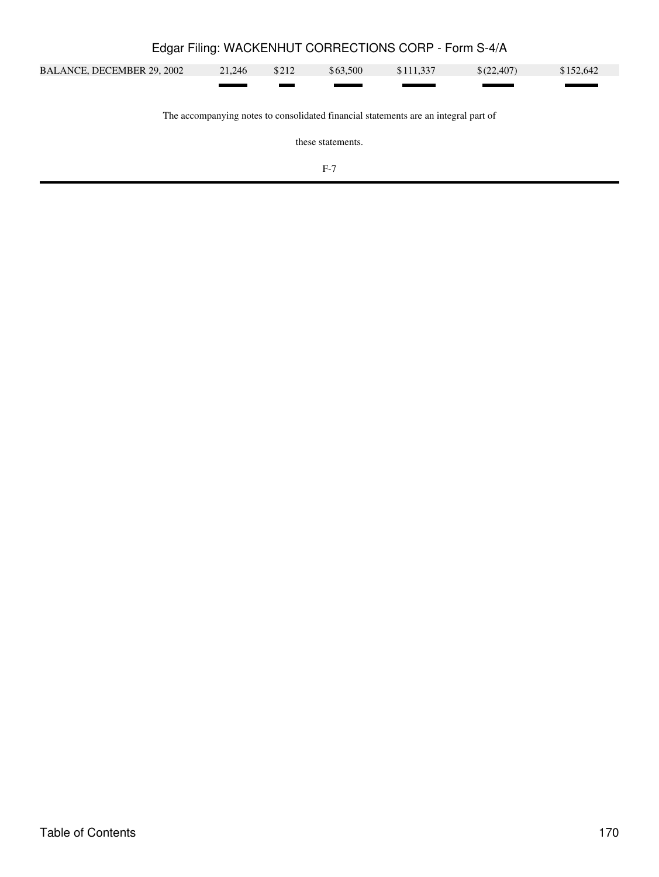|                                                                                     |  |        |       |          | Edgar Filing: WACKENHUT CORRECTIONS CORP - Form S-4/A |            |           |
|-------------------------------------------------------------------------------------|--|--------|-------|----------|-------------------------------------------------------|------------|-----------|
| BALANCE, DECEMBER 29, 2002                                                          |  | 21,246 | \$212 | \$63,500 | \$111,337                                             | \$(22,407) | \$152,642 |
|                                                                                     |  |        |       |          |                                                       |            |           |
|                                                                                     |  |        |       |          |                                                       |            |           |
| The accompanying notes to consolidated financial statements are an integral part of |  |        |       |          |                                                       |            |           |
|                                                                                     |  |        |       |          |                                                       |            |           |
| these statements.                                                                   |  |        |       |          |                                                       |            |           |
| $F-7$                                                                               |  |        |       |          |                                                       |            |           |
|                                                                                     |  |        |       |          |                                                       |            |           |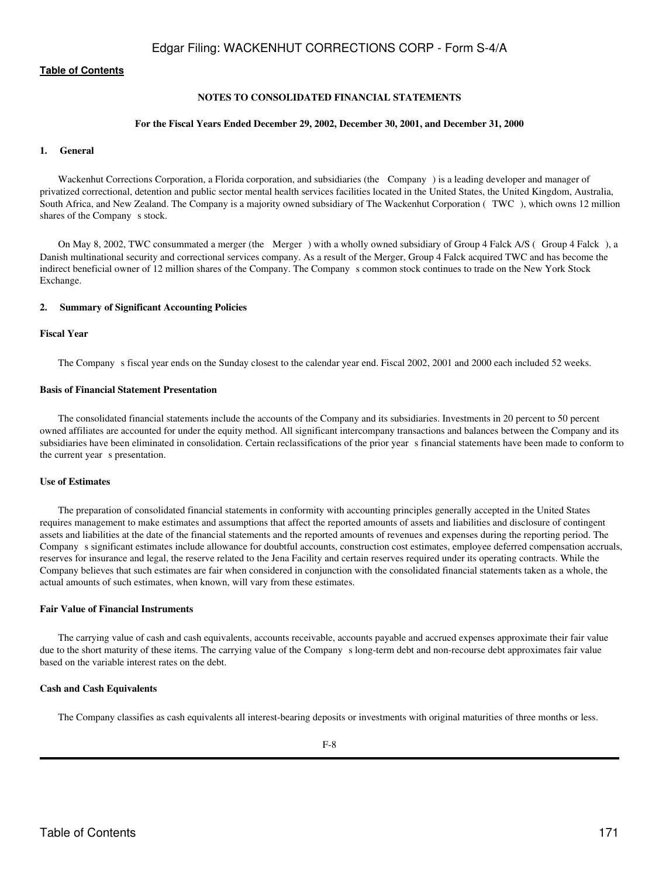### **NOTES TO CONSOLIDATED FINANCIAL STATEMENTS**

#### **For the Fiscal Years Ended December 29, 2002, December 30, 2001, and December 31, 2000**

#### **1. General**

Wackenhut Corrections Corporation, a Florida corporation, and subsidiaries (the Company) is a leading developer and manager of privatized correctional, detention and public sector mental health services facilities located in the United States, the United Kingdom, Australia, South Africa, and New Zealand. The Company is a majority owned subsidiary of The Wackenhut Corporation (TWC), which owns 12 million shares of the Company s stock.

On May 8, 2002, TWC consummated a merger (the Merger) with a wholly owned subsidiary of Group 4 Falck A/S (Group 4 Falck), a Danish multinational security and correctional services company. As a result of the Merger, Group 4 Falck acquired TWC and has become the indirect beneficial owner of 12 million shares of the Company. The Company s common stock continues to trade on the New York Stock Exchange.

#### **2. Summary of Significant Accounting Policies**

#### **Fiscal Year**

The Company s fiscal year ends on the Sunday closest to the calendar year end. Fiscal 2002, 2001 and 2000 each included 52 weeks.

#### **Basis of Financial Statement Presentation**

The consolidated financial statements include the accounts of the Company and its subsidiaries. Investments in 20 percent to 50 percent owned affiliates are accounted for under the equity method. All significant intercompany transactions and balances between the Company and its subsidiaries have been eliminated in consolidation. Certain reclassifications of the prior year s financial statements have been made to conform to the current year s presentation.

#### **Use of Estimates**

The preparation of consolidated financial statements in conformity with accounting principles generally accepted in the United States requires management to make estimates and assumptions that affect the reported amounts of assets and liabilities and disclosure of contingent assets and liabilities at the date of the financial statements and the reported amounts of revenues and expenses during the reporting period. The Companys significant estimates include allowance for doubtful accounts, construction cost estimates, employee deferred compensation accruals, reserves for insurance and legal, the reserve related to the Jena Facility and certain reserves required under its operating contracts. While the Company believes that such estimates are fair when considered in conjunction with the consolidated financial statements taken as a whole, the actual amounts of such estimates, when known, will vary from these estimates.

#### **Fair Value of Financial Instruments**

The carrying value of cash and cash equivalents, accounts receivable, accounts payable and accrued expenses approximate their fair value due to the short maturity of these items. The carrying value of the Company s long-term debt and non-recourse debt approximates fair value based on the variable interest rates on the debt.

#### **Cash and Cash Equivalents**

The Company classifies as cash equivalents all interest-bearing deposits or investments with original maturities of three months or less.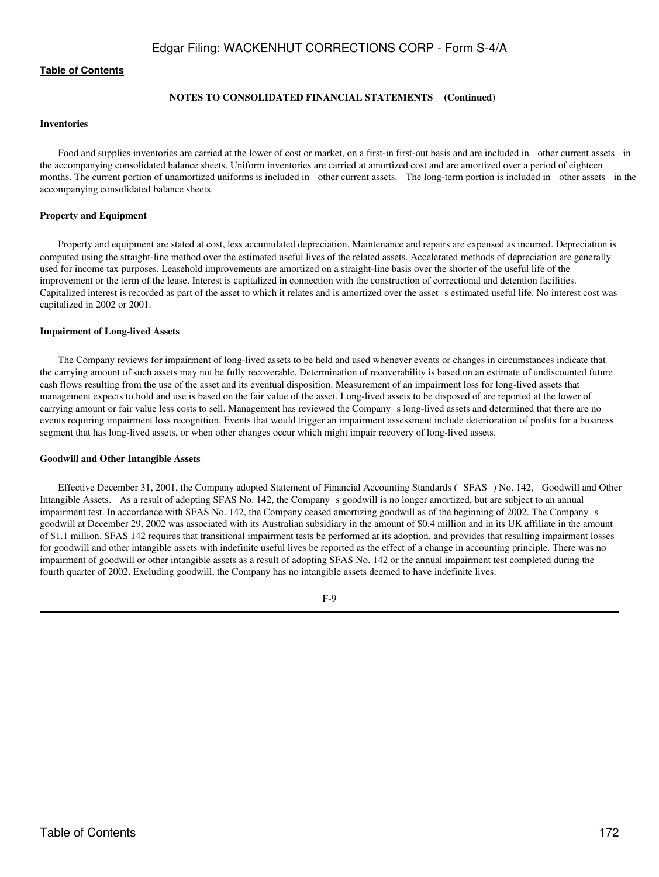### **[Table of Contents](#page-5-0)**

### **NOTES TO CONSOLIDATED FINANCIAL STATEMENTS (Continued)**

#### **Inventories**

Food and supplies inventories are carried at the lower of cost or market, on a first-in first-out basis and are included in other current assets in the accompanying consolidated balance sheets. Uniform inventories are carried at amortized cost and are amortized over a period of eighteen months. The current portion of unamortized uniforms is included in other current assets. The long-term portion is included in other assets in the accompanying consolidated balance sheets.

#### **Property and Equipment**

Property and equipment are stated at cost, less accumulated depreciation. Maintenance and repairs are expensed as incurred. Depreciation is computed using the straight-line method over the estimated useful lives of the related assets. Accelerated methods of depreciation are generally used for income tax purposes. Leasehold improvements are amortized on a straight-line basis over the shorter of the useful life of the improvement or the term of the lease. Interest is capitalized in connection with the construction of correctional and detention facilities. Capitalized interest is recorded as part of the asset to which it relates and is amortized over the assets estimated useful life. No interest cost was capitalized in 2002 or 2001.

#### **Impairment of Long-lived Assets**

The Company reviews for impairment of long-lived assets to be held and used whenever events or changes in circumstances indicate that the carrying amount of such assets may not be fully recoverable. Determination of recoverability is based on an estimate of undiscounted future cash flows resulting from the use of the asset and its eventual disposition. Measurement of an impairment loss for long-lived assets that management expects to hold and use is based on the fair value of the asset. Long-lived assets to be disposed of are reported at the lower of carrying amount or fair value less costs to sell. Management has reviewed the Companys long-lived assets and determined that there are no events requiring impairment loss recognition. Events that would trigger an impairment assessment include deterioration of profits for a business segment that has long-lived assets, or when other changes occur which might impair recovery of long-lived assets.

#### **Goodwill and Other Intangible Assets**

Effective December 31, 2001, the Company adopted Statement of Financial Accounting Standards (SFAS) No. 142, Goodwill and Other Intangible Assets. As a result of adopting SFAS No. 142, the Companys goodwill is no longer amortized, but are subject to an annual impairment test. In accordance with SFAS No. 142, the Company ceased amortizing goodwill as of the beginning of 2002. The Company s goodwill at December 29, 2002 was associated with its Australian subsidiary in the amount of \$0.4 million and in its UK affiliate in the amount of \$1.1 million. SFAS 142 requires that transitional impairment tests be performed at its adoption, and provides that resulting impairment losses for goodwill and other intangible assets with indefinite useful lives be reported as the effect of a change in accounting principle. There was no impairment of goodwill or other intangible assets as a result of adopting SFAS No. 142 or the annual impairment test completed during the fourth quarter of 2002. Excluding goodwill, the Company has no intangible assets deemed to have indefinite lives.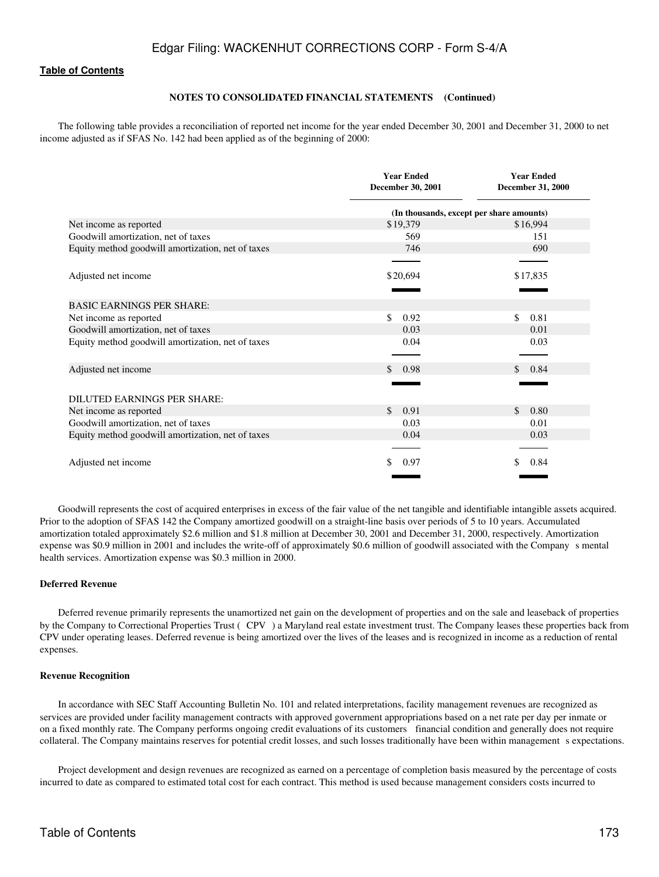### **NOTES TO CONSOLIDATED FINANCIAL STATEMENTS (Continued)**

The following table provides a reconciliation of reported net income for the year ended December 30, 2001 and December 31, 2000 to net income adjusted as if SFAS No. 142 had been applied as of the beginning of 2000:

|                                                   | <b>Year Ended</b><br>December 30, 2001 | <b>Year Ended</b><br><b>December 31, 2000</b> |
|---------------------------------------------------|----------------------------------------|-----------------------------------------------|
|                                                   |                                        | (In thousands, except per share amounts)      |
| Net income as reported                            | \$19,379                               | \$16,994                                      |
| Goodwill amortization, net of taxes               | 569                                    | 151                                           |
| Equity method goodwill amortization, net of taxes | 746                                    | 690                                           |
| Adjusted net income                               | \$20,694                               | \$17,835                                      |
| <b>BASIC EARNINGS PER SHARE:</b>                  |                                        |                                               |
| Net income as reported                            | \$<br>0.92                             | \$<br>0.81                                    |
| Goodwill amortization, net of taxes               | 0.03                                   | 0.01                                          |
| Equity method goodwill amortization, net of taxes | 0.04                                   | 0.03                                          |
| Adjusted net income                               | \$<br>0.98                             | 0.84<br>$\mathbb{S}^-$                        |
|                                                   |                                        |                                               |
| <b>DILUTED EARNINGS PER SHARE:</b>                |                                        |                                               |
| Net income as reported                            | \$.<br>0.91                            | \$<br>0.80                                    |
| Goodwill amortization, net of taxes               | 0.03                                   | 0.01                                          |
| Equity method goodwill amortization, net of taxes | 0.04                                   | 0.03                                          |
|                                                   |                                        |                                               |
| Adjusted net income                               | \$<br>0.97                             | 0.84                                          |
|                                                   |                                        |                                               |

Goodwill represents the cost of acquired enterprises in excess of the fair value of the net tangible and identifiable intangible assets acquired. Prior to the adoption of SFAS 142 the Company amortized goodwill on a straight-line basis over periods of 5 to 10 years. Accumulated amortization totaled approximately \$2.6 million and \$1.8 million at December 30, 2001 and December 31, 2000, respectively. Amortization expense was \$0.9 million in 2001 and includes the write-off of approximately \$0.6 million of goodwill associated with the Companys mental health services. Amortization expense was \$0.3 million in 2000.

### **Deferred Revenue**

Deferred revenue primarily represents the unamortized net gain on the development of properties and on the sale and leaseback of properties by the Company to Correctional Properties Trust (CPV) a Maryland real estate investment trust. The Company leases these properties back from CPV under operating leases. Deferred revenue is being amortized over the lives of the leases and is recognized in income as a reduction of rental expenses.

### **Revenue Recognition**

In accordance with SEC Staff Accounting Bulletin No. 101 and related interpretations, facility management revenues are recognized as services are provided under facility management contracts with approved government appropriations based on a net rate per day per inmate or on a fixed monthly rate. The Company performs ongoing credit evaluations of its customers financial condition and generally does not require collateral. The Company maintains reserves for potential credit losses, and such losses traditionally have been within management s expectations.

Project development and design revenues are recognized as earned on a percentage of completion basis measured by the percentage of costs incurred to date as compared to estimated total cost for each contract. This method is used because management considers costs incurred to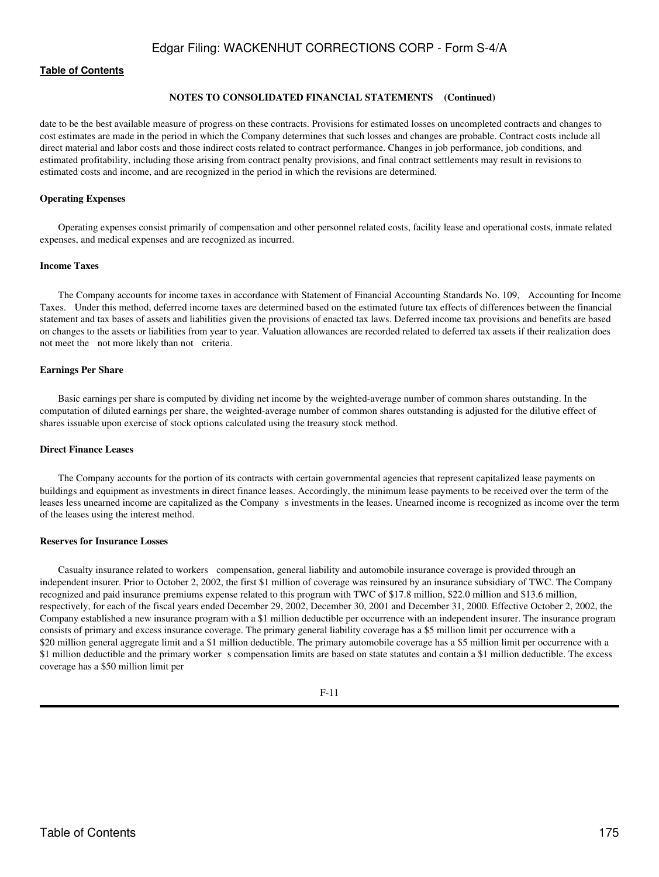### **[Table of Contents](#page-5-0)**

### **NOTES TO CONSOLIDATED FINANCIAL STATEMENTS (Continued)**

date to be the best available measure of progress on these contracts. Provisions for estimated losses on uncompleted contracts and changes to cost estimates are made in the period in which the Company determines that such losses and changes are probable. Contract costs include all direct material and labor costs and those indirect costs related to contract performance. Changes in job performance, job conditions, and estimated profitability, including those arising from contract penalty provisions, and final contract settlements may result in revisions to estimated costs and income, and are recognized in the period in which the revisions are determined.

#### **Operating Expenses**

Operating expenses consist primarily of compensation and other personnel related costs, facility lease and operational costs, inmate related expenses, and medical expenses and are recognized as incurred.

#### **Income Taxes**

The Company accounts for income taxes in accordance with Statement of Financial Accounting Standards No. 109, Accounting for Income Taxes. Under this method, deferred income taxes are determined based on the estimated future tax effects of differences between the financial statement and tax bases of assets and liabilities given the provisions of enacted tax laws. Deferred income tax provisions and benefits are based on changes to the assets or liabilities from year to year. Valuation allowances are recorded related to deferred tax assets if their realization does not meet the not more likely than not criteria.

#### **Earnings Per Share**

Basic earnings per share is computed by dividing net income by the weighted-average number of common shares outstanding. In the computation of diluted earnings per share, the weighted-average number of common shares outstanding is adjusted for the dilutive effect of shares issuable upon exercise of stock options calculated using the treasury stock method.

#### **Direct Finance Leases**

The Company accounts for the portion of its contracts with certain governmental agencies that represent capitalized lease payments on buildings and equipment as investments in direct finance leases. Accordingly, the minimum lease payments to be received over the term of the leases less unearned income are capitalized as the Company s investments in the leases. Unearned income is recognized as income over the term of the leases using the interest method.

#### **Reserves for Insurance Losses**

Casualty insurance related to workers compensation, general liability and automobile insurance coverage is provided through an independent insurer. Prior to October 2, 2002, the first \$1 million of coverage was reinsured by an insurance subsidiary of TWC. The Company recognized and paid insurance premiums expense related to this program with TWC of \$17.8 million, \$22.0 million and \$13.6 million, respectively, for each of the fiscal years ended December 29, 2002, December 30, 2001 and December 31, 2000. Effective October 2, 2002, the Company established a new insurance program with a \$1 million deductible per occurrence with an independent insurer. The insurance program consists of primary and excess insurance coverage. The primary general liability coverage has a \$5 million limit per occurrence with a \$20 million general aggregate limit and a \$1 million deductible. The primary automobile coverage has a \$5 million limit per occurrence with a \$1 million deductible and the primary worker s compensation limits are based on state statutes and contain a \$1 million deductible. The excess coverage has a \$50 million limit per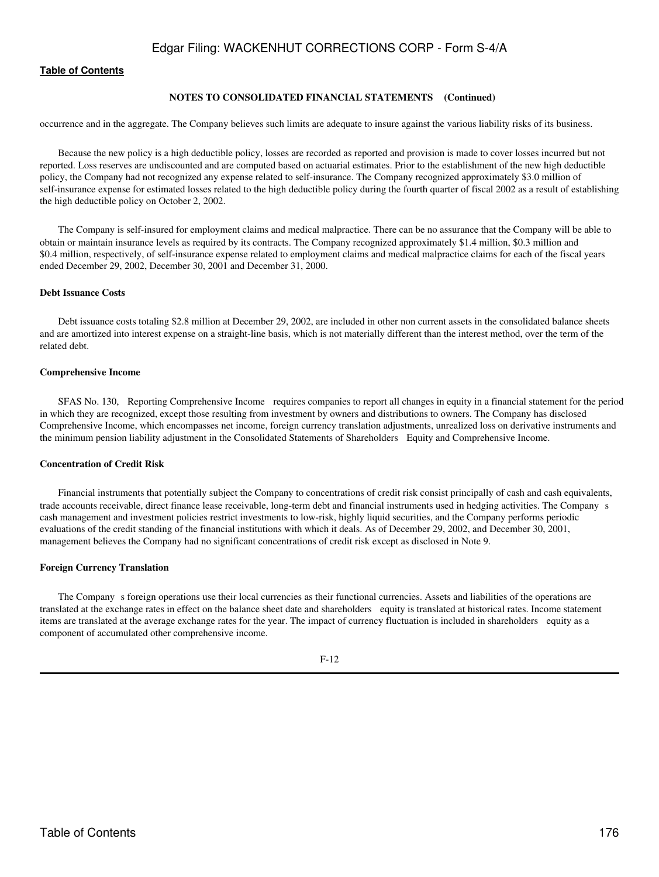### **[Table of Contents](#page-5-0)**

### **NOTES TO CONSOLIDATED FINANCIAL STATEMENTS (Continued)**

occurrence and in the aggregate. The Company believes such limits are adequate to insure against the various liability risks of its business.

Because the new policy is a high deductible policy, losses are recorded as reported and provision is made to cover losses incurred but not reported. Loss reserves are undiscounted and are computed based on actuarial estimates. Prior to the establishment of the new high deductible policy, the Company had not recognized any expense related to self-insurance. The Company recognized approximately \$3.0 million of self-insurance expense for estimated losses related to the high deductible policy during the fourth quarter of fiscal 2002 as a result of establishing the high deductible policy on October 2, 2002.

The Company is self-insured for employment claims and medical malpractice. There can be no assurance that the Company will be able to obtain or maintain insurance levels as required by its contracts. The Company recognized approximately \$1.4 million, \$0.3 million and \$0.4 million, respectively, of self-insurance expense related to employment claims and medical malpractice claims for each of the fiscal years ended December 29, 2002, December 30, 2001 and December 31, 2000.

#### **Debt Issuance Costs**

Debt issuance costs totaling \$2.8 million at December 29, 2002, are included in other non current assets in the consolidated balance sheets and are amortized into interest expense on a straight-line basis, which is not materially different than the interest method, over the term of the related debt.

#### **Comprehensive Income**

SFAS No. 130, Reporting Comprehensive Income requires companies to report all changes in equity in a financial statement for the period in which they are recognized, except those resulting from investment by owners and distributions to owners. The Company has disclosed Comprehensive Income, which encompasses net income, foreign currency translation adjustments, unrealized loss on derivative instruments and the minimum pension liability adjustment in the Consolidated Statements of Shareholders Equity and Comprehensive Income.

#### **Concentration of Credit Risk**

Financial instruments that potentially subject the Company to concentrations of credit risk consist principally of cash and cash equivalents, trade accounts receivable, direct finance lease receivable, long-term debt and financial instruments used in hedging activities. The Companys cash management and investment policies restrict investments to low-risk, highly liquid securities, and the Company performs periodic evaluations of the credit standing of the financial institutions with which it deals. As of December 29, 2002, and December 30, 2001, management believes the Company had no significant concentrations of credit risk except as disclosed in Note 9.

#### **Foreign Currency Translation**

The Company s foreign operations use their local currencies as their functional currencies. Assets and liabilities of the operations are translated at the exchange rates in effect on the balance sheet date and shareholders equity is translated at historical rates. Income statement items are translated at the average exchange rates for the year. The impact of currency fluctuation is included in shareholders equity as a component of accumulated other comprehensive income.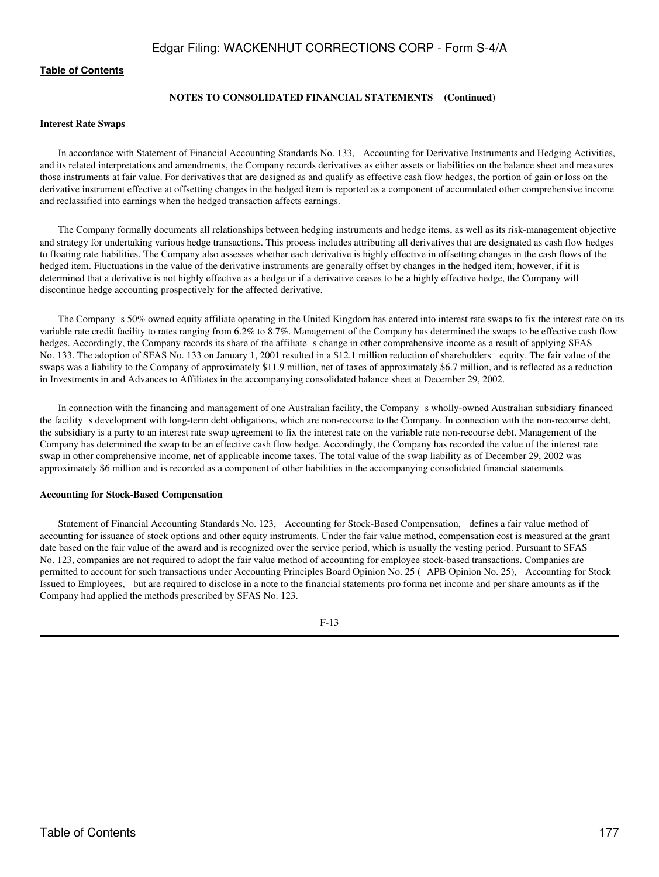### **[Table of Contents](#page-5-0)**

### **NOTES TO CONSOLIDATED FINANCIAL STATEMENTS (Continued)**

#### **Interest Rate Swaps**

In accordance with Statement of Financial Accounting Standards No. 133, Accounting for Derivative Instruments and Hedging Activities, and its related interpretations and amendments, the Company records derivatives as either assets or liabilities on the balance sheet and measures those instruments at fair value. For derivatives that are designed as and qualify as effective cash flow hedges, the portion of gain or loss on the derivative instrument effective at offsetting changes in the hedged item is reported as a component of accumulated other comprehensive income and reclassified into earnings when the hedged transaction affects earnings.

The Company formally documents all relationships between hedging instruments and hedge items, as well as its risk-management objective and strategy for undertaking various hedge transactions. This process includes attributing all derivatives that are designated as cash flow hedges to floating rate liabilities. The Company also assesses whether each derivative is highly effective in offsetting changes in the cash flows of the hedged item. Fluctuations in the value of the derivative instruments are generally offset by changes in the hedged item; however, if it is determined that a derivative is not highly effective as a hedge or if a derivative ceases to be a highly effective hedge, the Company will discontinue hedge accounting prospectively for the affected derivative.

The Company s 50% owned equity affiliate operating in the United Kingdom has entered into interest rate swaps to fix the interest rate on its variable rate credit facility to rates ranging from 6.2% to 8.7%. Management of the Company has determined the swaps to be effective cash flow hedges. Accordingly, the Company records its share of the affiliate s change in other comprehensive income as a result of applying SFAS No. 133. The adoption of SFAS No. 133 on January 1, 2001 resulted in a \$12.1 million reduction of shareholders equity. The fair value of the swaps was a liability to the Company of approximately \$11.9 million, net of taxes of approximately \$6.7 million, and is reflected as a reduction in Investments in and Advances to Affiliates in the accompanying consolidated balance sheet at December 29, 2002.

In connection with the financing and management of one Australian facility, the Companys wholly-owned Australian subsidiary financed the facility s development with long-term debt obligations, which are non-recourse to the Company. In connection with the non-recourse debt, the subsidiary is a party to an interest rate swap agreement to fix the interest rate on the variable rate non-recourse debt. Management of the Company has determined the swap to be an effective cash flow hedge. Accordingly, the Company has recorded the value of the interest rate swap in other comprehensive income, net of applicable income taxes. The total value of the swap liability as of December 29, 2002 was approximately \$6 million and is recorded as a component of other liabilities in the accompanying consolidated financial statements.

#### **Accounting for Stock-Based Compensation**

Statement of Financial Accounting Standards No. 123, Accounting for Stock-Based Compensation, defines a fair value method of accounting for issuance of stock options and other equity instruments. Under the fair value method, compensation cost is measured at the grant date based on the fair value of the award and is recognized over the service period, which is usually the vesting period. Pursuant to SFAS No. 123, companies are not required to adopt the fair value method of accounting for employee stock-based transactions. Companies are permitted to account for such transactions under Accounting Principles Board Opinion No. 25 (APB Opinion No. 25), Accounting for Stock Issued to Employees, but are required to disclose in a note to the financial statements pro forma net income and per share amounts as if the Company had applied the methods prescribed by SFAS No. 123.

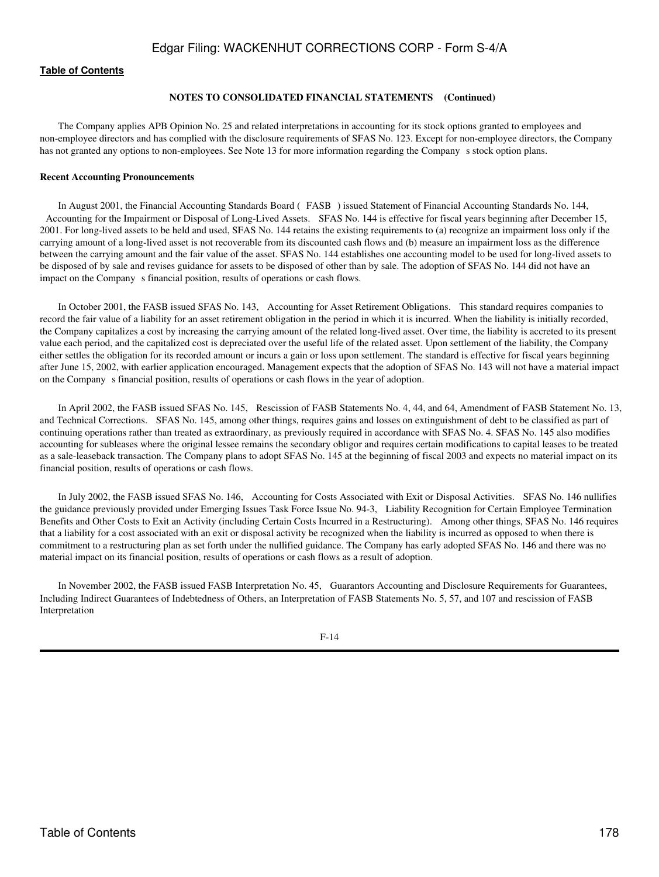### **[Table of Contents](#page-5-0)**

### **NOTES TO CONSOLIDATED FINANCIAL STATEMENTS (Continued)**

The Company applies APB Opinion No. 25 and related interpretations in accounting for its stock options granted to employees and non-employee directors and has complied with the disclosure requirements of SFAS No. 123. Except for non-employee directors, the Company has not granted any options to non-employees. See Note 13 for more information regarding the Company s stock option plans.

#### **Recent Accounting Pronouncements**

In August 2001, the Financial Accounting Standards Board (FASB) issued Statement of Financial Accounting Standards No. 144, Accounting for the Impairment or Disposal of Long-Lived Assets. SFAS No. 144 is effective for fiscal years beginning after December 15, 2001. For long-lived assets to be held and used, SFAS No. 144 retains the existing requirements to (a) recognize an impairment loss only if the carrying amount of a long-lived asset is not recoverable from its discounted cash flows and (b) measure an impairment loss as the difference between the carrying amount and the fair value of the asset. SFAS No. 144 establishes one accounting model to be used for long-lived assets to be disposed of by sale and revises guidance for assets to be disposed of other than by sale. The adoption of SFAS No. 144 did not have an impact on the Company s financial position, results of operations or cash flows.

In October 2001, the FASB issued SFAS No. 143, Accounting for Asset Retirement Obligations. This standard requires companies to record the fair value of a liability for an asset retirement obligation in the period in which it is incurred. When the liability is initially recorded, the Company capitalizes a cost by increasing the carrying amount of the related long-lived asset. Over time, the liability is accreted to its present value each period, and the capitalized cost is depreciated over the useful life of the related asset. Upon settlement of the liability, the Company either settles the obligation for its recorded amount or incurs a gain or loss upon settlement. The standard is effective for fiscal years beginning after June 15, 2002, with earlier application encouraged. Management expects that the adoption of SFAS No. 143 will not have a material impact on the Companys financial position, results of operations or cash flows in the year of adoption.

In April 2002, the FASB issued SFAS No. 145, Rescission of FASB Statements No. 4, 44, and 64, Amendment of FASB Statement No. 13, and Technical Corrections. SFAS No. 145, among other things, requires gains and losses on extinguishment of debt to be classified as part of continuing operations rather than treated as extraordinary, as previously required in accordance with SFAS No. 4. SFAS No. 145 also modifies accounting for subleases where the original lessee remains the secondary obligor and requires certain modifications to capital leases to be treated as a sale-leaseback transaction. The Company plans to adopt SFAS No. 145 at the beginning of fiscal 2003 and expects no material impact on its financial position, results of operations or cash flows.

In July 2002, the FASB issued SFAS No. 146, Accounting for Costs Associated with Exit or Disposal Activities. SFAS No. 146 nullifies the guidance previously provided under Emerging Issues Task Force Issue No. 94-3, Liability Recognition for Certain Employee Termination Benefits and Other Costs to Exit an Activity (including Certain Costs Incurred in a Restructuring). Among other things, SFAS No. 146 requires that a liability for a cost associated with an exit or disposal activity be recognized when the liability is incurred as opposed to when there is commitment to a restructuring plan as set forth under the nullified guidance. The Company has early adopted SFAS No. 146 and there was no material impact on its financial position, results of operations or cash flows as a result of adoption.

In November 2002, the FASB issued FASB Interpretation No. 45, Guarantors Accounting and Disclosure Requirements for Guarantees, Including Indirect Guarantees of Indebtedness of Others, an Interpretation of FASB Statements No. 5, 57, and 107 and rescission of FASB Interpretation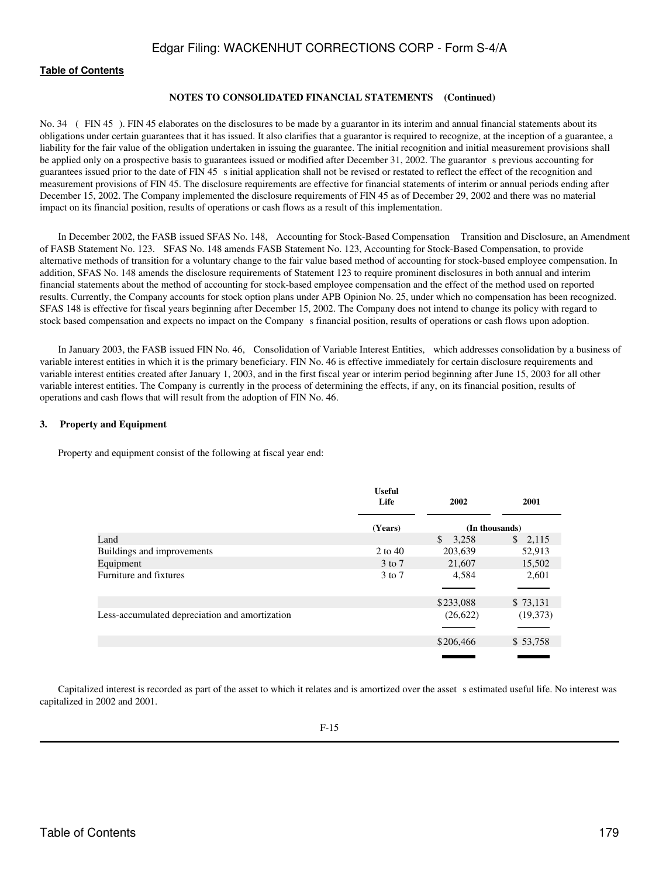### **NOTES TO CONSOLIDATED FINANCIAL STATEMENTS (Continued)**

No. 34 (FIN 45). FIN 45 elaborates on the disclosures to be made by a guarantor in its interim and annual financial statements about its obligations under certain guarantees that it has issued. It also clarifies that a guarantor is required to recognize, at the inception of a guarantee, a liability for the fair value of the obligation undertaken in issuing the guarantee. The initial recognition and initial measurement provisions shall be applied only on a prospective basis to guarantees issued or modified after December 31, 2002. The guarantor s previous accounting for guarantees issued prior to the date of FIN 45 s initial application shall not be revised or restated to reflect the effect of the recognition and measurement provisions of FIN 45. The disclosure requirements are effective for financial statements of interim or annual periods ending after December 15, 2002. The Company implemented the disclosure requirements of FIN 45 as of December 29, 2002 and there was no material impact on its financial position, results of operations or cash flows as a result of this implementation.

In December 2002, the FASB issued SFAS No. 148, Accounting for Stock-Based Compensation Transition and Disclosure, an Amendment of FASB Statement No. 123. SFAS No. 148 amends FASB Statement No. 123, Accounting for Stock-Based Compensation, to provide alternative methods of transition for a voluntary change to the fair value based method of accounting for stock-based employee compensation. In addition, SFAS No. 148 amends the disclosure requirements of Statement 123 to require prominent disclosures in both annual and interim financial statements about the method of accounting for stock-based employee compensation and the effect of the method used on reported results. Currently, the Company accounts for stock option plans under APB Opinion No. 25, under which no compensation has been recognized. SFAS 148 is effective for fiscal years beginning after December 15, 2002. The Company does not intend to change its policy with regard to stock based compensation and expects no impact on the Company s financial position, results of operations or cash flows upon adoption.

In January 2003, the FASB issued FIN No. 46, Consolidation of Variable Interest Entities, which addresses consolidation by a business of variable interest entities in which it is the primary beneficiary. FIN No. 46 is effective immediately for certain disclosure requirements and variable interest entities created after January 1, 2003, and in the first fiscal year or interim period beginning after June 15, 2003 for all other variable interest entities. The Company is currently in the process of determining the effects, if any, on its financial position, results of operations and cash flows that will result from the adoption of FIN No. 46.

### **3. Property and Equipment**

Property and equipment consist of the following at fiscal year end:

|                                                | <b>Useful</b><br>Life | 2002                  | 2001     |  |
|------------------------------------------------|-----------------------|-----------------------|----------|--|
|                                                | (Years)               | (In thousands)        |          |  |
| Land                                           |                       | $\mathbb{S}$<br>3,258 | \$2,115  |  |
| Buildings and improvements                     | 2 to 40               | 203,639               | 52,913   |  |
| Equipment                                      | 3 to 7                | 21,607                | 15,502   |  |
| Furniture and fixtures                         | 3 to 7                | 4,584                 | 2,601    |  |
|                                                |                       | \$233,088             | \$73,131 |  |
| Less-accumulated depreciation and amortization |                       | (26,622)              | (19,373) |  |
|                                                |                       | \$206,466             | \$53,758 |  |
|                                                |                       |                       |          |  |

Capitalized interest is recorded as part of the asset to which it relates and is amortized over the asset s estimated useful life. No interest was capitalized in 2002 and 2001.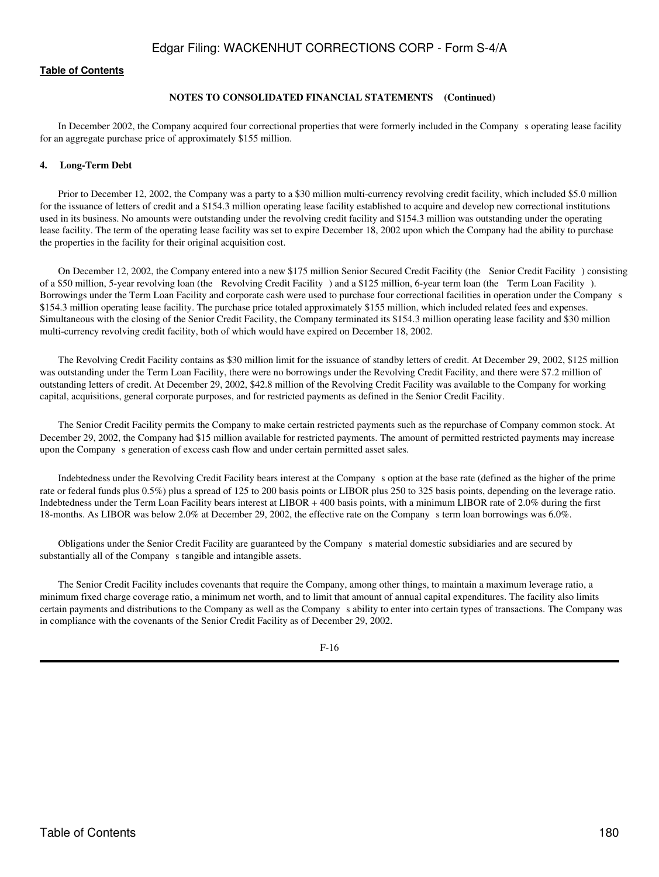### **NOTES TO CONSOLIDATED FINANCIAL STATEMENTS (Continued)**

In December 2002, the Company acquired four correctional properties that were formerly included in the Company s operating lease facility for an aggregate purchase price of approximately \$155 million.

### **4. Long-Term Debt**

Prior to December 12, 2002, the Company was a party to a \$30 million multi-currency revolving credit facility, which included \$5.0 million for the issuance of letters of credit and a \$154.3 million operating lease facility established to acquire and develop new correctional institutions used in its business. No amounts were outstanding under the revolving credit facility and \$154.3 million was outstanding under the operating lease facility. The term of the operating lease facility was set to expire December 18, 2002 upon which the Company had the ability to purchase the properties in the facility for their original acquisition cost.

On December 12, 2002, the Company entered into a new \$175 million Senior Secured Credit Facility (the Senior Credit Facility) consisting of a \$50 million, 5-year revolving loan (the Revolving Credit Facility) and a \$125 million, 6-year term loan (the Term Loan Facility). Borrowings under the Term Loan Facility and corporate cash were used to purchase four correctional facilities in operation under the Companys \$154.3 million operating lease facility. The purchase price totaled approximately \$155 million, which included related fees and expenses. Simultaneous with the closing of the Senior Credit Facility, the Company terminated its \$154.3 million operating lease facility and \$30 million multi-currency revolving credit facility, both of which would have expired on December 18, 2002.

The Revolving Credit Facility contains as \$30 million limit for the issuance of standby letters of credit. At December 29, 2002, \$125 million was outstanding under the Term Loan Facility, there were no borrowings under the Revolving Credit Facility, and there were \$7.2 million of outstanding letters of credit. At December 29, 2002, \$42.8 million of the Revolving Credit Facility was available to the Company for working capital, acquisitions, general corporate purposes, and for restricted payments as defined in the Senior Credit Facility.

The Senior Credit Facility permits the Company to make certain restricted payments such as the repurchase of Company common stock. At December 29, 2002, the Company had \$15 million available for restricted payments. The amount of permitted restricted payments may increase upon the Company s generation of excess cash flow and under certain permitted asset sales.

Indebtedness under the Revolving Credit Facility bears interest at the Companys option at the base rate (defined as the higher of the prime rate or federal funds plus 0.5%) plus a spread of 125 to 200 basis points or LIBOR plus 250 to 325 basis points, depending on the leverage ratio. Indebtedness under the Term Loan Facility bears interest at LIBOR + 400 basis points, with a minimum LIBOR rate of 2.0% during the first 18-months. As LIBOR was below 2.0% at December 29, 2002, the effective rate on the Companys term loan borrowings was 6.0%.

Obligations under the Senior Credit Facility are guaranteed by the Companys material domestic subsidiaries and are secured by substantially all of the Company s tangible and intangible assets.

The Senior Credit Facility includes covenants that require the Company, among other things, to maintain a maximum leverage ratio, a minimum fixed charge coverage ratio, a minimum net worth, and to limit that amount of annual capital expenditures. The facility also limits certain payments and distributions to the Company as well as the Companys ability to enter into certain types of transactions. The Company was in compliance with the covenants of the Senior Credit Facility as of December 29, 2002.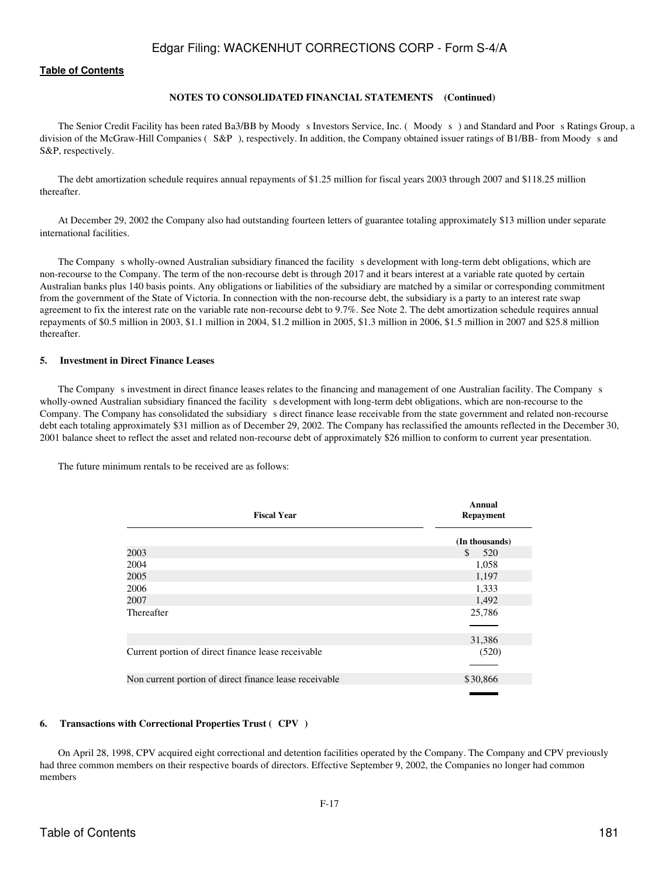## **[Table of Contents](#page-5-0)**

## **NOTES TO CONSOLIDATED FINANCIAL STATEMENTS (Continued)**

The Senior Credit Facility has been rated Ba3/BB by Moody s Investors Service, Inc. (Moody s) and Standard and Poor s Ratings Group, a division of the McGraw-Hill Companies (S&P), respectively. In addition, the Company obtained issuer ratings of B1/BB- from Moody s and S&P, respectively.

The debt amortization schedule requires annual repayments of \$1.25 million for fiscal years 2003 through 2007 and \$118.25 million thereafter.

At December 29, 2002 the Company also had outstanding fourteen letters of guarantee totaling approximately \$13 million under separate international facilities.

The Company s wholly-owned Australian subsidiary financed the facility s development with long-term debt obligations, which are non-recourse to the Company. The term of the non-recourse debt is through 2017 and it bears interest at a variable rate quoted by certain Australian banks plus 140 basis points. Any obligations or liabilities of the subsidiary are matched by a similar or corresponding commitment from the government of the State of Victoria. In connection with the non-recourse debt, the subsidiary is a party to an interest rate swap agreement to fix the interest rate on the variable rate non-recourse debt to 9.7%. See Note 2. The debt amortization schedule requires annual repayments of \$0.5 million in 2003, \$1.1 million in 2004, \$1.2 million in 2005, \$1.3 million in 2006, \$1.5 million in 2007 and \$25.8 million thereafter.

### **5. Investment in Direct Finance Leases**

The Company s investment in direct finance leases relates to the financing and management of one Australian facility. The Company s wholly-owned Australian subsidiary financed the facility s development with long-term debt obligations, which are non-recourse to the Company. The Company has consolidated the subsidiary s direct finance lease receivable from the state government and related non-recourse debt each totaling approximately \$31 million as of December 29, 2002. The Company has reclassified the amounts reflected in the December 30, 2001 balance sheet to reflect the asset and related non-recourse debt of approximately \$26 million to conform to current year presentation.

The future minimum rentals to be received are as follows:

| <b>Fiscal Year</b>                                     | Annual<br><b>Repayment</b> |
|--------------------------------------------------------|----------------------------|
|                                                        | (In thousands)             |
| 2003                                                   | \$<br>520                  |
| 2004                                                   | 1,058                      |
| 2005                                                   | 1,197                      |
| 2006                                                   | 1,333                      |
| 2007                                                   | 1,492                      |
| Thereafter                                             | 25,786                     |
|                                                        | 31,386                     |
| Current portion of direct finance lease receivable     | (520)                      |
| Non current portion of direct finance lease receivable | \$30,866                   |

#### **6. Transactions with Correctional Properties Trust (CPV)**

On April 28, 1998, CPV acquired eight correctional and detention facilities operated by the Company. The Company and CPV previously had three common members on their respective boards of directors. Effective September 9, 2002, the Companies no longer had common members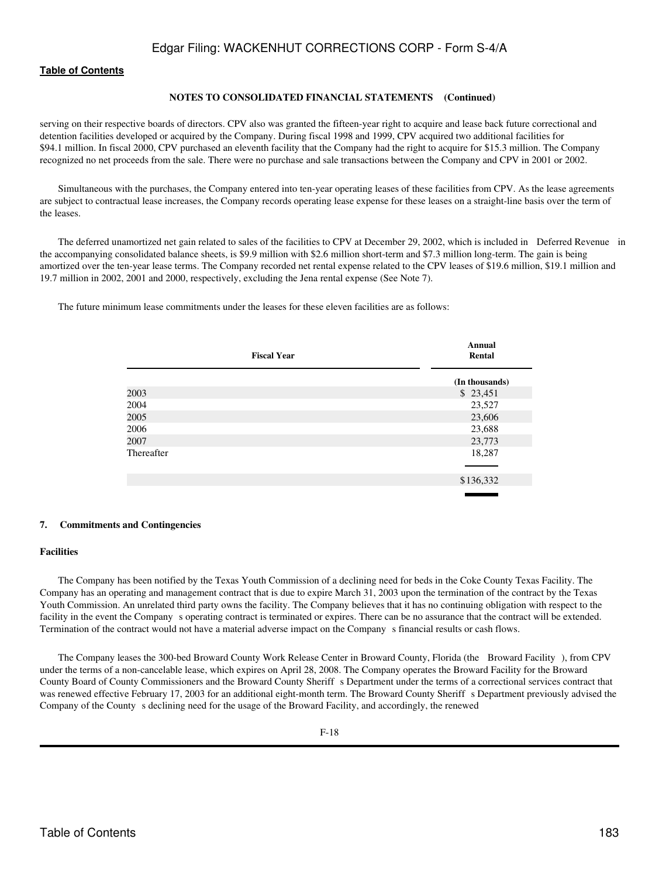## **[Table of Contents](#page-5-0)**

#### **NOTES TO CONSOLIDATED FINANCIAL STATEMENTS (Continued)**

serving on their respective boards of directors. CPV also was granted the fifteen-year right to acquire and lease back future correctional and detention facilities developed or acquired by the Company. During fiscal 1998 and 1999, CPV acquired two additional facilities for \$94.1 million. In fiscal 2000, CPV purchased an eleventh facility that the Company had the right to acquire for \$15.3 million. The Company recognized no net proceeds from the sale. There were no purchase and sale transactions between the Company and CPV in 2001 or 2002.

Simultaneous with the purchases, the Company entered into ten-year operating leases of these facilities from CPV. As the lease agreements are subject to contractual lease increases, the Company records operating lease expense for these leases on a straight-line basis over the term of the leases.

The deferred unamortized net gain related to sales of the facilities to CPV at December 29, 2002, which is included in Deferred Revenue in the accompanying consolidated balance sheets, is \$9.9 million with \$2.6 million short-term and \$7.3 million long-term. The gain is being amortized over the ten-year lease terms. The Company recorded net rental expense related to the CPV leases of \$19.6 million, \$19.1 million and 19.7 million in 2002, 2001 and 2000, respectively, excluding the Jena rental expense (See Note 7).

The future minimum lease commitments under the leases for these eleven facilities are as follows:

| <b>Fiscal Year</b> | Annual<br>Rental |  |
|--------------------|------------------|--|
|                    | (In thousands)   |  |
| 2003               | \$23,451         |  |
| 2004               | 23,527           |  |
| 2005               | 23,606           |  |
| 2006               | 23,688           |  |
| 2007               | 23,773           |  |
| Thereafter         | 18,287           |  |
|                    |                  |  |
|                    | \$136,332        |  |
|                    |                  |  |

#### **7. Commitments and Contingencies**

#### **Facilities**

The Company has been notified by the Texas Youth Commission of a declining need for beds in the Coke County Texas Facility. The Company has an operating and management contract that is due to expire March 31, 2003 upon the termination of the contract by the Texas Youth Commission. An unrelated third party owns the facility. The Company believes that it has no continuing obligation with respect to the facility in the event the Company s operating contract is terminated or expires. There can be no assurance that the contract will be extended. Termination of the contract would not have a material adverse impact on the Companys financial results or cash flows.

The Company leases the 300-bed Broward County Work Release Center in Broward County, Florida (the Broward Facility), from CPV under the terms of a non-cancelable lease, which expires on April 28, 2008. The Company operates the Broward Facility for the Broward County Board of County Commissioners and the Broward County Sheriff s Department under the terms of a correctional services contract that was renewed effective February 17, 2003 for an additional eight-month term. The Broward County Sheriff s Department previously advised the Company of the County s declining need for the usage of the Broward Facility, and accordingly, the renewed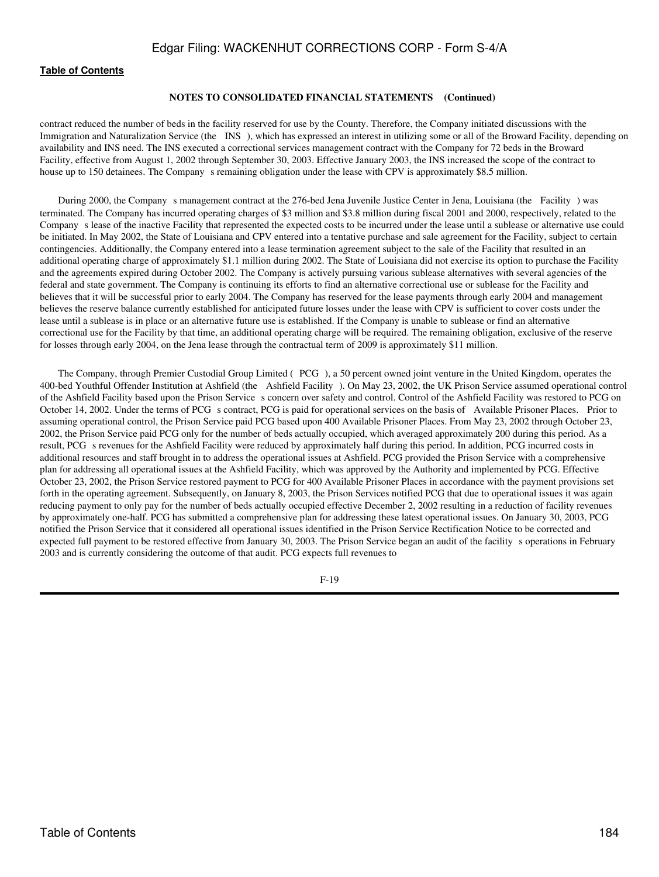## **[Table of Contents](#page-5-0)**

## **NOTES TO CONSOLIDATED FINANCIAL STATEMENTS (Continued)**

contract reduced the number of beds in the facility reserved for use by the County. Therefore, the Company initiated discussions with the Immigration and Naturalization Service (the INS), which has expressed an interest in utilizing some or all of the Broward Facility, depending on availability and INS need. The INS executed a correctional services management contract with the Company for 72 beds in the Broward Facility, effective from August 1, 2002 through September 30, 2003. Effective January 2003, the INS increased the scope of the contract to house up to 150 detainees. The Company s remaining obligation under the lease with CPV is approximately \$8.5 million.

During 2000, the Company s management contract at the 276-bed Jena Juvenile Justice Center in Jena, Louisiana (the Facility) was terminated. The Company has incurred operating charges of \$3 million and \$3.8 million during fiscal 2001 and 2000, respectively, related to the Companys lease of the inactive Facility that represented the expected costs to be incurred under the lease until a sublease or alternative use could be initiated. In May 2002, the State of Louisiana and CPV entered into a tentative purchase and sale agreement for the Facility, subject to certain contingencies. Additionally, the Company entered into a lease termination agreement subject to the sale of the Facility that resulted in an additional operating charge of approximately \$1.1 million during 2002. The State of Louisiana did not exercise its option to purchase the Facility and the agreements expired during October 2002. The Company is actively pursuing various sublease alternatives with several agencies of the federal and state government. The Company is continuing its efforts to find an alternative correctional use or sublease for the Facility and believes that it will be successful prior to early 2004. The Company has reserved for the lease payments through early 2004 and management believes the reserve balance currently established for anticipated future losses under the lease with CPV is sufficient to cover costs under the lease until a sublease is in place or an alternative future use is established. If the Company is unable to sublease or find an alternative correctional use for the Facility by that time, an additional operating charge will be required. The remaining obligation, exclusive of the reserve for losses through early 2004, on the Jena lease through the contractual term of 2009 is approximately \$11 million.

The Company, through Premier Custodial Group Limited (PCG), a 50 percent owned joint venture in the United Kingdom, operates the 400-bed Youthful Offender Institution at Ashfield (the Ashfield Facility). On May 23, 2002, the UK Prison Service assumed operational control of the Ashfield Facility based upon the Prison Service s concern over safety and control. Control of the Ashfield Facility was restored to PCG on October 14, 2002. Under the terms of PCG s contract, PCG is paid for operational services on the basis of Available Prisoner Places. Prior to assuming operational control, the Prison Service paid PCG based upon 400 Available Prisoner Places. From May 23, 2002 through October 23, 2002, the Prison Service paid PCG only for the number of beds actually occupied, which averaged approximately 200 during this period. As a result, PCG s revenues for the Ashfield Facility were reduced by approximately half during this period. In addition, PCG incurred costs in additional resources and staff brought in to address the operational issues at Ashfield. PCG provided the Prison Service with a comprehensive plan for addressing all operational issues at the Ashfield Facility, which was approved by the Authority and implemented by PCG. Effective October 23, 2002, the Prison Service restored payment to PCG for 400 Available Prisoner Places in accordance with the payment provisions set forth in the operating agreement. Subsequently, on January 8, 2003, the Prison Services notified PCG that due to operational issues it was again reducing payment to only pay for the number of beds actually occupied effective December 2, 2002 resulting in a reduction of facility revenues by approximately one-half. PCG has submitted a comprehensive plan for addressing these latest operational issues. On January 30, 2003, PCG notified the Prison Service that it considered all operational issues identified in the Prison Service Rectification Notice to be corrected and expected full payment to be restored effective from January 30, 2003. The Prison Service began an audit of the facility s operations in February 2003 and is currently considering the outcome of that audit. PCG expects full revenues to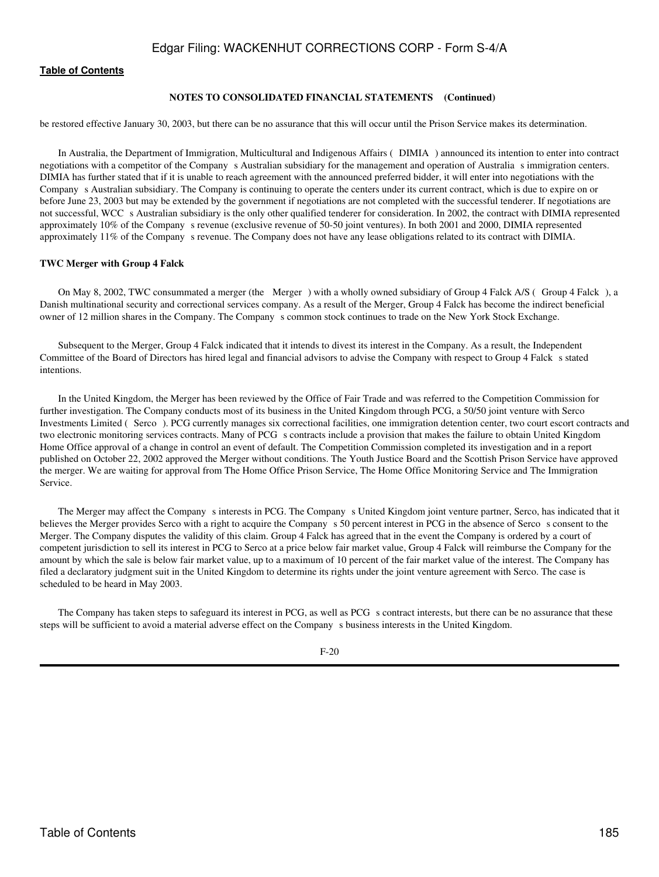## **NOTES TO CONSOLIDATED FINANCIAL STATEMENTS (Continued)**

be restored effective January 30, 2003, but there can be no assurance that this will occur until the Prison Service makes its determination.

In Australia, the Department of Immigration, Multicultural and Indigenous Affairs (DIMIA) announced its intention to enter into contract negotiations with a competitor of the Companys Australian subsidiary for the management and operation of Australias immigration centers. DIMIA has further stated that if it is unable to reach agreement with the announced preferred bidder, it will enter into negotiations with the Companys Australian subsidiary. The Company is continuing to operate the centers under its current contract, which is due to expire on or before June 23, 2003 but may be extended by the government if negotiations are not completed with the successful tenderer. If negotiations are not successful, WCC s Australian subsidiary is the only other qualified tenderer for consideration. In 2002, the contract with DIMIA represented approximately 10% of the Company s revenue (exclusive revenue of 50-50 joint ventures). In both 2001 and 2000, DIMIA represented approximately 11% of the Company s revenue. The Company does not have any lease obligations related to its contract with DIMIA.

### **TWC Merger with Group 4 Falck**

On May 8, 2002, TWC consummated a merger (the Merger) with a wholly owned subsidiary of Group 4 Falck A/S (Group 4 Falck), a Danish multinational security and correctional services company. As a result of the Merger, Group 4 Falck has become the indirect beneficial owner of 12 million shares in the Company. The Company s common stock continues to trade on the New York Stock Exchange.

Subsequent to the Merger, Group 4 Falck indicated that it intends to divest its interest in the Company. As a result, the Independent Committee of the Board of Directors has hired legal and financial advisors to advise the Company with respect to Group 4 Falck s stated intentions.

In the United Kingdom, the Merger has been reviewed by the Office of Fair Trade and was referred to the Competition Commission for further investigation. The Company conducts most of its business in the United Kingdom through PCG, a 50/50 joint venture with Serco Investments Limited (Serco). PCG currently manages six correctional facilities, one immigration detention center, two court escort contracts and two electronic monitoring services contracts. Many of PCG s contracts include a provision that makes the failure to obtain United Kingdom Home Office approval of a change in control an event of default. The Competition Commission completed its investigation and in a report published on October 22, 2002 approved the Merger without conditions. The Youth Justice Board and the Scottish Prison Service have approved the merger. We are waiting for approval from The Home Office Prison Service, The Home Office Monitoring Service and The Immigration Service.

The Merger may affect the Company s interests in PCG. The Company s United Kingdom joint venture partner, Serco, has indicated that it believes the Merger provides Serco with a right to acquire the Company s 50 percent interest in PCG in the absence of Serco s consent to the Merger. The Company disputes the validity of this claim. Group 4 Falck has agreed that in the event the Company is ordered by a court of competent jurisdiction to sell its interest in PCG to Serco at a price below fair market value, Group 4 Falck will reimburse the Company for the amount by which the sale is below fair market value, up to a maximum of 10 percent of the fair market value of the interest. The Company has filed a declaratory judgment suit in the United Kingdom to determine its rights under the joint venture agreement with Serco. The case is scheduled to be heard in May 2003.

The Company has taken steps to safeguard its interest in PCG, as well as PCG s contract interests, but there can be no assurance that these steps will be sufficient to avoid a material adverse effect on the Companys business interests in the United Kingdom.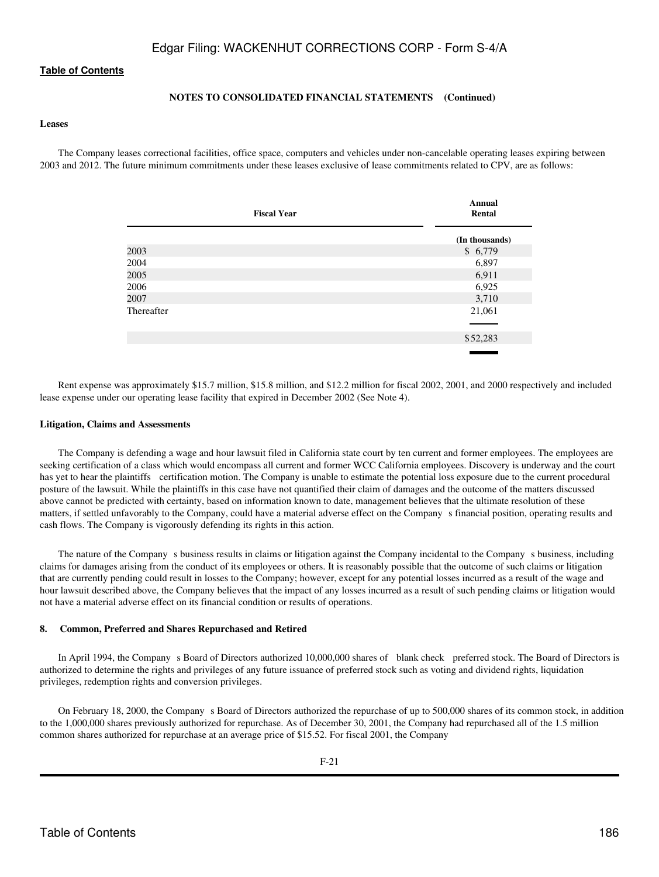## **[Table of Contents](#page-5-0)**

## **NOTES TO CONSOLIDATED FINANCIAL STATEMENTS (Continued)**

#### **Leases**

The Company leases correctional facilities, office space, computers and vehicles under non-cancelable operating leases expiring between 2003 and 2012. The future minimum commitments under these leases exclusive of lease commitments related to CPV, are as follows:

| <b>Fiscal Year</b> |  | <b>Annual</b><br>Rental |
|--------------------|--|-------------------------|
|                    |  | (In thousands)          |
| 2003               |  | \$6,779                 |
| 2004               |  | 6,897                   |
| 2005               |  | 6,911                   |
| 2006               |  | 6,925                   |
| 2007               |  | 3,710                   |
| Thereafter         |  | 21,061                  |
|                    |  |                         |
|                    |  | \$52,283                |
|                    |  |                         |

Rent expense was approximately \$15.7 million, \$15.8 million, and \$12.2 million for fiscal 2002, 2001, and 2000 respectively and included lease expense under our operating lease facility that expired in December 2002 (See Note 4).

#### **Litigation, Claims and Assessments**

The Company is defending a wage and hour lawsuit filed in California state court by ten current and former employees. The employees are seeking certification of a class which would encompass all current and former WCC California employees. Discovery is underway and the court has yet to hear the plaintiffs certification motion. The Company is unable to estimate the potential loss exposure due to the current procedural posture of the lawsuit. While the plaintiffs in this case have not quantified their claim of damages and the outcome of the matters discussed above cannot be predicted with certainty, based on information known to date, management believes that the ultimate resolution of these matters, if settled unfavorably to the Company, could have a material adverse effect on the Companys financial position, operating results and cash flows. The Company is vigorously defending its rights in this action.

The nature of the Company s business results in claims or litigation against the Company incidental to the Company s business, including claims for damages arising from the conduct of its employees or others. It is reasonably possible that the outcome of such claims or litigation that are currently pending could result in losses to the Company; however, except for any potential losses incurred as a result of the wage and hour lawsuit described above, the Company believes that the impact of any losses incurred as a result of such pending claims or litigation would not have a material adverse effect on its financial condition or results of operations.

## **8. Common, Preferred and Shares Repurchased and Retired**

In April 1994, the Company s Board of Directors authorized 10,000,000 shares of blank check preferred stock. The Board of Directors is authorized to determine the rights and privileges of any future issuance of preferred stock such as voting and dividend rights, liquidation privileges, redemption rights and conversion privileges.

On February 18, 2000, the Company s Board of Directors authorized the repurchase of up to 500,000 shares of its common stock, in addition to the 1,000,000 shares previously authorized for repurchase. As of December 30, 2001, the Company had repurchased all of the 1.5 million common shares authorized for repurchase at an average price of \$15.52. For fiscal 2001, the Company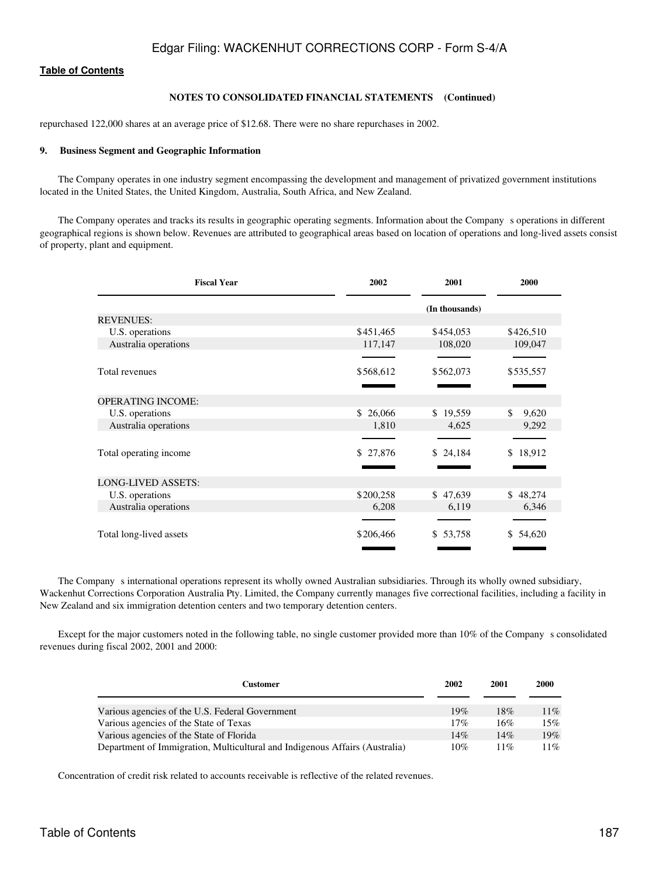## **[Table of Contents](#page-5-0)**

## **NOTES TO CONSOLIDATED FINANCIAL STATEMENTS (Continued)**

repurchased 122,000 shares at an average price of \$12.68. There were no share repurchases in 2002.

#### **9. Business Segment and Geographic Information**

The Company operates in one industry segment encompassing the development and management of privatized government institutions located in the United States, the United Kingdom, Australia, South Africa, and New Zealand.

The Company operates and tracks its results in geographic operating segments. Information about the Company s operations in different geographical regions is shown below. Revenues are attributed to geographical areas based on location of operations and long-lived assets consist of property, plant and equipment.

| <b>Fiscal Year</b>        | 2002      | 2001           | 2000         |
|---------------------------|-----------|----------------|--------------|
|                           |           | (In thousands) |              |
| <b>REVENUES:</b>          |           |                |              |
| U.S. operations           | \$451,465 | \$454,053      | \$426,510    |
| Australia operations      | 117,147   | 108,020        | 109,047      |
|                           |           |                |              |
| Total revenues            | \$568,612 | \$562,073      | \$535,557    |
|                           |           |                |              |
| <b>OPERATING INCOME:</b>  |           |                |              |
| U.S. operations           | \$26,066  | \$19,559       | \$.<br>9,620 |
| Australia operations      | 1,810     | 4,625          | 9,292        |
|                           |           |                |              |
| Total operating income    | \$ 27,876 | \$24,184       | \$18,912     |
|                           |           |                |              |
| <b>LONG-LIVED ASSETS:</b> |           |                |              |
| U.S. operations           | \$200,258 | \$47,639       | \$48,274     |
| Australia operations      | 6,208     | 6,119          | 6,346        |
|                           |           |                |              |
| Total long-lived assets   | \$206,466 | \$53,758       | 54,620<br>\$ |
|                           |           |                |              |

The Company s international operations represent its wholly owned Australian subsidiaries. Through its wholly owned subsidiary, Wackenhut Corrections Corporation Australia Pty. Limited, the Company currently manages five correctional facilities, including a facility in New Zealand and six immigration detention centers and two temporary detention centers.

Except for the major customers noted in the following table, no single customer provided more than 10% of the Company s consolidated revenues during fiscal 2002, 2001 and 2000:

| <b>Customer</b>                                                             |     | 2001 | 2000   |
|-----------------------------------------------------------------------------|-----|------|--------|
|                                                                             |     |      |        |
| Various agencies of the U.S. Federal Government                             | 19% | 18%  | $11\%$ |
| Various agencies of the State of Texas                                      | 17% | 16%  | $15\%$ |
| Various agencies of the State of Florida                                    | 14% | 14%  | 19%    |
| Department of Immigration, Multicultural and Indigenous Affairs (Australia) | 10% | 11%  | $11\%$ |

Concentration of credit risk related to accounts receivable is reflective of the related revenues.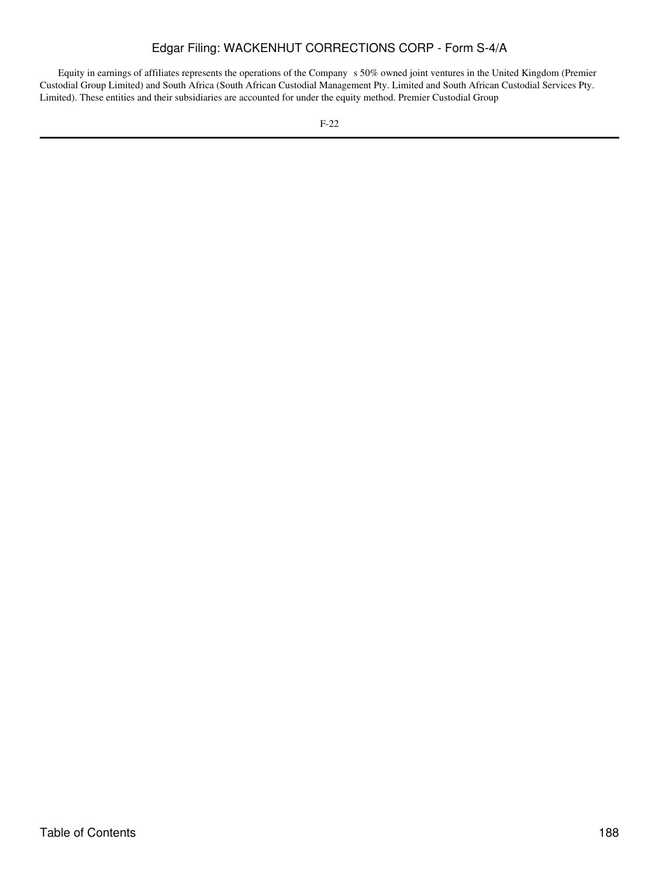Equity in earnings of affiliates represents the operations of the Company s 50% owned joint ventures in the United Kingdom (Premier Custodial Group Limited) and South Africa (South African Custodial Management Pty. Limited and South African Custodial Services Pty. Limited). These entities and their subsidiaries are accounted for under the equity method. Premier Custodial Group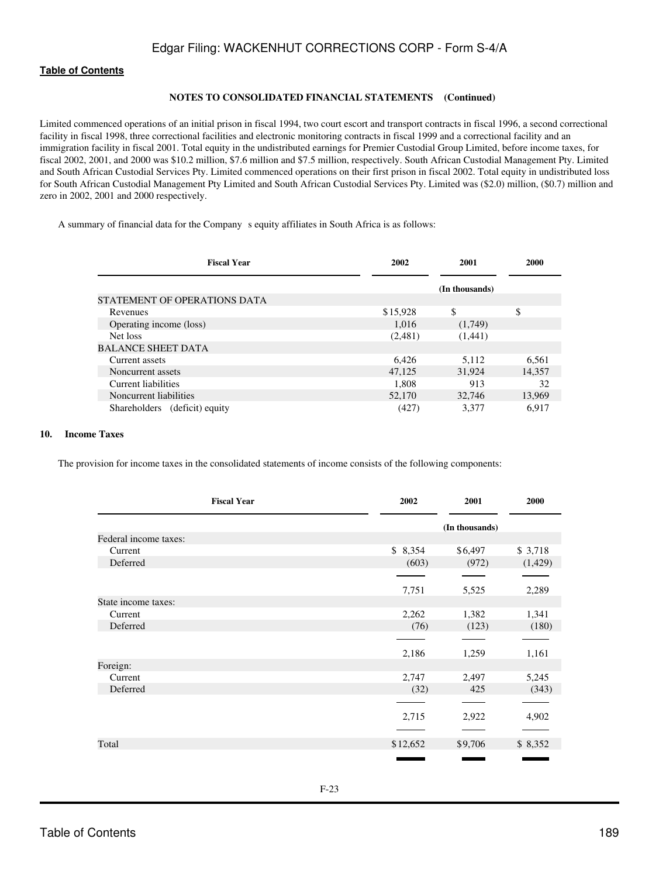## **[Table of Contents](#page-5-0)**

## **NOTES TO CONSOLIDATED FINANCIAL STATEMENTS (Continued)**

Limited commenced operations of an initial prison in fiscal 1994, two court escort and transport contracts in fiscal 1996, a second correctional facility in fiscal 1998, three correctional facilities and electronic monitoring contracts in fiscal 1999 and a correctional facility and an immigration facility in fiscal 2001. Total equity in the undistributed earnings for Premier Custodial Group Limited, before income taxes, for fiscal 2002, 2001, and 2000 was \$10.2 million, \$7.6 million and \$7.5 million, respectively. South African Custodial Management Pty. Limited and South African Custodial Services Pty. Limited commenced operations on their first prison in fiscal 2002. Total equity in undistributed loss for South African Custodial Management Pty Limited and South African Custodial Services Pty. Limited was (\$2.0) million, (\$0.7) million and zero in 2002, 2001 and 2000 respectively.

A summary of financial data for the Company s equity affiliates in South Africa is as follows:

| <b>Fiscal Year</b>                      | 2002     | 2001           | 2000   |
|-----------------------------------------|----------|----------------|--------|
|                                         |          | (In thousands) |        |
| STATEMENT OF OPERATIONS DATA            |          |                |        |
| Revenues                                | \$15,928 | \$             | \$     |
| Operating income (loss)                 | 1,016    | (1,749)        |        |
| Net loss                                | (2,481)  | (1,441)        |        |
| <b>BALANCE SHEET DATA</b>               |          |                |        |
| Current assets                          | 6,426    | 5,112          | 6,561  |
| Noncurrent assets                       | 47.125   | 31,924         | 14,357 |
| Current liabilities                     | 1,808    | 913            | 32     |
| Noncurrent liabilities                  | 52,170   | 32,746         | 13,969 |
| (deficit) equity<br><b>Shareholders</b> | (427)    | 3,377          | 6.917  |

#### **10. Income Taxes**

The provision for income taxes in the consolidated statements of income consists of the following components:

| <b>Fiscal Year</b>    | 2002     | 2001           | 2000     |
|-----------------------|----------|----------------|----------|
|                       |          | (In thousands) |          |
| Federal income taxes: |          |                |          |
| Current               | \$8,354  | \$6,497        | \$ 3,718 |
| Deferred              | (603)    | (972)          | (1,429)  |
|                       |          |                |          |
|                       | 7,751    | 5,525          | 2,289    |
| State income taxes:   |          |                |          |
| Current               | 2,262    | 1,382          | 1,341    |
| Deferred              | (76)     | (123)          | (180)    |
|                       |          |                |          |
|                       | 2,186    | 1,259          | 1,161    |
| Foreign:              |          |                |          |
| Current               | 2,747    | 2,497          | 5,245    |
| Deferred              | (32)     | 425            | (343)    |
|                       |          |                |          |
|                       | 2,715    | 2,922          | 4,902    |
|                       |          |                |          |
| Total                 | \$12,652 | \$9,706        | \$8,352  |
|                       |          |                |          |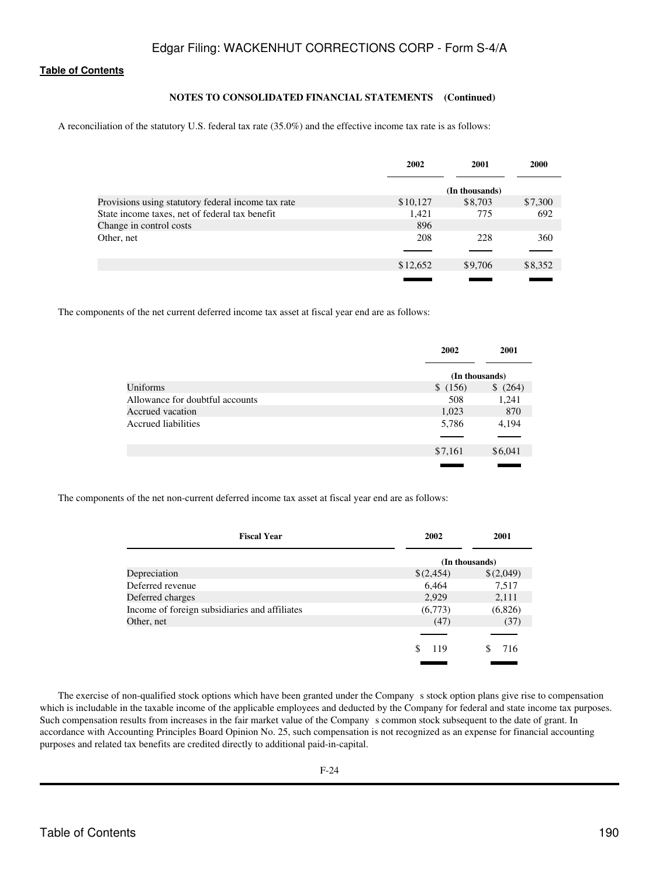## **NOTES TO CONSOLIDATED FINANCIAL STATEMENTS (Continued)**

A reconciliation of the statutory U.S. federal tax rate (35.0%) and the effective income tax rate is as follows:

|                                                    | 2002     | 2001           | 2000    |
|----------------------------------------------------|----------|----------------|---------|
|                                                    |          | (In thousands) |         |
| Provisions using statutory federal income tax rate | \$10,127 | \$8,703        | \$7,300 |
| State income taxes, net of federal tax benefit     | 1,421    | 775            | 692     |
| Change in control costs                            | 896      |                |         |
| Other, net                                         | 208      | 228            | 360     |
|                                                    |          |                |         |
|                                                    | \$12,652 | \$9,706        | \$8,352 |

The components of the net current deferred income tax asset at fiscal year end are as follows:

|                                 | 2002           | 2001     |
|---------------------------------|----------------|----------|
|                                 | (In thousands) |          |
| Uniforms                        | \$ (156)       | \$ (264) |
| Allowance for doubtful accounts | 508            | 1,241    |
| Accrued vacation                | 1,023          | 870      |
| Accrued liabilities             | 5,786          | 4,194    |
|                                 | \$7,161        | \$6,041  |
|                                 |                |          |

The components of the net non-current deferred income tax asset at fiscal year end are as follows:

| <b>Fiscal Year</b>                            | 2002      | 2001           |  |
|-----------------------------------------------|-----------|----------------|--|
|                                               |           | (In thousands) |  |
| Depreciation                                  | \$(2,454) | \$(2,049)      |  |
| Deferred revenue                              | 6,464     | 7,517          |  |
| Deferred charges                              | 2,929     | 2,111          |  |
| Income of foreign subsidiaries and affiliates | (6,773)   | (6,826)        |  |
| Other, net                                    | (47)      | (37)           |  |
|                                               |           |                |  |
|                                               | 119       | 716            |  |
|                                               |           |                |  |

The exercise of non-qualified stock options which have been granted under the Company s stock option plans give rise to compensation which is includable in the taxable income of the applicable employees and deducted by the Company for federal and state income tax purposes. Such compensation results from increases in the fair market value of the Company s common stock subsequent to the date of grant. In accordance with Accounting Principles Board Opinion No. 25, such compensation is not recognized as an expense for financial accounting purposes and related tax benefits are credited directly to additional paid-in-capital.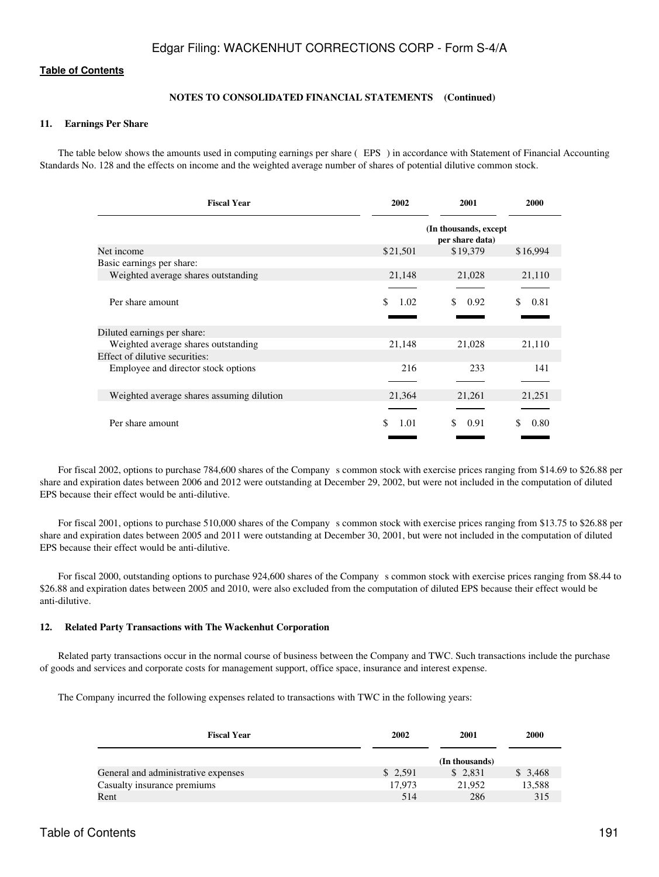## **NOTES TO CONSOLIDATED FINANCIAL STATEMENTS (Continued)**

#### **11. Earnings Per Share**

The table below shows the amounts used in computing earnings per share (EPS) in accordance with Statement of Financial Accounting Standards No. 128 and the effects on income and the weighted average number of shares of potential dilutive common stock.

| <b>Fiscal Year</b>                        | 2002       | 2001                                     | 2000       |
|-------------------------------------------|------------|------------------------------------------|------------|
|                                           |            | (In thousands, except<br>per share data) |            |
| Net income                                | \$21,501   | \$19,379                                 | \$16,994   |
| Basic earnings per share:                 |            |                                          |            |
| Weighted average shares outstanding       | 21,148     | 21,028                                   | 21,110     |
| Per share amount                          | \$<br>1.02 | \$<br>0.92                               | \$<br>0.81 |
|                                           |            |                                          |            |
| Diluted earnings per share:               |            |                                          |            |
| Weighted average shares outstanding       | 21,148     | 21,028                                   | 21,110     |
| Effect of dilutive securities:            |            |                                          |            |
| Employee and director stock options       | 216        | 233                                      | 141        |
| Weighted average shares assuming dilution | 21,364     | 21,261                                   | 21,251     |
| Per share amount                          | \$<br>1.01 | \$<br>0.91                               | \$<br>0.80 |

For fiscal 2002, options to purchase 784,600 shares of the Company s common stock with exercise prices ranging from \$14.69 to \$26.88 per share and expiration dates between 2006 and 2012 were outstanding at December 29, 2002, but were not included in the computation of diluted EPS because their effect would be anti-dilutive.

For fiscal 2001, options to purchase 510,000 shares of the Company s common stock with exercise prices ranging from \$13.75 to \$26.88 per share and expiration dates between 2005 and 2011 were outstanding at December 30, 2001, but were not included in the computation of diluted EPS because their effect would be anti-dilutive.

For fiscal 2000, outstanding options to purchase 924,600 shares of the Company s common stock with exercise prices ranging from \$8.44 to \$26.88 and expiration dates between 2005 and 2010, were also excluded from the computation of diluted EPS because their effect would be anti-dilutive.

#### **12. Related Party Transactions with The Wackenhut Corporation**

Related party transactions occur in the normal course of business between the Company and TWC. Such transactions include the purchase of goods and services and corporate costs for management support, office space, insurance and interest expense.

The Company incurred the following expenses related to transactions with TWC in the following years:

| <b>Fiscal Year</b>                  | 2002    | 2001           | 2000    |
|-------------------------------------|---------|----------------|---------|
|                                     |         | (In thousands) |         |
| General and administrative expenses | \$2,591 | \$2.831        | \$3,468 |
| Casualty insurance premiums         | 17.973  | 21.952         | 13,588  |
| Rent                                | 514     | 286            | 315     |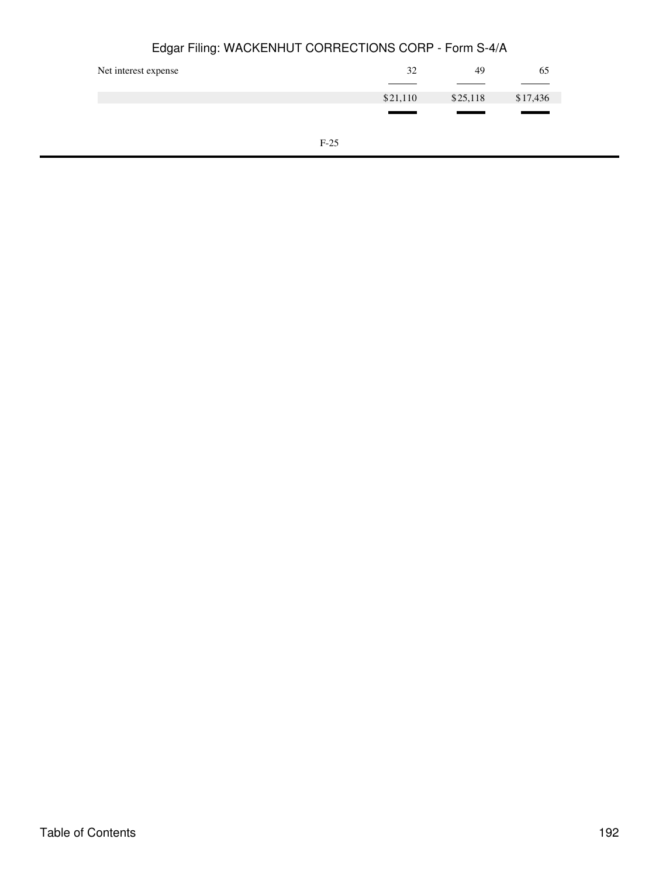| Net interest expense | 32       | 49       | 65       |
|----------------------|----------|----------|----------|
|                      | \$21,110 | \$25,118 | \$17,436 |
|                      |          |          |          |
|                      |          |          |          |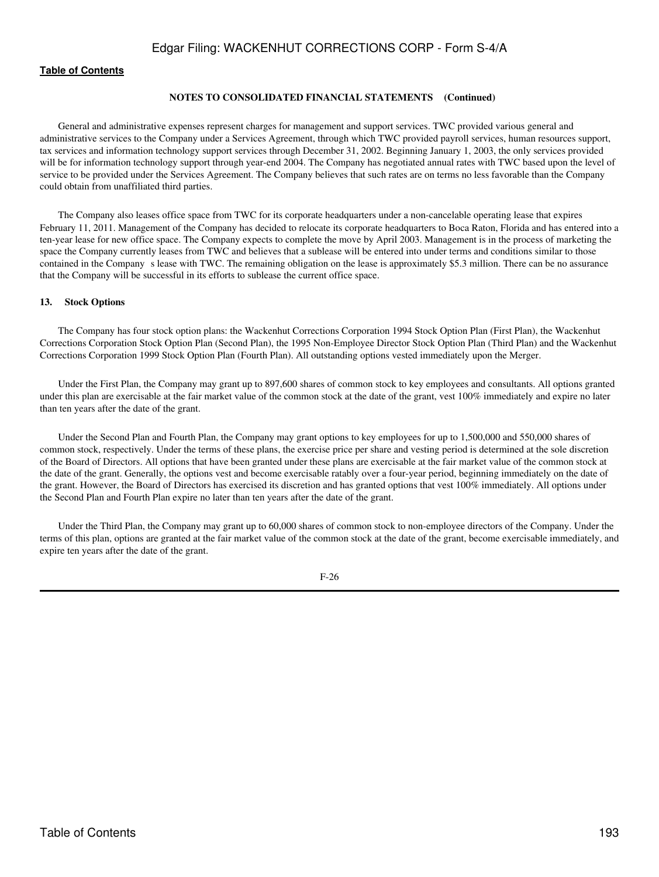## **[Table of Contents](#page-5-0)**

## **NOTES TO CONSOLIDATED FINANCIAL STATEMENTS (Continued)**

General and administrative expenses represent charges for management and support services. TWC provided various general and administrative services to the Company under a Services Agreement, through which TWC provided payroll services, human resources support, tax services and information technology support services through December 31, 2002. Beginning January 1, 2003, the only services provided will be for information technology support through year-end 2004. The Company has negotiated annual rates with TWC based upon the level of service to be provided under the Services Agreement. The Company believes that such rates are on terms no less favorable than the Company could obtain from unaffiliated third parties.

The Company also leases office space from TWC for its corporate headquarters under a non-cancelable operating lease that expires February 11, 2011. Management of the Company has decided to relocate its corporate headquarters to Boca Raton, Florida and has entered into a ten-year lease for new office space. The Company expects to complete the move by April 2003. Management is in the process of marketing the space the Company currently leases from TWC and believes that a sublease will be entered into under terms and conditions similar to those contained in the Company s lease with TWC. The remaining obligation on the lease is approximately \$5.3 million. There can be no assurance that the Company will be successful in its efforts to sublease the current office space.

### **13. Stock Options**

The Company has four stock option plans: the Wackenhut Corrections Corporation 1994 Stock Option Plan (First Plan), the Wackenhut Corrections Corporation Stock Option Plan (Second Plan), the 1995 Non-Employee Director Stock Option Plan (Third Plan) and the Wackenhut Corrections Corporation 1999 Stock Option Plan (Fourth Plan). All outstanding options vested immediately upon the Merger.

Under the First Plan, the Company may grant up to 897,600 shares of common stock to key employees and consultants. All options granted under this plan are exercisable at the fair market value of the common stock at the date of the grant, vest 100% immediately and expire no later than ten years after the date of the grant.

Under the Second Plan and Fourth Plan, the Company may grant options to key employees for up to 1,500,000 and 550,000 shares of common stock, respectively. Under the terms of these plans, the exercise price per share and vesting period is determined at the sole discretion of the Board of Directors. All options that have been granted under these plans are exercisable at the fair market value of the common stock at the date of the grant. Generally, the options vest and become exercisable ratably over a four-year period, beginning immediately on the date of the grant. However, the Board of Directors has exercised its discretion and has granted options that vest 100% immediately. All options under the Second Plan and Fourth Plan expire no later than ten years after the date of the grant.

Under the Third Plan, the Company may grant up to 60,000 shares of common stock to non-employee directors of the Company. Under the terms of this plan, options are granted at the fair market value of the common stock at the date of the grant, become exercisable immediately, and expire ten years after the date of the grant.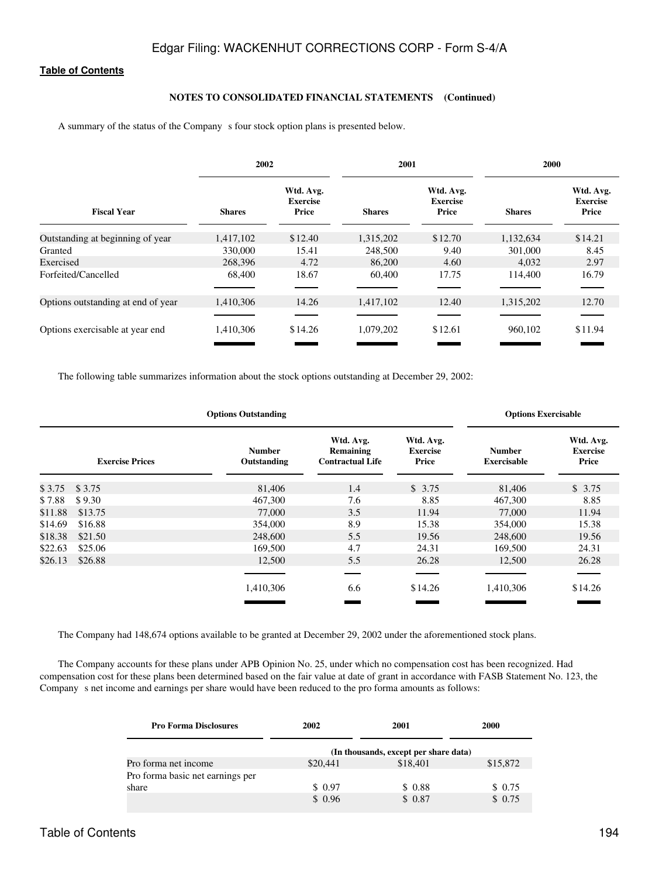## **NOTES TO CONSOLIDATED FINANCIAL STATEMENTS (Continued)**

A summary of the status of the Company s four stock option plans is presented below.

|                                    | 2002          |                                       | 2001          |                                       | 2000          |                                       |
|------------------------------------|---------------|---------------------------------------|---------------|---------------------------------------|---------------|---------------------------------------|
| <b>Fiscal Year</b>                 | <b>Shares</b> | Wtd. Avg.<br><b>Exercise</b><br>Price | <b>Shares</b> | Wtd. Avg.<br><b>Exercise</b><br>Price | <b>Shares</b> | Wtd. Avg.<br><b>Exercise</b><br>Price |
| Outstanding at beginning of year   | 1,417,102     | \$12.40                               | 1,315,202     | \$12.70                               | 1,132,634     | \$14.21                               |
| Granted                            | 330,000       | 15.41                                 | 248,500       | 9.40                                  | 301,000       | 8.45                                  |
| Exercised                          | 268,396       | 4.72                                  | 86,200        | 4.60                                  | 4.032         | 2.97                                  |
| Forfeited/Cancelled                | 68,400        | 18.67                                 | 60,400        | 17.75                                 | 114,400       | 16.79                                 |
|                                    |               |                                       |               |                                       |               |                                       |
| Options outstanding at end of year | 1,410,306     | 14.26                                 | 1,417,102     | 12.40                                 | 1,315,202     | 12.70                                 |
|                                    |               |                                       |               |                                       |               |                                       |
| Options exercisable at year end    | 1,410,306     | \$14.26                               | 1,079,202     | \$12.61                               | 960,102       | \$11.94                               |
|                                    |               |                                       |               |                                       |               |                                       |

The following table summarizes information about the stock options outstanding at December 29, 2002:

|         |                        | <b>Options Outstanding</b>   |                                                   |                                       | <b>Options Exercisable</b>          |                                       |
|---------|------------------------|------------------------------|---------------------------------------------------|---------------------------------------|-------------------------------------|---------------------------------------|
|         | <b>Exercise Prices</b> | <b>Number</b><br>Outstanding | Wtd. Avg.<br>Remaining<br><b>Contractual Life</b> | Wtd. Avg.<br><b>Exercise</b><br>Price | <b>Number</b><br><b>Exercisable</b> | Wtd. Avg.<br><b>Exercise</b><br>Price |
| \$3.75  | \$3.75                 | 81,406                       | 1.4                                               | \$3.75                                | 81,406                              | \$3.75                                |
| \$7.88  | \$9.30                 | 467,300                      | 7.6                                               | 8.85                                  | 467,300                             | 8.85                                  |
| \$11.88 | \$13.75                | 77,000                       | 3.5                                               | 11.94                                 | 77,000                              | 11.94                                 |
| \$14.69 | \$16.88                | 354,000                      | 8.9                                               | 15.38                                 | 354,000                             | 15.38                                 |
| \$18.38 | \$21.50                | 248,600                      | 5.5                                               | 19.56                                 | 248,600                             | 19.56                                 |
| \$22.63 | \$25.06                | 169,500                      | 4.7                                               | 24.31                                 | 169,500                             | 24.31                                 |
| \$26.13 | \$26.88                | 12,500                       | 5.5                                               | 26.28                                 | 12,500                              | 26.28                                 |
|         |                        |                              |                                                   |                                       |                                     |                                       |
|         |                        | 1,410,306                    | 6.6                                               | \$14.26                               | 1,410,306                           | \$14.26                               |

The Company had 148,674 options available to be granted at December 29, 2002 under the aforementioned stock plans.

The Company accounts for these plans under APB Opinion No. 25, under which no compensation cost has been recognized. Had compensation cost for these plans been determined based on the fair value at date of grant in accordance with FASB Statement No. 123, the Company s net income and earnings per share would have been reduced to the pro forma amounts as follows:

| <b>Pro Forma Disclosures</b>     | 2002     | 2001                                  | <b>2000</b> |
|----------------------------------|----------|---------------------------------------|-------------|
|                                  |          | (In thousands, except per share data) |             |
| Pro forma net income             | \$20,441 | \$18,401                              | \$15,872    |
| Pro forma basic net earnings per |          |                                       |             |
| share                            | \$0.97   | \$0.88                                | \$0.75      |
|                                  | \$0.96   | \$0.87                                | \$0.75      |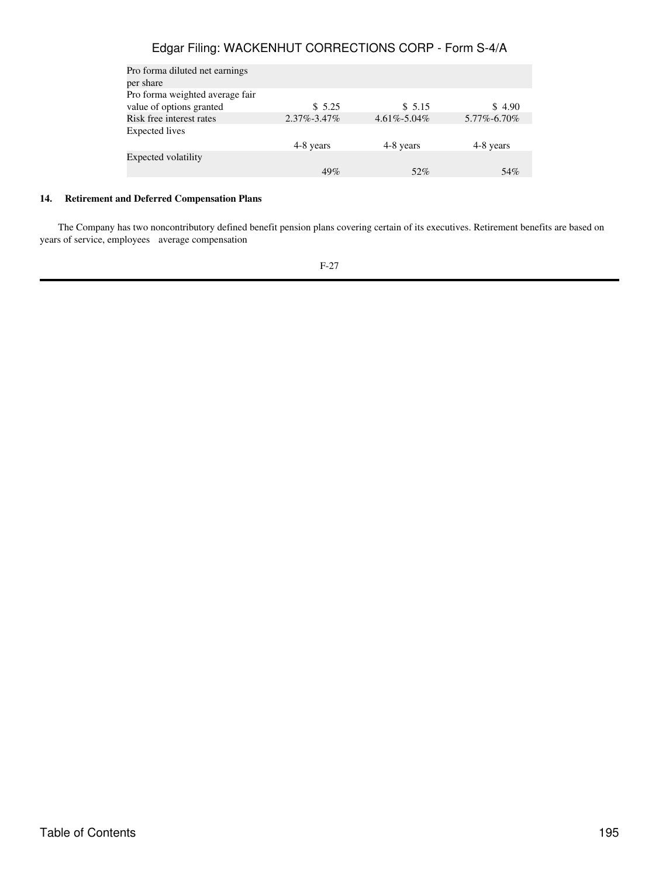| Pro forma diluted net earnings  |                   |                   |             |
|---------------------------------|-------------------|-------------------|-------------|
| per share                       |                   |                   |             |
| Pro forma weighted average fair |                   |                   |             |
| value of options granted        | \$5.25            | \$5.15            | \$4.90      |
| Risk free interest rates        | $2.37\% - 3.47\%$ | $4.61\% - 5.04\%$ | 5.77%-6.70% |
| <b>Expected</b> lives           |                   |                   |             |
|                                 | 4-8 years         | 4-8 years         | 4-8 years   |
| <b>Expected volatility</b>      |                   |                   |             |
|                                 | 49%               | 52%               | 54%         |

## **14. Retirement and Deferred Compensation Plans**

The Company has two noncontributory defined benefit pension plans covering certain of its executives. Retirement benefits are based on years of service, employees average compensation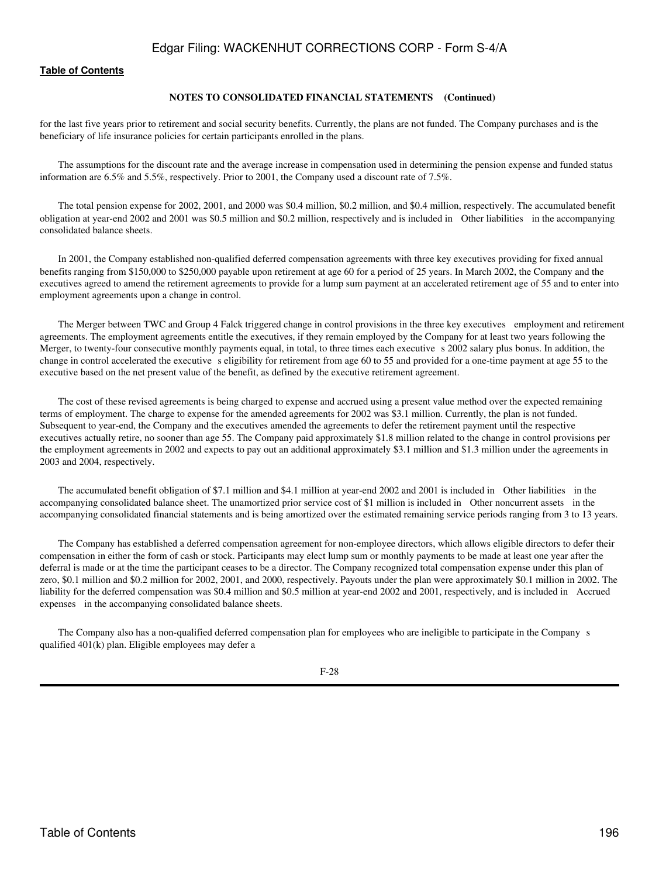### **[Table of Contents](#page-5-0)**

## **NOTES TO CONSOLIDATED FINANCIAL STATEMENTS (Continued)**

for the last five years prior to retirement and social security benefits. Currently, the plans are not funded. The Company purchases and is the beneficiary of life insurance policies for certain participants enrolled in the plans.

The assumptions for the discount rate and the average increase in compensation used in determining the pension expense and funded status information are 6.5% and 5.5%, respectively. Prior to 2001, the Company used a discount rate of 7.5%.

The total pension expense for 2002, 2001, and 2000 was \$0.4 million, \$0.2 million, and \$0.4 million, respectively. The accumulated benefit obligation at year-end 2002 and 2001 was \$0.5 million and \$0.2 million, respectively and is included in Other liabilities in the accompanying consolidated balance sheets.

In 2001, the Company established non-qualified deferred compensation agreements with three key executives providing for fixed annual benefits ranging from \$150,000 to \$250,000 payable upon retirement at age 60 for a period of 25 years. In March 2002, the Company and the executives agreed to amend the retirement agreements to provide for a lump sum payment at an accelerated retirement age of 55 and to enter into employment agreements upon a change in control.

The Merger between TWC and Group 4 Falck triggered change in control provisions in the three key executives employment and retirement agreements. The employment agreements entitle the executives, if they remain employed by the Company for at least two years following the Merger, to twenty-four consecutive monthly payments equal, in total, to three times each executive s 2002 salary plus bonus. In addition, the change in control accelerated the executive s eligibility for retirement from age 60 to 55 and provided for a one-time payment at age 55 to the executive based on the net present value of the benefit, as defined by the executive retirement agreement.

The cost of these revised agreements is being charged to expense and accrued using a present value method over the expected remaining terms of employment. The charge to expense for the amended agreements for 2002 was \$3.1 million. Currently, the plan is not funded. Subsequent to year-end, the Company and the executives amended the agreements to defer the retirement payment until the respective executives actually retire, no sooner than age 55. The Company paid approximately \$1.8 million related to the change in control provisions per the employment agreements in 2002 and expects to pay out an additional approximately \$3.1 million and \$1.3 million under the agreements in 2003 and 2004, respectively.

The accumulated benefit obligation of \$7.1 million and \$4.1 million at year-end 2002 and 2001 is included in Other liabilities in the accompanying consolidated balance sheet. The unamortized prior service cost of \$1 million is included in Other noncurrent assets in the accompanying consolidated financial statements and is being amortized over the estimated remaining service periods ranging from 3 to 13 years.

The Company has established a deferred compensation agreement for non-employee directors, which allows eligible directors to defer their compensation in either the form of cash or stock. Participants may elect lump sum or monthly payments to be made at least one year after the deferral is made or at the time the participant ceases to be a director. The Company recognized total compensation expense under this plan of zero, \$0.1 million and \$0.2 million for 2002, 2001, and 2000, respectively. Payouts under the plan were approximately \$0.1 million in 2002. The liability for the deferred compensation was \$0.4 million and \$0.5 million at year-end 2002 and 2001, respectively, and is included in Accrued expenses in the accompanying consolidated balance sheets.

The Company also has a non-qualified deferred compensation plan for employees who are ineligible to participate in the Companys qualified 401(k) plan. Eligible employees may defer a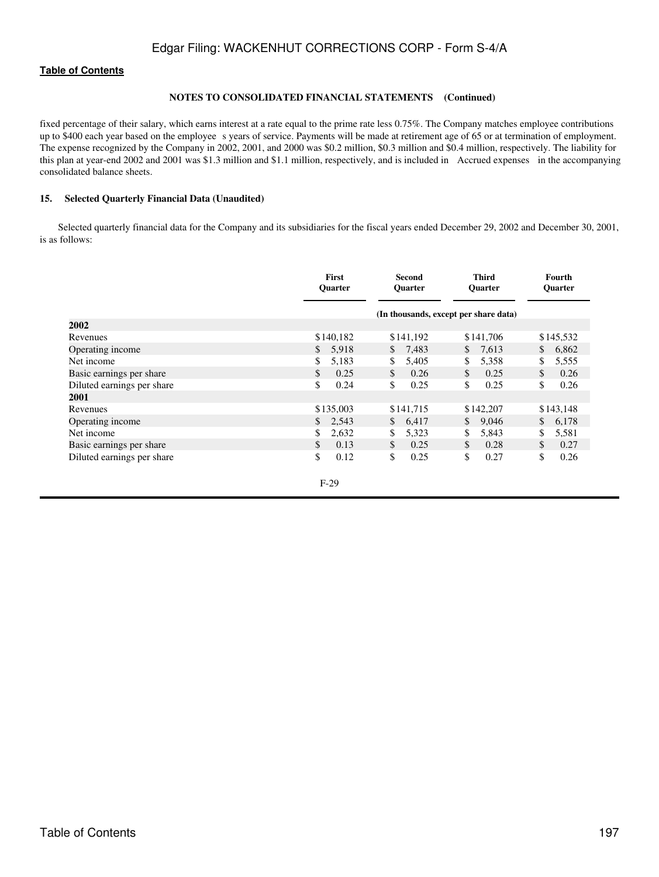## **NOTES TO CONSOLIDATED FINANCIAL STATEMENTS (Continued)**

fixed percentage of their salary, which earns interest at a rate equal to the prime rate less 0.75%. The Company matches employee contributions up to \$400 each year based on the employees years of service. Payments will be made at retirement age of 65 or at termination of employment. The expense recognized by the Company in 2002, 2001, and 2000 was \$0.2 million, \$0.3 million and \$0.4 million, respectively. The liability for this plan at year-end 2002 and 2001 was \$1.3 million and \$1.1 million, respectively, and is included in Accrued expenses in the accompanying consolidated balance sheets.

## **15. Selected Quarterly Financial Data (Unaudited)**

Selected quarterly financial data for the Company and its subsidiaries for the fiscal years ended December 29, 2002 and December 30, 2001, is as follows:

|                            | <b>First</b> | <b>Second</b>                         | <b>Third</b>   | Fourth    |
|----------------------------|--------------|---------------------------------------|----------------|-----------|
|                            | Quarter      | <b>Quarter</b>                        | <b>Ouarter</b> | Quarter   |
|                            |              | (In thousands, except per share data) |                |           |
| 2002                       |              |                                       |                |           |
| Revenues                   | \$140,182    | \$141,192                             | \$141,706      | \$145,532 |
| Operating income           | $\mathbb{S}$ | 7,483                                 | $\mathbb{S}^-$ | \$        |
|                            | 5,918        | $\mathbb{S}$                          | 7,613          | 6,862     |
| Net income                 | \$           | \$                                    | \$             | 5,555     |
|                            | 5,183        | 5,405                                 | 5,358          | \$        |
| Basic earnings per share   | \$           | \$                                    | \$             | 0.26      |
|                            | 0.25         | 0.26                                  | 0.25           | \$        |
| Diluted earnings per share | \$           | \$                                    | \$             | \$        |
|                            | 0.24         | 0.25                                  | 0.25           | 0.26      |
| 2001                       |              |                                       |                |           |
| Revenues                   | \$135,003    | \$141,715                             | \$142,207      | \$143,148 |
| Operating income           | $\mathbb{S}$ | 6,417                                 | 9,046          | \$        |
|                            | 2,543        | \$                                    | \$             | 6,178     |
| Net income                 | \$           | \$                                    | \$             | \$        |
|                            | 2,632        | 5,323                                 | 5,843          | 5,581     |
| Basic earnings per share   | \$           | \$                                    | \$             | \$        |
|                            | 0.13         | 0.25                                  | 0.28           | 0.27      |
| Diluted earnings per share | \$           | \$                                    | \$             | \$        |
|                            | 0.12         | 0.25                                  | 0.27           | 0.26      |

$$
F-29
$$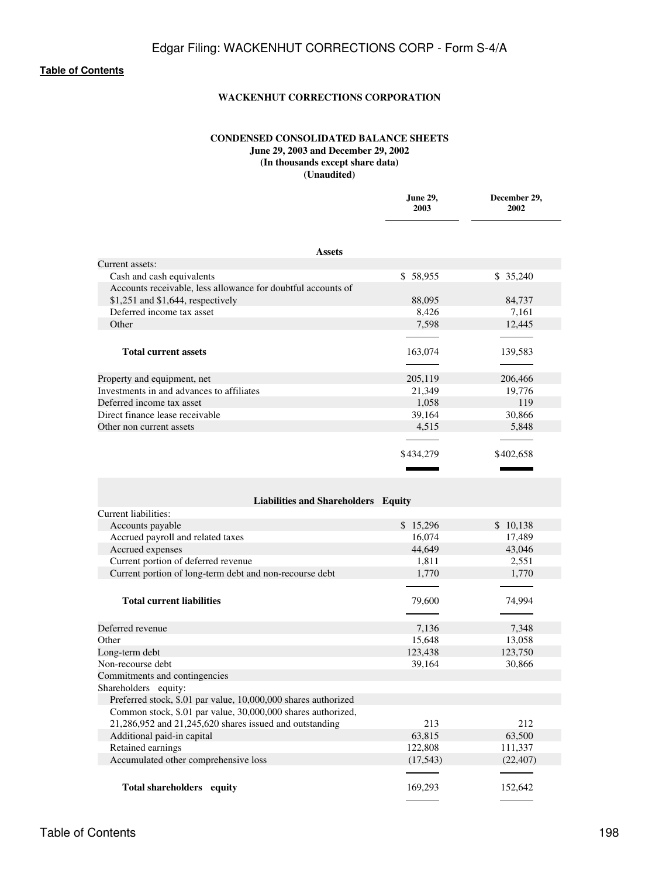## **WACKENHUT CORRECTIONS CORPORATION**

## **CONDENSED CONSOLIDATED BALANCE SHEETS June 29, 2003 and December 29, 2002 (In thousands except share data) (Unaudited)**

|                                                                | June 29,<br>2003 | December 29,<br>2002 |
|----------------------------------------------------------------|------------------|----------------------|
| <b>Assets</b>                                                  |                  |                      |
| Current assets:                                                |                  |                      |
| Cash and cash equivalents                                      | \$58,955         | \$35,240             |
| Accounts receivable, less allowance for doubtful accounts of   |                  |                      |
| \$1,251 and \$1,644, respectively                              | 88,095           | 84,737               |
| Deferred income tax asset                                      | 8,426            | 7,161                |
| Other                                                          | 7,598            | 12,445               |
|                                                                |                  |                      |
| <b>Total current assets</b>                                    | 163,074          | 139,583              |
| Property and equipment, net                                    | 205,119          | 206,466              |
| Investments in and advances to affiliates                      | 21,349           | 19,776               |
| Deferred income tax asset                                      | 1,058            | 119                  |
| Direct finance lease receivable                                | 39,164           | 30,866               |
| Other non current assets                                       | 4.515            | 5,848                |
|                                                                |                  |                      |
|                                                                | \$434,279        | \$402,658            |
|                                                                |                  |                      |
|                                                                |                  |                      |
| Liabilities and Shareholders Equity                            |                  |                      |
| Current liabilities:                                           |                  |                      |
| Accounts payable                                               | \$15,296         | \$10,138             |
| Accrued payroll and related taxes                              | 16,074           | 17,489               |
| Accrued expenses                                               | 44,649           | 43,046               |
| Current portion of deferred revenue                            | 1,811            | 2,551                |
| Current portion of long-term debt and non-recourse debt        | 1,770            | 1,770                |
|                                                                |                  |                      |
| <b>Total current liabilities</b>                               | 79,600           | 74,994               |
|                                                                |                  |                      |
| Deferred revenue                                               | 7,136            | 7,348                |
| Other                                                          | 15,648           | 13,058               |
| Long-term debt                                                 | 123,438          | 123,750              |
| Non-recourse debt                                              | 39,164           | 30,866               |
| Commitments and contingencies                                  |                  |                      |
| Shareholders equity:                                           |                  |                      |
| Preferred stock, \$.01 par value, 10,000,000 shares authorized |                  |                      |
| Common stock, \$.01 par value, 30,000,000 shares authorized,   |                  |                      |
| 21,286,952 and 21,245,620 shares issued and outstanding        | 213              | 212                  |
| Additional paid-in capital                                     | 63,815           | 63,500               |
| Retained earnings                                              | 122,808          | 111,337              |
| Accumulated other comprehensive loss                           | (17, 543)        | (22, 407)            |
|                                                                |                  |                      |
| Total shareholders equity                                      | 169,293          | 152,642              |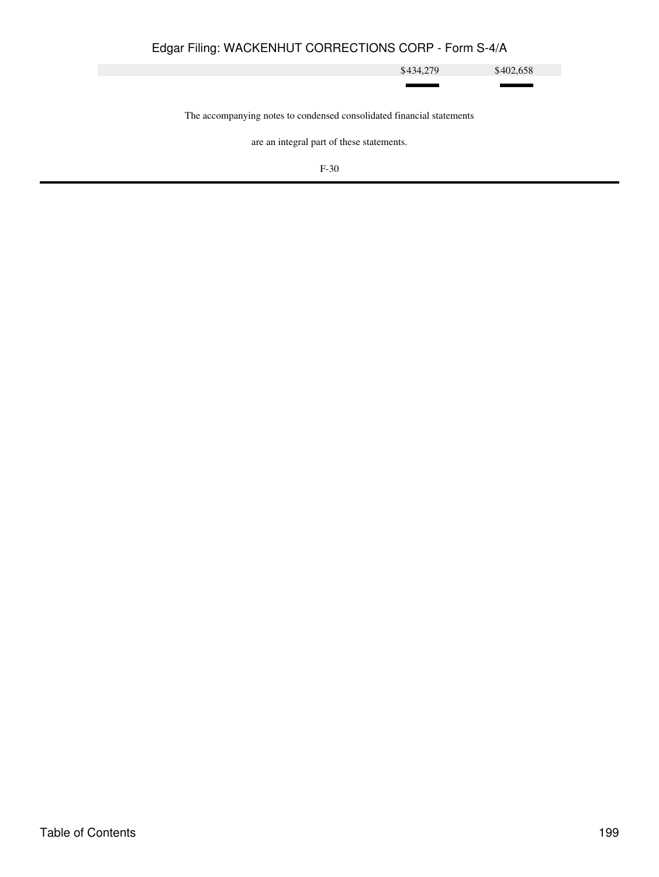|                                                                       | \$434,279 | \$402,658 |
|-----------------------------------------------------------------------|-----------|-----------|
|                                                                       |           |           |
|                                                                       |           |           |
| The accompanying notes to condensed consolidated financial statements |           |           |
|                                                                       |           |           |
|                                                                       |           |           |
| are an integral part of these statements.                             |           |           |
|                                                                       |           |           |
| $F-30$                                                                |           |           |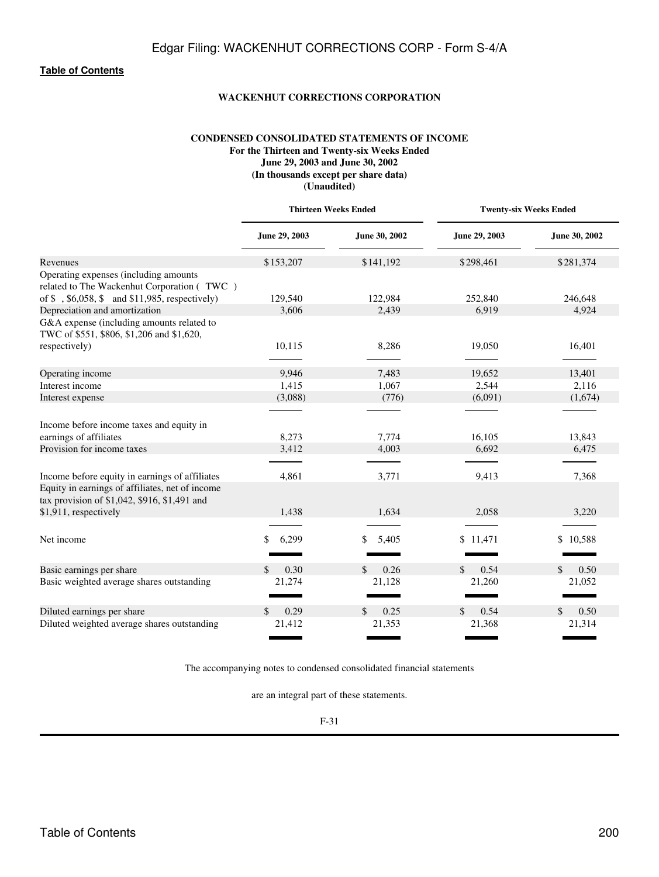## **WACKENHUT CORRECTIONS CORPORATION**

## **CONDENSED CONSOLIDATED STATEMENTS OF INCOME For the Thirteen and Twenty-six Weeks Ended June 29, 2003 and June 30, 2002 (In thousands except per share data) (Unaudited)**

|                                                                                                   | <b>Thirteen Weeks Ended</b> |               | <b>Twenty-six Weeks Ended</b> |               |
|---------------------------------------------------------------------------------------------------|-----------------------------|---------------|-------------------------------|---------------|
|                                                                                                   | June 29, 2003               | June 30, 2002 | June 29, 2003                 | June 30, 2002 |
| Revenues                                                                                          | \$153,207                   | \$141,192     | \$298,461                     | \$281,374     |
| Operating expenses (including amounts                                                             |                             |               |                               |               |
| related to The Wackenhut Corporation (TWC)                                                        |                             |               |                               |               |
| of \$, \$6,058, \$ and \$11,985, respectively)                                                    | 129,540                     | 122,984       | 252,840                       | 246,648       |
| Depreciation and amortization                                                                     | 3,606                       | 2,439         | 6,919                         | 4,924         |
| G&A expense (including amounts related to<br>TWC of \$551, \$806, \$1,206 and \$1,620,            |                             |               |                               |               |
| respectively)                                                                                     | 10,115                      | 8,286         | 19,050                        | 16,401        |
|                                                                                                   |                             |               |                               |               |
| Operating income                                                                                  | 9.946                       | 7,483         | 19.652                        | 13,401        |
| Interest income                                                                                   | 1,415                       | 1,067         | 2,544                         | 2,116         |
| Interest expense                                                                                  | (3,088)                     | (776)         | (6,091)                       | (1,674)       |
|                                                                                                   |                             |               |                               |               |
| Income before income taxes and equity in                                                          |                             |               |                               |               |
| earnings of affiliates                                                                            | 8,273                       | 7,774         | 16,105                        | 13,843        |
| Provision for income taxes                                                                        | 3,412                       | 4,003         | 6,692                         | 6,475         |
|                                                                                                   |                             |               |                               |               |
|                                                                                                   | 4,861                       | 3,771         | 9,413                         | 7,368         |
| Income before equity in earnings of affiliates<br>Equity in earnings of affiliates, net of income |                             |               |                               |               |
| tax provision of \$1,042, \$916, \$1,491 and                                                      |                             |               |                               |               |
| \$1,911, respectively                                                                             | 1,438                       | 1,634         | 2,058                         | 3,220         |
|                                                                                                   |                             |               |                               |               |
|                                                                                                   |                             |               |                               |               |
| Net income                                                                                        | 6,299<br>\$                 | 5,405         | \$11,471                      | 10,588<br>\$. |
|                                                                                                   |                             |               |                               |               |
| Basic earnings per share                                                                          | 0.30                        | 0.26          | \$<br>0.54                    | 0.50          |
| Basic weighted average shares outstanding                                                         | 21,274                      | 21,128        | 21,260                        | 21,052        |
|                                                                                                   |                             |               |                               |               |
| Diluted earnings per share                                                                        | 0.29<br>\$                  | 0.25<br>\$    | 0.54<br>\$                    | 0.50<br>\$    |
| Diluted weighted average shares outstanding                                                       | 21,412                      | 21,353        | 21,368                        | 21,314        |
|                                                                                                   |                             |               |                               |               |

The accompanying notes to condensed consolidated financial statements

are an integral part of these statements.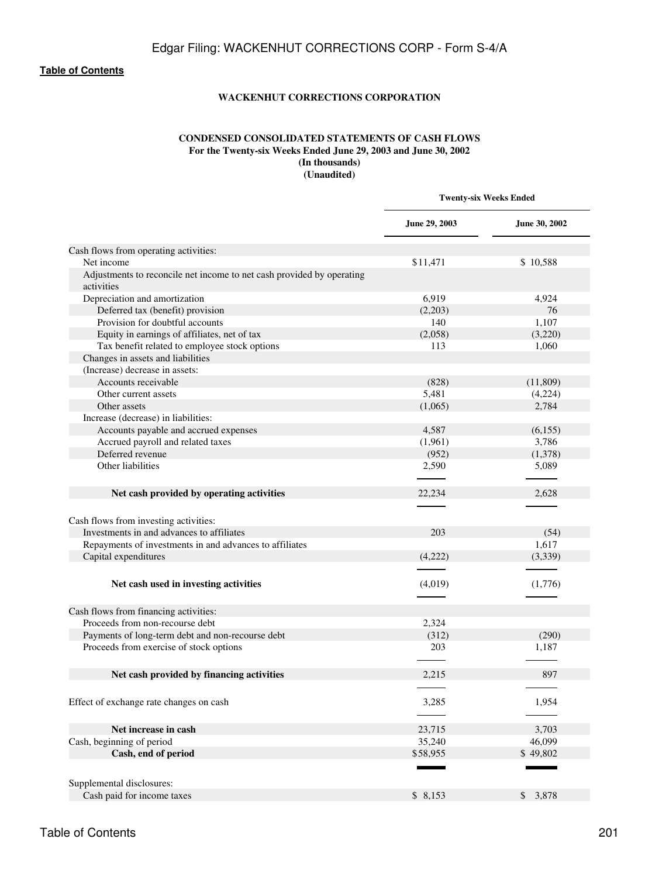# **WACKENHUT CORRECTIONS CORPORATION**

## **CONDENSED CONSOLIDATED STATEMENTS OF CASH FLOWS For the Twenty-six Weeks Ended June 29, 2003 and June 30, 2002 (In thousands)**

**(Unaudited)**

|                                                                                     | <b>Twenty-six Weeks Ended</b> |               |  |
|-------------------------------------------------------------------------------------|-------------------------------|---------------|--|
|                                                                                     | June 29, 2003                 | June 30, 2002 |  |
| Cash flows from operating activities:                                               |                               |               |  |
| Net income                                                                          | \$11,471                      | \$10,588      |  |
| Adjustments to reconcile net income to net cash provided by operating<br>activities |                               |               |  |
| Depreciation and amortization                                                       | 6,919                         | 4,924         |  |
| Deferred tax (benefit) provision                                                    | (2,203)                       | 76            |  |
| Provision for doubtful accounts                                                     | 140                           | 1,107         |  |
| Equity in earnings of affiliates, net of tax                                        | (2,058)                       | (3,220)       |  |
| Tax benefit related to employee stock options                                       | 113                           | 1,060         |  |
| Changes in assets and liabilities                                                   |                               |               |  |
| (Increase) decrease in assets:                                                      |                               |               |  |
| Accounts receivable                                                                 | (828)                         | (11,809)      |  |
| Other current assets                                                                | 5,481                         | (4,224)       |  |
| Other assets                                                                        | (1,065)                       | 2,784         |  |
| Increase (decrease) in liabilities:                                                 |                               |               |  |
| Accounts payable and accrued expenses                                               | 4,587                         | (6, 155)      |  |
| Accrued payroll and related taxes                                                   | (1,961)                       | 3,786         |  |
| Deferred revenue                                                                    | (952)                         | (1,378)       |  |
| Other liabilities                                                                   | 2,590                         | 5,089         |  |
| Net cash provided by operating activities                                           | 22,234                        | 2,628         |  |
| Cash flows from investing activities:                                               |                               |               |  |
| Investments in and advances to affiliates                                           | 203                           | (54)          |  |
| Repayments of investments in and advances to affiliates                             |                               | 1,617         |  |
| Capital expenditures                                                                | (4,222)                       | (3,339)       |  |
|                                                                                     |                               |               |  |
| Net cash used in investing activities                                               | (4,019)                       | (1,776)       |  |
| Cash flows from financing activities:                                               |                               |               |  |
| Proceeds from non-recourse debt                                                     | 2,324                         |               |  |
| Payments of long-term debt and non-recourse debt                                    | (312)                         | (290)         |  |
| Proceeds from exercise of stock options                                             | 203                           | 1,187         |  |
| Net cash provided by financing activities                                           | 2,215                         | 897           |  |
| Effect of exchange rate changes on cash                                             | 3,285                         | 1,954         |  |
| Net increase in cash                                                                | 23,715                        | 3,703         |  |
| Cash, beginning of period                                                           | 35,240                        | 46,099        |  |
| Cash, end of period                                                                 | \$58,955                      | \$49,802      |  |
|                                                                                     |                               |               |  |
| Supplemental disclosures:                                                           |                               |               |  |
| Cash paid for income taxes                                                          | \$8,153                       | \$3,878       |  |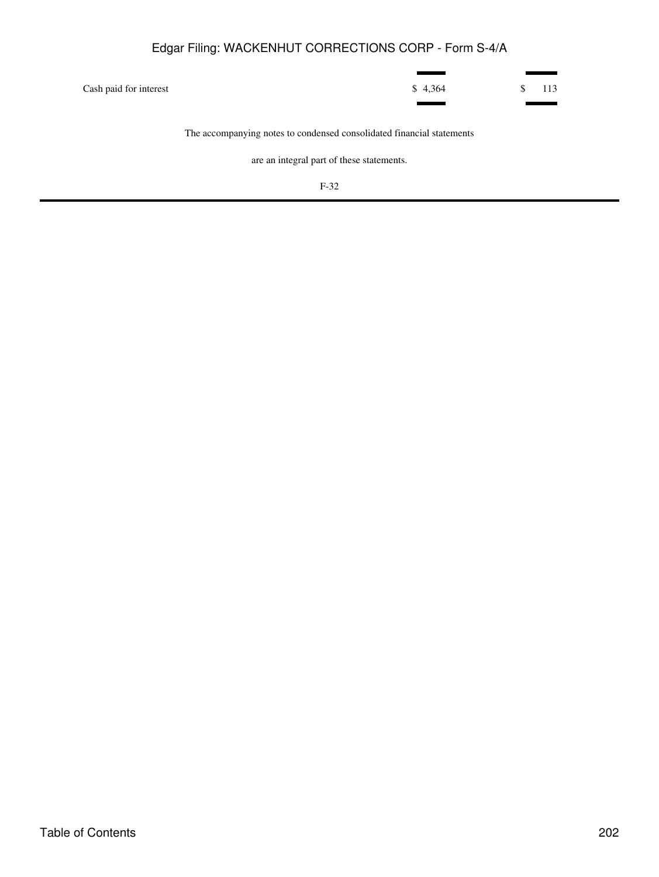Cash paid for interest \$ 4,364 \$ 113

The accompanying notes to condensed consolidated financial statements

are an integral part of these statements.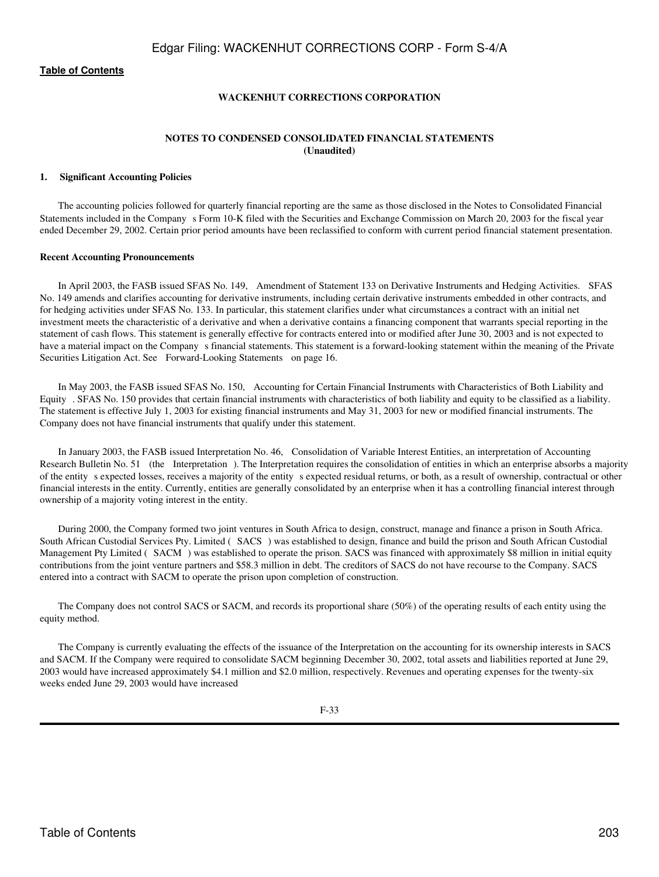## **WACKENHUT CORRECTIONS CORPORATION**

### **NOTES TO CONDENSED CONSOLIDATED FINANCIAL STATEMENTS (Unaudited)**

#### **1. Significant Accounting Policies**

The accounting policies followed for quarterly financial reporting are the same as those disclosed in the Notes to Consolidated Financial Statements included in the Company s Form 10-K filed with the Securities and Exchange Commission on March 20, 2003 for the fiscal year ended December 29, 2002. Certain prior period amounts have been reclassified to conform with current period financial statement presentation.

#### **Recent Accounting Pronouncements**

In April 2003, the FASB issued SFAS No. 149, Amendment of Statement 133 on Derivative Instruments and Hedging Activities. SFAS No. 149 amends and clarifies accounting for derivative instruments, including certain derivative instruments embedded in other contracts, and for hedging activities under SFAS No. 133. In particular, this statement clarifies under what circumstances a contract with an initial net investment meets the characteristic of a derivative and when a derivative contains a financing component that warrants special reporting in the statement of cash flows. This statement is generally effective for contracts entered into or modified after June 30, 2003 and is not expected to have a material impact on the Company s financial statements. This statement is a forward-looking statement within the meaning of the Private Securities Litigation Act. See Forward-Looking Statements on page 16.

In May 2003, the FASB issued SFAS No. 150, Accounting for Certain Financial Instruments with Characteristics of Both Liability and Equity. SFAS No. 150 provides that certain financial instruments with characteristics of both liability and equity to be classified as a liability. The statement is effective July 1, 2003 for existing financial instruments and May 31, 2003 for new or modified financial instruments. The Company does not have financial instruments that qualify under this statement.

In January 2003, the FASB issued Interpretation No. 46, Consolidation of Variable Interest Entities, an interpretation of Accounting Research Bulletin No. 51 (the Interpretation). The Interpretation requires the consolidation of entities in which an enterprise absorbs a majority of the entitys expected losses, receives a majority of the entitys expected residual returns, or both, as a result of ownership, contractual or other financial interests in the entity. Currently, entities are generally consolidated by an enterprise when it has a controlling financial interest through ownership of a majority voting interest in the entity.

During 2000, the Company formed two joint ventures in South Africa to design, construct, manage and finance a prison in South Africa. South African Custodial Services Pty. Limited (SACS) was established to design, finance and build the prison and South African Custodial Management Pty Limited (SACM) was established to operate the prison. SACS was financed with approximately \$8 million in initial equity contributions from the joint venture partners and \$58.3 million in debt. The creditors of SACS do not have recourse to the Company. SACS entered into a contract with SACM to operate the prison upon completion of construction.

The Company does not control SACS or SACM, and records its proportional share (50%) of the operating results of each entity using the equity method.

The Company is currently evaluating the effects of the issuance of the Interpretation on the accounting for its ownership interests in SACS and SACM. If the Company were required to consolidate SACM beginning December 30, 2002, total assets and liabilities reported at June 29, 2003 would have increased approximately \$4.1 million and \$2.0 million, respectively. Revenues and operating expenses for the twenty-six weeks ended June 29, 2003 would have increased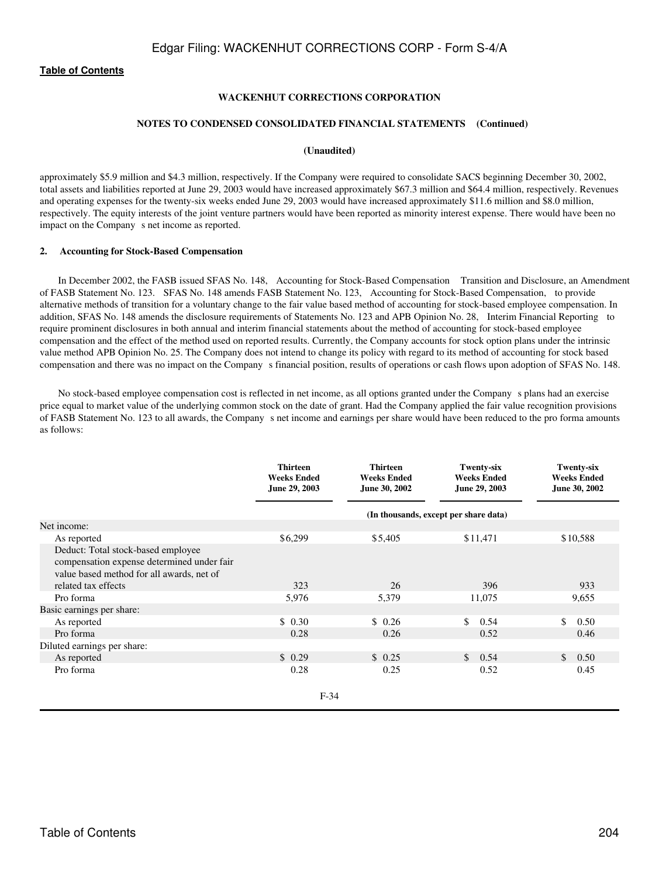## **[Table of Contents](#page-5-0)**

## **WACKENHUT CORRECTIONS CORPORATION**

#### **NOTES TO CONDENSED CONSOLIDATED FINANCIAL STATEMENTS (Continued)**

#### **(Unaudited)**

approximately \$5.9 million and \$4.3 million, respectively. If the Company were required to consolidate SACS beginning December 30, 2002, total assets and liabilities reported at June 29, 2003 would have increased approximately \$67.3 million and \$64.4 million, respectively. Revenues and operating expenses for the twenty-six weeks ended June 29, 2003 would have increased approximately \$11.6 million and \$8.0 million, respectively. The equity interests of the joint venture partners would have been reported as minority interest expense. There would have been no impact on the Company s net income as reported.

#### **2. Accounting for Stock-Based Compensation**

In December 2002, the FASB issued SFAS No. 148, Accounting for Stock-Based Compensation Transition and Disclosure, an Amendment of FASB Statement No. 123. SFAS No. 148 amends FASB Statement No. 123, Accounting for Stock-Based Compensation, to provide alternative methods of transition for a voluntary change to the fair value based method of accounting for stock-based employee compensation. In addition, SFAS No. 148 amends the disclosure requirements of Statements No. 123 and APB Opinion No. 28, Interim Financial Reporting to require prominent disclosures in both annual and interim financial statements about the method of accounting for stock-based employee compensation and the effect of the method used on reported results. Currently, the Company accounts for stock option plans under the intrinsic value method APB Opinion No. 25. The Company does not intend to change its policy with regard to its method of accounting for stock based compensation and there was no impact on the Companys financial position, results of operations or cash flows upon adoption of SFAS No. 148.

No stock-based employee compensation cost is reflected in net income, as all options granted under the Companys plans had an exercise price equal to market value of the underlying common stock on the date of grant. Had the Company applied the fair value recognition provisions of FASB Statement No. 123 to all awards, the Companys net income and earnings per share would have been reduced to the pro forma amounts as follows:

|                                                                                                                               | <b>Thirteen</b><br><b>Weeks Ended</b><br>June 29, 2003 | <b>Thirteen</b><br><b>Weeks Ended</b><br>June 30, 2002 | <b>Twenty-six</b><br><b>Weeks Ended</b><br>June 29, 2003 | <b>Twenty-six</b><br><b>Weeks Ended</b><br>June 30, 2002 |
|-------------------------------------------------------------------------------------------------------------------------------|--------------------------------------------------------|--------------------------------------------------------|----------------------------------------------------------|----------------------------------------------------------|
|                                                                                                                               |                                                        |                                                        | (In thousands, except per share data)                    |                                                          |
| Net income:                                                                                                                   |                                                        |                                                        |                                                          |                                                          |
| As reported                                                                                                                   | \$6,299                                                | \$5,405                                                | \$11,471                                                 | \$10,588                                                 |
| Deduct: Total stock-based employee<br>compensation expense determined under fair<br>value based method for all awards, net of |                                                        |                                                        |                                                          |                                                          |
| related tax effects                                                                                                           | 323                                                    | 26                                                     | 396                                                      | 933                                                      |
| Pro forma                                                                                                                     | 5,976                                                  | 5,379                                                  | 11,075                                                   | 9,655                                                    |
| Basic earnings per share:                                                                                                     |                                                        |                                                        |                                                          |                                                          |
| As reported                                                                                                                   | \$0.30                                                 | \$0.26                                                 | \$<br>0.54                                               | \$<br>0.50                                               |
| Pro forma                                                                                                                     | 0.28                                                   | 0.26                                                   | 0.52                                                     | 0.46                                                     |
| Diluted earnings per share:                                                                                                   |                                                        |                                                        |                                                          |                                                          |
| As reported                                                                                                                   | \$0.29                                                 | \$0.25                                                 | $\mathbb{S}$<br>0.54                                     | $\mathbb{S}^-$<br>0.50                                   |
| Pro forma                                                                                                                     | 0.28                                                   | 0.25                                                   | 0.52                                                     | 0.45                                                     |
|                                                                                                                               | $F-34$                                                 |                                                        |                                                          |                                                          |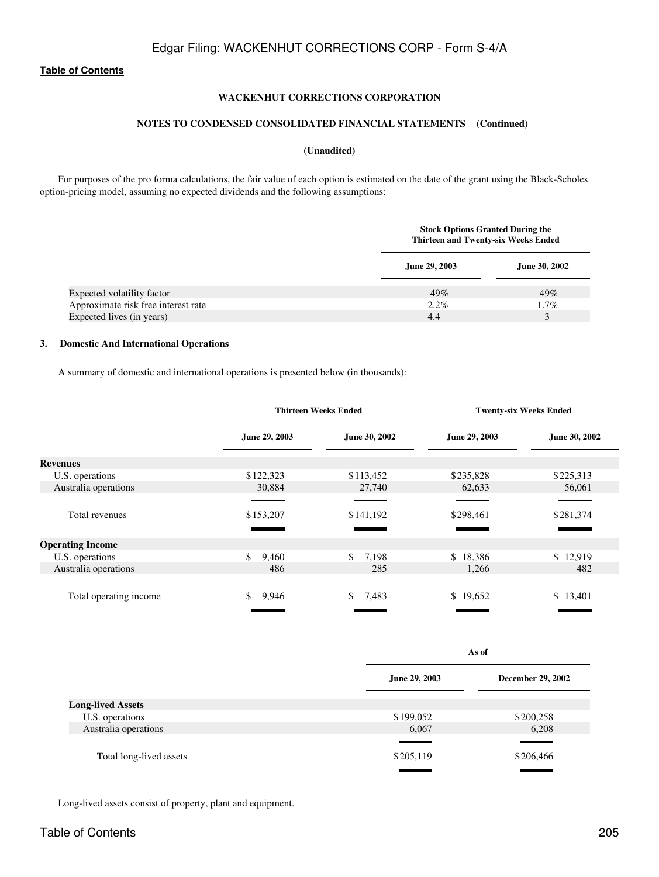## **[Table of Contents](#page-5-0)**

## **WACKENHUT CORRECTIONS CORPORATION**

## **NOTES TO CONDENSED CONSOLIDATED FINANCIAL STATEMENTS (Continued)**

#### **(Unaudited)**

For purposes of the pro forma calculations, the fair value of each option is estimated on the date of the grant using the Black-Scholes option-pricing model, assuming no expected dividends and the following assumptions:

|                                     |               | <b>Stock Options Granted During the</b><br><b>Thirteen and Twenty-six Weeks Ended</b> |  |  |
|-------------------------------------|---------------|---------------------------------------------------------------------------------------|--|--|
|                                     | June 29, 2003 | June 30, 2002                                                                         |  |  |
| Expected volatility factor          | 49%           | 49%                                                                                   |  |  |
| Approximate risk free interest rate | $2.2\%$       | $1.7\%$                                                                               |  |  |
| Expected lives (in years)           | 4.4           |                                                                                       |  |  |

#### **3. Domestic And International Operations**

A summary of domestic and international operations is presented below (in thousands):

|                         |               | <b>Thirteen Weeks Ended</b> |               | <b>Twenty-six Weeks Ended</b> |  |
|-------------------------|---------------|-----------------------------|---------------|-------------------------------|--|
|                         | June 29, 2003 | June 30, 2002               | June 29, 2003 | June 30, 2002                 |  |
| <b>Revenues</b>         |               |                             |               |                               |  |
| U.S. operations         | \$122,323     | \$113,452                   | \$235,828     | \$225,313                     |  |
| Australia operations    | 30,884        | 27,740                      | 62,633        | 56,061                        |  |
|                         |               |                             |               |                               |  |
| Total revenues          | \$153,207     | \$141,192                   | \$298,461     | \$281,374                     |  |
|                         |               |                             |               |                               |  |
| <b>Operating Income</b> |               |                             |               |                               |  |
| U.S. operations         | \$<br>9,460   | \$<br>7,198                 | \$18,386      | \$12,919                      |  |
| Australia operations    | 486           | 285                         | 1,266         | 482                           |  |
|                         |               |                             |               |                               |  |
| Total operating income  | 9,946         | 7,483                       | \$19,652      | \$13,401                      |  |
|                         |               |                             |               |                               |  |

|                          |               | As of                    |
|--------------------------|---------------|--------------------------|
|                          | June 29, 2003 | <b>December 29, 2002</b> |
| <b>Long-lived Assets</b> |               |                          |
| U.S. operations          | \$199,052     | \$200,258                |
| Australia operations     | 6,067         | 6,208                    |
|                          |               |                          |
| Total long-lived assets  | \$205,119     | \$206,466                |

Long-lived assets consist of property, plant and equipment.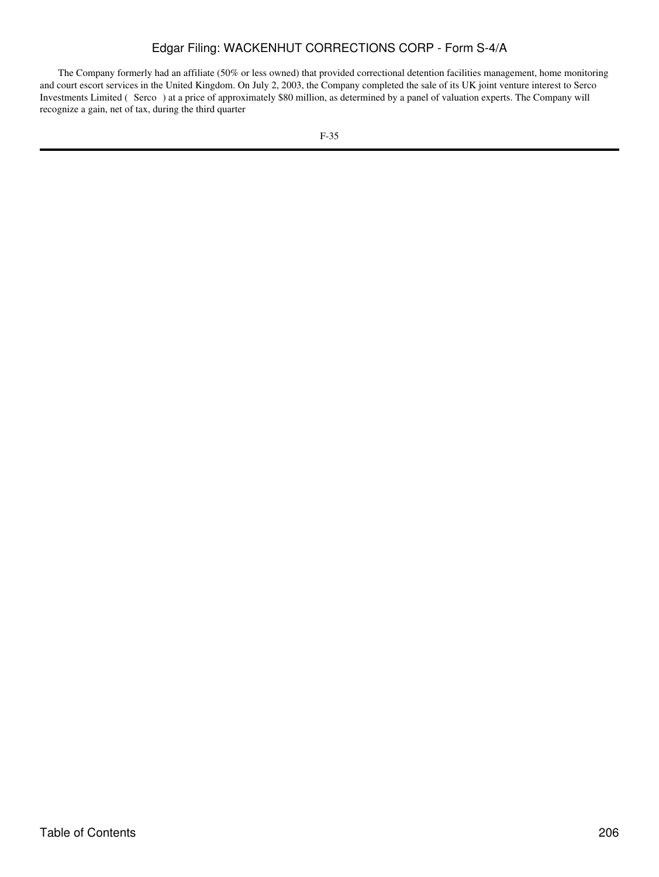The Company formerly had an affiliate (50% or less owned) that provided correctional detention facilities management, home monitoring and court escort services in the United Kingdom. On July 2, 2003, the Company completed the sale of its UK joint venture interest to Serco Investments Limited (Serco) at a price of approximately \$80 million, as determined by a panel of valuation experts. The Company will recognize a gain, net of tax, during the third quarter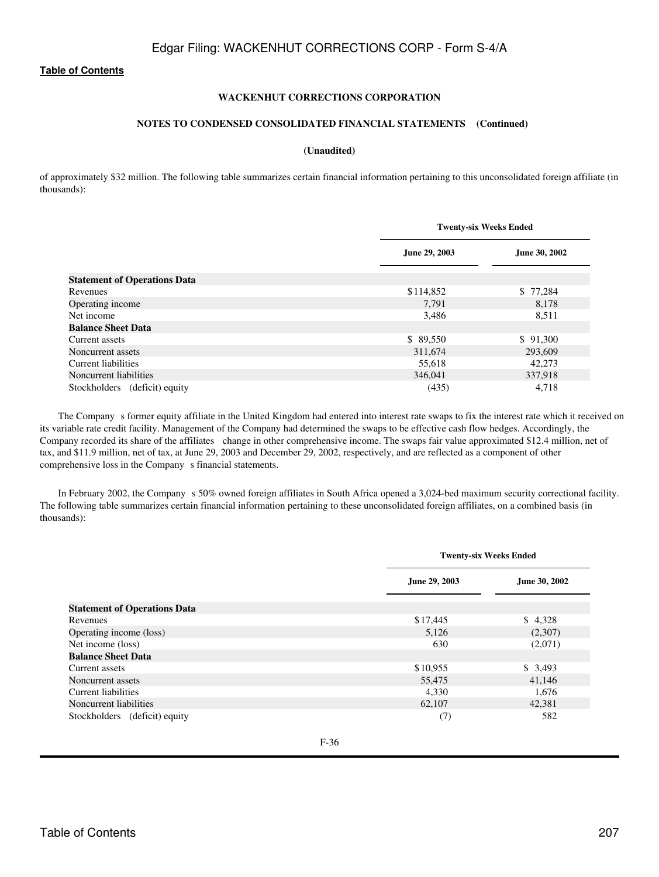## **[Table of Contents](#page-5-0)**

## **WACKENHUT CORRECTIONS CORPORATION**

## **NOTES TO CONDENSED CONSOLIDATED FINANCIAL STATEMENTS (Continued)**

#### **(Unaudited)**

of approximately \$32 million. The following table summarizes certain financial information pertaining to this unconsolidated foreign affiliate (in thousands):

|                                     |               | <b>Twenty-six Weeks Ended</b> |  |  |
|-------------------------------------|---------------|-------------------------------|--|--|
|                                     | June 29, 2003 | <b>June 30, 2002</b>          |  |  |
| <b>Statement of Operations Data</b> |               |                               |  |  |
| Revenues                            | \$114,852     | \$77,284                      |  |  |
| Operating income                    | 7.791         | 8,178                         |  |  |
| Net income                          | 3,486         | 8,511                         |  |  |
| <b>Balance Sheet Data</b>           |               |                               |  |  |
| Current assets                      | \$ 89,550     | \$91,300                      |  |  |
| Noncurrent assets                   | 311,674       | 293,609                       |  |  |
| Current liabilities                 | 55,618        | 42,273                        |  |  |
| Noncurrent liabilities              | 346,041       | 337,918                       |  |  |
| Stockholders (deficit) equity       | (435)         | 4,718                         |  |  |

The Company s former equity affiliate in the United Kingdom had entered into interest rate swaps to fix the interest rate which it received on its variable rate credit facility. Management of the Company had determined the swaps to be effective cash flow hedges. Accordingly, the Company recorded its share of the affiliates change in other comprehensive income. The swaps fair value approximated \$12.4 million, net of tax, and \$11.9 million, net of tax, at June 29, 2003 and December 29, 2002, respectively, and are reflected as a component of other comprehensive loss in the Company s financial statements.

In February 2002, the Company s 50% owned foreign affiliates in South Africa opened a 3,024-bed maximum security correctional facility. The following table summarizes certain financial information pertaining to these unconsolidated foreign affiliates, on a combined basis (in thousands):

|                                     |               | <b>Twenty-six Weeks Ended</b> |  |  |
|-------------------------------------|---------------|-------------------------------|--|--|
|                                     | June 29, 2003 | June 30, 2002                 |  |  |
| <b>Statement of Operations Data</b> |               |                               |  |  |
| Revenues                            | \$17,445      | \$4,328                       |  |  |
| Operating income (loss)             | 5,126         | (2,307)                       |  |  |
| Net income (loss)                   | 630           | (2,071)                       |  |  |
| <b>Balance Sheet Data</b>           |               |                               |  |  |
| Current assets                      | \$10,955      | \$3,493                       |  |  |
| Noncurrent assets                   | 55,475        | 41,146                        |  |  |
| Current liabilities                 | 4,330         | 1,676                         |  |  |
| Noncurrent liabilities              | 62,107        | 42,381                        |  |  |
| Stockholders (deficit) equity       | (7)           | 582                           |  |  |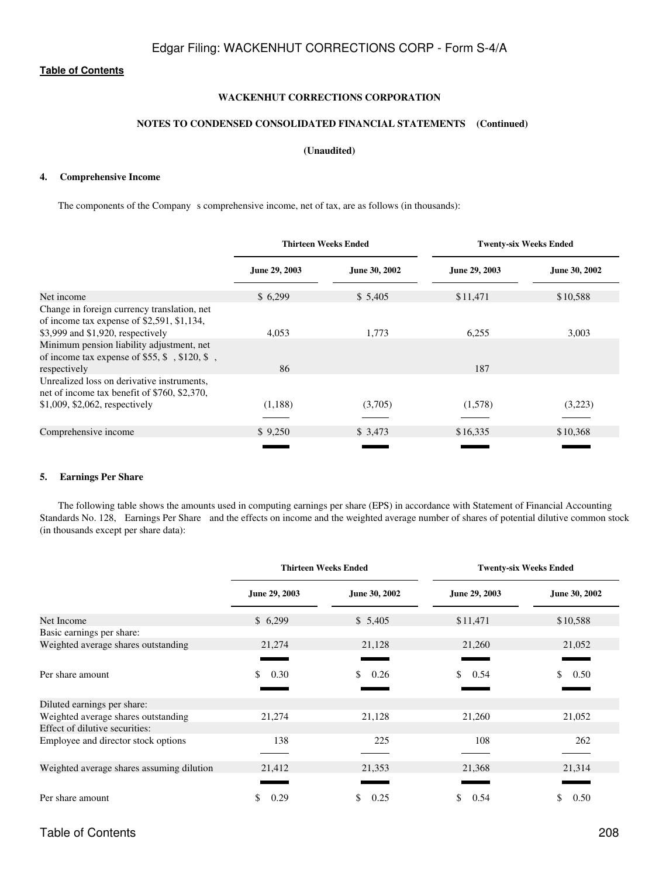## **[Table of Contents](#page-5-0)**

## **WACKENHUT CORRECTIONS CORPORATION**

## **NOTES TO CONDENSED CONSOLIDATED FINANCIAL STATEMENTS (Continued)**

#### **(Unaudited)**

## **4. Comprehensive Income**

The components of the Company s comprehensive income, net of tax, are as follows (in thousands):

|                                                                                                                                 | <b>Thirteen Weeks Ended</b> |                      | <b>Twenty-six Weeks Ended</b> |               |
|---------------------------------------------------------------------------------------------------------------------------------|-----------------------------|----------------------|-------------------------------|---------------|
|                                                                                                                                 | June 29, 2003               | <b>June 30, 2002</b> | June 29, 2003                 | June 30, 2002 |
| Net income                                                                                                                      | \$6.299                     | \$5,405              | \$11,471                      | \$10,588      |
| Change in foreign currency translation, net<br>of income tax expense of $$2,591, $1,134$ ,<br>\$3,999 and \$1,920, respectively | 4.053                       | 1.773                | 6,255                         | 3,003         |
| Minimum pension liability adjustment, net<br>of income tax expense of \$55, $\frac{1}{2}$ , \$120, \$,<br>respectively          | 86                          |                      | 187                           |               |
| Unrealized loss on derivative instruments,<br>net of income tax benefit of \$760, \$2,370,                                      |                             |                      |                               |               |
| \$1,009, \$2,062, respectively                                                                                                  | (1,188)                     | (3,705)              | (1,578)                       | (3,223)       |
|                                                                                                                                 |                             |                      |                               |               |
| Comprehensive income                                                                                                            | \$9,250                     | \$3,473              | \$16,335                      | \$10,368      |

#### **5. Earnings Per Share**

The following table shows the amounts used in computing earnings per share (EPS) in accordance with Statement of Financial Accounting Standards No. 128, Earnings Per Share and the effects on income and the weighted average number of shares of potential dilutive common stock (in thousands except per share data):

|                                           | <b>Thirteen Weeks Ended</b> |               | <b>Twenty-six Weeks Ended</b> |               |
|-------------------------------------------|-----------------------------|---------------|-------------------------------|---------------|
|                                           | June 29, 2003               | June 30, 2002 | June 29, 2003                 | June 30, 2002 |
| Net Income                                | \$6,299                     | \$5,405       | \$11,471                      | \$10,588      |
| Basic earnings per share:                 |                             |               |                               |               |
| Weighted average shares outstanding       | 21,274                      | 21,128        | 21,260                        | 21,052        |
|                                           |                             |               |                               |               |
| Per share amount                          | \$<br>0.30                  | \$.<br>0.26   | \$<br>0.54                    | \$<br>0.50    |
|                                           |                             |               |                               |               |
| Diluted earnings per share:               |                             |               |                               |               |
| Weighted average shares outstanding       | 21,274                      | 21,128        | 21,260                        | 21,052        |
| Effect of dilutive securities:            |                             |               |                               |               |
| Employee and director stock options       | 138                         | 225           | 108                           | 262           |
|                                           |                             |               |                               |               |
| Weighted average shares assuming dilution | 21,412                      | 21,353        | 21,368                        | 21,314        |
|                                           |                             |               |                               |               |
| Per share amount                          | 0.29                        | 0.25<br>S.    | 0.54<br>S.                    | 0.50          |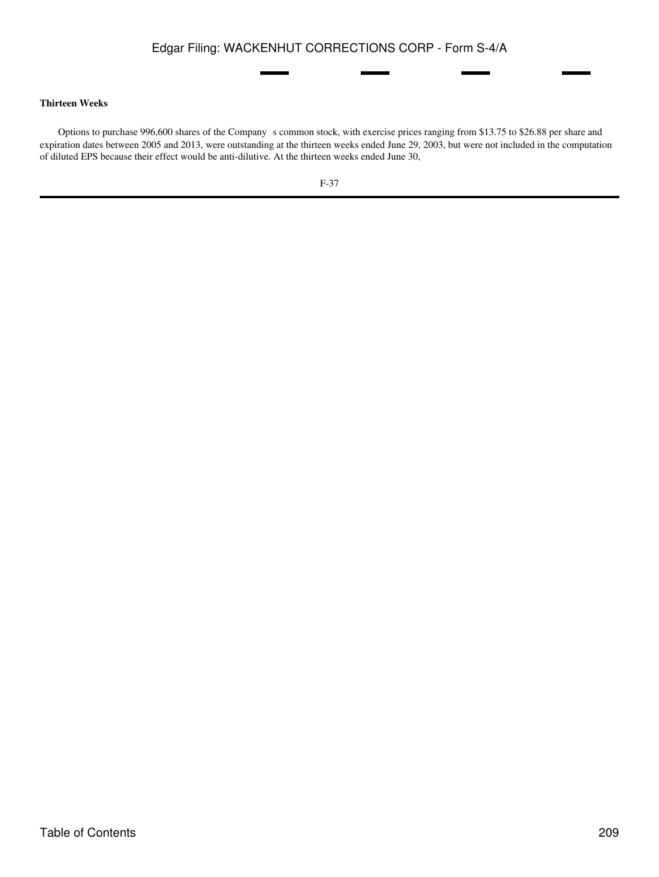## **Thirteen Weeks**

Options to purchase 996,600 shares of the Company s common stock, with exercise prices ranging from \$13.75 to \$26.88 per share and expiration dates between 2005 and 2013, were outstanding at the thirteen weeks ended June 29, 2003, but were not included in the computation of diluted EPS because their effect would be anti-dilutive. At the thirteen weeks ended June 30,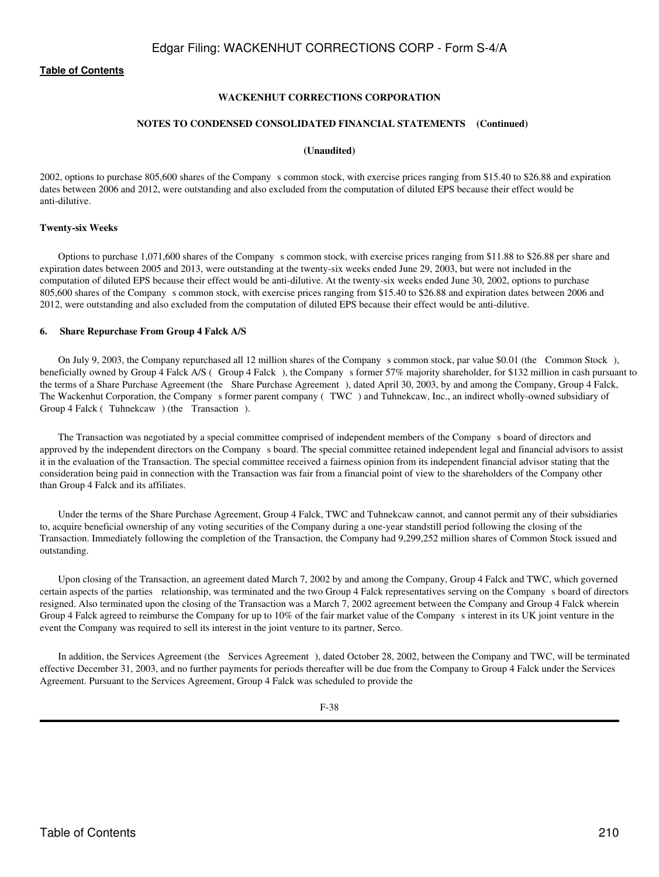## **[Table of Contents](#page-5-0)**

## **WACKENHUT CORRECTIONS CORPORATION**

#### **NOTES TO CONDENSED CONSOLIDATED FINANCIAL STATEMENTS (Continued)**

#### **(Unaudited)**

2002, options to purchase 805,600 shares of the Companys common stock, with exercise prices ranging from \$15.40 to \$26.88 and expiration dates between 2006 and 2012, were outstanding and also excluded from the computation of diluted EPS because their effect would be anti-dilutive.

#### **Twenty-six Weeks**

Options to purchase 1,071,600 shares of the Company s common stock, with exercise prices ranging from \$11.88 to \$26.88 per share and expiration dates between 2005 and 2013, were outstanding at the twenty-six weeks ended June 29, 2003, but were not included in the computation of diluted EPS because their effect would be anti-dilutive. At the twenty-six weeks ended June 30, 2002, options to purchase 805,600 shares of the Company s common stock, with exercise prices ranging from \$15.40 to \$26.88 and expiration dates between 2006 and 2012, were outstanding and also excluded from the computation of diluted EPS because their effect would be anti-dilutive.

#### **6. Share Repurchase From Group 4 Falck A/S**

On July 9, 2003, the Company repurchased all 12 million shares of the Company s common stock, par value \$0.01 (the Common Stock), beneficially owned by Group 4 Falck A/S (Group 4 Falck), the Company s former 57% majority shareholder, for \$132 million in cash pursuant to the terms of a Share Purchase Agreement (the Share Purchase Agreement), dated April 30, 2003, by and among the Company, Group 4 Falck, The Wackenhut Corporation, the Company s former parent company (TWC) and Tuhnekcaw, Inc., an indirect wholly-owned subsidiary of Group 4 Falck (Tuhnekcaw) (the Transaction).

The Transaction was negotiated by a special committee comprised of independent members of the Company s board of directors and approved by the independent directors on the Company s board. The special committee retained independent legal and financial advisors to assist it in the evaluation of the Transaction. The special committee received a fairness opinion from its independent financial advisor stating that the consideration being paid in connection with the Transaction was fair from a financial point of view to the shareholders of the Company other than Group 4 Falck and its affiliates.

Under the terms of the Share Purchase Agreement, Group 4 Falck, TWC and Tuhnekcaw cannot, and cannot permit any of their subsidiaries to, acquire beneficial ownership of any voting securities of the Company during a one-year standstill period following the closing of the Transaction. Immediately following the completion of the Transaction, the Company had 9,299,252 million shares of Common Stock issued and outstanding.

Upon closing of the Transaction, an agreement dated March 7, 2002 by and among the Company, Group 4 Falck and TWC, which governed certain aspects of the parties relationship, was terminated and the two Group 4 Falck representatives serving on the Companys board of directors resigned. Also terminated upon the closing of the Transaction was a March 7, 2002 agreement between the Company and Group 4 Falck wherein Group 4 Falck agreed to reimburse the Company for up to 10% of the fair market value of the Company s interest in its UK joint venture in the event the Company was required to sell its interest in the joint venture to its partner, Serco.

In addition, the Services Agreement (the Services Agreement), dated October 28, 2002, between the Company and TWC, will be terminated effective December 31, 2003, and no further payments for periods thereafter will be due from the Company to Group 4 Falck under the Services Agreement. Pursuant to the Services Agreement, Group 4 Falck was scheduled to provide the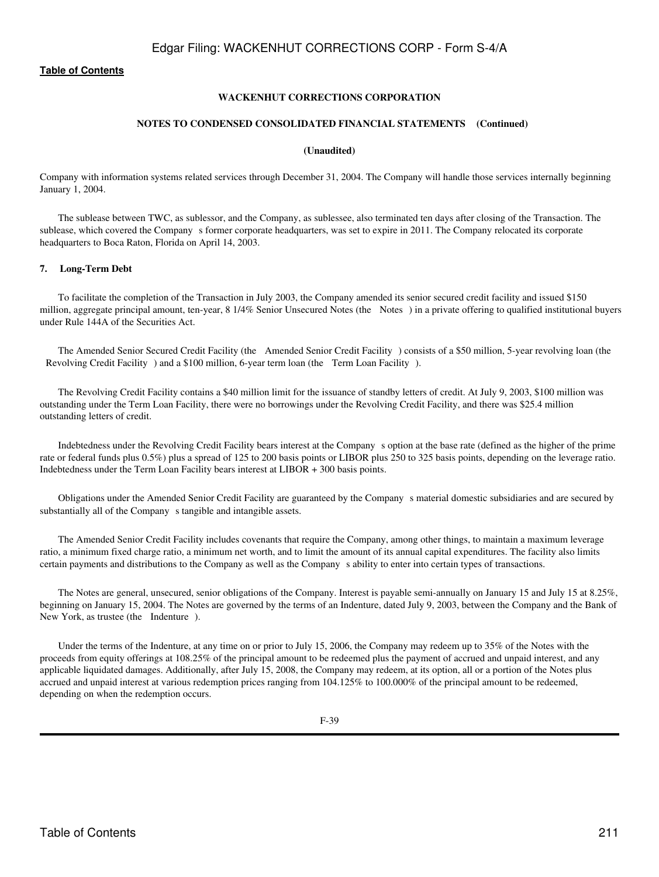## **[Table of Contents](#page-5-0)**

## **WACKENHUT CORRECTIONS CORPORATION**

#### **NOTES TO CONDENSED CONSOLIDATED FINANCIAL STATEMENTS (Continued)**

#### **(Unaudited)**

Company with information systems related services through December 31, 2004. The Company will handle those services internally beginning January 1, 2004.

The sublease between TWC, as sublessor, and the Company, as sublessee, also terminated ten days after closing of the Transaction. The sublease, which covered the Company s former corporate headquarters, was set to expire in 2011. The Company relocated its corporate headquarters to Boca Raton, Florida on April 14, 2003.

#### **7. Long-Term Debt**

To facilitate the completion of the Transaction in July 2003, the Company amended its senior secured credit facility and issued \$150 million, aggregate principal amount, ten-year, 8 1/4% Senior Unsecured Notes (the Notes) in a private offering to qualified institutional buyers under Rule 144A of the Securities Act.

The Amended Senior Secured Credit Facility (the Amended Senior Credit Facility) consists of a \$50 million, 5-year revolving loan (the Revolving Credit Facility) and a \$100 million, 6-year term loan (the Term Loan Facility).

The Revolving Credit Facility contains a \$40 million limit for the issuance of standby letters of credit. At July 9, 2003, \$100 million was outstanding under the Term Loan Facility, there were no borrowings under the Revolving Credit Facility, and there was \$25.4 million outstanding letters of credit.

Indebtedness under the Revolving Credit Facility bears interest at the Companys option at the base rate (defined as the higher of the prime rate or federal funds plus 0.5%) plus a spread of 125 to 200 basis points or LIBOR plus 250 to 325 basis points, depending on the leverage ratio. Indebtedness under the Term Loan Facility bears interest at LIBOR + 300 basis points.

Obligations under the Amended Senior Credit Facility are guaranteed by the Companys material domestic subsidiaries and are secured by substantially all of the Company s tangible and intangible assets.

The Amended Senior Credit Facility includes covenants that require the Company, among other things, to maintain a maximum leverage ratio, a minimum fixed charge ratio, a minimum net worth, and to limit the amount of its annual capital expenditures. The facility also limits certain payments and distributions to the Company as well as the Company s ability to enter into certain types of transactions.

The Notes are general, unsecured, senior obligations of the Company. Interest is payable semi-annually on January 15 and July 15 at 8.25%, beginning on January 15, 2004. The Notes are governed by the terms of an Indenture, dated July 9, 2003, between the Company and the Bank of New York, as trustee (the Indenture).

Under the terms of the Indenture, at any time on or prior to July 15, 2006, the Company may redeem up to 35% of the Notes with the proceeds from equity offerings at 108.25% of the principal amount to be redeemed plus the payment of accrued and unpaid interest, and any applicable liquidated damages. Additionally, after July 15, 2008, the Company may redeem, at its option, all or a portion of the Notes plus accrued and unpaid interest at various redemption prices ranging from 104.125% to 100.000% of the principal amount to be redeemed, depending on when the redemption occurs.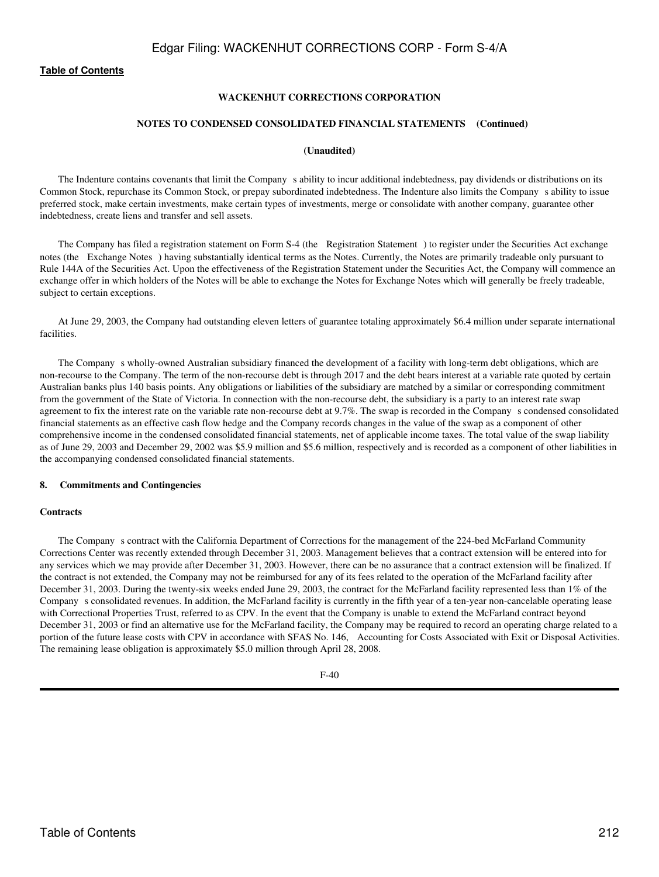## **[Table of Contents](#page-5-0)**

## **WACKENHUT CORRECTIONS CORPORATION**

#### **NOTES TO CONDENSED CONSOLIDATED FINANCIAL STATEMENTS (Continued)**

#### **(Unaudited)**

The Indenture contains covenants that limit the Company s ability to incur additional indebtedness, pay dividends or distributions on its Common Stock, repurchase its Common Stock, or prepay subordinated indebtedness. The Indenture also limits the Company s ability to issue preferred stock, make certain investments, make certain types of investments, merge or consolidate with another company, guarantee other indebtedness, create liens and transfer and sell assets.

The Company has filed a registration statement on Form S-4 (the Registration Statement) to register under the Securities Act exchange notes (the Exchange Notes) having substantially identical terms as the Notes. Currently, the Notes are primarily tradeable only pursuant to Rule 144A of the Securities Act. Upon the effectiveness of the Registration Statement under the Securities Act, the Company will commence an exchange offer in which holders of the Notes will be able to exchange the Notes for Exchange Notes which will generally be freely tradeable, subject to certain exceptions.

At June 29, 2003, the Company had outstanding eleven letters of guarantee totaling approximately \$6.4 million under separate international facilities.

The Company s wholly-owned Australian subsidiary financed the development of a facility with long-term debt obligations, which are non-recourse to the Company. The term of the non-recourse debt is through 2017 and the debt bears interest at a variable rate quoted by certain Australian banks plus 140 basis points. Any obligations or liabilities of the subsidiary are matched by a similar or corresponding commitment from the government of the State of Victoria. In connection with the non-recourse debt, the subsidiary is a party to an interest rate swap agreement to fix the interest rate on the variable rate non-recourse debt at 9.7%. The swap is recorded in the Companys condensed consolidated financial statements as an effective cash flow hedge and the Company records changes in the value of the swap as a component of other comprehensive income in the condensed consolidated financial statements, net of applicable income taxes. The total value of the swap liability as of June 29, 2003 and December 29, 2002 was \$5.9 million and \$5.6 million, respectively and is recorded as a component of other liabilities in the accompanying condensed consolidated financial statements.

#### **8. Commitments and Contingencies**

#### **Contracts**

The Company s contract with the California Department of Corrections for the management of the 224-bed McFarland Community Corrections Center was recently extended through December 31, 2003. Management believes that a contract extension will be entered into for any services which we may provide after December 31, 2003. However, there can be no assurance that a contract extension will be finalized. If the contract is not extended, the Company may not be reimbursed for any of its fees related to the operation of the McFarland facility after December 31, 2003. During the twenty-six weeks ended June 29, 2003, the contract for the McFarland facility represented less than 1% of the Companys consolidated revenues. In addition, the McFarland facility is currently in the fifth year of a ten-year non-cancelable operating lease with Correctional Properties Trust, referred to as CPV. In the event that the Company is unable to extend the McFarland contract beyond December 31, 2003 or find an alternative use for the McFarland facility, the Company may be required to record an operating charge related to a portion of the future lease costs with CPV in accordance with SFAS No. 146, Accounting for Costs Associated with Exit or Disposal Activities. The remaining lease obligation is approximately \$5.0 million through April 28, 2008.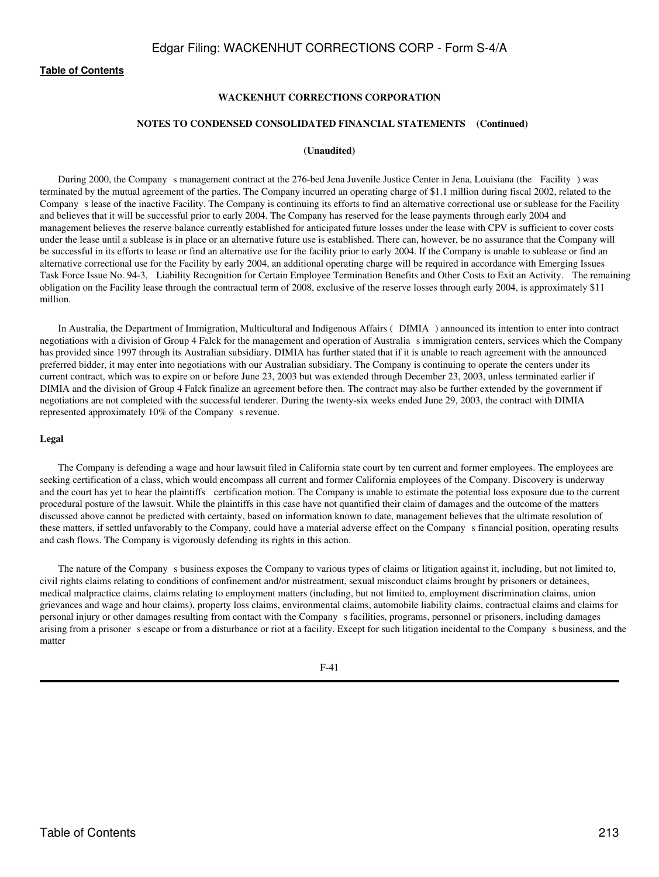## **[Table of Contents](#page-5-0)**

## **WACKENHUT CORRECTIONS CORPORATION**

#### **NOTES TO CONDENSED CONSOLIDATED FINANCIAL STATEMENTS (Continued)**

#### **(Unaudited)**

During 2000, the Company s management contract at the 276-bed Jena Juvenile Justice Center in Jena, Louisiana (the Facility) was terminated by the mutual agreement of the parties. The Company incurred an operating charge of \$1.1 million during fiscal 2002, related to the Companys lease of the inactive Facility. The Company is continuing its efforts to find an alternative correctional use or sublease for the Facility and believes that it will be successful prior to early 2004. The Company has reserved for the lease payments through early 2004 and management believes the reserve balance currently established for anticipated future losses under the lease with CPV is sufficient to cover costs under the lease until a sublease is in place or an alternative future use is established. There can, however, be no assurance that the Company will be successful in its efforts to lease or find an alternative use for the facility prior to early 2004. If the Company is unable to sublease or find an alternative correctional use for the Facility by early 2004, an additional operating charge will be required in accordance with Emerging Issues Task Force Issue No. 94-3, Liability Recognition for Certain Employee Termination Benefits and Other Costs to Exit an Activity. The remaining obligation on the Facility lease through the contractual term of 2008, exclusive of the reserve losses through early 2004, is approximately \$11 million.

In Australia, the Department of Immigration, Multicultural and Indigenous Affairs (DIMIA) announced its intention to enter into contract negotiations with a division of Group 4 Falck for the management and operation of Australias immigration centers, services which the Company has provided since 1997 through its Australian subsidiary. DIMIA has further stated that if it is unable to reach agreement with the announced preferred bidder, it may enter into negotiations with our Australian subsidiary. The Company is continuing to operate the centers under its current contract, which was to expire on or before June 23, 2003 but was extended through December 23, 2003, unless terminated earlier if DIMIA and the division of Group 4 Falck finalize an agreement before then. The contract may also be further extended by the government if negotiations are not completed with the successful tenderer. During the twenty-six weeks ended June 29, 2003, the contract with DIMIA represented approximately 10% of the Company s revenue.

#### **Legal**

The Company is defending a wage and hour lawsuit filed in California state court by ten current and former employees. The employees are seeking certification of a class, which would encompass all current and former California employees of the Company. Discovery is underway and the court has yet to hear the plaintiffs certification motion. The Company is unable to estimate the potential loss exposure due to the current procedural posture of the lawsuit. While the plaintiffs in this case have not quantified their claim of damages and the outcome of the matters discussed above cannot be predicted with certainty, based on information known to date, management believes that the ultimate resolution of these matters, if settled unfavorably to the Company, could have a material adverse effect on the Companys financial position, operating results and cash flows. The Company is vigorously defending its rights in this action.

The nature of the Company s business exposes the Company to various types of claims or litigation against it, including, but not limited to, civil rights claims relating to conditions of confinement and/or mistreatment, sexual misconduct claims brought by prisoners or detainees, medical malpractice claims, claims relating to employment matters (including, but not limited to, employment discrimination claims, union grievances and wage and hour claims), property loss claims, environmental claims, automobile liability claims, contractual claims and claims for personal injury or other damages resulting from contact with the Companys facilities, programs, personnel or prisoners, including damages arising from a prisoner s escape or from a disturbance or riot at a facility. Except for such litigation incidental to the Company s business, and the matter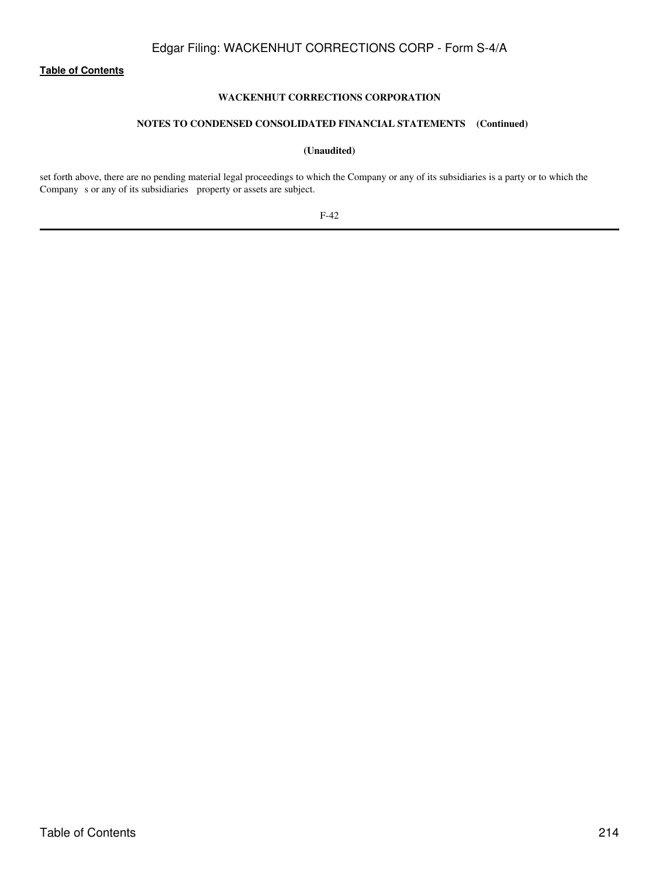## **[Table of Contents](#page-5-0)**

## **WACKENHUT CORRECTIONS CORPORATION**

## **NOTES TO CONDENSED CONSOLIDATED FINANCIAL STATEMENTS (Continued)**

## **(Unaudited)**

set forth above, there are no pending material legal proceedings to which the Company or any of its subsidiaries is a party or to which the Company s or any of its subsidiaries property or assets are subject.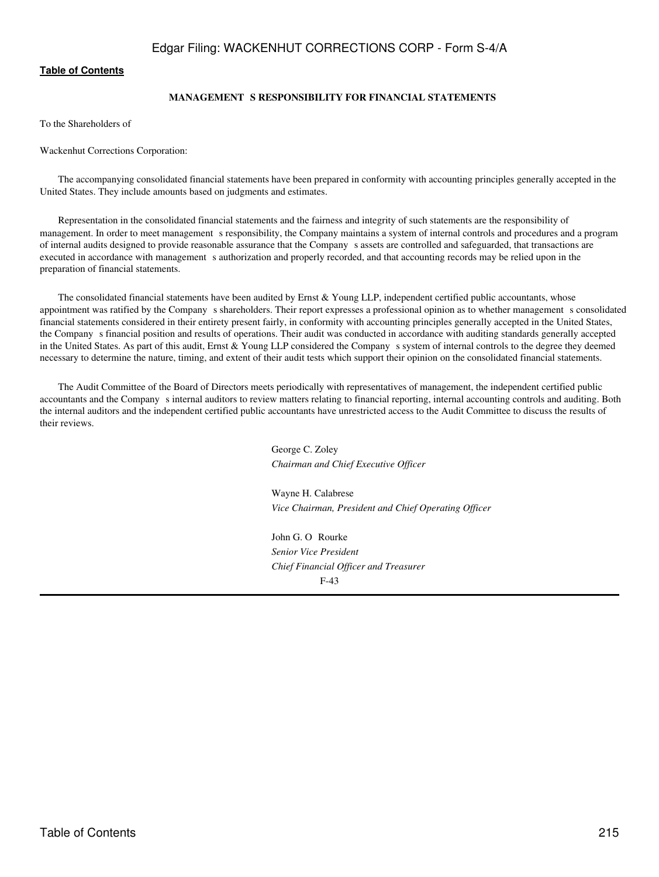## **[Table of Contents](#page-5-0)**

## **MANAGEMENT S RESPONSIBILITY FOR FINANCIAL STATEMENTS**

To the Shareholders of

Wackenhut Corrections Corporation:

The accompanying consolidated financial statements have been prepared in conformity with accounting principles generally accepted in the United States. They include amounts based on judgments and estimates.

Representation in the consolidated financial statements and the fairness and integrity of such statements are the responsibility of management. In order to meet management s responsibility, the Company maintains a system of internal controls and procedures and a program of internal audits designed to provide reasonable assurance that the Companys assets are controlled and safeguarded, that transactions are executed in accordance with management s authorization and properly recorded, and that accounting records may be relied upon in the preparation of financial statements.

The consolidated financial statements have been audited by Ernst & Young LLP, independent certified public accountants, whose appointment was ratified by the Company s shareholders. Their report expresses a professional opinion as to whether management s consolidated financial statements considered in their entirety present fairly, in conformity with accounting principles generally accepted in the United States, the Companys financial position and results of operations. Their audit was conducted in accordance with auditing standards generally accepted in the United States. As part of this audit, Ernst & Young LLP considered the Company s system of internal controls to the degree they deemed necessary to determine the nature, timing, and extent of their audit tests which support their opinion on the consolidated financial statements.

The Audit Committee of the Board of Directors meets periodically with representatives of management, the independent certified public accountants and the Companys internal auditors to review matters relating to financial reporting, internal accounting controls and auditing. Both the internal auditors and the independent certified public accountants have unrestricted access to the Audit Committee to discuss the results of their reviews.

> George C. Zoley *Chairman and Chief Executive Officer*

Wayne H. Calabrese *Vice Chairman, President and Chief Operating Officer*

John G. O Rourke *Senior Vice President Chief Financial Officer and Treasurer* F-43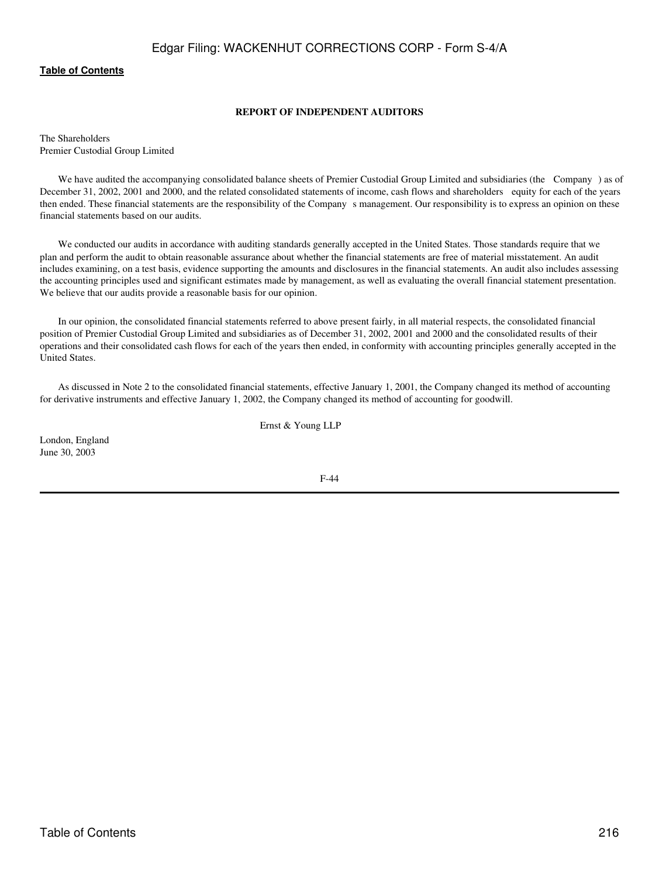## **REPORT OF INDEPENDENT AUDITORS**

The Shareholders Premier Custodial Group Limited

We have audited the accompanying consolidated balance sheets of Premier Custodial Group Limited and subsidiaries (the Company) as of December 31, 2002, 2001 and 2000, and the related consolidated statements of income, cash flows and shareholders equity for each of the years then ended. These financial statements are the responsibility of the Companys management. Our responsibility is to express an opinion on these financial statements based on our audits.

We conducted our audits in accordance with auditing standards generally accepted in the United States. Those standards require that we plan and perform the audit to obtain reasonable assurance about whether the financial statements are free of material misstatement. An audit includes examining, on a test basis, evidence supporting the amounts and disclosures in the financial statements. An audit also includes assessing the accounting principles used and significant estimates made by management, as well as evaluating the overall financial statement presentation. We believe that our audits provide a reasonable basis for our opinion.

In our opinion, the consolidated financial statements referred to above present fairly, in all material respects, the consolidated financial position of Premier Custodial Group Limited and subsidiaries as of December 31, 2002, 2001 and 2000 and the consolidated results of their operations and their consolidated cash flows for each of the years then ended, in conformity with accounting principles generally accepted in the United States.

As discussed in Note 2 to the consolidated financial statements, effective January 1, 2001, the Company changed its method of accounting for derivative instruments and effective January 1, 2002, the Company changed its method of accounting for goodwill.

Ernst & Young LLP

London, England June 30, 2003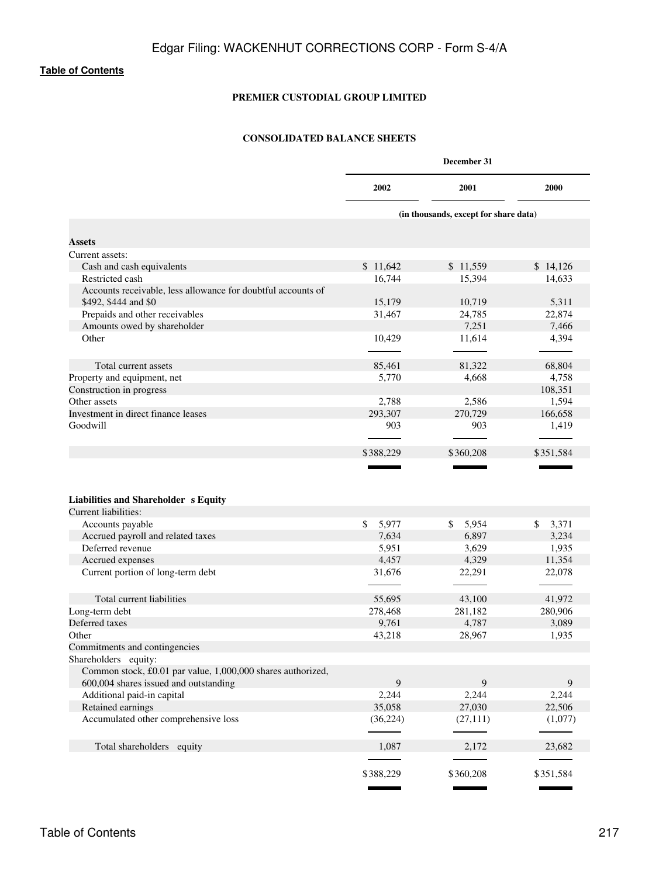## **PREMIER CUSTODIAL GROUP LIMITED**

### **CONSOLIDATED BALANCE SHEETS**

|                                                              | December 31 |                                       |             |
|--------------------------------------------------------------|-------------|---------------------------------------|-------------|
|                                                              | 2002        | 2001                                  | 2000        |
|                                                              |             | (in thousands, except for share data) |             |
| Assets                                                       |             |                                       |             |
| Current assets:                                              |             |                                       |             |
| Cash and cash equivalents                                    | \$11,642    | \$11,559                              | \$14,126    |
| Restricted cash                                              | 16,744      | 15,394                                | 14,633      |
| Accounts receivable, less allowance for doubtful accounts of |             |                                       |             |
| \$492, \$444 and \$0                                         | 15,179      | 10,719                                | 5,311       |
| Prepaids and other receivables                               | 31,467      | 24,785                                | 22,874      |
| Amounts owed by shareholder                                  |             | 7,251                                 | 7,466       |
| Other                                                        | 10,429      | 11,614                                | 4,394       |
|                                                              |             |                                       |             |
| Total current assets                                         | 85,461      | 81,322                                | 68,804      |
| Property and equipment, net                                  | 5,770       | 4,668                                 | 4,758       |
| Construction in progress                                     |             |                                       | 108,351     |
| Other assets                                                 | 2,788       | 2,586                                 | 1,594       |
| Investment in direct finance leases                          | 293,307     | 270,729                               | 166,658     |
| Goodwill                                                     | 903         | 903                                   | 1,419       |
|                                                              |             |                                       |             |
|                                                              |             |                                       |             |
|                                                              | \$388,229   | \$360,208                             | \$351,584   |
| Liabilities and Shareholder s Equity<br>Current liabilities: |             |                                       |             |
| Accounts payable                                             | 5,977<br>\$ | 5,954<br>\$                           | 3,371<br>\$ |
| Accrued payroll and related taxes                            | 7,634       | 6,897                                 | 3,234       |
| Deferred revenue                                             | 5,951       | 3,629                                 | 1,935       |
| Accrued expenses                                             | 4,457       | 4,329                                 | 11,354      |
| Current portion of long-term debt                            | 31,676      | 22,291                                | 22,078      |
|                                                              |             |                                       |             |
| Total current liabilities                                    | 55,695      | 43,100                                | 41,972      |
| Long-term debt                                               | 278,468     | 281,182                               | 280,906     |
| Deferred taxes                                               | 9,761       | 4,787                                 | 3,089       |
| Other                                                        | 43,218      | 28,967                                | 1,935       |
| Commitments and contingencies                                |             |                                       |             |
| Shareholders equity:                                         |             |                                       |             |
| Common stock, £0.01 par value, 1,000,000 shares authorized,  |             |                                       |             |
| 600,004 shares issued and outstanding                        | 9           | 9                                     | 9           |
| Additional paid-in capital                                   | 2,244       | 2,244                                 | 2,244       |
| Retained earnings                                            | 35,058      | 27,030                                | 22,506      |
| Accumulated other comprehensive loss                         | (36, 224)   | (27,111)                              | (1,077)     |
|                                                              |             |                                       |             |
| Total shareholders equity                                    | 1,087       | 2,172                                 | 23,682      |
|                                                              | \$388,229   | \$360,208                             | \$351,584   |
|                                                              |             |                                       |             |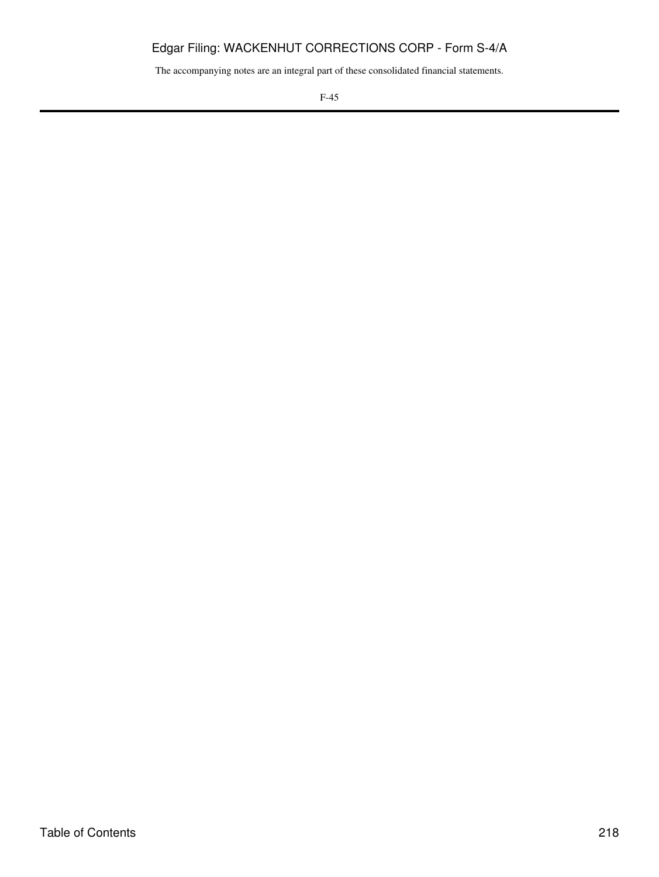The accompanying notes are an integral part of these consolidated financial statements.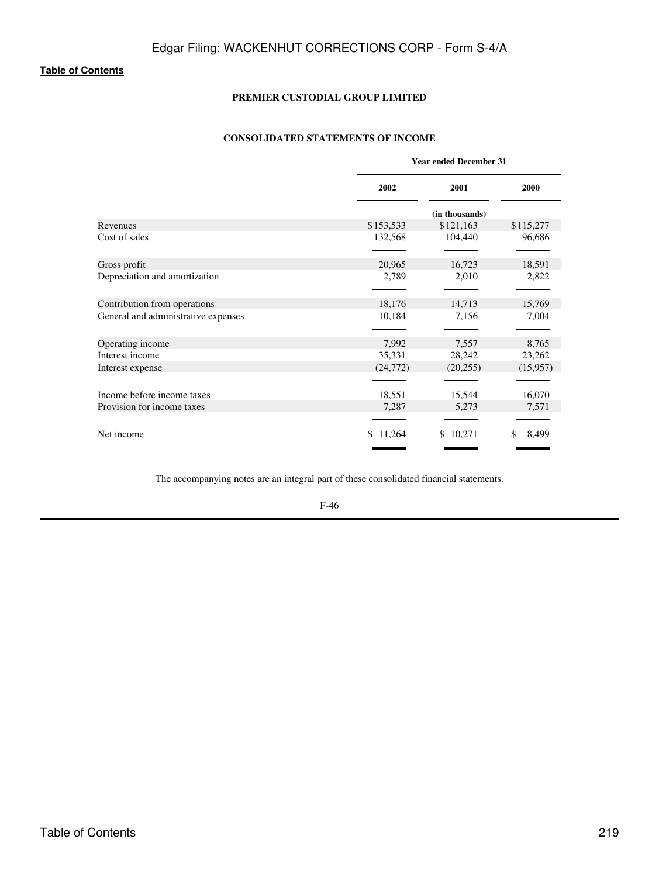## **PREMIER CUSTODIAL GROUP LIMITED**

### **CONSOLIDATED STATEMENTS OF INCOME**

|                                     | <b>Year ended December 31</b> |                |            |  |
|-------------------------------------|-------------------------------|----------------|------------|--|
|                                     | 2002                          | 2001           | 2000       |  |
|                                     |                               | (in thousands) |            |  |
| Revenues                            | \$153,533                     | \$121,163      | \$115,277  |  |
| Cost of sales                       | 132,568                       | 104,440        | 96,686     |  |
|                                     |                               |                |            |  |
| Gross profit                        | 20,965                        | 16,723         | 18,591     |  |
| Depreciation and amortization       | 2,789                         | 2,010          | 2,822      |  |
|                                     |                               |                |            |  |
| Contribution from operations        | 18,176                        | 14,713         | 15,769     |  |
| General and administrative expenses | 10,184                        | 7,156          | 7,004      |  |
|                                     |                               |                |            |  |
| Operating income                    | 7,992                         | 7,557          | 8,765      |  |
| Interest income                     | 35,331                        | 28,242         | 23,262     |  |
| Interest expense                    | (24, 772)                     | (20,255)       | (15,957)   |  |
|                                     |                               |                |            |  |
| Income before income taxes          | 18,551                        | 15,544         | 16,070     |  |
| Provision for income taxes          | 7,287                         | 5,273          | 7,571      |  |
|                                     |                               |                |            |  |
| Net income                          | \$11,264                      | 10,271         | 8,499<br>S |  |
|                                     |                               |                |            |  |

The accompanying notes are an integral part of these consolidated financial statements.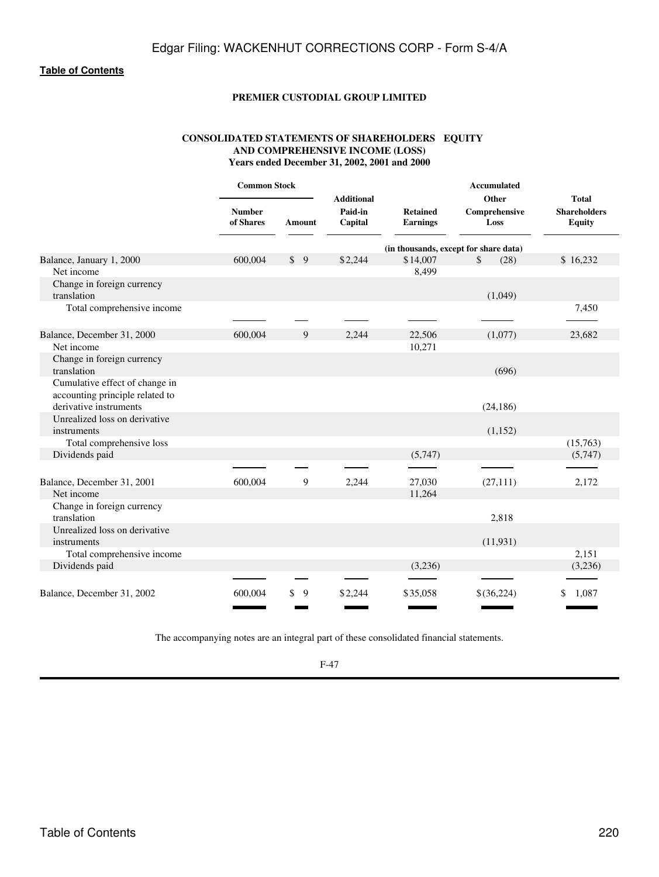# **PREMIER CUSTODIAL GROUP LIMITED**

#### **CONSOLIDATED STATEMENTS OF SHAREHOLDERS EQUITY AND COMPREHENSIVE INCOME (LOSS) Years ended December 31, 2002, 2001 and 2000**

|                                                                   | <b>Common Stock</b>        |               |                                         |                                    | <b>Accumulated</b>                    |                                                      |
|-------------------------------------------------------------------|----------------------------|---------------|-----------------------------------------|------------------------------------|---------------------------------------|------------------------------------------------------|
|                                                                   | <b>Number</b><br>of Shares | <b>Amount</b> | <b>Additional</b><br>Paid-in<br>Capital | <b>Retained</b><br><b>Earnings</b> | Other<br>Comprehensive<br>Loss        | <b>Total</b><br><b>Shareholders</b><br><b>Equity</b> |
|                                                                   |                            |               |                                         |                                    | (in thousands, except for share data) |                                                      |
| Balance, January 1, 2000                                          | 600,004                    | \$9           | \$2,244                                 | \$14,007                           | \$<br>(28)                            | \$16,232                                             |
| Net income                                                        |                            |               |                                         | 8,499                              |                                       |                                                      |
| Change in foreign currency<br>translation                         |                            |               |                                         |                                    | (1,049)                               |                                                      |
| Total comprehensive income                                        |                            |               |                                         |                                    |                                       | 7,450                                                |
| Balance, December 31, 2000                                        | 600,004                    | 9             | 2,244                                   | 22,506                             | (1,077)                               | 23,682                                               |
| Net income                                                        |                            |               |                                         | 10,271                             |                                       |                                                      |
| Change in foreign currency<br>translation                         |                            |               |                                         |                                    | (696)                                 |                                                      |
| Cumulative effect of change in<br>accounting principle related to |                            |               |                                         |                                    |                                       |                                                      |
| derivative instruments                                            |                            |               |                                         |                                    | (24, 186)                             |                                                      |
| Unrealized loss on derivative<br>instruments                      |                            |               |                                         |                                    | (1,152)                               |                                                      |
| Total comprehensive loss                                          |                            |               |                                         |                                    |                                       | (15,763)                                             |
| Dividends paid                                                    |                            |               |                                         | (5,747)                            |                                       | (5,747)                                              |
|                                                                   |                            |               |                                         |                                    |                                       |                                                      |
| Balance, December 31, 2001                                        | 600,004                    | 9             | 2,244                                   | 27,030                             | (27,111)                              | 2,172                                                |
| Net income                                                        |                            |               |                                         | 11,264                             |                                       |                                                      |
| Change in foreign currency<br>translation                         |                            |               |                                         |                                    | 2,818                                 |                                                      |
| Unrealized loss on derivative<br>instruments                      |                            |               |                                         |                                    | (11, 931)                             |                                                      |
| Total comprehensive income                                        |                            |               |                                         |                                    |                                       | 2,151                                                |
| Dividends paid                                                    |                            |               |                                         | (3,236)                            |                                       | (3,236)                                              |
|                                                                   |                            |               |                                         |                                    |                                       |                                                      |
| Balance, December 31, 2002                                        | 600,004                    | \$9           | \$2,244                                 | \$35,058                           | \$(36,224)                            | 1,087<br>\$                                          |

The accompanying notes are an integral part of these consolidated financial statements.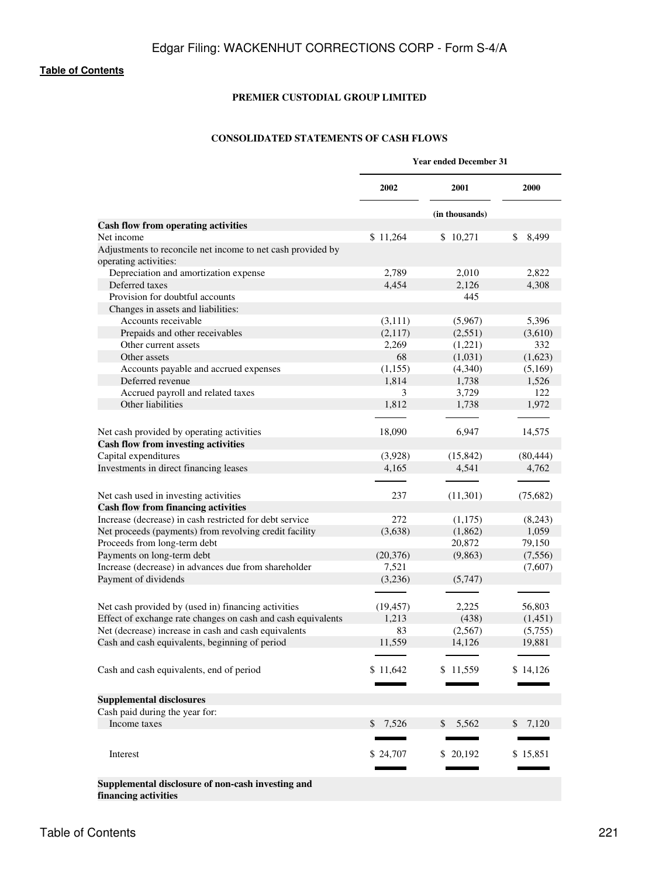## **PREMIER CUSTODIAL GROUP LIMITED**

### **CONSOLIDATED STATEMENTS OF CASH FLOWS**

|                                                              | <b>Year ended December 31</b> |                |             |
|--------------------------------------------------------------|-------------------------------|----------------|-------------|
|                                                              | 2002                          | 2001           | 2000        |
|                                                              |                               | (in thousands) |             |
| <b>Cash flow from operating activities</b>                   |                               |                |             |
| Net income                                                   | \$11,264                      | \$10,271       | \$<br>8,499 |
| Adjustments to reconcile net income to net cash provided by  |                               |                |             |
| operating activities:                                        |                               |                |             |
| Depreciation and amortization expense                        | 2,789                         | 2,010          | 2,822       |
| Deferred taxes                                               | 4,454                         | 2,126          | 4,308       |
| Provision for doubtful accounts                              |                               | 445            |             |
| Changes in assets and liabilities:                           |                               |                |             |
| Accounts receivable                                          | (3,111)                       | (5,967)        | 5,396       |
| Prepaids and other receivables                               | (2,117)                       | (2,551)        | (3,610)     |
| Other current assets                                         | 2,269                         | (1,221)        | 332         |
| Other assets                                                 | 68                            | (1,031)        | (1,623)     |
| Accounts payable and accrued expenses                        | (1,155)                       | (4,340)        | (5,169)     |
| Deferred revenue                                             | 1,814                         | 1,738          | 1,526       |
| Accrued payroll and related taxes                            | 3                             | 3,729          | 122         |
| Other liabilities                                            | 1,812                         | 1,738          | 1,972       |
|                                                              |                               |                |             |
| Net cash provided by operating activities                    | 18,090                        | 6,947          | 14,575      |
| <b>Cash flow from investing activities</b>                   |                               |                |             |
| Capital expenditures                                         | (3,928)                       | (15, 842)      | (80, 444)   |
| Investments in direct financing leases                       | 4,165                         | 4,541          | 4,762       |
|                                                              |                               |                |             |
|                                                              |                               |                |             |
| Net cash used in investing activities                        | 237                           | (11,301)       | (75,682)    |
| <b>Cash flow from financing activities</b>                   |                               |                |             |
| Increase (decrease) in cash restricted for debt service      | 272                           | (1,175)        | (8,243)     |
| Net proceeds (payments) from revolving credit facility       | (3,638)                       | (1,862)        | 1,059       |
| Proceeds from long-term debt                                 |                               | 20,872         | 79,150      |
| Payments on long-term debt                                   | (20, 376)                     | (9, 863)       | (7,556)     |
| Increase (decrease) in advances due from shareholder         | 7,521                         |                | (7,607)     |
| Payment of dividends                                         | (3,236)                       | (5,747)        |             |
|                                                              |                               |                |             |
| Net cash provided by (used in) financing activities          | (19, 457)                     | 2,225          | 56,803      |
| Effect of exchange rate changes on cash and cash equivalents | 1,213                         | (438)          | (1,451)     |
| Net (decrease) increase in cash and cash equivalents         | 83                            | (2,567)        | (5,755)     |
| Cash and cash equivalents, beginning of period               | 11,559                        | 14,126         | 19,881      |
|                                                              |                               |                |             |
| Cash and cash equivalents, end of period                     | \$11,642                      | \$11,559       | \$14,126    |
|                                                              |                               |                |             |
| <b>Supplemental disclosures</b>                              |                               |                |             |
| Cash paid during the year for:                               |                               |                |             |
| Income taxes                                                 | \$<br>7,526                   | 5,562<br>\$    | \$7,120     |
|                                                              |                               |                |             |
|                                                              |                               |                |             |
| Interest                                                     | \$ 24,707                     | 20,192         | \$15,851    |
|                                                              |                               |                |             |
| Supplemental disclosure of non-cash investing and            |                               |                |             |

**financing activities**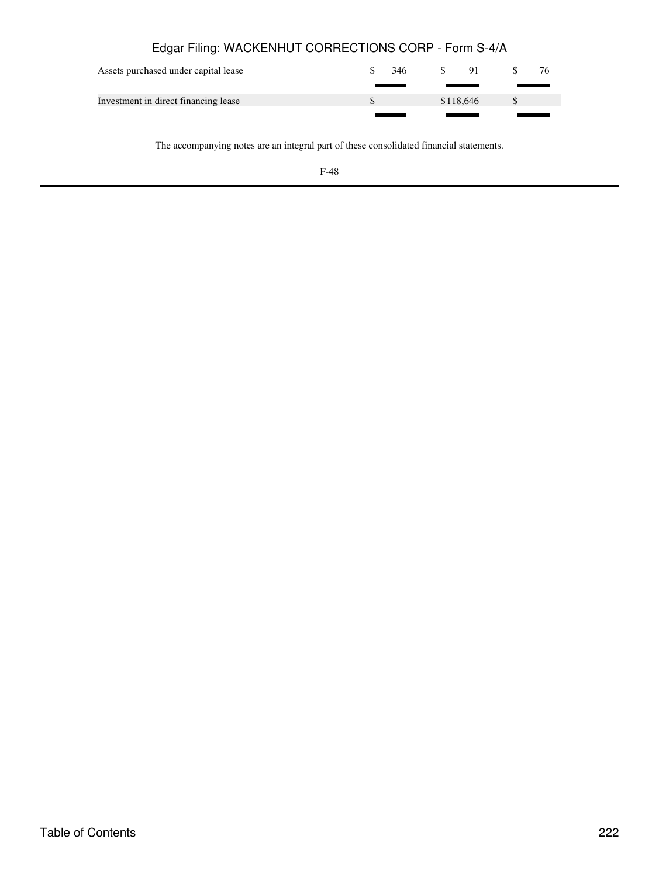| Assets purchased under capital lease | 346 | -SS       | -91 |     |  |
|--------------------------------------|-----|-----------|-----|-----|--|
|                                      |     |           |     |     |  |
| Investment in direct financing lease |     | \$118,646 |     | -SS |  |
|                                      |     |           |     |     |  |

The accompanying notes are an integral part of these consolidated financial statements.

$$
F-48
$$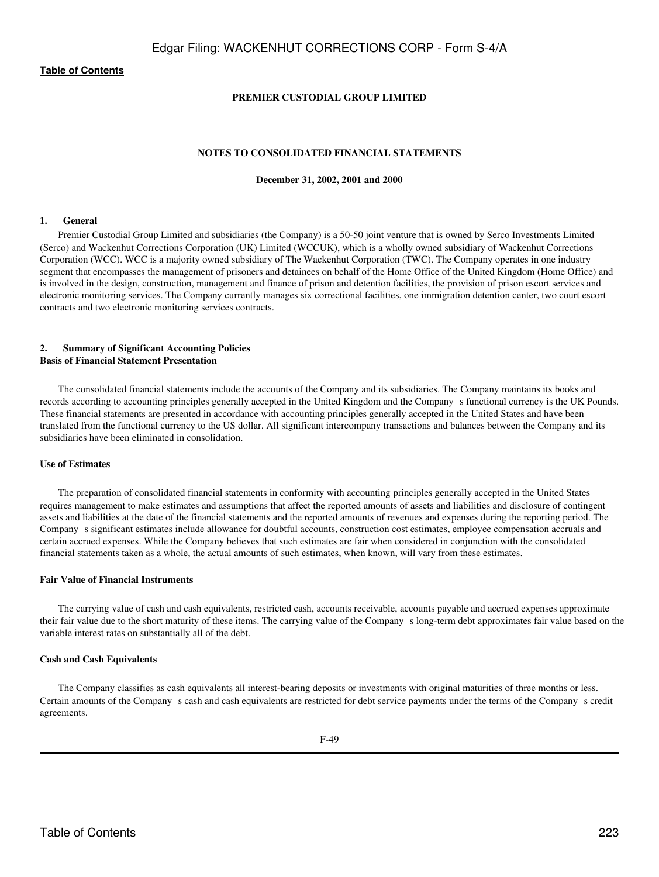### **PREMIER CUSTODIAL GROUP LIMITED**

#### **NOTES TO CONSOLIDATED FINANCIAL STATEMENTS**

#### **December 31, 2002, 2001 and 2000**

#### **1. General**

Premier Custodial Group Limited and subsidiaries (the Company) is a 50-50 joint venture that is owned by Serco Investments Limited (Serco) and Wackenhut Corrections Corporation (UK) Limited (WCCUK), which is a wholly owned subsidiary of Wackenhut Corrections Corporation (WCC). WCC is a majority owned subsidiary of The Wackenhut Corporation (TWC). The Company operates in one industry segment that encompasses the management of prisoners and detainees on behalf of the Home Office of the United Kingdom (Home Office) and is involved in the design, construction, management and finance of prison and detention facilities, the provision of prison escort services and electronic monitoring services. The Company currently manages six correctional facilities, one immigration detention center, two court escort contracts and two electronic monitoring services contracts.

#### **2. Summary of Significant Accounting Policies Basis of Financial Statement Presentation**

The consolidated financial statements include the accounts of the Company and its subsidiaries. The Company maintains its books and records according to accounting principles generally accepted in the United Kingdom and the Companys functional currency is the UK Pounds. These financial statements are presented in accordance with accounting principles generally accepted in the United States and have been translated from the functional currency to the US dollar. All significant intercompany transactions and balances between the Company and its subsidiaries have been eliminated in consolidation.

#### **Use of Estimates**

The preparation of consolidated financial statements in conformity with accounting principles generally accepted in the United States requires management to make estimates and assumptions that affect the reported amounts of assets and liabilities and disclosure of contingent assets and liabilities at the date of the financial statements and the reported amounts of revenues and expenses during the reporting period. The Companys significant estimates include allowance for doubtful accounts, construction cost estimates, employee compensation accruals and certain accrued expenses. While the Company believes that such estimates are fair when considered in conjunction with the consolidated financial statements taken as a whole, the actual amounts of such estimates, when known, will vary from these estimates.

#### **Fair Value of Financial Instruments**

The carrying value of cash and cash equivalents, restricted cash, accounts receivable, accounts payable and accrued expenses approximate their fair value due to the short maturity of these items. The carrying value of the Companys long-term debt approximates fair value based on the variable interest rates on substantially all of the debt.

#### **Cash and Cash Equivalents**

The Company classifies as cash equivalents all interest-bearing deposits or investments with original maturities of three months or less. Certain amounts of the Company s cash and cash equivalents are restricted for debt service payments under the terms of the Company s credit agreements.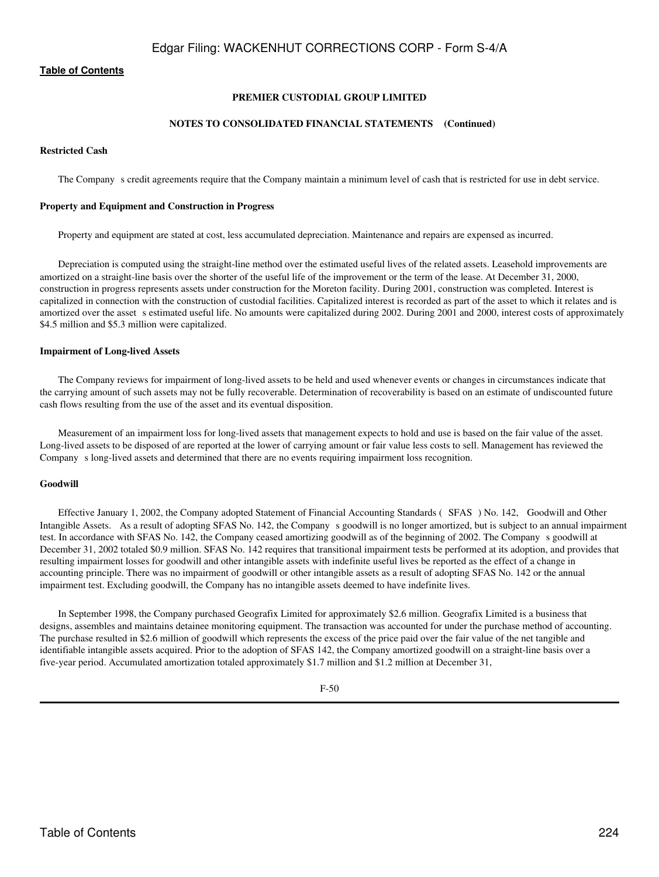### **PREMIER CUSTODIAL GROUP LIMITED**

### **NOTES TO CONSOLIDATED FINANCIAL STATEMENTS (Continued)**

#### **Restricted Cash**

The Company s credit agreements require that the Company maintain a minimum level of cash that is restricted for use in debt service.

#### **Property and Equipment and Construction in Progress**

Property and equipment are stated at cost, less accumulated depreciation. Maintenance and repairs are expensed as incurred.

Depreciation is computed using the straight-line method over the estimated useful lives of the related assets. Leasehold improvements are amortized on a straight-line basis over the shorter of the useful life of the improvement or the term of the lease. At December 31, 2000, construction in progress represents assets under construction for the Moreton facility. During 2001, construction was completed. Interest is capitalized in connection with the construction of custodial facilities. Capitalized interest is recorded as part of the asset to which it relates and is amortized over the asset s estimated useful life. No amounts were capitalized during 2002. During 2001 and 2000, interest costs of approximately \$4.5 million and \$5.3 million were capitalized.

#### **Impairment of Long-lived Assets**

The Company reviews for impairment of long-lived assets to be held and used whenever events or changes in circumstances indicate that the carrying amount of such assets may not be fully recoverable. Determination of recoverability is based on an estimate of undiscounted future cash flows resulting from the use of the asset and its eventual disposition.

Measurement of an impairment loss for long-lived assets that management expects to hold and use is based on the fair value of the asset. Long-lived assets to be disposed of are reported at the lower of carrying amount or fair value less costs to sell. Management has reviewed the Company s long-lived assets and determined that there are no events requiring impairment loss recognition.

#### **Goodwill**

Effective January 1, 2002, the Company adopted Statement of Financial Accounting Standards (SFAS) No. 142, Goodwill and Other Intangible Assets. As a result of adopting SFAS No. 142, the Companys goodwill is no longer amortized, but is subject to an annual impairment test. In accordance with SFAS No. 142, the Company ceased amortizing goodwill as of the beginning of 2002. The Company s goodwill at December 31, 2002 totaled \$0.9 million. SFAS No. 142 requires that transitional impairment tests be performed at its adoption, and provides that resulting impairment losses for goodwill and other intangible assets with indefinite useful lives be reported as the effect of a change in accounting principle. There was no impairment of goodwill or other intangible assets as a result of adopting SFAS No. 142 or the annual impairment test. Excluding goodwill, the Company has no intangible assets deemed to have indefinite lives.

In September 1998, the Company purchased Geografix Limited for approximately \$2.6 million. Geografix Limited is a business that designs, assembles and maintains detainee monitoring equipment. The transaction was accounted for under the purchase method of accounting. The purchase resulted in \$2.6 million of goodwill which represents the excess of the price paid over the fair value of the net tangible and identifiable intangible assets acquired. Prior to the adoption of SFAS 142, the Company amortized goodwill on a straight-line basis over a five-year period. Accumulated amortization totaled approximately \$1.7 million and \$1.2 million at December 31,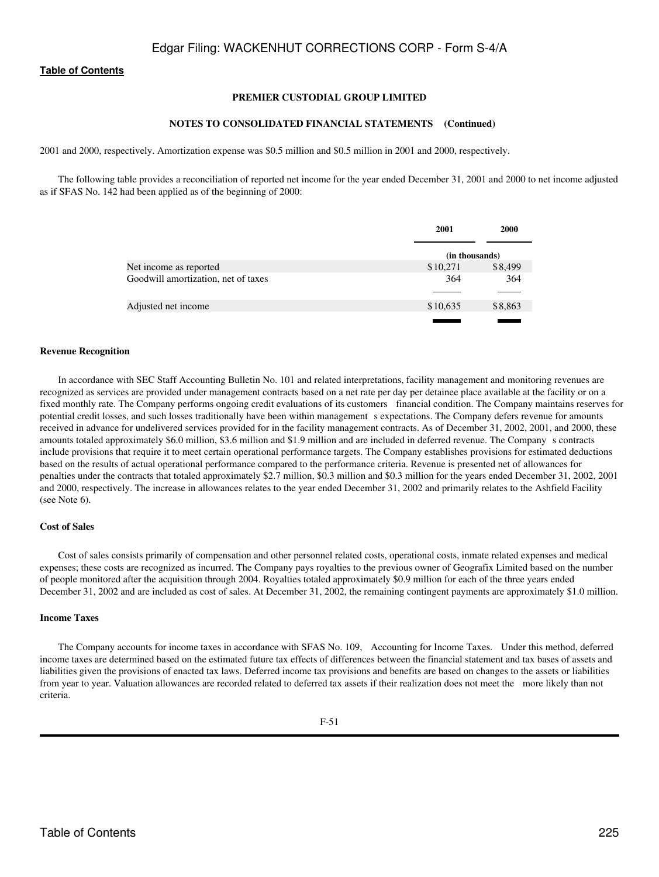### **[Table of Contents](#page-5-0)**

### **PREMIER CUSTODIAL GROUP LIMITED**

### **NOTES TO CONSOLIDATED FINANCIAL STATEMENTS (Continued)**

2001 and 2000, respectively. Amortization expense was \$0.5 million and \$0.5 million in 2001 and 2000, respectively.

The following table provides a reconciliation of reported net income for the year ended December 31, 2001 and 2000 to net income adjusted as if SFAS No. 142 had been applied as of the beginning of 2000:

|                                     | 2001           | 2000    |
|-------------------------------------|----------------|---------|
|                                     | (in thousands) |         |
| Net income as reported              | \$10,271       | \$8,499 |
| Goodwill amortization, net of taxes | 364            | 364     |
| Adjusted net income                 | \$10,635       | \$8,863 |

#### **Revenue Recognition**

In accordance with SEC Staff Accounting Bulletin No. 101 and related interpretations, facility management and monitoring revenues are recognized as services are provided under management contracts based on a net rate per day per detainee place available at the facility or on a fixed monthly rate. The Company performs ongoing credit evaluations of its customers financial condition. The Company maintains reserves for potential credit losses, and such losses traditionally have been within management s expectations. The Company defers revenue for amounts received in advance for undelivered services provided for in the facility management contracts. As of December 31, 2002, 2001, and 2000, these amounts totaled approximately \$6.0 million, \$3.6 million and \$1.9 million and are included in deferred revenue. The Companys contracts include provisions that require it to meet certain operational performance targets. The Company establishes provisions for estimated deductions based on the results of actual operational performance compared to the performance criteria. Revenue is presented net of allowances for penalties under the contracts that totaled approximately \$2.7 million, \$0.3 million and \$0.3 million for the years ended December 31, 2002, 2001 and 2000, respectively. The increase in allowances relates to the year ended December 31, 2002 and primarily relates to the Ashfield Facility (see Note 6).

#### **Cost of Sales**

Cost of sales consists primarily of compensation and other personnel related costs, operational costs, inmate related expenses and medical expenses; these costs are recognized as incurred. The Company pays royalties to the previous owner of Geografix Limited based on the number of people monitored after the acquisition through 2004. Royalties totaled approximately \$0.9 million for each of the three years ended December 31, 2002 and are included as cost of sales. At December 31, 2002, the remaining contingent payments are approximately \$1.0 million.

#### **Income Taxes**

The Company accounts for income taxes in accordance with SFAS No. 109, Accounting for Income Taxes. Under this method, deferred income taxes are determined based on the estimated future tax effects of differences between the financial statement and tax bases of assets and liabilities given the provisions of enacted tax laws. Deferred income tax provisions and benefits are based on changes to the assets or liabilities from year to year. Valuation allowances are recorded related to deferred tax assets if their realization does not meet the more likely than not criteria.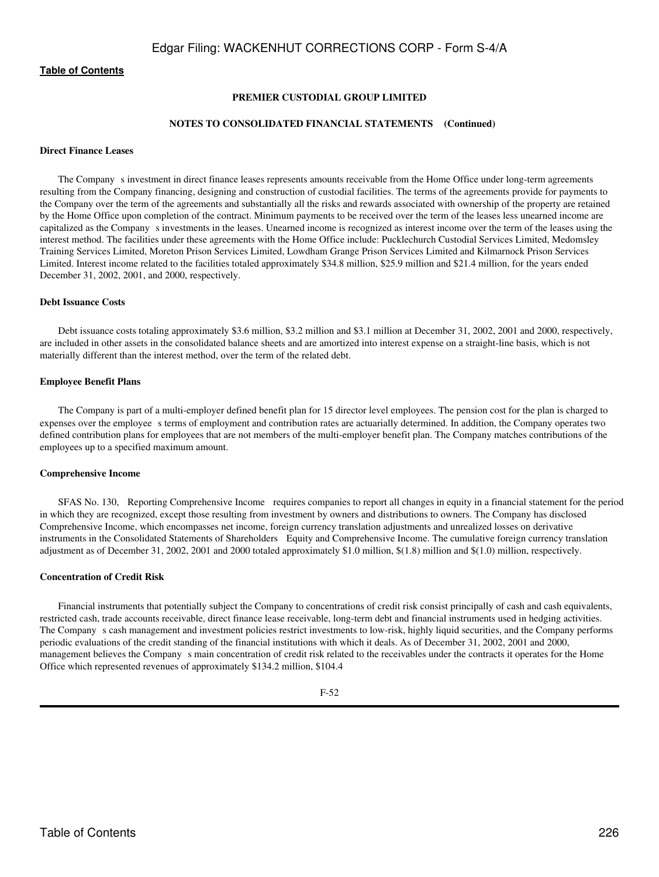### **PREMIER CUSTODIAL GROUP LIMITED**

### **NOTES TO CONSOLIDATED FINANCIAL STATEMENTS (Continued)**

#### **Direct Finance Leases**

The Company s investment in direct finance leases represents amounts receivable from the Home Office under long-term agreements resulting from the Company financing, designing and construction of custodial facilities. The terms of the agreements provide for payments to the Company over the term of the agreements and substantially all the risks and rewards associated with ownership of the property are retained by the Home Office upon completion of the contract. Minimum payments to be received over the term of the leases less unearned income are capitalized as the Companys investments in the leases. Unearned income is recognized as interest income over the term of the leases using the interest method. The facilities under these agreements with the Home Office include: Pucklechurch Custodial Services Limited, Medomsley Training Services Limited, Moreton Prison Services Limited, Lowdham Grange Prison Services Limited and Kilmarnock Prison Services Limited. Interest income related to the facilities totaled approximately \$34.8 million, \$25.9 million and \$21.4 million, for the years ended December 31, 2002, 2001, and 2000, respectively.

#### **Debt Issuance Costs**

Debt issuance costs totaling approximately \$3.6 million, \$3.2 million and \$3.1 million at December 31, 2002, 2001 and 2000, respectively, are included in other assets in the consolidated balance sheets and are amortized into interest expense on a straight-line basis, which is not materially different than the interest method, over the term of the related debt.

#### **Employee Benefit Plans**

The Company is part of a multi-employer defined benefit plan for 15 director level employees. The pension cost for the plan is charged to expenses over the employee s terms of employment and contribution rates are actuarially determined. In addition, the Company operates two defined contribution plans for employees that are not members of the multi-employer benefit plan. The Company matches contributions of the employees up to a specified maximum amount.

#### **Comprehensive Income**

SFAS No. 130, Reporting Comprehensive Income requires companies to report all changes in equity in a financial statement for the period in which they are recognized, except those resulting from investment by owners and distributions to owners. The Company has disclosed Comprehensive Income, which encompasses net income, foreign currency translation adjustments and unrealized losses on derivative instruments in the Consolidated Statements of Shareholders Equity and Comprehensive Income. The cumulative foreign currency translation adjustment as of December 31, 2002, 2001 and 2000 totaled approximately \$1.0 million, \$(1.8) million and \$(1.0) million, respectively.

#### **Concentration of Credit Risk**

Financial instruments that potentially subject the Company to concentrations of credit risk consist principally of cash and cash equivalents, restricted cash, trade accounts receivable, direct finance lease receivable, long-term debt and financial instruments used in hedging activities. The Company s cash management and investment policies restrict investments to low-risk, highly liquid securities, and the Company performs periodic evaluations of the credit standing of the financial institutions with which it deals. As of December 31, 2002, 2001 and 2000, management believes the Company s main concentration of credit risk related to the receivables under the contracts it operates for the Home Office which represented revenues of approximately \$134.2 million, \$104.4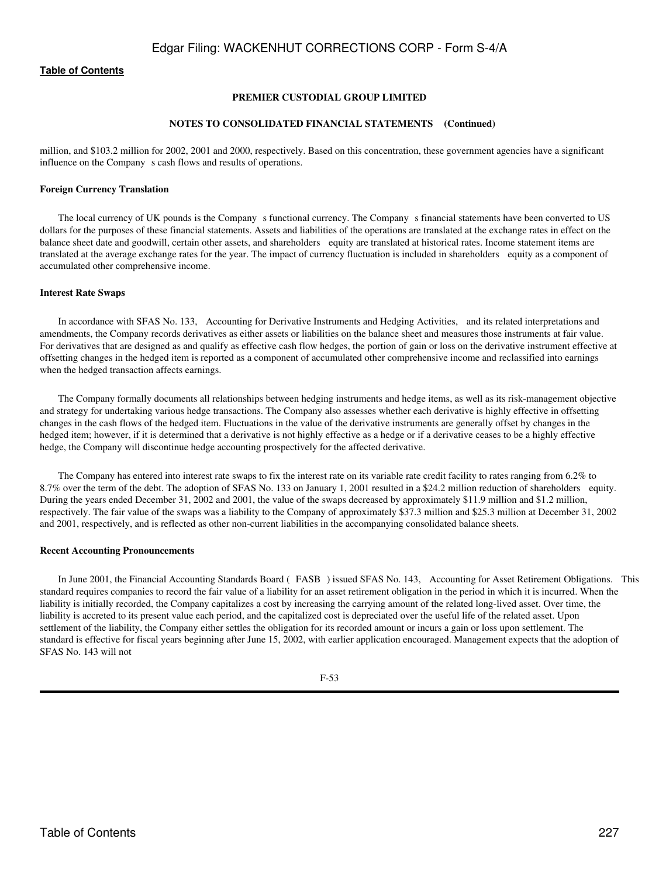### **[Table of Contents](#page-5-0)**

### **PREMIER CUSTODIAL GROUP LIMITED**

### **NOTES TO CONSOLIDATED FINANCIAL STATEMENTS (Continued)**

million, and \$103.2 million for 2002, 2001 and 2000, respectively. Based on this concentration, these government agencies have a significant influence on the Company s cash flows and results of operations.

#### **Foreign Currency Translation**

The local currency of UK pounds is the Company s functional currency. The Company s financial statements have been converted to US dollars for the purposes of these financial statements. Assets and liabilities of the operations are translated at the exchange rates in effect on the balance sheet date and goodwill, certain other assets, and shareholders equity are translated at historical rates. Income statement items are translated at the average exchange rates for the year. The impact of currency fluctuation is included in shareholders equity as a component of accumulated other comprehensive income.

#### **Interest Rate Swaps**

In accordance with SFAS No. 133, Accounting for Derivative Instruments and Hedging Activities, and its related interpretations and amendments, the Company records derivatives as either assets or liabilities on the balance sheet and measures those instruments at fair value. For derivatives that are designed as and qualify as effective cash flow hedges, the portion of gain or loss on the derivative instrument effective at offsetting changes in the hedged item is reported as a component of accumulated other comprehensive income and reclassified into earnings when the hedged transaction affects earnings.

The Company formally documents all relationships between hedging instruments and hedge items, as well as its risk-management objective and strategy for undertaking various hedge transactions. The Company also assesses whether each derivative is highly effective in offsetting changes in the cash flows of the hedged item. Fluctuations in the value of the derivative instruments are generally offset by changes in the hedged item; however, if it is determined that a derivative is not highly effective as a hedge or if a derivative ceases to be a highly effective hedge, the Company will discontinue hedge accounting prospectively for the affected derivative.

The Company has entered into interest rate swaps to fix the interest rate on its variable rate credit facility to rates ranging from 6.2% to 8.7% over the term of the debt. The adoption of SFAS No. 133 on January 1, 2001 resulted in a \$24.2 million reduction of shareholders equity. During the years ended December 31, 2002 and 2001, the value of the swaps decreased by approximately \$11.9 million and \$1.2 million, respectively. The fair value of the swaps was a liability to the Company of approximately \$37.3 million and \$25.3 million at December 31, 2002 and 2001, respectively, and is reflected as other non-current liabilities in the accompanying consolidated balance sheets.

#### **Recent Accounting Pronouncements**

In June 2001, the Financial Accounting Standards Board (FASB) issued SFAS No. 143, Accounting for Asset Retirement Obligations. This standard requires companies to record the fair value of a liability for an asset retirement obligation in the period in which it is incurred. When the liability is initially recorded, the Company capitalizes a cost by increasing the carrying amount of the related long-lived asset. Over time, the liability is accreted to its present value each period, and the capitalized cost is depreciated over the useful life of the related asset. Upon settlement of the liability, the Company either settles the obligation for its recorded amount or incurs a gain or loss upon settlement. The standard is effective for fiscal years beginning after June 15, 2002, with earlier application encouraged. Management expects that the adoption of SFAS No. 143 will not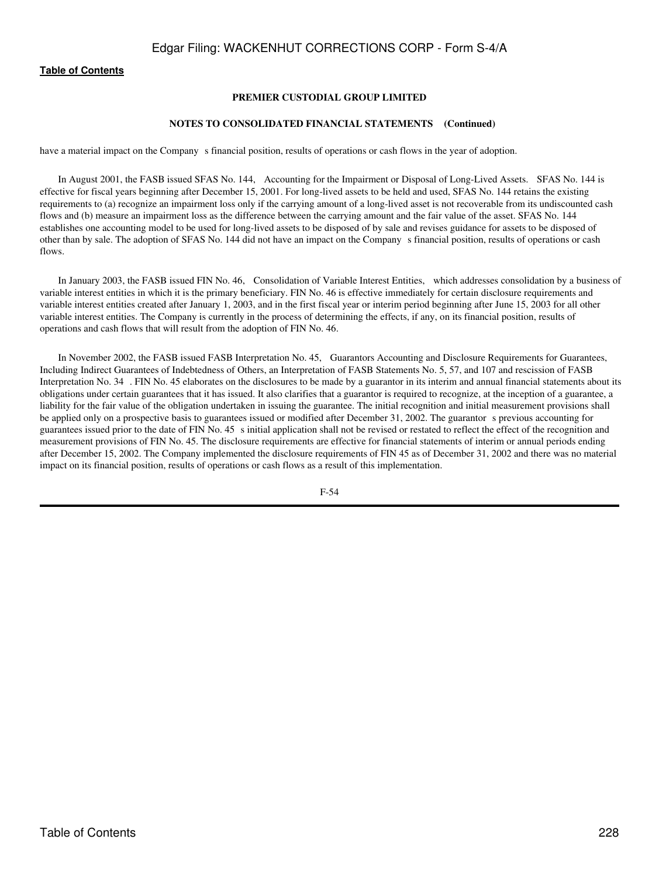### **[Table of Contents](#page-5-0)**

### **PREMIER CUSTODIAL GROUP LIMITED**

### **NOTES TO CONSOLIDATED FINANCIAL STATEMENTS (Continued)**

have a material impact on the Company s financial position, results of operations or cash flows in the year of adoption.

In August 2001, the FASB issued SFAS No. 144, Accounting for the Impairment or Disposal of Long-Lived Assets. SFAS No. 144 is effective for fiscal years beginning after December 15, 2001. For long-lived assets to be held and used, SFAS No. 144 retains the existing requirements to (a) recognize an impairment loss only if the carrying amount of a long-lived asset is not recoverable from its undiscounted cash flows and (b) measure an impairment loss as the difference between the carrying amount and the fair value of the asset. SFAS No. 144 establishes one accounting model to be used for long-lived assets to be disposed of by sale and revises guidance for assets to be disposed of other than by sale. The adoption of SFAS No. 144 did not have an impact on the Companys financial position, results of operations or cash flows.

In January 2003, the FASB issued FIN No. 46, Consolidation of Variable Interest Entities, which addresses consolidation by a business of variable interest entities in which it is the primary beneficiary. FIN No. 46 is effective immediately for certain disclosure requirements and variable interest entities created after January 1, 2003, and in the first fiscal year or interim period beginning after June 15, 2003 for all other variable interest entities. The Company is currently in the process of determining the effects, if any, on its financial position, results of operations and cash flows that will result from the adoption of FIN No. 46.

In November 2002, the FASB issued FASB Interpretation No. 45, Guarantors Accounting and Disclosure Requirements for Guarantees, Including Indirect Guarantees of Indebtedness of Others, an Interpretation of FASB Statements No. 5, 57, and 107 and rescission of FASB Interpretation No. 34. FIN No. 45 elaborates on the disclosures to be made by a guarantor in its interim and annual financial statements about its obligations under certain guarantees that it has issued. It also clarifies that a guarantor is required to recognize, at the inception of a guarantee, a liability for the fair value of the obligation undertaken in issuing the guarantee. The initial recognition and initial measurement provisions shall be applied only on a prospective basis to guarantees issued or modified after December 31, 2002. The guarantor s previous accounting for guarantees issued prior to the date of FIN No. 45 s initial application shall not be revised or restated to reflect the effect of the recognition and measurement provisions of FIN No. 45. The disclosure requirements are effective for financial statements of interim or annual periods ending after December 15, 2002. The Company implemented the disclosure requirements of FIN 45 as of December 31, 2002 and there was no material impact on its financial position, results of operations or cash flows as a result of this implementation.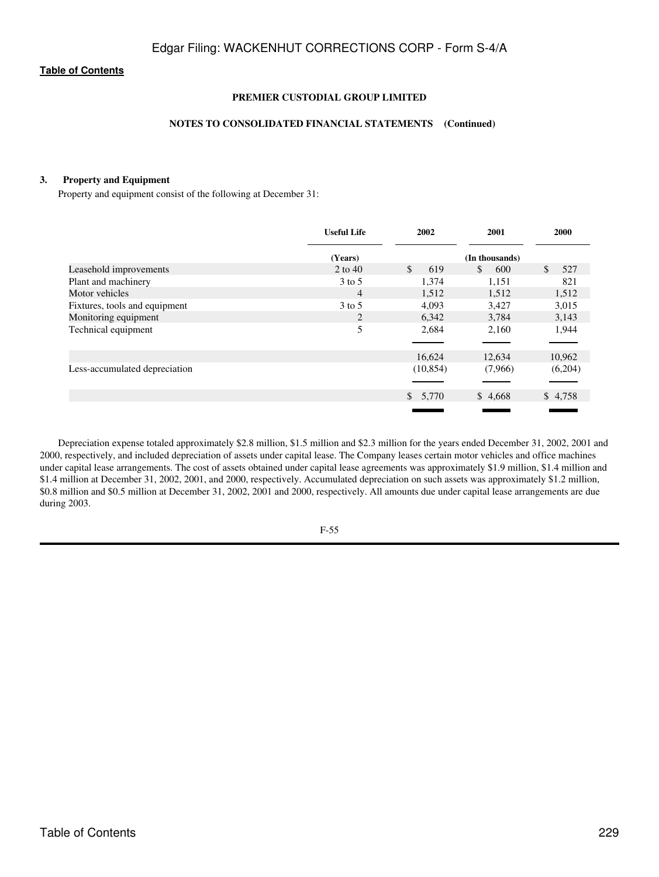### **PREMIER CUSTODIAL GROUP LIMITED**

### **NOTES TO CONSOLIDATED FINANCIAL STATEMENTS (Continued)**

#### **3. Property and Equipment**

Property and equipment consist of the following at December 31:

|                               | <b>Useful Life</b> | 2002                 | 2001           | 2000                |
|-------------------------------|--------------------|----------------------|----------------|---------------------|
|                               | (Years)            |                      | (In thousands) |                     |
| Leasehold improvements        | 2 to 40            | $\mathcal{S}$<br>619 | 600<br>\$.     | $\mathbb{S}$<br>527 |
| Plant and machinery           | $3$ to $5$         | 1,374                | 1,151          | 821                 |
| Motor vehicles                | 4                  | 1,512                | 1,512          | 1,512               |
| Fixtures, tools and equipment | $3$ to $5$         | 4,093                | 3,427          | 3,015               |
| Monitoring equipment          | 2                  | 6,342                | 3,784          | 3,143               |
| Technical equipment           | 5                  | 2,684                | 2,160          | 1,944               |
|                               |                    |                      |                |                     |
|                               |                    | 16,624               | 12,634         | 10,962              |
| Less-accumulated depreciation |                    | (10, 854)            | (7,966)        | (6,204)             |
|                               |                    |                      |                |                     |
|                               |                    | \$5,770              | \$4,668        | \$4,758             |
|                               |                    |                      |                |                     |

Depreciation expense totaled approximately \$2.8 million, \$1.5 million and \$2.3 million for the years ended December 31, 2002, 2001 and 2000, respectively, and included depreciation of assets under capital lease. The Company leases certain motor vehicles and office machines under capital lease arrangements. The cost of assets obtained under capital lease agreements was approximately \$1.9 million, \$1.4 million and \$1.4 million at December 31, 2002, 2001, and 2000, respectively. Accumulated depreciation on such assets was approximately \$1.2 million, \$0.8 million and \$0.5 million at December 31, 2002, 2001 and 2000, respectively. All amounts due under capital lease arrangements are due during 2003.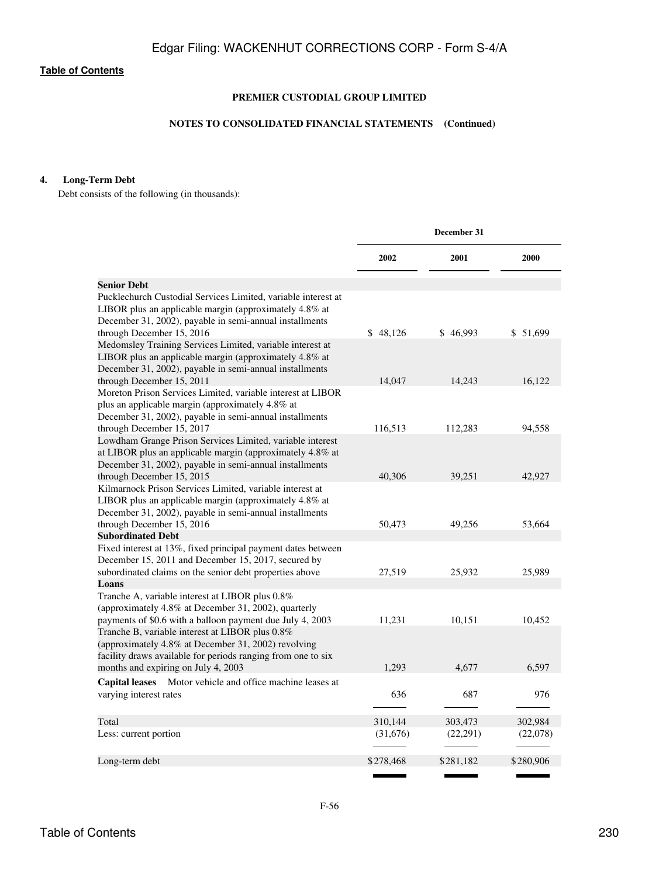### **PREMIER CUSTODIAL GROUP LIMITED**

### **NOTES TO CONSOLIDATED FINANCIAL STATEMENTS (Continued)**

#### **4. Long-Term Debt**

Debt consists of the following (in thousands):

|                                                                                                                                                                                       | December 31 |           |           |
|---------------------------------------------------------------------------------------------------------------------------------------------------------------------------------------|-------------|-----------|-----------|
|                                                                                                                                                                                       | 2002        | 2001      | 2000      |
| <b>Senior Debt</b>                                                                                                                                                                    |             |           |           |
| Pucklechurch Custodial Services Limited, variable interest at<br>LIBOR plus an applicable margin (approximately $4.8\%$ at<br>December 31, 2002), payable in semi-annual installments |             |           |           |
| through December 15, 2016                                                                                                                                                             | \$48,126    | \$46.993  | \$51,699  |
| Medomsley Training Services Limited, variable interest at<br>LIBOR plus an applicable margin (approximately 4.8% at<br>December 31, 2002), payable in semi-annual installments        |             |           |           |
| through December 15, 2011                                                                                                                                                             | 14,047      | 14,243    | 16,122    |
| Moreton Prison Services Limited, variable interest at LIBOR<br>plus an applicable margin (approximately 4.8% at<br>December 31, 2002), payable in semi-annual installments            |             |           |           |
| through December 15, 2017                                                                                                                                                             | 116,513     | 112,283   | 94,558    |
| Lowdham Grange Prison Services Limited, variable interest<br>at LIBOR plus an applicable margin (approximately 4.8% at<br>December 31, 2002), payable in semi-annual installments     |             |           |           |
| through December 15, 2015                                                                                                                                                             | 40,306      | 39,251    | 42,927    |
| Kilmarnock Prison Services Limited, variable interest at<br>LIBOR plus an applicable margin (approximately 4.8% at<br>December 31, 2002), payable in semi-annual installments         |             |           |           |
| through December 15, 2016                                                                                                                                                             | 50,473      | 49,256    | 53,664    |
| <b>Subordinated Debt</b>                                                                                                                                                              |             |           |           |
| Fixed interest at 13%, fixed principal payment dates between<br>December 15, 2011 and December 15, 2017, secured by                                                                   |             |           |           |
| subordinated claims on the senior debt properties above<br>Loans                                                                                                                      | 27,519      | 25,932    | 25,989    |
| Tranche A, variable interest at LIBOR plus 0.8%<br>(approximately 4.8% at December 31, 2002), quarterly<br>payments of \$0.6 with a balloon payment due July 4, 2003                  | 11,231      | 10,151    | 10,452    |
| Tranche B, variable interest at LIBOR plus 0.8%<br>(approximately 4.8% at December 31, 2002) revolving<br>facility draws available for periods ranging from one to six                |             |           |           |
| months and expiring on July 4, 2003                                                                                                                                                   | 1,293       | 4,677     | 6,597     |
| Motor vehicle and office machine leases at<br><b>Capital leases</b><br>varying interest rates                                                                                         | 636         | 687       | 976       |
| Total                                                                                                                                                                                 | 310,144     | 303,473   | 302,984   |
| Less: current portion                                                                                                                                                                 | (31,676)    | (22, 291) | (22,078)  |
| Long-term debt                                                                                                                                                                        | \$278,468   | \$281,182 | \$280,906 |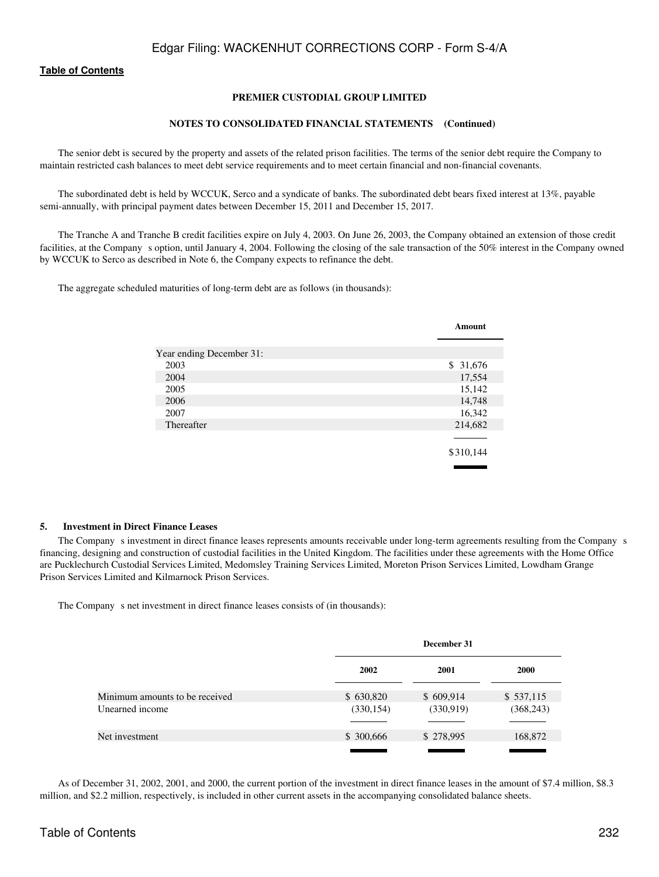### **PREMIER CUSTODIAL GROUP LIMITED**

#### **NOTES TO CONSOLIDATED FINANCIAL STATEMENTS (Continued)**

The senior debt is secured by the property and assets of the related prison facilities. The terms of the senior debt require the Company to maintain restricted cash balances to meet debt service requirements and to meet certain financial and non-financial covenants.

The subordinated debt is held by WCCUK, Serco and a syndicate of banks. The subordinated debt bears fixed interest at 13%, payable semi-annually, with principal payment dates between December 15, 2011 and December 15, 2017.

The Tranche A and Tranche B credit facilities expire on July 4, 2003. On June 26, 2003, the Company obtained an extension of those credit facilities, at the Company s option, until January 4, 2004. Following the closing of the sale transaction of the 50% interest in the Company owned by WCCUK to Serco as described in Note 6, the Company expects to refinance the debt.

The aggregate scheduled maturities of long-term debt are as follows (in thousands):

|                          | Amount    |
|--------------------------|-----------|
|                          |           |
| Year ending December 31: |           |
| 2003                     | \$ 31,676 |
| 2004                     | 17,554    |
| 2005                     | 15,142    |
| 2006                     | 14,748    |
| 2007                     | 16,342    |
| Thereafter               | 214,682   |
|                          |           |
|                          | \$310,144 |

#### **5. Investment in Direct Finance Leases**

The Company s investment in direct finance leases represents amounts receivable under long-term agreements resulting from the Company s financing, designing and construction of custodial facilities in the United Kingdom. The facilities under these agreements with the Home Office are Pucklechurch Custodial Services Limited, Medomsley Training Services Limited, Moreton Prison Services Limited, Lowdham Grange Prison Services Limited and Kilmarnock Prison Services.

The Company s net investment in direct finance leases consists of (in thousands):

|                                |            | December 31 |             |  |  |
|--------------------------------|------------|-------------|-------------|--|--|
|                                | 2002       | 2001        | <b>2000</b> |  |  |
| Minimum amounts to be received | \$630,820  | \$609,914   | \$537,115   |  |  |
| Unearned income                | (330, 154) | (330,919)   | (368, 243)  |  |  |
| Net investment                 | \$ 300,666 | \$278,995   | 168,872     |  |  |
|                                |            |             |             |  |  |

As of December 31, 2002, 2001, and 2000, the current portion of the investment in direct finance leases in the amount of \$7.4 million, \$8.3 million, and \$2.2 million, respectively, is included in other current assets in the accompanying consolidated balance sheets.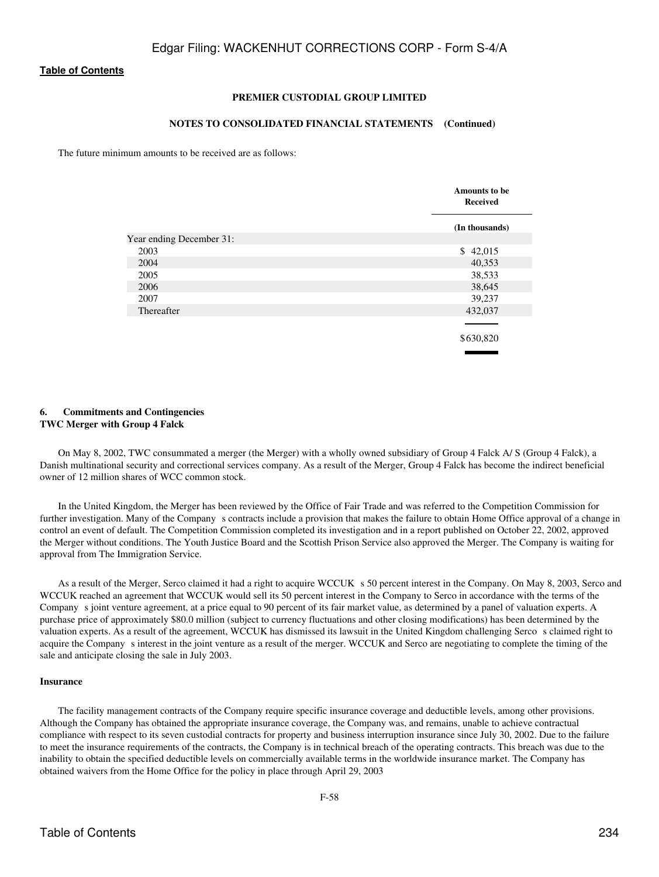### **PREMIER CUSTODIAL GROUP LIMITED**

#### **NOTES TO CONSOLIDATED FINANCIAL STATEMENTS (Continued)**

The future minimum amounts to be received are as follows:

|                          | <b>Amounts to be</b><br><b>Received</b> |
|--------------------------|-----------------------------------------|
|                          | (In thousands)                          |
| Year ending December 31: |                                         |
| 2003                     | \$42,015                                |
| 2004                     | 40,353                                  |
| 2005                     | 38,533                                  |
| 2006                     | 38,645                                  |
| 2007                     | 39,237                                  |
| Thereafter               | 432,037                                 |
|                          |                                         |
|                          | \$630,820                               |

#### **6. Commitments and Contingencies TWC Merger with Group 4 Falck**

On May 8, 2002, TWC consummated a merger (the Merger) with a wholly owned subsidiary of Group 4 Falck A/ S (Group 4 Falck), a Danish multinational security and correctional services company. As a result of the Merger, Group 4 Falck has become the indirect beneficial owner of 12 million shares of WCC common stock.

In the United Kingdom, the Merger has been reviewed by the Office of Fair Trade and was referred to the Competition Commission for further investigation. Many of the Company s contracts include a provision that makes the failure to obtain Home Office approval of a change in control an event of default. The Competition Commission completed its investigation and in a report published on October 22, 2002, approved the Merger without conditions. The Youth Justice Board and the Scottish Prison Service also approved the Merger. The Company is waiting for approval from The Immigration Service.

As a result of the Merger, Serco claimed it had a right to acquire WCCUK s 50 percent interest in the Company. On May 8, 2003, Serco and WCCUK reached an agreement that WCCUK would sell its 50 percent interest in the Company to Serco in accordance with the terms of the Companys joint venture agreement, at a price equal to 90 percent of its fair market value, as determined by a panel of valuation experts. A purchase price of approximately \$80.0 million (subject to currency fluctuations and other closing modifications) has been determined by the valuation experts. As a result of the agreement, WCCUK has dismissed its lawsuit in the United Kingdom challenging Sercos claimed right to acquire the Companys interest in the joint venture as a result of the merger. WCCUK and Serco are negotiating to complete the timing of the sale and anticipate closing the sale in July 2003.

#### **Insurance**

The facility management contracts of the Company require specific insurance coverage and deductible levels, among other provisions. Although the Company has obtained the appropriate insurance coverage, the Company was, and remains, unable to achieve contractual compliance with respect to its seven custodial contracts for property and business interruption insurance since July 30, 2002. Due to the failure to meet the insurance requirements of the contracts, the Company is in technical breach of the operating contracts. This breach was due to the inability to obtain the specified deductible levels on commercially available terms in the worldwide insurance market. The Company has obtained waivers from the Home Office for the policy in place through April 29, 2003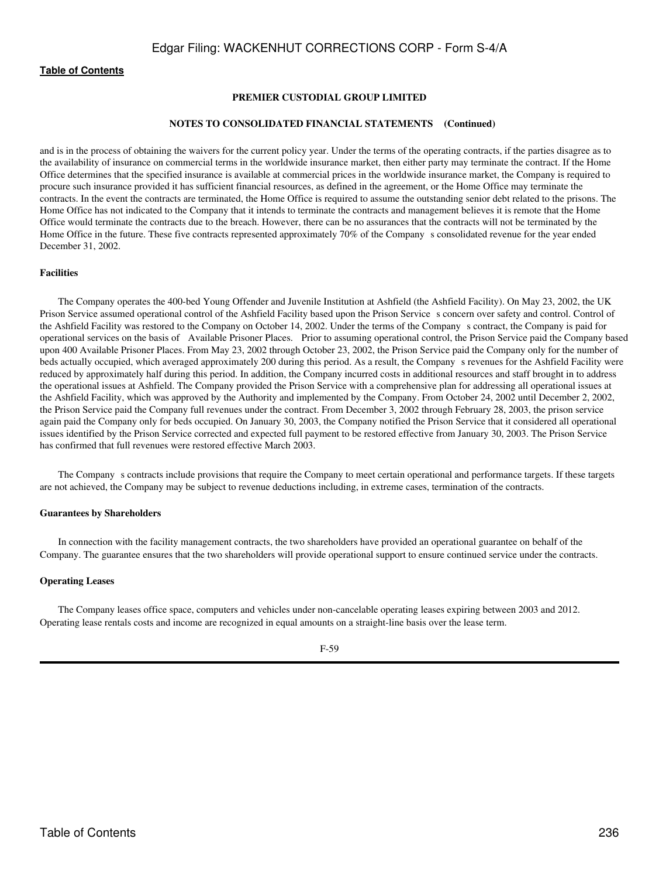### **PREMIER CUSTODIAL GROUP LIMITED**

#### **NOTES TO CONSOLIDATED FINANCIAL STATEMENTS (Continued)**

and is in the process of obtaining the waivers for the current policy year. Under the terms of the operating contracts, if the parties disagree as to the availability of insurance on commercial terms in the worldwide insurance market, then either party may terminate the contract. If the Home Office determines that the specified insurance is available at commercial prices in the worldwide insurance market, the Company is required to procure such insurance provided it has sufficient financial resources, as defined in the agreement, or the Home Office may terminate the contracts. In the event the contracts are terminated, the Home Office is required to assume the outstanding senior debt related to the prisons. The Home Office has not indicated to the Company that it intends to terminate the contracts and management believes it is remote that the Home Office would terminate the contracts due to the breach. However, there can be no assurances that the contracts will not be terminated by the Home Office in the future. These five contracts represented approximately 70% of the Company s consolidated revenue for the year ended December 31, 2002.

#### **Facilities**

The Company operates the 400-bed Young Offender and Juvenile Institution at Ashfield (the Ashfield Facility). On May 23, 2002, the UK Prison Service assumed operational control of the Ashfield Facility based upon the Prison Service s concern over safety and control. Control of the Ashfield Facility was restored to the Company on October 14, 2002. Under the terms of the Companys contract, the Company is paid for operational services on the basis of Available Prisoner Places. Prior to assuming operational control, the Prison Service paid the Company based upon 400 Available Prisoner Places. From May 23, 2002 through October 23, 2002, the Prison Service paid the Company only for the number of beds actually occupied, which averaged approximately 200 during this period. As a result, the Company s revenues for the Ashfield Facility were reduced by approximately half during this period. In addition, the Company incurred costs in additional resources and staff brought in to address the operational issues at Ashfield. The Company provided the Prison Service with a comprehensive plan for addressing all operational issues at the Ashfield Facility, which was approved by the Authority and implemented by the Company. From October 24, 2002 until December 2, 2002, the Prison Service paid the Company full revenues under the contract. From December 3, 2002 through February 28, 2003, the prison service again paid the Company only for beds occupied. On January 30, 2003, the Company notified the Prison Service that it considered all operational issues identified by the Prison Service corrected and expected full payment to be restored effective from January 30, 2003. The Prison Service has confirmed that full revenues were restored effective March 2003.

The Company s contracts include provisions that require the Company to meet certain operational and performance targets. If these targets are not achieved, the Company may be subject to revenue deductions including, in extreme cases, termination of the contracts.

#### **Guarantees by Shareholders**

In connection with the facility management contracts, the two shareholders have provided an operational guarantee on behalf of the Company. The guarantee ensures that the two shareholders will provide operational support to ensure continued service under the contracts.

#### **Operating Leases**

The Company leases office space, computers and vehicles under non-cancelable operating leases expiring between 2003 and 2012. Operating lease rentals costs and income are recognized in equal amounts on a straight-line basis over the lease term.

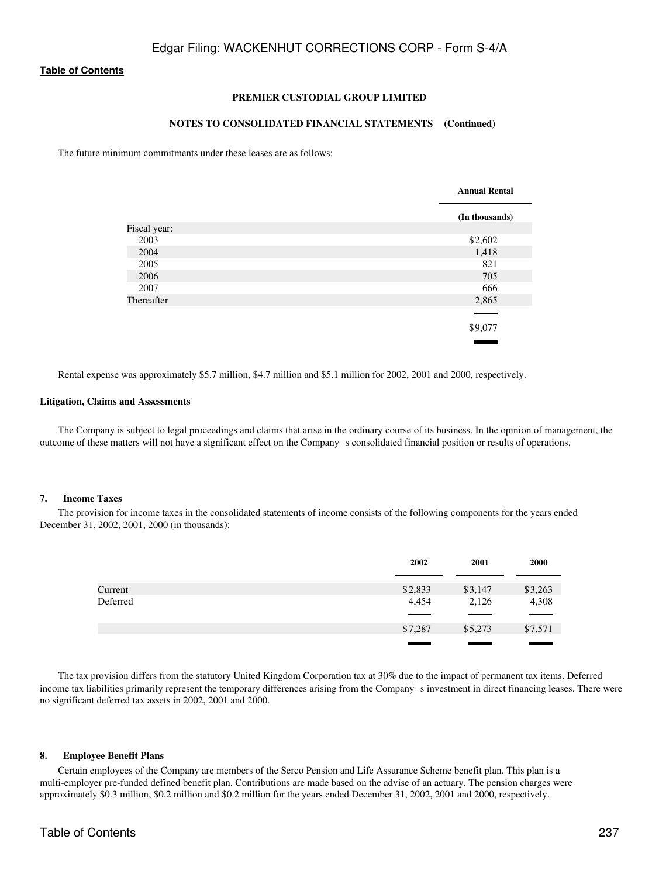### **PREMIER CUSTODIAL GROUP LIMITED**

#### **NOTES TO CONSOLIDATED FINANCIAL STATEMENTS (Continued)**

The future minimum commitments under these leases are as follows:

|              | <b>Annual Rental</b> |
|--------------|----------------------|
|              | (In thousands)       |
| Fiscal year: |                      |
| 2003         | \$2,602              |
| 2004         | 1,418                |
| 2005         | 821                  |
| 2006         | 705                  |
| 2007         | 666                  |
| Thereafter   | 2,865                |
|              |                      |
|              | \$9,077              |

Rental expense was approximately \$5.7 million, \$4.7 million and \$5.1 million for 2002, 2001 and 2000, respectively.

#### **Litigation, Claims and Assessments**

The Company is subject to legal proceedings and claims that arise in the ordinary course of its business. In the opinion of management, the outcome of these matters will not have a significant effect on the Companys consolidated financial position or results of operations.

#### **7. Income Taxes**

The provision for income taxes in the consolidated statements of income consists of the following components for the years ended December 31, 2002, 2001, 2000 (in thousands):

|          | 2002    | 2001    | <b>2000</b> |
|----------|---------|---------|-------------|
| Current  | \$2,833 | \$3,147 | \$3,263     |
| Deferred | 4,454   | 2,126   | 4,308       |
|          |         |         |             |
|          | \$7,287 | \$5,273 | \$7,571     |
|          |         |         |             |

The tax provision differs from the statutory United Kingdom Corporation tax at 30% due to the impact of permanent tax items. Deferred income tax liabilities primarily represent the temporary differences arising from the Company s investment in direct financing leases. There were no significant deferred tax assets in 2002, 2001 and 2000.

#### **8. Employee Benefit Plans**

Certain employees of the Company are members of the Serco Pension and Life Assurance Scheme benefit plan. This plan is a multi-employer pre-funded defined benefit plan. Contributions are made based on the advise of an actuary. The pension charges were approximately \$0.3 million, \$0.2 million and \$0.2 million for the years ended December 31, 2002, 2001 and 2000, respectively.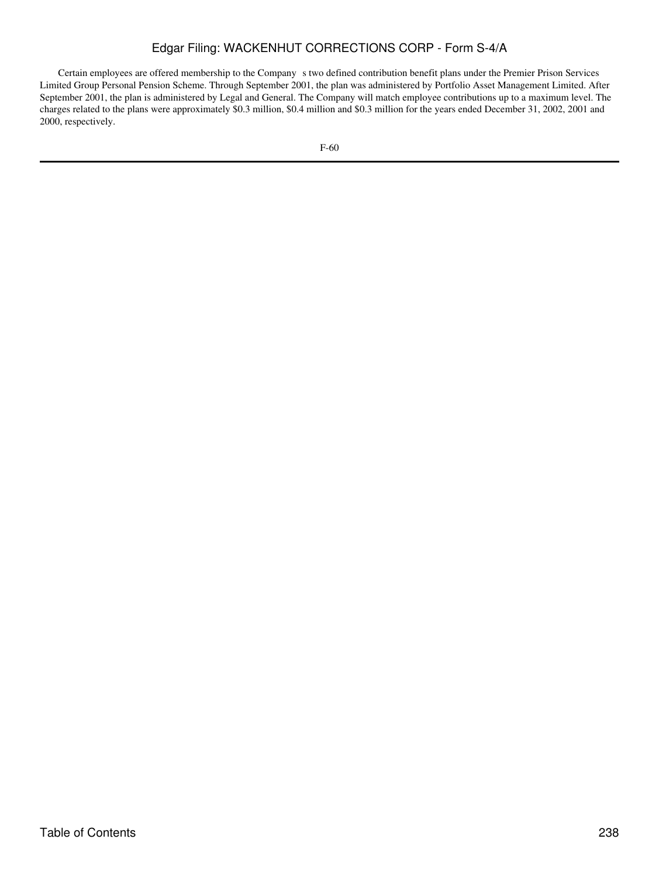Certain employees are offered membership to the Companys two defined contribution benefit plans under the Premier Prison Services Limited Group Personal Pension Scheme. Through September 2001, the plan was administered by Portfolio Asset Management Limited. After September 2001, the plan is administered by Legal and General. The Company will match employee contributions up to a maximum level. The charges related to the plans were approximately \$0.3 million, \$0.4 million and \$0.3 million for the years ended December 31, 2002, 2001 and 2000, respectively.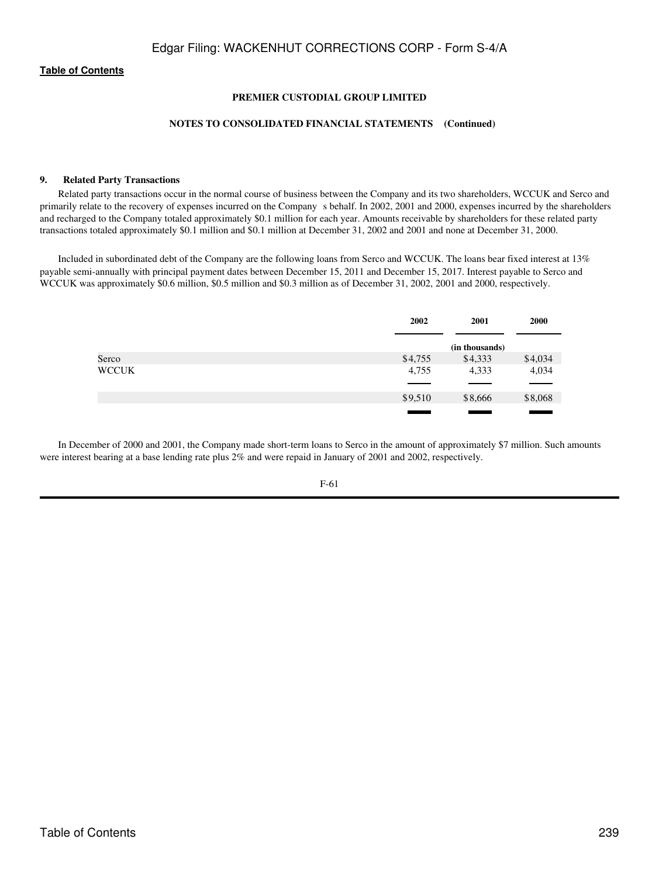### **PREMIER CUSTODIAL GROUP LIMITED**

#### **NOTES TO CONSOLIDATED FINANCIAL STATEMENTS (Continued)**

#### **9. Related Party Transactions**

Related party transactions occur in the normal course of business between the Company and its two shareholders, WCCUK and Serco and primarily relate to the recovery of expenses incurred on the Companys behalf. In 2002, 2001 and 2000, expenses incurred by the shareholders and recharged to the Company totaled approximately \$0.1 million for each year. Amounts receivable by shareholders for these related party transactions totaled approximately \$0.1 million and \$0.1 million at December 31, 2002 and 2001 and none at December 31, 2000.

Included in subordinated debt of the Company are the following loans from Serco and WCCUK. The loans bear fixed interest at 13% payable semi-annually with principal payment dates between December 15, 2011 and December 15, 2017. Interest payable to Serco and WCCUK was approximately \$0.6 million, \$0.5 million and \$0.3 million as of December 31, 2002, 2001 and 2000, respectively.

|              | 2002    | 2001           | <b>2000</b> |
|--------------|---------|----------------|-------------|
|              |         | (in thousands) |             |
| Serco        | \$4,755 | \$4,333        | \$4,034     |
| <b>WCCUK</b> | 4,755   | 4,333          | 4,034       |
|              | \$9,510 | \$8,666        | \$8,068     |

In December of 2000 and 2001, the Company made short-term loans to Serco in the amount of approximately \$7 million. Such amounts were interest bearing at a base lending rate plus 2% and were repaid in January of 2001 and 2002, respectively.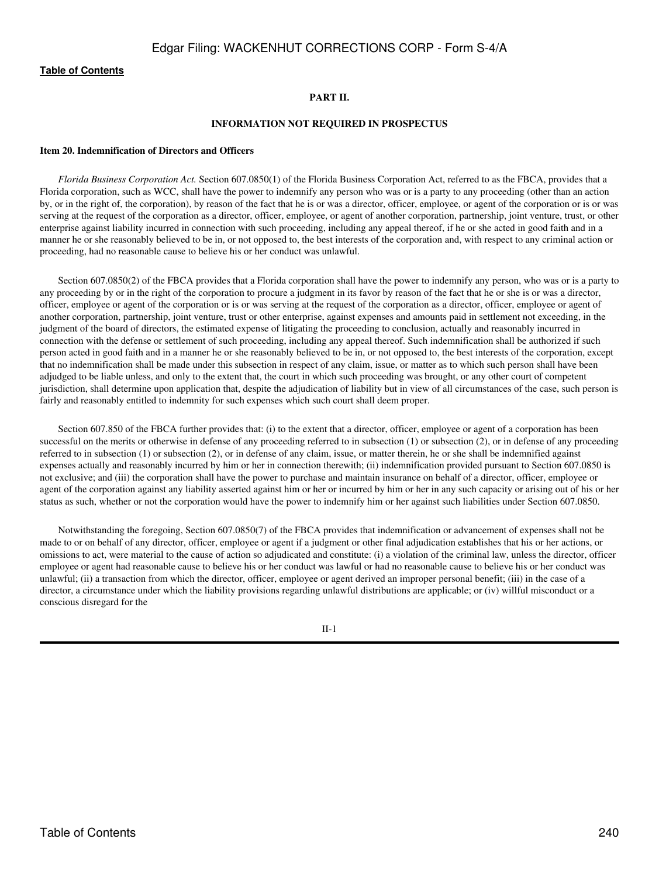### **PART II.**

#### **INFORMATION NOT REQUIRED IN PROSPECTUS**

#### **Item 20. Indemnification of Directors and Officers**

*Florida Business Corporation Act.* Section 607.0850(1) of the Florida Business Corporation Act, referred to as the FBCA, provides that a Florida corporation, such as WCC, shall have the power to indemnify any person who was or is a party to any proceeding (other than an action by, or in the right of, the corporation), by reason of the fact that he is or was a director, officer, employee, or agent of the corporation or is or was serving at the request of the corporation as a director, officer, employee, or agent of another corporation, partnership, joint venture, trust, or other enterprise against liability incurred in connection with such proceeding, including any appeal thereof, if he or she acted in good faith and in a manner he or she reasonably believed to be in, or not opposed to, the best interests of the corporation and, with respect to any criminal action or proceeding, had no reasonable cause to believe his or her conduct was unlawful.

Section 607.0850(2) of the FBCA provides that a Florida corporation shall have the power to indemnify any person, who was or is a party to any proceeding by or in the right of the corporation to procure a judgment in its favor by reason of the fact that he or she is or was a director, officer, employee or agent of the corporation or is or was serving at the request of the corporation as a director, officer, employee or agent of another corporation, partnership, joint venture, trust or other enterprise, against expenses and amounts paid in settlement not exceeding, in the judgment of the board of directors, the estimated expense of litigating the proceeding to conclusion, actually and reasonably incurred in connection with the defense or settlement of such proceeding, including any appeal thereof. Such indemnification shall be authorized if such person acted in good faith and in a manner he or she reasonably believed to be in, or not opposed to, the best interests of the corporation, except that no indemnification shall be made under this subsection in respect of any claim, issue, or matter as to which such person shall have been adjudged to be liable unless, and only to the extent that, the court in which such proceeding was brought, or any other court of competent jurisdiction, shall determine upon application that, despite the adjudication of liability but in view of all circumstances of the case, such person is fairly and reasonably entitled to indemnity for such expenses which such court shall deem proper.

Section 607.850 of the FBCA further provides that: (i) to the extent that a director, officer, employee or agent of a corporation has been successful on the merits or otherwise in defense of any proceeding referred to in subsection (1) or subsection (2), or in defense of any proceeding referred to in subsection (1) or subsection (2), or in defense of any claim, issue, or matter therein, he or she shall be indemnified against expenses actually and reasonably incurred by him or her in connection therewith; (ii) indemnification provided pursuant to Section 607.0850 is not exclusive; and (iii) the corporation shall have the power to purchase and maintain insurance on behalf of a director, officer, employee or agent of the corporation against any liability asserted against him or her or incurred by him or her in any such capacity or arising out of his or her status as such, whether or not the corporation would have the power to indemnify him or her against such liabilities under Section 607.0850.

Notwithstanding the foregoing, Section 607.0850(7) of the FBCA provides that indemnification or advancement of expenses shall not be made to or on behalf of any director, officer, employee or agent if a judgment or other final adjudication establishes that his or her actions, or omissions to act, were material to the cause of action so adjudicated and constitute: (i) a violation of the criminal law, unless the director, officer employee or agent had reasonable cause to believe his or her conduct was lawful or had no reasonable cause to believe his or her conduct was unlawful; (ii) a transaction from which the director, officer, employee or agent derived an improper personal benefit; (iii) in the case of a director, a circumstance under which the liability provisions regarding unlawful distributions are applicable; or (iv) willful misconduct or a conscious disregard for the

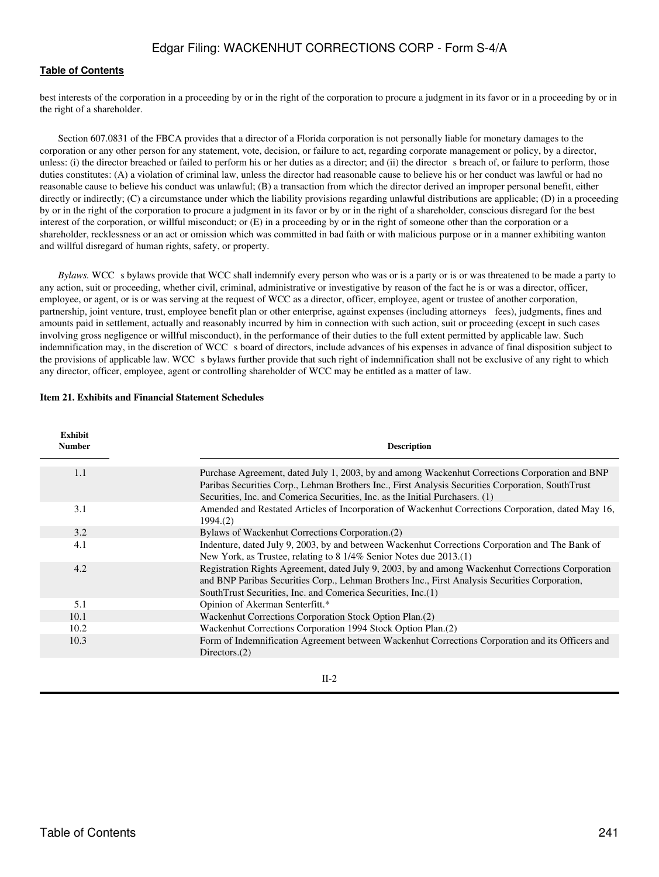### **[Table of Contents](#page-5-0)**

best interests of the corporation in a proceeding by or in the right of the corporation to procure a judgment in its favor or in a proceeding by or in the right of a shareholder.

Section 607.0831 of the FBCA provides that a director of a Florida corporation is not personally liable for monetary damages to the corporation or any other person for any statement, vote, decision, or failure to act, regarding corporate management or policy, by a director, unless: (i) the director breached or failed to perform his or her duties as a director; and (ii) the director s breach of, or failure to perform, those duties constitutes: (A) a violation of criminal law, unless the director had reasonable cause to believe his or her conduct was lawful or had no reasonable cause to believe his conduct was unlawful; (B) a transaction from which the director derived an improper personal benefit, either directly or indirectly; (C) a circumstance under which the liability provisions regarding unlawful distributions are applicable; (D) in a proceeding by or in the right of the corporation to procure a judgment in its favor or by or in the right of a shareholder, conscious disregard for the best interest of the corporation, or willful misconduct; or (E) in a proceeding by or in the right of someone other than the corporation or a shareholder, recklessness or an act or omission which was committed in bad faith or with malicious purpose or in a manner exhibiting wanton and willful disregard of human rights, safety, or property.

*Bylaws*. WCC s bylaws provide that WCC shall indemnify every person who was or is a party or is or was threatened to be made a party to any action, suit or proceeding, whether civil, criminal, administrative or investigative by reason of the fact he is or was a director, officer, employee, or agent, or is or was serving at the request of WCC as a director, officer, employee, agent or trustee of another corporation, partnership, joint venture, trust, employee benefit plan or other enterprise, against expenses (including attorneys fees), judgments, fines and amounts paid in settlement, actually and reasonably incurred by him in connection with such action, suit or proceeding (except in such cases involving gross negligence or willful misconduct), in the performance of their duties to the full extent permitted by applicable law. Such indemnification may, in the discretion of WCC s board of directors, include advances of his expenses in advance of final disposition subject to the provisions of applicable law. WCC s bylaws further provide that such right of indemnification shall not be exclusive of any right to which any director, officer, employee, agent or controlling shareholder of WCC may be entitled as a matter of law.

| Exhibit<br><b>Number</b> | <b>Description</b>                                                                                                                                                                                                                                                                   |
|--------------------------|--------------------------------------------------------------------------------------------------------------------------------------------------------------------------------------------------------------------------------------------------------------------------------------|
| 1.1                      | Purchase Agreement, dated July 1, 2003, by and among Wackenhut Corrections Corporation and BNP<br>Paribas Securities Corp., Lehman Brothers Inc., First Analysis Securities Corporation, SouthTrust<br>Securities, Inc. and Comerica Securities, Inc. as the Initial Purchasers. (1) |
| 3.1                      | Amended and Restated Articles of Incorporation of Wackenhut Corrections Corporation, dated May 16,<br>1994(2)                                                                                                                                                                        |
| 3.2                      | Bylaws of Wackenhut Corrections Corporation. (2)                                                                                                                                                                                                                                     |
| 4.1                      | Indenture, dated July 9, 2003, by and between Wackenhut Corrections Corporation and The Bank of<br>New York, as Trustee, relating to 8 1/4% Senior Notes due 2013.(1)                                                                                                                |
| 4.2                      | Registration Rights Agreement, dated July 9, 2003, by and among Wackenhut Corrections Corporation<br>and BNP Paribas Securities Corp., Lehman Brothers Inc., First Analysis Securities Corporation,<br>South Trust Securities, Inc. and Comerica Securities, Inc.(1)                 |
| 5.1                      | Opinion of Akerman Senterfitt.*                                                                                                                                                                                                                                                      |
| 10.1                     | Wackenhut Corrections Corporation Stock Option Plan. (2)                                                                                                                                                                                                                             |
| 10.2                     | Wackenhut Corrections Corporation 1994 Stock Option Plan.(2)                                                                                                                                                                                                                         |
| 10.3                     | Form of Indemnification Agreement between Wackenhut Corrections Corporation and its Officers and<br>Directors. $(2)$                                                                                                                                                                 |
|                          |                                                                                                                                                                                                                                                                                      |

#### **Item 21. Exhibits and Financial Statement Schedules**

II-2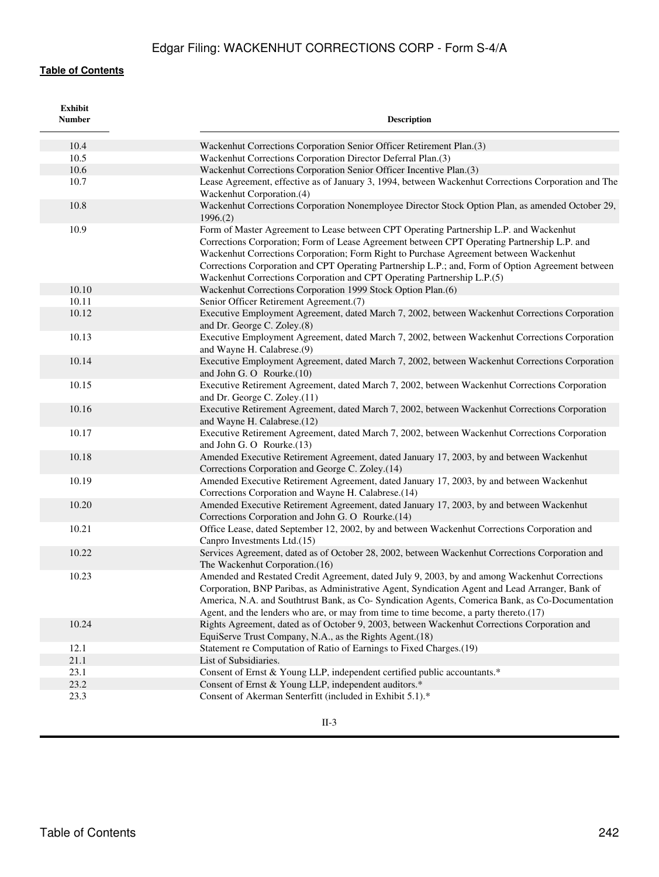| Exhibit<br>Number | <b>Description</b>                                                                                                                                                                                                                                                                                                                                                                                                                                             |
|-------------------|----------------------------------------------------------------------------------------------------------------------------------------------------------------------------------------------------------------------------------------------------------------------------------------------------------------------------------------------------------------------------------------------------------------------------------------------------------------|
| 10.4              | Wackenhut Corrections Corporation Senior Officer Retirement Plan.(3)                                                                                                                                                                                                                                                                                                                                                                                           |
| 10.5              | Wackenhut Corrections Corporation Director Deferral Plan.(3)                                                                                                                                                                                                                                                                                                                                                                                                   |
| 10.6              | Wackenhut Corrections Corporation Senior Officer Incentive Plan.(3)                                                                                                                                                                                                                                                                                                                                                                                            |
| 10.7              | Lease Agreement, effective as of January 3, 1994, between Wackenhut Corrections Corporation and The<br>Wackenhut Corporation.(4)                                                                                                                                                                                                                                                                                                                               |
| 10.8              | Wackenhut Corrections Corporation Nonemployee Director Stock Option Plan, as amended October 29,<br>1996(2)                                                                                                                                                                                                                                                                                                                                                    |
| 10.9              | Form of Master Agreement to Lease between CPT Operating Partnership L.P. and Wackenhut<br>Corrections Corporation; Form of Lease Agreement between CPT Operating Partnership L.P. and<br>Wackenhut Corrections Corporation; Form Right to Purchase Agreement between Wackenhut<br>Corrections Corporation and CPT Operating Partnership L.P.; and, Form of Option Agreement between<br>Wackenhut Corrections Corporation and CPT Operating Partnership L.P.(5) |
| 10.10             | Wackenhut Corrections Corporation 1999 Stock Option Plan.(6)                                                                                                                                                                                                                                                                                                                                                                                                   |
| 10.11             | Senior Officer Retirement Agreement.(7)                                                                                                                                                                                                                                                                                                                                                                                                                        |
| 10.12             | Executive Employment Agreement, dated March 7, 2002, between Wackenhut Corrections Corporation<br>and Dr. George C. Zoley.(8)                                                                                                                                                                                                                                                                                                                                  |
| 10.13             | Executive Employment Agreement, dated March 7, 2002, between Wackenhut Corrections Corporation<br>and Wayne H. Calabrese.(9)                                                                                                                                                                                                                                                                                                                                   |
| 10.14             | Executive Employment Agreement, dated March 7, 2002, between Wackenhut Corrections Corporation<br>and John G. O Rourke.(10)                                                                                                                                                                                                                                                                                                                                    |
| 10.15             | Executive Retirement Agreement, dated March 7, 2002, between Wackenhut Corrections Corporation<br>and Dr. George C. Zoley.(11)                                                                                                                                                                                                                                                                                                                                 |
| 10.16             | Executive Retirement Agreement, dated March 7, 2002, between Wackenhut Corrections Corporation<br>and Wayne H. Calabrese.(12)                                                                                                                                                                                                                                                                                                                                  |
| 10.17             | Executive Retirement Agreement, dated March 7, 2002, between Wackenhut Corrections Corporation<br>and John G. O Rourke.(13)                                                                                                                                                                                                                                                                                                                                    |
| 10.18             | Amended Executive Retirement Agreement, dated January 17, 2003, by and between Wackenhut<br>Corrections Corporation and George C. Zoley.(14)                                                                                                                                                                                                                                                                                                                   |
| 10.19             | Amended Executive Retirement Agreement, dated January 17, 2003, by and between Wackenhut<br>Corrections Corporation and Wayne H. Calabrese.(14)                                                                                                                                                                                                                                                                                                                |
| 10.20             | Amended Executive Retirement Agreement, dated January 17, 2003, by and between Wackenhut<br>Corrections Corporation and John G. O Rourke.(14)                                                                                                                                                                                                                                                                                                                  |
| 10.21             | Office Lease, dated September 12, 2002, by and between Wackenhut Corrections Corporation and<br>Canpro Investments Ltd.(15)                                                                                                                                                                                                                                                                                                                                    |
| 10.22             | Services Agreement, dated as of October 28, 2002, between Wackenhut Corrections Corporation and<br>The Wackenhut Corporation.(16)                                                                                                                                                                                                                                                                                                                              |
| 10.23             | Amended and Restated Credit Agreement, dated July 9, 2003, by and among Wackenhut Corrections<br>Corporation, BNP Paribas, as Administrative Agent, Syndication Agent and Lead Arranger, Bank of<br>America, N.A. and Southtrust Bank, as Co-Syndication Agents, Comerica Bank, as Co-Documentation<br>Agent, and the lenders who are, or may from time to time become, a party thereto.(17)                                                                   |
| 10.24             | Rights Agreement, dated as of October 9, 2003, between Wackenhut Corrections Corporation and<br>EquiServe Trust Company, N.A., as the Rights Agent.(18)                                                                                                                                                                                                                                                                                                        |
| 12.1              | Statement re Computation of Ratio of Earnings to Fixed Charges.(19)                                                                                                                                                                                                                                                                                                                                                                                            |
| 21.1              | List of Subsidiaries.                                                                                                                                                                                                                                                                                                                                                                                                                                          |
| 23.1              | Consent of Ernst & Young LLP, independent certified public accountants.*                                                                                                                                                                                                                                                                                                                                                                                       |
| 23.2              | Consent of Ernst & Young LLP, independent auditors.*                                                                                                                                                                                                                                                                                                                                                                                                           |
| 23.3              | Consent of Akerman Senterfitt (included in Exhibit 5.1).*                                                                                                                                                                                                                                                                                                                                                                                                      |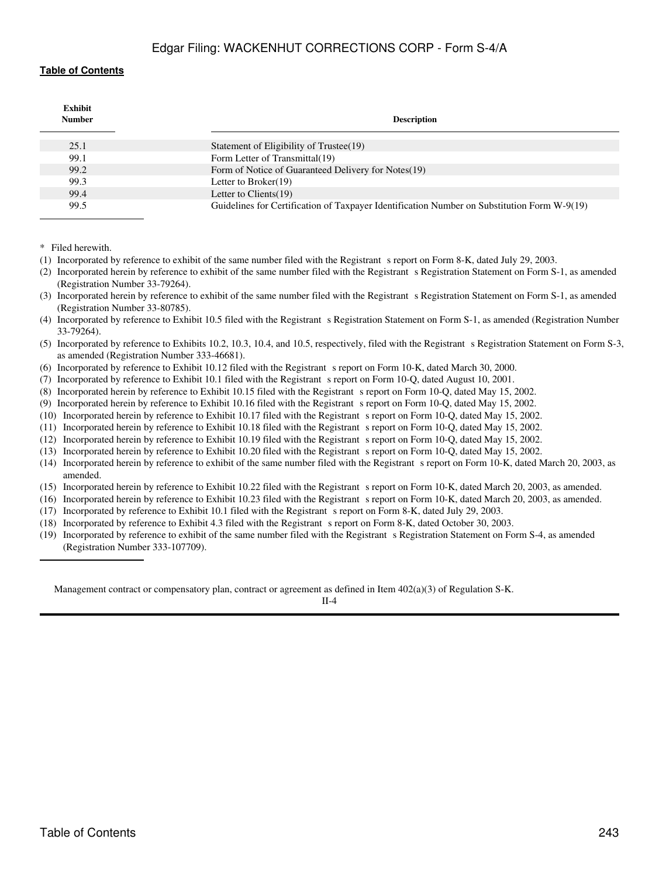| Exhibit<br><b>Number</b> | <b>Description</b>                                                                          |
|--------------------------|---------------------------------------------------------------------------------------------|
|                          |                                                                                             |
| 25.1                     | Statement of Eligibility of Trustee(19)                                                     |
| 99.1                     | Form Letter of Transmittal(19)                                                              |
| 99.2                     | Form of Notice of Guaranteed Delivery for Notes(19)                                         |
| 99.3                     | Letter to Broker $(19)$                                                                     |
| 99.4                     | Letter to Clients $(19)$                                                                    |
| 99.5                     | Guidelines for Certification of Taxpayer Identification Number on Substitution Form W-9(19) |

\* Filed herewith.

- (1) Incorporated by reference to exhibit of the same number filed with the Registrants report on Form 8-K, dated July 29, 2003.
- (2) Incorporated herein by reference to exhibit of the same number filed with the Registrants Registration Statement on Form S-1, as amended (Registration Number 33-79264).
- (3) Incorporated herein by reference to exhibit of the same number filed with the Registrants Registration Statement on Form S-1, as amended (Registration Number 33-80785).
- (4) Incorporated by reference to Exhibit 10.5 filed with the Registrants Registration Statement on Form S-1, as amended (Registration Number 33-79264).
- (5) Incorporated by reference to Exhibits 10.2, 10.3, 10.4, and 10.5, respectively, filed with the Registrants Registration Statement on Form S-3, as amended (Registration Number 333-46681).
- (6) Incorporated by reference to Exhibit 10.12 filed with the Registrants report on Form 10-K, dated March 30, 2000.
- (7) Incorporated by reference to Exhibit 10.1 filed with the Registrants report on Form 10-Q, dated August 10, 2001.
- (8) Incorporated herein by reference to Exhibit 10.15 filed with the Registrants report on Form 10-Q, dated May 15, 2002.
- (9) Incorporated herein by reference to Exhibit 10.16 filed with the Registrants report on Form 10-Q, dated May 15, 2002.
- (10) Incorporated herein by reference to Exhibit 10.17 filed with the Registrants report on Form 10-Q, dated May 15, 2002.
- (11) Incorporated herein by reference to Exhibit 10.18 filed with the Registrants report on Form 10-Q, dated May 15, 2002.
- (12) Incorporated herein by reference to Exhibit 10.19 filed with the Registrants report on Form 10-Q, dated May 15, 2002.
- (13) Incorporated herein by reference to Exhibit 10.20 filed with the Registrants report on Form 10-Q, dated May 15, 2002.
- (14) Incorporated herein by reference to exhibit of the same number filed with the Registrants report on Form 10-K, dated March 20, 2003, as amended.
- (15) Incorporated herein by reference to Exhibit 10.22 filed with the Registrants report on Form 10-K, dated March 20, 2003, as amended.
- (16) Incorporated herein by reference to Exhibit 10.23 filed with the Registrant s report on Form 10-K, dated March 20, 2003, as amended.
- (17) Incorporated by reference to Exhibit 10.1 filed with the Registrants report on Form 8-K, dated July 29, 2003.
- (18) Incorporated by reference to Exhibit 4.3 filed with the Registrants report on Form 8-K, dated October 30, 2003.
- (19) Incorporated by reference to exhibit of the same number filed with the Registrants Registration Statement on Form S-4, as amended (Registration Number 333-107709).

Management contract or compensatory plan, contract or agreement as defined in Item 402(a)(3) of Regulation S-K.

II-4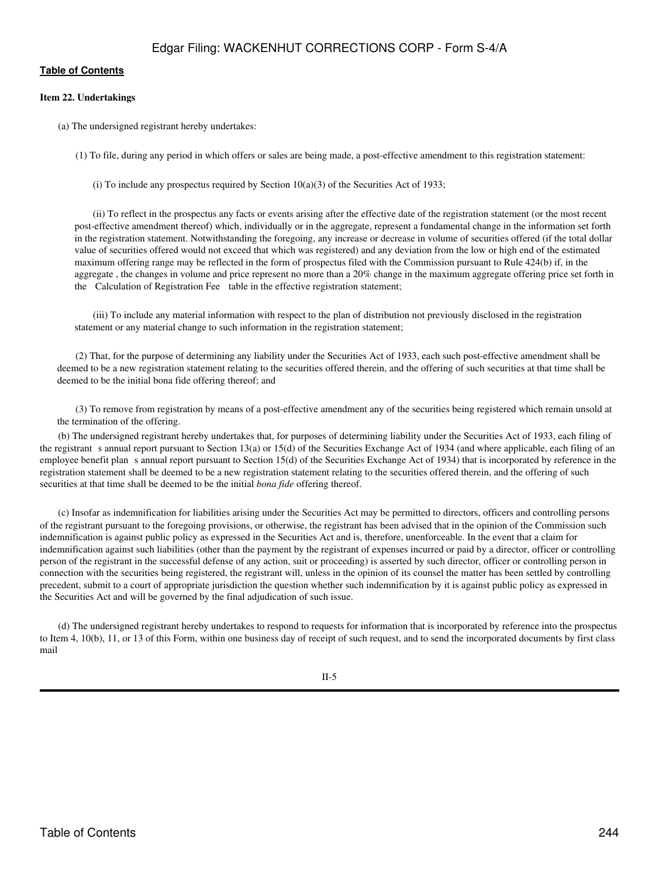#### **Item 22. Undertakings**

(a) The undersigned registrant hereby undertakes:

(1) To file, during any period in which offers or sales are being made, a post-effective amendment to this registration statement:

(i) To include any prospectus required by Section  $10(a)(3)$  of the Securities Act of 1933;

(ii) To reflect in the prospectus any facts or events arising after the effective date of the registration statement (or the most recent post-effective amendment thereof) which, individually or in the aggregate, represent a fundamental change in the information set forth in the registration statement. Notwithstanding the foregoing, any increase or decrease in volume of securities offered (if the total dollar value of securities offered would not exceed that which was registered) and any deviation from the low or high end of the estimated maximum offering range may be reflected in the form of prospectus filed with the Commission pursuant to Rule 424(b) if, in the aggregate , the changes in volume and price represent no more than a 20% change in the maximum aggregate offering price set forth in the Calculation of Registration Fee table in the effective registration statement;

(iii) To include any material information with respect to the plan of distribution not previously disclosed in the registration statement or any material change to such information in the registration statement;

(2) That, for the purpose of determining any liability under the Securities Act of 1933, each such post-effective amendment shall be deemed to be a new registration statement relating to the securities offered therein, and the offering of such securities at that time shall be deemed to be the initial bona fide offering thereof; and

(3) To remove from registration by means of a post-effective amendment any of the securities being registered which remain unsold at the termination of the offering.

(b) The undersigned registrant hereby undertakes that, for purposes of determining liability under the Securities Act of 1933, each filing of the registrant s annual report pursuant to Section 13(a) or 15(d) of the Securities Exchange Act of 1934 (and where applicable, each filing of an employee benefit plan s annual report pursuant to Section 15(d) of the Securities Exchange Act of 1934) that is incorporated by reference in the registration statement shall be deemed to be a new registration statement relating to the securities offered therein, and the offering of such securities at that time shall be deemed to be the initial *bona fide* offering thereof.

(c) Insofar as indemnification for liabilities arising under the Securities Act may be permitted to directors, officers and controlling persons of the registrant pursuant to the foregoing provisions, or otherwise, the registrant has been advised that in the opinion of the Commission such indemnification is against public policy as expressed in the Securities Act and is, therefore, unenforceable. In the event that a claim for indemnification against such liabilities (other than the payment by the registrant of expenses incurred or paid by a director, officer or controlling person of the registrant in the successful defense of any action, suit or proceeding) is asserted by such director, officer or controlling person in connection with the securities being registered, the registrant will, unless in the opinion of its counsel the matter has been settled by controlling precedent, submit to a court of appropriate jurisdiction the question whether such indemnification by it is against public policy as expressed in the Securities Act and will be governed by the final adjudication of such issue.

(d) The undersigned registrant hereby undertakes to respond to requests for information that is incorporated by reference into the prospectus to Item 4, 10(b), 11, or 13 of this Form, within one business day of receipt of such request, and to send the incorporated documents by first class mail

II-5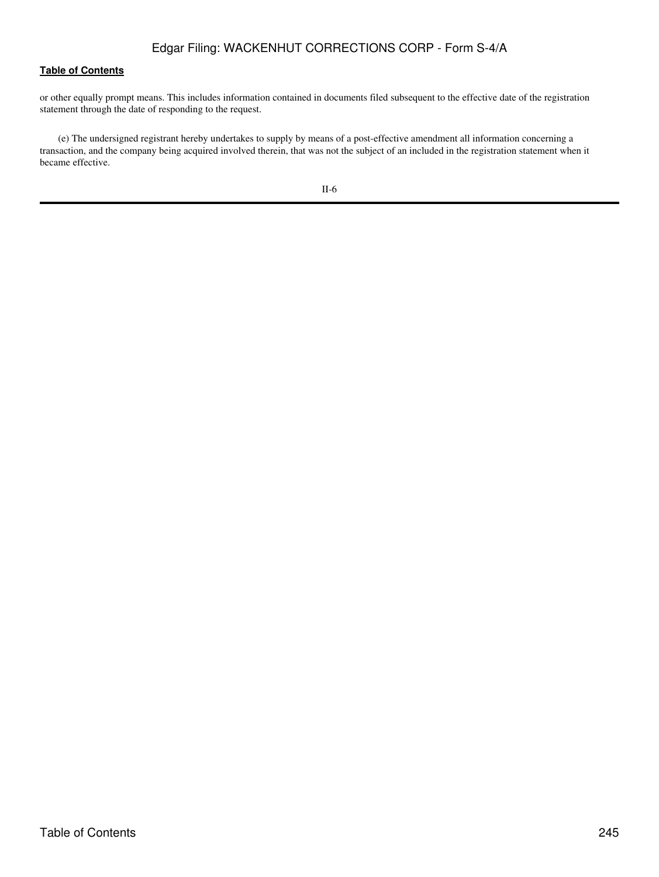or other equally prompt means. This includes information contained in documents filed subsequent to the effective date of the registration statement through the date of responding to the request.

(e) The undersigned registrant hereby undertakes to supply by means of a post-effective amendment all information concerning a transaction, and the company being acquired involved therein, that was not the subject of an included in the registration statement when it became effective.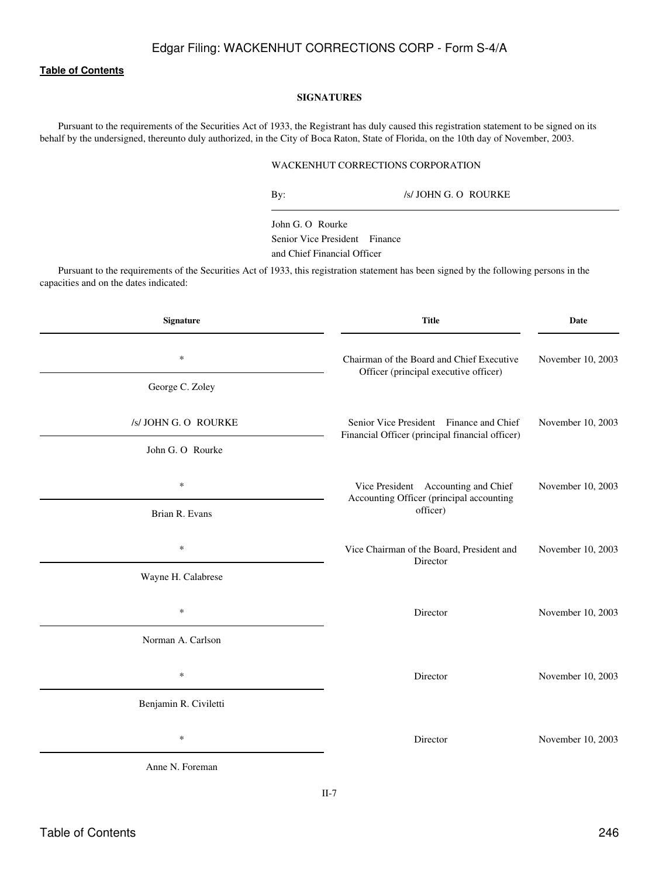### **[Table of Contents](#page-5-0)**

## **SIGNATURES**

Pursuant to the requirements of the Securities Act of 1933, the Registrant has duly caused this registration statement to be signed on its behalf by the undersigned, thereunto duly authorized, in the City of Boca Raton, State of Florida, on the 10th day of November, 2003.

# WACKENHUT CORRECTIONS CORPORATION

By: /s/ JOHN G. O ROURKE

John G. O Rourke

Senior Vice President Finance

and Chief Financial Officer

Pursuant to the requirements of the Securities Act of 1933, this registration statement has been signed by the following persons in the capacities and on the dates indicated:

| Signature             | <b>Title</b>                                                                       | Date              |
|-----------------------|------------------------------------------------------------------------------------|-------------------|
| $\ast$                | Chairman of the Board and Chief Executive<br>Officer (principal executive officer) | November 10, 2003 |
| George C. Zoley       |                                                                                    |                   |
| /s/ JOHN G. O ROURKE  | Senior Vice President Finance and Chief                                            | November 10, 2003 |
| John G. O Rourke      | Financial Officer (principal financial officer)                                    |                   |
| $\ast$                | Vice President Accounting and Chief                                                | November 10, 2003 |
| Brian R. Evans        | Accounting Officer (principal accounting<br>officer)                               |                   |
| $\ast$                | Vice Chairman of the Board, President and                                          | November 10, 2003 |
| Wayne H. Calabrese    | Director                                                                           |                   |
| $\ast$                | Director                                                                           | November 10, 2003 |
| Norman A. Carlson     |                                                                                    |                   |
| $\ast$                | Director                                                                           | November 10, 2003 |
| Benjamin R. Civiletti |                                                                                    |                   |
| $\ast$                | Director                                                                           | November 10, 2003 |
| Anne N. Foreman       |                                                                                    |                   |

II-7